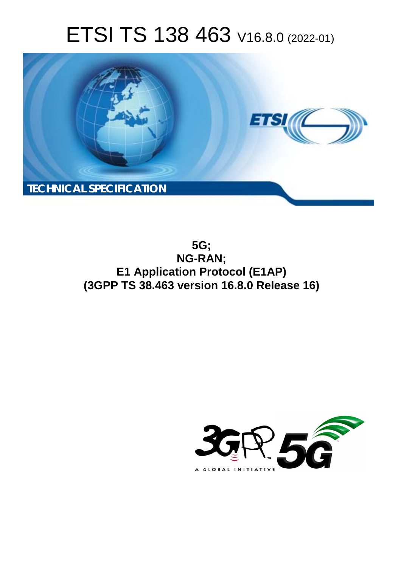# ETSI TS 138 463 V16.8.0 (2022-01)



**5G; NG-RAN; E1 Application Protocol (E1AP) (3GPP TS 38.463 version 16.8.0 Release 16)** 

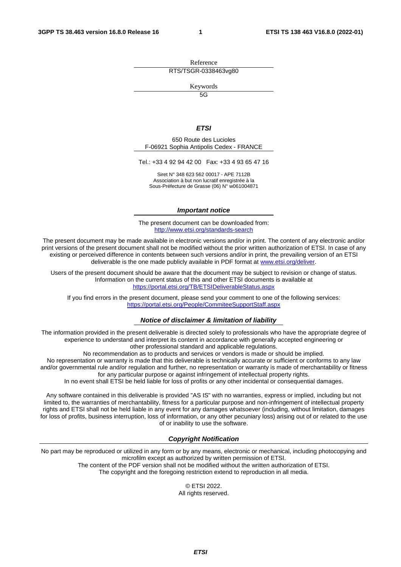Reference RTS/TSGR-0338463vg80

Keywords

 $\overline{5G}$ 

#### *ETSI*

650 Route des Lucioles F-06921 Sophia Antipolis Cedex - FRANCE

Tel.: +33 4 92 94 42 00 Fax: +33 4 93 65 47 16

Siret N° 348 623 562 00017 - APE 7112B Association à but non lucratif enregistrée à la Sous-Préfecture de Grasse (06) N° w061004871

#### *Important notice*

The present document can be downloaded from: <http://www.etsi.org/standards-search>

The present document may be made available in electronic versions and/or in print. The content of any electronic and/or print versions of the present document shall not be modified without the prior written authorization of ETSI. In case of any existing or perceived difference in contents between such versions and/or in print, the prevailing version of an ETSI deliverable is the one made publicly available in PDF format at [www.etsi.org/deliver](http://www.etsi.org/deliver).

Users of the present document should be aware that the document may be subject to revision or change of status. Information on the current status of this and other ETSI documents is available at <https://portal.etsi.org/TB/ETSIDeliverableStatus.aspx>

If you find errors in the present document, please send your comment to one of the following services: <https://portal.etsi.org/People/CommiteeSupportStaff.aspx>

#### *Notice of disclaimer & limitation of liability*

The information provided in the present deliverable is directed solely to professionals who have the appropriate degree of experience to understand and interpret its content in accordance with generally accepted engineering or other professional standard and applicable regulations.

No recommendation as to products and services or vendors is made or should be implied.

No representation or warranty is made that this deliverable is technically accurate or sufficient or conforms to any law and/or governmental rule and/or regulation and further, no representation or warranty is made of merchantability or fitness for any particular purpose or against infringement of intellectual property rights.

In no event shall ETSI be held liable for loss of profits or any other incidental or consequential damages.

Any software contained in this deliverable is provided "AS IS" with no warranties, express or implied, including but not limited to, the warranties of merchantability, fitness for a particular purpose and non-infringement of intellectual property rights and ETSI shall not be held liable in any event for any damages whatsoever (including, without limitation, damages for loss of profits, business interruption, loss of information, or any other pecuniary loss) arising out of or related to the use of or inability to use the software.

#### *Copyright Notification*

No part may be reproduced or utilized in any form or by any means, electronic or mechanical, including photocopying and microfilm except as authorized by written permission of ETSI. The content of the PDF version shall not be modified without the written authorization of ETSI.

The copyright and the foregoing restriction extend to reproduction in all media.

© ETSI 2022. All rights reserved.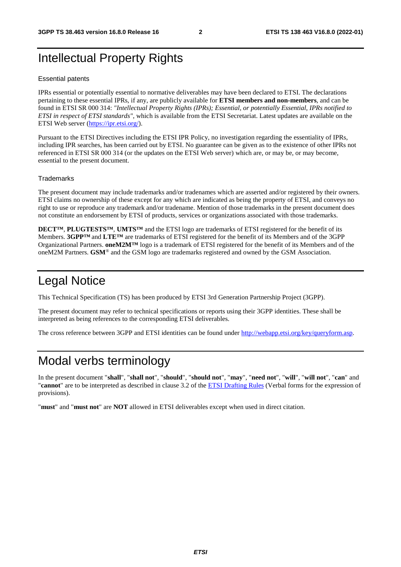# Intellectual Property Rights

#### Essential patents

IPRs essential or potentially essential to normative deliverables may have been declared to ETSI. The declarations pertaining to these essential IPRs, if any, are publicly available for **ETSI members and non-members**, and can be found in ETSI SR 000 314: *"Intellectual Property Rights (IPRs); Essential, or potentially Essential, IPRs notified to ETSI in respect of ETSI standards"*, which is available from the ETSI Secretariat. Latest updates are available on the ETSI Web server ([https://ipr.etsi.org/\)](https://ipr.etsi.org/).

Pursuant to the ETSI Directives including the ETSI IPR Policy, no investigation regarding the essentiality of IPRs, including IPR searches, has been carried out by ETSI. No guarantee can be given as to the existence of other IPRs not referenced in ETSI SR 000 314 (or the updates on the ETSI Web server) which are, or may be, or may become, essential to the present document.

#### **Trademarks**

The present document may include trademarks and/or tradenames which are asserted and/or registered by their owners. ETSI claims no ownership of these except for any which are indicated as being the property of ETSI, and conveys no right to use or reproduce any trademark and/or tradename. Mention of those trademarks in the present document does not constitute an endorsement by ETSI of products, services or organizations associated with those trademarks.

**DECT™**, **PLUGTESTS™**, **UMTS™** and the ETSI logo are trademarks of ETSI registered for the benefit of its Members. **3GPP™** and **LTE™** are trademarks of ETSI registered for the benefit of its Members and of the 3GPP Organizational Partners. **oneM2M™** logo is a trademark of ETSI registered for the benefit of its Members and of the oneM2M Partners. **GSM**® and the GSM logo are trademarks registered and owned by the GSM Association.

# Legal Notice

This Technical Specification (TS) has been produced by ETSI 3rd Generation Partnership Project (3GPP).

The present document may refer to technical specifications or reports using their 3GPP identities. These shall be interpreted as being references to the corresponding ETSI deliverables.

The cross reference between 3GPP and ETSI identities can be found under<http://webapp.etsi.org/key/queryform.asp>.

# Modal verbs terminology

In the present document "**shall**", "**shall not**", "**should**", "**should not**", "**may**", "**need not**", "**will**", "**will not**", "**can**" and "**cannot**" are to be interpreted as described in clause 3.2 of the [ETSI Drafting Rules](https://portal.etsi.org/Services/editHelp!/Howtostart/ETSIDraftingRules.aspx) (Verbal forms for the expression of provisions).

"**must**" and "**must not**" are **NOT** allowed in ETSI deliverables except when used in direct citation.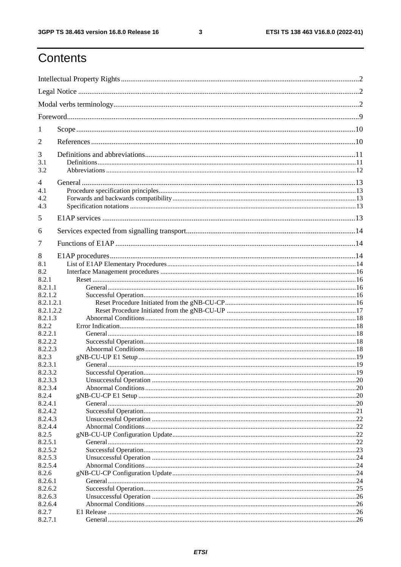$\mathbf{3}$ 

# Contents

| 1                  |  |  |  |  |
|--------------------|--|--|--|--|
| 2                  |  |  |  |  |
| 3                  |  |  |  |  |
| 3.1<br>3.2         |  |  |  |  |
| $\overline{4}$     |  |  |  |  |
| 4.1                |  |  |  |  |
| 4.2                |  |  |  |  |
| 4.3                |  |  |  |  |
| 5                  |  |  |  |  |
| 6                  |  |  |  |  |
| 7                  |  |  |  |  |
| 8                  |  |  |  |  |
| 8.1                |  |  |  |  |
| 8.2                |  |  |  |  |
| 8.2.1              |  |  |  |  |
| 8.2.1.1            |  |  |  |  |
| 8.2.1.2            |  |  |  |  |
| 8.2.1.2.1          |  |  |  |  |
| 8.2.1.2.2          |  |  |  |  |
| 8.2.1.3            |  |  |  |  |
| 8.2.2<br>8.2.2.1   |  |  |  |  |
| 8.2.2.2            |  |  |  |  |
| 8.2.2.3            |  |  |  |  |
| 8.2.3              |  |  |  |  |
| 8.2.3.1            |  |  |  |  |
| 8.2.3.2            |  |  |  |  |
| 8.2.3.3            |  |  |  |  |
| 8.2.3.4            |  |  |  |  |
| 8.2.4              |  |  |  |  |
| 8.2.4.1            |  |  |  |  |
| 8.2.4.2            |  |  |  |  |
| 8.2.4.3            |  |  |  |  |
| 8.2.4.4            |  |  |  |  |
| 8.2.5              |  |  |  |  |
| 8.2.5.1            |  |  |  |  |
| 8.2.5.2            |  |  |  |  |
| 8.2.5.3<br>8.2.5.4 |  |  |  |  |
| 8.2.6              |  |  |  |  |
| 8.2.6.1            |  |  |  |  |
| 8.2.6.2            |  |  |  |  |
| 8.2.6.3            |  |  |  |  |
| 8.2.6.4            |  |  |  |  |
| 8.2.7              |  |  |  |  |
| 8.2.7.1            |  |  |  |  |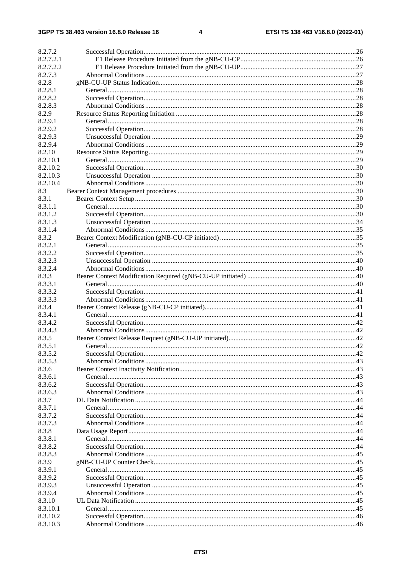| 8.2.7.2   |  |
|-----------|--|
| 8.2.7.2.1 |  |
| 8.2.7.2.2 |  |
| 8.2.7.3   |  |
| 8.2.8     |  |
| 8.2.8.1   |  |
| 8.2.8.2   |  |
| 8.2.8.3   |  |
| 8.2.9     |  |
| 8.2.9.1   |  |
| 8.2.9.2   |  |
| 8.2.9.3   |  |
| 8.2.9.4   |  |
| 8.2.10    |  |
| 8.2.10.1  |  |
| 8.2.10.2  |  |
| 8.2.10.3  |  |
| 8.2.10.4  |  |
| 8.3       |  |
| 8.3.1     |  |
| 8.3.1.1   |  |
| 8.3.1.2   |  |
| 8.3.1.3   |  |
| 8.3.1.4   |  |
| 8.3.2     |  |
| 8.3.2.1   |  |
| 8.3.2.2   |  |
| 8.3.2.3   |  |
| 8.3.2.4   |  |
| 8.3.3     |  |
| 8.3.3.1   |  |
| 8.3.3.2   |  |
| 8.3.3.3   |  |
| 8.3.4     |  |
| 8.3.4.1   |  |
| 8.3.4.2   |  |
| 8.3.4.3   |  |
| 8.3.5     |  |
| 8.3.5.1   |  |
| 8.3.5.2   |  |
| 8.3.5.3   |  |
| 8.3.6     |  |
| 8.3.6.1   |  |
| 8.3.6.2   |  |
| 8.3.6.3   |  |
| 8.3.7     |  |
| 8.3.7.1   |  |
| 8.3.7.2   |  |
| 8.3.7.3   |  |
| 8.3.8     |  |
| 8.3.8.1   |  |
| 8.3.8.2   |  |
| 8.3.8.3   |  |
| 8.3.9     |  |
| 8.3.9.1   |  |
| 8.3.9.2   |  |
| 8.3.9.3   |  |
| 8.3.9.4   |  |
| 8.3.10    |  |
| 8.3.10.1  |  |
| 8.3.10.2  |  |
| 8.3.10.3  |  |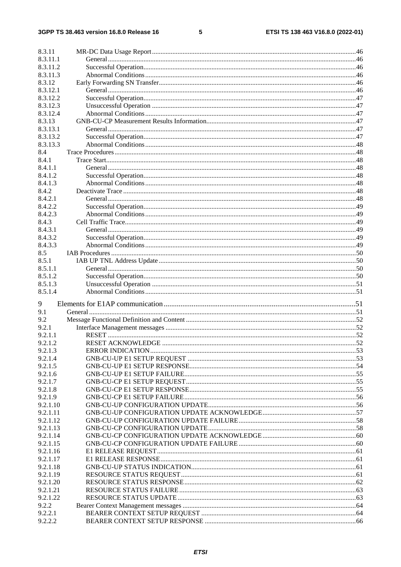#### $5\phantom{a}$

| 8.3.11             |  |
|--------------------|--|
| 8.3.11.1           |  |
| 8.3.11.2           |  |
| 8.3.11.3           |  |
| 8.3.12             |  |
| 8.3.12.1           |  |
| 8.3.12.2           |  |
| 8.3.12.3           |  |
| 8.3.12.4           |  |
| 8.3.13             |  |
| 8.3.13.1           |  |
| 8.3.13.2           |  |
| 8.3.13.3           |  |
| 8.4                |  |
| 8.4.1              |  |
| 8.4.1.1            |  |
| 8.4.1.2            |  |
| 8.4.1.3            |  |
| 8.4.2              |  |
| 8.4.2.1            |  |
| 8.4.2.2            |  |
| 8.4.2.3            |  |
| 8.4.3              |  |
| 8.4.3.1            |  |
| 8.4.3.2            |  |
| 8.4.3.3            |  |
| 8.5                |  |
| 8.5.1              |  |
| 8.5.1.1            |  |
| 8.5.1.2            |  |
| 8.5.1.3            |  |
| 8.5.1.4            |  |
| 9                  |  |
| 9.1                |  |
| 9.2                |  |
| 9.2.1              |  |
| 9.2.1.1            |  |
| 9.2.1.2            |  |
| 9.2.1.3            |  |
| 9.2.1.4            |  |
| 9.2.1.5            |  |
| 9.2.1.6            |  |
| 9.2.1.7            |  |
| 9.2.1.8            |  |
| 9.2.1.9            |  |
| 9.2.1.10           |  |
| 9.2.1.11           |  |
|                    |  |
| 9.2.1.12           |  |
| 9.2.1.13           |  |
| 9.2.1.14           |  |
| 9.2.1.15           |  |
| 9.2.1.16           |  |
| 9.2.1.17           |  |
| 9.2.1.18           |  |
| 9.2.1.19           |  |
| 9.2.1.20           |  |
| 9.2.1.21           |  |
| 9.2.1.22           |  |
| 9.2.2              |  |
| 9.2.2.1<br>9.2.2.2 |  |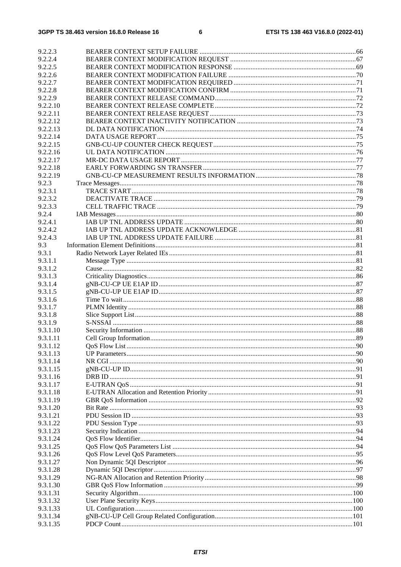| 9.2.2.3              |  |
|----------------------|--|
| 9.2.2.4              |  |
| 9.2.2.5              |  |
| 9.2.2.6              |  |
| 9.2.2.7              |  |
| 9.2.2.8              |  |
| 9.2.2.9              |  |
| 9.2.2.10             |  |
| 9.2.2.11             |  |
| 9.2.2.12             |  |
| 9.2.2.13             |  |
| 9.2.2.14             |  |
| 9.2.2.15             |  |
| 9.2.2.16             |  |
| 9.2.2.17             |  |
| 9.2.2.18             |  |
| 9.2.2.19             |  |
| 9.2.3                |  |
| 9.2.3.1              |  |
| 9.2.3.2<br>9.2.3.3   |  |
| 9.2.4                |  |
| 9.2.4.1              |  |
| 9.2.4.2              |  |
| 9.2.4.3              |  |
| 9.3                  |  |
| 9.3.1                |  |
| 9.3.1.1              |  |
| 9.3.1.2              |  |
| 9.3.1.3              |  |
| 9.3.1.4              |  |
| 9.3.1.5              |  |
| 9.3.1.6              |  |
| 9.3.1.7              |  |
| 9.3.1.8              |  |
| 9.3.1.9              |  |
| 9.3.1.10<br>9.3.1.11 |  |
| 9.3.1.12             |  |
| 9.3.1.13             |  |
| 9.3.1.14             |  |
| 9.3.1.15             |  |
| 9.3.1.16             |  |
| 9.3.1.17             |  |
| 9.3.1.18             |  |
| 9.3.1.19             |  |
| 9.3.1.20             |  |
| 9.3.1.21             |  |
| 9.3.1.22             |  |
| 9.3.1.23             |  |
| 9.3.1.24             |  |
| 9.3.1.25             |  |
| 9.3.1.26             |  |
| 9.3.1.27<br>9.3.1.28 |  |
| 9.3.1.29             |  |
| 9.3.1.30             |  |
| 9.3.1.31             |  |
| 9.3.1.32             |  |
| 9.3.1.33             |  |
| 9.3.1.34             |  |
| 9.3.1.35             |  |
|                      |  |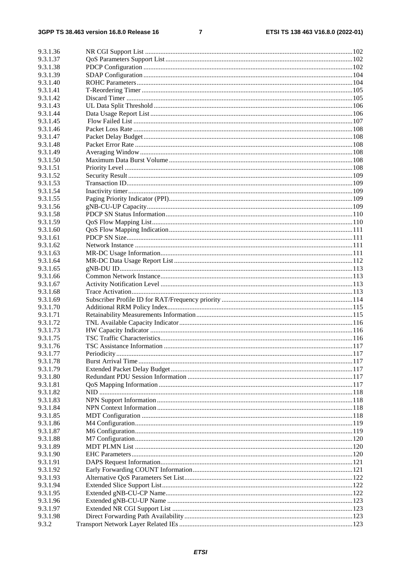#### $\overline{7}$

| 9.3.1.36 |  |
|----------|--|
| 9.3.1.37 |  |
| 9.3.1.38 |  |
| 9.3.1.39 |  |
| 9.3.1.40 |  |
| 9.3.1.41 |  |
| 9.3.1.42 |  |
| 9.3.1.43 |  |
| 9.3.1.44 |  |
| 9.3.1.45 |  |
| 9.3.1.46 |  |
| 9.3.1.47 |  |
| 9.3.1.48 |  |
| 9.3.1.49 |  |
| 9.3.1.50 |  |
| 9.3.1.51 |  |
| 9.3.1.52 |  |
| 9.3.1.53 |  |
| 9.3.1.54 |  |
| 9.3.1.55 |  |
| 9.3.1.56 |  |
| 9.3.1.58 |  |
| 9.3.1.59 |  |
| 9.3.1.60 |  |
| 9.3.1.61 |  |
| 9.3.1.62 |  |
| 9.3.1.63 |  |
| 9.3.1.64 |  |
| 9.3.1.65 |  |
| 9.3.1.66 |  |
| 9.3.1.67 |  |
| 9.3.1.68 |  |
| 9.3.1.69 |  |
| 9.3.1.70 |  |
| 9.3.1.71 |  |
| 9.3.1.72 |  |
| 9.3.1.73 |  |
| 9.3.1.75 |  |
| 9.3.1.76 |  |
| 9.3.1.77 |  |
| 9.3.1.78 |  |
| 9.3.1.79 |  |
| 9.3.1.80 |  |
| 9.3.1.81 |  |
| 9.3.1.82 |  |
| 9.3.1.83 |  |
| 9.3.1.84 |  |
| 9.3.1.85 |  |
| 9.3.1.86 |  |
| 9.3.1.87 |  |
| 9.3.1.88 |  |
| 9.3.1.89 |  |
| 9.3.1.90 |  |
| 9.3.1.91 |  |
| 9.3.1.92 |  |
| 9.3.1.93 |  |
| 9.3.1.94 |  |
| 9.3.1.95 |  |
| 9.3.1.96 |  |
| 9.3.1.97 |  |
| 9.3.1.98 |  |
| 9.3.2    |  |
|          |  |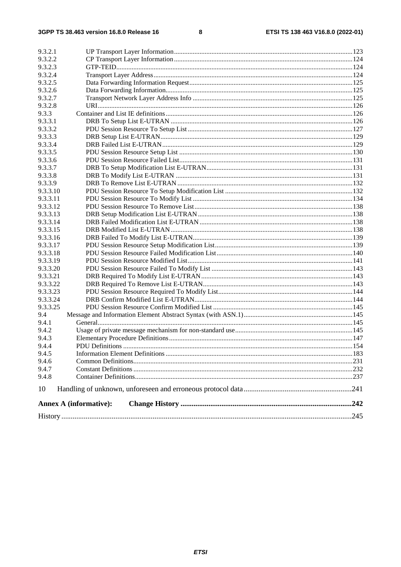| 9.3.2.1  |                               |  |
|----------|-------------------------------|--|
| 9.3.2.2  |                               |  |
| 9.3.2.3  |                               |  |
| 9.3.2.4  |                               |  |
| 9.3.2.5  |                               |  |
| 9.3.2.6  |                               |  |
| 9.3.2.7  |                               |  |
| 9.3.2.8  |                               |  |
| 9.3.3    |                               |  |
| 9.3.3.1  |                               |  |
| 9.3.3.2  |                               |  |
| 9.3.3.3  |                               |  |
| 9.3.3.4  |                               |  |
| 9.3.3.5  |                               |  |
| 9.3.3.6  |                               |  |
| 9.3.3.7  |                               |  |
| 9.3.3.8  |                               |  |
| 9.3.3.9  |                               |  |
| 9.3.3.10 |                               |  |
| 9.3.3.11 |                               |  |
| 9.3.3.12 |                               |  |
| 9.3.3.13 |                               |  |
| 9.3.3.14 |                               |  |
| 9.3.3.15 |                               |  |
| 9.3.3.16 |                               |  |
| 9.3.3.17 |                               |  |
| 9.3.3.18 |                               |  |
| 9.3.3.19 |                               |  |
| 9.3.3.20 |                               |  |
| 9.3.3.21 |                               |  |
| 9.3.3.22 |                               |  |
| 9.3.3.23 |                               |  |
| 9.3.3.24 |                               |  |
| 9.3.3.25 |                               |  |
| 9.4      |                               |  |
| 9.4.1    |                               |  |
| 9.4.2    |                               |  |
| 9.4.3    |                               |  |
| 9.4.4    |                               |  |
| 9.4.5    |                               |  |
| 9.4.6    |                               |  |
| 9.4.7    |                               |  |
| 9.4.8    |                               |  |
| 10       |                               |  |
|          | <b>Annex A (informative):</b> |  |
|          |                               |  |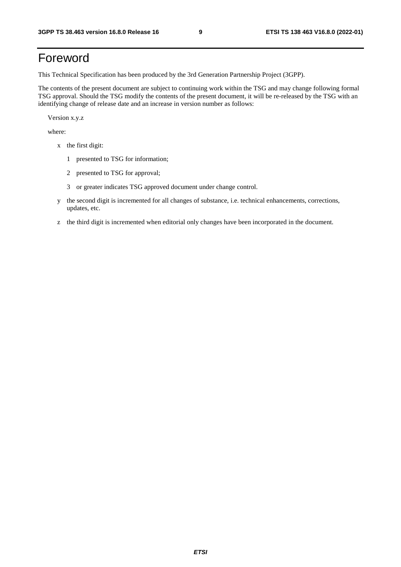# Foreword

This Technical Specification has been produced by the 3rd Generation Partnership Project (3GPP).

The contents of the present document are subject to continuing work within the TSG and may change following formal TSG approval. Should the TSG modify the contents of the present document, it will be re-released by the TSG with an identifying change of release date and an increase in version number as follows:

Version x.y.z

where:

- x the first digit:
	- 1 presented to TSG for information;
	- 2 presented to TSG for approval;
	- 3 or greater indicates TSG approved document under change control.
- y the second digit is incremented for all changes of substance, i.e. technical enhancements, corrections, updates, etc.
- z the third digit is incremented when editorial only changes have been incorporated in the document.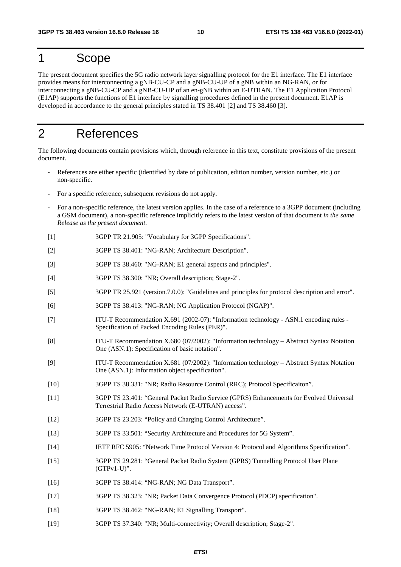# 1 Scope

The present document specifies the 5G radio network layer signalling protocol for the E1 interface. The E1 interface provides means for interconnecting a gNB-CU-CP and a gNB-CU-UP of a gNB within an NG-RAN, or for interconnecting a gNB-CU-CP and a gNB-CU-UP of an en-gNB within an E-UTRAN. The E1 Application Protocol (E1AP) supports the functions of E1 interface by signalling procedures defined in the present document. E1AP is developed in accordance to the general principles stated in TS 38.401 [2] and TS 38.460 [3].

# 2 References

The following documents contain provisions which, through reference in this text, constitute provisions of the present document.

- References are either specific (identified by date of publication, edition number, version number, etc.) or non-specific.
- For a specific reference, subsequent revisions do not apply.
- For a non-specific reference, the latest version applies. In the case of a reference to a 3GPP document (including a GSM document), a non-specific reference implicitly refers to the latest version of that document *in the same Release as the present document*.
- [1] 3GPP TR 21.905: "Vocabulary for 3GPP Specifications".
- [2] 3GPP TS 38.401: "NG-RAN; Architecture Description".
- [3] 3GPP TS 38.460: "NG-RAN; E1 general aspects and principles".
- [4] 3GPP TS 38.300: "NR; Overall description; Stage-2".
- [5] 3GPP TR 25.921 (version.7.0.0): "Guidelines and principles for protocol description and error".
- [6] 3GPP TS 38.413: "NG-RAN; NG Application Protocol (NGAP)".
- [7] ITU-T Recommendation X.691 (2002-07): "Information technology ASN.1 encoding rules Specification of Packed Encoding Rules (PER)".
- [8] ITU-T Recommendation X.680 (07/2002): "Information technology Abstract Syntax Notation One (ASN.1): Specification of basic notation".
- [9] ITU-T Recommendation X.681 (07/2002): "Information technology Abstract Syntax Notation One (ASN.1): Information object specification".
- [10] 3GPP TS 38.331: "NR; Radio Resource Control (RRC); Protocol Specificaiton".
- [11] 3GPP TS 23.401: "General Packet Radio Service (GPRS) Enhancements for Evolved Universal Terrestrial Radio Access Network (E-UTRAN) access".
- [12] 3GPP TS 23.203: "Policy and Charging Control Architecture".
- [13] 3GPP TS 33.501: "Security Architecture and Procedures for 5G System".
- [14] IETF RFC 5905: "Network Time Protocol Version 4: Protocol and Algorithms Specification".
- [15] 3GPP TS 29.281: "General Packet Radio System (GPRS) Tunnelling Protocol User Plane (GTPv1-U)".
- [16] 3GPP TS 38.414: "NG-RAN; NG Data Transport".
- [17] 3GPP TS 38.323: "NR; Packet Data Convergence Protocol (PDCP) specification".
- [18] 3GPP TS 38.462: "NG-RAN; E1 Signalling Transport".
- [19] 3GPP TS 37.340: "NR; Multi-connectivity; Overall description; Stage-2".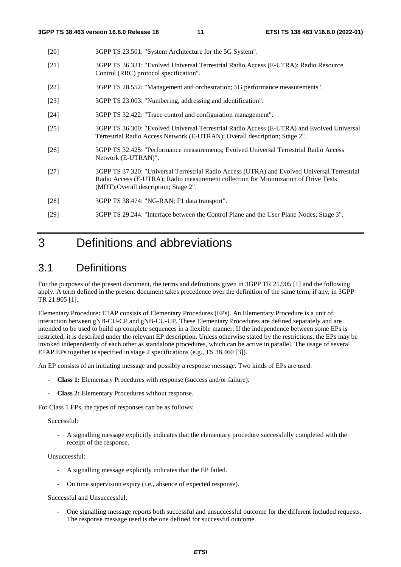- [20] 3GPP TS 23.501: "System Architecture for the 5G System".
- [21] 3GPP TS 36.331: "Evolved Universal Terrestrial Radio Access (E-UTRA); Radio Resource Control (RRC) protocol specification".
- [22] 3GPP TS 28.552: "Management and orchestration; 5G performance measurements".
- [23] 3GPP TS 23.003: "Numbering, addressing and identification".
- [24] 3GPP TS 32.422: "Trace control and configuration management".
- [25] 3GPP TS 36.300: "Evolved Universal Terrestrial Radio Access (E-UTRA) and Evolved Universal Terrestrial Radio Access Network (E-UTRAN); Overall description; Stage 2".
- [26] 3GPP TS 32.425: "Performance measurements; Evolved Universal Terrestrial Radio Access Network (E-UTRAN)".
- [27] 3GPP TS 37.320: "Universal Terrestrial Radio Access (UTRA) and Evolved Universal Terrestrial Radio Access (E-UTRA); Radio measurement collection for Minimization of Drive Tests (MDT);Overall description; Stage 2".
- [28] 3GPP TS 38.474: "NG-RAN; F1 data transport".
- [29] 3GPP TS 29.244: "Interface between the Control Plane and the User Plane Nodes; Stage 3".

# 3 Definitions and abbreviations

# 3.1 Definitions

For the purposes of the present document, the terms and definitions given in 3GPP TR 21.905 [1] and the following apply. A term defined in the present document takes precedence over the definition of the same term, if any, in 3GPP TR 21.905 [1].

Elementary Procedure**:** E1AP consists of Elementary Procedures (EPs). An Elementary Procedure is a unit of interaction between gNB-CU-CP and gNB-CU-UP. These Elementary Procedures are defined separately and are intended to be used to build up complete sequences in a flexible manner. If the independence between some EPs is restricted, it is described under the relevant EP description. Unless otherwise stated by the restrictions, the EPs may be invoked independently of each other as standalone procedures, which can be active in parallel. The usage of several E1AP EPs together is specified in stage 2 specifications (e.g., TS 38.460 [3]).

An EP consists of an initiating message and possibly a response message. Two kinds of EPs are used:

- **Class 1:** Elementary Procedures with response (success and/or failure).
- **Class 2:** Elementary Procedures without response.

For Class 1 EPs, the types of responses can be as follows:

#### Successful:

- A signalling message explicitly indicates that the elementary procedure successfully completed with the receipt of the response.

#### Unsuccessful:

- A signalling message explicitly indicates that the EP failed.
- On time supervision expiry (i.e., absence of expected response).

#### Successful and Unsuccessful:

- One signalling message reports both successful and unsuccessful outcome for the different included requests. The response message used is the one defined for successful outcome.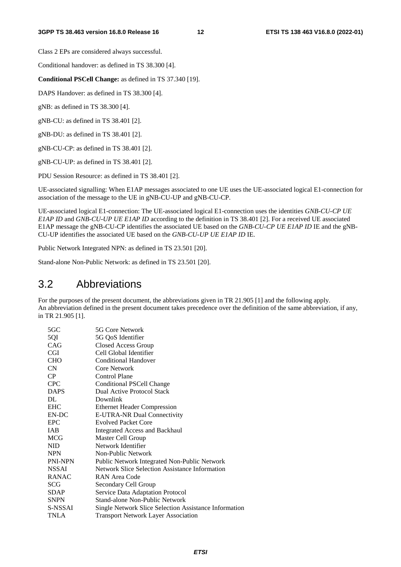Class 2 EPs are considered always successful.

Conditional handover: as defined in TS 38.300 [4].

**Conditional PSCell Change:** as defined in TS 37.340 [19].

DAPS Handover: as defined in TS 38.300 [4].

gNB: as defined in TS 38.300 [4].

gNB-CU: as defined in TS 38.401 [2].

gNB-DU: as defined in TS 38.401 [2].

gNB-CU-CP: as defined in TS 38.401 [2].

gNB-CU-UP: as defined in TS 38.401 [2].

PDU Session Resource: as defined in TS 38.401 [2].

UE-associated signalling: When E1AP messages associated to one UE uses the UE-associated logical E1-connection for association of the message to the UE in gNB-CU-UP and gNB-CU-CP.

UE-associated logical E1-connection: The UE-associated logical E1-connection uses the identities *GNB-CU-CP UE E1AP ID* and *GNB-CU-UP UE E1AP ID* according to the definition in TS 38.401 [2]. For a received UE associated E1AP message the gNB-CU-CP identifies the associated UE based on the *GNB-CU-CP UE E1AP ID* IE and the gNB-CU-UP identifies the associated UE based on the *GNB-CU-UP UE E1AP ID* IE.

Public Network Integrated NPN: as defined in TS 23.501 [20].

Stand-alone Non-Public Network: as defined in TS 23.501 [20].

## 3.2 Abbreviations

For the purposes of the present document, the abbreviations given in TR 21.905 [1] and the following apply. An abbreviation defined in the present document takes precedence over the definition of the same abbreviation, if any, in TR 21.905 [1].

| 5GC          | 5G Core Network                                       |
|--------------|-------------------------------------------------------|
| 5QI          | 5G QoS Identifier                                     |
| CAG          | Closed Access Group                                   |
| <b>CGI</b>   | Cell Global Identifier                                |
| CHO          | Conditional Handover                                  |
| <b>CN</b>    | Core Network                                          |
| CP.          | Control Plane                                         |
| <b>CPC</b>   | <b>Conditional PSCell Change</b>                      |
| <b>DAPS</b>  | Dual Active Protocol Stack                            |
| DL           | Downlink                                              |
| <b>EHC</b>   | <b>Ethernet Header Compression</b>                    |
| EN-DC        | E-UTRA-NR Dual Connectivity                           |
| EPC          | <b>Evolved Packet Core</b>                            |
| <b>IAB</b>   | Integrated Access and Backhaul                        |
| MCG          | Master Cell Group                                     |
| <b>NID</b>   | Network Identifier                                    |
| <b>NPN</b>   | Non-Public Network                                    |
| PNI-NPN      | Public Network Integrated Non-Public Network          |
| <b>NSSAI</b> | Network Slice Selection Assistance Information        |
| <b>RANAC</b> | RAN Area Code                                         |
| SCG          | Secondary Cell Group                                  |
| SDAP         | Service Data Adaptation Protocol                      |
| SNPN         | Stand-alone Non-Public Network                        |
| S-NSSAI      | Single Network Slice Selection Assistance Information |
| TNLA         | <b>Transport Network Layer Association</b>            |
|              |                                                       |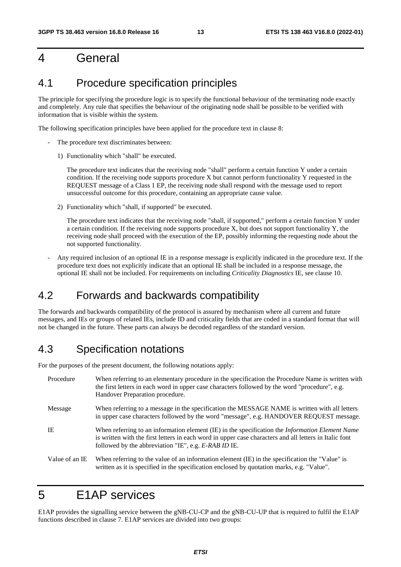# 4 General

# 4.1 Procedure specification principles

The principle for specifying the procedure logic is to specify the functional behaviour of the terminating node exactly and completely. Any rule that specifies the behaviour of the originating node shall be possible to be verified with information that is visible within the system.

The following specification principles have been applied for the procedure text in clause 8:

- The procedure text discriminates between:
	- 1) Functionality which "shall" be executed.

 The procedure text indicates that the receiving node "shall" perform a certain function Y under a certain condition. If the receiving node supports procedure X but cannot perform functionality Y requested in the REQUEST message of a Class 1 EP, the receiving node shall respond with the message used to report unsuccessful outcome for this procedure, containing an appropriate cause value.

2) Functionality which "shall, if supported" be executed.

 The procedure text indicates that the receiving node "shall, if supported," perform a certain function Y under a certain condition. If the receiving node supports procedure X, but does not support functionality Y, the receiving node shall proceed with the execution of the EP, possibly informing the requesting node about the not supported functionality.

- Any required inclusion of an optional IE in a response message is explicitly indicated in the procedure text. If the procedure text does not explicitly indicate that an optional IE shall be included in a response message, the optional IE shall not be included. For requirements on including *Criticality Diagnostics* IE, see clause 10.

# 4.2 Forwards and backwards compatibility

The forwards and backwards compatibility of the protocol is assured by mechanism where all current and future messages, and IEs or groups of related IEs, include ID and criticality fields that are coded in a standard format that will not be changed in the future. These parts can always be decoded regardless of the standard version.

# 4.3 Specification notations

For the purposes of the present document, the following notations apply:

| Procedure      | When referring to an elementary procedure in the specification the Procedure Name is written with<br>the first letters in each word in upper case characters followed by the word "procedure", e.g.<br>Handover Preparation procedure.                                   |
|----------------|--------------------------------------------------------------------------------------------------------------------------------------------------------------------------------------------------------------------------------------------------------------------------|
| Message        | When referring to a message in the specification the MESSAGE NAME is written with all letters<br>in upper case characters followed by the word "message", e.g. HANDOVER REQUEST message.                                                                                 |
| IE             | When referring to an information element (IE) in the specification the <i>Information Element Name</i><br>is written with the first letters in each word in upper case characters and all letters in Italic font<br>followed by the abbreviation "IE", e.g. E-RAB ID IE. |
| Value of an IE | When referring to the value of an information element (IE) in the specification the "Value" is<br>written as it is specified in the specification enclosed by quotation marks, e.g. "Value".                                                                             |

# 5 E1AP services

E1AP provides the signalling service between the gNB-CU-CP and the gNB-CU-UP that is required to fulfil the E1AP functions described in clause 7. E1AP services are divided into two groups: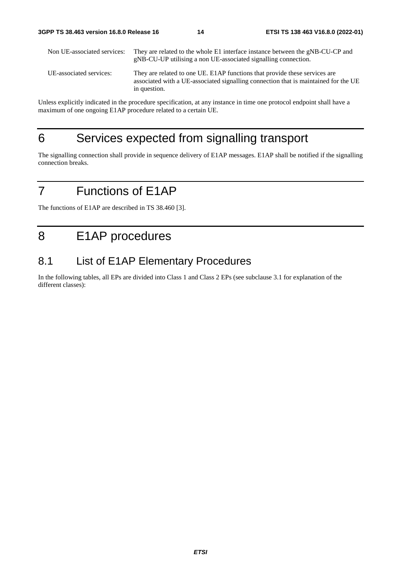| Non UE-associated services: | They are related to the whole E1 interface instance between the gNB-CU-CP and<br>gNB-CU-UP utilising a non UE-associated signalling connection.                                   |
|-----------------------------|-----------------------------------------------------------------------------------------------------------------------------------------------------------------------------------|
| UE-associated services:     | They are related to one UE. E1AP functions that provide these services are<br>associated with a UE-associated signalling connection that is maintained for the UE<br>in question. |

Unless explicitly indicated in the procedure specification, at any instance in time one protocol endpoint shall have a maximum of one ongoing E1AP procedure related to a certain UE.

# 6 Services expected from signalling transport

The signalling connection shall provide in sequence delivery of E1AP messages. E1AP shall be notified if the signalling connection breaks.

# 7 Functions of E1AP

The functions of E1AP are described in TS 38.460 [3].

# 8 E1AP procedures

# 8.1 List of E1AP Elementary Procedures

In the following tables, all EPs are divided into Class 1 and Class 2 EPs (see subclause 3.1 for explanation of the different classes):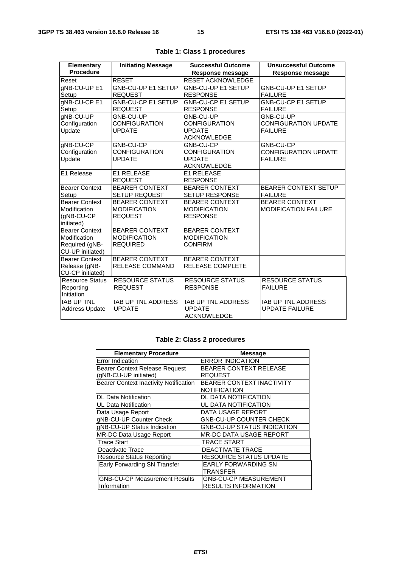| Elementary                        | <b>Initiating Message</b>             | <b>Successful Outcome</b>                        | <b>Unsuccessful Outcome</b>              |
|-----------------------------------|---------------------------------------|--------------------------------------------------|------------------------------------------|
| <b>Procedure</b>                  |                                       | <b>Response message</b>                          | Response message                         |
| Reset                             | <b>RESET</b>                          | <b>RESET ACKNOWLEDGE</b>                         |                                          |
| gNB-CU-UP E1                      | <b>GNB-CU-UP E1 SETUP</b>             | <b>GNB-CU-UP E1 SETUP</b>                        | <b>GNB-CU-UP E1 SETUP</b>                |
| Setup                             | <b>REQUEST</b>                        | <b>RESPONSE</b>                                  | <b>FAILURE</b>                           |
| gNB-CU-CP E1                      | <b>GNB-CU-CP E1 SETUP</b>             | <b>GNB-CU-CP E1 SETUP</b>                        | GNB-CU-CP E1 SETUP                       |
| Setup                             | <b>REQUEST</b>                        | <b>RESPONSE</b>                                  | <b>FAILURE</b>                           |
| gNB-CU-UP                         | GNB-CU-UP                             | GNB-CU-UP                                        | GNB-CU-UP                                |
| Configuration                     | <b>CONFIGURATION</b>                  | <b>CONFIGURATION</b>                             | <b>CONFIGURATION UPDATE</b>              |
| <b>Update</b>                     | <b>UPDATE</b>                         | <b>UPDATE</b>                                    | <b>FAILURE</b>                           |
|                                   |                                       | <b>ACKNOWLEDGE</b>                               |                                          |
| gNB-CU-CP                         | GNB-CU-CP                             | GNB-CU-CP<br><b>CONFIGURATION</b>                | GNB-CU-CP<br><b>CONFIGURATION UPDATE</b> |
| Configuration<br>Update           | <b>CONFIGURATION</b><br><b>UPDATE</b> | <b>UPDATE</b>                                    | <b>FAILURE</b>                           |
|                                   |                                       | <b>ACKNOWLEDGE</b>                               |                                          |
| E1 Release                        | <b>E1 RELEASE</b>                     | <b>E1 RELEASE</b>                                |                                          |
|                                   | <b>REQUEST</b>                        | <b>RESPONSE</b>                                  |                                          |
| <b>Bearer Context</b>             | <b>BEARER CONTEXT</b>                 | <b>BEARER CONTEXT</b>                            | <b>BEARER CONTEXT SETUP</b>              |
| Setup                             | <b>SETUP REQUEST</b>                  | <b>SETUP RESPONSE</b>                            | <b>FAILURE</b>                           |
| Bearer Context                    | <b>BEARER CONTEXT</b>                 | <b>BEARER CONTEXT</b>                            | <b>BEARER CONTEXT</b>                    |
| Modification                      | <b>MODIFICATION</b>                   | <b>MODIFICATION</b>                              | <b>MODIFICATION FAILURE</b>              |
| (gNB-CU-CP                        | <b>REQUEST</b>                        | <b>RESPONSE</b>                                  |                                          |
| initiated)                        |                                       |                                                  |                                          |
| Bearer Context                    | <b>BEARER CONTEXT</b>                 | <b>BEARER CONTEXT</b>                            |                                          |
| Modification                      | <b>MODIFICATION</b>                   | <b>MODIFICATION</b>                              |                                          |
| Required (gNB-                    | <b>REQUIRED</b>                       | <b>CONFIRM</b>                                   |                                          |
| CU-UP initiated)                  |                                       |                                                  |                                          |
| <b>Bearer Context</b>             | <b>BEARER CONTEXT</b>                 | <b>BEARER CONTEXT</b><br><b>RELEASE COMPLETE</b> |                                          |
| Release (gNB-<br>CU-CP initiated) | <b>RELEASE COMMAND</b>                |                                                  |                                          |
| <b>Resource Status</b>            | <b>RESOURCE STATUS</b>                | <b>RESOURCE STATUS</b>                           | <b>RESOURCE STATUS</b>                   |
| Reporting                         | <b>REQUEST</b>                        | <b>RESPONSE</b>                                  | <b>FAILURE</b>                           |
| Initiation                        |                                       |                                                  |                                          |
| <b>IAB UP TNL</b>                 | <b>IAB UP TNL ADDRESS</b>             | IAB UP TNL ADDRESS                               | <b>IAB UP TNL ADDRESS</b>                |
| <b>Address Update</b>             | <b>UPDATE</b>                         | <b>UPDATE</b>                                    | <b>UPDATE FAILURE</b>                    |
|                                   |                                       | <b>ACKNOWLEDGE</b>                               |                                          |
|                                   |                                       |                                                  |                                          |

|  |  |  |  | Table 1: Class 1 procedures |
|--|--|--|--|-----------------------------|
|--|--|--|--|-----------------------------|

#### **Table 2: Class 2 procedures**

| <b>Elementary Procedure</b>                   | <b>Message</b>                     |
|-----------------------------------------------|------------------------------------|
| Error Indication                              | <b>ERROR INDICATION</b>            |
| <b>Bearer Context Release Request</b>         | <b>BEARER CONTEXT RELEASE</b>      |
| (gNB-CU-UP initiated)                         | <b>REQUEST</b>                     |
| <b>Bearer Context Inactivity Notification</b> | BEARER CONTEXT INACTIVITY          |
|                                               | <b>NOTIFICATION</b>                |
| <b>DL Data Notification</b>                   | <b>DL DATA NOTIFICATION</b>        |
| UL Data Notification                          | UL DATA NOTIFICATION               |
| Data Usage Report                             | DATA USAGE REPORT                  |
| gNB-CU-UP Counter Check                       | <b>GNB-CU-UP COUNTER CHECK</b>     |
| gNB-CU-UP Status Indication                   | <b>GNB-CU-UP STATUS INDICATION</b> |
| MR-DC Data Usage Report                       | <b>MR-DC DATA USAGE REPORT</b>     |
| <b>Trace Start</b>                            | <b>TRACE START</b>                 |
| Deactivate Trace                              | DEACTIVATE TRACE                   |
| <b>Resource Status Reporting</b>              | <b>RESOURCE STATUS UPDATE</b>      |
| Early Forwarding SN Transfer                  | <b>EARLY FORWARDING SN</b>         |
|                                               | TRANSFER                           |
| <b>GNB-CU-CP Measurement Results</b>          | <b>GNB-CU-CP MEASUREMENT</b>       |
| Information                                   | <b>RESULTS INFORMATION</b>         |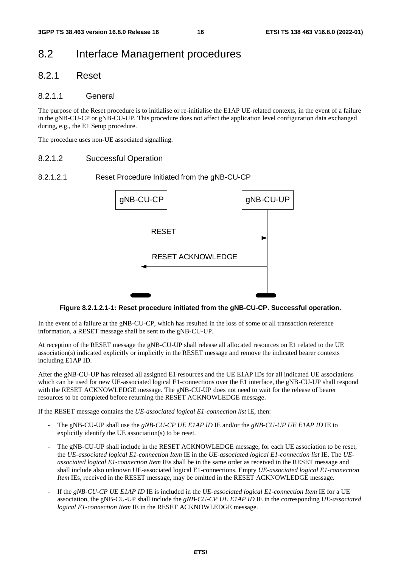# 8.2 Interface Management procedures

### 8.2.1 Reset

#### 8.2.1.1 General

The purpose of the Reset procedure is to initialise or re-initialise the E1AP UE-related contexts, in the event of a failure in the gNB-CU-CP or gNB-CU-UP. This procedure does not affect the application level configuration data exchanged during, e.g., the E1 Setup procedure.

The procedure uses non-UE associated signalling.

#### 8.2.1.2 Successful Operation

#### 8.2.1.2.1 Reset Procedure Initiated from the gNB-CU-CP



**Figure 8.2.1.2.1-1: Reset procedure initiated from the gNB-CU-CP. Successful operation.** 

In the event of a failure at the gNB-CU-CP, which has resulted in the loss of some or all transaction reference information, a RESET message shall be sent to the gNB-CU-UP.

At reception of the RESET message the gNB-CU-UP shall release all allocated resources on E1 related to the UE association(s) indicated explicitly or implicitly in the RESET message and remove the indicated bearer contexts including E1AP ID.

After the gNB-CU-UP has released all assigned E1 resources and the UE E1AP IDs for all indicated UE associations which can be used for new UE-associated logical E1-connections over the E1 interface, the gNB-CU-UP shall respond with the RESET ACKNOWLEDGE message. The gNB-CU-UP does not need to wait for the release of bearer resources to be completed before returning the RESET ACKNOWLEDGE message.

If the RESET message contains the *UE-associated logical E1-connection list* IE, then:

- The gNB-CU-UP shall use the *gNB-CU-CP UE E1AP ID* IE and/or the *gNB-CU-UP UE E1AP ID* IE to explicitly identify the UE association(s) to be reset.
- The gNB-CU-UP shall include in the RESET ACKNOWLEDGE message, for each UE association to be reset, the *UE-associated logical E1-connection Item* IE in the *UE-associated logical E1-connection list* IE. The *UEassociated logical E1-connection Item* IEs shall be in the same order as received in the RESET message and shall include also unknown UE-associated logical E1-connections. Empty *UE-associated logical E1-connection Item* IEs, received in the RESET message, may be omitted in the RESET ACKNOWLEDGE message.
- If the *gNB-CU-CP UE E1AP ID* IE is included in the *UE-associated logical E1-connection Item* IE for a UE association, the gNB-CU-UP shall include the *gNB-CU-CP UE E1AP ID* IE in the corresponding *UE-associated logical E1-connection Item* IE in the RESET ACKNOWLEDGE message.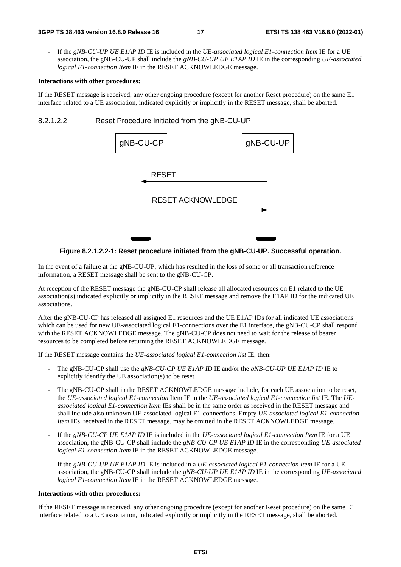- If the *gNB-CU-UP UE E1AP ID* IE is included in the *UE-associated logical E1-connection Item* IE for a UE association, the gNB-CU-UP shall include the *gNB-CU-UP UE E1AP ID* IE in the corresponding *UE-associated logical E1-connection Item* IE in the RESET ACKNOWLEDGE message.

#### **Interactions with other procedures:**

If the RESET message is received, any other ongoing procedure (except for another Reset procedure) on the same E1 interface related to a UE association, indicated explicitly or implicitly in the RESET message, shall be aborted.

#### 8.2.1.2.2 Reset Procedure Initiated from the gNB-CU-UP



**Figure 8.2.1.2.2-1: Reset procedure initiated from the gNB-CU-UP. Successful operation.** 

In the event of a failure at the gNB-CU-UP, which has resulted in the loss of some or all transaction reference information, a RESET message shall be sent to the gNB-CU-CP.

At reception of the RESET message the gNB-CU-CP shall release all allocated resources on E1 related to the UE association(s) indicated explicitly or implicitly in the RESET message and remove the E1AP ID for the indicated UE associations.

After the gNB-CU-CP has released all assigned E1 resources and the UE E1AP IDs for all indicated UE associations which can be used for new UE-associated logical E1-connections over the E1 interface, the gNB-CU-CP shall respond with the RESET ACKNOWLEDGE message. The gNB-CU-CP does not need to wait for the release of bearer resources to be completed before returning the RESET ACKNOWLEDGE message.

If the RESET message contains the *UE-associated logical E1-connection list* IE, then:

- The gNB-CU-CP shall use the *gNB-CU-CP UE E1AP ID* IE and/or the *gNB-CU-UP UE E1AP ID* IE to explicitly identify the UE association(s) to be reset.
- The gNB-CU-CP shall in the RESET ACKNOWLEDGE message include, for each UE association to be reset, the *UE-associated logical E1-connection* Item IE in the *UE-associated logical E1-connection list* IE. The *UEassociated logical E1-connection Item* IEs shall be in the same order as received in the RESET message and shall include also unknown UE-associated logical E1-connections. Empty *UE-associated logical E1-connection Item* IEs, received in the RESET message, may be omitted in the RESET ACKNOWLEDGE message.
- If the *gNB-CU-CP UE E1AP ID* IE is included in the *UE-associated logical E1-connection Item* IE for a UE association, the gNB-CU-CP shall include the *gNB-CU-CP UE E1AP ID* IE in the corresponding *UE-associated logical E1-connection Item* IE in the RESET ACKNOWLEDGE message.
- If the *gNB-CU-UP UE E1AP ID* IE is included in a *UE-associated logical E1-connection Item* IE for a UE association, the gNB-CU-CP shall include the *gNB-CU-UP UE E1AP ID* IE in the corresponding *UE-associated logical E1-connection Item* IE in the RESET ACKNOWLEDGE message.

#### **Interactions with other procedures:**

If the RESET message is received, any other ongoing procedure (except for another Reset procedure) on the same E1 interface related to a UE association, indicated explicitly or implicitly in the RESET message, shall be aborted.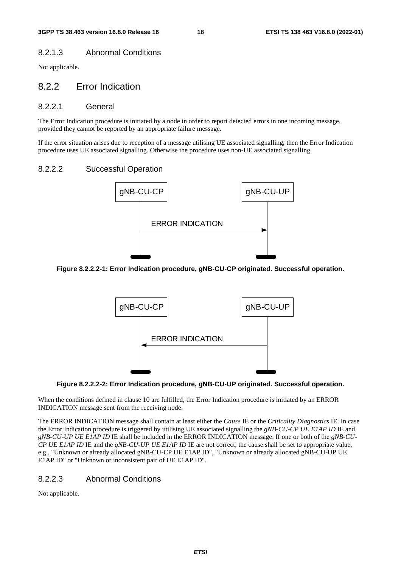### 8.2.1.3 Abnormal Conditions

Not applicable.

### 8.2.2 Error Indication

#### 8.2.2.1 General

The Error Indication procedure is initiated by a node in order to report detected errors in one incoming message, provided they cannot be reported by an appropriate failure message.

If the error situation arises due to reception of a message utilising UE associated signalling, then the Error Indication procedure uses UE associated signalling. Otherwise the procedure uses non-UE associated signalling.

### 8.2.2.2 Successful Operation



**Figure 8.2.2.2-1: Error Indication procedure, gNB-CU-CP originated. Successful operation.** 



**Figure 8.2.2.2-2: Error Indication procedure, gNB-CU-UP originated. Successful operation.** 

When the conditions defined in clause 10 are fulfilled, the Error Indication procedure is initiated by an ERROR INDICATION message sent from the receiving node.

The ERROR INDICATION message shall contain at least either the *Cause* IE or the *Criticality Diagnostics* IE. In case the Error Indication procedure is triggered by utilising UE associated signalling the *gNB-CU-CP UE E1AP ID* IE and *gNB-CU-UP UE E1AP ID* IE shall be included in the ERROR INDICATION message. If one or both of the *gNB-CU-CP UE E1AP ID* IE and the *gNB-CU-UP UE E1AP ID* IE are not correct, the cause shall be set to appropriate value, e.g., "Unknown or already allocated gNB-CU-CP UE E1AP ID", "Unknown or already allocated gNB-CU-UP UE E1AP ID" or "Unknown or inconsistent pair of UE E1AP ID".

### 8.2.2.3 Abnormal Conditions

Not applicable.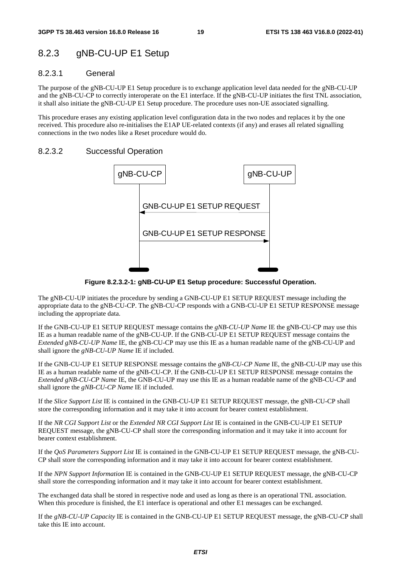# 8.2.3 gNB-CU-UP E1 Setup

#### 8.2.3.1 General

The purpose of the gNB-CU-UP E1 Setup procedure is to exchange application level data needed for the gNB-CU-UP and the gNB-CU-CP to correctly interoperate on the E1 interface. If the gNB-CU-UP initiates the first TNL association, it shall also initiate the gNB-CU-UP E1 Setup procedure. The procedure uses non-UE associated signalling.

This procedure erases any existing application level configuration data in the two nodes and replaces it by the one received. This procedure also re-initialises the E1AP UE-related contexts (if any) and erases all related signalling connections in the two nodes like a Reset procedure would do.

#### 8.2.3.2 Successful Operation



**Figure 8.2.3.2-1: gNB-CU-UP E1 Setup procedure: Successful Operation.** 

The gNB-CU-UP initiates the procedure by sending a GNB-CU-UP E1 SETUP REQUEST message including the appropriate data to the gNB-CU-CP. The gNB-CU-CP responds with a GNB-CU-UP E1 SETUP RESPONSE message including the appropriate data.

If the GNB-CU-UP E1 SETUP REQUEST message contains the *gNB-CU-UP Name* IE the gNB-CU-CP may use this IE as a human readable name of the gNB-CU-UP. If the GNB-CU-UP E1 SETUP REQUEST message contains the *Extended gNB-CU-UP Name* IE, the gNB-CU-CP may use this IE as a human readable name of the gNB-CU-UP and shall ignore the *gNB-CU-UP Name* IE if included.

If the GNB-CU-UP E1 SETUP RESPONSE message contains the *gNB-CU-CP Name* IE, the gNB-CU-UP may use this IE as a human readable name of the gNB-CU-CP. If the GNB-CU-UP E1 SETUP RESPONSE message contains the *Extended gNB-CU-CP Name* IE, the GNB-CU-UP may use this IE as a human readable name of the gNB-CU-CP and shall ignore the *gNB-CU-CP Name* IE if included.

If the *Slice Support List* IE is contained in the GNB-CU-UP E1 SETUP REQUEST message, the gNB-CU-CP shall store the corresponding information and it may take it into account for bearer context establishment.

If the *NR CGI Support List* or the *Extended NR CGI Support List* IE is contained in the GNB-CU-UP E1 SETUP REQUEST message, the gNB-CU-CP shall store the corresponding information and it may take it into account for bearer context establishment.

If the *QoS Parameters Support List* IE is contained in the GNB-CU-UP E1 SETUP REQUEST message, the gNB-CU-CP shall store the corresponding information and it may take it into account for bearer context establishment.

If the *NPN Support Information* IE is contained in the GNB-CU-UP E1 SETUP REQUEST message, the gNB-CU-CP shall store the corresponding information and it may take it into account for bearer context establishment.

The exchanged data shall be stored in respective node and used as long as there is an operational TNL association. When this procedure is finished, the E1 interface is operational and other E1 messages can be exchanged.

If the *gNB-CU-UP Capacity* IE is contained in the GNB-CU-UP E1 SETUP REQUEST message, the gNB-CU-CP shall take this IE into account.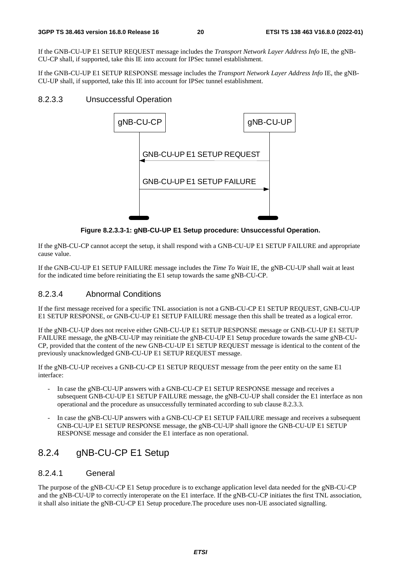If the GNB-CU-UP E1 SETUP REQUEST message includes the *Transport Network Layer Address Info* IE, the gNB-CU-CP shall, if supported, take this IE into account for IPSec tunnel establishment.

If the GNB-CU-UP E1 SETUP RESPONSE message includes the *Transport Network Layer Address Info* IE, the gNB-CU-UP shall, if supported, take this IE into account for IPSec tunnel establishment.

#### 8.2.3.3 Unsuccessful Operation



**Figure 8.2.3.3-1: gNB-CU-UP E1 Setup procedure: Unsuccessful Operation.** 

If the gNB-CU-CP cannot accept the setup, it shall respond with a GNB-CU-UP E1 SETUP FAILURE and appropriate cause value.

If the GNB-CU-UP E1 SETUP FAILURE message includes the *Time To Wait* IE, the gNB-CU-UP shall wait at least for the indicated time before reinitiating the E1 setup towards the same gNB-CU-CP.

### 8.2.3.4 Abnormal Conditions

If the first message received for a specific TNL association is not a GNB-CU-CP E1 SETUP REQUEST, GNB-CU-UP E1 SETUP RESPONSE, or GNB-CU-UP E1 SETUP FAILURE message then this shall be treated as a logical error.

If the gNB-CU-UP does not receive either GNB-CU-UP E1 SETUP RESPONSE message or GNB-CU-UP E1 SETUP FAILURE message, the gNB-CU-UP may reinitiate the gNB-CU-UP E1 Setup procedure towards the same gNB-CU-CP, provided that the content of the new GNB-CU-UP E1 SETUP REQUEST message is identical to the content of the previously unacknowledged GNB-CU-UP E1 SETUP REQUEST message.

If the gNB-CU-UP receives a GNB-CU-CP E1 SETUP REQUEST message from the peer entity on the same E1 interface:

- In case the gNB-CU-UP answers with a GNB-CU-CP E1 SETUP RESPONSE message and receives a subsequent GNB-CU-UP E1 SETUP FAILURE message, the gNB-CU-UP shall consider the E1 interface as non operational and the procedure as unsuccessfully terminated according to sub clause 8.2.3.3.
- In case the gNB-CU-UP answers with a GNB-CU-CP E1 SETUP FAILURE message and receives a subsequent GNB-CU-UP E1 SETUP RESPONSE message, the gNB-CU-UP shall ignore the GNB-CU-UP E1 SETUP RESPONSE message and consider the E1 interface as non operational.

# 8.2.4 gNB-CU-CP E1 Setup

### 8.2.4.1 General

The purpose of the gNB-CU-CP E1 Setup procedure is to exchange application level data needed for the gNB-CU-CP and the gNB-CU-UP to correctly interoperate on the E1 interface. If the gNB-CU-CP initiates the first TNL association, it shall also initiate the gNB-CU-CP E1 Setup procedure.The procedure uses non-UE associated signalling.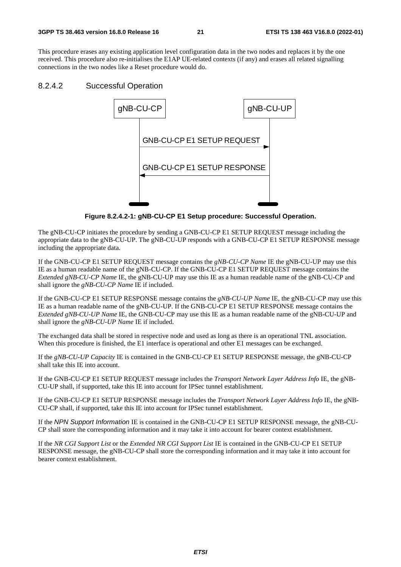This procedure erases any existing application level configuration data in the two nodes and replaces it by the one received. This procedure also re-initialises the E1AP UE-related contexts (if any) and erases all related signalling connections in the two nodes like a Reset procedure would do.

#### 8.2.4.2 Successful Operation



**Figure 8.2.4.2-1: gNB-CU-CP E1 Setup procedure: Successful Operation.** 

The gNB-CU-CP initiates the procedure by sending a GNB-CU-CP E1 SETUP REQUEST message including the appropriate data to the gNB-CU-UP. The gNB-CU-UP responds with a GNB-CU-CP E1 SETUP RESPONSE message including the appropriate data.

If the GNB-CU-CP E1 SETUP REQUEST message contains the *gNB-CU-CP Name* IE the gNB-CU-UP may use this IE as a human readable name of the gNB-CU-CP. If the GNB-CU-CP E1 SETUP REQUEST message contains the *Extended gNB-CU-CP Name* IE, the gNB-CU-UP may use this IE as a human readable name of the gNB-CU-CP and shall ignore the *gNB-CU-CP Name* IE if included.

If the GNB-CU-CP E1 SETUP RESPONSE message contains the *gNB-CU-UP Name* IE, the gNB-CU-CP may use this IE as a human readable name of the gNB-CU-UP. If the GNB-CU-CP E1 SETUP RESPONSE message contains the *Extended gNB-CU-UP Name* IE, the GNB-CU-CP may use this IE as a human readable name of the gNB-CU-UP and shall ignore the *gNB-CU-UP Name* IE if included.

The exchanged data shall be stored in respective node and used as long as there is an operational TNL association. When this procedure is finished, the E1 interface is operational and other E1 messages can be exchanged.

If the *gNB-CU-UP Capacity* IE is contained in the GNB-CU-CP E1 SETUP RESPONSE message, the gNB-CU-CP shall take this IE into account.

If the GNB-CU-CP E1 SETUP REQUEST message includes the *Transport Network Layer Address Info* IE, the gNB-CU-UP shall, if supported, take this IE into account for IPSec tunnel establishment.

If the GNB-CU-CP E1 SETUP RESPONSE message includes the *Transport Network Layer Address Info* IE, the gNB-CU-CP shall, if supported, take this IE into account for IPSec tunnel establishment.

If the *NPN Support Information* IE is contained in the GNB-CU-CP E1 SETUP RESPONSE message, the gNB-CU-CP shall store the corresponding information and it may take it into account for bearer context establishment.

If the *NR CGI Support List* or the *Extended NR CGI Support List* IE is contained in the GNB-CU-CP E1 SETUP RESPONSE message, the gNB-CU-CP shall store the corresponding information and it may take it into account for bearer context establishment.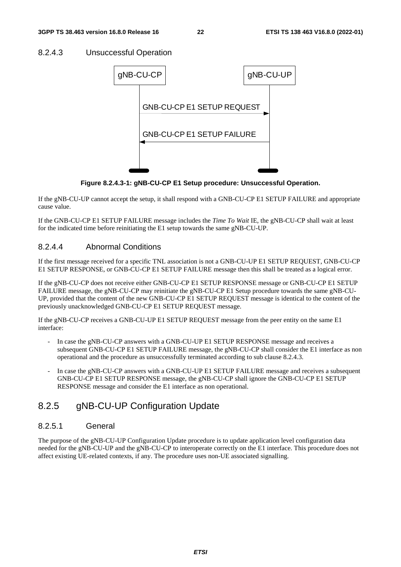#### 8.2.4.3 Unsuccessful Operation



**Figure 8.2.4.3-1: gNB-CU-CP E1 Setup procedure: Unsuccessful Operation.** 

If the gNB-CU-UP cannot accept the setup, it shall respond with a GNB-CU-CP E1 SETUP FAILURE and appropriate cause value.

If the GNB-CU-CP E1 SETUP FAILURE message includes the *Time To Wait* IE, the gNB-CU-CP shall wait at least for the indicated time before reinitiating the E1 setup towards the same gNB-CU-UP.

### 8.2.4.4 Abnormal Conditions

If the first message received for a specific TNL association is not a GNB-CU-UP E1 SETUP REQUEST, GNB-CU-CP E1 SETUP RESPONSE, or GNB-CU-CP E1 SETUP FAILURE message then this shall be treated as a logical error.

If the gNB-CU-CP does not receive either GNB-CU-CP E1 SETUP RESPONSE message or GNB-CU-CP E1 SETUP FAILURE message, the gNB-CU-CP may reinitiate the gNB-CU-CP E1 Setup procedure towards the same gNB-CU-UP, provided that the content of the new GNB-CU-CP E1 SETUP REQUEST message is identical to the content of the previously unacknowledged GNB-CU-CP E1 SETUP REQUEST message.

If the gNB-CU-CP receives a GNB-CU-UP E1 SETUP REQUEST message from the peer entity on the same E1 interface:

- In case the gNB-CU-CP answers with a GNB-CU-UP E1 SETUP RESPONSE message and receives a subsequent GNB-CU-CP E1 SETUP FAILURE message, the gNB-CU-CP shall consider the E1 interface as non operational and the procedure as unsuccessfully terminated according to sub clause 8.2.4.3.
- In case the gNB-CU-CP answers with a GNB-CU-UP E1 SETUP FAILURE message and receives a subsequent GNB-CU-CP E1 SETUP RESPONSE message, the gNB-CU-CP shall ignore the GNB-CU-CP E1 SETUP RESPONSE message and consider the E1 interface as non operational.

# 8.2.5 gNB-CU-UP Configuration Update

### 8.2.5.1 General

The purpose of the gNB-CU-UP Configuration Update procedure is to update application level configuration data needed for the gNB-CU-UP and the gNB-CU-CP to interoperate correctly on the E1 interface. This procedure does not affect existing UE-related contexts, if any. The procedure uses non-UE associated signalling.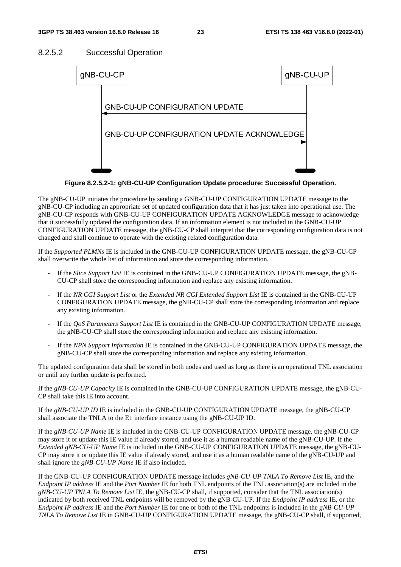### 8.2.5.2 Successful Operation



**Figure 8.2.5.2-1: gNB-CU-UP Configuration Update procedure: Successful Operation.** 

The gNB-CU-UP initiates the procedure by sending a GNB-CU-UP CONFIGURATION UPDATE message to the gNB-CU-CP including an appropriate set of updated configuration data that it has just taken into operational use. The gNB-CU-CP responds with GNB-CU-UP CONFIGURATION UPDATE ACKNOWLEDGE message to acknowledge that it successfully updated the configuration data. If an information element is not included in the GNB-CU-UP CONFIGURATION UPDATE message, the gNB-CU-CP shall interpret that the corresponding configuration data is not changed and shall continue to operate with the existing related configuration data.

If the *Supported PLMNs* IE is included in the GNB-CU-UP CONFIGURATION UPDATE message, the gNB-CU-CP shall overwrite the whole list of information and store the corresponding information.

- If the *Slice Support List* IE is contained in the GNB-CU-UP CONFIGURATION UPDATE message, the gNB-CU-CP shall store the corresponding information and replace any existing information.
- If the *NR CGI Support List* or the *Extended NR CGI Extended Support List* IE is contained in the GNB-CU-UP CONFIGURATION UPDATE message, the gNB-CU-CP shall store the corresponding information and replace any existing information.
- If the *QoS Parameters Support List* IE is contained in the GNB-CU-UP CONFIGURATION UPDATE message, the gNB-CU-CP shall store the corresponding information and replace any existing information.
- If the *NPN Support Information* IE is contained in the GNB-CU-UP CONFIGURATION UPDATE message, the gNB-CU-CP shall store the corresponding information and replace any existing information.

The updated configuration data shall be stored in both nodes and used as long as there is an operational TNL association or until any further update is performed.

If the *gNB-CU-UP Capacity* IE is contained in the GNB-CU-UP CONFIGURATION UPDATE message, the gNB-CU-CP shall take this IE into account.

If the *gNB-CU-UP ID* IE is included in the GNB-CU-UP CONFIGURATION UPDATE message, the gNB-CU-CP shall associate the TNLA to the E1 interface instance using the gNB-CU-UP ID.

If the *gNB-CU-UP Name* IE is included in the GNB-CU-UP CONFIGURATION UPDATE message, the gNB-CU-CP may store it or update this IE value if already stored, and use it as a human readable name of the gNB-CU-UP. If the *Extended gNB-CU-UP Name* IE is included in the GNB-CU-UP CONFIGURATION UPDATE message, the gNB-CU-CP may store it or update this IE value if already stored, and use it as a human readable name of the gNB-CU-UP and shall ignore the *gNB-CU-UP Name* IE if also included.

If the GNB-CU-UP CONFIGURATION UPDATE message includes *gNB-CU-UP TNLA To Remove List* IE, and the *Endpoint IP address* IE and the *Port Number* IE for both TNL endpoints of the TNL association(s) are included in the *gNB-CU-UP TNLA To Remove List* IE, the gNB-CU-CP shall, if supported, consider that the TNL association(s) indicated by both received TNL endpoints will be removed by the gNB-CU-UP. If the *Endpoint IP address* IE, or the *Endpoint IP address* IE and the *Port Number* IE for one or both of the TNL endpoints is included in the *gNB-CU-UP TNLA To Remove List* IE in GNB-CU-UP CONFIGURATION UPDATE message, the gNB-CU-CP shall, if supported,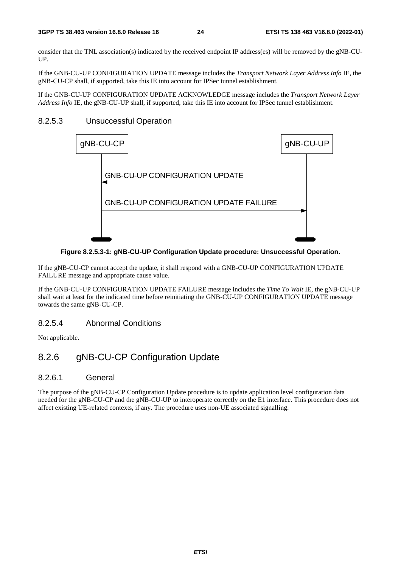consider that the TNL association(s) indicated by the received endpoint IP address(es) will be removed by the gNB-CU-UP.

If the GNB-CU-UP CONFIGURATION UPDATE message includes the *Transport Network Layer Address Info* IE, the gNB-CU-CP shall, if supported, take this IE into account for IPSec tunnel establishment.

If the GNB-CU-UP CONFIGURATION UPDATE ACKNOWLEDGE message includes the *Transport Network Layer Address Info* IE, the gNB-CU-UP shall, if supported, take this IE into account for IPSec tunnel establishment.

#### 8.2.5.3 Unsuccessful Operation



**Figure 8.2.5.3-1: gNB-CU-UP Configuration Update procedure: Unsuccessful Operation.** 

If the gNB-CU-CP cannot accept the update, it shall respond with a GNB-CU-UP CONFIGURATION UPDATE FAILURE message and appropriate cause value.

If the GNB-CU-UP CONFIGURATION UPDATE FAILURE message includes the *Time To Wait* IE, the gNB-CU-UP shall wait at least for the indicated time before reinitiating the GNB-CU-UP CONFIGURATION UPDATE message towards the same gNB-CU-CP.

### 8.2.5.4 Abnormal Conditions

Not applicable.

# 8.2.6 gNB-CU-CP Configuration Update

#### 8.2.6.1 General

The purpose of the gNB-CU-CP Configuration Update procedure is to update application level configuration data needed for the gNB-CU-CP and the gNB-CU-UP to interoperate correctly on the E1 interface. This procedure does not affect existing UE-related contexts, if any. The procedure uses non-UE associated signalling.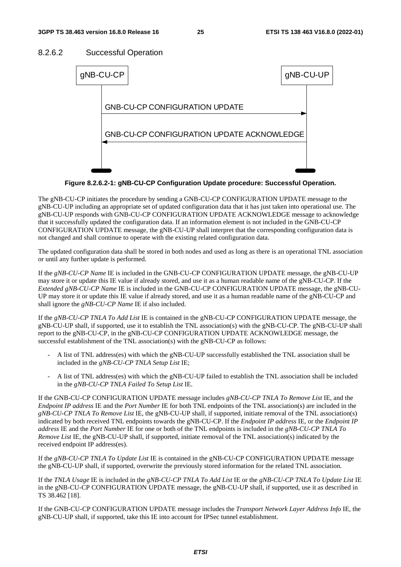#### 8.2.6.2 Successful Operation



**Figure 8.2.6.2-1: gNB-CU-CP Configuration Update procedure: Successful Operation.** 

The gNB-CU-CP initiates the procedure by sending a GNB-CU-CP CONFIGURATION UPDATE message to the gNB-CU-UP including an appropriate set of updated configuration data that it has just taken into operational use. The gNB-CU-UP responds with GNB-CU-CP CONFIGURATION UPDATE ACKNOWLEDGE message to acknowledge that it successfully updated the configuration data. If an information element is not included in the GNB-CU-CP CONFIGURATION UPDATE message, the gNB-CU-UP shall interpret that the corresponding configuration data is not changed and shall continue to operate with the existing related configuration data.

The updated configuration data shall be stored in both nodes and used as long as there is an operational TNL association or until any further update is performed.

If the *gNB-CU-CP Name* IE is included in the GNB-CU-CP CONFIGURATION UPDATE message, the gNB-CU-UP may store it or update this IE value if already stored, and use it as a human readable name of the gNB-CU-CP. If the *Extended gNB-CU-CP Name* IE is included in the GNB-CU-CP CONFIGURATION UPDATE message, the gNB-CU-UP may store it or update this IE value if already stored, and use it as a human readable name of the gNB-CU-CP and shall ignore the *gNB-CU-CP Name* IE if also included.

If the *gNB-CU-CP TNLA To Add List* IE is contained in the gNB-CU-CP CONFIGURATION UPDATE message, the gNB-CU-UP shall, if supported, use it to establish the TNL association(s) with the gNB-CU-CP. The gNB-CU-UP shall report to the gNB-CU-CP, in the gNB-CU-CP CONFIGURATION UPDATE ACKNOWLEDGE message, the successful establishment of the TNL association(s) with the gNB-CU-CP as follows:

- A list of TNL address(es) with which the gNB-CU-UP successfully established the TNL association shall be included in the *gNB-CU-CP TNLA Setup List* IE;
- A list of TNL address(es) with which the gNB-CU-UP failed to establish the TNL association shall be included in the *gNB-CU-CP TNLA Failed To Setup List* IE.

If the GNB-CU-CP CONFIGURATION UPDATE message includes *gNB-CU-CP TNLA To Remove List* IE, and the *Endpoint IP address* IE and the *Port Number* IE for both TNL endpoints of the TNL association(s) are included in the *gNB-CU-CP TNLA To Remove List* IE, the gNB-CU-UP shall, if supported, initiate removal of the TNL association(s) indicated by both received TNL endpoints towards the gNB-CU-CP. If the *Endpoint IP address* IE, or the *Endpoint IP address* IE and the *Port Number* IE for one or both of the TNL endpoints is included in the *gNB-CU-CP TNLA To Remove List* IE, the gNB-CU-UP shall, if supported, initiate removal of the TNL association(s) indicated by the received endpoint IP address(es).

If the *gNB-CU-CP TNLA To Update List* IE is contained in the gNB-CU-CP CONFIGURATION UPDATE message the gNB-CU-UP shall, if supported, overwrite the previously stored information for the related TNL association.

If the *TNLA Usage* IE is included in the *gNB-CU-CP TNLA To Add List* IE or the *gNB-CU-CP TNLA To Update List* IE in the gNB-CU-CP CONFIGURATION UPDATE message, the gNB-CU-UP shall, if supported, use it as described in TS 38.462 [18].

If the GNB-CU-CP CONFIGURATION UPDATE message includes the *Transport Network Layer Address Info* IE, the gNB-CU-UP shall, if supported, take this IE into account for IPSec tunnel establishment.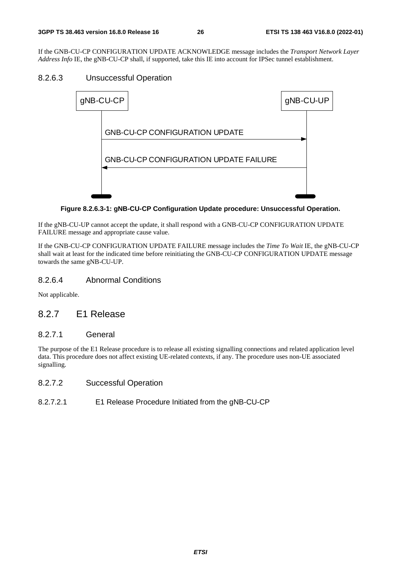If the GNB-CU-CP CONFIGURATION UPDATE ACKNOWLEDGE message includes the *Transport Network Layer Address Info* IE, the gNB-CU-CP shall, if supported, take this IE into account for IPSec tunnel establishment.

### 8.2.6.3 Unsuccessful Operation



#### **Figure 8.2.6.3-1: gNB-CU-CP Configuration Update procedure: Unsuccessful Operation.**

If the gNB-CU-UP cannot accept the update, it shall respond with a GNB-CU-CP CONFIGURATION UPDATE FAILURE message and appropriate cause value.

If the GNB-CU-CP CONFIGURATION UPDATE FAILURE message includes the *Time To Wait* IE, the gNB-CU-CP shall wait at least for the indicated time before reinitiating the GNB-CU-CP CONFIGURATION UPDATE message towards the same gNB-CU-UP.

### 8.2.6.4 Abnormal Conditions

Not applicable.

# 8.2.7 E1 Release

### 8.2.7.1 General

The purpose of the E1 Release procedure is to release all existing signalling connections and related application level data. This procedure does not affect existing UE-related contexts, if any. The procedure uses non-UE associated signalling.

### 8.2.7.2 Successful Operation

### 8.2.7.2.1 E1 Release Procedure Initiated from the gNB-CU-CP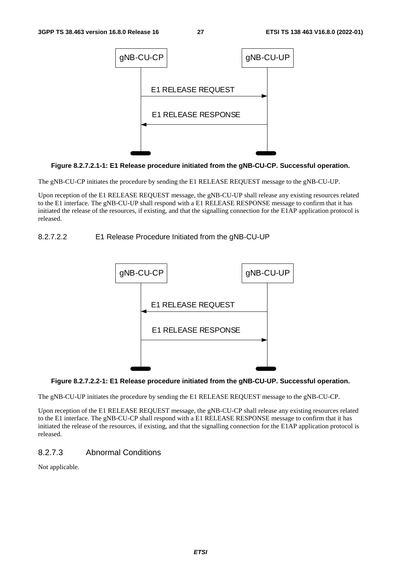

**Figure 8.2.7.2.1-1: E1 Release procedure initiated from the gNB-CU-CP. Successful operation.** 

The gNB-CU-CP initiates the procedure by sending the E1 RELEASE REQUEST message to the gNB-CU-UP.

Upon reception of the E1 RELEASE REQUEST message, the gNB-CU-UP shall release any existing resources related to the E1 interface. The gNB-CU-UP shall respond with a E1 RELEASE RESPONSE message to confirm that it has initiated the release of the resources, if existing, and that the signalling connection for the E1AP application protocol is released.

#### 8.2.7.2.2 E1 Release Procedure Initiated from the gNB-CU-UP



#### **Figure 8.2.7.2.2-1: E1 Release procedure initiated from the gNB-CU-UP. Successful operation.**

The gNB-CU-UP initiates the procedure by sending the E1 RELEASE REQUEST message to the gNB-CU-CP.

Upon reception of the E1 RELEASE REQUEST message, the gNB-CU-CP shall release any existing resources related to the E1 interface. The gNB-CU-CP shall respond with a E1 RELEASE RESPONSE message to confirm that it has initiated the release of the resources, if existing, and that the signalling connection for the E1AP application protocol is released.

#### 8.2.7.3 Abnormal Conditions

Not applicable.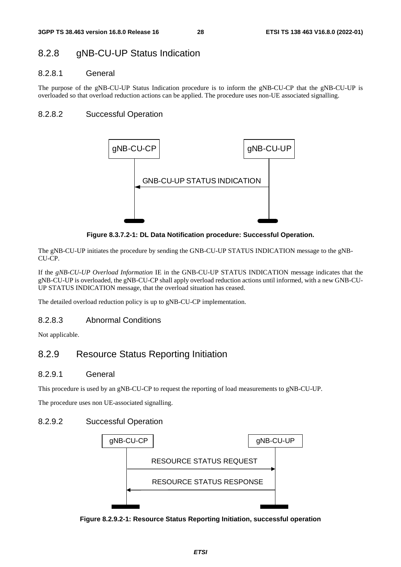# 8.2.8 gNB-CU-UP Status Indication

### 8.2.8.1 General

The purpose of the gNB-CU-UP Status Indication procedure is to inform the gNB-CU-CP that the gNB-CU-UP is overloaded so that overload reduction actions can be applied. The procedure uses non-UE associated signalling.

### 8.2.8.2 Successful Operation



**Figure 8.3.7.2-1: DL Data Notification procedure: Successful Operation.** 

The gNB-CU-UP initiates the procedure by sending the GNB-CU-UP STATUS INDICATION message to the gNB-CU-CP.

If the *gNB-CU-UP Overload Information* IE in the GNB-CU-UP STATUS INDICATION message indicates that the gNB-CU-UP is overloaded, the gNB-CU-CP shall apply overload reduction actions until informed, with a new GNB-CU-UP STATUS INDICATION message, that the overload situation has ceased.

The detailed overload reduction policy is up to gNB-CU-CP implementation.

### 8.2.8.3 Abnormal Conditions

Not applicable.

# 8.2.9 Resource Status Reporting Initiation

### 8.2.9.1 General

This procedure is used by an gNB-CU-CP to request the reporting of load measurements to gNB-CU-UP.

The procedure uses non UE-associated signalling.

### 8.2.9.2 Successful Operation



**Figure 8.2.9.2-1: Resource Status Reporting Initiation, successful operation**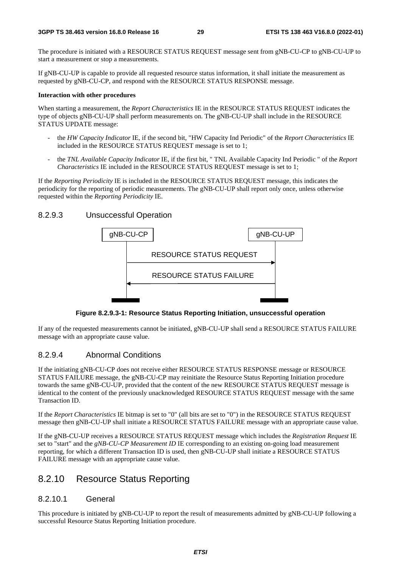The procedure is initiated with a RESOURCE STATUS REQUEST message sent from gNB-CU-CP to gNB-CU-UP to start a measurement or stop a measurements.

If gNB-CU-UP is capable to provide all requested resource status information, it shall initiate the measurement as requested by gNB-CU-CP, and respond with the RESOURCE STATUS RESPONSE message.

#### **Interaction with other procedures**

When starting a measurement, the *Report Characteristics* IE in the RESOURCE STATUS REQUEST indicates the type of objects gNB-CU-UP shall perform measurements on. The gNB-CU-UP shall include in the RESOURCE STATUS UPDATE message:

- the *HW Capacity Indicator* IE, if the second bit, "HW Capacity Ind Periodic" of the *Report Characteristics* IE included in the RESOURCE STATUS REQUEST message is set to 1;
- the *TNL Available Capacity Indicator* IE, if the first bit, " TNL Available Capacity Ind Periodic " of the *Report Characteristics* IE included in the RESOURCE STATUS REQUEST message is set to 1;

If the *Reporting Periodicity* IE is included in the RESOURCE STATUS REQUEST message, this indicates the periodicity for the reporting of periodic measurements. The gNB-CU-UP shall report only once, unless otherwise requested within the *Reporting Periodicity* IE.

#### 8.2.9.3 Unsuccessful Operation



**Figure 8.2.9.3-1: Resource Status Reporting Initiation, unsuccessful operation** 

If any of the requested measurements cannot be initiated, gNB-CU-UP shall send a RESOURCE STATUS FAILURE message with an appropriate cause value.

#### 8.2.9.4 Abnormal Conditions

If the initiating gNB-CU-CP does not receive either RESOURCE STATUS RESPONSE message or RESOURCE STATUS FAILURE message, the gNB-CU-CP may reinitiate the Resource Status Reporting Initiation procedure towards the same gNB-CU-UP, provided that the content of the new RESOURCE STATUS REQUEST message is identical to the content of the previously unacknowledged RESOURCE STATUS REQUEST message with the same Transaction ID.

If the *Report Characteristics* IE bitmap is set to "0" (all bits are set to "0") in the RESOURCE STATUS REQUEST message then gNB-CU-UP shall initiate a RESOURCE STATUS FAILURE message with an appropriate cause value.

If the gNB-CU-UP receives a RESOURCE STATUS REQUEST message which includes the *Registration Request* IE set to "start" and the *gNB-CU-CP Measurement ID* IE corresponding to an existing on-going load measurement reporting, for which a different Transaction ID is used, then gNB-CU-UP shall initiate a RESOURCE STATUS FAILURE message with an appropriate cause value.

## 8.2.10 Resource Status Reporting

#### 8.2.10.1 General

This procedure is initiated by gNB-CU-UP to report the result of measurements admitted by gNB-CU-UP following a successful Resource Status Reporting Initiation procedure.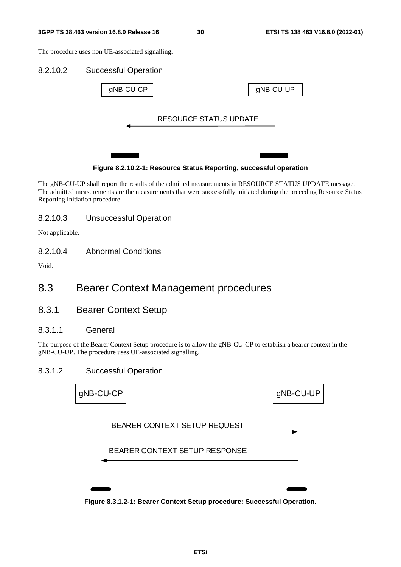The procedure uses non UE-associated signalling.

#### 8.2.10.2 Successful Operation



**Figure 8.2.10.2-1: Resource Status Reporting, successful operation** 

The gNB-CU-UP shall report the results of the admitted measurements in RESOURCE STATUS UPDATE message. The admitted measurements are the measurements that were successfully initiated during the preceding Resource Status Reporting Initiation procedure.

#### 8.2.10.3 Unsuccessful Operation

Not applicable.

8.2.10.4 Abnormal Conditions

Void.

# 8.3 Bearer Context Management procedures

8.3.1 Bearer Context Setup

### 8.3.1.1 General

The purpose of the Bearer Context Setup procedure is to allow the gNB-CU-CP to establish a bearer context in the gNB-CU-UP. The procedure uses UE-associated signalling.

#### 8.3.1.2 Successful Operation



**Figure 8.3.1.2-1: Bearer Context Setup procedure: Successful Operation.**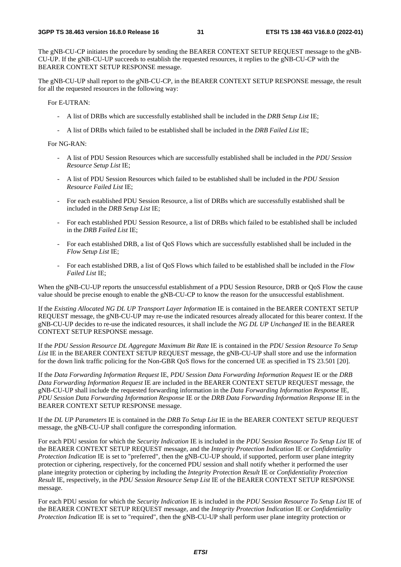The gNB-CU-CP initiates the procedure by sending the BEARER CONTEXT SETUP REQUEST message to the gNB-CU-UP. If the gNB-CU-UP succeeds to establish the requested resources, it replies to the gNB-CU-CP with the BEARER CONTEXT SETUP RESPONSE message.

The gNB-CU-UP shall report to the gNB-CU-CP, in the BEARER CONTEXT SETUP RESPONSE message, the result for all the requested resources in the following way:

For E-UTRAN:

- A list of DRBs which are successfully established shall be included in the *DRB Setup List* IE;
- A list of DRBs which failed to be established shall be included in the *DRB Failed List* IE;

For NG-RAN:

- A list of PDU Session Resources which are successfully established shall be included in the *PDU Session Resource Setup List* IE;
- A list of PDU Session Resources which failed to be established shall be included in the *PDU Session Resource Failed List* IE;
- For each established PDU Session Resource, a list of DRBs which are successfully established shall be included in the *DRB Setup List* IE;
- For each established PDU Session Resource, a list of DRBs which failed to be established shall be included in the *DRB Failed List* IE;
- For each established DRB, a list of QoS Flows which are successfully established shall be included in the *Flow Setup List* IE;
- For each established DRB, a list of QoS Flows which failed to be established shall be included in the *Flow Failed List* IE;

When the gNB-CU-UP reports the unsuccessful establishment of a PDU Session Resource, DRB or QoS Flow the cause value should be precise enough to enable the gNB-CU-CP to know the reason for the unsuccessful establishment.

If the *Existing Allocated NG DL UP Transport Layer Information* IE is contained in the BEARER CONTEXT SETUP REQUEST message, the gNB-CU-UP may re-use the indicated resources already allocated for this bearer context. If the gNB-CU-UP decides to re-use the indicated resources, it shall include the *NG DL UP Unchanged* IE in the BEARER CONTEXT SETUP RESPONSE message.

If the *PDU Session Resource DL Aggregate Maximum Bit Rate* IE is contained in the *PDU Session Resource To Setup List* IE in the BEARER CONTEXT SETUP REQUEST message, the gNB-CU-UP shall store and use the information for the down link traffic policing for the Non-GBR QoS flows for the concerned UE as specified in TS 23.501 [20].

If the *Data Forwarding Information Request* IE, *PDU Session Data Forwarding Information Request* IE or the *DRB Data Forwarding Information Request* IE are included in the BEARER CONTEXT SETUP REQUEST message, the gNB-CU-UP shall include the requested forwarding information in the *Data Forwarding Information Response* IE, *PDU Session Data Forwarding Information Response* IE or the *DRB Data Forwarding Information Response* IE in the BEARER CONTEXT SETUP RESPONSE message.

If the *DL UP Parameters* IE is contained in the *DRB To Setup List* IE in the BEARER CONTEXT SETUP REQUEST message, the gNB-CU-UP shall configure the corresponding information.

For each PDU session for which the *Security Indication* IE is included in the *PDU Session Resource To Setup List* IE of the BEARER CONTEXT SETUP REQUEST message, and the *Integrity Protection Indication* IE or *Confidentiality Protection Indication* IE is set to "preferred", then the gNB-CU-UP should, if supported, perform user plane integrity protection or ciphering, respectively, for the concerned PDU session and shall notify whether it performed the user plane integrity protection or ciphering by including the *Integrity Protection Result* IE or *Confidentiality Protection Result* IE, respectively, in the *PDU Session Resource Setup List* IE of the BEARER CONTEXT SETUP RESPONSE message.

For each PDU session for which the *Security Indication* IE is included in the *PDU Session Resource To Setup List* IE of the BEARER CONTEXT SETUP REQUEST message, and the *Integrity Protection Indication* IE or *Confidentiality Protection Indication* IE is set to "required", then the gNB-CU-UP shall perform user plane integrity protection or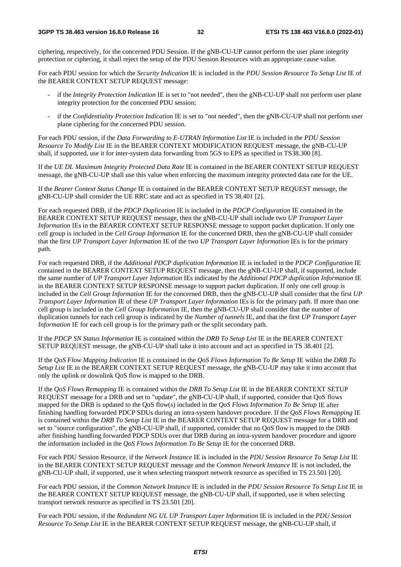ciphering, respectively, for the concerned PDU Session. If the gNB-CU-UP cannot perform the user plane integrity protection or ciphering, it shall reject the setup of the PDU Session Resources with an appropriate cause value.

For each PDU session for which the *Security Indication* IE is included in the *PDU Session Resource To Setup List* IE of the BEARER CONTEXT SETUP REQUEST message:

- if the *Integrity Protection Indication* IE is set to "not needed", then the gNB-CU-UP shall not perform user plane integrity protection for the concerned PDU session;
- if the *Confidentiality Protection Indication* IE is set to "not needed", then the gNB-CU-UP shall not perform user plane ciphering for the concerned PDU session.

For each PDU session, if the *Data Forwarding to E-UTRAN Information List* IE is included in the *PDU Session Resource To Modify List* IE in the BEARER CONTEXT MODIFICATION REQUEST message, the gNB-CU-UP shall, if supported, use it for inter-system data forwarding from 5GS to EPS as specified in TS38.300 [8].

If the *UE DL Maximum Integrity Protected Data Rate* IE is contained in the BEARER CONTEXT SETUP REQUEST message, the gNB-CU-UP shall use this value when enforcing the maximum integrity protected data rate for the UE.

If the *Bearer Context Status Change* IE is contained in the BEARER CONTEXT SETUP REQUEST message, the gNB-CU-UP shall consider the UE RRC state and act as specified in TS 38.401 [2].

For each requested DRB, if the *PDCP Duplication* IE is included in the *PDCP Configuration* IE contained in the BEARER CONTEXT SETUP REQUEST message, then the gNB-CU-UP shall include two *UP Transport Layer Information* IEs in the BEARER CONTEXT SETUP RESPONSE message to support packet duplication. If only one cell group is included in the *Cell Group Information* IE for the concerned DRB, then the gNB-CU-UP shall consider that the first *UP Transport Layer Information* IE of the two *UP Transport Layer Information* IEs is for the primary path.

For each requested DRB, if the *Additional PDCP duplication Information* IE is included in the *PDCP Configuration* IE contained in the BEARER CONTEXT SETUP REQUEST message, then the gNB-CU-UP shall, if supported, include the same number of *UP Transport Layer Information* IEs indicated by the *Additional PDCP duplication Information* IE in the BEARER CONTEXT SETUP RESPONSE message to support packet duplication. If only one cell group is included in the *Cell Group Information* IE for the concerned DRB, then the gNB-CU-UP shall consider that the first *UP Transport Layer Information* IE of these *UP Transport Layer Information* IEs is for the primary path. If more than one cell group is included in the *Cell Group Information* IE, then the gNB-CU-UP shall consider that the number of duplication tunnels for each cell group is indicated by the *Number of tunnels* IE, and that the first *UP Transport Layer Information* IE for each cell group is for the primary path or the split secondary path.

If the *PDCP SN Status Information* IE is contained within the *DRB To Setup List* IE in the BEARER CONTEXT SETUP REQUEST message, the gNB-CU-UP shall take it into account and act as specified in TS 38.401 [2].

If the *QoS Flow Mapping Indication* IE is contained in the *QoS Flows Information To Be Setup* IE within the *DRB To Setup List* IE in the BEARER CONTEXT SETUP REQUEST message, the gNB-CU-UP may take it into account that only the uplink or downlink QoS flow is mapped to the DRB.

If the *QoS Flows Remapping* IE is contained within the *DRB To Setup List* IE in the BEARER CONTEXT SETUP REQUEST message for a DRB and set to "update", the gNB-CU-UP shall, if supported, consider that QoS flows mapped for the DRB is updated to the QoS flow(s) included in the *QoS Flows Information To Be Setup* IE after finishing handling forwarded PDCP SDUs during an intra-system handover procedure. If the *QoS Flows Remapping* IE is contained within the *DRB To Setup List* IE in the BEARER CONTEXT SETUP REQUEST message for a DRB and set to "source configuration", the gNB-CU-UP shall, if supported, consider that no QoS flow is mapped to the DRB after finishing handling forwarded PDCP SDUs over that DRB during an intra-system handover procedure and ignore the information included in the *QoS Flows Information To Be Setup* IE for the concerned DRB.

For each PDU Session Resource, if the *Network Instance* IE is included in the *PDU Session Resource To Setup List* IE in the BEARER CONTEXT SETUP REQUEST message and the *Common Network Instance* IE is not included, the gNB-CU-UP shall, if supported, use it when selecting transport network resource as specified in TS 23.501 [20].

For each PDU session, if the *Common Network Instance* IE is included in the *PDU Session Resource To Setup List* IE in the BEARER CONTEXT SETUP REQUEST message, the gNB-CU-UP shall, if supported, use it when selecting transport network resource as specified in TS 23.501 [20].

For each PDU session, if the *Redundant NG UL UP Transport Layer Information* IE is included in the *PDU Session Resource To Setup List* IE in the BEARER CONTEXT SETUP REQUEST message, the gNB-CU-UP shall, if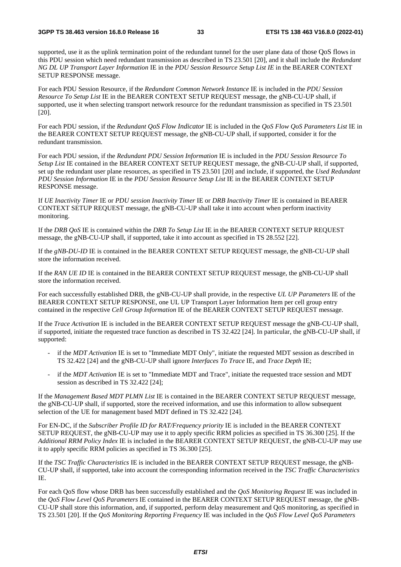supported, use it as the uplink termination point of the redundant tunnel for the user plane data of those QoS flows in this PDU session which need redundant transmission as described in TS 23.501 [20], and it shall include the *Redundant NG DL UP Transport Layer Information* IE in the *PDU Session Resource Setup List IE* in the BEARER CONTEXT SETUP RESPONSE message.

For each PDU Session Resource, if the *Redundant Common Network Instance* IE is included in the *PDU Session Resource To Setup List* IE in the BEARER CONTEXT SETUP REQUEST message, the gNB-CU-UP shall, if supported, use it when selecting transport network resource for the redundant transmission as specified in TS 23.501 [20].

For each PDU session, if the *Redundant QoS Flow Indicator* IE is included in the *QoS Flow QoS Parameters List* IE in the BEARER CONTEXT SETUP REQUEST message, the gNB-CU-UP shall, if supported, consider it for the redundant transmission.

For each PDU session, if the *Redundant PDU Session Information* IE is included in the *PDU Session Resource To Setup List* IE contained in the BEARER CONTEXT SETUP REQUEST message, the gNB-CU-UP shall, if supported, set up the redundant user plane resources, as specified in TS 23.501 [20] and include, if supported, the *Used Redundant PDU Session Information* IE in the *PDU Session Resource Setup List* IE in the BEARER CONTEXT SETUP RESPONSE message.

If *UE Inactivity Timer* IE or *PDU session Inactivity Timer* IE or *DRB Inactivity Timer* IE is contained in BEARER CONTEXT SETUP REQUEST message, the gNB-CU-UP shall take it into account when perform inactivity monitoring.

If the *DRB QoS* IE is contained within the *DRB To Setup List* IE in the BEARER CONTEXT SETUP REQUEST message, the gNB-CU-UP shall, if supported, take it into account as specified in TS 28.552 [22].

If the *gNB-DU-ID* IE is contained in the BEARER CONTEXT SETUP REQUEST message, the gNB-CU-UP shall store the information received.

If the *RAN UE ID* IE is contained in the BEARER CONTEXT SETUP REQUEST message, the gNB-CU-UP shall store the information received.

For each successfully established DRB, the gNB-CU-UP shall provide, in the respective *UL UP Parameters* IE of the BEARER CONTEXT SETUP RESPONSE, one UL UP Transport Layer Information Item per cell group entry contained in the respective *Cell Group Information* IE of the BEARER CONTEXT SETUP REQUEST message.

If the *Trace Activation* IE is included in the BEARER CONTEXT SETUP REQUEST message the gNB-CU-UP shall, if supported, initiate the requested trace function as described in TS 32.422 [24]. In particular, the gNB-CU-UP shall, if supported:

- if the *MDT Activation* IE is set to "Immediate MDT Only", initiate the requested MDT session as described in TS 32.422 [24] and the gNB-CU-UP shall ignore *Interfaces To Trace* IE, and *Trace Depth* IE;
- if the *MDT Activation* IE is set to "Immediate MDT and Trace", initiate the requested trace session and MDT session as described in TS 32.422 [24];

If the *Management Based MDT PLMN List* IE is contained in the BEARER CONTEXT SETUP REQUEST message, the gNB-CU-UP shall, if supported, store the received information, and use this information to allow subsequent selection of the UE for management based MDT defined in TS 32.422 [24].

For EN-DC, if the *Subscriber Profile ID for RAT/Frequency priority* IE is included in the BEARER CONTEXT SETUP REQUEST, the gNB-CU-UP may use it to apply specific RRM policies as specified in TS 36.300 [25]. If the *Additional RRM Policy Index* IE is included in the BEARER CONTEXT SETUP REQUEST, the gNB-CU-UP may use it to apply specific RRM policies as specified in TS 36.300 [25].

If the *TSC Traffic Characteristics* IE is included in the BEARER CONTEXT SETUP REQUEST message, the gNB-CU-UP shall, if supported, take into account the corresponding information received in the *TSC Traffic Characteristics* IE.

For each QoS flow whose DRB has been successfully established and the *QoS Monitoring Request* IE was included in the *QoS Flow Level QoS Parameters* IE contained in the BEARER CONTEXT SETUP REQUEST message, the gNB-CU-UP shall store this information, and, if supported, perform delay measurement and QoS monitoring, as specified in TS 23.501 [20]. If the *QoS Monitoring Reporting Frequency* IE was included in the *QoS Flow Level QoS Parameters*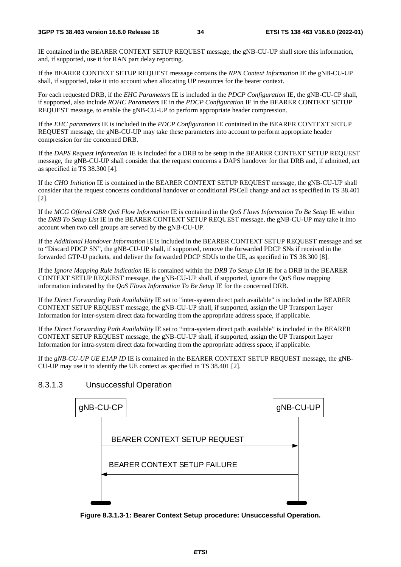IE contained in the BEARER CONTEXT SETUP REQUEST message, the gNB-CU-UP shall store this information, and, if supported, use it for RAN part delay reporting.

If the BEARER CONTEXT SETUP REQUEST message contains the *NPN Context Information* IE the gNB-CU-UP shall, if supported, take it into account when allocating UP resources for the bearer context.

For each requested DRB, if the *EHC Parameters* IE is included in the *PDCP Configuration* IE, the gNB-CU-CP shall, if supported, also include *ROHC Parameters* IE in the *PDCP Configuration* IE in the BEARER CONTEXT SETUP REQUEST message, to enable the gNB-CU-UP to perform appropriate header compression.

If the *EHC parameters* IE is included in the *PDCP Configuration* IE contained in the BEARER CONTEXT SETUP REQUEST message, the gNB-CU-UP may take these parameters into account to perform appropriate header compression for the concerned DRB.

If the *DAPS Request Information* IE is included for a DRB to be setup in the BEARER CONTEXT SETUP REQUEST message, the gNB-CU-UP shall consider that the request concerns a DAPS handover for that DRB and, if admitted, act as specified in TS 38.300 [4].

If the *CHO Initiation* IE is contained in the BEARER CONTEXT SETUP REQUEST message, the gNB-CU-UP shall consider that the request concerns conditional handover or conditional PSCell change and act as specified in TS 38.401 [2].

If the *MCG Offered GBR QoS Flow Information* IE is contained in the *QoS Flows Information To Be Setup* IE within the *DRB To Setup List* IE in the BEARER CONTEXT SETUP REQUEST message, the gNB-CU-UP may take it into account when two cell groups are served by the gNB-CU-UP.

If the *Additional Handover Information* IE is included in the BEARER CONTEXT SETUP REQUEST message and set to "Discard PDCP SN", the gNB-CU-UP shall, if supported, remove the forwarded PDCP SNs if received in the forwarded GTP-U packets, and deliver the forwarded PDCP SDUs to the UE, as specified in TS 38.300 [8].

If the *Ignore Mapping Rule Indication* IE is contained within the *DRB To Setup List* IE for a DRB in the BEARER CONTEXT SETUP REQUEST message, the gNB-CU-UP shall, if supported, ignore the QoS flow mapping information indicated by the *QoS Flows Information To Be Setup* IE for the concerned DRB.

If the *Direct Forwarding Path Availability* IE set to "inter-system direct path available" is included in the BEARER CONTEXT SETUP REQUEST message, the gNB-CU-UP shall, if supported, assign the UP Transport Layer Information for inter-system direct data forwarding from the appropriate address space, if applicable.

If the *Direct Forwarding Path Availability* IE set to "intra-system direct path available" is included in the BEARER CONTEXT SETUP REQUEST message, the gNB-CU-UP shall, if supported, assign the UP Transport Layer Information for intra-system direct data forwarding from the appropriate address space, if applicable.

If the *gNB-CU-UP UE E1AP ID* IE is contained in the BEARER CONTEXT SETUP REQUEST message, the gNB-CU-UP may use it to identify the UE context as specified in TS 38.401 [2].

8.3.1.3 Unsuccessful Operation



**Figure 8.3.1.3-1: Bearer Context Setup procedure: Unsuccessful Operation.**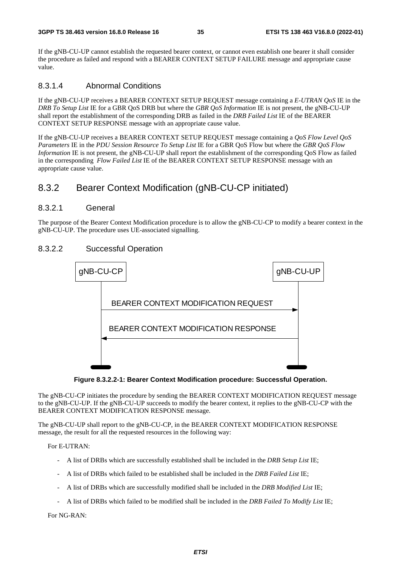If the gNB-CU-UP cannot establish the requested bearer context, or cannot even establish one bearer it shall consider the procedure as failed and respond with a BEARER CONTEXT SETUP FAILURE message and appropriate cause value.

### 8.3.1.4 Abnormal Conditions

If the gNB-CU-UP receives a BEARER CONTEXT SETUP REQUEST message containing a *E-UTRAN QoS* IE in the *DRB To Setup List* IE for a GBR QoS DRB but where the *GBR QoS Information* IE is not present, the gNB-CU-UP shall report the establishment of the corresponding DRB as failed in the *DRB Failed List* IE of the BEARER CONTEXT SETUP RESPONSE message with an appropriate cause value.

If the gNB-CU-UP receives a BEARER CONTEXT SETUP REQUEST message containing a *QoS Flow Level QoS Parameters* IE in the *PDU Session Resource To Setup List* IE for a GBR QoS Flow but where the *GBR QoS Flow Information* IE is not present, the gNB-CU-UP shall report the establishment of the corresponding OoS Flow as failed in the corresponding *Flow Failed List* IE of the BEARER CONTEXT SETUP RESPONSE message with an appropriate cause value.

# 8.3.2 Bearer Context Modification (gNB-CU-CP initiated)

#### 8.3.2.1 General

The purpose of the Bearer Context Modification procedure is to allow the gNB-CU-CP to modify a bearer context in the gNB-CU-UP. The procedure uses UE-associated signalling.

### 8.3.2.2 Successful Operation



**Figure 8.3.2.2-1: Bearer Context Modification procedure: Successful Operation.** 

The gNB-CU-CP initiates the procedure by sending the BEARER CONTEXT MODIFICATION REQUEST message to the gNB-CU-UP. If the gNB-CU-UP succeeds to modify the bearer context, it replies to the gNB-CU-CP with the BEARER CONTEXT MODIFICATION RESPONSE message.

The gNB-CU-UP shall report to the gNB-CU-CP, in the BEARER CONTEXT MODIFICATION RESPONSE message, the result for all the requested resources in the following way:

For E-UTRAN:

- A list of DRBs which are successfully established shall be included in the *DRB Setup List* IE;
- A list of DRBs which failed to be established shall be included in the *DRB Failed List* IE;
- A list of DRBs which are successfully modified shall be included in the *DRB Modified List* IE;
- A list of DRBs which failed to be modified shall be included in the *DRB Failed To Modify List* IE;

For NG-RAN: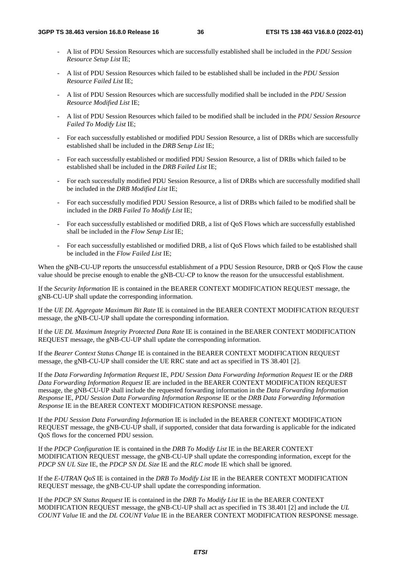- A list of PDU Session Resources which are successfully established shall be included in the *PDU Session Resource Setup List* IE;
- A list of PDU Session Resources which failed to be established shall be included in the *PDU Session Resource Failed List* IE;
- A list of PDU Session Resources which are successfully modified shall be included in the *PDU Session Resource Modified List* IE;
- A list of PDU Session Resources which failed to be modified shall be included in the *PDU Session Resource Failed To Modify List* IE;
- For each successfully established or modified PDU Session Resource, a list of DRBs which are successfully established shall be included in the *DRB Setup List* IE;
- For each successfully established or modified PDU Session Resource, a list of DRBs which failed to be established shall be included in the *DRB Failed List* IE;
- For each successfully modified PDU Session Resource, a list of DRBs which are successfully modified shall be included in the *DRB Modified List* IE;
- For each successfully modified PDU Session Resource, a list of DRBs which failed to be modified shall be included in the *DRB Failed To Modify List* IE;
- For each successfully established or modified DRB, a list of QoS Flows which are successfully established shall be included in the *Flow Setup List* IE;
- For each successfully established or modified DRB, a list of QoS Flows which failed to be established shall be included in the *Flow Failed List* IE;

When the gNB-CU-UP reports the unsuccessful establishment of a PDU Session Resource, DRB or QoS Flow the cause value should be precise enough to enable the gNB-CU-CP to know the reason for the unsuccessful establishment.

If the *Security Information* IE is contained in the BEARER CONTEXT MODIFICATION REQUEST message, the gNB-CU-UP shall update the corresponding information.

If the *UE DL Aggregate Maximum Bit Rate* IE is contained in the BEARER CONTEXT MODIFICATION REQUEST message, the gNB-CU-UP shall update the corresponding information.

If the *UE DL Maximum Integrity Protected Data Rate* IE is contained in the BEARER CONTEXT MODIFICATION REQUEST message, the gNB-CU-UP shall update the corresponding information.

If the *Bearer Context Status Change* IE is contained in the BEARER CONTEXT MODIFICATION REQUEST message, the gNB-CU-UP shall consider the UE RRC state and act as specified in TS 38.401 [2].

If the *Data Forwarding Information Request* IE, *PDU Session Data Forwarding Information Request* IE or the *DRB Data Forwarding Information Request* IE are included in the BEARER CONTEXT MODIFICATION REQUEST message, the gNB-CU-UP shall include the requested forwarding information in the *Data Forwarding Information Response* IE, *PDU Session Data Forwarding Information Response* IE or the *DRB Data Forwarding Information Response* IE in the BEARER CONTEXT MODIFICATION RESPONSE message.

If the *PDU Session Data Forwarding Information* IE is included in the BEARER CONTEXT MODIFICATION REQUEST message, the gNB-CU-UP shall, if supported, consider that data forwarding is applicable for the indicated QoS flows for the concerned PDU session.

If the *PDCP Configuration* IE is contained in the *DRB To Modify List* IE in the BEARER CONTEXT MODIFICATION REQUEST message, the gNB-CU-UP shall update the corresponding information, except for the *PDCP SN UL Size* IE, the *PDCP SN DL Size* IE and the *RLC mode* IE which shall be ignored.

If the *E-UTRAN QoS* IE is contained in the *DRB To Modify List* IE in the BEARER CONTEXT MODIFICATION REQUEST message, the gNB-CU-UP shall update the corresponding information.

If the *PDCP SN Status Request* IE is contained in the *DRB To Modify List* IE in the BEARER CONTEXT MODIFICATION REQUEST message, the gNB-CU-UP shall act as specified in TS 38.401 [2] and include the *UL COUNT Value* IE and the *DL COUNT Value* IE in the BEARER CONTEXT MODIFICATION RESPONSE message.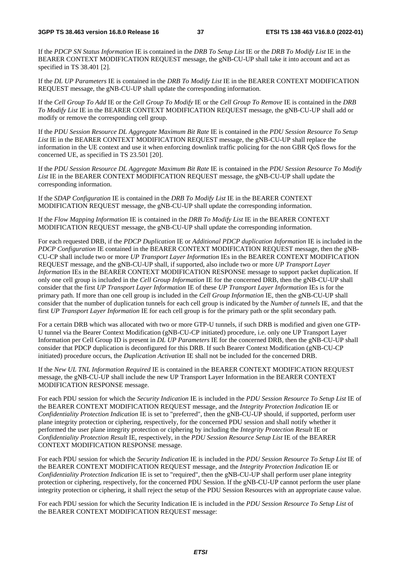If the *PDCP SN Status Information* IE is contained in the *DRB To Setup List* IE or the *DRB To Modify List* IE in the BEARER CONTEXT MODIFICATION REQUEST message, the gNB-CU-UP shall take it into account and act as specified in TS 38.401 [2].

If the *DL UP Parameters* IE is contained in the *DRB To Modify List* IE in the BEARER CONTEXT MODIFICATION REQUEST message, the gNB-CU-UP shall update the corresponding information.

If the *Cell Group To Add* IE or the *Cell Group To Modify* IE or the *Cell Group To Remove* IE is contained in the *DRB To Modify List* IE in the BEARER CONTEXT MODIFICATION REQUEST message, the gNB-CU-UP shall add or modify or remove the corresponding cell group.

If the *PDU Session Resource DL Aggregate Maximum Bit Rate* IE is contained in the *PDU Session Resource To Setup List* IE in the BEARER CONTEXT MODIFICATION REQUEST message, the gNB-CU-UP shall replace the information in the UE context and use it when enforcing downlink traffic policing for the non GBR QoS flows for the concerned UE, as specified in TS 23.501 [20].

If the *PDU Session Resource DL Aggregate Maximum Bit Rate* IE is contained in the *PDU Session Resource To Modify List* IE in the BEARER CONTEXT MODIFICATION REQUEST message, the gNB-CU-UP shall update the corresponding information.

If the *SDAP Configuration* IE is contained in the *DRB To Modify List* IE in the BEARER CONTEXT MODIFICATION REQUEST message, the gNB-CU-UP shall update the corresponding information.

If the *Flow Mapping Information* IE is contained in the *DRB To Modify List* IE in the BEARER CONTEXT MODIFICATION REQUEST message, the gNB-CU-UP shall update the corresponding information.

For each requested DRB, if the *PDCP Duplication* IE or *Additional PDCP duplication Information* IE is included in the *PDCP Configuration* IE contained in the BEARER CONTEXT MODIFICATION REQUEST message, then the gNB-CU-CP shall include two or more *UP Transport Layer Information* IEs in the BEARER CONTEXT MODIFICATION REQUEST message, and the gNB-CU-UP shall, if supported, also include two or more *UP Transport Layer Information* IEs in the BEARER CONTEXT MODIFICATION RESPONSE message to support packet duplication. If only one cell group is included in the *Cell Group Information* IE for the concerned DRB, then the gNB-CU-UP shall consider that the first *UP Transport Layer Information* IE of these *UP Transport Layer Information* IEs is for the primary path. If more than one cell group is included in the *Cell Group Information* IE, then the gNB-CU-UP shall consider that the number of duplication tunnels for each cell group is indicated by the *Numbe*r *of tunnels* IE, and that the first *UP Transport Layer Information* IE for each cell group is for the primary path or the split secondary path.

For a certain DRB which was allocated with two or more GTP-U tunnels, if such DRB is modified and given one GTP-U tunnel via the Bearer Context Modification (gNB-CU-CP initiated) procedure, i.e. only one UP Transport Layer Information per Cell Group ID is present in *DL UP Parameters* IE for the concerned DRB, then the gNB-CU-UP shall consider that PDCP duplication is deconfigured for this DRB. If such Bearer Context Modification (gNB-CU-CP initiated) procedure occurs, the *Duplication Activation* IE shall not be included for the concerned DRB.

If the *New UL TNL Information Required* IE is contained in the BEARER CONTEXT MODIFICATION REQUEST message, the gNB-CU-UP shall include the new UP Transport Layer Information in the BEARER CONTEXT MODIFICATION RESPONSE message.

For each PDU session for which the *Security Indication* IE is included in the *PDU Session Resource To Setup List* IE of the BEARER CONTEXT MODIFICATION REQUEST message, and the *Integrity Protection Indication* IE or *Confidentiality Protection Indication* IE is set to "preferred", then the gNB-CU-UP should, if supported, perform user plane integrity protection or ciphering, respectively, for the concerned PDU session and shall notify whether it performed the user plane integrity protection or ciphering by including the *Integrity Protection Result* IE or *Confidentiality Protection Result* IE, respectively, in the *PDU Session Resource Setup List* IE of the BEARER CONTEXT MODIFICATION RESPONSE message.

For each PDU session for which the *Security Indication* IE is included in the *PDU Session Resource To Setup List* IE of the BEARER CONTEXT MODIFICATION REQUEST message, and the *Integrity Protection Indication* IE or *Confidentiality Protection Indication* IE is set to "required", then the gNB-CU-UP shall perform user plane integrity protection or ciphering, respectively, for the concerned PDU Session. If the gNB-CU-UP cannot perform the user plane integrity protection or ciphering, it shall reject the setup of the PDU Session Resources with an appropriate cause value.

For each PDU session for which the Security Indication IE is included in the *PDU Session Resource To Setup List* of the BEARER CONTEXT MODIFICATION REQUEST message: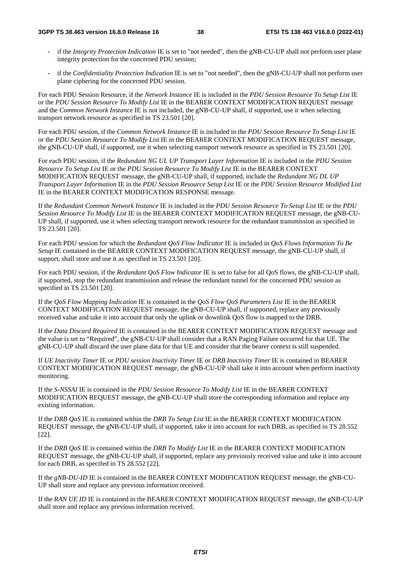#### **3GPP TS 38.463 version 16.8.0 Release 16 38 ETSI TS 138 463 V16.8.0 (2022-01)**

- if the *Integrity Protection Indication* IE is set to "not needed", then the gNB-CU-UP shall not perform user plane integrity protection for the concerned PDU session;
- if the *Confidentiality Protection Indication* IE is set to "not needed", then the gNB-CU-UP shall not perform user plane ciphering for the concerned PDU session.

For each PDU Session Resource, if the *Network Instance* IE is included in the *PDU Session Resource To Setup List* IE or the *PDU Session Resource To Modify List* IE in the BEARER CONTEXT MODIFICATION REQUEST message and the *Common Network Instance* IE is not included, the gNB-CU-UP shall, if supported, use it when selecting transport network resource as specified in TS 23.501 [20].

For each PDU session, if the *Common Network Instance* IE is included in the *PDU Session Resource To Setup List* IE or the *PDU Session Resource To Modify List* IE in the BEARER CONTEXT MODIFICATION REQUEST message, the gNB-CU-UP shall, if supported, use it when selecting transport network resource as specified in TS 23.501 [20].

For each PDU session, if the *Redundant NG UL UP Transport Layer Information* IE is included in the *PDU Session Resource To Setup List* IE or the *PDU Session Resource To Modify List* IE in the BEARER CONTEXT MODIFICATION REQUEST message, the gNB-CU-UP shall, if supported, include the *Redundant NG DL UP Transport Layer Information* IE in the *PDU Session Resource Setup List* IE or the *PDU Session Resource Modified List*  IE in the BEARER CONTEXT MODIFICATION RESPONSE message.

If the *Redundant Common Network Instance* IE is included in the *PDU Session Resource To Setup List* IE or the *PDU Session Resource To Modify List* IE in the BEARER CONTEXT MODIFICATION REQUEST message, the gNB-CU-UP shall, if supported, use it when selecting transport network resource for the redundant transmission as specified in TS 23.501 [20].

For each PDU session for which the *Redundant QoS Flow Indicator* IE is included in *QoS Flows Information To Be Setup* IE contained in the BEARER CONTEXT MODIFICATION REQUEST message, the gNB-CU-UP shall, if support, shall store and use it as specified in TS 23.501 [20].

For each PDU session, if the *Redundant QoS Flow Indicator* IE is set to false for all QoS flows, the gNB-CU-UP shall, if supported, stop the redundant transmission and release the redundant tunnel for the concerned PDU session as specified in TS 23.501 [20].

If the *QoS Flow Mapping Indication* IE is contained in the *QoS Flow QoS Parameters List* IE in the BEARER CONTEXT MODIFICATION REQUEST message, the gNB-CU-UP shall, if supported, replace any previously received value and take it into account that only the uplink or downlink QoS flow is mapped to the DRB.

If the *Data Discard Required* IE is contained in the BEARER CONTEXT MODIFICATION REQUEST message and the value is set to "Required", the gNB-CU-UP shall consider that a RAN Paging Failure occurred for that UE. The gNB-CU-UP shall discard the user plane data for that UE and consider that the bearer context is still suspended.

If *UE Inactivity Timer* IE or *PDU session Inactivity Timer* IE or *DRB Inactivity Timer* IE is contained in BEARER CONTEXT MODIFICATION REQUEST message, the gNB-CU-UP shall take it into account when perform inactivity monitoring.

If the *S-NSSAI* IE is contained in the *PDU Session Resource To Modify List* IE in the BEARER CONTEXT MODIFICATION REQUEST message, the gNB-CU-UP shall store the corresponding information and replace any existing information.

If the *DRB QoS* IE is contained within the *DRB To Setup List* IE in the BEARER CONTEXT MODIFICATION REQUEST message, the gNB-CU-UP shall, if supported, take it into account for each DRB, as specified in TS 28.552 [22].

If the *DRB QoS* IE is contained within the *DRB To Modify List* IE in the BEARER CONTEXT MODIFICATION REQUEST message, the gNB-CU-UP shall, if supported, replace any previously received value and take it into account for each DRB, as specifed in TS 28.552 [22].

If the *gNB-DU-ID* IE is contained in the BEARER CONTEXT MODIFICATION REQUEST message, the gNB-CU-UP shall store and replace any previous information received.

If the *RAN UE ID* IE is contained in the BEARER CONTEXT MODIFICATION REQUEST message, the gNB-CU-UP shall store and replace any previous information received.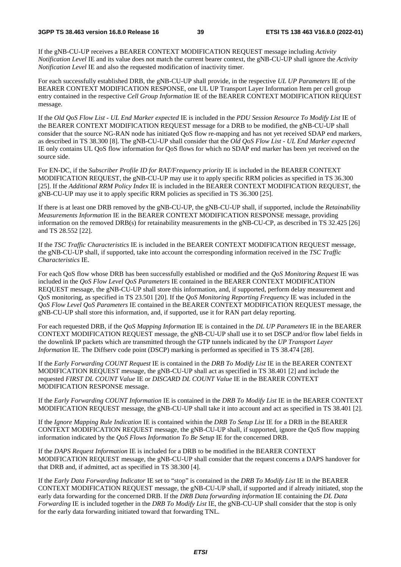If the gNB-CU-UP receives a BEARER CONTEXT MODIFICATION REQUEST message including *Activity Notification Level* IE and its value does not match the current bearer context, the gNB-CU-UP shall ignore the *Activity Notification Level* IE and also the requested modification of inactivity timer.

For each successfully established DRB, the gNB-CU-UP shall provide, in the respective *UL UP Parameters* IE of the BEARER CONTEXT MODIFICATION RESPONSE, one UL UP Transport Layer Information Item per cell group entry contained in the respective *Cell Group Information* IE of the BEARER CONTEXT MODIFICATION REQUEST message.

If the *Old QoS Flow List - UL End Marker expected* IE is included in the *PDU Session Resource To Modify List* IE of the BEARER CONTEXT MODIFICATION REQUEST message for a DRB to be modified, the gNB-CU-UP shall consider that the source NG-RAN node has initiated QoS flow re-mapping and has not yet received SDAP end markers, as described in TS 38.300 [8]. The gNB-CU-UP shall consider that the *Old QoS Flow List - UL End Marker expected* IE only contains UL QoS flow information for QoS flows for which no SDAP end marker has been yet received on the source side.

For EN-DC, if the *Subscriber Profile ID for RAT/Frequency priority* IE is included in the BEARER CONTEXT MODIFICATION REQUEST, the gNB-CU-UP may use it to apply specific RRM policies as specified in TS 36.300 [25]. If the *Additional RRM Policy Index* IE is included in the BEARER CONTEXT MODIFICATION REQUEST, the gNB-CU-UP may use it to apply specific RRM policies as specified in TS 36.300 [25].

If there is at least one DRB removed by the gNB-CU-UP, the gNB-CU-UP shall, if supported, include the *Retainability Measurements Information* IE in the BEARER CONTEXT MODIFICATION RESPONSE message, providing information on the removed DRB(s) for retainability measurements in the gNB-CU-CP, as described in TS 32.425 [26] and TS 28.552 [22].

If the *TSC Traffic Characteristics* IE is included in the BEARER CONTEXT MODIFICATION REQUEST message, the gNB-CU-UP shall, if supported, take into account the corresponding information received in the *TSC Traffic Characteristics* IE.

For each QoS flow whose DRB has been successfully established or modified and the *QoS Monitoring Request* IE was included in the *QoS Flow Level QoS Parameters* IE contained in the BEARER CONTEXT MODIFICATION REQUEST message, the gNB-CU-UP shall store this information, and, if supported, perform delay measurement and QoS monitoring, as specified in TS 23.501 [20]. If the *QoS Monitoring Reporting Frequency* IE was included in the *QoS Flow Level QoS Parameters* IE contained in the BEARER CONTEXT MODIFICATION REQUEST message, the gNB-CU-UP shall store this information, and, if supported, use it for RAN part delay reporting.

For each requested DRB, if the *QoS Mapping Information* IE is contained in the *DL UP Parameters* IE in the BEARER CONTEXT MODIFICATION REQUEST message, the gNB-CU-UP shall use it to set DSCP and/or flow label fields in the downlink IP packets which are transmitted through the GTP tunnels indicated by the *UP Transport Layer Information* IE. The Diffserv code point (DSCP) marking is performed as specified in TS 38.474 [28].

If the *Early Forwarding COUNT Request* IE is contained in the *DRB To Modify List* IE in the BEARER CONTEXT MODIFICATION REQUEST message, the gNB-CU-UP shall act as specified in TS 38.401 [2] and include the requested *FIRST DL COUNT Value* IE or *DISCARD DL COUNT Value* IE in the BEARER CONTEXT MODIFICATION RESPONSE message.

If the *Early Forwarding COUNT Information* IE is contained in the *DRB To Modify List* IE in the BEARER CONTEXT MODIFICATION REQUEST message, the gNB-CU-UP shall take it into account and act as specified in TS 38.401 [2].

If the *Ignore Mapping Rule Indication* IE is contained within the *DRB To Setup List* IE for a DRB in the BEARER CONTEXT MODIFICATION REQUEST message, the gNB-CU-UP shall, if supported, ignore the QoS flow mapping information indicated by the *QoS Flows Information To Be Setup* IE for the concerned DRB.

If the *DAPS Request Information* IE is included for a DRB to be modified in the BEARER CONTEXT MODIFICATION REQUEST message, the gNB-CU-UP shall consider that the request concerns a DAPS handover for that DRB and, if admitted, act as specified in TS 38.300 [4].

If the *Early Data Forwarding Indicator* IE set to "stop" is contained in the *DRB To Modify List* IE in the BEARER CONTEXT MODIFICATION REQUEST message, the gNB-CU-UP shall, if supported and if already initiated, stop the early data forwarding for the concerned DRB. If the *DRB Data forwarding information* IE containing the *DL Data Forwarding* IE is included together in the *DRB To Modify List* IE, the gNB-CU-UP shall consider that the stop is only for the early data forwarding initiated toward that forwarding TNL.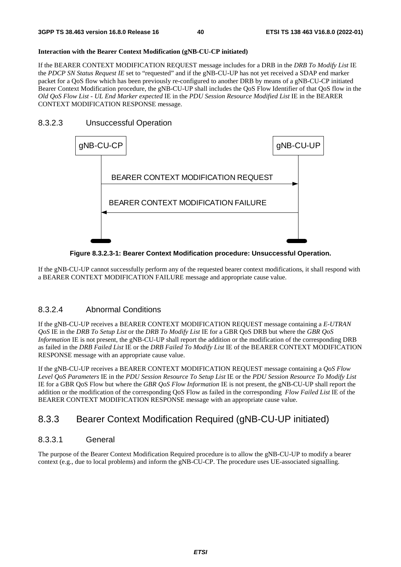#### **Interaction with the Bearer Context Modification (gNB-CU-CP initiated)**

If the BEARER CONTEXT MODIFICATION REQUEST message includes for a DRB in the *DRB To Modify List* IE the *PDCP SN Status Request IE* set to "requested" and if the gNB-CU-UP has not yet received a SDAP end marker packet for a QoS flow which has been previously re-configured to another DRB by means of a gNB-CU-CP initiated Bearer Context Modification procedure, the gNB-CU-UP shall includes the QoS Flow Identifier of that QoS flow in the *Old QoS Flow List - UL End Marker expected* IE in the *PDU Session Resource Modified List* IE in the BEARER CONTEXT MODIFICATION RESPONSE message.

#### 8.3.2.3 Unsuccessful Operation



**Figure 8.3.2.3-1: Bearer Context Modification procedure: Unsuccessful Operation.** 

If the gNB-CU-UP cannot successfully perform any of the requested bearer context modifications, it shall respond with a BEARER CONTEXT MODIFICATION FAILURE message and appropriate cause value.

## 8.3.2.4 Abnormal Conditions

If the gNB-CU-UP receives a BEARER CONTEXT MODIFICATION REQUEST message containing a *E-UTRAN QoS* IE in the *DRB To Setup List* or the *DRB To Modify List* IE for a GBR QoS DRB but where the *GBR QoS Information* IE is not present, the gNB-CU-UP shall report the addition or the modification of the corresponding DRB as failed in the *DRB Failed List* IE or the *DRB Failed To Modify List* IE of the BEARER CONTEXT MODIFICATION RESPONSE message with an appropriate cause value.

If the gNB-CU-UP receives a BEARER CONTEXT MODIFICATION REQUEST message containing a *QoS Flow Level QoS Parameters* IE in the *PDU Session Resource To Setup List* IE or the *PDU Session Resource To Modify List* IE for a GBR QoS Flow but where the *GBR QoS Flow Information* IE is not present, the gNB-CU-UP shall report the addition or the modification of the corresponding QoS Flow as failed in the corresponding *Flow Failed List* IE of the BEARER CONTEXT MODIFICATION RESPONSE message with an appropriate cause value.

## 8.3.3 Bearer Context Modification Required (gNB-CU-UP initiated)

## 8.3.3.1 General

The purpose of the Bearer Context Modification Required procedure is to allow the gNB-CU-UP to modify a bearer context (e.g., due to local problems) and inform the gNB-CU-CP. The procedure uses UE-associated signalling.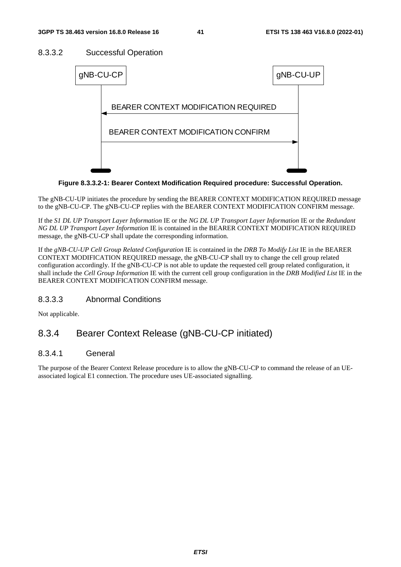## 8.3.3.2 Successful Operation



**Figure 8.3.3.2-1: Bearer Context Modification Required procedure: Successful Operation.** 

The gNB-CU-UP initiates the procedure by sending the BEARER CONTEXT MODIFICATION REQUIRED message to the gNB-CU-CP. The gNB-CU-CP replies with the BEARER CONTEXT MODIFICATION CONFIRM message.

If the *S1 DL UP Transport Layer Information* IE or the *NG DL UP Transport Layer Information* IE or the *Redundant NG DL UP Transport Layer Information* IE is contained in the BEARER CONTEXT MODIFICATION REQUIRED message, the gNB-CU-CP shall update the corresponding information.

If the *gNB-CU-UP Cell Group Related Configuration* IE is contained in the *DRB To Modify List* IE in the BEARER CONTEXT MODIFICATION REQUIRED message, the gNB-CU-CP shall try to change the cell group related configuration accordingly. If the gNB-CU-CP is not able to update the requested cell group related configuration, it shall include the *Cell Group Information* IE with the current cell group configuration in the *DRB Modified List* IE in the BEARER CONTEXT MODIFICATION CONFIRM message.

## 8.3.3.3 Abnormal Conditions

Not applicable.

# 8.3.4 Bearer Context Release (gNB-CU-CP initiated)

## 8.3.4.1 General

The purpose of the Bearer Context Release procedure is to allow the gNB-CU-CP to command the release of an UEassociated logical E1 connection. The procedure uses UE-associated signalling.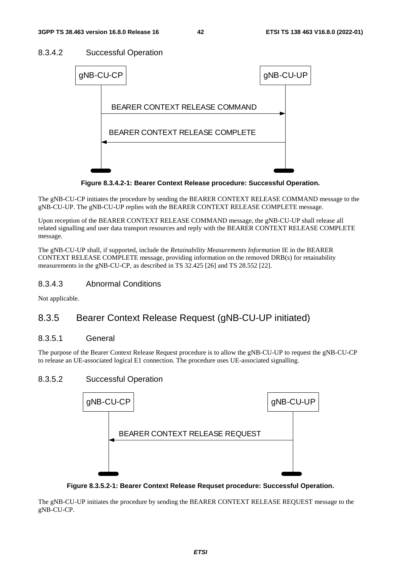## 8.3.4.2 Successful Operation



**Figure 8.3.4.2-1: Bearer Context Release procedure: Successful Operation.** 

The gNB-CU-CP initiates the procedure by sending the BEARER CONTEXT RELEASE COMMAND message to the gNB-CU-UP. The gNB-CU-UP replies with the BEARER CONTEXT RELEASE COMPLETE message.

Upon reception of the BEARER CONTEXT RELEASE COMMAND message, the gNB-CU-UP shall release all related signalling and user data transport resources and reply with the BEARER CONTEXT RELEASE COMPLETE message.

The gNB-CU-UP shall, if supported, include the *Retainability Measurements Information* IE in the BEARER CONTEXT RELEASE COMPLETE message, providing information on the removed DRB(s) for retainability measurements in the gNB-CU-CP, as described in TS 32.425 [26] and TS 28.552 [22].

## 8.3.4.3 Abnormal Conditions

Not applicable.

## 8.3.5 Bearer Context Release Request (gNB-CU-UP initiated)

## 8.3.5.1 General

The purpose of the Bearer Context Release Request procedure is to allow the gNB-CU-UP to request the gNB-CU-CP to release an UE-associated logical E1 connection. The procedure uses UE-associated signalling.

## 8.3.5.2 Successful Operation



**Figure 8.3.5.2-1: Bearer Context Release Requset procedure: Successful Operation.** 

The gNB-CU-UP initiates the procedure by sending the BEARER CONTEXT RELEASE REQUEST message to the gNB-CU-CP.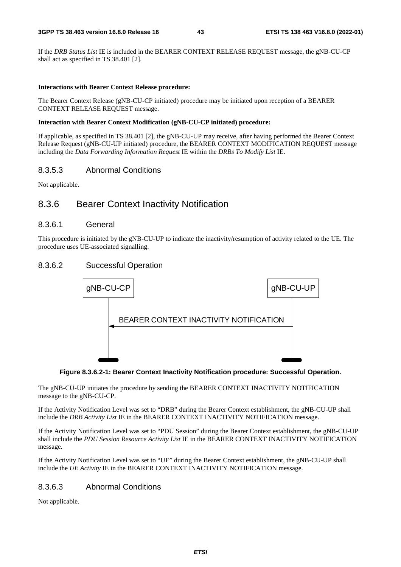If the *DRB Status List* IE is included in the BEARER CONTEXT RELEASE REQUEST message, the gNB-CU-CP shall act as specified in TS 38.401 [2].

#### **Interactions with Bearer Context Release procedure:**

The Bearer Context Release (gNB-CU-CP initiated) procedure may be initiated upon reception of a BEARER CONTEXT RELEASE REQUEST message.

#### **Interaction with Bearer Context Modification (gNB-CU-CP initiated) procedure:**

If applicable, as specified in TS 38.401 [2], the gNB-CU-UP may receive, after having performed the Bearer Context Release Request (gNB-CU-UP initiated) procedure, the BEARER CONTEXT MODIFICATION REQUEST message including the *Data Forwarding Information Request* IE within the *DRBs To Modify List* IE.

#### 8.3.5.3 Abnormal Conditions

Not applicable.

## 8.3.6 Bearer Context Inactivity Notification

#### 8.3.6.1 General

This procedure is initiated by the gNB-CU-UP to indicate the inactivity/resumption of activity related to the UE. The procedure uses UE-associated signalling.

#### 8.3.6.2 Successful Operation





The gNB-CU-UP initiates the procedure by sending the BEARER CONTEXT INACTIVITY NOTIFICATION message to the gNB-CU-CP.

If the Activity Notification Level was set to "DRB" during the Bearer Context establishment, the gNB-CU-UP shall include the *DRB Activity List* IE in the BEARER CONTEXT INACTIVITY NOTIFICATION message.

If the Activity Notification Level was set to "PDU Session" during the Bearer Context establishment, the gNB-CU-UP shall include the *PDU Session Resource Activity List* IE in the BEARER CONTEXT INACTIVITY NOTIFICATION message.

If the Activity Notification Level was set to "UE" during the Bearer Context establishment, the gNB-CU-UP shall include the *UE Activity* IE in the BEARER CONTEXT INACTIVITY NOTIFICATION message.

#### 8.3.6.3 Abnormal Conditions

Not applicable.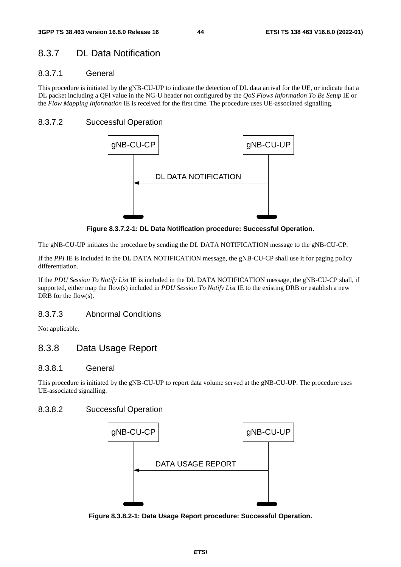## 8.3.7 DL Data Notification

## 8.3.7.1 General

This procedure is initiated by the gNB-CU-UP to indicate the detection of DL data arrival for the UE, or indicate that a DL packet including a QFI value in the NG-U header not configured by the *QoS Flows Information To Be Setup* IE or the *Flow Mapping Information* IE is received for the first time. The procedure uses UE-associated signalling.

## 8.3.7.2 Successful Operation



**Figure 8.3.7.2-1: DL Data Notification procedure: Successful Operation.** 

The gNB-CU-UP initiates the procedure by sending the DL DATA NOTIFICATION message to the gNB-CU-CP.

If the *PPI* IE is included in the DL DATA NOTIFICATION message, the gNB-CU-CP shall use it for paging policy differentiation.

If the *PDU Session To Notify List* IE is included in the DL DATA NOTIFICATION message, the gNB-CU-CP shall, if supported, either map the flow(s) included in *PDU Session To Notify List* IE to the existing DRB or establish a new DRB for the flow(s).

## 8.3.7.3 Abnormal Conditions

Not applicable.

## 8.3.8 Data Usage Report

## 8.3.8.1 General

This procedure is initiated by the gNB-CU-UP to report data volume served at the gNB-CU-UP. The procedure uses UE-associated signalling.

## 8.3.8.2 Successful Operation



**Figure 8.3.8.2-1: Data Usage Report procedure: Successful Operation.**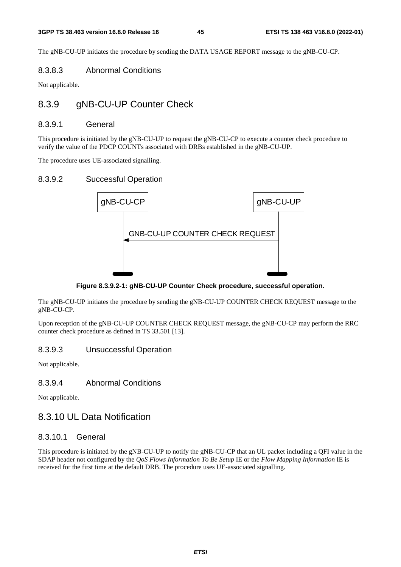The gNB-CU-UP initiates the procedure by sending the DATA USAGE REPORT message to the gNB-CU-CP.

#### 8.3.8.3 Abnormal Conditions

Not applicable.

## 8.3.9 gNB-CU-UP Counter Check

#### 8.3.9.1 General

This procedure is initiated by the gNB-CU-UP to request the gNB-CU-CP to execute a counter check procedure to verify the value of the PDCP COUNTs associated with DRBs established in the gNB-CU-UP.

The procedure uses UE-associated signalling.

#### 8.3.9.2 Successful Operation



**Figure 8.3.9.2-1: gNB-CU-UP Counter Check procedure, successful operation.** 

The gNB-CU-UP initiates the procedure by sending the gNB-CU-UP COUNTER CHECK REQUEST message to the gNB-CU-CP.

Upon reception of the gNB-CU-UP COUNTER CHECK REQUEST message, the gNB-CU-CP may perform the RRC counter check procedure as defined in TS 33.501 [13].

#### 8.3.9.3 Unsuccessful Operation

Not applicable.

## 8.3.9.4 Abnormal Conditions

Not applicable.

## 8.3.10 UL Data Notification

#### 8.3.10.1 General

This procedure is initiated by the gNB-CU-UP to notify the gNB-CU-CP that an UL packet including a QFI value in the SDAP header not configured by the *QoS Flows Information To Be Setup* IE or the *Flow Mapping Information* IE is received for the first time at the default DRB. The procedure uses UE-associated signalling.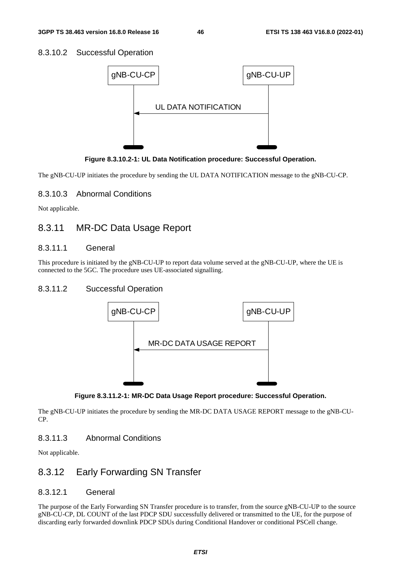## 8.3.10.2 Successful Operation



**Figure 8.3.10.2-1: UL Data Notification procedure: Successful Operation.** 

The gNB-CU-UP initiates the procedure by sending the UL DATA NOTIFICATION message to the gNB-CU-CP.

## 8.3.10.3 Abnormal Conditions

Not applicable.

## 8.3.11 MR-DC Data Usage Report

#### 8.3.11.1 General

This procedure is initiated by the gNB-CU-UP to report data volume served at the gNB-CU-UP, where the UE is connected to the 5GC. The procedure uses UE-associated signalling.

## 8.3.11.2 Successful Operation





The gNB-CU-UP initiates the procedure by sending the MR-DC DATA USAGE REPORT message to the gNB-CU-CP.

## 8.3.11.3 Abnormal Conditions

Not applicable.

## 8.3.12 Early Forwarding SN Transfer

## 8.3.12.1 General

The purpose of the Early Forwarding SN Transfer procedure is to transfer, from the source gNB-CU-UP to the source gNB-CU-CP, DL COUNT of the last PDCP SDU successfully delivered or transmitted to the UE, for the purpose of discarding early forwarded downlink PDCP SDUs during Conditional Handover or conditional PSCell change.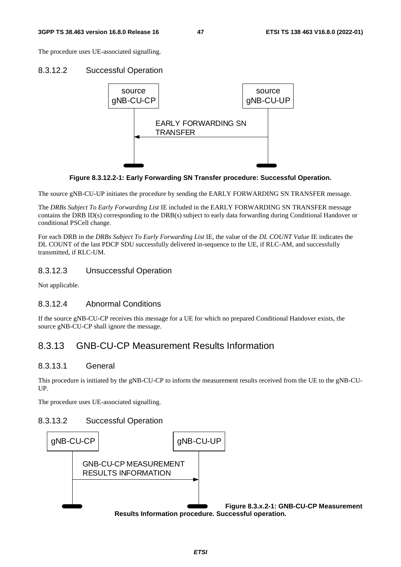#### **3GPP TS 38.463 version 16.8.0 Release 16 47 ETSI TS 138 463 V16.8.0 (2022-01)**

The procedure uses UE-associated signalling.

#### 8.3.12.2 Successful Operation



**Figure 8.3.12.2-1: Early Forwarding SN Transfer procedure: Successful Operation.** 

The source gNB-CU-UP initiates the procedure by sending the EARLY FORWARDING SN TRANSFER message.

The *DRBs Subject To Early Forwarding List* IE included in the EARLY FORWARDING SN TRANSFER message contains the DRB ID(s) corresponding to the DRB(s) subject to early data forwarding during Conditional Handover or conditional PSCell change.

For each DRB in the *DRBs Subject To Early Forwarding List* IE, the value of the *DL COUNT Value* IE indicates the DL COUNT of the last PDCP SDU successfully delivered in-sequence to the UE, if RLC-AM, and successfully transmitted, if RLC-UM.

#### 8.3.12.3 Unsuccessful Operation

Not applicable.

#### 8.3.12.4 Abnormal Conditions

If the source gNB-CU-CP receives this message for a UE for which no prepared Conditional Handover exists, the source gNB-CU-CP shall ignore the message.

## 8.3.13 GNB-CU-CP Measurement Results Information

#### 8.3.13.1 General

This procedure is initiated by the gNB-CU-CP to inform the measurement results received from the UE to the gNB-CU-UP.

The procedure uses UE-associated signalling.

#### 8.3.13.2 Successful Operation

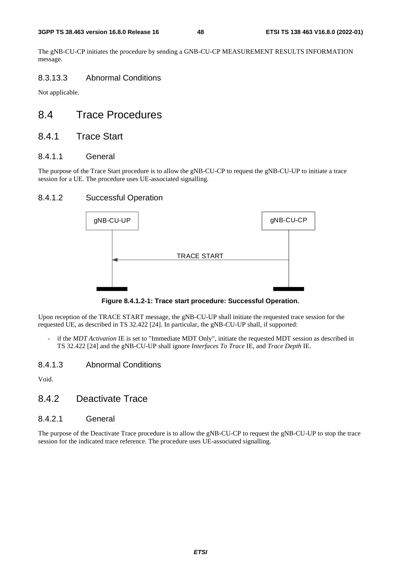The gNB-CU-CP initiates the procedure by sending a GNB-CU-CP MEASUREMENT RESULTS INFORMATION message.

## 8.3.13.3 Abnormal Conditions

Not applicable.

# 8.4 Trace Procedures

## 8.4.1 Trace Start

#### 8.4.1.1 General

The purpose of the Trace Start procedure is to allow the gNB-CU-CP to request the gNB-CU-UP to initiate a trace session for a UE. The procedure uses UE-associated signalling.

## 8.4.1.2 Successful Operation



**Figure 8.4.1.2-1: Trace start procedure: Successful Operation.** 

Upon reception of the TRACE START message, the gNB-CU-UP shall initiate the requested trace session for the requested UE, as described in TS 32.422 [24]. In particular, the gNB-CU-UP shall, if supported:

if the *MDT Activation* IE is set to "Immediate MDT Only", initiate the requested MDT session as described in TS 32.422 [24] and the gNB-CU-UP shall ignore *Interfaces To Trace* IE, and *Trace Depth* IE.

#### 8.4.1.3 Abnormal Conditions

Void.

## 8.4.2 Deactivate Trace

#### 8.4.2.1 General

The purpose of the Deactivate Trace procedure is to allow the gNB-CU-CP to request the gNB-CU-UP to stop the trace session for the indicated trace reference. The procedure uses UE-associated signalling.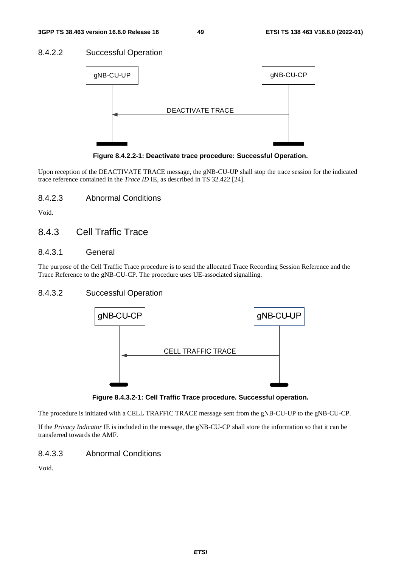## 8.4.2.2 Successful Operation



**Figure 8.4.2.2-1: Deactivate trace procedure: Successful Operation.** 

Upon reception of the DEACTIVATE TRACE message, the gNB-CU-UP shall stop the trace session for the indicated trace reference contained in the *Trace ID* IE, as described in TS 32.422 [24].

8.4.2.3 Abnormal Conditions

Void.

## 8.4.3 Cell Traffic Trace

#### 8.4.3.1 General

The purpose of the Cell Traffic Trace procedure is to send the allocated Trace Recording Session Reference and the Trace Reference to the gNB-CU-CP. The procedure uses UE-associated signalling.

## 8.4.3.2 Successful Operation



**Figure 8.4.3.2-1: Cell Traffic Trace procedure. Successful operation.** 

The procedure is initiated with a CELL TRAFFIC TRACE message sent from the gNB-CU-UP to the gNB-CU-CP.

If the *Privacy Indicator* IE is included in the message, the gNB-CU-CP shall store the information so that it can be transferred towards the AMF.

## 8.4.3.3 Abnormal Conditions

Void.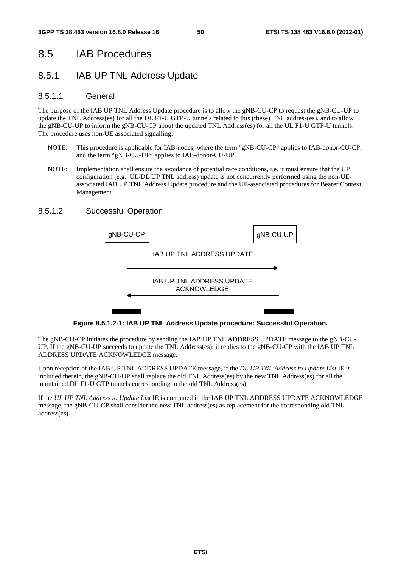# 8.5 IAB Procedures

# 8.5.1 IAB UP TNL Address Update

## 8.5.1.1 General

The purpose of the IAB UP TNL Address Update procedure is to allow the gNB-CU-CP to request the gNB-CU-UP to update the TNL Address(es) for all the DL F1-U GTP-U tunnels related to this (these) TNL address(es), and to allow the gNB-CU-UP to inform the gNB-CU-CP about the updated TNL Address(es) for all the UL F1-U GTP-U tunnels. The procedure uses non-UE associated signalling.

- NOTE: This procedure is applicable for IAB-nodes, where the term "gNB-CU-CP" applies to IAB-donor-CU-CP, and the term "gNB-CU-UP" applies to IAB-donor-CU-UP.
- NOTE: Implementation shall ensure the avoidance of potential race conditions, i.e. it must ensure that the UP configuration (e.g., UL/DL UP TNL address) update is not concurrently performed using the non-UEassociated IAB UP TNL Address Update procedure and the UE-associated procedures for Bearer Context Management.

#### 8.5.1.2 Successful Operation



**Figure 8.5.1.2-1: IAB UP TNL Address Update procedure: Successful Operation.** 

The gNB-CU-CP initiates the procedure by sending the IAB UP TNL ADDRESS UPDATE message to the gNB-CU-UP. If the gNB-CU-UP succeeds to update the TNL Address(es), it replies to the gNB-CU-CP with the IAB UP TNL ADDRESS UPDATE ACKNOWLEDGE message.

Upon reception of the IAB UP TNL ADDRESS UPDATE message, if the *DL UP TNL Address to Update List* IE is included therein, the gNB-CU-UP shall replace the old TNL Address(es) by the new TNL Address(es) for all the maintained DL F1-U GTP tunnels corresponding to the old TNL Address(es).

If the *UL UP TNL Address to Update List* IE is contained in the IAB UP TNL ADDRESS UPDATE ACKNOWLEDGE message, the gNB-CU-CP shall consider the new TNL address(es) as replacement for the corresponding old TNL address(es).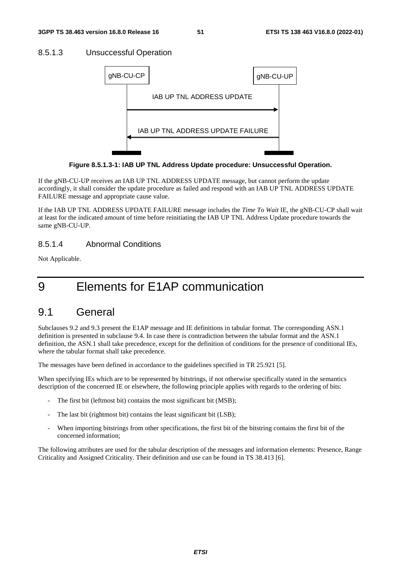#### 8.5.1.3 Unsuccessful Operation



**Figure 8.5.1.3-1: IAB UP TNL Address Update procedure: Unsuccessful Operation.** 

If the gNB-CU-UP receives an IAB UP TNL ADDRESS UPDATE message, but cannot perform the update accordingly, it shall consider the update procedure as failed and respond with an IAB UP TNL ADDRESS UPDATE FAILURE message and appropriate cause value.

If the IAB UP TNL ADDRESS UPDATE FAILURE message includes the *Time To Wait* IE, the gNB-CU-CP shall wait at least for the indicated amount of time before reinitiating the IAB UP TNL Address Update procedure towards the same gNB-CU-UP.

#### 8.5.1.4 Abnormal Conditions

Not Applicable.

# 9 Elements for E1AP communication

## 9.1 General

Subclauses 9.2 and 9.3 present the E1AP message and IE definitions in tabular format. The corresponding ASN.1 definition is presented in subclause 9.4. In case there is contradiction between the tabular format and the ASN.1 definition, the ASN.1 shall take precedence, except for the definition of conditions for the presence of conditional IEs, where the tabular format shall take precedence.

The messages have been defined in accordance to the guidelines specified in TR 25.921 [5].

When specifying IEs which are to be represented by bitstrings, if not otherwise specifically stated in the semantics description of the concerned IE or elsewhere, the following principle applies with regards to the ordering of bits:

- The first bit (leftmost bit) contains the most significant bit (MSB);
- The last bit (rightmost bit) contains the least significant bit (LSB);
- When importing bitstrings from other specifications, the first bit of the bitstring contains the first bit of the concerned information;

The following attributes are used for the tabular description of the messages and information elements: Presence, Range Criticality and Assigned Criticality. Their definition and use can be found in TS 38.413 [6].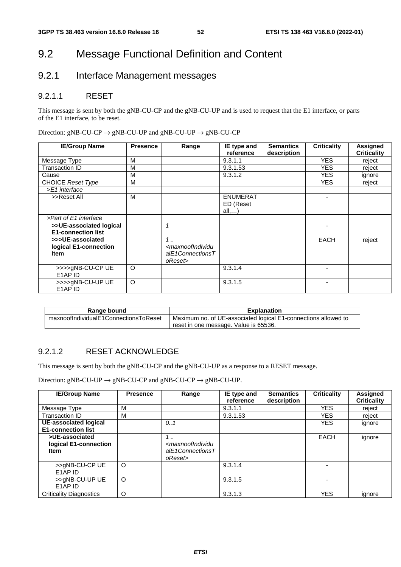# 9.2 Message Functional Definition and Content

# 9.2.1 Interface Management messages

#### 9.2.1.1 RESET

This message is sent by both the gNB-CU-CP and the gNB-CU-UP and is used to request that the E1 interface, or parts of the E1 interface, to be reset.

Direction:  $gNB-CU-CP \rightarrow gNB-CU-UP$  and  $gNB-CU-UP \rightarrow gNB-CU-CP$ 

| <b>IE/Group Name</b>      | <b>Presence</b> | Range                                                                           | IE type and        | <b>Semantics</b> | <b>Criticality</b> | <b>Assigned</b>    |
|---------------------------|-----------------|---------------------------------------------------------------------------------|--------------------|------------------|--------------------|--------------------|
|                           |                 |                                                                                 | reference          | description      |                    | <b>Criticality</b> |
| Message Type              | м               |                                                                                 | 9.3.1.1            |                  | <b>YES</b>         | reject             |
| Transaction ID            | M               |                                                                                 | 9.3.1.53           |                  | <b>YES</b>         | reject             |
| Cause                     | M               |                                                                                 | 9.3.1.2            |                  | <b>YES</b>         | ignore             |
| CHOICE Reset Type         | м               |                                                                                 |                    |                  | <b>YES</b>         | reject             |
| >E1 interface             |                 |                                                                                 |                    |                  |                    |                    |
| >>Reset All               | М               |                                                                                 | <b>ENUMERAT</b>    |                  |                    |                    |
|                           |                 |                                                                                 | ED (Reset<br>all,) |                  |                    |                    |
| >Part of E1 interface     |                 |                                                                                 |                    |                  |                    |                    |
| >>UE-associated logical   |                 |                                                                                 |                    |                  |                    |                    |
| <b>E1-connection list</b> |                 |                                                                                 |                    |                  |                    |                    |
| >>>UE-associated          |                 | $1 \ldots$                                                                      |                    |                  | <b>EACH</b>        | reject             |
| logical E1-connection     |                 | <maxnoofindividu< td=""><td></td><td></td><td></td><td></td></maxnoofindividu<> |                    |                  |                    |                    |
| <b>Item</b>               |                 | alE1ConnectionsT                                                                |                    |                  |                    |                    |
|                           |                 | oReset>                                                                         |                    |                  |                    |                    |
| >>>>gNB-CU-CP UE          | $\circ$         |                                                                                 | 9.3.1.4            |                  |                    |                    |
| E1AP ID                   |                 |                                                                                 |                    |                  |                    |                    |
| >>>>gNB-CU-UP UE          | O               |                                                                                 | 9.3.1.5            |                  | ٠                  |                    |
| E1AP ID                   |                 |                                                                                 |                    |                  |                    |                    |

| Range bound                           | <b>Explanation</b>                                             |
|---------------------------------------|----------------------------------------------------------------|
| maxnoofIndividualE1ConnectionsToReset | Maximum no. of UE-associated logical E1-connections allowed to |
|                                       | reset in one message. Value is 65536.                          |

## 9.2.1.2 RESET ACKNOWLEDGE

This message is sent by both the gNB-CU-CP and the gNB-CU-UP as a response to a RESET message.

Direction:  $gNB-CU-UP \rightarrow gNB-CU-CP$  and  $gNB-CU-CP \rightarrow gNB-CU-UP$ .

| <b>IE/Group Name</b>                                   | <b>Presence</b> | Range                                                                         | IE type and<br>reference | <b>Semantics</b><br>description | <b>Criticality</b> | <b>Assigned</b><br><b>Criticality</b> |
|--------------------------------------------------------|-----------------|-------------------------------------------------------------------------------|--------------------------|---------------------------------|--------------------|---------------------------------------|
| Message Type                                           | М               |                                                                               | 9.3.1.1                  |                                 | <b>YES</b>         | reject                                |
| Transaction ID                                         | м               |                                                                               | 9.3.1.53                 |                                 | <b>YES</b>         | reject                                |
| UE-associated logical<br><b>E1-connection list</b>     |                 | 0.1                                                                           |                          |                                 | <b>YES</b>         | ignore                                |
| >UE-associated<br>logical E1-connection<br><b>Item</b> |                 | 1<br><maxnoofindividu<br>alE1ConnectionsT<br/>oReset&gt;</maxnoofindividu<br> |                          |                                 | EACH               | ignore                                |
| >>gNB-CU-CP UE<br>E1AP ID                              | O               |                                                                               | 9.3.1.4                  |                                 |                    |                                       |
| >>gNB-CU-UP UE<br>E1AP ID                              | O               |                                                                               | 9.3.1.5                  |                                 |                    |                                       |
| <b>Criticality Diagnostics</b>                         | O               |                                                                               | 9.3.1.3                  |                                 | <b>YES</b>         | ignore                                |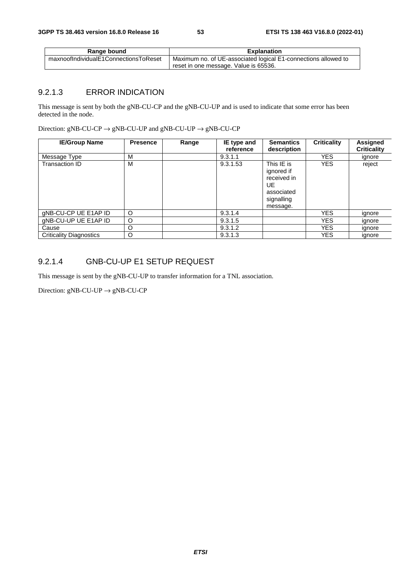| Range bound                           | <b>Explanation</b>                                             |
|---------------------------------------|----------------------------------------------------------------|
| maxnoofIndividualE1ConnectionsToReset | Maximum no. of UE-associated logical E1-connections allowed to |
|                                       | reset in one message. Value is 65536.                          |

## 9.2.1.3 ERROR INDICATION

This message is sent by both the gNB-CU-CP and the gNB-CU-UP and is used to indicate that some error has been detected in the node.

Direction:  $gNB-CU-CP \rightarrow gNB-CU-UP$  and  $gNB-CU-UP \rightarrow gNB-CU-CP$ 

| <b>IE/Group Name</b>           | <b>Presence</b> | Range | IE type and<br>reference | <b>Semantics</b><br>description                                                       | <b>Criticality</b> | <b>Assigned</b><br><b>Criticality</b> |
|--------------------------------|-----------------|-------|--------------------------|---------------------------------------------------------------------------------------|--------------------|---------------------------------------|
| Message Type                   | M               |       | 9.3.1.1                  |                                                                                       | <b>YES</b>         | ignore                                |
| <b>Transaction ID</b>          | M               |       | 9.3.1.53                 | This IE is<br>ignored if<br>received in<br>UE<br>associated<br>signalling<br>message. | <b>YES</b>         | reject                                |
| gNB-CU-CP UE E1AP ID           | O               |       | 9.3.1.4                  |                                                                                       | <b>YES</b>         | ignore                                |
| gNB-CU-UP UE E1AP ID           | O               |       | 9.3.1.5                  |                                                                                       | <b>YES</b>         | ignore                                |
| Cause                          | O               |       | 9.3.1.2                  |                                                                                       | <b>YES</b>         | ignore                                |
| <b>Criticality Diagnostics</b> | O               |       | 9.3.1.3                  |                                                                                       | <b>YES</b>         | ignore                                |

## 9.2.1.4 GNB-CU-UP E1 SETUP REQUEST

This message is sent by the gNB-CU-UP to transfer information for a TNL association.

Direction:  $gNB-CU-UP \rightarrow gNB-CU-CP$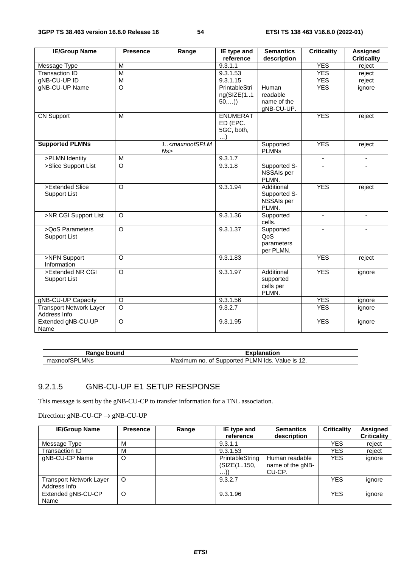| <b>IE/Group Name</b>                           | <b>Presence</b>    | Range                                 | IE type and<br>reference                              | <b>Semantics</b><br>description                   | <b>Criticality</b>       | <b>Assigned</b><br><b>Criticality</b> |
|------------------------------------------------|--------------------|---------------------------------------|-------------------------------------------------------|---------------------------------------------------|--------------------------|---------------------------------------|
| Message Type                                   | M                  |                                       | 9.3.1.1                                               |                                                   | <b>YES</b>               | reject                                |
| <b>Transaction ID</b>                          | $\overline{M}$     |                                       | 9.3.1.53                                              |                                                   | <b>YES</b>               | reject                                |
| gNB-CU-UP ID                                   | $\overline{M}$     |                                       | 9.3.1.15                                              |                                                   | <b>YES</b>               | reject                                |
| gNB-CU-UP Name                                 | $\overline{O}$     |                                       | PrintableStri<br>ng(SIZE(11<br>50,)                   | Human<br>readable<br>name of the<br>gNB-CU-UP.    | <b>YES</b>               | ignore                                |
| <b>CN Support</b>                              | M                  |                                       | <b>ENUMERAT</b><br>ED (EPC.<br>5GC, both,<br>$\ldots$ |                                                   | <b>YES</b>               | reject                                |
| <b>Supported PLMNs</b>                         |                    | 1 <maxnoofsplm<br>Ns</maxnoofsplm<br> |                                                       | Supported<br><b>PLMNs</b>                         | <b>YES</b>               | reject                                |
| >PLMN Identity                                 | M                  |                                       | 9.3.1.7                                               |                                                   | $\overline{\phantom{a}}$ | $\overline{\phantom{a}}$              |
| >Slice Support List                            | $\overline{\circ}$ |                                       | 9.3.1.8                                               | Supported S-<br>NSSAIs per<br>PLMN.               |                          |                                       |
| >Extended Slice<br><b>Support List</b>         | $\overline{O}$     |                                       | 9.3.1.94                                              | Additional<br>Supported S-<br>NSSAIs per<br>PLMN. | <b>YES</b>               | reject                                |
| >NR CGI Support List                           | $\circ$            |                                       | 9.3.1.36                                              | Supported<br>cells.                               | $\blacksquare$           | $\blacksquare$                        |
| >QoS Parameters<br><b>Support List</b>         | $\circ$            |                                       | 9.3.1.37                                              | Supported<br>QoS<br>parameters<br>per PLMN.       |                          |                                       |
| >NPN Support<br>Information                    | $\circ$            |                                       | 9.3.1.83                                              |                                                   | <b>YES</b>               | reject                                |
| >Extended NR CGI<br><b>Support List</b>        | $\circ$            |                                       | 9.3.1.97                                              | Additional<br>supported<br>cells per<br>PLMN.     | <b>YES</b>               | ignore                                |
| gNB-CU-UP Capacity                             | $\circ$            |                                       | 9.3.1.56                                              |                                                   | <b>YES</b>               | ignore                                |
| <b>Transport Network Layer</b><br>Address Info | $\overline{\circ}$ |                                       | 9.3.2.7                                               |                                                   | <b>YES</b>               | ignore                                |
| Extended gNB-CU-UP<br>Name                     | $\circ$            |                                       | 9.3.1.95                                              |                                                   | <b>YES</b>               | ignore                                |

| ound<br>n<br><b>N</b> aliv          | ıation                                                                                         |
|-------------------------------------|------------------------------------------------------------------------------------------------|
| $\sim$<br><b>MNs</b><br>noor<br>. . | $\sim$<br>alue is<br>lds.<br>suppo<br>ıxımum<br>no.<br>Οt<br>M٤<br>_MN.<br>. ت<br>ortec<br>14. |

## 9.2.1.5 GNB-CU-UP E1 SETUP RESPONSE

This message is sent by the gNB-CU-CP to transfer information for a TNL association.

Direction:  $gNB-CU-CP \rightarrow gNB-CU-UP$ 

| <b>IE/Group Name</b>                           | <b>Presence</b> | Range | IE type and<br>reference            | <b>Semantics</b><br>description              | <b>Criticality</b> | Assigned<br><b>Criticality</b> |
|------------------------------------------------|-----------------|-------|-------------------------------------|----------------------------------------------|--------------------|--------------------------------|
| Message Type                                   | M               |       | 9.3.1.1                             |                                              | YES                | reject                         |
| Transaction ID                                 | M               |       | 9.3.1.53                            |                                              | YES                | reject                         |
| gNB-CU-CP Name                                 | O               |       | PrintableString<br>(SIZE(1150,<br>. | Human readable<br>name of the gNB-<br>CU-CP. | <b>YES</b>         | ignore                         |
| <b>Transport Network Layer</b><br>Address Info | O               |       | 9.3.2.7                             |                                              | <b>YES</b>         | ignore                         |
| Extended gNB-CU-CP<br>Name                     | O               |       | 9.3.1.96                            |                                              | <b>YES</b>         | ignore                         |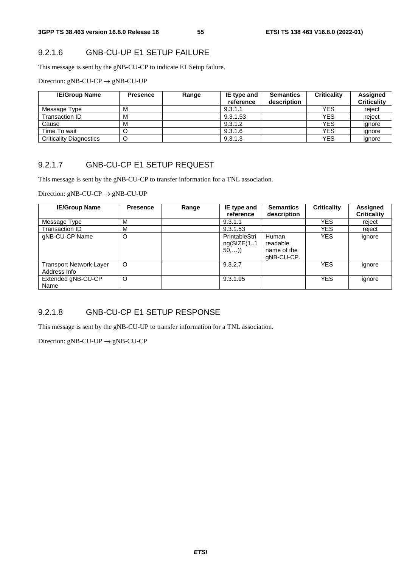## 9.2.1.6 GNB-CU-UP E1 SETUP FAILURE

This message is sent by the gNB-CU-CP to indicate E1 Setup failure.

Direction:  $gNB-CU-CP \rightarrow gNB-CU-UP$ 

| <b>IE/Group Name</b>           | <b>Presence</b> | Range | IE type and<br>reference | <b>Semantics</b><br>description | <b>Criticality</b> | <b>Assigned</b><br><b>Criticality</b> |
|--------------------------------|-----------------|-------|--------------------------|---------------------------------|--------------------|---------------------------------------|
| Message Type                   | M               |       | 9.3.1.1                  |                                 | <b>YES</b>         | reiect                                |
| Transaction ID                 | M               |       | 9.3.1.53                 |                                 | <b>YES</b>         | reject                                |
| Cause                          | М               |       | 9.3.1.2                  |                                 | YES                | ignore                                |
| Time To wait                   | Ő               |       | 9.3.1.6                  |                                 | YES                | ignore                                |
| <b>Criticality Diagnostics</b> | O               |       | 9.3.1.3                  |                                 | <b>YES</b>         | ignore                                |

## 9.2.1.7 GNB-CU-CP E1 SETUP REQUEST

This message is sent by the gNB-CU-CP to transfer information for a TNL association.

Direction:  $gNB-CU-CP \rightarrow gNB-CU-UP$ 

| <b>IE/Group Name</b>                           | <b>Presence</b> | Range | IE type and<br>reference             | <b>Semantics</b><br>description                | <b>Criticality</b> | <b>Assigned</b><br><b>Criticality</b> |
|------------------------------------------------|-----------------|-------|--------------------------------------|------------------------------------------------|--------------------|---------------------------------------|
| Message Type                                   | м               |       | 9.3.1.1                              |                                                | YES                | reject                                |
| Transaction ID                                 | M               |       | 9.3.1.53                             |                                                | <b>YES</b>         | reject                                |
| gNB-CU-CP Name                                 | O               |       | PrintableStri<br>ng(SIZE(11)<br>50,) | Human<br>readable<br>name of the<br>qNB-CU-CP. | <b>YES</b>         | ignore                                |
| <b>Transport Network Layer</b><br>Address Info | O               |       | 9.3.2.7                              |                                                | <b>YES</b>         | ignore                                |
| Extended gNB-CU-CP<br>Name                     | O               |       | 9.3.1.95                             |                                                | <b>YES</b>         | ignore                                |

## 9.2.1.8 GNB-CU-CP E1 SETUP RESPONSE

This message is sent by the gNB-CU-UP to transfer information for a TNL association.

Direction:  $gNB-CU-UP \rightarrow gNB-CU-CP$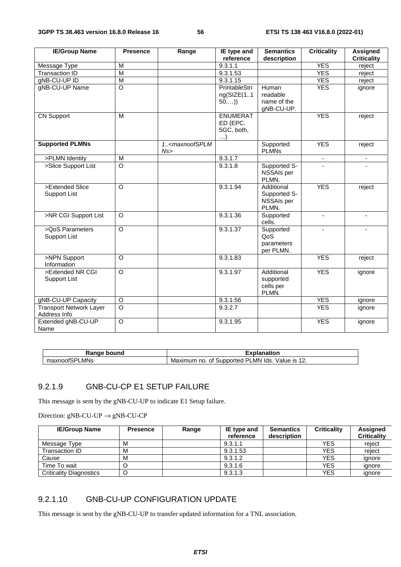| <b>IE/Group Name</b>                           | <b>Presence</b>    | Range                                 | IE type and                                           | <b>Semantics</b>                                  | <b>Criticality</b>       | <b>Assigned</b>    |
|------------------------------------------------|--------------------|---------------------------------------|-------------------------------------------------------|---------------------------------------------------|--------------------------|--------------------|
|                                                |                    |                                       | reference                                             | description                                       |                          | <b>Criticality</b> |
| Message Type                                   | M                  |                                       | 9.3.1.1                                               |                                                   | <b>YES</b>               | reject             |
| <b>Transaction ID</b>                          | M                  |                                       | 9.3.1.53                                              |                                                   | <b>YES</b>               | reject             |
| gNB-CU-UP ID                                   | M                  |                                       | 9.3.1.15                                              |                                                   | <b>YES</b>               | reject             |
| gNB-CU-UP Name                                 | $\circ$            |                                       | PrintableStri<br>ng(SIZE(11)<br>50,)                  | Human<br>readable<br>name of the<br>gNB-CU-UP.    | <b>YES</b>               | ignore             |
| <b>CN Support</b>                              | M                  |                                       | <b>ENUMERAT</b><br>ED (EPC.<br>5GC, both,<br>$\ldots$ |                                                   | <b>YES</b>               | reject             |
| <b>Supported PLMNs</b>                         |                    | 1 <maxnoofsplm<br>Ns</maxnoofsplm<br> |                                                       | Supported<br><b>PLMNs</b>                         | <b>YES</b>               | reject             |
| >PLMN Identity                                 | $\overline{M}$     |                                       | 9.3.1.7                                               |                                                   | $\overline{\phantom{a}}$ | $\blacksquare$     |
| >Slice Support List                            | $\overline{\circ}$ |                                       | 9.3.1.8                                               | Supported S-<br>NSSAIs per<br>PLMN.               |                          |                    |
| >Extended Slice<br><b>Support List</b>         | $\overline{O}$     |                                       | 9.3.1.94                                              | Additional<br>Supported S-<br>NSSAIs per<br>PLMN. | <b>YES</b>               | reject             |
| >NR CGI Support List                           | O                  |                                       | 9.3.1.36                                              | Supported<br>cells.                               | $\blacksquare$           | $\blacksquare$     |
| >QoS Parameters<br><b>Support List</b>         | $\overline{\circ}$ |                                       | 9.3.1.37                                              | Supported<br>QoS<br>parameters<br>per PLMN.       |                          |                    |
| >NPN Support<br>Information                    | $\circ$            |                                       | 9.3.1.83                                              |                                                   | <b>YES</b>               | reject             |
| >Extended NR CGI<br><b>Support List</b>        | $\Omega$           |                                       | 9.3.1.97                                              | Additional<br>supported<br>cells per<br>PLMN.     | <b>YES</b>               | ignore             |
| gNB-CU-UP Capacity                             | $\circ$            |                                       | 9.3.1.56                                              |                                                   | <b>YES</b>               | ignore             |
| <b>Transport Network Layer</b><br>Address Info | $\overline{O}$     |                                       | 9.3.2.7                                               |                                                   | <b>YES</b>               | ignore             |
| Extended gNB-CU-UP<br>Name                     | $\circ$            |                                       | 9.3.1.95                                              |                                                   | <b>YES</b>               | ignore             |

| $- - - - -$<br><b>ווור</b><br>יוחה<br>٦а. | .<br>- -- -                                                                                           |
|-------------------------------------------|-------------------------------------------------------------------------------------------------------|
| .<br>ור<br>LMNs<br>⊻noot.<br>יי           | $\sim$<br>- 21<br>Value is<br>lds.<br>∟MN⊦<br>Supported<br>no<br><b>NE</b><br>num<br>ОT<br>7XII.<br>. |

## 9.2.1.9 GNB-CU-CP E1 SETUP FAILURE

This message is sent by the gNB-CU-UP to indicate E1 Setup failure.

Direction:  $gNB-CU-UP \rightarrow gNB-CU-CP$ 

| <b>IE/Group Name</b>           | <b>Presence</b> | Range | IE type and<br>reference | <b>Semantics</b><br>description | <b>Criticality</b> | <b>Assigned</b><br><b>Criticality</b> |
|--------------------------------|-----------------|-------|--------------------------|---------------------------------|--------------------|---------------------------------------|
| Message Type                   | M               |       | 9.3.1.1                  |                                 | <b>YES</b>         | reiect                                |
| Transaction ID                 | М               |       | 9.3.1.53                 |                                 | <b>YES</b>         | reiect                                |
| Cause                          | M               |       | 9.3.1.2                  |                                 | <b>YES</b>         | ignore                                |
| Time To wait                   |                 |       | 9.3.1.6                  |                                 | <b>YES</b>         | ignore                                |
| <b>Criticality Diagnostics</b> | C               |       | 9.3.1.3                  |                                 | <b>YES</b>         | ignore                                |

## 9.2.1.10 GNB-CU-UP CONFIGURATION UPDATE

This message is sent by the gNB-CU-UP to transfer updated information for a TNL association.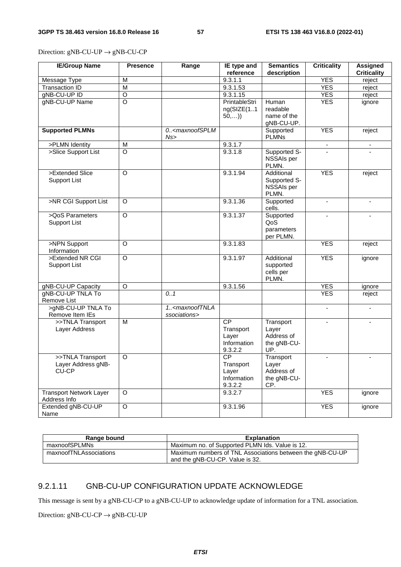Direction:  $gNB-CU-UP \rightarrow gNB-CU-CP$ 

| <b>IE/Group Name</b>                  | <b>Presence</b>    | Range                                                                                                                                                       | IE type and     | <b>Semantics</b>          | <b>Criticality</b>       | <b>Assigned</b>          |
|---------------------------------------|--------------------|-------------------------------------------------------------------------------------------------------------------------------------------------------------|-----------------|---------------------------|--------------------------|--------------------------|
|                                       |                    |                                                                                                                                                             | reference       | description               |                          | <b>Criticality</b>       |
| Message Type                          | M                  |                                                                                                                                                             | 9.3.1.1         |                           | <b>YES</b>               | reject                   |
| <b>Transaction ID</b>                 | M                  |                                                                                                                                                             | 9.3.1.53        |                           | <b>YES</b>               | reject                   |
| gNB-CU-UP ID                          | $\overline{\circ}$ |                                                                                                                                                             | 9.3.1.15        |                           | <b>YES</b>               | reject                   |
| gNB-CU-UP Name                        | $\overline{\circ}$ |                                                                                                                                                             | PrintableStri   | Human                     | <b>YES</b>               | ignore                   |
|                                       |                    |                                                                                                                                                             | ng(SIZE(11      | readable                  |                          |                          |
|                                       |                    |                                                                                                                                                             | 50,)            | name of the<br>gNB-CU-UP. |                          |                          |
| <b>Supported PLMNs</b>                |                    | 0 <maxnoofsplm< td=""><td></td><td>Supported</td><td><b>YES</b></td><td>reject</td></maxnoofsplm<>                                                          |                 | Supported                 | <b>YES</b>               | reject                   |
|                                       |                    | Ns                                                                                                                                                          |                 | <b>PLMNs</b>              |                          |                          |
| >PLMN Identity                        | M                  |                                                                                                                                                             | 9.3.1.7         |                           | $\blacksquare$           | $\overline{\phantom{a}}$ |
| >Slice Support List                   | $\overline{O}$     |                                                                                                                                                             | 9.3.1.8         | Supported S-              | $\mathbf{r}$             |                          |
|                                       |                    |                                                                                                                                                             |                 | NSSAIs per                |                          |                          |
|                                       |                    |                                                                                                                                                             |                 | PLMN.                     |                          |                          |
| >Extended Slice                       | O                  |                                                                                                                                                             | 9.3.1.94        | Additional                | <b>YES</b>               | reject                   |
| <b>Support List</b>                   |                    |                                                                                                                                                             |                 | Supported S-              |                          |                          |
|                                       |                    |                                                                                                                                                             |                 | NSSAIs per                |                          |                          |
|                                       |                    |                                                                                                                                                             |                 | PLMN.                     |                          |                          |
| >NR CGI Support List                  | O                  |                                                                                                                                                             | 9.3.1.36        | Supported                 | $\overline{\phantom{a}}$ | $\blacksquare$           |
| >QoS Parameters                       | $\overline{O}$     |                                                                                                                                                             | 9.3.1.37        | cells.                    |                          |                          |
|                                       |                    |                                                                                                                                                             |                 | Supported                 |                          |                          |
| <b>Support List</b>                   |                    |                                                                                                                                                             |                 | QoS                       |                          |                          |
|                                       |                    |                                                                                                                                                             |                 | parameters<br>per PLMN.   |                          |                          |
| >NPN Support                          | O                  |                                                                                                                                                             | 9.3.1.83        |                           | <b>YES</b>               | reject                   |
| Information                           |                    |                                                                                                                                                             |                 |                           |                          |                          |
| >Extended NR CGI                      | O                  |                                                                                                                                                             | 9.3.1.97        | Additional                | <b>YES</b>               | ignore                   |
| <b>Support List</b>                   |                    |                                                                                                                                                             |                 | supported                 |                          |                          |
|                                       |                    |                                                                                                                                                             |                 | cells per                 |                          |                          |
|                                       |                    |                                                                                                                                                             |                 | PLMN.                     |                          |                          |
| gNB-CU-UP Capacity                    | O                  |                                                                                                                                                             | 9.3.1.56        |                           | <b>YES</b>               | ignore                   |
| gNB-CU-UP TNLA To                     |                    | 0.1                                                                                                                                                         |                 |                           | <b>YES</b>               | reject                   |
| Remove List                           |                    |                                                                                                                                                             |                 |                           |                          |                          |
| >gNB-CU-UP TNLA To<br>Remove Item IEs |                    | 1 <maxnooftnla< td=""><td></td><td></td><td><math display="inline">\mathbf{r}</math></td><td><math display="inline">\blacksquare</math></td></maxnooftnla<> |                 |                           | $\mathbf{r}$             | $\blacksquare$           |
| >>TNLA Transport                      | M                  | ssociations>                                                                                                                                                | <b>CP</b>       | Transport                 | $\blacksquare$           | $\blacksquare$           |
| Layer Address                         |                    |                                                                                                                                                             | Transport       | Layer                     |                          |                          |
|                                       |                    |                                                                                                                                                             | Layer           | Address of                |                          |                          |
|                                       |                    |                                                                                                                                                             | Information     | the gNB-CU-               |                          |                          |
|                                       |                    |                                                                                                                                                             | 9.3.2.2         | UP.                       |                          |                          |
| >>TNLA Transport                      | $\circ$            |                                                                                                                                                             | $\overline{CP}$ | Transport                 |                          |                          |
| Layer Address gNB-                    |                    |                                                                                                                                                             | Transport       | Layer                     |                          |                          |
| CU-CP                                 |                    |                                                                                                                                                             | Layer           | Address of                |                          |                          |
|                                       |                    |                                                                                                                                                             | Information     | the gNB-CU-               |                          |                          |
|                                       |                    |                                                                                                                                                             | 9.3.2.2         | CP.                       |                          |                          |
| <b>Transport Network Layer</b>        | O                  |                                                                                                                                                             | 9.3.2.7         |                           | <b>YES</b>               | ignore                   |
| Address Info                          |                    |                                                                                                                                                             |                 |                           |                          |                          |
| Extended gNB-CU-UP                    | $\circ$            |                                                                                                                                                             | 9.3.1.96        |                           | <b>YES</b>               | ignore                   |
| Name                                  |                    |                                                                                                                                                             |                 |                           |                          |                          |

| Range bound            | <b>Explanation</b>                                                                           |
|------------------------|----------------------------------------------------------------------------------------------|
| maxnoofSPLMNs          | Maximum no. of Supported PLMN Ids. Value is 12.                                              |
| maxnoofTNLAssociations | Maximum numbers of TNL Associations between the gNB-CU-UP<br>and the gNB-CU-CP. Value is 32. |

## 9.2.1.11 GNB-CU-UP CONFIGURATION UPDATE ACKNOWLEDGE

This message is sent by a gNB-CU-CP to a gNB-CU-UP to acknowledge update of information for a TNL association.

Direction:  $gNB-CU-CP \rightarrow gNB-CU-UP$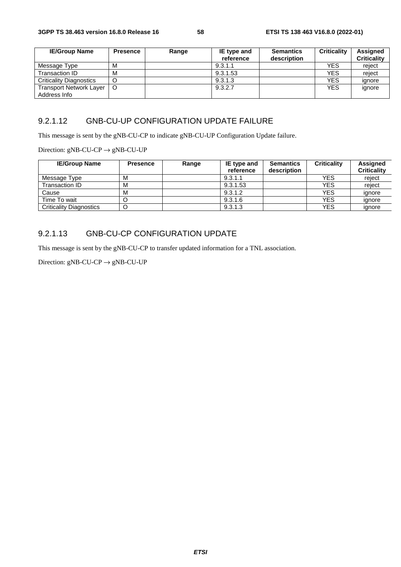| <b>IE/Group Name</b>           | <b>Presence</b> | Range | IE type and | <b>Semantics</b> | <b>Criticality</b> | <b>Assigned</b>    |
|--------------------------------|-----------------|-------|-------------|------------------|--------------------|--------------------|
|                                |                 |       | reference   | description      |                    | <b>Criticality</b> |
| Message Type                   | M               |       | 9.3.1.1     |                  | <b>YES</b>         | reject             |
| Transaction ID                 | M               |       | 9.3.1.53    |                  | <b>YES</b>         | reject             |
| <b>Criticality Diagnostics</b> |                 |       | 9.3.1.3     |                  | <b>YES</b>         | ignore             |
| Transport Network Layer        | $\circ$         |       | 9.3.2.7     |                  | <b>YES</b>         | ignore             |
| Address Info                   |                 |       |             |                  |                    |                    |

## 9.2.1.12 GNB-CU-UP CONFIGURATION UPDATE FAILURE

This message is sent by the gNB-CU-CP to indicate gNB-CU-UP Configuration Update failure.

Direction:  $gNB-CU-CP \rightarrow gNB-CU-UP$ 

| <b>IE/Group Name</b>           | <b>Presence</b> | Range | IE type and | Semantics   | <b>Criticality</b> | <b>Assigned</b>    |
|--------------------------------|-----------------|-------|-------------|-------------|--------------------|--------------------|
|                                |                 |       | reference   | description |                    | <b>Criticality</b> |
| Message Type                   | М               |       | 9.3.1.1     |             | YES                | reject             |
| Transaction ID                 | M               |       | 9.3.1.53    |             | <b>YES</b>         | reiect             |
| Cause                          | М               |       | 9.3.1.2     |             | <b>YES</b>         | ignore             |
| Time To wait                   |                 |       | 9.3.1.6     |             | <b>YES</b>         | ignore             |
| <b>Criticality Diagnostics</b> | O               |       | 9.3.1.3     |             | <b>YES</b>         | ignore             |

## 9.2.1.13 GNB-CU-CP CONFIGURATION UPDATE

This message is sent by the gNB-CU-CP to transfer updated information for a TNL association.

Direction:  $gNB-CU-CP \rightarrow gNB-CU-UP$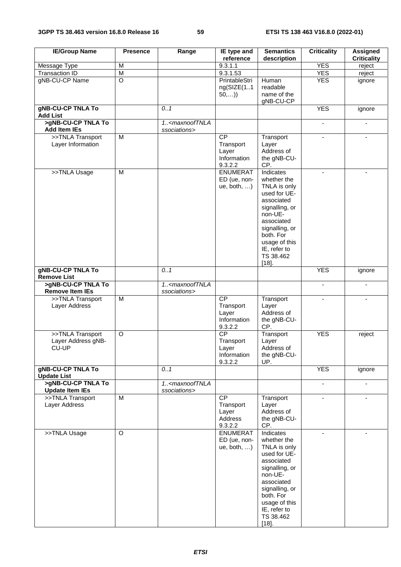| <b>IE/Group Name</b>                                        | <b>Presence</b> | Range                                                                                                                                                         | IE type and<br>reference                                           | <b>Semantics</b><br>description                                                                                                                                                                                   | <b>Criticality</b>       | <b>Assigned</b><br><b>Criticality</b> |
|-------------------------------------------------------------|-----------------|---------------------------------------------------------------------------------------------------------------------------------------------------------------|--------------------------------------------------------------------|-------------------------------------------------------------------------------------------------------------------------------------------------------------------------------------------------------------------|--------------------------|---------------------------------------|
| Message Type                                                | M               |                                                                                                                                                               | 9.3.1.1                                                            |                                                                                                                                                                                                                   | <b>YES</b>               | reject                                |
| <b>Transaction ID</b>                                       | ${\sf M}$       |                                                                                                                                                               | 9.3.1.53                                                           |                                                                                                                                                                                                                   | <b>YES</b>               | reject                                |
| gNB-CU-CP Name                                              | $\overline{O}$  |                                                                                                                                                               | PrintableStri                                                      | Human                                                                                                                                                                                                             | <b>YES</b>               | ignore                                |
|                                                             |                 |                                                                                                                                                               | ng(SIZE(11)<br>50,)                                                | readable<br>name of the<br>gNB-CU-CP                                                                                                                                                                              |                          |                                       |
| <b>gNB-CU-CP TNLA To</b><br><b>Add List</b>                 |                 | 0.1                                                                                                                                                           |                                                                    |                                                                                                                                                                                                                   | <b>YES</b>               | ignore                                |
| >gNB-CU-CP TNLA To<br><b>Add Item IEs</b>                   |                 | 1 <maxnooftnla<br>ssociations&gt;</maxnooftnla<br>                                                                                                            |                                                                    |                                                                                                                                                                                                                   | $\overline{\phantom{a}}$ | $\blacksquare$                        |
| >>TNLA Transport<br>Layer Information                       | $\overline{M}$  |                                                                                                                                                               | $\overline{CP}$<br>Transport<br>Layer<br>Information               | Transport<br>Layer<br>Address of<br>the gNB-CU-                                                                                                                                                                   | $\blacksquare$           | $\sim$                                |
| >>TNLA Usage                                                | M               |                                                                                                                                                               | 9.3.2.2<br><b>ENUMERAT</b><br>ED (ue, non-<br>ue, both, $\ldots$ ) | CP.<br>Indicates<br>whether the<br>TNLA is only<br>used for UE-<br>associated<br>signalling, or<br>non-UE-<br>associated<br>signalling, or<br>both. For<br>usage of this<br>IE, refer to<br>TS 38.462<br>$[18]$ . | $\blacksquare$           |                                       |
| <b>gNB-CU-CP TNLA To</b>                                    |                 | 0.1                                                                                                                                                           |                                                                    |                                                                                                                                                                                                                   | <b>YES</b>               | ignore                                |
| <b>Remove List</b><br>>gNB-CU-CP TNLA To                    |                 | 1 <maxnooftnla< td=""><td></td><td></td><td><math display="inline">\blacksquare</math></td><td><math display="inline">\blacksquare</math></td></maxnooftnla<> |                                                                    |                                                                                                                                                                                                                   | $\blacksquare$           | $\blacksquare$                        |
| <b>Remove Item IEs</b><br>>>TNLA Transport<br>Layer Address | $\overline{M}$  | ssociations>                                                                                                                                                  | <b>CP</b><br>Transport<br>Layer<br>Information<br>9.3.2.2          | Transport<br>Layer<br>Address of<br>the gNB-CU-<br>CP.                                                                                                                                                            | $\overline{a}$           |                                       |
| >>TNLA Transport<br>Layer Address gNB-<br>CU-UP             | $\circ$         |                                                                                                                                                               | CP<br>Transport<br>Layer<br>Information<br>9.3.2.2                 | Transport<br>Layer<br>Address of<br>the gNB-CU-<br>UP.                                                                                                                                                            | <b>YES</b>               | reject                                |
| <b>gNB-CU-CP TNLA To</b><br><b>Update List</b>              |                 | 0.1                                                                                                                                                           |                                                                    |                                                                                                                                                                                                                   | <b>YES</b>               | ignore                                |
| >gNB-CU-CP TNLA To<br><b>Update Item IEs</b>                |                 | 1 <maxnooftnla<br>ssociations&gt;</maxnooftnla<br>                                                                                                            |                                                                    |                                                                                                                                                                                                                   | $\blacksquare$           | $\overline{\phantom{a}}$              |
| >>TNLA Transport<br>Layer Address                           | M               |                                                                                                                                                               | CP<br>Transport<br>Layer<br>Address<br>9.3.2.2                     | Transport<br>Layer<br>Address of<br>the gNB-CU-<br>CP.                                                                                                                                                            | $\blacksquare$           |                                       |
| >>TNLA Usage                                                | $\circ$         |                                                                                                                                                               | <b>ENUMERAT</b><br>ED (ue, non-<br>ue, both, $\ldots$ )            | Indicates<br>whether the<br>TNLA is only<br>used for UE-<br>associated<br>signalling, or<br>non-UE-<br>associated<br>signalling, or<br>both. For<br>usage of this<br>IE, refer to<br>TS 38.462<br>$[18]$ .        |                          |                                       |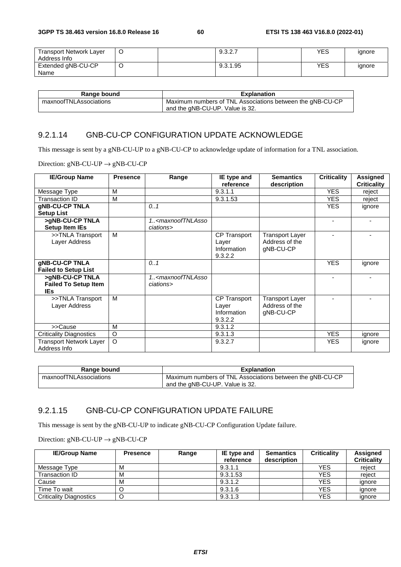| <b>Transport Network Layer</b><br>Address Info | ๛ | 9.3.2.7  | YES | ignore |
|------------------------------------------------|---|----------|-----|--------|
| Extended gNB-CU-CP<br>Name                     |   | 9.3.1.95 | YES | ignore |

| Range bound            | <b>Explanation</b>                                        |
|------------------------|-----------------------------------------------------------|
| maxnoofTNLAssociations | Maximum numbers of TNL Associations between the gNB-CU-CP |
|                        | and the gNB-CU-UP. Value is 32.                           |

#### 9.2.1.14 GNB-CU-CP CONFIGURATION UPDATE ACKNOWLEDGE

This message is sent by a gNB-CU-UP to a gNB-CU-CP to acknowledge update of information for a TNL association.

Direction:  $gNB-CU-UP \rightarrow gNB-CU-CP$ 

| <b>IE/Group Name</b>           | <b>Presence</b> | Range                                                                            | IE type and         | <b>Semantics</b>       | <b>Criticality</b> | <b>Assigned</b>    |
|--------------------------------|-----------------|----------------------------------------------------------------------------------|---------------------|------------------------|--------------------|--------------------|
|                                |                 |                                                                                  | reference           | description            |                    | <b>Criticality</b> |
| Message Type                   | М               |                                                                                  | 9.3.1.1             |                        | <b>YES</b>         | reject             |
| <b>Transaction ID</b>          | M               |                                                                                  | 9.3.1.53            |                        | <b>YES</b>         | reject             |
| gNB-CU-CP TNLA                 |                 | 0.1                                                                              |                     |                        | <b>YES</b>         | ignore             |
| <b>Setup List</b>              |                 |                                                                                  |                     |                        |                    |                    |
| >gNB-CU-CP TNLA                |                 | 1. <maxnooftnlasso< td=""><td></td><td></td><td></td><td></td></maxnooftnlasso<> |                     |                        |                    |                    |
| Setup Item IEs                 |                 | ciations>                                                                        |                     |                        |                    |                    |
| >>TNLA Transport               | M               |                                                                                  | <b>CP Transport</b> | <b>Transport Layer</b> |                    |                    |
| Layer Address                  |                 |                                                                                  | Layer               | Address of the         |                    |                    |
|                                |                 |                                                                                  | Information         | gNB-CU-CP              |                    |                    |
|                                |                 |                                                                                  | 9.3.2.2             |                        |                    |                    |
| gNB-CU-CP TNLA                 |                 | 0.1                                                                              |                     |                        | <b>YES</b>         | ignore             |
| <b>Failed to Setup List</b>    |                 |                                                                                  |                     |                        |                    |                    |
| >gNB-CU-CP TNLA                |                 | 1 <maxnooftnlasso< td=""><td></td><td></td><td></td><td></td></maxnooftnlasso<>  |                     |                        |                    |                    |
| <b>Failed To Setup Item</b>    |                 | ciations>                                                                        |                     |                        |                    |                    |
| <b>IEs</b>                     |                 |                                                                                  |                     |                        |                    |                    |
| >>TNLA Transport               | M               |                                                                                  | <b>CP Transport</b> | <b>Transport Layer</b> |                    |                    |
| Layer Address                  |                 |                                                                                  | Layer               | Address of the         |                    |                    |
|                                |                 |                                                                                  | Information         | gNB-CU-CP              |                    |                    |
|                                |                 |                                                                                  | 9.3.2.2             |                        |                    |                    |
| >>Cause                        | M               |                                                                                  | 9.3.1.2             |                        |                    |                    |
| <b>Criticality Diagnostics</b> | O               |                                                                                  | 9.3.1.3             |                        | <b>YES</b>         | ignore             |
| <b>Transport Network Layer</b> | $\circ$         |                                                                                  | 9.3.2.7             |                        | <b>YES</b>         | ignore             |
| Address Info                   |                 |                                                                                  |                     |                        |                    |                    |

| Range bound            | <b>Explanation</b>                                                                           |
|------------------------|----------------------------------------------------------------------------------------------|
| maxnoofTNLAssociations | Maximum numbers of TNL Associations between the gNB-CU-CP<br>and the gNB-CU-UP. Value is 32. |

## 9.2.1.15 GNB-CU-CP CONFIGURATION UPDATE FAILURE

This message is sent by the gNB-CU-UP to indicate gNB-CU-CP Configuration Update failure.

Direction:  $gNB-CU-UP \rightarrow gNB-CU-CP$ 

| <b>IE/Group Name</b>           | <b>Presence</b> | Range | IE type and<br>reference | <b>Semantics</b><br>description | <b>Criticality</b> | <b>Assigned</b><br><b>Criticality</b> |
|--------------------------------|-----------------|-------|--------------------------|---------------------------------|--------------------|---------------------------------------|
| Message Type                   | М               |       | 9.3.1.1                  |                                 | <b>YES</b>         | reiect                                |
| Transaction ID                 | М               |       | 9.3.1.53                 |                                 | <b>YES</b>         | reiect                                |
| Cause                          | М               |       | 9.3.1.2                  |                                 | <b>YES</b>         | ignore                                |
| Time To wait                   |                 |       | 9.3.1.6                  |                                 | <b>YES</b>         | ignore                                |
| <b>Criticality Diagnostics</b> |                 |       | 9.3.1.3                  |                                 | <b>YES</b>         | ignore                                |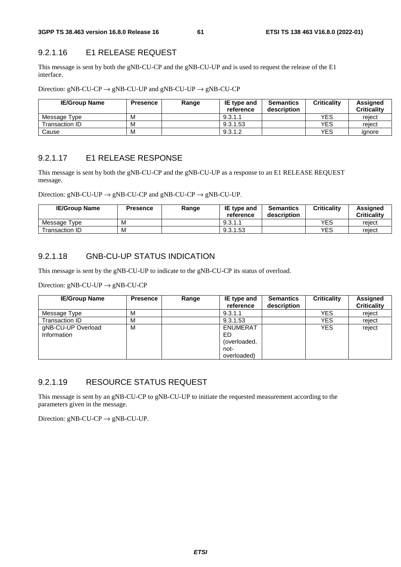## 9.2.1.16 E1 RELEASE REQUEST

This message is sent by both the gNB-CU-CP and the gNB-CU-UP and is used to request the release of the E1 interface.

Direction:  $gNB-CU-CP \rightarrow gNB-CU-UP$  and  $gNB-CU-UP \rightarrow gNB-CU-CP$ 

| <b>IE/Group Name</b> | Presence | Range | IE type and<br>reference | <b>Semantics</b><br>description | <b>Criticality</b> | <b>Assigned</b><br><b>Criticality</b> |
|----------------------|----------|-------|--------------------------|---------------------------------|--------------------|---------------------------------------|
| Message Type         | M        |       | 9.3.1.1                  |                                 | YES                | reject                                |
| Transaction ID_      | м        |       | 9.3.1.53                 |                                 | <b>YES</b>         | reject                                |
| Cause                | M        |       | 9.3.1.2                  |                                 | YES                | ignore                                |

## 9.2.1.17 E1 RELEASE RESPONSE

This message is sent by both the gNB-CU-CP and the gNB-CU-UP as a response to an E1 RELEASE REQUEST message.

Direction:  $gNB-CU-UP \rightarrow gNB-CU-CP$  and  $gNB-CU-CP \rightarrow gNB-CU-UP$ .

| <b>IE/Group Name</b>         | Presence | Range | <b>IE</b> type and<br>reference | <b>Semantics</b><br>description | <b>Criticality</b> | Assianed<br>Criticalitv |
|------------------------------|----------|-------|---------------------------------|---------------------------------|--------------------|-------------------------|
| Message <sup>-</sup><br>Type | M        |       | 9.3.1.1                         |                                 | YES                | reject                  |
| Transaction ID               | M        |       | 9.3.1.53                        |                                 | YES                | reject                  |

## 9.2.1.18 GNB-CU-UP STATUS INDICATION

This message is sent by the gNB-CU-UP to indicate to the gNB-CU-CP its status of overload.

Direction:  $gNB-CU-UP \rightarrow gNB-CU-CP$ 

| <b>IE/Group Name</b>              | <b>Presence</b> | Range | IE type and<br>reference                                      | <b>Semantics</b><br>description | <b>Criticality</b> | Assigned<br><b>Criticality</b> |
|-----------------------------------|-----------------|-------|---------------------------------------------------------------|---------------------------------|--------------------|--------------------------------|
| Message Type                      | м               |       | 9.3.1.1                                                       |                                 | <b>YES</b>         | reject                         |
| Transaction ID                    | м               |       | 9.3.1.53                                                      |                                 | <b>YES</b>         | reject                         |
| gNB-CU-UP Overload<br>Information | M               |       | <b>ENUMERAT</b><br>ED.<br>(overloaded,<br>not-<br>overloaded) |                                 | <b>YES</b>         | reject                         |

## 9.2.1.19 RESOURCE STATUS REQUEST

This message is sent by an gNB-CU-CP to gNB-CU-UP to initiate the requested measurement according to the parameters given in the message.

Direction:  $gNB-CU-CP \rightarrow gNB-CU-UP$ .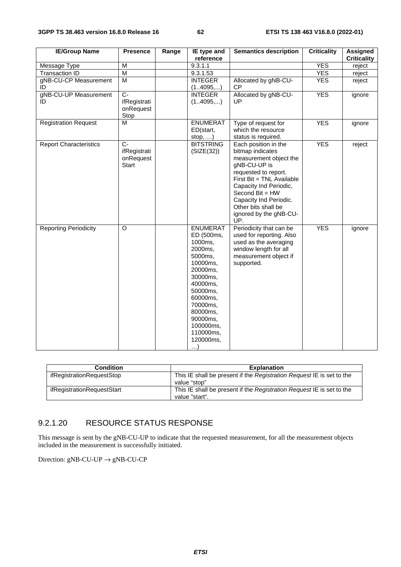| <b>IE/Group Name</b>          | <b>Presence</b>                                    | Range | IE type and<br>reference                                                                                                                                                                                                      | <b>Semantics description</b>                                                                                                                                                                                                                                           | <b>Criticality</b> | <b>Assigned</b><br><b>Criticality</b> |
|-------------------------------|----------------------------------------------------|-------|-------------------------------------------------------------------------------------------------------------------------------------------------------------------------------------------------------------------------------|------------------------------------------------------------------------------------------------------------------------------------------------------------------------------------------------------------------------------------------------------------------------|--------------------|---------------------------------------|
| Message Type                  | M                                                  |       | 9.3.1.1                                                                                                                                                                                                                       |                                                                                                                                                                                                                                                                        | <b>YES</b>         | reject                                |
| Transaction ID                | M                                                  |       | 9.3.1.53                                                                                                                                                                                                                      |                                                                                                                                                                                                                                                                        | <b>YES</b>         | reject                                |
| gNB-CU-CP Measurement         | M                                                  |       | <b>INTEGER</b>                                                                                                                                                                                                                | Allocated by gNB-CU-                                                                                                                                                                                                                                                   | <b>YES</b>         | reject                                |
| ID                            |                                                    |       | (14095,)                                                                                                                                                                                                                      | <b>CP</b>                                                                                                                                                                                                                                                              |                    |                                       |
| gNB-CU-UP Measurement<br>ID   | $C -$<br>ifRegistrati<br>onRequest<br>Stop         |       | <b>INTEGER</b><br>(14095,)                                                                                                                                                                                                    | Allocated by gNB-CU-<br>UP                                                                                                                                                                                                                                             | <b>YES</b>         | ignore                                |
| <b>Registration Request</b>   | M                                                  |       | <b>ENUMERAT</b><br>ED(start,<br>stop, )                                                                                                                                                                                       | Type of request for<br>which the resource<br>status is required.                                                                                                                                                                                                       | <b>YES</b>         | ignore                                |
| <b>Report Characteristics</b> | $C -$<br>ifRegistrati<br>onRequest<br><b>Start</b> |       | <b>BITSTRING</b><br>(SIZE(32))                                                                                                                                                                                                | Each position in the<br>bitmap indicates<br>measurement object the<br>gNB-CU-UP is<br>requested to report.<br>First Bit = TNL Available<br>Capacity Ind Periodic,<br>Second Bit = HW<br>Capacity Ind Periodic.<br>Other bits shall be<br>ignored by the gNB-CU-<br>UP. | <b>YES</b>         | reject                                |
| <b>Reporting Periodicity</b>  | $\circ$                                            |       | <b>ENUMERAT</b><br>ED (500ms,<br>1000ms,<br>2000ms,<br>5000ms,<br>10000ms,<br>20000ms,<br>30000ms,<br>40000ms,<br>50000ms,<br>60000ms,<br>70000ms,<br>80000ms,<br>90000ms,<br>100000ms,<br>110000ms,<br>120000ms,<br>$\ldots$ | Periodicity that can be<br>used for reporting. Also<br>used as the averaging<br>window length for all<br>measurement object if<br>supported.                                                                                                                           | <b>YES</b>         | ignore                                |

| <b>Condition</b>           | <b>Explanation</b>                                                                      |
|----------------------------|-----------------------------------------------------------------------------------------|
| ifRegistrationRequestStop  | This IE shall be present if the Registration Reguest IE is set to the<br>value "stop"   |
| ifRegistrationRequestStart | This IE shall be present if the Registration Reguest IE is set to the<br>value "start". |

## 9.2.1.20 RESOURCE STATUS RESPONSE

This message is sent by the gNB-CU-UP to indicate that the requested measurement, for all the measurement objects included in the measurement is successfully initiated.

Direction: gNB-CU-UP → gNB-CU-CP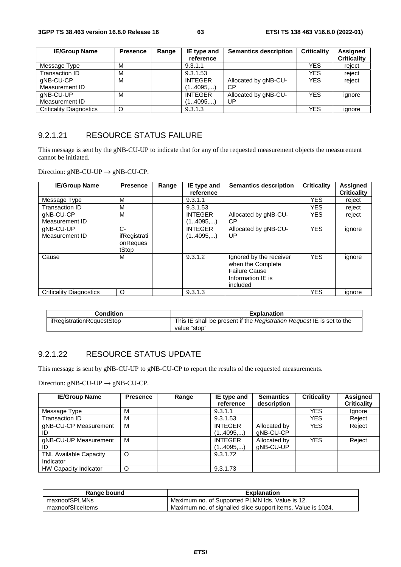| <b>IE/Group Name</b>           | <b>Presence</b> | Range | IE type and    | <b>Semantics description</b> | <b>Criticality</b> | Assigned           |
|--------------------------------|-----------------|-------|----------------|------------------------------|--------------------|--------------------|
|                                |                 |       | reference      |                              |                    | <b>Criticality</b> |
| Message Type                   | м               |       | 9.3.1.1        |                              | <b>YES</b>         | reject             |
| Transaction ID                 | М               |       | 9.3.1.53       |                              | YES                | reject             |
| gNB-CU-CP                      | м               |       | <b>INTEGER</b> | Allocated by gNB-CU-         | <b>YES</b>         | reject             |
| Measurement ID                 |                 |       | (14095,)       | СP                           |                    |                    |
| gNB-CU-UP                      | м               |       | <b>INTEGER</b> | Allocated by gNB-CU-         | <b>YES</b>         | ignore             |
| Measurement ID                 |                 |       | (14095)        | UP                           |                    |                    |
| <b>Criticality Diagnostics</b> | O               |       | 9.3.1.3        |                              | <b>YES</b>         | ianore             |

## 9.2.1.21 RESOURCE STATUS FAILURE

This message is sent by the gNB-CU-UP to indicate that for any of the requested measurement objects the measurement cannot be initiated.

Direction:  $gNB-CU-UP \rightarrow gNB-CU-CP$ .

| <b>IE/Group Name</b>    | <b>Presence</b> | Range | IE type and    | <b>Semantics description</b> | <b>Criticality</b> | Assigned           |
|-------------------------|-----------------|-------|----------------|------------------------------|--------------------|--------------------|
|                         |                 |       | reference      |                              |                    | <b>Criticality</b> |
| Message Type            | м               |       | 9.3.1.1        |                              | <b>YES</b>         | reject             |
| Transaction ID          | M               |       | 9.3.1.53       |                              | <b>YES</b>         | reject             |
| qNB-CU-CP               | м               |       | <b>INTEGER</b> | Allocated by gNB-CU-         | <b>YES</b>         | reject             |
| Measurement ID          |                 |       | (14095)        | СP                           |                    |                    |
| qNB-CU-UP               | $C-$            |       | <b>INTEGER</b> | Allocated by gNB-CU-         | <b>YES</b>         | ignore             |
| Measurement ID          | ifRegistrati    |       | (14095,)       | UP                           |                    |                    |
|                         | onReques        |       |                |                              |                    |                    |
|                         | tStop           |       |                |                              |                    |                    |
| Cause                   | M               |       | 9.3.1.2        | Ignored by the receiver      | <b>YES</b>         | ignore             |
|                         |                 |       |                | when the Complete            |                    |                    |
|                         |                 |       |                | <b>Failure Cause</b>         |                    |                    |
|                         |                 |       |                | Information IE is            |                    |                    |
|                         |                 |       |                | included                     |                    |                    |
| Criticality Diagnostics | O               |       | 9.3.1.3        |                              | <b>YES</b>         | ignore             |

| Condition                 | <b>Explanation</b>                                                    |
|---------------------------|-----------------------------------------------------------------------|
| ifRegistrationReguestStop | This IE shall be present if the Registration Request IE is set to the |
|                           | value "stop"                                                          |

## 9.2.1.22 RESOURCE STATUS UPDATE

This message is sent by gNB-CU-UP to gNB-CU-CP to report the results of the requested measurements.

Direction:  $gNB-CU-UP \rightarrow gNB-CU-CP$ .

| <b>IE/Group Name</b>          | <b>Presence</b> | Range | IE type and    | <b>Semantics</b> | <b>Criticality</b> | <b>Assigned</b>    |
|-------------------------------|-----------------|-------|----------------|------------------|--------------------|--------------------|
|                               |                 |       | reference      | description      |                    | <b>Criticality</b> |
| Message Type                  | м               |       | 9.3.1.1        |                  | <b>YES</b>         | lgnore             |
| Transaction ID                | М               |       | 9.3.1.53       |                  | <b>YES</b>         | Reject             |
| gNB-CU-CP Measurement         | м               |       | <b>INTEGER</b> | Allocated by     | <b>YES</b>         | Reject             |
| ID                            |                 |       | (14095,)       | gNB-CU-CP        |                    |                    |
| gNB-CU-UP Measurement         | м               |       | <b>INTEGER</b> | Allocated by     | <b>YES</b>         | Reject             |
|                               |                 |       | (14095,)       | gNB-CU-UP        |                    |                    |
| <b>TNL Available Capacity</b> | O               |       | 9.3.1.72       |                  |                    |                    |
| Indicator                     |                 |       |                |                  |                    |                    |
| HW Capacity Indicator         | O               |       | 9.3.1.73       |                  |                    |                    |

| Range bound       | <b>Explanation</b>                                           |
|-------------------|--------------------------------------------------------------|
| maxnoofSPLMNs     | Maximum no. of Supported PLMN Ids. Value is 12.              |
| maxnoofSliceItems | Maximum no. of signalled slice support items. Value is 1024. |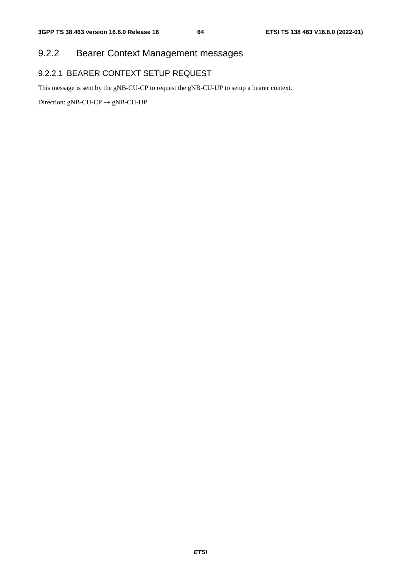# 9.2.2 Bearer Context Management messages

## 9.2.2.1 BEARER CONTEXT SETUP REQUEST

This message is sent by the gNB-CU-CP to request the gNB-CU-UP to setup a bearer context.

Direction:  $gNB-CU-CP \rightarrow gNB-CU-UP$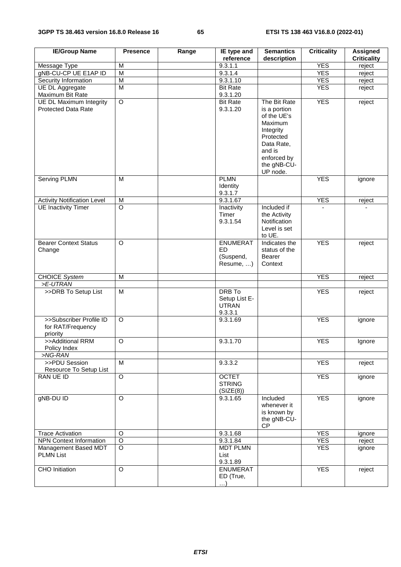| <b>IE/Group Name</b>                                         | <b>Presence</b> | Range | IE type and<br>reference                                  | <b>Semantics</b><br>description                                                                                                                    | <b>Criticality</b> | <b>Assigned</b><br><b>Criticality</b> |
|--------------------------------------------------------------|-----------------|-------|-----------------------------------------------------------|----------------------------------------------------------------------------------------------------------------------------------------------------|--------------------|---------------------------------------|
| Message Type                                                 | M               |       | 9.3.1.1                                                   |                                                                                                                                                    | <b>YES</b>         |                                       |
| gNB-CU-CP UE E1AP ID                                         | $\overline{M}$  |       | 9.3.1.4                                                   |                                                                                                                                                    | <b>YES</b>         | reject<br>reject                      |
| Security Information                                         | $\overline{M}$  |       | 9.3.1.10                                                  |                                                                                                                                                    | <b>YES</b>         |                                       |
|                                                              | $\overline{M}$  |       | <b>Bit Rate</b>                                           |                                                                                                                                                    | <b>YES</b>         | reject                                |
| UE DL Aggregate                                              |                 |       | 9.3.1.20                                                  |                                                                                                                                                    |                    | reject                                |
| Maximum Bit Rate                                             |                 |       |                                                           |                                                                                                                                                    |                    |                                       |
| <b>UE DL Maximum Integrity</b><br><b>Protected Data Rate</b> | O               |       | <b>Bit Rate</b><br>9.3.1.20                               | The Bit Rate<br>is a portion<br>of the UE's<br>Maximum<br>Integrity<br>Protected<br>Data Rate,<br>and is<br>enforced by<br>the gNB-CU-<br>UP node. | <b>YES</b>         | reject                                |
| Serving PLMN                                                 | M               |       | <b>PLMN</b><br>Identity<br>9.3.1.7                        |                                                                                                                                                    | <b>YES</b>         | ignore                                |
| <b>Activity Notification Level</b>                           | M               |       | 9.3.1.67                                                  |                                                                                                                                                    | <b>YES</b>         | reject                                |
| <b>UE Inactivity Timer</b>                                   | $\overline{O}$  |       | Inactivity<br>Timer<br>9.3.1.54                           | Included if<br>the Activity<br>Notification<br>Level is set<br>to UE.                                                                              |                    |                                       |
| <b>Bearer Context Status</b><br>Change                       | $\overline{O}$  |       | <b>ENUMERAT</b><br><b>ED</b><br>(Suspend,<br>Resume, )    | Indicates the<br>status of the<br>Bearer<br>Context                                                                                                | <b>YES</b>         | reject                                |
| <b>CHOICE System</b>                                         | M               |       |                                                           |                                                                                                                                                    | <b>YES</b>         | reject                                |
| >E-UTRAN                                                     |                 |       |                                                           |                                                                                                                                                    |                    |                                       |
| >>DRB To Setup List                                          | M               |       | <b>DRB</b> To<br>Setup List E-<br><b>UTRAN</b><br>9.3.3.1 |                                                                                                                                                    | <b>YES</b>         | reject                                |
| >>Subscriber Profile ID<br>for RAT/Frequency<br>priority     | $\overline{O}$  |       | 9.3.1.69                                                  |                                                                                                                                                    | <b>YES</b>         | ignore                                |
| >>Additional RRM<br>Policy Index                             | $\overline{O}$  |       | 9.3.1.70                                                  |                                                                                                                                                    | <b>YES</b>         | Ignore                                |
| >NG-RAN                                                      |                 |       |                                                           |                                                                                                                                                    |                    |                                       |
| >>PDU Session<br>Resource To Setup List                      | $\overline{M}$  |       | 9.3.3.2                                                   |                                                                                                                                                    | <b>YES</b>         | reject                                |
| <b>RAN UE ID</b>                                             | $\overline{O}$  |       | <b>OCTET</b><br><b>STRING</b><br>(SIZE(8))                |                                                                                                                                                    | <b>YES</b>         | ignore                                |
| gNB-DU ID                                                    | $\circ$         |       | 9.3.1.65                                                  | Included<br>whenever it<br>is known by<br>the gNB-CU-<br><b>CP</b>                                                                                 | <b>YES</b>         | ignore                                |
| <b>Trace Activation</b>                                      | $\circ$         |       | 9.3.1.68                                                  |                                                                                                                                                    | <b>YES</b>         | ignore                                |
| <b>NPN Context Information</b>                               | $\overline{O}$  |       | 9.3.1.84                                                  |                                                                                                                                                    | <b>YES</b>         | reject                                |
| Management Based MDT<br><b>PLMN List</b>                     | $\overline{O}$  |       | <b>MDT PLMN</b><br>List<br>9.3.1.89                       |                                                                                                                                                    | <b>YES</b>         | ignore                                |
| <b>CHO</b> Initiation                                        | $\overline{O}$  |       | <b>ENUMERAT</b><br>ED (True,<br>$\ldots$                  |                                                                                                                                                    | <b>YES</b>         | reject                                |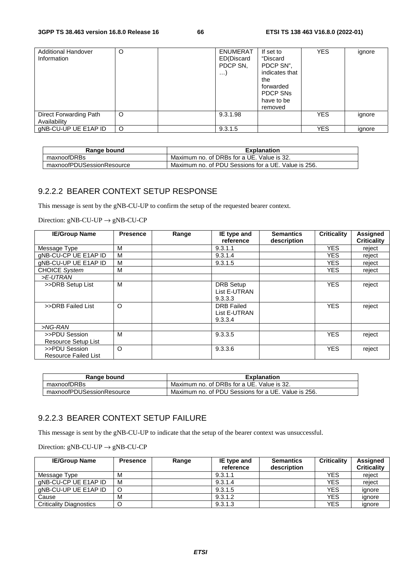| <b>Additional Handover</b><br>Information | O       | <b>ENUMERAT</b><br>ED(Discard<br>PDCP SN,<br>$\cdots$ | If set to<br>"Discard<br>PDCP SN",<br>indicates that<br>the<br>forwarded<br><b>PDCP SNs</b><br>have to be<br>removed | <b>YES</b> | ignore |
|-------------------------------------------|---------|-------------------------------------------------------|----------------------------------------------------------------------------------------------------------------------|------------|--------|
| Direct Forwarding Path<br>Availability    | $\circ$ | 9.3.1.98                                              |                                                                                                                      | <b>YES</b> | ignore |
| gNB-CU-UP UE E1AP ID                      | $\circ$ | 9.3.1.5                                               |                                                                                                                      | <b>YES</b> | ignore |

| Range bound               | <b>Explanation</b>                                  |
|---------------------------|-----------------------------------------------------|
| maxnoofDRBs               | Maximum no. of DRBs for a UE. Value is 32.          |
| maxnoofPDUSessionResource | Maximum no. of PDU Sessions for a UE. Value is 256. |

## 9.2.2.2 BEARER CONTEXT SETUP RESPONSE

This message is sent by the gNB-CU-UP to confirm the setup of the requested bearer context.

Direction:  $gNB-CU-UP \rightarrow gNB-CU-CP$ 

| <b>IE/Group Name</b>        | <b>Presence</b> | Range | IE type and       | <b>Semantics</b> | <b>Criticality</b> | <b>Assigned</b>    |
|-----------------------------|-----------------|-------|-------------------|------------------|--------------------|--------------------|
|                             |                 |       | reference         | description      |                    | <b>Criticality</b> |
| Message Type                | м               |       | 9.3.1.1           |                  | <b>YES</b>         | reject             |
| gNB-CU-CP UE E1AP ID        | м               |       | 9.3.1.4           |                  | <b>YES</b>         | reject             |
| gNB-CU-UP UE E1AP ID        | м               |       | 9.3.1.5           |                  | YES.               | reject             |
| <b>CHOICE System</b>        | M               |       |                   |                  | <b>YES</b>         | reject             |
| >E-UTRAN                    |                 |       |                   |                  |                    |                    |
| >>DRB Setup List            | м               |       | <b>DRB</b> Setup  |                  | <b>YES</b>         | reject             |
|                             |                 |       | List E-UTRAN      |                  |                    |                    |
|                             |                 |       | 9.3.3.3           |                  |                    |                    |
| >>DRB Failed List           | O               |       | <b>DRB</b> Failed |                  | <b>YES</b>         | reject             |
|                             |                 |       | List E-UTRAN      |                  |                    |                    |
|                             |                 |       | 9.3.3.4           |                  |                    |                    |
| >NG-RAN                     |                 |       |                   |                  |                    |                    |
| >>PDU Session               | M               |       | 9.3.3.5           |                  | <b>YES</b>         | reject             |
| Resource Setup List         |                 |       |                   |                  |                    |                    |
| >>PDU Session               | $\circ$         |       | 9.3.3.6           |                  | <b>YES</b>         | reject             |
| <b>Resource Failed List</b> |                 |       |                   |                  |                    |                    |

| Range bound               | <b>Explanation</b>                                  |
|---------------------------|-----------------------------------------------------|
| maxnoofDRBs               | Maximum no. of DRBs for a UE. Value is 32.          |
| maxnoofPDUSessionResource | Maximum no. of PDU Sessions for a UE. Value is 256. |

## 9.2.2.3 BEARER CONTEXT SETUP FAILURE

This message is sent by the gNB-CU-UP to indicate that the setup of the bearer context was unsuccessful.

Direction:  $gNB-CU-UP \rightarrow gNB-CU-CP$ 

| <b>IE/Group Name</b>           | Presence | Range | IE type and<br>reference | <b>Semantics</b><br>description | <b>Criticality</b> | Assigned<br><b>Criticality</b> |
|--------------------------------|----------|-------|--------------------------|---------------------------------|--------------------|--------------------------------|
| Message Type                   | M        |       | 9.3.1.1                  |                                 | <b>YES</b>         | reject                         |
| gNB-CU-CP UE E1AP ID           | M        |       | 9.3.1.4                  |                                 | <b>YES</b>         | reject                         |
| gNB-CU-UP UE E1AP ID           |          |       | 9.3.1.5                  |                                 | <b>YES</b>         | ianore                         |
| Cause                          | M        |       | 9.3.1.2                  |                                 | <b>YES</b>         | ignore                         |
| <b>Criticality Diagnostics</b> |          |       | 9.3.1.3                  |                                 | <b>YES</b>         | ignore                         |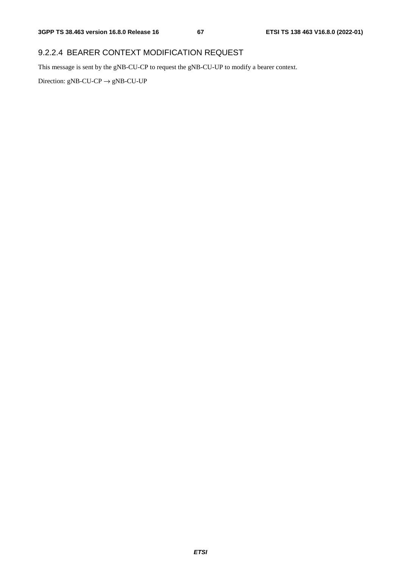## 9.2.2.4 BEARER CONTEXT MODIFICATION REQUEST

This message is sent by the gNB-CU-CP to request the gNB-CU-UP to modify a bearer context.

Direction:  $gNB-CU-CP \rightarrow gNB-CU-UP$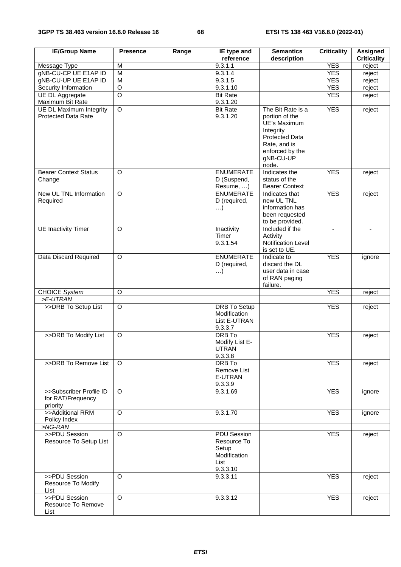| <b>IE/Group Name</b>                                         | <b>Presence</b>         | Range | IE type and<br>reference                                                       | <b>Semantics</b><br>description                                                                                                                    | <b>Criticality</b> | <b>Assigned</b><br><b>Criticality</b> |
|--------------------------------------------------------------|-------------------------|-------|--------------------------------------------------------------------------------|----------------------------------------------------------------------------------------------------------------------------------------------------|--------------------|---------------------------------------|
| Message Type                                                 | M                       |       | 9.3.1.1                                                                        |                                                                                                                                                    | <b>YES</b>         | reject                                |
| gNB-CU-CP UE E1AP ID                                         | $\overline{\mathsf{M}}$ |       | 9.3.1.4                                                                        |                                                                                                                                                    | <b>YES</b>         | reject                                |
| gNB-CU-UP UE E1AP ID                                         | $\overline{\mathsf{M}}$ |       | 9.3.1.5                                                                        |                                                                                                                                                    | <b>YES</b>         | reject                                |
| Security Information                                         | O                       |       | 9.3.1.10                                                                       |                                                                                                                                                    | <b>YES</b>         | reject                                |
| UE DL Aggregate                                              | $\overline{\circ}$      |       | <b>Bit Rate</b>                                                                |                                                                                                                                                    | <b>YES</b>         | reject                                |
| Maximum Bit Rate                                             |                         |       | 9.3.1.20                                                                       |                                                                                                                                                    |                    |                                       |
| <b>UE DL Maximum Integrity</b><br><b>Protected Data Rate</b> | $\overline{O}$          |       | <b>Bit Rate</b><br>9.3.1.20                                                    | The Bit Rate is a<br>portion of the<br>UE's Maximum<br>Integrity<br><b>Protected Data</b><br>Rate, and is<br>enforced by the<br>gNB-CU-UP<br>node. | <b>YES</b>         | reject                                |
| <b>Bearer Context Status</b><br>Change                       | O                       |       | <b>ENUMERATE</b><br>D (Suspend,<br>Resume, )                                   | Indicates the<br>status of the<br><b>Bearer Context</b>                                                                                            | <b>YES</b>         | reject                                |
| New UL TNL Information<br>Required                           | $\overline{O}$          |       | <b>ENUMERATE</b><br>D (required,<br>$\ldots$                                   | Indicates that<br>new UL TNL<br>information has<br>been requested<br>to be provided.                                                               | <b>YES</b>         | reject                                |
| <b>UE Inactivity Timer</b>                                   | O                       |       | Inactivity<br>Timer<br>9.3.1.54                                                | Included if the<br>Activity<br>Notification Level<br>is set to UE.                                                                                 | $\blacksquare$     | $\blacksquare$                        |
| Data Discard Required                                        | O                       |       | <b>ENUMERATE</b><br>D (required,<br>$\ldots$                                   | Indicate to<br>discard the DL<br>user data in case<br>of RAN paging<br>failure.                                                                    | <b>YES</b>         | ignore                                |
| <b>CHOICE System</b>                                         | O                       |       |                                                                                |                                                                                                                                                    | <b>YES</b>         | reject                                |
| >E-UTRAN                                                     |                         |       |                                                                                |                                                                                                                                                    |                    |                                       |
| >>DRB To Setup List                                          | $\overline{O}$          |       | <b>DRB To Setup</b><br>Modification<br>List E-UTRAN<br>9.3.3.7                 |                                                                                                                                                    | <b>YES</b>         | reject                                |
| >>DRB To Modify List                                         | $\circ$                 |       | DRB To<br>Modify List E-<br><b>UTRAN</b><br>9.3.3.8                            |                                                                                                                                                    | <b>YES</b>         | reject                                |
| >>DRB To Remove List                                         | $\circ$                 |       | <b>DRB</b> To<br>Remove List<br>E-UTRAN<br>9.3.3.9                             |                                                                                                                                                    | <b>YES</b>         | reject                                |
| >>Subscriber Profile ID<br>for RAT/Frequency<br>priority     | $\circ$                 |       | 9.3.1.69                                                                       |                                                                                                                                                    | <b>YES</b>         | ignore                                |
| >>Additional RRM<br>Policy Index                             | $\overline{O}$          |       | 9.3.1.70                                                                       |                                                                                                                                                    | <b>YES</b>         | ignore                                |
| $>NG$ -RAN<br>>>PDU Session                                  |                         |       |                                                                                |                                                                                                                                                    |                    |                                       |
| Resource To Setup List                                       | $\circ$                 |       | <b>PDU Session</b><br>Resource To<br>Setup<br>Modification<br>List<br>9.3.3.10 |                                                                                                                                                    | <b>YES</b>         | reject                                |
| >>PDU Session<br>Resource To Modify<br>List                  | $\overline{O}$          |       | 9.3.3.11                                                                       |                                                                                                                                                    | <b>YES</b>         | reject                                |
| >>PDU Session<br>Resource To Remove<br>List                  | $\overline{O}$          |       | 9.3.3.12                                                                       |                                                                                                                                                    | <b>YES</b>         | reject                                |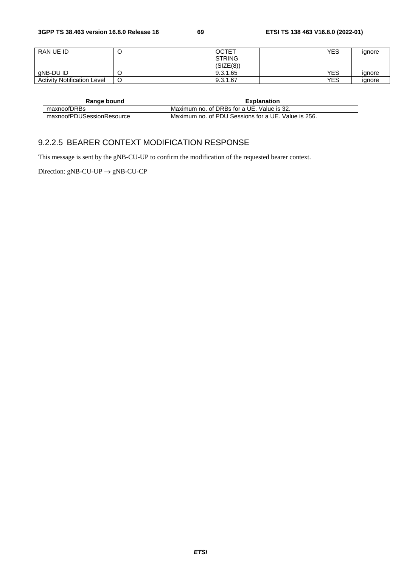| RAN UE ID                          | <b>OCTET</b>  | YES | ignore |
|------------------------------------|---------------|-----|--------|
|                                    | <b>STRING</b> |     |        |
|                                    | (SIZE(8))     |     |        |
| gNB-DU ID                          | 9.3.1.65      | YES | ignore |
| <b>Activity Notification Level</b> | 9.3.1.67      | YES | ignore |

| Range bound               | <b>Explanation</b>                                  |
|---------------------------|-----------------------------------------------------|
| maxnoofDRBs               | Maximum no. of DRBs for a UE. Value is 32.          |
| maxnoofPDUSessionResource | Maximum no. of PDU Sessions for a UE. Value is 256. |

## 9.2.2.5 BEARER CONTEXT MODIFICATION RESPONSE

This message is sent by the gNB-CU-UP to confirm the modification of the requested bearer context.

Direction: gNB-CU-UP  $\rightarrow$  gNB-CU-CP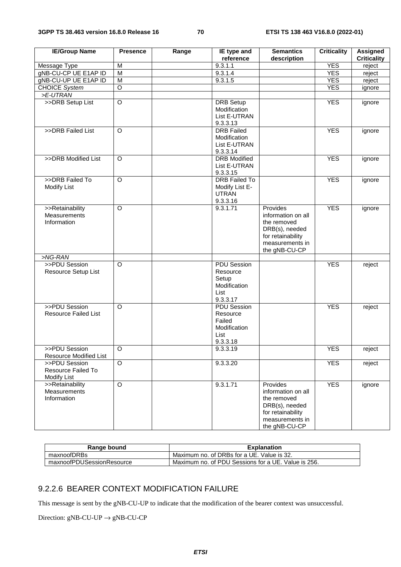| <b>IE/Group Name</b>          | <b>Presence</b> | Range | IE type and<br>reference         | <b>Semantics</b>                  | <b>Criticality</b> | <b>Assigned</b><br><b>Criticality</b> |
|-------------------------------|-----------------|-------|----------------------------------|-----------------------------------|--------------------|---------------------------------------|
| Message Type                  | M               |       | 9.3.1.1                          | description                       | <b>YES</b>         | reject                                |
| gNB-CU-CP UE E1AP ID          | $\overline{M}$  |       | 9.3.1.4                          |                                   | <b>YES</b>         | reject                                |
| gNB-CU-UP UE E1AP ID          | M               |       | 9.3.1.5                          |                                   | <b>YES</b>         | reject                                |
| <b>CHOICE System</b>          | $\circ$         |       |                                  |                                   | <b>YES</b>         | ignore                                |
| >E-UTRAN                      |                 |       |                                  |                                   |                    |                                       |
| >>DRB Setup List              | O               |       | <b>DRB</b> Setup                 |                                   | <b>YES</b>         | ignore                                |
|                               |                 |       | Modification                     |                                   |                    |                                       |
|                               |                 |       | List E-UTRAN                     |                                   |                    |                                       |
|                               |                 |       | 9.3.3.13                         |                                   |                    |                                       |
| >>DRB Failed List             | $\circ$         |       | <b>DRB</b> Failed                |                                   | <b>YES</b>         | ignore                                |
|                               |                 |       | Modification                     |                                   |                    |                                       |
|                               |                 |       | List E-UTRAN                     |                                   |                    |                                       |
|                               |                 |       | 9.3.3.14                         |                                   |                    |                                       |
| >>DRB Modified List           | $\circ$         |       | <b>DRB</b> Modified              |                                   | <b>YES</b>         | ignore                                |
|                               |                 |       | List E-UTRAN                     |                                   |                    |                                       |
| >>DRB Failed To               | $\overline{O}$  |       | 9.3.3.15<br><b>DRB Failed To</b> |                                   | <b>YES</b>         |                                       |
| Modify List                   |                 |       | Modify List E-                   |                                   |                    | ignore                                |
|                               |                 |       | <b>UTRAN</b>                     |                                   |                    |                                       |
|                               |                 |       | 9.3.3.16                         |                                   |                    |                                       |
| >>Retainability               | O               |       | 9.3.1.71                         | Provides                          | <b>YES</b>         | ignore                                |
| Measurements                  |                 |       |                                  | information on all                |                    |                                       |
| Information                   |                 |       |                                  | the removed                       |                    |                                       |
|                               |                 |       |                                  | DRB(s), needed                    |                    |                                       |
|                               |                 |       |                                  | for retainability                 |                    |                                       |
|                               |                 |       |                                  | measurements in                   |                    |                                       |
|                               |                 |       |                                  | the gNB-CU-CP                     |                    |                                       |
| >NG-RAN                       |                 |       |                                  |                                   |                    |                                       |
| >>PDU Session                 | O               |       | <b>PDU Session</b>               |                                   | <b>YES</b>         | reject                                |
| Resource Setup List           |                 |       | Resource                         |                                   |                    |                                       |
|                               |                 |       | Setup<br>Modification            |                                   |                    |                                       |
|                               |                 |       | List                             |                                   |                    |                                       |
|                               |                 |       | 9.3.3.17                         |                                   |                    |                                       |
| >>PDU Session                 | O               |       | <b>PDU Session</b>               |                                   | <b>YES</b>         | reject                                |
| <b>Resource Failed List</b>   |                 |       | Resource                         |                                   |                    |                                       |
|                               |                 |       | Failed                           |                                   |                    |                                       |
|                               |                 |       | Modification                     |                                   |                    |                                       |
|                               |                 |       | List                             |                                   |                    |                                       |
|                               |                 |       | 9.3.3.18                         |                                   |                    |                                       |
| >>PDU Session                 | $\circ$         |       | 9.3.3.19                         |                                   | <b>YES</b>         | reject                                |
| <b>Resource Modified List</b> |                 |       |                                  |                                   |                    |                                       |
| >>PDU Session                 | $\overline{O}$  |       | 9.3.3.20                         |                                   | <b>YES</b>         | reject                                |
| Resource Failed To            |                 |       |                                  |                                   |                    |                                       |
| <b>Modify List</b>            |                 |       |                                  |                                   |                    |                                       |
| >>Retainability               | $\mathsf O$     |       | 9.3.1.71                         | Provides                          | <b>YES</b>         | ignore                                |
| Measurements<br>Information   |                 |       |                                  | information on all<br>the removed |                    |                                       |
|                               |                 |       |                                  | DRB(s), needed                    |                    |                                       |
|                               |                 |       |                                  | for retainability                 |                    |                                       |
|                               |                 |       |                                  | measurements in                   |                    |                                       |
|                               |                 |       |                                  | the gNB-CU-CP                     |                    |                                       |

| Range bound               | <b>Explanation</b>                                  |
|---------------------------|-----------------------------------------------------|
| maxnoofDRBs               | Maximum no. of DRBs for a UE. Value is 32.          |
| maxnoofPDUSessionResource | Maximum no. of PDU Sessions for a UE. Value is 256. |

## 9.2.2.6 BEARER CONTEXT MODIFICATION FAILURE

This message is sent by the gNB-CU-UP to indicate that the modification of the bearer context was unsuccessful.

Direction:  $gNB-CU-UP \rightarrow gNB-CU-CP$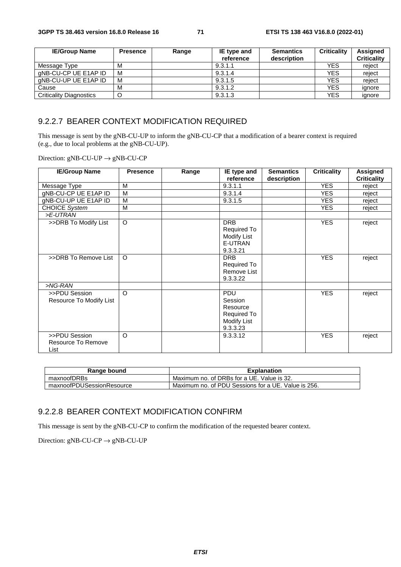| <b>IE/Group Name</b>           | <b>Presence</b> | Range | IE type and | <b>Semantics</b> | <b>Criticality</b> | <b>Assigned</b>    |
|--------------------------------|-----------------|-------|-------------|------------------|--------------------|--------------------|
|                                |                 |       | reference   | description      |                    | <b>Criticality</b> |
| Message Type                   | м               |       | 9.3.1.1     |                  | <b>YES</b>         | reject             |
| gNB-CU-CP UE E1AP ID           | M               |       | 9.3.1.4     |                  | <b>YES</b>         | reject             |
| aNB-CU-UP UE E1AP ID           | M               |       | 9.3.1.5     |                  | <b>YES</b>         | reject             |
| Cause                          | M               |       | 9.3.1.2     |                  | <b>YES</b>         | ignore             |
| <b>Criticality Diagnostics</b> |                 |       | 9.3.1.3     |                  | <b>YES</b>         | ignore             |

#### 9.2.2.7 BEARER CONTEXT MODIFICATION REQUIRED

This message is sent by the gNB-CU-UP to inform the gNB-CU-CP that a modification of a bearer context is required (e.g., due to local problems at the gNB-CU-UP).

Direction:  $gNB-CU-UP \rightarrow gNB-CU-CP$ 

| <b>IE/Group Name</b>                        | <b>Presence</b> | Range | IE type and<br>reference                                                    | <b>Semantics</b><br>description | <b>Criticality</b> | <b>Assigned</b><br><b>Criticality</b> |
|---------------------------------------------|-----------------|-------|-----------------------------------------------------------------------------|---------------------------------|--------------------|---------------------------------------|
| Message Type                                | M               |       | 9.3.1.1                                                                     |                                 | <b>YES</b>         | reject                                |
| gNB-CU-CP UE E1AP ID                        | M               |       | 9.3.1.4                                                                     |                                 | <b>YES</b>         | reject                                |
| gNB-CU-UP UE E1AP ID                        | M               |       | 9.3.1.5                                                                     |                                 | <b>YES</b>         | reject                                |
| <b>CHOICE System</b>                        | M               |       |                                                                             |                                 | <b>YES</b>         | reject                                |
| >E-UTRAN                                    |                 |       |                                                                             |                                 |                    |                                       |
| >>DRB To Modify List                        | $\circ$         |       | <b>DRB</b><br>Required To<br><b>Modify List</b><br>E-UTRAN<br>9.3.3.21      |                                 | <b>YES</b>         | reject                                |
| >>DRB To Remove List                        | $\circ$         |       | <b>DRB</b><br>Required To<br>Remove List<br>9.3.3.22                        |                                 | <b>YES</b>         | reject                                |
| >NG-RAN                                     |                 |       |                                                                             |                                 |                    |                                       |
| >>PDU Session<br>Resource To Modify List    | $\Omega$        |       | PDU<br>Session<br>Resource<br>Required To<br><b>Modify List</b><br>9.3.3.23 |                                 | <b>YES</b>         | reject                                |
| >>PDU Session<br>Resource To Remove<br>List | $\Omega$        |       | 9.3.3.12                                                                    |                                 | <b>YES</b>         | reject                                |

| Range bound               | <b>Explanation</b>                                  |
|---------------------------|-----------------------------------------------------|
| maxnoofDRBs               | Maximum no. of DRBs for a UE. Value is 32.          |
| maxnoofPDUSessionResource | Maximum no. of PDU Sessions for a UE. Value is 256. |

## 9.2.2.8 BEARER CONTEXT MODIFICATION CONFIRM

This message is sent by the gNB-CU-CP to confirm the modification of the requested bearer context.

Direction:  $gNB-CU-CP \rightarrow gNB-CU-UP$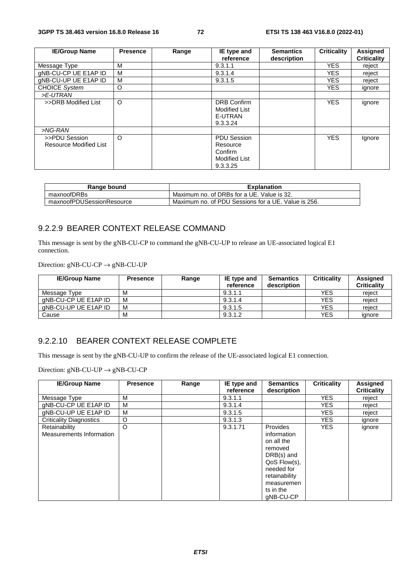| <b>IE/Group Name</b>                    | <b>Presence</b> | Range | IE type and                                                                   | <b>Semantics</b> | <b>Criticality</b> | <b>Assigned</b>    |
|-----------------------------------------|-----------------|-------|-------------------------------------------------------------------------------|------------------|--------------------|--------------------|
|                                         |                 |       | reference                                                                     | description      |                    | <b>Criticality</b> |
| Message Type                            | м               |       | 9.3.1.1                                                                       |                  | <b>YES</b>         | reject             |
| gNB-CU-CP UE E1AP ID                    | м               |       | 9.3.1.4                                                                       |                  | <b>YES</b>         | reject             |
| gNB-CU-UP UE E1AP ID                    | м               |       | 9.3.1.5                                                                       |                  | <b>YES</b>         | reject             |
| <b>CHOICE System</b>                    | O               |       |                                                                               |                  | <b>YES</b>         | ignore             |
| >E-UTRAN                                |                 |       |                                                                               |                  |                    |                    |
| >>DRB Modified List                     | $\circ$         |       | <b>DRB Confirm</b><br><b>Modified List</b><br>E-UTRAN<br>9.3.3.24             |                  | <b>YES</b>         | ignore             |
| >NG-RAN                                 |                 |       |                                                                               |                  |                    |                    |
| >>PDU Session<br>Resource Modified List | $\circ$         |       | <b>PDU Session</b><br>Resource<br>Confirm<br><b>Modified List</b><br>9.3.3.25 |                  | <b>YES</b>         | Ignore             |

| Range bound               | <b>Explanation</b>                                  |
|---------------------------|-----------------------------------------------------|
| maxnoofDRBs               | Maximum no. of DRBs for a UE. Value is 32.          |
| maxnoofPDUSessionResource | Maximum no. of PDU Sessions for a UE. Value is 256. |

### 9.2.2.9 BEARER CONTEXT RELEASE COMMAND

This message is sent by the gNB-CU-CP to command the gNB-CU-UP to release an UE-associated logical E1 connection.

Direction:  $gNB-CU-CP \rightarrow gNB-CU-UP$ 

| <b>IE/Group Name</b> | <b>Presence</b> | Range | IE type and<br>reference | <b>Semantics</b><br>description | <b>Criticality</b> | Assigned<br><b>Criticality</b> |
|----------------------|-----------------|-------|--------------------------|---------------------------------|--------------------|--------------------------------|
|                      |                 |       |                          |                                 |                    |                                |
| Message Type         | M               |       | 9.3.1.1                  |                                 | <b>YES</b>         | reiect                         |
| aNB-CU-CP UE E1AP ID | M               |       | 9.3.1.4                  |                                 | <b>YES</b>         | reiect                         |
| aNB-CU-UP UE E1AP ID | M               |       | 9.3.1.5                  |                                 | <b>YES</b>         | reiect                         |
| Cause                | M               |       | 9.3.1.2                  |                                 | <b>YES</b>         | ignore                         |

### 9.2.2.10 BEARER CONTEXT RELEASE COMPLETE

This message is sent by the gNB-CU-UP to confirm the release of the UE-associated logical E1 connection.

| <b>IE/Group Name</b>                      | <b>Presence</b> | Range | IE type and<br>reference | <b>Semantics</b><br>description                                                                                                                         | <b>Criticality</b> | <b>Assigned</b><br><b>Criticality</b> |
|-------------------------------------------|-----------------|-------|--------------------------|---------------------------------------------------------------------------------------------------------------------------------------------------------|--------------------|---------------------------------------|
| Message Type                              | M               |       | 9.3.1.1                  |                                                                                                                                                         | <b>YES</b>         | reject                                |
| gNB-CU-CP UE E1AP ID                      | м               |       | 9.3.1.4                  |                                                                                                                                                         | <b>YES</b>         | reject                                |
| gNB-CU-UP UE E1AP ID                      | M               |       | 9.3.1.5                  |                                                                                                                                                         | <b>YES</b>         | reject                                |
| <b>Criticality Diagnostics</b>            | O               |       | 9.3.1.3                  |                                                                                                                                                         | <b>YES</b>         | ignore                                |
| Retainability<br>Measurements Information | $\circ$         |       | 9.3.1.71                 | Provides<br>information<br>on all the<br>removed<br>$DRB(s)$ and<br>QoS Flow(s),<br>needed for<br>retainability<br>measuremen<br>ts in the<br>gNB-CU-CP | <b>YES</b>         | ignore                                |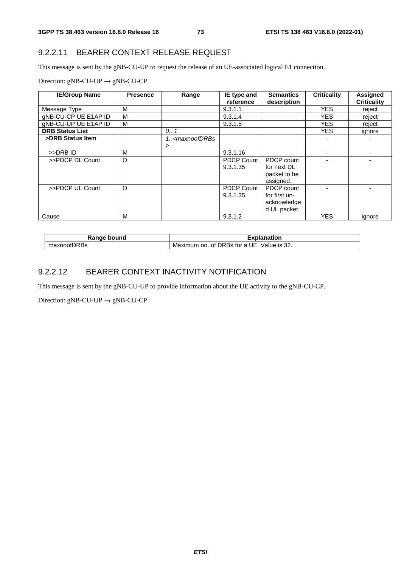### 9.2.2.11 BEARER CONTEXT RELEASE REQUEST

This message is sent by the gNB-CU-UP to request the release of an UE-associated logical E1 connection.

Direction:  $gNB-CU-UP \rightarrow gNB-CU-CP$ 

| <b>IE/Group Name</b>   | <b>Presence</b> | Range                                                                     | IE type and       | <b>Semantics</b> | <b>Criticality</b> | <b>Assigned</b>    |
|------------------------|-----------------|---------------------------------------------------------------------------|-------------------|------------------|--------------------|--------------------|
|                        |                 |                                                                           | reference         | description      |                    | <b>Criticality</b> |
| Message Type           | M               |                                                                           | 9.3.1.1           |                  | <b>YES</b>         | reject             |
| gNB-CU-CP UE E1AP ID   | M               |                                                                           | 9.3.1.4           |                  | <b>YES</b>         | reject             |
| gNB-CU-UP UE E1AP ID   | M               |                                                                           | 9.3.1.5           |                  | <b>YES</b>         | reject             |
| <b>DRB Status List</b> |                 | 0.01                                                                      |                   |                  | <b>YES</b>         | ignore             |
| >DRB Status Item       |                 | 1 <maxnoofdrbs< td=""><td></td><td></td><td></td><td></td></maxnoofdrbs<> |                   |                  |                    |                    |
|                        |                 | >                                                                         |                   |                  |                    |                    |
| >>DRB ID               | M               |                                                                           | 9.3.1.16          |                  |                    |                    |
| >>PDCP DL Count        | $\circ$         |                                                                           | <b>PDCP Count</b> | PDCP count       |                    |                    |
|                        |                 |                                                                           | 9.3.1.35          | for next DL      |                    |                    |
|                        |                 |                                                                           |                   | packet to be     |                    |                    |
|                        |                 |                                                                           |                   | assigned.        |                    |                    |
| >>PDCP UL Count        | $\circ$         |                                                                           | <b>PDCP Count</b> | PDCP count       |                    |                    |
|                        |                 |                                                                           | 9.3.1.35          | for first un-    |                    |                    |
|                        |                 |                                                                           |                   | acknowledge      |                    |                    |
|                        |                 |                                                                           |                   | d UL packet.     |                    |                    |
| Cause                  | M               |                                                                           | 9.3.1.2           |                  | <b>YES</b>         | ignore             |

| Danar<br>ound<br>וחח<br>IXC | <br>м                                                                                                                    |
|-----------------------------|--------------------------------------------------------------------------------------------------------------------------|
| $\sim$<br>max<br>בטו        | $\sim$<br>.<br>Ma<br>JE.<br>1S<br>mum<br>$\cdots$<br>Value<br>no<br><b>DRBS</b><br>tor<br>Οt<br>1 X I I<br>JZ.<br>ີ<br>ີ |

## 9.2.2.12 BEARER CONTEXT INACTIVITY NOTIFICATION

This message is sent by the gNB-CU-UP to provide information about the UE activity to the gNB-CU-CP.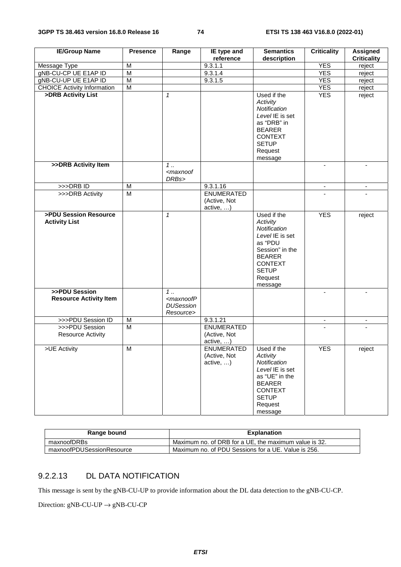| <b>IE/Group Name</b>                           | <b>Presence</b>         | Range                                                                      | IE type and                                            | <b>Semantics</b>                                                                                                                                                  | <b>Criticality</b>       | <b>Assigned</b>    |
|------------------------------------------------|-------------------------|----------------------------------------------------------------------------|--------------------------------------------------------|-------------------------------------------------------------------------------------------------------------------------------------------------------------------|--------------------------|--------------------|
|                                                | M                       |                                                                            | reference<br>9.3.1.1                                   | description                                                                                                                                                       | <b>YES</b>               | <b>Criticality</b> |
| Message Type<br>gNB-CU-CP UE E1AP ID           | $\overline{M}$          |                                                                            | 9.3.1.4                                                |                                                                                                                                                                   | <b>YES</b>               | reject             |
| gNB-CU-UP UE E1AP ID                           | $\overline{\mathsf{M}}$ |                                                                            | 9.3.1.5                                                |                                                                                                                                                                   | <b>YES</b>               | reject             |
| <b>CHOICE Activity Information</b>             | $\overline{\mathsf{M}}$ |                                                                            |                                                        |                                                                                                                                                                   | <b>YES</b>               | reject<br>reject   |
| >DRB Activity List                             |                         | $\mathbf{1}$                                                               |                                                        | Used if the                                                                                                                                                       | <b>YES</b>               |                    |
|                                                |                         |                                                                            |                                                        | Activity<br>Notification<br>Level IE is set<br>as "DRB" in<br><b>BEARER</b><br><b>CONTEXT</b><br><b>SETUP</b><br>Request<br>message                               |                          | reject             |
| >>DRB Activity Item                            |                         | 1<br><maxnoof<br>DRBs&gt;</maxnoof<br>                                     |                                                        |                                                                                                                                                                   | $\mathbf{r}$             | $\blacksquare$     |
| $>>$ DRB ID                                    | M                       |                                                                            | 9.3.1.16                                               |                                                                                                                                                                   | $\overline{\phantom{a}}$ | $\sim$             |
| >>>DRB Activity                                | $\overline{\mathsf{M}}$ |                                                                            | <b>ENUMERATED</b><br>(Active, Not<br>active, )         |                                                                                                                                                                   |                          |                    |
| >PDU Session Resource<br><b>Activity List</b>  |                         | $\mathbf{1}$                                                               |                                                        | Used if the<br>Activity<br>Notification<br>Level IE is set<br>as "PDU<br>Session" in the<br><b>BEARER</b><br><b>CONTEXT</b><br><b>SETUP</b><br>Request<br>message | <b>YES</b>               | reject             |
| >>PDU Session<br><b>Resource Activity Item</b> |                         | $1 \ldots$<br><maxnoofp<br><b>DUSession</b><br/>Resource&gt;</maxnoofp<br> |                                                        |                                                                                                                                                                   | $\sim$                   | $\blacksquare$     |
| >>>PDU Session ID                              | M                       |                                                                            | 9.3.1.21                                               |                                                                                                                                                                   | $\overline{\phantom{a}}$ |                    |
| >>>PDU Session<br><b>Resource Activity</b>     | $\overline{M}$          |                                                                            | <b>ENUMERATED</b><br>(Active, Not<br>active, )         |                                                                                                                                                                   |                          |                    |
| >UE Activity                                   | $\overline{\mathsf{M}}$ |                                                                            | <b>ENUMERATED</b><br>(Active, Not<br>$active, \ldots)$ | Used if the<br>Activity<br>Notification<br>Level IE is set<br>as "UE" in the<br><b>BEARER</b><br><b>CONTEXT</b><br><b>SETUP</b><br>Request<br>message             | <b>YES</b>               | reject             |

| Range bound               | <b>Explanation</b>                                    |
|---------------------------|-------------------------------------------------------|
| maxnoofDRBs               | Maximum no. of DRB for a UE, the maximum value is 32. |
| maxnoofPDUSessionResource | Maximum no. of PDU Sessions for a UE. Value is 256.   |

# 9.2.2.13 DL DATA NOTIFICATION

This message is sent by the gNB-CU-UP to provide information about the DL data detection to the gNB-CU-CP.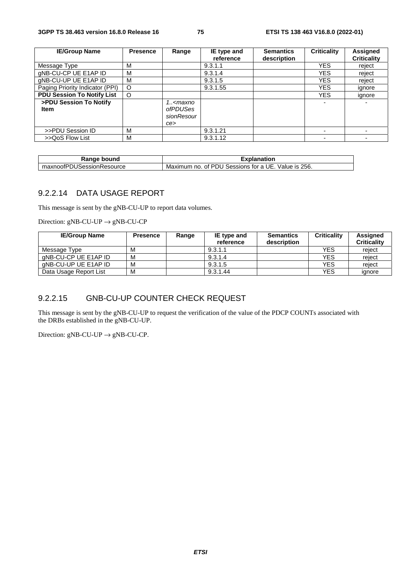| <b>IE/Group Name</b>                  | <b>Presence</b> | Range                                                     | IE type and<br>reference | <b>Semantics</b><br>description | <b>Criticality</b> | Assigned<br><b>Criticality</b> |
|---------------------------------------|-----------------|-----------------------------------------------------------|--------------------------|---------------------------------|--------------------|--------------------------------|
| Message Type                          | м               |                                                           | 9.3.1.1                  |                                 | <b>YES</b>         | reject                         |
| gNB-CU-CP UE E1AP ID                  | м               |                                                           | 9.3.1.4                  |                                 | YES.               | reject                         |
| gNB-CU-UP UE E1AP ID                  | м               |                                                           | 9.3.1.5                  |                                 | YES.               | reject                         |
| Paging Priority Indicator (PPI)       | $\circ$         |                                                           | 9.3.1.55                 |                                 | <b>YES</b>         | ignore                         |
| <b>PDU Session To Notify List</b>     | $\circ$         |                                                           |                          |                                 | <b>YES</b>         | ignore                         |
| >PDU Session To Notify<br><b>Item</b> |                 | 1 <maxno<br>ofPDUSes<br/>sionResour<br/>ce&gt;</maxno<br> |                          |                                 |                    |                                |
| >>PDU Session ID                      | м               |                                                           | 9.3.1.21                 |                                 |                    |                                |
| >>QoS Flow List                       | м               |                                                           | 9.3.1.12                 |                                 |                    |                                |

| <br>bound<br>na.                                  | nation                                                                              |  |  |  |
|---------------------------------------------------|-------------------------------------------------------------------------------------|--|--|--|
| $\sim$<br>.SessionP<br>∛esource<br>maxnoof⊬.<br>л | 256.<br>PDL.<br>Sessions<br>⊣ال<br>Maximum<br>tor<br>Value is<br>no<br>nt<br>a<br>− |  |  |  |

#### 9.2.2.14 DATA USAGE REPORT

This message is sent by the gNB-CU-UP to report data volumes.

Direction:  $gNB-CU-UP \rightarrow gNB-CU-CP$ 

| <b>IE/Group Name</b>   | <b>Presence</b> | Range | IE type and<br>reference | <b>Semantics</b><br>description | <b>Criticality</b> | <b>Assigned</b><br><b>Criticality</b> |
|------------------------|-----------------|-------|--------------------------|---------------------------------|--------------------|---------------------------------------|
| Message Type           | M               |       | 9.3.1.1                  |                                 | YES                | reject                                |
| aNB-CU-CP UE E1AP ID   | M               |       | 9.3.1.4                  |                                 | YES                | reiect                                |
| aNB-CU-UP UE E1AP ID   | M               |       | 9.3.1.5                  |                                 | YES                | reject                                |
| Data Usage Report List | M               |       | 9.3.1.44                 |                                 | YES                | ignore                                |

### 9.2.2.15 GNB-CU-UP COUNTER CHECK REQUEST

This message is sent by the gNB-CU-UP to request the verification of the value of the PDCP COUNTs associated with the DRBs established in the gNB-CU-UP.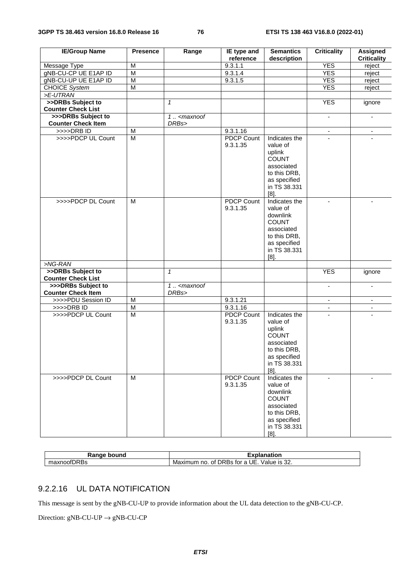| <b>IE/Group Name</b>                            | <b>Presence</b>         | Range                             | IE type and<br>reference      | <b>Semantics</b><br>description                                                                                                | <b>Criticality</b>       | Assigned<br><b>Criticality</b> |
|-------------------------------------------------|-------------------------|-----------------------------------|-------------------------------|--------------------------------------------------------------------------------------------------------------------------------|--------------------------|--------------------------------|
| Message Type                                    | M                       |                                   | 9.3.1.1                       |                                                                                                                                | <b>YES</b>               | reject                         |
| gNB-CU-CP UE E1AP ID                            | $\overline{M}$          |                                   | 9.3.1.4                       |                                                                                                                                | <b>YES</b>               | reject                         |
| gNB-CU-UP UE E1AP ID                            | $\overline{M}$          |                                   | 9.3.1.5                       |                                                                                                                                | <b>YES</b>               | reject                         |
| <b>CHOICE System</b>                            | $\overline{M}$          |                                   |                               |                                                                                                                                | <b>YES</b>               | reject                         |
| >E-UTRAN                                        |                         |                                   |                               |                                                                                                                                |                          |                                |
| >>DRBs Subject to                               |                         | $\mathbf{1}$                      |                               |                                                                                                                                | <b>YES</b>               | ignore                         |
| <b>Counter Check List</b>                       |                         |                                   |                               |                                                                                                                                |                          |                                |
| >>>DRBs Subject to                              |                         | $1. . -maxnot$                    |                               |                                                                                                                                | $\omega$                 | $\blacksquare$                 |
| <b>Counter Check Item</b>                       |                         | DRBs>                             |                               |                                                                                                                                |                          |                                |
| >>>>DRBID                                       | M                       |                                   | 9.3.1.16                      |                                                                                                                                | $\blacksquare$           | $\blacksquare$                 |
| >>>>PDCP UL Count                               | $\overline{M}$          |                                   | <b>PDCP Count</b><br>9.3.1.35 | Indicates the<br>value of<br>uplink<br><b>COUNT</b><br>associated<br>to this DRB,<br>as specified<br>in TS 38.331<br>$[8]$ .   |                          |                                |
| >>>>PDCP DL Count                               | M                       |                                   | <b>PDCP Count</b><br>9.3.1.35 | Indicates the<br>value of<br>downlink<br><b>COUNT</b><br>associated<br>to this DRB,<br>as specified<br>in TS 38.331<br>$[8]$ . | $\blacksquare$           | $\blacksquare$                 |
| $>NG-RAN$                                       |                         |                                   |                               |                                                                                                                                |                          |                                |
| >>DRBs Subject to                               |                         | $\mathbf{1}$                      |                               |                                                                                                                                | <b>YES</b>               | ignore                         |
| <b>Counter Check List</b>                       |                         |                                   |                               |                                                                                                                                |                          |                                |
| >>>DRBs Subject to<br><b>Counter Check Item</b> |                         | $\overline{1}$ < maxnoof<br>DRBs> |                               |                                                                                                                                | $\blacksquare$           | $\overline{\phantom{a}}$       |
| >>>>PDU Session ID                              | $\overline{\mathsf{M}}$ |                                   | 9.3.1.21                      |                                                                                                                                | $\blacksquare$           | $\blacksquare$                 |
| $>>$ $>$ DRB ID                                 | $\overline{M}$          |                                   | 9.3.1.16                      |                                                                                                                                | $\overline{\phantom{a}}$ | $\overline{\phantom{a}}$       |
| >>>>PDCP UL Count                               | M                       |                                   | PDCP Count<br>9.3.1.35        | Indicates the<br>value of<br>uplink<br><b>COUNT</b><br>associated<br>to this DRB,<br>as specified<br>in TS 38.331<br>$[8]$ .   | ÷.                       |                                |
| >>>>PDCP DL Count                               | M                       |                                   | <b>PDCP Count</b><br>9.3.1.35 | Indicates the<br>value of<br>downlink<br><b>COUNT</b><br>associated<br>to this DRB,<br>as specified<br>in TS 38.331<br>$[8]$ . |                          |                                |

| Range<br>bound<br>∸י | <b>xplanation</b>                                                                           |
|----------------------|---------------------------------------------------------------------------------------------|
| $ -$<br>эτ           | $\sim$<br>alue/<br>DRBS<br>- IS<br>tor<br>$\sqrt{2}$<br>no<br>Maximum<br>0t<br>æ<br>. ، ے د |

### 9.2.2.16 UL DATA NOTIFICATION

This message is sent by the gNB-CU-UP to provide information about the UL data detection to the gNB-CU-CP.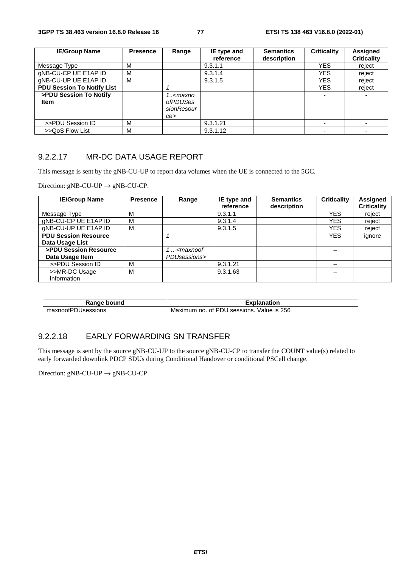| <b>IE/Group Name</b>                  | <b>Presence</b> | Range                                                     | IE type and<br>reference | <b>Semantics</b><br>description | <b>Criticality</b> | <b>Assigned</b><br><b>Criticality</b> |
|---------------------------------------|-----------------|-----------------------------------------------------------|--------------------------|---------------------------------|--------------------|---------------------------------------|
| Message Type                          | м               |                                                           | 9.3.1.1                  |                                 | YES.               | reiect                                |
| gNB-CU-CP UE E1AP ID                  | м               |                                                           | 9.3.1.4                  |                                 | <b>YES</b>         | reject                                |
| gNB-CU-UP UE E1AP ID                  | м               |                                                           | 9.3.1.5                  |                                 | <b>YES</b>         | reject                                |
| <b>PDU Session To Notify List</b>     |                 |                                                           |                          |                                 | <b>YES</b>         | reject                                |
| >PDU Session To Notify<br><b>Item</b> |                 | 1 <maxno<br>ofPDUSes<br/>sionResour<br/>ce&gt;</maxno<br> |                          |                                 |                    |                                       |
| >>PDU Session ID                      | M               |                                                           | 9.3.1.21                 |                                 |                    |                                       |
| >>QoS Flow List                       | M               |                                                           | 9.3.1.12                 |                                 |                    |                                       |

#### 9.2.2.17 MR-DC DATA USAGE REPORT

This message is sent by the gNB-CU-UP to report data volumes when the UE is connected to the 5GC.

Direction:  $gNB-CU-UP \rightarrow gNB-CU-CP$ .

| <b>IE/Group Name</b>        | <b>Presence</b> | Range                                                           | IE type and | <b>Semantics</b> | <b>Criticality</b> | Assigned           |
|-----------------------------|-----------------|-----------------------------------------------------------------|-------------|------------------|--------------------|--------------------|
|                             |                 |                                                                 | reference   | description      |                    | <b>Criticality</b> |
| Message Type                | м               |                                                                 | 9.3.1.1     |                  | <b>YES</b>         | reject             |
| gNB-CU-CP UE E1AP ID        | М               |                                                                 | 9.3.1.4     |                  | <b>YES</b>         | reject             |
| gNB-CU-UP UE E1AP ID        | м               |                                                                 | 9.3.1.5     |                  | <b>YES</b>         | reject             |
| <b>PDU Session Resource</b> |                 |                                                                 |             |                  | <b>YES</b>         | ignore             |
| Data Usage List             |                 |                                                                 |             |                  |                    |                    |
| >PDU Session Resource       |                 | <maxnoof< td=""><td></td><td></td><td></td><td></td></maxnoof<> |             |                  |                    |                    |
| Data Usage Item             |                 | PDUsessions>                                                    |             |                  |                    |                    |
| >>PDU Session ID            | М               |                                                                 | 9.3.1.21    |                  |                    |                    |
| >>MR-DC Usage               | М               |                                                                 | 9.3.1.63    |                  |                    |                    |
| Information                 |                 |                                                                 |             |                  |                    |                    |

| ?ange                                |                                                               |
|--------------------------------------|---------------------------------------------------------------|
| bound                                |                                                               |
| nai.                                 | natioi                                                        |
| $-1$<br>)Usessions<br>⊶axnoof P<br>л | 256<br>`PDL<br>sessions.<br>Maximum<br>no<br>Value is<br>ot F |

## 9.2.2.18 EARLY FORWARDING SN TRANSFER

This message is sent by the source gNB-CU-UP to the source gNB-CU-CP to transfer the COUNT value(s) related to early forwarded downlink PDCP SDUs during Conditional Handover or conditional PSCell change.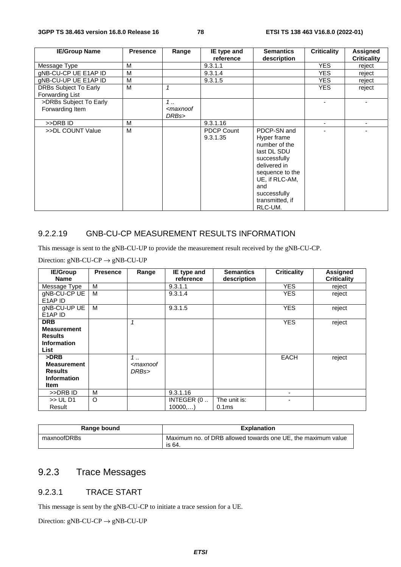| <b>IE/Group Name</b>                            | <b>Presence</b> | Range                                  | IE type and<br>reference      | <b>Semantics</b><br>description                                                                                                                                                      | <b>Criticality</b> | Assigned<br><b>Criticality</b> |
|-------------------------------------------------|-----------------|----------------------------------------|-------------------------------|--------------------------------------------------------------------------------------------------------------------------------------------------------------------------------------|--------------------|--------------------------------|
| Message Type                                    | M               |                                        | 9.3.1.1                       |                                                                                                                                                                                      | <b>YES</b>         | reject                         |
| gNB-CU-CP UE E1AP ID                            | M               |                                        | 9.3.1.4                       |                                                                                                                                                                                      | <b>YES</b>         | reject                         |
| gNB-CU-UP UE E1AP ID                            | M               |                                        | 9.3.1.5                       |                                                                                                                                                                                      | <b>YES</b>         | reject                         |
| <b>DRBs Subject To Early</b><br>Forwarding List | M               | 1                                      |                               |                                                                                                                                                                                      | <b>YES</b>         | reject                         |
| >DRBs Subject To Early<br>Forwarding Item       |                 | 1<br><maxnoof<br>DRBs&gt;</maxnoof<br> |                               |                                                                                                                                                                                      |                    |                                |
| >>DRB ID                                        | M               |                                        | 9.3.1.16                      |                                                                                                                                                                                      |                    |                                |
| >>DL COUNT Value                                | м               |                                        | <b>PDCP Count</b><br>9.3.1.35 | PDCP-SN and<br>Hyper frame<br>number of the<br>last DL SDU<br>successfully<br>delivered in<br>sequence to the<br>UE, if RLC-AM,<br>and<br>successfully<br>transmitted, if<br>RLC-UM. |                    |                                |

### 9.2.2.19 GNB-CU-CP MEASUREMENT RESULTS INFORMATION

This message is sent to the gNB-CU-UP to provide the measurement result received by the gNB-CU-CP.

Direction:  $gNB-CU-CP \rightarrow gNB-CU-UP$ 

| <b>IE/Group</b><br><b>Name</b>                                                   | <b>Presence</b> | Range                                  | IE type and<br>reference | <b>Semantics</b><br>description   | <b>Criticality</b> | <b>Assigned</b><br><b>Criticality</b> |
|----------------------------------------------------------------------------------|-----------------|----------------------------------------|--------------------------|-----------------------------------|--------------------|---------------------------------------|
| Message Type                                                                     | м               |                                        | 9.3.1.1                  |                                   | <b>YES</b>         | reject                                |
| gNB-CU-CP UE<br>E1AP ID                                                          | M               |                                        | 9.3.1.4                  |                                   | <b>YES</b>         | reject                                |
| gNB-CU-UP UE<br>E <sub>1</sub> AP <sub>ID</sub>                                  | M               |                                        | 9.3.1.5                  |                                   | <b>YES</b>         | reject                                |
| <b>DRB</b><br><b>Measurement</b><br><b>Results</b><br><b>Information</b><br>List |                 |                                        |                          |                                   | <b>YES</b>         | reject                                |
| >DRB<br><b>Measurement</b><br><b>Results</b><br><b>Information</b><br>Item       |                 | 1<br><maxnoof<br>DRBs&gt;</maxnoof<br> |                          |                                   | <b>EACH</b>        | reject                                |
| >>DRB ID                                                                         | м               |                                        | 9.3.1.16                 |                                   |                    |                                       |
| >> UL D1<br>Result                                                               | O               |                                        | INTEGER (0<br>10000,)    | The unit is:<br>0.1 <sub>ms</sub> |                    |                                       |

| Range bound | <b>Explanation</b>                                                     |
|-------------|------------------------------------------------------------------------|
| maxnoofDRBs | Maximum no. of DRB allowed towards one UE, the maximum value<br>is 64. |

# 9.2.3 Trace Messages

#### 9.2.3.1 TRACE START

This message is sent by the gNB-CU-CP to initiate a trace session for a UE.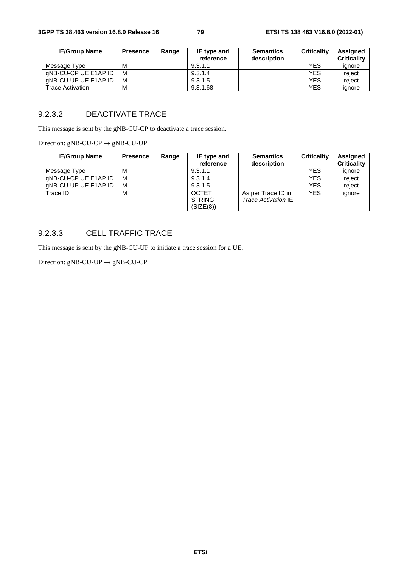| <b>IE/Group Name</b>    | <b>Presence</b> | Range | IE type and | <b>Semantics</b> | <b>Criticality</b> | <b>Assigned</b>    |
|-------------------------|-----------------|-------|-------------|------------------|--------------------|--------------------|
|                         |                 |       | reference   | description      |                    | <b>Criticality</b> |
| Message Type            | М               |       | 9.3.1.1     |                  | <b>YES</b>         | ignore             |
| aNB-CU-CP UE E1AP ID    | M               |       | 9.3.1.4     |                  | <b>YES</b>         | reject             |
| gNB-CU-UP UE E1AP ID    | М               |       | 9.3.1.5     |                  | <b>YES</b>         | reject             |
| <b>Trace Activation</b> | М               |       | 9.3.1.68    |                  | <b>YES</b>         | ignore             |

# 9.2.3.2 DEACTIVATE TRACE

This message is sent by the gNB-CU-CP to deactivate a trace session.

Direction:  $gNB-CU-CP \rightarrow gNB-CU-UP$ 

| <b>IE/Group Name</b> | <b>Presence</b> | Range | IE type and<br>reference                   | <b>Semantics</b><br>description                  | <b>Criticality</b> | Assigned<br><b>Criticality</b> |
|----------------------|-----------------|-------|--------------------------------------------|--------------------------------------------------|--------------------|--------------------------------|
| Message Type         | М               |       | 9.3.1.1                                    |                                                  | <b>YES</b>         | ignore                         |
| gNB-CU-CP UE E1AP ID | М               |       | 9.3.1.4                                    |                                                  | <b>YES</b>         | reject                         |
| gNB-CU-UP UE E1AP ID | М               |       | 9.3.1.5                                    |                                                  | <b>YES</b>         | reject                         |
| Trace ID             | м               |       | <b>OCTET</b><br><b>STRING</b><br>(SIZE(8)) | As per Trace ID in<br><b>Trace Activation IE</b> | <b>YES</b>         | ignore                         |

# 9.2.3.3 CELL TRAFFIC TRACE

This message is sent by the gNB-CU-UP to initiate a trace session for a UE.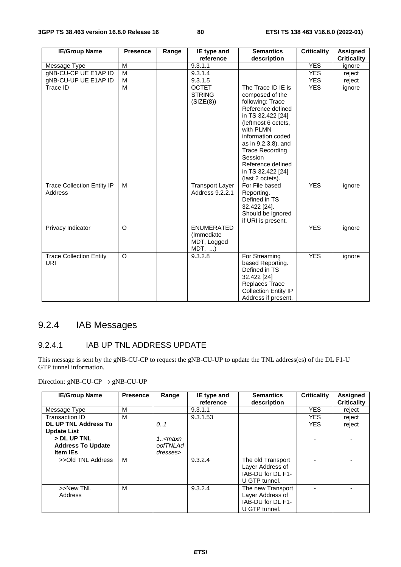| <b>IE/Group Name</b>                         | <b>Presence</b> | Range | IE type and                                            | <b>Semantics</b>                                                                                                                                                                                                                                                                       | <b>Criticality</b> | <b>Assigned</b>    |
|----------------------------------------------|-----------------|-------|--------------------------------------------------------|----------------------------------------------------------------------------------------------------------------------------------------------------------------------------------------------------------------------------------------------------------------------------------------|--------------------|--------------------|
|                                              |                 |       | reference                                              | description                                                                                                                                                                                                                                                                            |                    | <b>Criticality</b> |
| Message Type                                 | M               |       | 9.3.1.1                                                |                                                                                                                                                                                                                                                                                        | <b>YES</b>         | ignore             |
| gNB-CU-CP UE E1AP ID                         | M               |       | 9.3.1.4                                                |                                                                                                                                                                                                                                                                                        | <b>YES</b>         | reject             |
| gNB-CU-UP UE E1AP ID                         | M               |       | 9.3.1.5                                                |                                                                                                                                                                                                                                                                                        | <b>YES</b>         | reject             |
| Trace ID                                     | M               |       | <b>OCTET</b><br><b>STRING</b><br>(SIZE(8))             | The Trace ID IE is<br>composed of the<br>following: Trace<br>Reference defined<br>in TS 32.422 [24]<br>(leftmost 6 octets,<br>with PLMN<br>information coded<br>as in 9.2.3.8), and<br><b>Trace Recording</b><br>Session<br>Reference defined<br>in TS 32.422 [24]<br>(last 2 octets). | <b>YES</b>         | ignore             |
| <b>Trace Collection Entity IP</b><br>Address | M               |       | <b>Transport Layer</b><br>Address 9.2.2.1              | For File based<br>Reporting.<br>Defined in TS<br>32.422 [24].<br>Should be ignored<br>if URI is present.                                                                                                                                                                               | <b>YES</b>         | ignore             |
| Privacy Indicator                            | $\Omega$        |       | <b>ENUMERATED</b><br>(Immediate<br>MDT, Logged<br>MDT, |                                                                                                                                                                                                                                                                                        | <b>YES</b>         | ignore             |
| <b>Trace Collection Entity</b><br>URI        | $\Omega$        |       | 9.3.2.8                                                | For Streaming<br>based Reporting.<br>Defined in TS<br>32.422 [24]<br>Replaces Trace<br><b>Collection Entity IP</b><br>Address if present.                                                                                                                                              | <b>YES</b>         | ignore             |

# 9.2.4 IAB Messages

### 9.2.4.1 IAB UP TNL ADDRESS UPDATE

This message is sent by the gNB-CU-CP to request the gNB-CU-UP to update the TNL address(es) of the DL F1-U GTP tunnel information.

| <b>IE/Group Name</b>                                       | <b>Presence</b> | Range                                     | IE type and<br>reference | <b>Semantics</b><br>description                                             | <b>Criticality</b> | <b>Assigned</b><br><b>Criticality</b> |
|------------------------------------------------------------|-----------------|-------------------------------------------|--------------------------|-----------------------------------------------------------------------------|--------------------|---------------------------------------|
| Message Type                                               | М               |                                           | 9.3.1.1                  |                                                                             | <b>YES</b>         | reject                                |
| Transaction ID                                             | м               |                                           | 9.3.1.53                 |                                                                             | <b>YES</b>         | reject                                |
| <b>DL UP TNL Address To</b><br><b>Update List</b>          |                 | 0.1                                       |                          |                                                                             | <b>YES</b>         | reject                                |
| > DL UP TNL<br><b>Address To Update</b><br><b>Item IEs</b> |                 | 1 <maxn<br>oofTNLAd<br/>dresses</maxn<br> |                          |                                                                             |                    |                                       |
| >>Old TNL Address                                          | м               |                                           | 9.3.2.4                  | The old Transport<br>Layer Address of<br>IAB-DU for DL F1-<br>U GTP tunnel. |                    |                                       |
| >>New TNL<br>Address                                       | M               |                                           | 9.3.2.4                  | The new Transport<br>Layer Address of<br>IAB-DU for DL F1-<br>U GTP tunnel. |                    |                                       |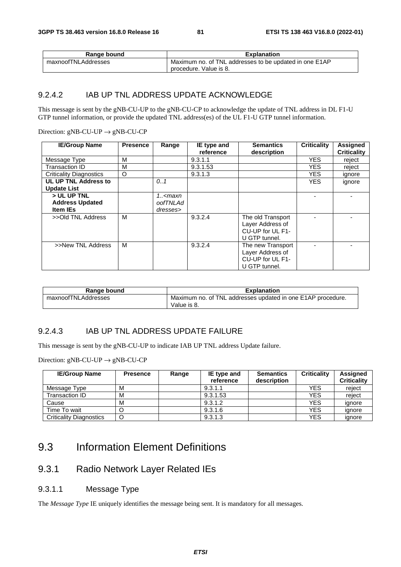| Range bound         | <b>Explanation</b>                                     |
|---------------------|--------------------------------------------------------|
| maxnoofTNLAddresses | Maximum no. of TNL addresses to be updated in one E1AP |
|                     | procedure. Value is 8.                                 |

#### 9.2.4.2 IAB UP TNL ADDRESS UPDATE ACKNOWLEDGE

This message is sent by the gNB-CU-UP to the gNB-CU-CP to acknowledge the update of TNL address in DL F1-U GTP tunnel information, or provide the updated TNL address(es) of the UL F1-U GTP tunnel information.

Direction:  $gNB-CU-UP \rightarrow gNB-CU-CP$ 

| <b>IE/Group Name</b>                      | <b>Presence</b> | Range                                                       | IE type and<br>reference | <b>Semantics</b><br>description                                            | <b>Criticality</b> | <b>Assigned</b><br><b>Criticality</b> |
|-------------------------------------------|-----------------|-------------------------------------------------------------|--------------------------|----------------------------------------------------------------------------|--------------------|---------------------------------------|
| Message Type                              | М               |                                                             | 9.3.1.1                  |                                                                            | <b>YES</b>         | reject                                |
| Transaction ID                            | М               |                                                             | 9.3.1.53                 |                                                                            | YES.               | reject                                |
| <b>Criticality Diagnostics</b>            | O               |                                                             | 9.3.1.3                  |                                                                            | <b>YES</b>         | ignore                                |
| UL UP TNL Address to                      |                 | 0.1                                                         |                          |                                                                            | <b>YES</b>         | ignore                                |
| <b>Update List</b>                        |                 |                                                             |                          |                                                                            |                    |                                       |
| > UL UP TNL                               |                 | 1 <maxn< td=""><td></td><td></td><td></td><td></td></maxn<> |                          |                                                                            |                    |                                       |
| <b>Address Updated</b><br><b>Item IEs</b> |                 | oofTNLAd<br>dresses>                                        |                          |                                                                            |                    |                                       |
| >>Old TNL Address                         | м               |                                                             | 9.3.2.4                  | The old Transport<br>Layer Address of<br>CU-UP for UL F1-<br>U GTP tunnel. |                    |                                       |
| >>New TNL Address                         | м               |                                                             | 9.3.2.4                  | The new Transport<br>Layer Address of<br>CU-UP for UL F1-<br>U GTP tunnel. |                    |                                       |

| Range bound         | <b>Explanation</b>                                                         |
|---------------------|----------------------------------------------------------------------------|
| maxnoofTNLAddresses | Maximum no. of TNL addresses updated in one E1AP procedure.<br>Value is 8. |

#### 9.2.4.3 IAB UP TNL ADDRESS UPDATE FAILURE

This message is sent by the gNB-CU-UP to indicate IAB UP TNL address Update failure.

Direction:  $gNB-CU-UP \rightarrow gNB-CU-CP$ 

| <b>IE/Group Name</b>           | <b>Presence</b> | Range | IE type and<br>reference | <b>Semantics</b><br>description | <b>Criticality</b> | Assigned<br><b>Criticality</b> |
|--------------------------------|-----------------|-------|--------------------------|---------------------------------|--------------------|--------------------------------|
| Message Type                   | м               |       | 9.3.1.1                  |                                 | YES                | reiect                         |
| Transaction ID                 | м               |       | 9.3.1.53                 |                                 | YES                | reject                         |
| Cause                          | M               |       | 9.3.1.2                  |                                 | <b>YES</b>         | ignore                         |
| Time To wait                   |                 |       | 9.3.1.6                  |                                 | YES                | ignore                         |
| <b>Criticality Diagnostics</b> | O               |       | 9.3.1.3                  |                                 | YES                | ignore                         |

# 9.3 Information Element Definitions

# 9.3.1 Radio Network Layer Related IEs

9.3.1.1 Message Type

The *Message Type* IE uniquely identifies the message being sent. It is mandatory for all messages.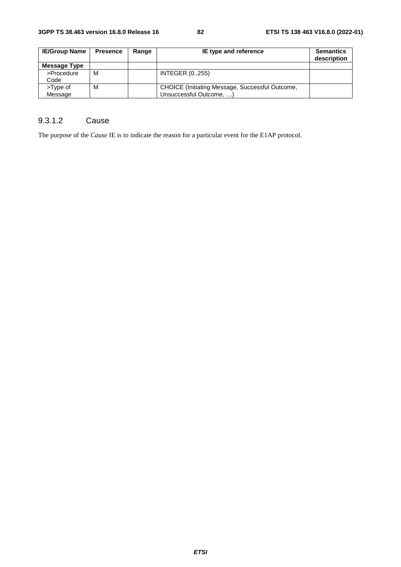| <b>IE/Group Name</b> | <b>Presence</b> | Range | IE type and reference                                                      | <b>Semantics</b><br>description |
|----------------------|-----------------|-------|----------------------------------------------------------------------------|---------------------------------|
| Message Type         |                 |       |                                                                            |                                 |
| >Procedure<br>Code   | М               |       | <b>INTEGER (0255)</b>                                                      |                                 |
| >Type of<br>Message  | М               |       | CHOICE (Initiating Message, Successful Outcome,<br>Unsuccessful Outcome, ) |                                 |

# 9.3.1.2 Cause

The purpose of the *Cause* IE is to indicate the reason for a particular event for the E1AP protocol.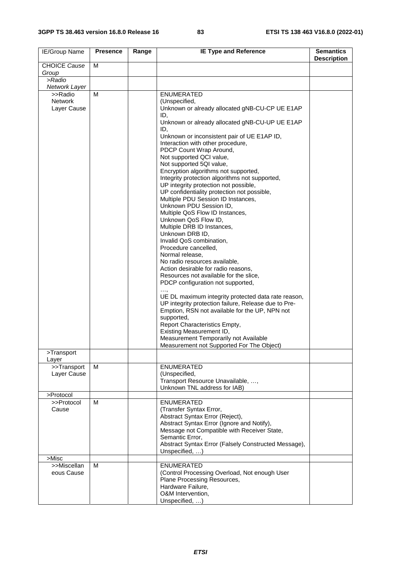| IE/Group Name        | <b>Presence</b> | Range | <b>IE Type and Reference</b>                                                                           | <b>Semantics</b><br><b>Description</b> |
|----------------------|-----------------|-------|--------------------------------------------------------------------------------------------------------|----------------------------------------|
| <b>CHOICE Cause</b>  | M               |       |                                                                                                        |                                        |
| Group<br>>Radio      |                 |       |                                                                                                        |                                        |
| Network Layer        |                 |       |                                                                                                        |                                        |
| >>Radio              | м               |       | <b>ENUMERATED</b>                                                                                      |                                        |
| <b>Network</b>       |                 |       | (Unspecified,                                                                                          |                                        |
| Layer Cause          |                 |       | Unknown or already allocated gNB-CU-CP UE E1AP                                                         |                                        |
|                      |                 |       | ID,<br>Unknown or already allocated gNB-CU-UP UE E1AP                                                  |                                        |
|                      |                 |       | ID,                                                                                                    |                                        |
|                      |                 |       | Unknown or inconsistent pair of UE E1AP ID,<br>Interaction with other procedure,                       |                                        |
|                      |                 |       | PDCP Count Wrap Around,                                                                                |                                        |
|                      |                 |       | Not supported QCI value,                                                                               |                                        |
|                      |                 |       | Not supported 5QI value,                                                                               |                                        |
|                      |                 |       | Encryption algorithms not supported,                                                                   |                                        |
|                      |                 |       | Integrity protection algorithms not supported,<br>UP integrity protection not possible,                |                                        |
|                      |                 |       | UP confidentiality protection not possible,                                                            |                                        |
|                      |                 |       | Multiple PDU Session ID Instances,                                                                     |                                        |
|                      |                 |       | Unknown PDU Session ID,                                                                                |                                        |
|                      |                 |       | Multiple QoS Flow ID Instances,                                                                        |                                        |
|                      |                 |       | Unknown QoS Flow ID,<br>Multiple DRB ID Instances,                                                     |                                        |
|                      |                 |       | Unknown DRB ID,                                                                                        |                                        |
|                      |                 |       | Invalid QoS combination,                                                                               |                                        |
|                      |                 |       | Procedure cancelled,                                                                                   |                                        |
|                      |                 |       | Normal release,                                                                                        |                                        |
|                      |                 |       | No radio resources available,<br>Action desirable for radio reasons,                                   |                                        |
|                      |                 |       | Resources not available for the slice,                                                                 |                                        |
|                      |                 |       | PDCP configuration not supported,                                                                      |                                        |
|                      |                 |       |                                                                                                        |                                        |
|                      |                 |       | UE DL maximum integrity protected data rate reason,                                                    |                                        |
|                      |                 |       | UP integrity protection failure, Release due to Pre-<br>Emption, RSN not available for the UP, NPN not |                                        |
|                      |                 |       | supported,                                                                                             |                                        |
|                      |                 |       | Report Characteristics Empty,                                                                          |                                        |
|                      |                 |       | Existing Measurement ID,                                                                               |                                        |
|                      |                 |       | Measurement Temporarily not Available<br>Measurement not Supported For The Object)                     |                                        |
| >Transport           |                 |       |                                                                                                        |                                        |
| Layer                |                 |       |                                                                                                        |                                        |
| >>Transport          | M               |       | <b>ENUMERATED</b>                                                                                      |                                        |
| Layer Cause          |                 |       | (Unspecified,<br>Transport Resource Unavailable, ,                                                     |                                        |
|                      |                 |       | Unknown TNL address for IAB)                                                                           |                                        |
| >Protocol            |                 |       |                                                                                                        |                                        |
| >>Protocol           | м               |       | <b>ENUMERATED</b>                                                                                      |                                        |
| Cause                |                 |       | (Transfer Syntax Error,                                                                                |                                        |
|                      |                 |       | Abstract Syntax Error (Reject),<br>Abstract Syntax Error (Ignore and Notify),                          |                                        |
|                      |                 |       | Message not Compatible with Receiver State,                                                            |                                        |
|                      |                 |       | Semantic Error,                                                                                        |                                        |
|                      |                 |       | Abstract Syntax Error (Falsely Constructed Message),                                                   |                                        |
|                      |                 |       | Unspecified, $\dots$ )                                                                                 |                                        |
| >Misc<br>>>Miscellan | M               |       | <b>ENUMERATED</b>                                                                                      |                                        |
| eous Cause           |                 |       | (Control Processing Overload, Not enough User                                                          |                                        |
|                      |                 |       | Plane Processing Resources,                                                                            |                                        |
|                      |                 |       | Hardware Failure,                                                                                      |                                        |
|                      |                 |       | O&M Intervention,                                                                                      |                                        |
|                      |                 |       | Unspecified, )                                                                                         |                                        |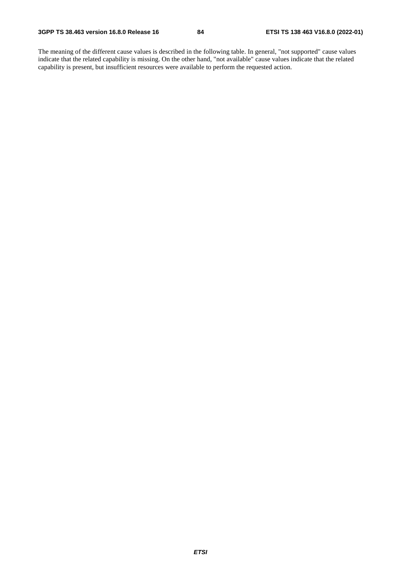The meaning of the different cause values is described in the following table. In general, "not supported" cause values indicate that the related capability is missing. On the other hand, "not available" cause values indicate that the related capability is present, but insufficient resources were available to perform the requested action.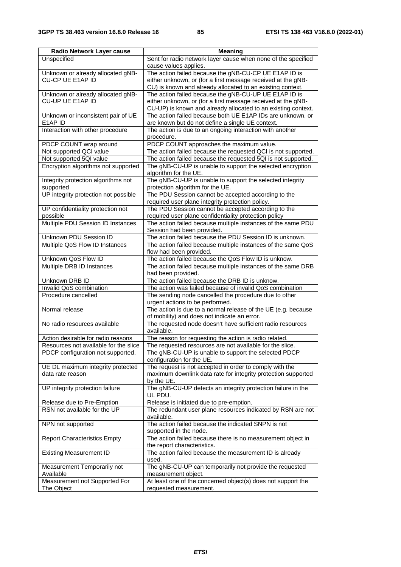| Radio Network Layer cause                             | <b>Meaning</b>                                                                                                                                                                         |
|-------------------------------------------------------|----------------------------------------------------------------------------------------------------------------------------------------------------------------------------------------|
| Unspecified                                           | Sent for radio network layer cause when none of the specified<br>cause values applies.                                                                                                 |
| Unknown or already allocated gNB-<br>CU-CP UE E1AP ID | The action failed because the gNB-CU-CP UE E1AP ID is<br>either unknown, or (for a first message received at the gNB-<br>CU) is known and already allocated to an existing context.    |
| Unknown or already allocated gNB-<br>CU-UP UE E1AP ID | The action failed because the gNB-CU-UP UE E1AP ID is<br>either unknown, or (for a first message received at the gNB-<br>CU-UP) is known and already allocated to an existing context. |
| Unknown or inconsistent pair of UE<br>E1AP ID         | The action failed because both UE E1AP IDs are unknown, or<br>are known but do not define a single UE context.                                                                         |
| Interaction with other procedure                      | The action is due to an ongoing interaction with another<br>procedure.                                                                                                                 |
| PDCP COUNT wrap around                                | PDCP COUNT approaches the maximum value.                                                                                                                                               |
| Not supported QCI value                               | The action failed because the requested QCI is not supported.                                                                                                                          |
| Not supported 5QI value                               | The action failed because the requested 5QI is not supported.                                                                                                                          |
| Encryption algorithms not supported                   | The gNB-CU-UP is unable to support the selected encryption<br>algorithm for the UE.                                                                                                    |
| Integrity protection algorithms not<br>supported      | The gNB-CU-UP is unable to support the selected integrity<br>protection algorithm for the UE.                                                                                          |
| UP integrity protection not possible                  | The PDU Session cannot be accepted according to the<br>required user plane integrity protection policy.                                                                                |
| UP confidentiality protection not<br>possible         | The PDU Session cannot be accepted according to the<br>required user plane confidentiality protection policy                                                                           |
| Multiple PDU Session ID Instances                     | The action failed because multiple instances of the same PDU<br>Session had been provided.                                                                                             |
| Unknown PDU Session ID                                | The action failed because the PDU Session ID is unknown.                                                                                                                               |
| Multiple QoS Flow ID Instances                        | The action failed because multiple instances of the same QoS<br>flow had been provided.                                                                                                |
| Unknown QoS Flow ID                                   | The action failed because the QoS Flow ID is unknow.                                                                                                                                   |
| Multiple DRB ID Instances                             | The action failed because multiple instances of the same DRB<br>had been provided.                                                                                                     |
| Unknown DRB ID                                        | The action failed because the DRB ID is unknow.                                                                                                                                        |
| Invalid QoS combination                               | The action was failed because of invalid QoS combination                                                                                                                               |
| Procedure cancelled                                   | The sending node cancelled the procedure due to other<br>urgent actions to be performed.                                                                                               |
| Normal release                                        | The action is due to a normal release of the UE (e.g. because<br>of mobility) and does not indicate an error.                                                                          |
| No radio resources available                          | The requested node doesn't have sufficient radio resources<br>available.                                                                                                               |
| Action desirable for radio reasons                    | The reason for requesting the action is radio related.                                                                                                                                 |
| Resources not available for the slice                 | The requested resources are not available for the slice.                                                                                                                               |
| PDCP configuration not supported,                     | The gNB-CU-UP is unable to support the selected PDCP<br>configuration for the UE.                                                                                                      |
| UE DL maximum integrity protected<br>data rate reason | The request is not accepted in order to comply with the<br>maximum downlink data rate for integrity protection supported<br>by the UE.                                                 |
| UP integrity protection failure                       | The gNB-CU-UP detects an integrity protection failure in the<br>UL PDU.                                                                                                                |
| Release due to Pre-Emption                            | Release is initiated due to pre-emption.                                                                                                                                               |
| RSN not available for the UP                          | The redundant user plane resources indicated by RSN are not<br>available.                                                                                                              |
| NPN not supported                                     | The action failed because the indicated SNPN is not<br>supported in the node.                                                                                                          |
| <b>Report Characteristics Empty</b>                   | The action failed because there is no measurement object in<br>the report characteristics.                                                                                             |
| <b>Existing Measurement ID</b>                        | The action failed because the measurement ID is already<br>used.                                                                                                                       |
| Measurement Temporarily not<br>Available              | The gNB-CU-UP can temporarily not provide the requested<br>measurement object.                                                                                                         |
| Measurement not Supported For<br>The Object           | At least one of the concerned object(s) does not support the<br>requested measurement.                                                                                                 |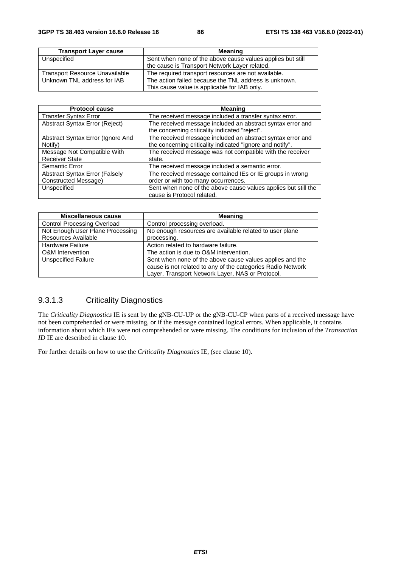| <b>Transport Layer cause</b>          | Meaning                                                    |
|---------------------------------------|------------------------------------------------------------|
| Unspecified                           | Sent when none of the above cause values applies but still |
|                                       | the cause is Transport Network Layer related.              |
| <b>Transport Resource Unavailable</b> | The required transport resources are not available.        |
| Unknown TNL address for IAB           | The action failed because the TNL address is unknown.      |
|                                       | This cause value is applicable for IAB only.               |

| <b>Protocol cause</b>                 | <b>Meaning</b>                                                                                               |
|---------------------------------------|--------------------------------------------------------------------------------------------------------------|
| <b>Transfer Syntax Error</b>          | The received message included a transfer syntax error.                                                       |
| Abstract Syntax Error (Reject)        | The received message included an abstract syntax error and<br>the concerning criticality indicated "reject". |
| Abstract Syntax Error (Ignore And     | The received message included an abstract syntax error and                                                   |
| Notify)                               | the concerning criticality indicated "ignore and notify".                                                    |
| Message Not Compatible With           | The received message was not compatible with the receiver                                                    |
| <b>Receiver State</b>                 | state.                                                                                                       |
| Semantic Error                        | The received message included a semantic error.                                                              |
| <b>Abstract Syntax Error (Falsely</b> | The received message contained IEs or IE groups in wrong                                                     |
| Constructed Message)                  | order or with too many occurrences.                                                                          |
| Unspecified                           | Sent when none of the above cause values applies but still the                                               |
|                                       | cause is Protocol related.                                                                                   |

| Miscellaneous cause                | <b>Meaning</b>                                              |
|------------------------------------|-------------------------------------------------------------|
| <b>Control Processing Overload</b> | Control processing overload.                                |
| Not Enough User Plane Processing   | No enough resources are available related to user plane     |
| Resources Available                | processing.                                                 |
| <b>Hardware Failure</b>            | Action related to hardware failure.                         |
| <b>O&amp;M</b> Intervention        | The action is due to O&M intervention.                      |
| <b>Unspecified Failure</b>         | Sent when none of the above cause values applies and the    |
|                                    | cause is not related to any of the categories Radio Network |
|                                    | Layer, Transport Network Layer, NAS or Protocol.            |

# 9.3.1.3 Criticality Diagnostics

The *Criticality Diagnostics* IE is sent by the gNB-CU-UP or the gNB-CU-CP when parts of a received message have not been comprehended or were missing, or if the message contained logical errors. When applicable, it contains information about which IEs were not comprehended or were missing. The conditions for inclusion of the *Transaction ID* IE are described in clause 10.

For further details on how to use the *Criticality Diagnostics* IE, (see clause 10).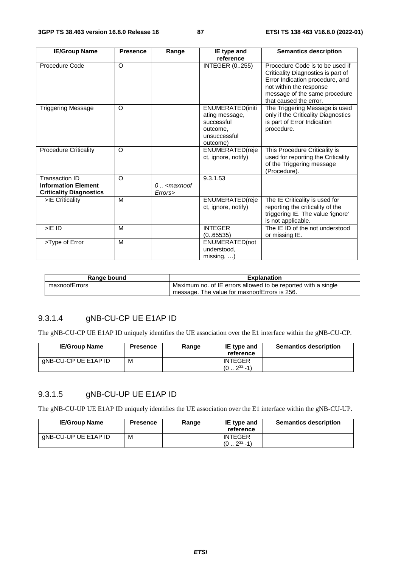| <b>IE/Group Name</b>           | <b>Presence</b> | Range              | IE type and             | <b>Semantics description</b>                                                                                                                                                                   |
|--------------------------------|-----------------|--------------------|-------------------------|------------------------------------------------------------------------------------------------------------------------------------------------------------------------------------------------|
|                                |                 |                    | reference               |                                                                                                                                                                                                |
| Procedure Code                 | O               |                    | <b>INTEGER (0255)</b>   | Procedure Code is to be used if<br>Criticality Diagnostics is part of<br>Error Indication procedure, and<br>not within the response<br>message of the same procedure<br>that caused the error. |
| <b>Triggering Message</b>      | O               |                    | ENUMERATED(initi        | The Triggering Message is used                                                                                                                                                                 |
|                                |                 |                    | ating message,          | only if the Criticality Diagnostics                                                                                                                                                            |
|                                |                 |                    | successful              | is part of Error Indication                                                                                                                                                                    |
|                                |                 |                    | outcome,                | procedure.                                                                                                                                                                                     |
|                                |                 |                    | unsuccessful            |                                                                                                                                                                                                |
|                                |                 |                    | outcome)                |                                                                                                                                                                                                |
| <b>Procedure Criticality</b>   | O               |                    | <b>ENUMERATED</b> (reje | This Procedure Criticality is                                                                                                                                                                  |
|                                |                 |                    | ct, ignore, notify)     | used for reporting the Criticality                                                                                                                                                             |
|                                |                 |                    |                         | of the Triggering message<br>(Procedure).                                                                                                                                                      |
| <b>Transaction ID</b>          | O               |                    | 9.3.1.53                |                                                                                                                                                                                                |
| <b>Information Element</b>     |                 | $0$ $\leq$ maxnoof |                         |                                                                                                                                                                                                |
| <b>Criticality Diagnostics</b> |                 | Errors>            |                         |                                                                                                                                                                                                |
| >IE Criticality                | M               |                    | ENUMERATED(reje         | The IE Criticality is used for                                                                                                                                                                 |
|                                |                 |                    | ct, ignore, notify)     | reporting the criticality of the                                                                                                                                                               |
|                                |                 |                    |                         | triggering IE. The value 'ignore'                                                                                                                                                              |
|                                |                 |                    |                         | is not applicable.                                                                                                                                                                             |
| $>$ IE ID                      | M               |                    | <b>INTEGER</b>          | The IE ID of the not understood                                                                                                                                                                |
|                                |                 |                    | (065535)                | or missing IE.                                                                                                                                                                                 |
| >Type of Error                 | M               |                    | ENUMERATED(not          |                                                                                                                                                                                                |
|                                |                 |                    | understood.             |                                                                                                                                                                                                |
|                                |                 |                    | $missing, $ )           |                                                                                                                                                                                                |

| Range bound   | <b>Explanation</b>                                            |
|---------------|---------------------------------------------------------------|
| maxnoofErrors | Maximum no. of IE errors allowed to be reported with a single |
|               | message. The value for maxnoofErrors is 256.                  |

# 9.3.1.4 gNB-CU-CP UE E1AP ID

The gNB-CU-CP UE E1AP ID uniquely identifies the UE association over the E1 interface within the gNB-CU-CP.

| <b>IE/Group Name</b> | Presence | Range | IE type and<br>reference              | <b>Semantics description</b> |
|----------------------|----------|-------|---------------------------------------|------------------------------|
| gNB-CU-CP UE E1AP ID | м        |       | <b>INTEGER</b><br>$2^{32} - 1$<br>(0) |                              |

## 9.3.1.5 gNB-CU-UP UE E1AP ID

The gNB-CU-UP UE E1AP ID uniquely identifies the UE association over the E1 interface within the gNB-CU-UP.

| <b>IE/Group Name</b> | <b>Presence</b> | Range | IE type and<br>reference              | <b>Semantics description</b> |
|----------------------|-----------------|-------|---------------------------------------|------------------------------|
| gNB-CU-UP UE E1AP ID | M               |       | <b>INTEGER</b><br>$232 - 11$<br>(0.2) |                              |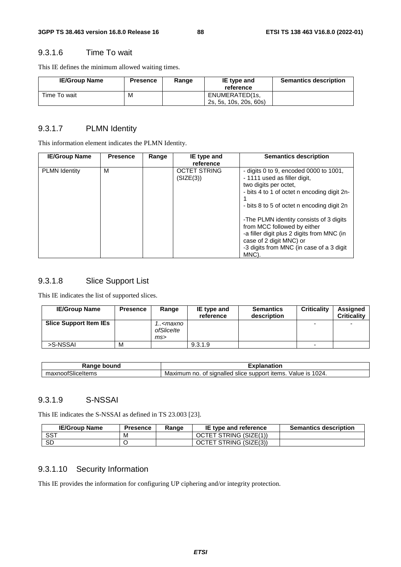#### 9.3.1.6 Time To wait

This IE defines the minimum allowed waiting times.

| <b>IE/Group Name</b> | <b>Presence</b> | Range | IE type and<br>reference                 | <b>Semantics description</b> |
|----------------------|-----------------|-------|------------------------------------------|------------------------------|
| Time To wait         | M               |       | ENUMERATED(1s,<br>2s, 5s, 10s, 20s, 60s) |                              |

#### 9.3.1.7 PLMN Identity

This information element indicates the PLMN Identity.

| <b>IE/Group Name</b> | <b>Presence</b> | Range | IE type and                      | <b>Semantics description</b>                                                                                                                                                                                                                                                                                                                                                                         |
|----------------------|-----------------|-------|----------------------------------|------------------------------------------------------------------------------------------------------------------------------------------------------------------------------------------------------------------------------------------------------------------------------------------------------------------------------------------------------------------------------------------------------|
|                      |                 |       | reference                        |                                                                                                                                                                                                                                                                                                                                                                                                      |
| <b>PLMN Identity</b> | м               |       | <b>OCTET STRING</b><br>(SIZE(3)) | - digits 0 to 9, encoded 0000 to 1001,<br>- 1111 used as filler digit,<br>two digits per octet.<br>- bits 4 to 1 of octet n encoding digit 2n-<br>- bits 8 to 5 of octet n encoding digit 2n<br>-The PLMN identity consists of 3 digits<br>from MCC followed by either<br>-a filler digit plus 2 digits from MNC (in<br>case of 2 digit MNC) or<br>-3 digits from MNC (in case of a 3 digit<br>MNC). |

### 9.3.1.8 Slice Support List

This IE indicates the list of supported slices.

| <b>IE/Group Name</b>          | <b>Presence</b> | Range                                    | IE type and<br>reference | <b>Semantics</b><br>description | <b>Criticality</b>       | Assigned<br><b>Criticality</b> |
|-------------------------------|-----------------|------------------------------------------|--------------------------|---------------------------------|--------------------------|--------------------------------|
| <b>Slice Support Item IEs</b> |                 | ! <maxno<br>ofSlicelte<br/>ms</maxno<br> |                          |                                 | $\overline{\phantom{0}}$ | $\overline{\phantom{0}}$       |
| >S-NSSAI                      | м               |                                          | 9.3.1.9                  |                                 | $\overline{\phantom{0}}$ |                                |

| $-1100$<br>oouna<br>ш<br>1a       | τιοι                                                                                               |
|-----------------------------------|----------------------------------------------------------------------------------------------------|
| $\sim$<br>' ′ااد.<br>пахноог<br>. | 1024.<br>nalled<br>∵items.<br>value<br>support<br>num<br>slice 1<br>no<br>Ma<br>siar<br>ΩT<br>IIXL |

#### 9.3.1.9 S-NSSAI

This IE indicates the S-NSSAI as defined in TS 23.003 [23].

| <b>IE/Group Name</b> | <b>Presence</b> | Range | IE type and reference  | <b>Semantics description</b> |
|----------------------|-----------------|-------|------------------------|------------------------------|
| <b>SST</b>           | M               |       | OCTET STRING (SIZE(1)) |                              |
| <b>SD</b>            |                 |       | OCTET STRING (SIZE(3)) |                              |

## 9.3.1.10 Security Information

This IE provides the information for configuring UP ciphering and/or integrity protection.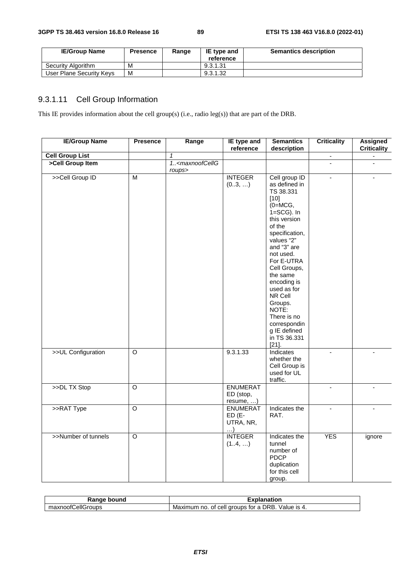| <b>IE/Group Name</b>     | <b>Presence</b> | Range | IE type and<br>reference | <b>Semantics description</b> |
|--------------------------|-----------------|-------|--------------------------|------------------------------|
| Security Algorithm       | м               |       | 9.3.1.31                 |                              |
| User Plane Security Keys | M               |       | 9.3.1.32                 |                              |

# 9.3.1.11 Cell Group Information

This IE provides information about the cell group(s) (i.e., radio leg(s)) that are part of the DRB.

| <b>IE/Group Name</b>   | <b>Presence</b>    | Range                                          | IE type and<br>reference                            | <b>Semantics</b><br>description                                                                                                                                                                                                                                                                                                                               | <b>Criticality</b>       | <b>Assigned</b><br><b>Criticality</b> |
|------------------------|--------------------|------------------------------------------------|-----------------------------------------------------|---------------------------------------------------------------------------------------------------------------------------------------------------------------------------------------------------------------------------------------------------------------------------------------------------------------------------------------------------------------|--------------------------|---------------------------------------|
| <b>Cell Group List</b> |                    | $\mathbf{1}$                                   |                                                     |                                                                                                                                                                                                                                                                                                                                                               | $\overline{\phantom{a}}$ | ÷,                                    |
| >Cell Group Item       |                    | 1 <maxnoofcellg<br>roups&gt;</maxnoofcellg<br> |                                                     |                                                                                                                                                                                                                                                                                                                                                               |                          |                                       |
| >>Cell Group ID        | $\overline{M}$     |                                                | <b>INTEGER</b><br>(03, )                            | Cell group ID<br>as defined in<br>TS 38.331<br>$[10]$<br>$(0=MCG,$<br>$1 = SCG$ ). In<br>this version<br>of the<br>specification,<br>values "2"<br>and "3" are<br>not used.<br>For E-UTRA<br>Cell Groups,<br>the same<br>encoding is<br>used as for<br>NR Cell<br>Groups.<br>NOTE:<br>There is no<br>correspondin<br>g IE defined<br>in TS 36.331<br>$[21]$ . | $\overline{a}$           |                                       |
| >>UL Configuration     | $\overline{\circ}$ |                                                | 9.3.1.33                                            | Indicates<br>whether the<br>Cell Group is<br>used for UL<br>traffic.                                                                                                                                                                                                                                                                                          | $\blacksquare$           | $\blacksquare$                        |
| >>DL TX Stop           | $\overline{O}$     |                                                | <b>ENUMERAT</b><br>ED (stop,<br>resume, )           |                                                                                                                                                                                                                                                                                                                                                               |                          |                                       |
| >>RAT Type             | $\overline{O}$     |                                                | <b>ENUMERAT</b><br>$ED(E-$<br>UTRA, NR,<br>$\ldots$ | Indicates the<br>RAT.                                                                                                                                                                                                                                                                                                                                         | $\overline{\phantom{a}}$ |                                       |
| >>Number of tunnels    | $\overline{\circ}$ |                                                | <b>INTEGER</b><br>(14, )                            | Indicates the<br>tunnel<br>number of<br><b>PDCP</b><br>duplication<br>for this cell<br>group.                                                                                                                                                                                                                                                                 | <b>YES</b>               | ignore                                |

| bound<br>Ranne           | nation                                                                |
|--------------------------|-----------------------------------------------------------------------|
| CellGroups .<br>maxnootu | DRB.<br>Value is 4.<br>groups for a<br>Maximum .<br>cell<br>no.<br>οt |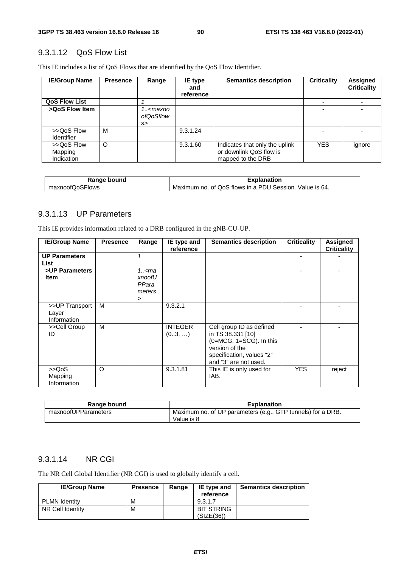### 9.3.1.12 QoS Flow List

This IE includes a list of QoS Flows that are identified by the QoS Flow Identifier.

| <b>IE/Group Name</b>                | <b>Presence</b> | Range                                  | IE type<br>and<br>reference | <b>Semantics description</b>                                                   | <b>Criticality</b> | <b>Assigned</b><br><b>Criticality</b> |
|-------------------------------------|-----------------|----------------------------------------|-----------------------------|--------------------------------------------------------------------------------|--------------------|---------------------------------------|
| <b>QoS Flow List</b>                |                 |                                        |                             |                                                                                |                    |                                       |
| >QoS Flow Item                      |                 | 1 <maxno<br>ofQoSflow<br/>s</maxno<br> |                             |                                                                                |                    |                                       |
| >>QoS Flow<br><b>Identifier</b>     | M               |                                        | 9.3.1.24                    |                                                                                |                    |                                       |
| >>QoS Flow<br>Mapping<br>Indication | O               |                                        | 9.3.1.60                    | Indicates that only the uplink<br>or downlink QoS flow is<br>mapped to the DRB | <b>YES</b>         | ignore                                |

| Range bound     | Explanation                                                |
|-----------------|------------------------------------------------------------|
| maxnoofQoSFlows | Maximum no. of QoS flows in a PDU Session.<br>Value is 64. |

### 9.3.1.13 UP Parameters

This IE provides information related to a DRB configured in the gNB-CU-UP.

| <b>IE/Group Name</b>                   | <b>Presence</b> | Range                                 | IE type and<br>reference | <b>Semantics description</b>                                                                                                                        | <b>Criticality</b> | <b>Assigned</b><br><b>Criticality</b> |
|----------------------------------------|-----------------|---------------------------------------|--------------------------|-----------------------------------------------------------------------------------------------------------------------------------------------------|--------------------|---------------------------------------|
| <b>UP Parameters</b><br>List           |                 | 1                                     |                          |                                                                                                                                                     |                    |                                       |
| >UP Parameters<br><b>Item</b>          |                 | 1.5<br>xnoofU<br>PPara<br>meters<br>➤ |                          |                                                                                                                                                     |                    |                                       |
| >>UP Transport<br>Layer<br>Information | м               |                                       | 9.3.2.1                  |                                                                                                                                                     |                    |                                       |
| >>Cell Group<br>ID                     | м               |                                       | <b>INTEGER</b><br>(03, ) | Cell group ID as defined<br>in TS 38.331 [10]<br>$(0=MCG, 1=SCG)$ . In this<br>version of the<br>specification, values "2"<br>and "3" are not used. |                    |                                       |
| >>QoS<br>Mapping<br>Information        | $\circ$         |                                       | 9.3.1.81                 | This IE is only used for<br>IAB.                                                                                                                    | <b>YES</b>         | reject                                |

| Range bound         | <b>Explanation</b>                                                        |
|---------------------|---------------------------------------------------------------------------|
| maxnoofUPParameters | Maximum no. of UP parameters (e.g., GTP tunnels) for a DRB.<br>Value is 8 |

### 9.3.1.14 NR CGI

The NR Cell Global Identifier (NR CGI) is used to globally identify a cell.

| <b>IE/Group Name</b> | <b>Presence</b> | Range | IE type and<br>reference        | <b>Semantics description</b> |
|----------------------|-----------------|-------|---------------------------------|------------------------------|
| <b>PLMN Identity</b> | М               |       | 9.3.1.7                         |                              |
| NR Cell Identity     | M               |       | <b>BIT STRING</b><br>(SIZE(36)) |                              |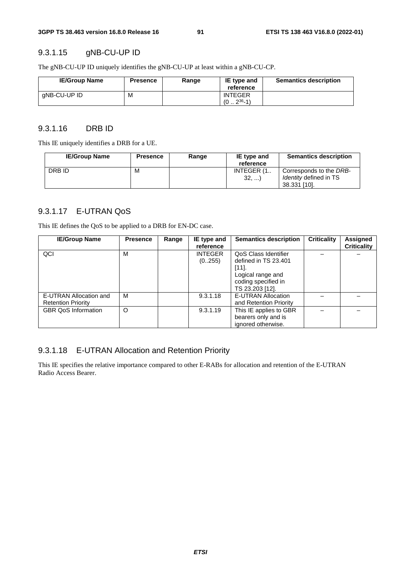#### 9.3.1.15 gNB-CU-UP ID

The gNB-CU-UP ID uniquely identifies the gNB-CU-UP at least within a gNB-CU-CP.

| <b>IE/Group Name</b> | <b>Presence</b> | Range | IE type and<br>reference     | <b>Semantics description</b> |
|----------------------|-----------------|-------|------------------------------|------------------------------|
| gNB-CU-UP ID         | M               |       | <b>INTEGER</b><br>$236 - 1)$ |                              |

#### 9.3.1.16 DRB ID

This IE uniquely identifies a DRB for a UE.

| <b>IE/Group Name</b> | <b>Presence</b> | Range | IE type and<br>reference | <b>Semantics description</b>                                             |
|----------------------|-----------------|-------|--------------------------|--------------------------------------------------------------------------|
| DRB ID               | м               |       | INTEGER (1<br>32,        | Corresponds to the DRB-<br><i>Identity</i> defined in TS<br>38.331 [10]. |

## 9.3.1.17 E-UTRAN QoS

This IE defines the QoS to be applied to a DRB for EN-DC case.

| <b>IE/Group Name</b>                                | <b>Presence</b> | Range | IE type and<br>reference | <b>Semantics description</b>                                                                                        | <b>Criticality</b> | <b>Assigned</b><br><b>Criticality</b> |
|-----------------------------------------------------|-----------------|-------|--------------------------|---------------------------------------------------------------------------------------------------------------------|--------------------|---------------------------------------|
| QCI                                                 | M               |       | <b>INTEGER</b><br>(0255) | QoS Class Identifier<br>defined in TS 23.401<br>[11]<br>Logical range and<br>coding specified in<br>TS 23.203 [12]. |                    |                                       |
| E-UTRAN Allocation and<br><b>Retention Priority</b> | М               |       | 9.3.1.18                 | E-UTRAN Allocation<br>and Retention Priority                                                                        |                    |                                       |
| <b>GBR QoS Information</b>                          | $\Omega$        |       | 9.3.1.19                 | This IE applies to GBR<br>bearers only and is<br>ignored otherwise.                                                 |                    |                                       |

### 9.3.1.18 E-UTRAN Allocation and Retention Priority

This IE specifies the relative importance compared to other E-RABs for allocation and retention of the E-UTRAN Radio Access Bearer.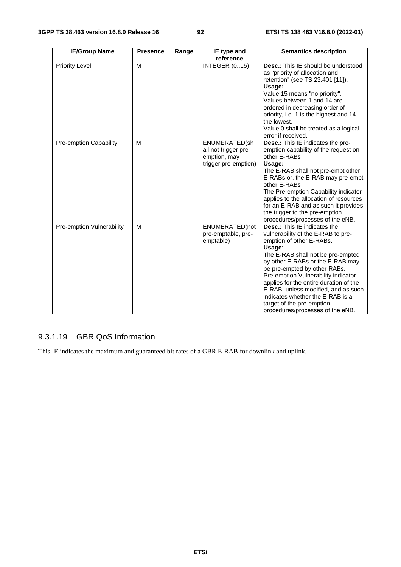| <b>IE/Group Name</b>      | <b>Presence</b> | Range | IE type and<br>reference                                                      | <b>Semantics description</b>                                                                                                                                                                                                                                                                                                                                                                                                                          |
|---------------------------|-----------------|-------|-------------------------------------------------------------------------------|-------------------------------------------------------------------------------------------------------------------------------------------------------------------------------------------------------------------------------------------------------------------------------------------------------------------------------------------------------------------------------------------------------------------------------------------------------|
| <b>Priority Level</b>     | M               |       | <b>INTEGER (015)</b>                                                          | <b>Desc.:</b> This IE should be understood<br>as "priority of allocation and<br>retention" (see TS 23.401 [11]).<br>Usage:<br>Value 15 means "no priority".<br>Values between 1 and 14 are<br>ordered in decreasing order of<br>priority, i.e. 1 is the highest and 14<br>the lowest.<br>Value 0 shall be treated as a logical<br>error if received.                                                                                                  |
| Pre-emption Capability    | M               |       | ENUMERATED(sh<br>all not trigger pre-<br>emption, may<br>trigger pre-emption) | Desc.: This IE indicates the pre-<br>emption capability of the request on<br>other E-RABs<br>Usage:<br>The E-RAB shall not pre-empt other<br>E-RABs or, the E-RAB may pre-empt<br>other E-RABs<br>The Pre-emption Capability indicator<br>applies to the allocation of resources<br>for an E-RAB and as such it provides<br>the trigger to the pre-emption<br>procedures/processes of the eNB.                                                        |
| Pre-emption Vulnerability | M               |       | ENUMERATED(not<br>pre-emptable, pre-<br>emptable)                             | <b>Desc.:</b> This IE indicates the<br>vulnerability of the E-RAB to pre-<br>emption of other E-RABs.<br>Usage:<br>The E-RAB shall not be pre-empted<br>by other E-RABs or the E-RAB may<br>be pre-empted by other RABs.<br>Pre-emption Vulnerability indicator<br>applies for the entire duration of the<br>E-RAB, unless modified, and as such<br>indicates whether the E-RAB is a<br>target of the pre-emption<br>procedures/processes of the eNB. |

# 9.3.1.19 GBR QoS Information

This IE indicates the maximum and guaranteed bit rates of a GBR E-RAB for downlink and uplink.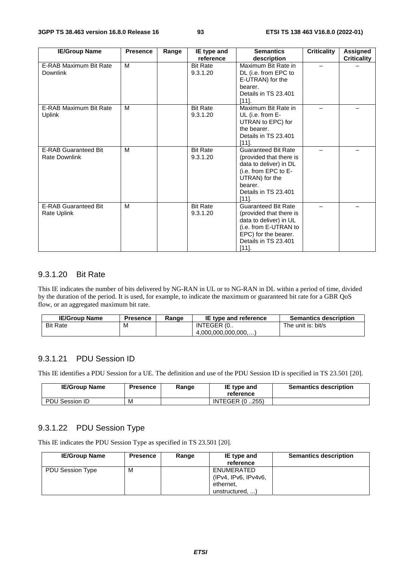| <b>IE/Group Name</b>                                | <b>Presence</b> | Range | IE type and                 | <b>Semantics</b>                                                                                                                                                      | <b>Criticality</b> | Assigned           |
|-----------------------------------------------------|-----------------|-------|-----------------------------|-----------------------------------------------------------------------------------------------------------------------------------------------------------------------|--------------------|--------------------|
|                                                     |                 |       | reference                   | description                                                                                                                                                           |                    | <b>Criticality</b> |
| E-RAB Maximum Bit Rate<br><b>Downlink</b>           | м               |       | <b>Bit Rate</b><br>9.3.1.20 | Maximum Bit Rate in<br>DL (i.e. from EPC to<br>E-UTRAN) for the<br>bearer.<br>Details in TS 23.401<br>[111]                                                           |                    |                    |
| E-RAB Maximum Bit Rate<br>Uplink                    | M               |       | <b>Bit Rate</b><br>9.3.1.20 | Maximum Bit Rate in<br>UL (i.e. from E-<br>UTRAN to EPC) for<br>the bearer.<br>Details in TS 23.401<br>[111]                                                          |                    |                    |
| <b>E-RAB Guaranteed Bit</b><br><b>Rate Downlink</b> | M               |       | <b>Bit Rate</b><br>9.3.1.20 | <b>Guaranteed Bit Rate</b><br>(provided that there is<br>data to deliver) in DL<br>(i.e. from EPC to E-<br>UTRAN) for the<br>bearer.<br>Details in TS 23.401<br>[111] |                    |                    |
| <b>E-RAB Guaranteed Bit</b><br>Rate Uplink          | M               |       | <b>Bit Rate</b><br>9.3.1.20 | <b>Guaranteed Bit Rate</b><br>(provided that there is<br>data to deliver) in UL<br>(i.e. from E-UTRAN to<br>EPC) for the bearer.<br>Details in TS 23.401<br>$[11]$ .  |                    |                    |

#### 9.3.1.20 Bit Rate

This IE indicates the number of bits delivered by NG-RAN in UL or to NG-RAN in DL within a period of time, divided by the duration of the period. It is used, for example, to indicate the maximum or guaranteed bit rate for a GBR QoS flow, or an aggregated maximum bit rate.

| <b>IE/Group Name</b> | <b>Presence</b> | Range | IE type and reference | <b>Semantics description</b> |
|----------------------|-----------------|-------|-----------------------|------------------------------|
| <b>Bit Rate</b>      | M               |       | INTEGER (0            | The unit is: bit/s           |
|                      |                 |       | (4.000.000.000.000)   |                              |

### 9.3.1.21 PDU Session ID

This IE identifies a PDU Session for a UE. The definition and use of the PDU Session ID is specified in TS 23.501 [20].

| <b>IE/Group Name</b> | Presence | Range | IE type and<br>reference | <b>Semantics description</b> |
|----------------------|----------|-------|--------------------------|------------------------------|
| PDU Session ID       | M        |       | <b>INTEGER (0255)</b>    |                              |

#### 9.3.1.22 PDU Session Type

This IE indicates the PDU Session Type as specified in TS 23.501 [20].

| <b>IE/Group Name</b> | <b>Presence</b> | Range | IE type and<br>reference                                           | <b>Semantics description</b> |
|----------------------|-----------------|-------|--------------------------------------------------------------------|------------------------------|
| PDU Session Type     | м               |       | ENUMERATED<br>(IPv4, IPv6, IPv4v6,<br>ethernet,<br>unstructured, ) |                              |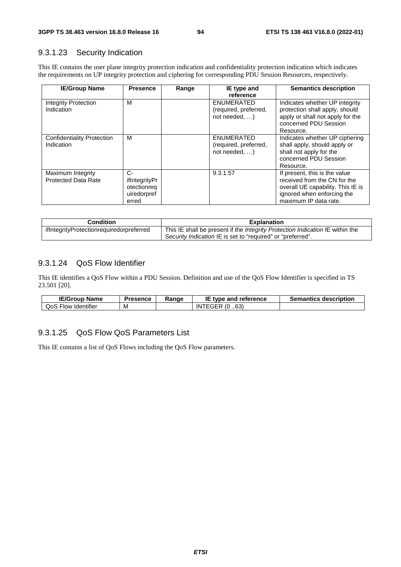#### 9.3.1.23 Security Indication

This IE contains the user plane integrity protection indication and confidentiality protection indication which indicates the requirements on UP integrity protection and ciphering for corresponding PDU Session Resources, respectively.

| <b>IE/Group Name</b>                            | <b>Presence</b>                                            | Range | IE type and                                                       | <b>Semantics description</b>                                                                                                                              |
|-------------------------------------------------|------------------------------------------------------------|-------|-------------------------------------------------------------------|-----------------------------------------------------------------------------------------------------------------------------------------------------------|
| Integrity Protection<br>Indication              | м                                                          |       | reference<br>ENUMERATED<br>(required, preferred,<br>not needed, ) | Indicates whether UP integrity<br>protection shall apply, should<br>apply or shall not apply for the<br>concerned PDU Session<br>Resource.                |
| Confidentiality Protection<br>Indication        | м                                                          |       | ENUMERATED<br>(required, preferred,<br>not needed, $\dots$ )      | Indicates whether UP ciphering<br>shall apply, should apply or<br>shall not apply for the<br>concerned PDU Session<br>Resource.                           |
| Maximum Integrity<br><b>Protected Data Rate</b> | C-<br>ifIntegrityPr<br>otectionreg<br>uiredorpref<br>erred |       | 9.3.1.57                                                          | If present, this is the value<br>received from the CN for the<br>overall UE capability. This IE is<br>ignored when enforcing the<br>maximum IP data rate. |

| <b>Condition</b>                         | <b>Explanation</b>                                                                   |
|------------------------------------------|--------------------------------------------------------------------------------------|
| ifIntegrityProtectionrequiredorpreferred | This IE shall be present if the <i>Integrity Protection Indication</i> IE within the |
|                                          | Security Indication IE is set to "required" or "preferred".                          |

### 9.3.1.24 QoS Flow Identifier

This IE identifies a QoS Flow within a PDU Session. Definition and use of the QoS Flow Identifier is specified in TS 23.501 [20].

| <b>IE/Group</b><br>Name  | Presence | Range | IE<br>type and reference | <b>Semantics description</b> |
|--------------------------|----------|-------|--------------------------|------------------------------|
| Flow Identifier /<br>QoS | M        |       | .63)<br>INTEGER (0       |                              |

### 9.3.1.25 QoS Flow QoS Parameters List

This IE contains a list of QoS Flows including the QoS Flow parameters.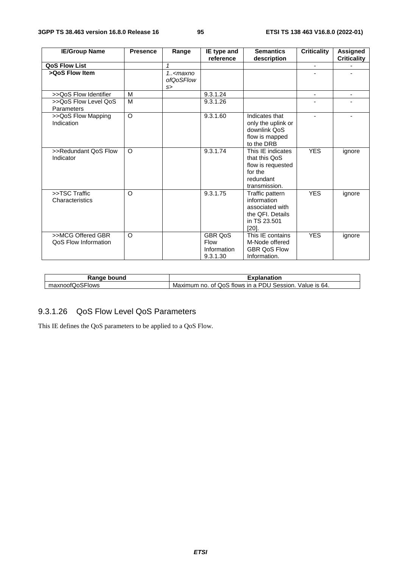| <b>IE/Group Name</b>  | <b>Presence</b> | Range      | IE type and    | <b>Semantics</b>    | <b>Criticality</b> | <b>Assigned</b>    |
|-----------------------|-----------------|------------|----------------|---------------------|--------------------|--------------------|
|                       |                 |            | reference      | description         |                    | <b>Criticality</b> |
| <b>QoS Flow List</b>  |                 |            |                |                     | $\blacksquare$     |                    |
| >QoS Flow Item        |                 | $1. maxno$ |                |                     |                    |                    |
|                       |                 | ofQoSFlow  |                |                     |                    |                    |
|                       |                 | s          |                |                     |                    |                    |
| >>QoS Flow Identifier | M               |            | 9.3.1.24       |                     | $\blacksquare$     |                    |
| >>QoS Flow Level QoS  | M               |            | 9.3.1.26       |                     |                    |                    |
| Parameters            |                 |            |                |                     |                    |                    |
| >>QoS Flow Mapping    | O               |            | 9.3.1.60       | Indicates that      |                    |                    |
| Indication            |                 |            |                | only the uplink or  |                    |                    |
|                       |                 |            |                | downlink QoS        |                    |                    |
|                       |                 |            |                | flow is mapped      |                    |                    |
|                       |                 |            |                | to the DRB          |                    |                    |
| >>Redundant QoS Flow  | $\circ$         |            | 9.3.1.74       | This IE indicates   | <b>YES</b>         | ignore             |
| Indicator             |                 |            |                | that this QoS       |                    |                    |
|                       |                 |            |                | flow is requested   |                    |                    |
|                       |                 |            |                | for the             |                    |                    |
|                       |                 |            |                | redundant           |                    |                    |
|                       |                 |            |                | transmission.       |                    |                    |
| >>TSC Traffic         | $\circ$         |            | 9.3.1.75       | Traffic pattern     | <b>YES</b>         | ignore             |
| Characteristics       |                 |            |                | information         |                    |                    |
|                       |                 |            |                | associated with     |                    |                    |
|                       |                 |            |                | the QFI. Details    |                    |                    |
|                       |                 |            |                | in TS 23.501        |                    |                    |
|                       |                 |            |                | $[20]$ .            |                    |                    |
| >>MCG Offered GBR     | $\circ$         |            | <b>GBR QoS</b> | This IE contains    | <b>YES</b>         | ignore             |
| QoS Flow Information  |                 |            | Flow           | M-Node offered      |                    |                    |
|                       |                 |            | Information    | <b>GBR OoS Flow</b> |                    |                    |
|                       |                 |            | 9.3.1.30       | Information.        |                    |                    |

| Range bound     | Explanation                                             |  |  |
|-----------------|---------------------------------------------------------|--|--|
| maxnoofQoSFlows | Maximum no. of QoS flows in a PDU Session. Value is 64. |  |  |

# 9.3.1.26 QoS Flow Level QoS Parameters

This IE defines the QoS parameters to be applied to a QoS Flow.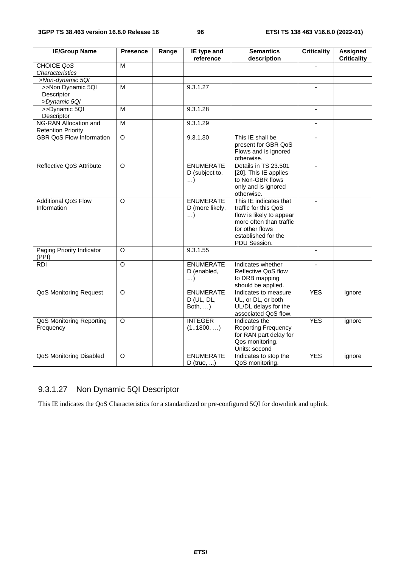| <b>IE/Group Name</b>            | <b>Presence</b>    | Range | IE type and<br>reference        | <b>Semantics</b>                         | <b>Criticality</b> | <b>Assigned</b><br><b>Criticality</b> |
|---------------------------------|--------------------|-------|---------------------------------|------------------------------------------|--------------------|---------------------------------------|
| <b>CHOICE QoS</b>               | M                  |       |                                 | description                              | ä,                 |                                       |
| Characteristics                 |                    |       |                                 |                                          |                    |                                       |
| >Non-dynamic 5QI                |                    |       |                                 |                                          |                    |                                       |
| >>Non Dynamic 5QI               | M                  |       | 9.3.1.27                        |                                          | $\blacksquare$     |                                       |
| Descriptor                      |                    |       |                                 |                                          |                    |                                       |
| >Dynamic 5QI                    |                    |       |                                 |                                          |                    |                                       |
| >>Dynamic 5QI                   | M                  |       | 9.3.1.28                        |                                          | $\blacksquare$     |                                       |
| Descriptor                      |                    |       |                                 |                                          |                    |                                       |
| NG-RAN Allocation and           | M                  |       | 9.3.1.29                        |                                          |                    |                                       |
| <b>Retention Priority</b>       |                    |       |                                 |                                          |                    |                                       |
| <b>GBR QoS Flow Information</b> | $\overline{O}$     |       | 9.3.1.30                        | This IE shall be                         | $\blacksquare$     |                                       |
|                                 |                    |       |                                 | present for GBR QoS                      |                    |                                       |
|                                 |                    |       |                                 | Flows and is ignored                     |                    |                                       |
|                                 |                    |       |                                 | otherwise.                               |                    |                                       |
| Reflective QoS Attribute        | $\circ$            |       | <b>ENUMERATE</b>                | Details in TS 23.501                     |                    |                                       |
|                                 |                    |       | D (subject to,                  | [20]. This IE applies                    |                    |                                       |
|                                 |                    |       | $\ldots$                        | to Non-GBR flows                         |                    |                                       |
|                                 |                    |       |                                 | only and is ignored                      |                    |                                       |
|                                 |                    |       |                                 | otherwise.                               |                    |                                       |
| <b>Additional QoS Flow</b>      | O                  |       | <b>ENUMERATE</b>                | This IE indicates that                   | $\blacksquare$     |                                       |
| Information                     |                    |       | D (more likely,                 | traffic for this QoS                     |                    |                                       |
|                                 |                    |       | $\ldots$                        | flow is likely to appear                 |                    |                                       |
|                                 |                    |       |                                 | more often than traffic                  |                    |                                       |
|                                 |                    |       |                                 | for other flows                          |                    |                                       |
|                                 |                    |       |                                 | established for the                      |                    |                                       |
|                                 |                    |       |                                 | PDU Session.                             |                    |                                       |
| Paging Priority Indicator       | $\circ$            |       | 9.3.1.55                        |                                          | $\blacksquare$     |                                       |
| (PPI)                           | $\overline{\circ}$ |       |                                 |                                          |                    |                                       |
| <b>RDI</b>                      |                    |       | <b>ENUMERATE</b><br>D (enabled, | Indicates whether<br>Reflective QoS flow |                    |                                       |
|                                 |                    |       | $\ldots$                        | to DRB mapping                           |                    |                                       |
|                                 |                    |       |                                 | should be applied.                       |                    |                                       |
| QoS Monitoring Request          | $\circ$            |       | <b>ENUMERATE</b>                | Indicates to measure                     | <b>YES</b>         | ignore                                |
|                                 |                    |       | D (UL, DL,                      | UL, or DL, or both                       |                    |                                       |
|                                 |                    |       | Both, )                         | UL/DL delays for the                     |                    |                                       |
|                                 |                    |       |                                 | associated QoS flow.                     |                    |                                       |
| <b>QoS Monitoring Reporting</b> | O                  |       | <b>INTEGER</b>                  | Indicates the                            | <b>YES</b>         | ignore                                |
| Frequency                       |                    |       | (11800, )                       | <b>Reporting Frequency</b>               |                    |                                       |
|                                 |                    |       |                                 | for RAN part delay for                   |                    |                                       |
|                                 |                    |       |                                 | Qos monitoring.                          |                    |                                       |
|                                 |                    |       |                                 | Units: second                            |                    |                                       |
| QoS Monitoring Disabled         | O                  |       | <b>ENUMERATE</b>                | Indicates to stop the                    | <b>YES</b>         | ignore                                |
|                                 |                    |       | $D$ (true, )                    | QoS monitoring.                          |                    |                                       |

# 9.3.1.27 Non Dynamic 5QI Descriptor

This IE indicates the QoS Characteristics for a standardized or pre-configured 5QI for downlink and uplink.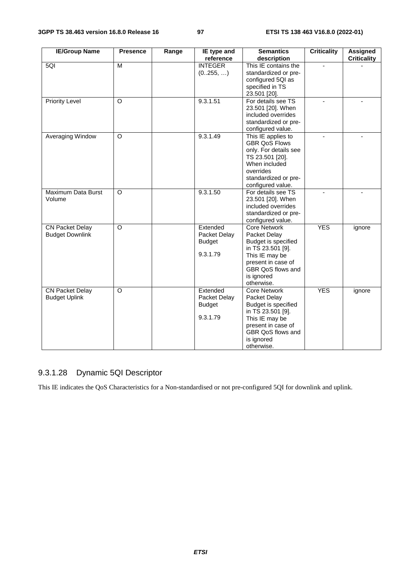| <b>IE/Group Name</b>                             | <b>Presence</b> | Range | IE type and<br>reference                              | <b>Semantics</b>                                                                                                                                                         | <b>Criticality</b> | Assigned<br><b>Criticality</b> |
|--------------------------------------------------|-----------------|-------|-------------------------------------------------------|--------------------------------------------------------------------------------------------------------------------------------------------------------------------------|--------------------|--------------------------------|
| 5QI                                              | M               |       | <b>INTEGER</b><br>(0255, )                            | description<br>This IE contains the<br>standardized or pre-<br>configured 5QI as<br>specified in TS<br>23.501 [20].                                                      |                    |                                |
| <b>Priority Level</b>                            | $\Omega$        |       | 9.3.1.51                                              | For details see TS<br>23.501 [20]. When<br>included overrides<br>standardized or pre-<br>configured value.                                                               |                    |                                |
| Averaging Window                                 | O               |       | 9.3.1.49                                              | This IE applies to<br><b>GBR QoS Flows</b><br>only. For details see<br>TS 23.501 [20].<br>When included<br>overrides<br>standardized or pre-<br>configured value.        |                    |                                |
| Maximum Data Burst<br>Volume                     | O               |       | 9.3.1.50                                              | For details see TS<br>23.501 [20]. When<br>included overrides<br>standardized or pre-<br>configured value.                                                               |                    |                                |
| <b>CN Packet Delay</b><br><b>Budget Downlink</b> | $\circ$         |       | Extended<br>Packet Delay<br><b>Budget</b><br>9.3.1.79 | <b>Core Network</b><br>Packet Delay<br>Budget is specified<br>in TS 23.501 [9].<br>This IE may be<br>present in case of<br>GBR QoS flows and<br>is ignored<br>otherwise. | <b>YES</b>         | ignore                         |
| <b>CN Packet Delay</b><br><b>Budget Uplink</b>   | O               |       | Extended<br>Packet Delay<br><b>Budget</b><br>9.3.1.79 | <b>Core Network</b><br>Packet Delay<br>Budget is specified<br>in TS 23.501 [9].<br>This IE may be<br>present in case of<br>GBR QoS flows and<br>is ignored<br>otherwise. | <b>YES</b>         | ignore                         |

## 9.3.1.28 Dynamic 5QI Descriptor

This IE indicates the QoS Characteristics for a Non-standardised or not pre-configured 5QI for downlink and uplink.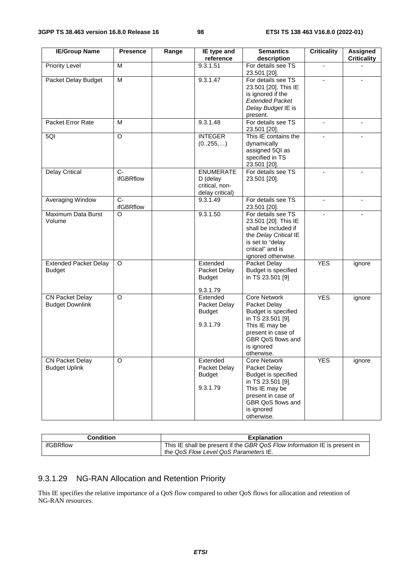| <b>IE/Group Name</b>                             | <b>Presence</b>    | Range | IE type and                                                         | <b>Semantics</b>                                                                                                                                                         | <b>Criticality</b> | Assigned           |
|--------------------------------------------------|--------------------|-------|---------------------------------------------------------------------|--------------------------------------------------------------------------------------------------------------------------------------------------------------------------|--------------------|--------------------|
|                                                  |                    |       | reference                                                           | description                                                                                                                                                              |                    | <b>Criticality</b> |
| <b>Priority Level</b>                            | M                  |       | 9.3.1.51                                                            | For details see TS<br>23.501 [20].                                                                                                                                       |                    |                    |
| Packet Delay Budget                              | M                  |       | 9.3.1.47                                                            | For details see TS<br>23.501 [20]. This IE<br>is ignored if the<br><b>Extended Packet</b><br>Delay Budget IE is<br>present.                                              |                    |                    |
| Packet Error Rate                                | M                  |       | 9.3.1.48                                                            | For details see TS<br>23.501 [20].                                                                                                                                       |                    |                    |
| 5QI                                              | O                  |       | <b>INTEGER</b><br>(0255,)                                           | This IE contains the<br>dynamically<br>assigned 5QI as<br>specified in TS<br>23.501 [20].                                                                                | $\blacksquare$     |                    |
| <b>Delay Critical</b>                            | $C -$<br>ifGBRflow |       | <b>ENUMERATE</b><br>$D$ (delay<br>critical, non-<br>delay critical) | For details see TS<br>23.501 [20].                                                                                                                                       |                    |                    |
| Averaging Window                                 | $C -$<br>ifGBRflow |       | 9.3.1.49                                                            | For details see TS<br>23.501 [20].                                                                                                                                       |                    |                    |
| Maximum Data Burst<br>Volume                     | O                  |       | 9.3.1.50                                                            | For details see TS<br>23.501 [20]. This IE<br>shall be included if<br>the Delay Critical IE<br>is set to "delay<br>critical" and is<br>ignored otherwise.                |                    |                    |
| <b>Extended Packet Delay</b><br><b>Budget</b>    | O                  |       | Extended<br>Packet Delay<br><b>Budget</b><br>9.3.1.79               | Packet Delay<br>Budget is specified<br>in TS 23.501 [9]                                                                                                                  | <b>YES</b>         | ignore             |
| <b>CN Packet Delay</b><br><b>Budget Downlink</b> | O                  |       | Extended<br>Packet Delay<br><b>Budget</b><br>9.3.1.79               | <b>Core Network</b><br>Packet Delay<br>Budget is specified<br>in TS 23.501 [9].<br>This IE may be<br>present in case of<br>GBR QoS flows and<br>is ignored<br>otherwise. | <b>YES</b>         | ignore             |
| <b>CN Packet Delay</b><br><b>Budget Uplink</b>   | O                  |       | Extended<br>Packet Delay<br><b>Budget</b><br>9.3.1.79               | <b>Core Network</b><br>Packet Delay<br>Budget is specified<br>in TS 23.501 [9].<br>This IE may be<br>present in case of<br>GBR QoS flows and<br>is ignored<br>otherwise. | <b>YES</b>         | ignore             |

| <b>Condition</b> | <b>Explanation</b>                                                        |
|------------------|---------------------------------------------------------------------------|
| ifGBRflow        | This IE shall be present if the GBR QoS Flow Information IE is present in |
|                  | the QoS Flow Level QoS Parameters IE.                                     |

# 9.3.1.29 NG-RAN Allocation and Retention Priority

This IE specifies the relative importance of a QoS flow compared to other QoS flows for allocation and retention of NG-RAN resources.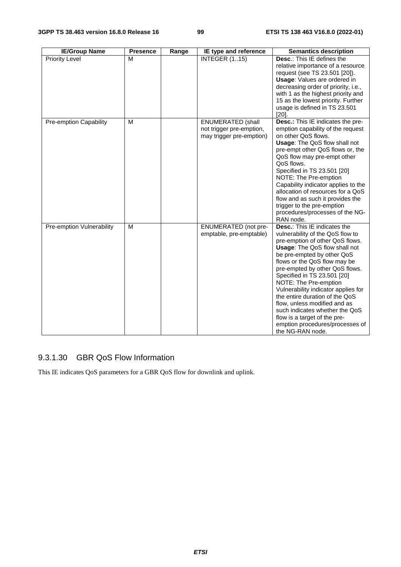| <b>IE/Group Name</b>          | <b>Presence</b> | Range | IE type and reference                                                            | <b>Semantics description</b>                                                                                                                                                                                                                                                                                                                                                                                                                                                                                                          |
|-------------------------------|-----------------|-------|----------------------------------------------------------------------------------|---------------------------------------------------------------------------------------------------------------------------------------------------------------------------------------------------------------------------------------------------------------------------------------------------------------------------------------------------------------------------------------------------------------------------------------------------------------------------------------------------------------------------------------|
| Priority Level                | M               |       | <b>INTEGER (115)</b>                                                             | Desc.: This IE defines the<br>relative importance of a resource<br>request (see TS 23.501 [20]).<br><b>Usage:</b> Values are ordered in<br>decreasing order of priority, i.e.,<br>with 1 as the highest priority and<br>15 as the lowest priority. Further<br>usage is defined in TS 23.501<br>$[20]$ .                                                                                                                                                                                                                               |
| <b>Pre-emption Capability</b> | M               |       | <b>ENUMERATED (shall</b><br>not trigger pre-emption,<br>may trigger pre-emption) | Desc.: This IE indicates the pre-<br>emption capability of the request<br>on other QoS flows.<br>Usage: The QoS flow shall not<br>pre-empt other QoS flows or, the<br>QoS flow may pre-empt other<br>QoS flows.<br>Specified in TS 23.501 [20]<br>NOTE: The Pre-emption<br>Capability indicator applies to the<br>allocation of resources for a QoS<br>flow and as such it provides the<br>trigger to the pre-emption<br>procedures/processes of the NG-<br>RAN node.                                                                 |
| Pre-emption Vulnerability     | M               |       | <b>ENUMERATED</b> (not pre-<br>emptable, pre-emptable)                           | <b>Desc.:</b> This IE indicates the<br>vulnerability of the QoS flow to<br>pre-emption of other QoS flows.<br>Usage: The QoS flow shall not<br>be pre-empted by other QoS<br>flows or the QoS flow may be<br>pre-empted by other QoS flows.<br>Specified in TS 23.501 [20]<br>NOTE: The Pre-emption<br>Vulnerability indicator applies for<br>the entire duration of the QoS<br>flow, unless modified and as<br>such indicates whether the QoS<br>flow is a target of the pre-<br>emption procedures/processes of<br>the NG-RAN node. |

# 9.3.1.30 GBR QoS Flow Information

This IE indicates QoS parameters for a GBR QoS flow for downlink and uplink.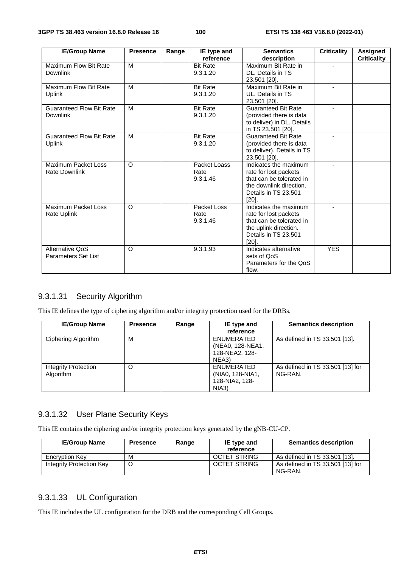| <b>IE/Group Name</b>            | <b>Presence</b> | Range | IE type and     | <b>Semantics</b>                           | <b>Criticality</b> | Assigned           |
|---------------------------------|-----------------|-------|-----------------|--------------------------------------------|--------------------|--------------------|
|                                 |                 |       | reference       | description                                |                    | <b>Criticality</b> |
| Maximum Flow Bit Rate           | M               |       | <b>Bit Rate</b> | Maximum Bit Rate in                        |                    |                    |
| Downlink                        |                 |       | 9.3.1.20        | DL. Details in TS                          |                    |                    |
|                                 |                 |       |                 | 23.501 [20].                               |                    |                    |
| Maximum Flow Bit Rate           | M               |       | <b>Bit Rate</b> | Maximum Bit Rate in                        |                    |                    |
| <b>Uplink</b>                   |                 |       | 9.3.1.20        | UL. Details in TS                          |                    |                    |
|                                 |                 |       |                 | 23.501 [20].                               |                    |                    |
| <b>Guaranteed Flow Bit Rate</b> | M               |       | <b>Bit Rate</b> | <b>Guaranteed Bit Rate</b>                 |                    |                    |
| Downlink                        |                 |       | 9.3.1.20        | (provided there is data                    |                    |                    |
|                                 |                 |       |                 | to deliver) in DL. Details                 |                    |                    |
|                                 |                 |       |                 | in TS 23.501 [20].                         |                    |                    |
| <b>Guaranteed Flow Bit Rate</b> | M               |       | <b>Bit Rate</b> | <b>Guaranteed Bit Rate</b>                 |                    |                    |
| Uplink                          |                 |       | 9.3.1.20        | (provided there is data                    |                    |                    |
|                                 |                 |       |                 | to deliver). Details in TS<br>23.501 [20]. |                    |                    |
| Maximum Packet Loss             | $\circ$         |       | Packet Loass    | Indicates the maximum                      |                    |                    |
| <b>Rate Downlink</b>            |                 |       | Rate            | rate for lost packets                      |                    |                    |
|                                 |                 |       | 9.3.1.46        | that can be tolerated in                   |                    |                    |
|                                 |                 |       |                 | the downlink direction.                    |                    |                    |
|                                 |                 |       |                 | Details in TS 23.501                       |                    |                    |
|                                 |                 |       |                 | [20].                                      |                    |                    |
| Maximum Packet Loss             | $\circ$         |       | Packet Loss     | Indicates the maximum                      |                    |                    |
| <b>Rate Uplink</b>              |                 |       | Rate            | rate for lost packets                      |                    |                    |
|                                 |                 |       | 9.3.1.46        | that can be tolerated in                   |                    |                    |
|                                 |                 |       |                 | the uplink direction.                      |                    |                    |
|                                 |                 |       |                 | Details in TS 23.501                       |                    |                    |
|                                 |                 |       |                 | $[20]$ .                                   |                    |                    |
| Alternative QoS                 | $\Omega$        |       | 9.3.1.93        | Indicates alternative                      | <b>YES</b>         |                    |
| <b>Parameters Set List</b>      |                 |       |                 | sets of QoS                                |                    |                    |
|                                 |                 |       |                 | Parameters for the QoS                     |                    |                    |
|                                 |                 |       |                 | flow.                                      |                    |                    |

#### 9.3.1.31 Security Algorithm

This IE defines the type of ciphering algorithm and/or integrity protection used for the DRBs.

| <b>IE/Group Name</b>                     | <b>Presence</b> | Range | IE type and                                               | <b>Semantics description</b>                |
|------------------------------------------|-----------------|-------|-----------------------------------------------------------|---------------------------------------------|
|                                          |                 |       | reference                                                 |                                             |
| Ciphering Algorithm                      | M               |       | ENUMERATED<br>(NEA0, 128-NEA1,<br>128-NEA2, 128-<br>NEA3) | As defined in TS 33.501 [13].               |
| <b>Integrity Protection</b><br>Algorithm | O               |       | ENUMERATED<br>(NIA0, 128-NIA1,<br>128-NIA2, 128-<br>NIA3) | As defined in TS 33.501 [13] for<br>NG-RAN. |

### 9.3.1.32 User Plane Security Keys

This IE contains the ciphering and/or integrity protection keys generated by the gNB-CU-CP.

| <b>IE/Group Name</b>     | <b>Presence</b> | Range | IE type and<br>reference | <b>Semantics description</b>                |
|--------------------------|-----------------|-------|--------------------------|---------------------------------------------|
| <b>Encryption Key</b>    | м               |       | <b>OCTET STRING</b>      | As defined in TS 33.501 [13].               |
| Integrity Protection Key | O               |       | <b>OCTET STRING</b>      | As defined in TS 33.501 [13] for<br>NG-RAN. |

#### 9.3.1.33 UL Configuration

This IE includes the UL configuration for the DRB and the corresponding Cell Groups.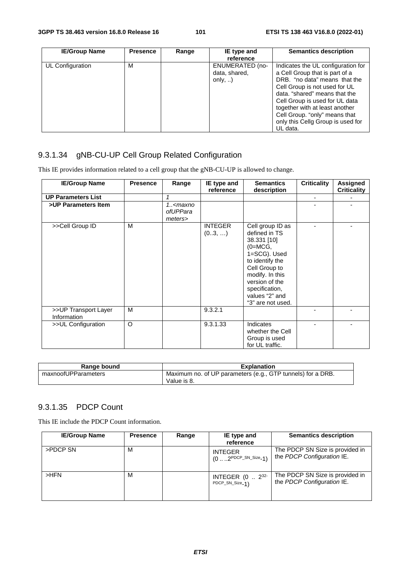| <b>IE/Group Name</b> | <b>Presence</b> | Range | IE type and<br>reference                                    | <b>Semantics description</b>                                                                                                                                                                                                                                                                                                  |
|----------------------|-----------------|-------|-------------------------------------------------------------|-------------------------------------------------------------------------------------------------------------------------------------------------------------------------------------------------------------------------------------------------------------------------------------------------------------------------------|
| UL Configuration     | М               |       | <b>ENUMERATED (no-</b><br>data, shared,<br>only, $\ldots$ ) | Indicates the UL configuration for<br>a Cell Group that is part of a<br>DRB. "no data" means that the<br>Cell Group is not used for UL<br>data. "shared" means that the<br>Cell Group is used for UL data<br>together with at least another<br>Cell Group. "only" means that<br>only this Cellg Group is used for<br>UL data. |

# 9.3.1.34 gNB-CU-UP Cell Group Related Configuration

This IE provides information related to a cell group that the gNB-CU-UP is allowed to change.

| <b>IE/Group Name</b>                | <b>Presence</b> | Range                                          | IE type and<br>reference | <b>Semantics</b><br>description                                                                                                                                                                                 | <b>Criticality</b> | Assigned<br><b>Criticality</b> |
|-------------------------------------|-----------------|------------------------------------------------|--------------------------|-----------------------------------------------------------------------------------------------------------------------------------------------------------------------------------------------------------------|--------------------|--------------------------------|
| <b>UP Parameters List</b>           |                 | 1                                              |                          |                                                                                                                                                                                                                 | ٠                  |                                |
| >UP Parameters Item                 |                 | 1 <maxno<br>ofUPPara<br/>meters&gt;</maxno<br> |                          |                                                                                                                                                                                                                 |                    |                                |
| >>Cell Group ID                     | M               |                                                | <b>INTEGER</b><br>(03, ) | Cell group ID as<br>defined in TS<br>38.331 [10]<br>$(O=MCG,$<br>1=SCG). Used<br>to identify the<br>Cell Group to<br>modify. In this<br>version of the<br>specification,<br>values "2" and<br>"3" are not used. |                    |                                |
| >>UP Transport Layer<br>Information | M               |                                                | 9.3.2.1                  |                                                                                                                                                                                                                 |                    |                                |
| >>UL Configuration                  | $\circ$         |                                                | 9.3.1.33                 | Indicates<br>whether the Cell<br>Group is used<br>for UL traffic.                                                                                                                                               |                    |                                |

| Range bound         | <b>Explanation</b>                                                          |  |  |
|---------------------|-----------------------------------------------------------------------------|--|--|
| maxnoofUPParameters | 'Maximum no. of UP parameters (e.g., GTP tunnels) for a DRB.<br>Value is 8. |  |  |

#### 9.3.1.35 PDCP Count

This IE include the PDCP Count information.

| <b>IE/Group Name</b> | <b>Presence</b> | Range | IE type and                                               | <b>Semantics description</b>                                  |
|----------------------|-----------------|-------|-----------------------------------------------------------|---------------------------------------------------------------|
|                      |                 |       | reference                                                 |                                                               |
| >PDCP SN             | м               |       | <b>INTEGER</b><br>$(0 \dots 2^{\text{PDCP\_SN\_Size}-1})$ | The PDCP SN Size is provided in<br>the PDCP Configuration IE. |
| $>$ HFN              | м               |       | INTEGER (0  2 <sup>32-</sup><br>PDCP_SN_Size_1)           | The PDCP SN Size is provided in<br>the PDCP Configuration IE. |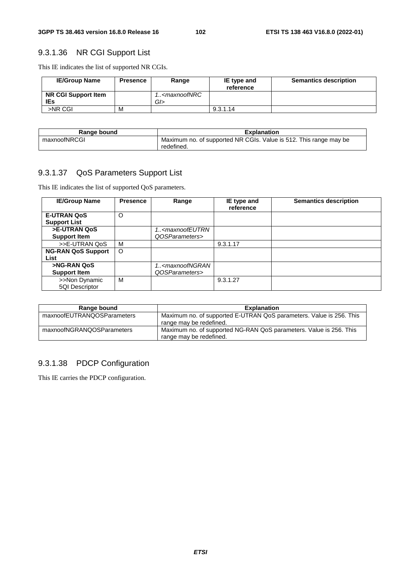# 9.3.1.36 NR CGI Support List

This IE indicates the list of supported NR CGIs.

| <b>IE/Group Name</b>              | <b>Presence</b> | Range                               | IE type and<br>reference | <b>Semantics description</b> |
|-----------------------------------|-----------------|-------------------------------------|--------------------------|------------------------------|
| <b>NR CGI Support Item</b><br>IEs |                 | 1 <maxnoofnrc<br>GI</maxnoofnrc<br> |                          |                              |
| >NR CGI                           | M               |                                     | 9.3.1.14                 |                              |

| Range bound  | <b>Explanation</b>                                                              |
|--------------|---------------------------------------------------------------------------------|
| maxnoofNRCGI | Maximum no. of supported NR CGIs. Value is 512. This range may be<br>redefined. |

### 9.3.1.37 QoS Parameters Support List

This IE indicates the list of supported QoS parameters.

| <b>IE/Group Name</b>      | <b>Presence</b> | Range                                                     | IE type and<br>reference | <b>Semantics description</b> |
|---------------------------|-----------------|-----------------------------------------------------------|--------------------------|------------------------------|
| <b>E-UTRAN QoS</b>        | O               |                                                           |                          |                              |
| <b>Support List</b>       |                 |                                                           |                          |                              |
| >E-UTRAN QoS              |                 | 1 <maxnoofeutrn< td=""><td></td><td></td></maxnoofeutrn<> |                          |                              |
| <b>Support Item</b>       |                 | QOSParameters>                                            |                          |                              |
| >>E-UTRAN QoS             | м               |                                                           | 9.3.1.17                 |                              |
| <b>NG-RAN QoS Support</b> | $\circ$         |                                                           |                          |                              |
| List                      |                 |                                                           |                          |                              |
| >NG-RAN QoS               |                 | 1 <maxnoofngran< td=""><td></td><td></td></maxnoofngran<> |                          |                              |
| <b>Support Item</b>       |                 | QOSParameters>                                            |                          |                              |
| >>Non Dynamic             | м               |                                                           | 9.3.1.27                 |                              |
| 5QI Descriptor            |                 |                                                           |                          |                              |

| Range bound                | <b>Explanation</b>                                                                             |  |  |
|----------------------------|------------------------------------------------------------------------------------------------|--|--|
| maxnoofEUTRANQOSParameters | Maximum no. of supported E-UTRAN QoS parameters. Value is 256. This<br>range may be redefined. |  |  |
| maxnoofNGRANQOSParameters  | Maximum no. of supported NG-RAN QoS parameters. Value is 256. This<br>range may be redefined.  |  |  |

### 9.3.1.38 PDCP Configuration

This IE carries the PDCP configuration.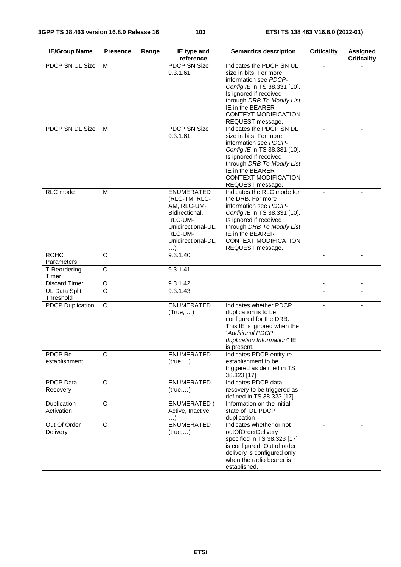| <b>IE/Group Name</b>       | <b>Presence</b>    | Range | IE type and<br>reference                                                                                                              | <b>Semantics description</b>                                                                                                                                                                                                               | <b>Criticality</b>       | <b>Assigned</b><br><b>Criticality</b> |
|----------------------------|--------------------|-------|---------------------------------------------------------------------------------------------------------------------------------------|--------------------------------------------------------------------------------------------------------------------------------------------------------------------------------------------------------------------------------------------|--------------------------|---------------------------------------|
| <b>PDCP SN UL Size</b>     | M                  |       | <b>PDCP SN Size</b><br>9.3.1.61                                                                                                       | Indicates the PDCP SN UL<br>size in bits. For more<br>information see PDCP-<br>Config IE in TS 38.331 [10].<br>Is ignored if received<br>through DRB To Modify List<br>IE in the BEARER<br><b>CONTEXT MODIFICATION</b><br>REQUEST message. |                          |                                       |
| <b>PDCP SN DL Size</b>     | M                  |       | <b>PDCP SN Size</b><br>9.3.1.61                                                                                                       | Indicates the PDCP SN DL<br>size in bits. For more<br>information see PDCP-<br>Config IE in TS 38.331 [10].<br>Is ignored if received<br>through DRB To Modify List<br>IE in the BEARER<br>CONTEXT MODIFICATION<br>REQUEST message.        | $\overline{a}$           |                                       |
| RLC mode                   | M                  |       | ENUMERATED<br>(RLC-TM, RLC-<br>AM, RLC-UM-<br>Bidirectional,<br>RLC-UM-<br>Unidirectional-UL,<br>RLC-UM-<br>Unidirectional-DL,<br>. 1 | Indicates the RLC mode for<br>the DRB. For more<br>information see PDCP-<br>Config IE in TS 38.331 [10].<br>Is ignored if received<br>through DRB To Modify List<br>IE in the BEARER<br>CONTEXT MODIFICATION<br>REQUEST message.           |                          |                                       |
| <b>ROHC</b><br>Parameters  | O                  |       | 9.3.1.40                                                                                                                              |                                                                                                                                                                                                                                            |                          |                                       |
| T-Reordering<br>Timer      | $\overline{O}$     |       | 9.3.1.41                                                                                                                              |                                                                                                                                                                                                                                            |                          |                                       |
| Discard Timer              | O                  |       | 9.3.1.42                                                                                                                              |                                                                                                                                                                                                                                            | $\overline{\phantom{a}}$ | $\overline{\phantom{a}}$              |
| UL Data Split<br>Threshold | $\overline{\circ}$ |       | 9.3.1.43                                                                                                                              |                                                                                                                                                                                                                                            |                          |                                       |
| <b>PDCP Duplication</b>    | O                  |       | <b>ENUMERATED</b><br>(True, )                                                                                                         | Indicates whether PDCP<br>duplication is to be<br>configured for the DRB.<br>This IE is ignored when the<br>"Additional PDCP<br>duplication Information" IE<br>is present.                                                                 |                          |                                       |
| PDCP Re-<br>establishment  | O                  |       | <b>ENUMERATED</b><br>(true,)                                                                                                          | Indicates PDCP entity re-<br>establishment to be<br>triggered as defined in TS<br>38.323 [17]                                                                                                                                              |                          |                                       |
| PDCP Data<br>Recovery      | $\mathsf O$        |       | ENUMERATED<br>(true,)                                                                                                                 | Indicates PDCP data<br>recovery to be triggered as<br>defined in TS 38.323 [17]                                                                                                                                                            | $\blacksquare$           |                                       |
| Duplication<br>Activation  | $\overline{O}$     |       | ENUMERATED (<br>Active, Inactive,<br>. )                                                                                              | Information on the initial<br>state of DL PDCP<br>duplication                                                                                                                                                                              | $\blacksquare$           |                                       |
| Out Of Order<br>Delivery   | O                  |       | <b>ENUMERATED</b><br>(true,)                                                                                                          | Indicates whether or not<br>outOfOrderDelivery<br>specified in TS 38.323 [17]<br>is configured. Out of order<br>delivery is configured only<br>when the radio bearer is<br>established.                                                    |                          |                                       |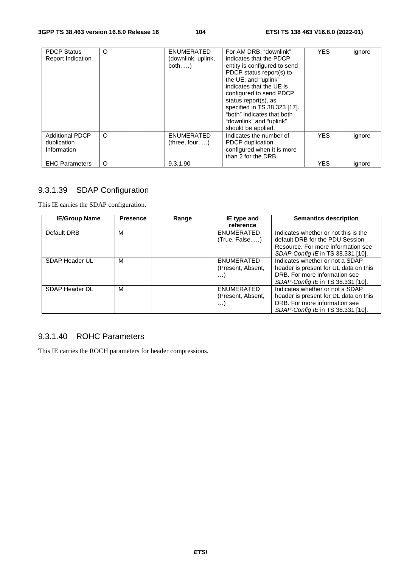| <b>PDCP Status</b><br><b>Report Indication</b>       | O | <b>ENUMERATED</b><br>(downlink, uplink,<br>both, $\dots$ ) | For AM DRB, "downlink"<br>indicates that the PDCP<br>entity is configured to send<br>PDCP status report(s) to<br>the UE, and "uplink"<br>indicates that the UE is<br>configured to send PDCP<br>status report(s), as<br>specified in TS 38.323 [17].<br>"both" indicates that both<br>"downlink" and "uplink"<br>should be applied. | <b>YES</b> | ignore |
|------------------------------------------------------|---|------------------------------------------------------------|-------------------------------------------------------------------------------------------------------------------------------------------------------------------------------------------------------------------------------------------------------------------------------------------------------------------------------------|------------|--------|
| <b>Additional PDCP</b><br>duplication<br>Information | O | ENUMERATED<br>(three, four, )                              | Indicates the number of<br>PDCP duplication<br>configured when it is more<br>than 2 for the DRB                                                                                                                                                                                                                                     | <b>YES</b> | ignore |
| <b>EHC Parameters</b>                                | O | 9.3.1.90                                                   |                                                                                                                                                                                                                                                                                                                                     | <b>YES</b> | ignore |

# 9.3.1.39 SDAP Configuration

This IE carries the SDAP configuration.

| <b>IE/Group Name</b> | <b>Presence</b> | Range | IE type and<br>reference                    | <b>Semantics description</b>                                                                                                                       |
|----------------------|-----------------|-------|---------------------------------------------|----------------------------------------------------------------------------------------------------------------------------------------------------|
| Default DRB          | м               |       | ENUMERATED<br>(True, False, )               | Indicates whether or not this is the<br>default DRB for the PDU Session<br>Resource. For more information see<br>SDAP-Config IE in TS 38.331 [10]. |
| SDAP Header UL       | M               |       | ENUMERATED<br>(Present, Absent,<br>$\cdots$ | Indicates whether or not a SDAP<br>header is present for UL data on this<br>DRB. For more information see<br>SDAP-Config IE in TS 38.331 [10].     |
| SDAP Header DL       | M               |       | ENUMERATED<br>(Present, Absent,<br>. )      | Indicates whether or not a SDAP<br>header is present for DL data on this<br>DRB. For more information see<br>SDAP-Config IE in TS 38.331 [10].     |

# 9.3.1.40 ROHC Parameters

This IE carries the ROCH parameters for header compressions.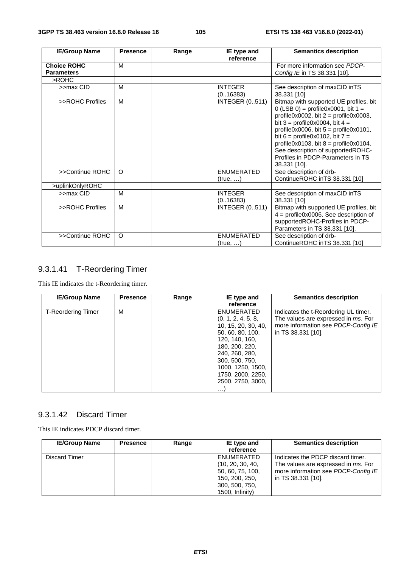| <b>IE/Group Name</b>                    | <b>Presence</b> | Range | IE type and<br>reference      | <b>Semantics description</b>                                                                                                                                                                                                                                                                                                                                                                 |
|-----------------------------------------|-----------------|-------|-------------------------------|----------------------------------------------------------------------------------------------------------------------------------------------------------------------------------------------------------------------------------------------------------------------------------------------------------------------------------------------------------------------------------------------|
| <b>Choice ROHC</b><br><b>Parameters</b> | M               |       |                               | For more information see PDCP-<br>Config IE in TS 38.331 [10].                                                                                                                                                                                                                                                                                                                               |
| >ROHC                                   |                 |       |                               |                                                                                                                                                                                                                                                                                                                                                                                              |
| >>max CID                               | M               |       | <b>INTEGER</b><br>(0.16383)   | See description of maxCID inTS<br>38.331 [10]                                                                                                                                                                                                                                                                                                                                                |
| >>ROHC Profiles                         | M               |       | <b>INTEGER (0511)</b>         | Bitmap with supported UE profiles, bit<br>0 (LSB 0) = profile0x0001, bit $1 =$<br>profile0x0002, bit $2 =$ profile0x0003,<br>bit $3 =$ profile0x0004, bit $4 =$<br>profile0x0006, bit $5 =$ profile0x0101,<br>bit 6 = profile $0 \times 0102$ , bit 7 =<br>profile0x0103, bit $8 =$ profile0x0104.<br>See description of supportedROHC-<br>Profiles in PDCP-Parameters in TS<br>38.331 [10]. |
| >>Continue ROHC                         | $\Omega$        |       | <b>ENUMERATED</b><br>(true, ) | See description of drb-<br>ContinueROHC inTS 38.331 [10]                                                                                                                                                                                                                                                                                                                                     |
| >uplinkOnlyROHC                         |                 |       |                               |                                                                                                                                                                                                                                                                                                                                                                                              |
| >>max CID                               | M               |       | <b>INTEGER</b><br>(0.16383)   | See description of maxCID inTS<br>38.331 [10]                                                                                                                                                                                                                                                                                                                                                |
| >>ROHC Profiles                         | M               |       | <b>INTEGER (0511)</b>         | Bitmap with supported UE profiles, bit<br>$4 =$ profile0x0006. See description of<br>supportedROHC-Profiles in PDCP-<br>Parameters in TS 38.331 [10].                                                                                                                                                                                                                                        |
| >>Continue ROHC                         | $\Omega$        |       | <b>ENUMERATED</b><br>(true, ) | See description of drb-<br>ContinueROHC inTS 38.331 [10]                                                                                                                                                                                                                                                                                                                                     |

# 9.3.1.41 T-Reordering Timer

This IE indicates the t-Reordering timer.

| <b>IE/Group Name</b>      | <b>Presence</b> | Range | IE type and<br>reference                                                                                                                                                                                                       | <b>Semantics description</b>                                                                                                             |
|---------------------------|-----------------|-------|--------------------------------------------------------------------------------------------------------------------------------------------------------------------------------------------------------------------------------|------------------------------------------------------------------------------------------------------------------------------------------|
| <b>T-Reordering Timer</b> | м               |       | ENUMERATED<br>(0, 1, 2, 4, 5, 8,<br>10, 15, 20, 30, 40,<br>50, 60, 80, 100,<br>120, 140, 160,<br>180, 200, 220,<br>240, 260, 280,<br>300, 500, 750,<br>1000, 1250, 1500,<br>1750, 2000, 2250,<br>2500, 2750, 3000,<br>$\cdots$ | Indicates the t-Reordering UL timer.<br>The values are expressed in ms. For<br>more information see PDCP-Config IE<br>in TS 38.331 [10]. |

#### 9.3.1.42 Discard Timer

This IE indicates PDCP discard timer.

| <b>IE/Group Name</b> | <b>Presence</b> | Range | IE type and<br>reference                                                                                     | <b>Semantics description</b>                                                                                                          |
|----------------------|-----------------|-------|--------------------------------------------------------------------------------------------------------------|---------------------------------------------------------------------------------------------------------------------------------------|
| Discard Timer        |                 |       | ENUMERATED<br>(10, 20, 30, 40,<br>50, 60, 75, 100,<br>150, 200, 250,<br>300, 500, 750,<br>$1500$ , Infinity) | Indicates the PDCP discard timer.<br>The values are expressed in ms. For<br>more information see PDCP-Config IE<br>in TS 38.331 [10]. |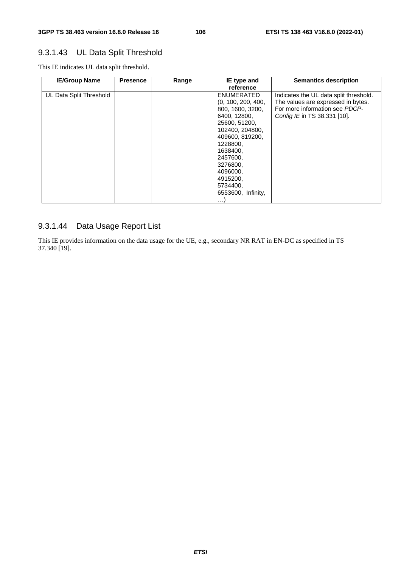# 9.3.1.43 UL Data Split Threshold

This IE indicates UL data split threshold.

| <b>IE/Group Name</b>    | <b>Presence</b> | Range | IE type and<br>reference                                                                                                                                                                                                                          | <b>Semantics description</b>                                                                                                                   |
|-------------------------|-----------------|-------|---------------------------------------------------------------------------------------------------------------------------------------------------------------------------------------------------------------------------------------------------|------------------------------------------------------------------------------------------------------------------------------------------------|
| UL Data Split Threshold |                 |       | ENUMERATED<br>(0, 100, 200, 400,<br>800, 1600, 3200,<br>6400, 12800,<br>25600, 51200,<br>102400, 204800,<br>409600, 819200,<br>1228800,<br>1638400,<br>2457600,<br>3276800,<br>4096000,<br>4915200,<br>5734400,<br>6553600, Infinity,<br>$\cdots$ | Indicates the UL data split threshold.<br>The values are expressed in bytes.<br>For more information see PDCP-<br>Config IE in TS 38.331 [10]. |

# 9.3.1.44 Data Usage Report List

This IE provides information on the data usage for the UE, e.g., secondary NR RAT in EN-DC as specified in TS 37.340 [19].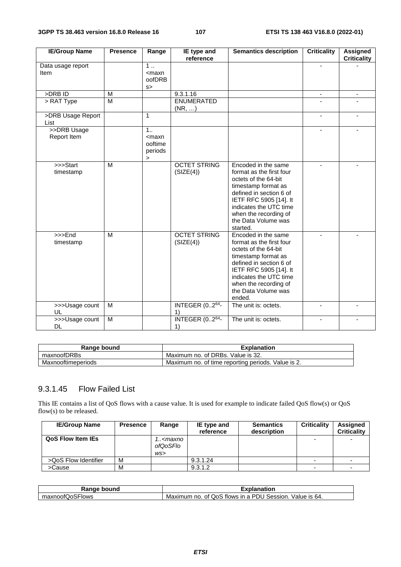| <b>IE/Group Name</b>                         | <b>Presence</b> | Range                                                    | IE type and<br>reference         | <b>Semantics description</b>                                                                                                                                                                                                              | <b>Criticality</b>       | <b>Assigned</b><br><b>Criticality</b> |
|----------------------------------------------|-----------------|----------------------------------------------------------|----------------------------------|-------------------------------------------------------------------------------------------------------------------------------------------------------------------------------------------------------------------------------------------|--------------------------|---------------------------------------|
| Data usage report<br>Item                    |                 | 1<br>$<$ maxn<br>oofDRB<br>s                             |                                  |                                                                                                                                                                                                                                           |                          |                                       |
| >DRB ID                                      | М               |                                                          | 9.3.1.16                         |                                                                                                                                                                                                                                           | $\overline{\phantom{a}}$ | -                                     |
| > RAT Type                                   | M               |                                                          | <b>ENUMERATED</b><br>(NR, )      |                                                                                                                                                                                                                                           |                          |                                       |
| >DRB Usage Report<br>List                    |                 | 1                                                        |                                  |                                                                                                                                                                                                                                           |                          |                                       |
| >>DRB Usage<br>Report Item                   |                 | 1 <sub>1</sub><br>$<$ maxn<br>ooftime<br>periods<br>$\,$ |                                  |                                                                                                                                                                                                                                           |                          |                                       |
| >>>Start<br>timestamp                        | M               |                                                          | <b>OCTET STRING</b><br>(SIZE(4)) | Encoded in the same<br>format as the first four<br>octets of the 64-bit<br>timestamp format as<br>defined in section 6 of<br>IETF RFC 5905 [14]. It<br>indicates the UTC time<br>when the recording of<br>the Data Volume was<br>started. |                          |                                       |
| $\overline{\phantom{a}}$ >>>End<br>timestamp | M               |                                                          | <b>OCTET STRING</b><br>(SIZE(4)) | Encoded in the same<br>format as the first four<br>octets of the 64-bit<br>timestamp format as<br>defined in section 6 of<br>IETF RFC 5905 [14]. It<br>indicates the UTC time<br>when the recording of<br>the Data Volume was<br>ended.   |                          |                                       |
| >>>Usage count<br>UL                         | M               |                                                          | <b>INTEGER (0264-</b><br>1)      | The unit is: octets.                                                                                                                                                                                                                      | $\blacksquare$           |                                       |
| >>>Usage count<br>DL.                        | M               |                                                          | <b>INTEGER (0264-</b><br>1)      | The unit is: octets.                                                                                                                                                                                                                      |                          |                                       |

| Range bound        | <b>Explanation</b>                                 |
|--------------------|----------------------------------------------------|
| maxnoofDRBs        | Maximum no. of DRBs. Value is 32.                  |
| Maxnooftimeperiods | Maximum no. of time reporting periods. Value is 2. |

# 9.3.1.45 Flow Failed List

This IE contains a list of QoS flows with a cause value. It is used for example to indicate failed QoS flow(s) or QoS flow(s) to be released.

| <b>IE/Group Name</b>     | <b>Presence</b> | Range                                  | IE type and<br>reference | <b>Semantics</b><br>description | <b>Criticality</b> | Assigned<br><b>Criticality</b> |
|--------------------------|-----------------|----------------------------------------|--------------------------|---------------------------------|--------------------|--------------------------------|
| <b>QoS Flow Item IEs</b> |                 | 1 <maxno<br>ofQoSFlo<br/>WS</maxno<br> |                          |                                 |                    |                                |
| >QoS Flow Identifier     | M               |                                        | 9.3.1.24                 |                                 |                    |                                |
| >Cause                   | М               |                                        | 9.3.1.2                  |                                 | -                  | -                              |

| ∘ bound         | งlanation                                                        |
|-----------------|------------------------------------------------------------------|
| Range           | Exr                                                              |
| maxnoofQoSFlows | no. of QoS flows in a PDU<br>Maximum<br>Value is 64.<br>Session. |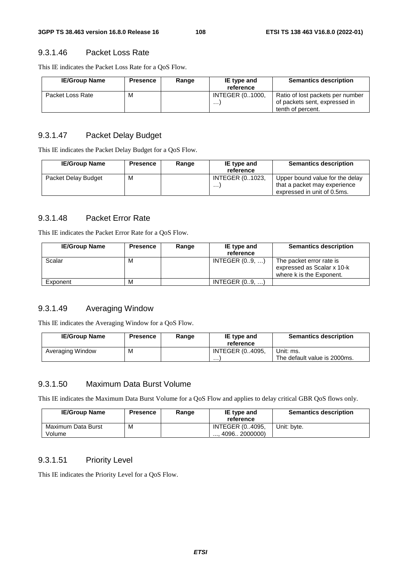#### 9.3.1.46 Packet Loss Rate

This IE indicates the Packet Loss Rate for a QoS Flow.

| <b>IE/Group Name</b> | <b>Presence</b> | Range | IE type and<br>reference    | <b>Semantics description</b>                                                           |
|----------------------|-----------------|-------|-----------------------------|----------------------------------------------------------------------------------------|
| Packet Loss Rate     | M               |       | <b>INTEGER (01000.</b><br>. | Ratio of lost packets per number<br>of packets sent, expressed in<br>tenth of percent. |

#### 9.3.1.47 Packet Delay Budget

This IE indicates the Packet Delay Budget for a QoS Flow.

| <b>IE/Group Name</b> | <b>Presence</b> | Range | IE type and<br>reference    | <b>Semantics description</b>                                                                   |
|----------------------|-----------------|-------|-----------------------------|------------------------------------------------------------------------------------------------|
| Packet Delay Budget  | M               |       | <b>INTEGER (01023,</b><br>. | Upper bound value for the delay<br>that a packet may experience<br>expressed in unit of 0.5ms. |

#### 9.3.1.48 Packet Error Rate

This IE indicates the Packet Error Rate for a QoS Flow.

| <b>IE/Group Name</b> | <b>Presence</b> | Range | IE type and<br>reference | <b>Semantics description</b>                                                       |
|----------------------|-----------------|-------|--------------------------|------------------------------------------------------------------------------------|
| Scalar               | M               |       | INTEGR (09, )            | The packet error rate is<br>expressed as Scalar x 10-k<br>where k is the Exponent. |
| Exponent             | M               |       | INTEGR (09, )            |                                                                                    |

#### 9.3.1.49 Averaging Window

This IE indicates the Averaging Window for a QoS Flow.

| <b>IE/Group Name</b> | <b>Presence</b> | Range | IE type and<br>reference | <b>Semantics description</b>              |
|----------------------|-----------------|-------|--------------------------|-------------------------------------------|
| Averaging Window     | м               |       | INTEGER (04095.<br>.     | Unit: ms.<br>The default value is 2000ms. |

#### 9.3.1.50 Maximum Data Burst Volume

This IE indicates the Maximum Data Burst Volume for a QoS Flow and applies to delay critical GBR QoS flows only.

| <b>IE/Group Name</b>         | <b>Presence</b> | Range | IE type and<br>reference                                | <b>Semantics description</b> |
|------------------------------|-----------------|-------|---------------------------------------------------------|------------------------------|
| Maximum Data Burst<br>Volume | M               |       | <b>INTEGER (04095,</b><br>$\dots$ 4096 $\dots$ 2000000) | Unit: bvte.                  |

#### 9.3.1.51 Priority Level

This IE indicates the Priority Level for a QoS Flow.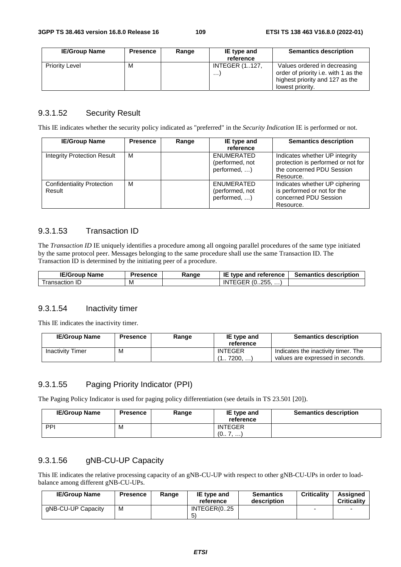| <b>IE/Group Name</b>  | Presence | Range | IE type and<br>reference     | <b>Semantics description</b>                                                                                                |
|-----------------------|----------|-------|------------------------------|-----------------------------------------------------------------------------------------------------------------------------|
| <b>Priority Level</b> | м        |       | <b>INTEGER (1127,</b><br>. 1 | Values ordered in decreasing<br>order of priority i.e. with 1 as the<br>highest priority and 127 as the<br>lowest priority. |

## 9.3.1.52 Security Result

This IE indicates whether the security policy indicated as "preferred" in the *Security Indication* IE is performed or not.

| <b>IE/Group Name</b>                        | <b>Presence</b> | Range | IE type and<br>reference                      | <b>Semantics description</b>                                                                                   |
|---------------------------------------------|-----------------|-------|-----------------------------------------------|----------------------------------------------------------------------------------------------------------------|
| <b>Integrity Protection Result</b>          | м               |       | ENUMERATED<br>(performed, not<br>performed, ) | Indicates whether UP integrity<br>protection is performed or not for<br>the concerned PDU Session<br>Resource. |
| <b>Confidentiality Protection</b><br>Result | M               |       | ENUMERATED<br>(performed, not<br>performed, ) | Indicates whether UP ciphering<br>is performed or not for the<br>concerned PDU Session<br>Resource.            |

## 9.3.1.53 Transaction ID

The *Transaction ID* IE uniquely identifies a procedure among all ongoing parallel procedures of the same type initiated by the same protocol peer. Messages belonging to the same procedure shall use the same Transaction ID. The Transaction ID is determined by the initiating peer of a procedure.

| <b>IE/Group Name</b> | Presence | Range | ΙE<br>$\overline{\phantom{a}}$ type and reference | <b>Semantics description</b> |
|----------------------|----------|-------|---------------------------------------------------|------------------------------|
| ransaction           | ΙVΙ      |       | ີ $(0255. \dots)$<br>IN<br>----                   |                              |

#### 9.3.1.54 Inactivity timer

This IE indicates the inactivity timer.

| <b>IE/Group Name</b>    | Presence | Range | IE type and<br>reference    | <b>Semantics description</b>                                            |
|-------------------------|----------|-------|-----------------------------|-------------------------------------------------------------------------|
| <b>Inactivity Timer</b> | M        |       | <b>INTEGER</b><br>1 7200. ) | Indicates the inactivity timer. The<br>values are expressed in seconds. |

## 9.3.1.55 Paging Priority Indicator (PPI)

The Paging Policy Indicator is used for paging policy differentiation (see details in TS 23.501 [20]).

| <b>IE/Group Name</b> | <b>Presence</b> | Range | IE type and<br>reference | <b>Semantics description</b> |
|----------------------|-----------------|-------|--------------------------|------------------------------|
| PPI                  | M               |       | <b>INTEGER</b><br>(07, ) |                              |

#### 9.3.1.56 gNB-CU-UP Capacity

This IE indicates the relative processing capacity of an gNB-CU-UP with respect to other gNB-CU-UPs in order to loadbalance among different gNB-CU-UPs.

| <b>IE/Group Name</b> | <b>Presence</b> | Range | IE type and<br>reference | <b>Semantics</b><br>description | <b>Criticality</b> | Assianed<br><b>Criticality</b> |
|----------------------|-----------------|-------|--------------------------|---------------------------------|--------------------|--------------------------------|
| aNB-CU-UP Capacity   | M               |       | INTEGER(025<br>5         |                                 |                    |                                |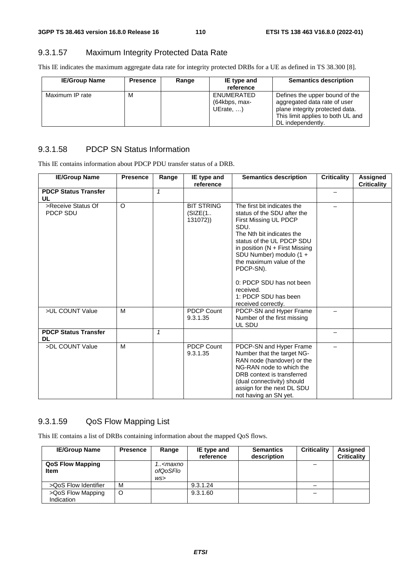## 9.3.1.57 Maximum Integrity Protected Data Rate

This IE indicates the maximum aggregate data rate for integrity protected DRBs for a UE as defined in TS 38.300 [8].

| <b>IE/Group Name</b> | <b>Presence</b> | Range | IE type and<br>reference                         | <b>Semantics description</b>                                                                                                                                |
|----------------------|-----------------|-------|--------------------------------------------------|-------------------------------------------------------------------------------------------------------------------------------------------------------------|
| Maximum IP rate      | M               |       | ENUMERATED<br>(64kbps, max-<br>UErate, $\dots$ ) | Defines the upper bound of the<br>aggregated data rate of user<br>plane integrity protected data.<br>This limit applies to both UL and<br>DL independently. |

#### 9.3.1.58 PDCP SN Status Information

This IE contains information about PDCP PDU transfer status of a DRB.

| <b>IE/Group Name</b>                     | <b>Presence</b> | Range        | IE type and<br>reference                 | <b>Semantics description</b>                                                                                                                                                                                                                                                                                                    | <b>Criticality</b> | <b>Assigned</b><br><b>Criticality</b> |
|------------------------------------------|-----------------|--------------|------------------------------------------|---------------------------------------------------------------------------------------------------------------------------------------------------------------------------------------------------------------------------------------------------------------------------------------------------------------------------------|--------------------|---------------------------------------|
| <b>PDCP Status Transfer</b>              |                 | $\mathbf{1}$ |                                          |                                                                                                                                                                                                                                                                                                                                 |                    |                                       |
| UL                                       |                 |              |                                          |                                                                                                                                                                                                                                                                                                                                 |                    |                                       |
| >Receive Status Of<br>PDCP SDU           | $\circ$         |              | <b>BIT STRING</b><br>(SIZE(1<br>131072)) | The first bit indicates the<br>status of the SDU after the<br>First Missing UL PDCP<br>SDU.<br>The Nth bit indicates the<br>status of the UL PDCP SDU<br>in position ( $N +$ First Missing<br>SDU Number) modulo (1 +<br>the maximum value of the<br>PDCP-SN).<br>0: PDCP SDU has not been<br>received.<br>1: PDCP SDU has been |                    |                                       |
| >UL COUNT Value                          | M               |              | <b>PDCP Count</b><br>9.3.1.35            | received correctly.<br>PDCP-SN and Hyper Frame<br>Number of the first missing<br>UL SDU                                                                                                                                                                                                                                         |                    |                                       |
| <b>PDCP Status Transfer</b><br><b>DL</b> |                 | $\mathbf{1}$ |                                          |                                                                                                                                                                                                                                                                                                                                 |                    |                                       |
| >DL COUNT Value                          | м               |              | <b>PDCP Count</b><br>9.3.1.35            | PDCP-SN and Hyper Frame<br>Number that the target NG-<br>RAN node (handover) or the<br>NG-RAN node to which the<br>DRB context is transferred<br>(dual connectivity) should<br>assign for the next DL SDU<br>not having an SN yet.                                                                                              |                    |                                       |

#### 9.3.1.59 QoS Flow Mapping List

This IE contains a list of DRBs containing information about the mapped QoS flows.

| <b>IE/Group Name</b>                   | <b>Presence</b> | Range                                  | IE type and<br>reference | <b>Semantics</b><br>description | <b>Criticality</b> | Assigned<br><b>Criticality</b> |
|----------------------------------------|-----------------|----------------------------------------|--------------------------|---------------------------------|--------------------|--------------------------------|
| <b>QoS Flow Mapping</b><br><b>Item</b> |                 | 1 <maxno<br>ofQoSFlo<br/>WS</maxno<br> |                          |                                 |                    |                                |
| >QoS Flow Identifier                   | M               |                                        | 9.3.1.24                 |                                 |                    |                                |
| >QoS Flow Mapping<br>Indication        | O               |                                        | 9.3.1.60                 |                                 |                    |                                |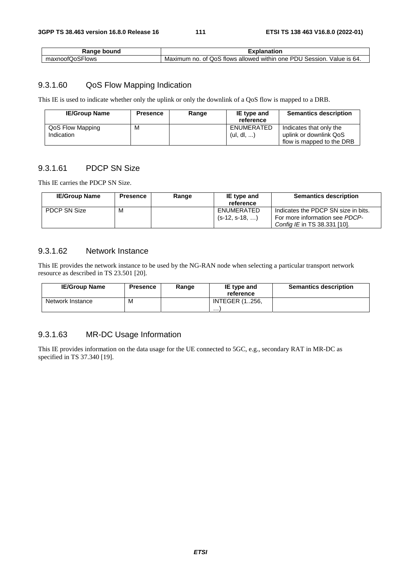| Range bound     | Explanation                                                              |  |  |  |
|-----------------|--------------------------------------------------------------------------|--|--|--|
| maxnoofQoSFlows | Maximum no. of QoS flows allowed within one PDU Session.<br>Value is 64. |  |  |  |

#### 9.3.1.60 QoS Flow Mapping Indication

This IE is used to indicate whether only the uplink or only the downlink of a QoS flow is mapped to a DRB.

| <b>IE/Group Name</b>           | <b>Presence</b> | Range | IE type and<br>reference | <b>Semantics description</b>                      |
|--------------------------------|-----------------|-------|--------------------------|---------------------------------------------------|
| QoS Flow Mapping<br>Indication | м               |       | ENUMERATED<br>(ul, dl, , | Indicates that only the<br>uplink or downlink QoS |
|                                |                 |       |                          | flow is mapped to the DRB                         |

## 9.3.1.61 PDCP SN Size

This IE carries the PDCP SN Size.

| <b>IE/Group Name</b> | <b>Presence</b> | Range | IE type and<br>reference       | <b>Semantics description</b>                                                                          |
|----------------------|-----------------|-------|--------------------------------|-------------------------------------------------------------------------------------------------------|
| <b>PDCP SN Size</b>  | M               |       | ENUMERATED<br>$(s-12, s-18, )$ | Indicates the PDCP SN size in bits.<br>For more information see PDCP-<br>Config IE in TS 38.331 [10]. |

#### 9.3.1.62 Network Instance

This IE provides the network instance to be used by the NG-RAN node when selecting a particular transport network resource as described in TS 23.501 [20].

| <b>IE/Group Name</b> | <b>Presence</b> | Range | IE type and<br>reference   | <b>Semantics description</b> |
|----------------------|-----------------|-------|----------------------------|------------------------------|
| Network Instance     | M               |       | <b>INTEGER (1256.</b><br>. |                              |

## 9.3.1.63 MR-DC Usage Information

This IE provides information on the data usage for the UE connected to 5GC, e.g., secondary RAT in MR-DC as specified in TS 37.340 [19].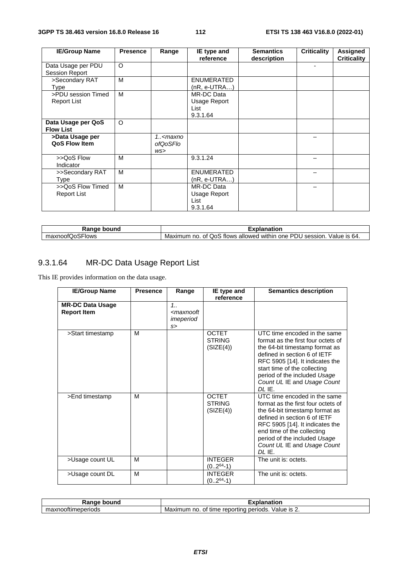| <b>IE/Group Name</b> | <b>Presence</b> | Range<br>IE type and<br>reference                             |                   | <b>Semantics</b> | <b>Criticality</b> | Assigned           |
|----------------------|-----------------|---------------------------------------------------------------|-------------------|------------------|--------------------|--------------------|
|                      |                 |                                                               |                   | description      |                    | <b>Criticality</b> |
| Data Usage per PDU   | O               |                                                               |                   |                  | ٠                  |                    |
| Session Report       |                 |                                                               |                   |                  |                    |                    |
| >Secondary RAT       | M               |                                                               | <b>ENUMERATED</b> |                  |                    |                    |
| Type                 |                 |                                                               | $(nR, e-UTRA)$    |                  |                    |                    |
| >PDU session Timed   | M               |                                                               | MR-DC Data        |                  |                    |                    |
| <b>Report List</b>   |                 |                                                               | Usage Report      |                  |                    |                    |
|                      |                 |                                                               | List              |                  |                    |                    |
|                      |                 |                                                               | 9.3.1.64          |                  |                    |                    |
| Data Usage per QoS   | O               |                                                               |                   |                  |                    |                    |
| <b>Flow List</b>     |                 |                                                               |                   |                  |                    |                    |
| >Data Usage per      |                 | 1 <maxno< td=""><td></td><td></td><td></td><td></td></maxno<> |                   |                  |                    |                    |
| QoS Flow Item        |                 | ofQoSFlo                                                      |                   |                  |                    |                    |
|                      |                 | WS                                                            |                   |                  |                    |                    |
| >>QoS Flow           | M               |                                                               | 9.3.1.24          |                  |                    |                    |
| Indicator            |                 |                                                               |                   |                  |                    |                    |
| >>Secondary RAT      | M               |                                                               | <b>ENUMERATED</b> |                  |                    |                    |
| Type                 |                 |                                                               | $(nR, e-UTRA)$    |                  |                    |                    |
| >>QoS Flow Timed     | M               |                                                               | MR-DC Data        |                  |                    |                    |
| <b>Report List</b>   |                 |                                                               | Usage Report      |                  |                    |                    |
|                      |                 |                                                               | List              |                  |                    |                    |
|                      |                 |                                                               | 9.3.1.64          |                  |                    |                    |

| Range<br>bound                   | <br>nation<br>эιа                                                                                                 |  |  |
|----------------------------------|-------------------------------------------------------------------------------------------------------------------|--|--|
| $\sim$ $\sim$<br>naxnoofQoSFlows | <b>PD</b><br>Value is 64.<br>OoS<br>' session.<br>flows<br>within<br>Maximum<br>one<br>no<br>allowed<br>Οt<br>_ال |  |  |

# 9.3.1.64 MR-DC Data Usage Report List

This IE provides information on the data usage.

| <b>IE/Group Name</b>                          | <b>Presence</b> | Range                                             | IE type and<br>reference                   | <b>Semantics description</b>                                                                                                                                                                                                                                                       |
|-----------------------------------------------|-----------------|---------------------------------------------------|--------------------------------------------|------------------------------------------------------------------------------------------------------------------------------------------------------------------------------------------------------------------------------------------------------------------------------------|
| <b>MR-DC Data Usage</b><br><b>Report Item</b> |                 | 1.1<br><maxnooft<br>imeperiod<br/>s</maxnooft<br> |                                            |                                                                                                                                                                                                                                                                                    |
| >Start timestamp                              | M               |                                                   | <b>OCTET</b><br><b>STRING</b><br>(SIZE(4)) | UTC time encoded in the same<br>format as the first four octets of<br>the 64-bit timestamp format as<br>defined in section 6 of IETF<br>RFC 5905 [14]. It indicates the<br>start time of the collecting<br>period of the included Usage<br>Count UL IE and Usage Count<br>$DI$ IE. |
| >End timestamp                                | M               |                                                   | <b>OCTET</b><br><b>STRING</b><br>(SIZE(4)) | UTC time encoded in the same<br>format as the first four octets of<br>the 64-bit timestamp format as<br>defined in section 6 of IETF<br>RFC 5905 [14]. It indicates the<br>end time of the collecting<br>period of the included Usage<br>Count UL IE and Usage Count<br>$DI$ IE.   |
| >Usage count UL                               | M               |                                                   | <b>INTEGER</b><br>$(02^{64}-1)$            | The unit is: octets.                                                                                                                                                                                                                                                               |
| >Usage count DL                               | M               |                                                   | <b>INTEGER</b><br>$(02^{64}-1)$            | The unit is: octets.                                                                                                                                                                                                                                                               |

| Range bound        | Explanation                                           |  |  |  |
|--------------------|-------------------------------------------------------|--|--|--|
| maxnooftimeperiods | Value is ∠.<br>Maximum no. of time reporting periods. |  |  |  |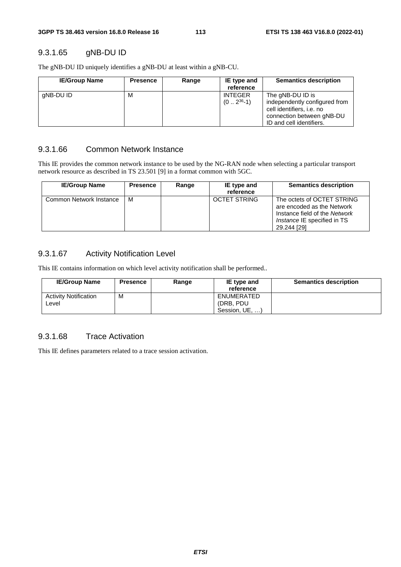### 9.3.1.65 gNB-DU ID

The gNB-DU ID uniquely identifies a gNB-DU at least within a gNB-CU.

| <b>IE/Group Name</b> | <b>Presence</b> | Range | IE type and<br>reference         | <b>Semantics description</b>                                                                                                            |
|----------------------|-----------------|-------|----------------------------------|-----------------------------------------------------------------------------------------------------------------------------------------|
| gNB-DU ID            | М               |       | <b>INTEGER</b><br>$(0 2^{36}-1)$ | The gNB-DU ID is<br>independently configured from<br>cell identifiers, i.e. no<br>connection between gNB-DU<br>ID and cell identifiers. |

#### 9.3.1.66 Common Network Instance

This IE provides the common network instance to be used by the NG-RAN node when selecting a particular transport network resource as described in TS 23.501 [9] in a format common with 5GC.

| <b>IE/Group Name</b>    | <b>Presence</b> | Range | IE type and<br>reference | <b>Semantics description</b>                                                                                                                   |
|-------------------------|-----------------|-------|--------------------------|------------------------------------------------------------------------------------------------------------------------------------------------|
| Common Network Instance | м               |       | OCTET STRING             | The octets of OCTET STRING<br>are encoded as the Network<br>Instance field of the Network<br><i>Instance</i> IE specified in TS<br>29.244 [29] |

#### 9.3.1.67 Activity Notification Level

This IE contains information on which level activity notification shall be performed..

| <b>IE/Group Name</b>                  | <b>Presence</b> | Range | IE type and<br>reference                   | <b>Semantics description</b> |
|---------------------------------------|-----------------|-------|--------------------------------------------|------------------------------|
| <b>Activity Notification</b><br>Level | М               |       | ENUMERATED<br>(DRB. PDU)<br>Session, UE, ) |                              |

## 9.3.1.68 Trace Activation

This IE defines parameters related to a trace session activation.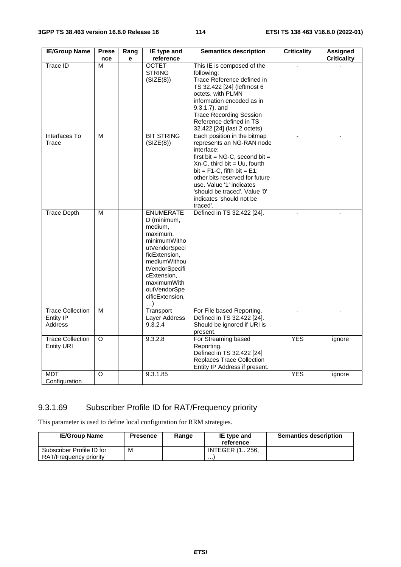| <b>IE/Group Name</b>                                   | <b>Prese</b>            | Rang | IE type and                                                                                                                                                                                                        | <b>Semantics description</b>                                                                                                                                                                                                                                                                                               | <b>Criticality</b> | <b>Assigned</b>    |
|--------------------------------------------------------|-------------------------|------|--------------------------------------------------------------------------------------------------------------------------------------------------------------------------------------------------------------------|----------------------------------------------------------------------------------------------------------------------------------------------------------------------------------------------------------------------------------------------------------------------------------------------------------------------------|--------------------|--------------------|
|                                                        | nce                     | е    | reference                                                                                                                                                                                                          |                                                                                                                                                                                                                                                                                                                            |                    | <b>Criticality</b> |
| <b>Trace ID</b>                                        | M                       |      | <b>OCTET</b><br><b>STRING</b><br>(SIZE(8))                                                                                                                                                                         | This IE is composed of the<br>following:<br>Trace Reference defined in<br>TS 32.422 [24] (leftmost 6<br>octets, with PLMN<br>information encoded as in<br>9.3.1.7), and<br><b>Trace Recording Session</b><br>Reference defined in TS<br>32.422 [24] (last 2 octets).                                                       |                    |                    |
| Interfaces To<br>Trace                                 | M                       |      | <b>BIT STRING</b><br>(SIZE(8))                                                                                                                                                                                     | Each position in the bitmap<br>represents an NG-RAN node<br>interface:<br>first bit = $NG-C$ , second bit =<br>$Xn-C$ , third bit = Uu, fourth<br>bit = $F1-C$ , fifth bit = $E1$ :<br>other bits reserved for future<br>use. Value '1' indicates<br>'should be traced'. Value '0'<br>indicates 'should not be<br>traced'. |                    |                    |
| <b>Trace Depth</b>                                     | $\overline{\mathsf{M}}$ |      | <b>ENUMERATE</b><br>D (minimum,<br>medium,<br>maximum,<br>minimumWitho<br>utVendorSpeci<br>ficExtension,<br>mediumWithou<br>tVendorSpecifi<br>cExtension,<br>maximumWith<br>outVendorSpe<br>cificExtension,<br>. ) | Defined in TS 32.422 [24].                                                                                                                                                                                                                                                                                                 |                    |                    |
| <b>Trace Collection</b><br><b>Entity IP</b><br>Address | M                       |      | Transport<br>Layer Address<br>9.3.2.4                                                                                                                                                                              | For File based Reporting.<br>Defined in TS 32.422 [24].<br>Should be ignored if URI is<br>present.                                                                                                                                                                                                                         |                    |                    |
| <b>Trace Collection</b><br><b>Entity URI</b>           | O                       |      | 9.3.2.8                                                                                                                                                                                                            | For Streaming based<br>Reporting.<br>Defined in TS 32.422 [24]<br><b>Replaces Trace Collection</b><br>Entity IP Address if present.                                                                                                                                                                                        | <b>YES</b>         | ignore             |
| <b>MDT</b><br>Configuration                            | O                       |      | 9.3.1.85                                                                                                                                                                                                           |                                                                                                                                                                                                                                                                                                                            | <b>YES</b>         | ignore             |

## 9.3.1.69 Subscriber Profile ID for RAT/Frequency priority

This parameter is used to define local configuration for RRM strategies.

| <b>IE/Group Name</b>      | <b>Presence</b> | Range | IE type and<br>reference | <b>Semantics description</b> |
|---------------------------|-----------------|-------|--------------------------|------------------------------|
| Subscriber Profile ID for | М               |       | <b>INTEGER (1., 256.</b> |                              |
| RAT/Frequency priority    |                 |       | .                        |                              |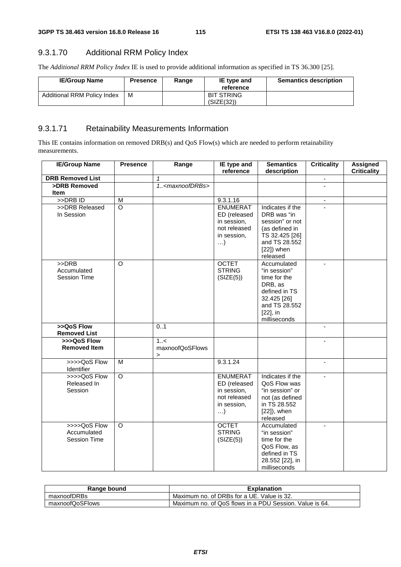## 9.3.1.70 Additional RRM Policy Index

The *Additional RRM Policy Index* IE is used to provide additional information as specified in TS 36.300 [25].

| <b>IE/Group Name</b>               | <b>Presence</b> | Range | IE type and<br>reference        | <b>Semantics description</b> |
|------------------------------------|-----------------|-------|---------------------------------|------------------------------|
| <b>Additional RRM Policy Index</b> | м               |       | <b>BIT STRING</b><br>(SIZE(32)) |                              |

# 9.3.1.71 Retainability Measurements Information

This IE contains information on removed DRB(s) and QoS Flow(s) which are needed to perform retainability measurements.

| <b>IE/Group Name</b>    | <b>Presence</b>    | Range                         | IE type and<br>reference | <b>Semantics</b><br>description | <b>Criticality</b>       | <b>Assigned</b><br><b>Criticality</b> |
|-------------------------|--------------------|-------------------------------|--------------------------|---------------------------------|--------------------------|---------------------------------------|
| <b>DRB Removed List</b> |                    | $\mathbf{1}$                  |                          |                                 | $\blacksquare$           |                                       |
| >DRB Removed            |                    | 1 <maxnoofdrbs></maxnoofdrbs> |                          |                                 |                          |                                       |
| <b>Item</b>             |                    |                               |                          |                                 |                          |                                       |
| >DRBID                  | M                  |                               | 9.3.1.16                 |                                 | $\overline{\phantom{a}}$ |                                       |
| >>DRB Released          | $\overline{\circ}$ |                               | <b>ENUMERAT</b>          | Indicates if the                |                          |                                       |
| In Session              |                    |                               | ED (released             | DRB was "in                     |                          |                                       |
|                         |                    |                               | in session,              | session" or not                 |                          |                                       |
|                         |                    |                               | not released             | (as defined in                  |                          |                                       |
|                         |                    |                               | in session,              | TS 32.425 [26]                  |                          |                                       |
|                         |                    |                               | $\ldots$                 | and TS 28.552                   |                          |                                       |
|                         |                    |                               |                          | $[22]$ ) when                   |                          |                                       |
|                         |                    |                               |                          | released                        |                          |                                       |
| >>DRB                   | $\Omega$           |                               | <b>OCTET</b>             | Accumulated                     |                          |                                       |
| Accumulated             |                    |                               | <b>STRING</b>            | "in session"                    |                          |                                       |
| <b>Session Time</b>     |                    |                               | (SIZE(5))                | time for the                    |                          |                                       |
|                         |                    |                               |                          | DRB, as                         |                          |                                       |
|                         |                    |                               |                          | defined in TS                   |                          |                                       |
|                         |                    |                               |                          | 32.425 [26]                     |                          |                                       |
|                         |                    |                               |                          | and TS 28.552                   |                          |                                       |
|                         |                    |                               |                          | $[22]$ , in                     |                          |                                       |
|                         |                    |                               |                          | milliseconds                    |                          |                                       |
| >>QoS Flow              |                    | 0.1                           |                          |                                 | $\mathbf{r}$             |                                       |
| <b>Removed List</b>     |                    |                               |                          |                                 |                          |                                       |
| >>>QoS Flow             |                    | 1.55                          |                          |                                 | $\mathbf{r}$             |                                       |
| <b>Removed Item</b>     |                    | maxnoofQoSFlows<br>$\geq$     |                          |                                 |                          |                                       |
| >>>>QoS Flow            | M                  |                               | 9.3.1.24                 |                                 | L.                       |                                       |
| Identifier              |                    |                               |                          |                                 |                          |                                       |
| >>>>QoS Flow            | $\circ$            |                               | <b>ENUMERAT</b>          | Indicates if the                |                          |                                       |
| Released In             |                    |                               | ED (released             | QoS Flow was                    |                          |                                       |
| Session                 |                    |                               | in session,              | "in session" or                 |                          |                                       |
|                         |                    |                               | not released             | not (as defined                 |                          |                                       |
|                         |                    |                               | in session,              | in TS 28.552                    |                          |                                       |
|                         |                    |                               | $\ldots$                 | $[22]$ , when                   |                          |                                       |
|                         |                    |                               |                          | released                        |                          |                                       |
| >>>>QoS Flow            | O                  |                               | <b>OCTET</b>             | Accumulated                     |                          |                                       |
| Accumulated             |                    |                               | <b>STRING</b>            | "in session"                    |                          |                                       |
| <b>Session Time</b>     |                    |                               | (SIZE(5))                | time for the                    |                          |                                       |
|                         |                    |                               |                          | QoS Flow, as                    |                          |                                       |
|                         |                    |                               |                          | defined in TS                   |                          |                                       |
|                         |                    |                               |                          | 28.552 [22], in                 |                          |                                       |
|                         |                    |                               |                          | milliseconds                    |                          |                                       |

| Range bound     | <b>Explanation</b>                                      |
|-----------------|---------------------------------------------------------|
| maxnoofDRBs     | Maximum no. of DRBs for a UE. Value is 32.              |
| maxnoofQoSFlows | Maximum no. of QoS flows in a PDU Session. Value is 64. |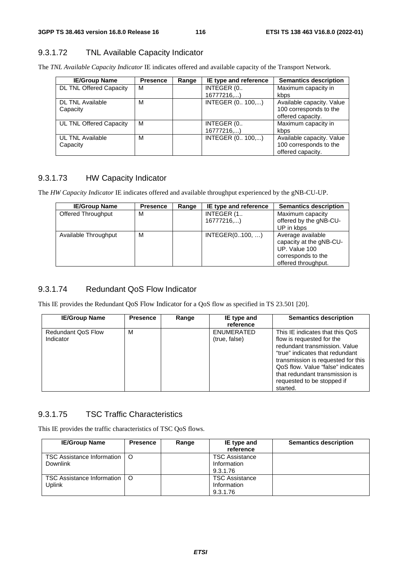### 9.3.1.72 TNL Available Capacity Indicator

The *TNL Available Capacity Indicator* IE indicates offered and available capacity of the Transport Network.

| <b>IE/Group Name</b>           | <b>Presence</b> | Range | IE type and reference | <b>Semantics description</b> |
|--------------------------------|-----------------|-------|-----------------------|------------------------------|
| <b>DL TNL Offered Capacity</b> | м               |       | INTEGER (0            | Maximum capacity in          |
|                                |                 |       | 16777216              | kbps                         |
| <b>DL TNL Available</b>        | м               |       | INTEGER (0 100,)      | Available capacity. Value    |
| Capacity                       |                 |       |                       | 100 corresponds to the       |
|                                |                 |       |                       | offered capacity.            |
| UL TNL Offered Capacity        | м               |       | INTEGER (0            | Maximum capacity in          |
|                                |                 |       | 16777216,)            | kbps                         |
| <b>UL TNL Available</b>        | М               |       | INTEGER (0 100,)      | Available capacity. Value    |
| Capacity                       |                 |       |                       | 100 corresponds to the       |
|                                |                 |       |                       | offered capacity.            |

## 9.3.1.73 HW Capacity Indicator

The *HW Capacity Indicator* IE indicates offered and available throughput experienced by the gNB-CU-UP.

| <b>IE/Group Name</b> | <b>Presence</b> | Range | IE type and reference   | <b>Semantics description</b>                                                                               |
|----------------------|-----------------|-------|-------------------------|------------------------------------------------------------------------------------------------------------|
| Offered Throughput   | м               |       | INTEGER (1.<br>16777216 | Maximum capacity<br>offered by the gNB-CU-                                                                 |
|                      |                 |       |                         | UP in kbps                                                                                                 |
| Available Throughput | м               |       | INTEGER(0100, )         | Average available<br>capacity at the gNB-CU-<br>UP. Value 100<br>corresponds to the<br>offered throughput. |

#### 9.3.1.74 Redundant QoS Flow Indicator

This IE provides the Redundant QoS Flow Indicator for a QoS flow as specified in TS 23.501 [20].

| <b>IE/Group Name</b>                   | <b>Presence</b> | Range | IE type and<br>reference    | <b>Semantics description</b>                                                                                                                                                                                                                                                            |
|----------------------------------------|-----------------|-------|-----------------------------|-----------------------------------------------------------------------------------------------------------------------------------------------------------------------------------------------------------------------------------------------------------------------------------------|
| <b>Redundant QoS Flow</b><br>Indicator | M               |       | ENUMERATED<br>(true, false) | This IE indicates that this QoS<br>flow is requested for the<br>redundant transmission. Value<br>"true" indicates that redundant<br>transmission is requested for this<br>QoS flow. Value "false" indicates<br>that redundant transmission is<br>requested to be stopped if<br>started. |

#### 9.3.1.75 TSC Traffic Characteristics

This IE provides the traffic characteristics of TSC QoS flows.

| <b>IE/Group Name</b>                            | <b>Presence</b> | Range | IE type and<br>reference                         | <b>Semantics description</b> |
|-------------------------------------------------|-----------------|-------|--------------------------------------------------|------------------------------|
| TSC Assistance Information   O<br>Downlink      |                 |       | <b>TSC Assistance</b><br>Information<br>9.3.1.76 |                              |
| TSC Assistance Information   O<br><b>Uplink</b> |                 |       | <b>TSC Assistance</b><br>Information<br>9.3.1.76 |                              |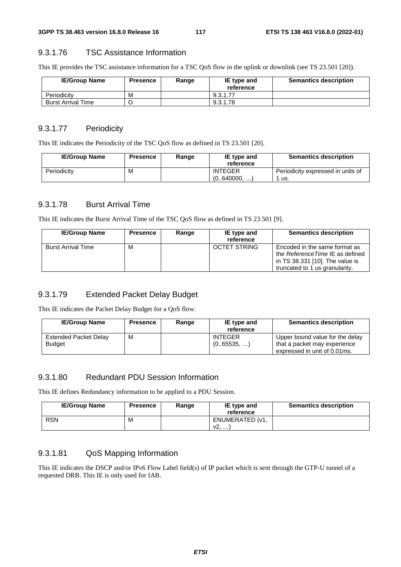#### 9.3.1.76 TSC Assistance Information

This IE provides the TSC assistance information for a TSC QoS flow in the uplink or downlink (see TS 23.501 [20]).

| <b>IE/Group Name</b> | Presence | Range | IE type and<br>reference | <b>Semantics description</b> |
|----------------------|----------|-------|--------------------------|------------------------------|
| Periodicity          | М        |       | 9.3.1.77                 |                              |
| Burst Arrival Time   |          |       | 9.3.1.78                 |                              |

#### 9.3.1.77 Periodicity

This IE indicates the Periodicity of the TSC QoS flow as defined in TS 23.501 [20].

| <b>IE/Group Name</b> | <b>Presence</b> | Range | IE type and<br>reference      | <b>Semantics description</b>              |
|----------------------|-----------------|-------|-------------------------------|-------------------------------------------|
| Periodicity          | M               |       | <b>INTEGER</b><br>(0640000, ) | Periodicity expressed in units of<br>∵us. |

#### 9.3.1.78 Burst Arrival Time

This IE indicates the Burst Arrival Time of the TSC QoS flow as defined in TS 23.501 [9].

| <b>IE/Group Name</b>      | <b>Presence</b> | Range | IE type and<br>reference | <b>Semantics description</b>                                                                                                           |
|---------------------------|-----------------|-------|--------------------------|----------------------------------------------------------------------------------------------------------------------------------------|
| <b>Burst Arrival Time</b> | M               |       | <b>OCTET STRING</b>      | Encoded in the same format as<br>the Reference Time IE as defined<br>in TS 38.331 [10]. The value is<br>truncated to 1 us granularity. |

## 9.3.1.79 Extended Packet Delay Budget

This IE indicates the Packet Delay Budget for a QoS flow.

| <b>IE/Group Name</b>                   | <b>Presence</b> | Range | IE type and<br>reference    | <b>Semantics description</b>                                                                    |
|----------------------------------------|-----------------|-------|-----------------------------|-------------------------------------------------------------------------------------------------|
| Extended Packet Delay<br><b>Budget</b> | M               |       | <b>INTEGER</b><br>(065535,) | Upper bound value for the delay<br>that a packet may experience<br>expressed in unit of 0.01ms. |

#### 9.3.1.80 Redundant PDU Session Information

This IE defines Redundancy information to be applied to a PDU Session.

| <b>IE/Group Name</b> | Presence | Range | IE type and<br>reference        | <b>Semantics description</b> |
|----------------------|----------|-------|---------------------------------|------------------------------|
| <b>RSN</b>           | M        |       | ENUMERATED (v1,<br>v2. <i>.</i> |                              |

## 9.3.1.81 QoS Mapping Information

This IE indicates the DSCP and/or IPv6 Flow Label field(s) of IP packet which is sent through the GTP-U tunnel of a requested DRB. This IE is only used for IAB.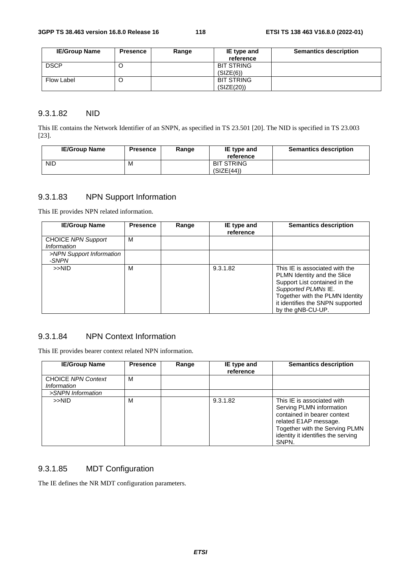| <b>IE/Group Name</b> | <b>Presence</b> | Range | IE type and       | <b>Semantics description</b> |
|----------------------|-----------------|-------|-------------------|------------------------------|
|                      |                 |       | reference         |                              |
| <b>DSCP</b>          |                 |       | <b>BIT STRING</b> |                              |
|                      |                 |       | (SIZE(6))         |                              |
| Flow Label           | ◡               |       | <b>BIT STRING</b> |                              |
|                      |                 |       | (SIZE(20))        |                              |

### 9.3.1.82 NID

This IE contains the Network Identifier of an SNPN, as specified in TS 23.501 [20]. The NID is specified in TS 23.003 [23].

| <b>IE/Group Name</b> | <b>Presence</b> | Range | IE type and<br>reference        | <b>Semantics description</b> |
|----------------------|-----------------|-------|---------------------------------|------------------------------|
| <b>NID</b>           | M               |       | <b>BIT STRING</b><br>(SIZE(44)) |                              |

## 9.3.1.83 NPN Support Information

This IE provides NPN related information.

| <b>IE/Group Name</b>                            | <b>Presence</b> | Range | IE type and<br>reference | <b>Semantics description</b>                                                                                                                                                                                      |
|-------------------------------------------------|-----------------|-------|--------------------------|-------------------------------------------------------------------------------------------------------------------------------------------------------------------------------------------------------------------|
| <b>CHOICE NPN Support</b><br><i>Information</i> | M               |       |                          |                                                                                                                                                                                                                   |
| >NPN Support Information<br>-SNPN               |                 |       |                          |                                                                                                                                                                                                                   |
| >>NID                                           | M               |       | 9.3.1.82                 | This IE is associated with the<br>PLMN Identity and the Slice<br>Support List contained in the<br>Supported PLMNs IE.<br>Together with the PLMN Identity<br>it identifies the SNPN supported<br>by the gNB-CU-UP. |

## 9.3.1.84 NPN Context Information

This IE provides bearer context related NPN information.

| <b>IE/Group Name</b>                                   | <b>Presence</b> | Range | IE type and<br>reference | <b>Semantics description</b>                                                                                                                                                                    |
|--------------------------------------------------------|-----------------|-------|--------------------------|-------------------------------------------------------------------------------------------------------------------------------------------------------------------------------------------------|
| <b>CHOICE NPN Context</b><br><i><b>Information</b></i> | M               |       |                          |                                                                                                                                                                                                 |
| >SNPN Information                                      |                 |       |                          |                                                                                                                                                                                                 |
| >>NID                                                  | M               |       | 9.3.1.82                 | This IE is associated with<br>Serving PLMN information<br>contained in bearer context<br>related E1AP message.<br>Together with the Serving PLMN<br>identity it identifies the serving<br>SNPN. |

## 9.3.1.85 MDT Configuration

The IE defines the NR MDT configuration parameters.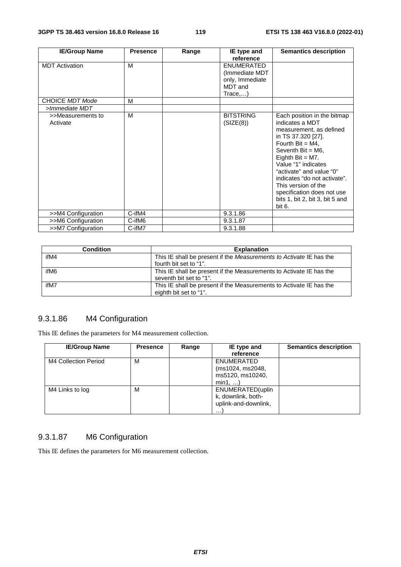| <b>IE/Group Name</b>          | <b>Presence</b> | Range | IE type and                                                                               | <b>Semantics description</b>                                                                                                                                                                                                                                                                                                                               |
|-------------------------------|-----------------|-------|-------------------------------------------------------------------------------------------|------------------------------------------------------------------------------------------------------------------------------------------------------------------------------------------------------------------------------------------------------------------------------------------------------------------------------------------------------------|
| <b>MDT</b> Activation         | M               |       | reference<br><b>ENUMERATED</b><br>(Immediate MDT<br>only, Immediate<br>MDT and<br>Trace,) |                                                                                                                                                                                                                                                                                                                                                            |
| <b>CHOICE MDT Mode</b>        | м               |       |                                                                                           |                                                                                                                                                                                                                                                                                                                                                            |
| >Immediate MDT                |                 |       |                                                                                           |                                                                                                                                                                                                                                                                                                                                                            |
| >>Measurements to<br>Activate | M               |       | <b>BITSTRING</b><br>(SIZE(8))                                                             | Each position in the bitmap<br>indicates a MDT<br>measurement, as defined<br>in TS 37.320 [27].<br>Fourth Bit = $M4$ ,<br>Seventh $Bit = M6$ ,<br>Eighth Bit = $M7$ .<br>Value "1" indicates<br>"activate" and value "0"<br>indicates "do not activate".<br>This version of the<br>specification does not use<br>bits 1, bit 2, bit 3, bit 5 and<br>bit 6. |
| >>M4 Configuration            | C-ifM4          |       | 9.3.1.86                                                                                  |                                                                                                                                                                                                                                                                                                                                                            |
| >>M6 Configuration            | C-ifM6          |       | 9.3.1.87                                                                                  |                                                                                                                                                                                                                                                                                                                                                            |
| >>M7 Configuration            | C-ifM7          |       | 9.3.1.88                                                                                  |                                                                                                                                                                                                                                                                                                                                                            |

| <b>Condition</b> | <b>Explanation</b>                                                  |
|------------------|---------------------------------------------------------------------|
| ifM4             | This IE shall be present if the Measurements to Activate IE has the |
|                  | fourth bit set to "1".                                              |
| ifM6             | This IE shall be present if the Measurements to Activate IE has the |
|                  | seventh bit set to "1".                                             |
| ifM7             | This IE shall be present if the Measurements to Activate IE has the |
|                  | eighth bit set to "1".                                              |

## 9.3.1.86 M4 Configuration

This IE defines the parameters for M4 measurement collection.

| <b>IE/Group Name</b> | <b>Presence</b> | Range | IE type and          | <b>Semantics description</b> |
|----------------------|-----------------|-------|----------------------|------------------------------|
|                      |                 |       | reference            |                              |
| M4 Collection Period | м               |       | ENUMERATED           |                              |
|                      |                 |       | (ms1024, ms2048,     |                              |
|                      |                 |       | ms5120, ms10240,     |                              |
|                      |                 |       | min1,                |                              |
| M4 Links to log      | M               |       | ENUMERATED(uplin     |                              |
|                      |                 |       | k, downlink, both-   |                              |
|                      |                 |       | uplink-and-downlink, |                              |
|                      |                 |       | .                    |                              |

## 9.3.1.87 M6 Configuration

This IE defines the parameters for M6 measurement collection.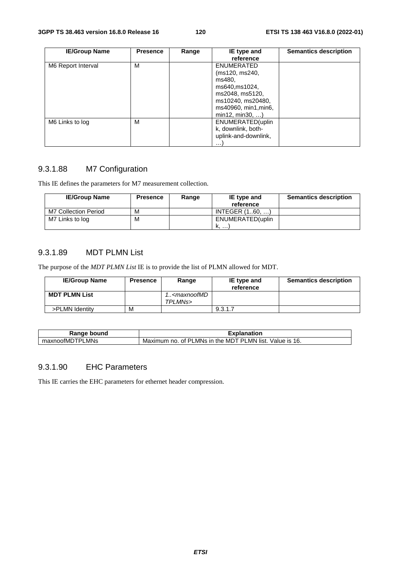| <b>IE/Group Name</b> | <b>Presence</b> | Range | IE type and          | <b>Semantics description</b> |
|----------------------|-----------------|-------|----------------------|------------------------------|
|                      |                 |       | reference            |                              |
| M6 Report Interval   | M               |       | <b>ENUMERATED</b>    |                              |
|                      |                 |       | (ms120, ms240,       |                              |
|                      |                 |       | ms480,               |                              |
|                      |                 |       | ms640, ms1024,       |                              |
|                      |                 |       | ms2048, ms5120,      |                              |
|                      |                 |       | ms10240, ms20480,    |                              |
|                      |                 |       | ms40960, min1, min6, |                              |
|                      |                 |       | min12, min30,        |                              |
| M6 Links to log      | м               |       | ENUMERATED(uplin     |                              |
|                      |                 |       | k, downlink, both-   |                              |
|                      |                 |       | uplink-and-downlink, |                              |
|                      |                 |       | .                    |                              |

## 9.3.1.88 M7 Configuration

This IE defines the parameters for M7 measurement collection.

| <b>IE/Group Name</b> | <b>Presence</b> | Range | IE type and      | <b>Semantics description</b> |
|----------------------|-----------------|-------|------------------|------------------------------|
|                      |                 |       | reference        |                              |
| M7 Collection Period | м               |       | INTEGR(160)      |                              |
| M7 Links to log      | м               |       | ENUMERATED(uplin |                              |
|                      |                 |       | <b>IN.</b>       |                              |

#### 9.3.1.89 MDT PLMN List

The purpose of the *MDT PLMN List* IE is to provide the list of PLMN allowed for MDT.

| <b>IE/Group Name</b> | <b>Presence</b> | Range                                     | IE type and<br>reference | <b>Semantics description</b> |
|----------------------|-----------------|-------------------------------------------|--------------------------|------------------------------|
| <b>MDT PLMN List</b> |                 | 1 <maxnoofmd<br>TPLMNs&gt;</maxnoofmd<br> |                          |                              |
| >PLMN Identity       | M               |                                           | 9.3.1.7                  |                              |

| Range bound     | Explanation                                                    |
|-----------------|----------------------------------------------------------------|
| maxnoofMDTPLMNs | Maximum no. of PLMNs in the MDT PLMN list.<br>Value is<br>-16. |

#### 9.3.1.90 EHC Parameters

This IE carries the EHC parameters for ethernet header compression.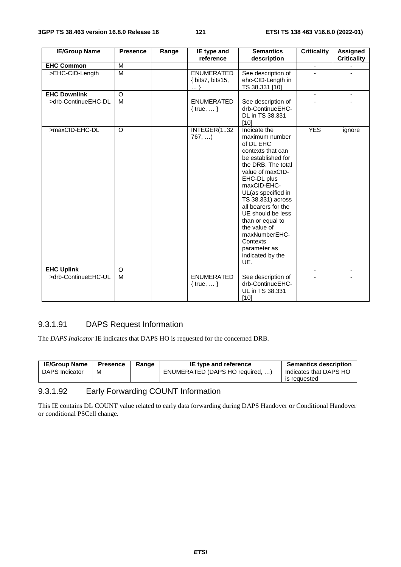| <b>IE/Group Name</b> | <b>Presence</b> | Range               | <b>Semantics</b><br>IE type and              |                                                                                                                                                                                                                                                                                                                                                                   | <b>Criticality</b>       | <b>Assigned</b>    |
|----------------------|-----------------|---------------------|----------------------------------------------|-------------------------------------------------------------------------------------------------------------------------------------------------------------------------------------------------------------------------------------------------------------------------------------------------------------------------------------------------------------------|--------------------------|--------------------|
|                      |                 |                     | reference                                    | description                                                                                                                                                                                                                                                                                                                                                       |                          | <b>Criticality</b> |
| <b>EHC Common</b>    | M               |                     |                                              |                                                                                                                                                                                                                                                                                                                                                                   | $\overline{\phantom{a}}$ |                    |
| >EHC-CID-Length      | M               |                     | <b>ENUMERATED</b><br>{ bits7, bits15,<br>. 1 | See description of<br>ehc-CID-Length in<br>TS 38.331 [10]                                                                                                                                                                                                                                                                                                         |                          |                    |
| <b>EHC Downlink</b>  | O               |                     |                                              |                                                                                                                                                                                                                                                                                                                                                                   |                          |                    |
| >drb-ContinueEHC-DL  | M               |                     | <b>ENUMERATED</b><br>{ $true, $ }            | See description of<br>drb-ContinueEHC-<br>DL in TS 38.331<br>$[10]$                                                                                                                                                                                                                                                                                               |                          |                    |
| >maxCID-EHC-DL       | O               | INTEGER(132<br>767, |                                              | Indicate the<br>maximum number<br>of DL EHC<br>contexts that can<br>be established for<br>the DRB. The total<br>value of maxCID-<br>EHC-DL plus<br>maxCID-EHC-<br>UL(as specified in<br>TS 38.331) across<br>all bearers for the<br>UE should be less<br>than or equal to<br>the value of<br>maxNumberEHC-<br>Contexts<br>parameter as<br>indicated by the<br>UE. | <b>YES</b>               | ignore             |
| <b>EHC Uplink</b>    | O               |                     |                                              |                                                                                                                                                                                                                                                                                                                                                                   |                          | -                  |
| >drb-ContinueEHC-UL  | M               |                     | <b>ENUMERATED</b><br>{ $true, $ }            | See description of<br>drb-ContinueEHC-<br>UL in TS 38.331<br>$[10]$                                                                                                                                                                                                                                                                                               |                          |                    |

## 9.3.1.91 DAPS Request Information

The *DAPS Indicator* IE indicates that DAPS HO is requested for the concerned DRB.

| <b>IE/Group Name</b> | <b>Presence</b> | Range | IE type and reference           | <b>Semantics description</b> |
|----------------------|-----------------|-------|---------------------------------|------------------------------|
| DAPS Indicator       | м               |       | ENUMERATED (DAPS HO required, ) | Indicates that DAPS HO       |
|                      |                 |       |                                 | is requested                 |

## 9.3.1.92 Early Forwarding COUNT Information

This IE contains DL COUNT value related to early data forwarding during DAPS Handover or Conditional Handover or conditional PSCell change.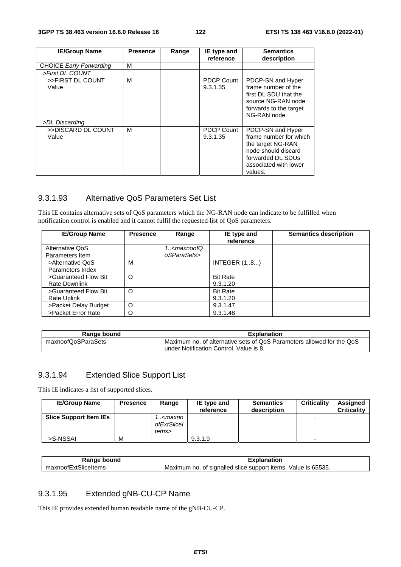| <b>IE/Group Name</b>           | <b>Presence</b> | Range | IE type and                   | <b>Semantics</b>                                                                                                                                 |
|--------------------------------|-----------------|-------|-------------------------------|--------------------------------------------------------------------------------------------------------------------------------------------------|
|                                |                 |       | reference                     | description                                                                                                                                      |
| <b>CHOICE Early Forwarding</b> | М               |       |                               |                                                                                                                                                  |
| >First DL COUNT                |                 |       |                               |                                                                                                                                                  |
| >>FIRST DL COUNT<br>Value      | M               |       | <b>PDCP Count</b><br>9.3.1.35 | PDCP-SN and Hyper<br>frame number of the<br>first DL SDU that the                                                                                |
|                                |                 |       |                               | source NG-RAN node<br>forwards to the target<br>NG-RAN node                                                                                      |
| >DL Discarding                 |                 |       |                               |                                                                                                                                                  |
| >>DISCARD DL COUNT<br>Value    | м               |       | <b>PDCP Count</b><br>9.3.1.35 | PDCP-SN and Hyper<br>frame number for which<br>the target NG-RAN<br>node should discard<br>forwarded DL SDUs<br>associated with lower<br>values. |

#### 9.3.1.93 Alternative QoS Parameters Set List

This IE contains alternative sets of QoS parameters which the NG-RAN node can indicate to be fulfilled when notification control is enabled and it cannot fulfil the requested list of QoS parameters.

| <b>IE/Group Name</b> | <b>Presence</b> | Range                                             | IE type and          | <b>Semantics description</b> |
|----------------------|-----------------|---------------------------------------------------|----------------------|------------------------------|
|                      |                 |                                                   | reference            |                              |
| Alternative QoS      |                 | 1 <maxnoofq< td=""><td></td><td></td></maxnoofq<> |                      |                              |
| Parameters Item      |                 | oSParaSets>                                       |                      |                              |
| >Alternative QoS     | м               |                                                   | <b>INTEGER (18,)</b> |                              |
| Parameters Index     |                 |                                                   |                      |                              |
| >Guaranteed Flow Bit | $\circ$         |                                                   | <b>Bit Rate</b>      |                              |
| <b>Rate Downlink</b> |                 |                                                   | 9.3.1.20             |                              |
| >Guaranteed Flow Bit | $\circ$         |                                                   | <b>Bit Rate</b>      |                              |
| <b>Rate Uplink</b>   |                 |                                                   | 9.3.1.20             |                              |
| >Packet Delay Budget | O               |                                                   | 9.3.1.47             |                              |
| >Packet Error Rate   | O               |                                                   | 9.3.1.48             |                              |

| Range bound        | <b>Explanation</b>                                                    |
|--------------------|-----------------------------------------------------------------------|
| maxnoofQoSParaSets | Maximum no. of alternative sets of QoS Parameters allowed for the QoS |
|                    | under Notification Control. Value is 8.                               |

## 9.3.1.94 Extended Slice Support List

This IE indicates a list of supported slices.

| <b>IE/Group Name</b>          | <b>Presence</b> | Range                                           | IE type and<br>reference | <b>Semantics</b><br>description | <b>Criticality</b>       | <b>Assigned</b><br><b>Criticality</b> |
|-------------------------------|-----------------|-------------------------------------------------|--------------------------|---------------------------------|--------------------------|---------------------------------------|
| <b>Slice Support Item IEs</b> |                 | ! <maxno<br>ofExtSlicel<br/>tems&gt;</maxno<br> |                          |                                 |                          |                                       |
| >S-NSSAI                      | M               |                                                 | 9.3.1.9                  |                                 | $\overline{\phantom{0}}$ |                                       |

| ,<br><b>Nunc</b><br>noı<br>.                                                               | ----<br>natior                                                                                                                             |
|--------------------------------------------------------------------------------------------|--------------------------------------------------------------------------------------------------------------------------------------------|
| --<br>$\sim$ $\sim$ $\sim$<br>.<br>≏eItems<br>maxnoo<br>יטווכו<br>'X I v<br>. <del>.</del> | 0.0000<br>⊣tems.<br>signalled<br>Value<br>mum<br>no.<br>support<br>Maxır.<br>Οt<br>$\overline{\phantom{a}}$<br>-SIIC <del>O</del><br>uuuu. |

## 9.3.1.95 Extended gNB-CU-CP Name

This IE provides extended human readable name of the gNB-CU-CP.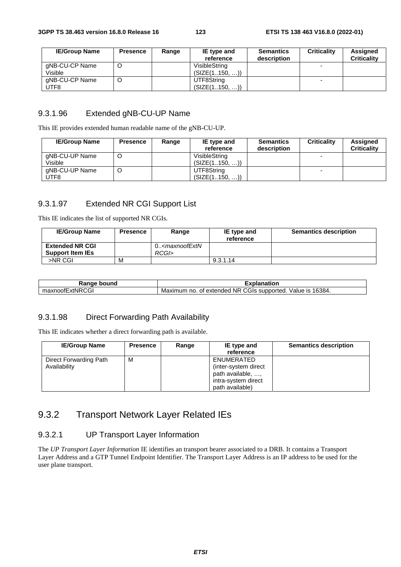| <b>IE/Group Name</b> | <b>Presence</b> | IE type and<br>Range |               | <b>Semantics</b> | <b>Criticality</b> | Assigned           |
|----------------------|-----------------|----------------------|---------------|------------------|--------------------|--------------------|
|                      |                 |                      | reference     | description      |                    | <b>Criticality</b> |
| gNB-CU-CP Name       |                 |                      | VisibleStrina |                  |                    |                    |
| Visible              |                 |                      | (SIZE(1150, ) |                  |                    |                    |
| gNB-CU-CP Name       |                 |                      | UTF8String    |                  |                    |                    |
| UTF8                 |                 |                      | (SIZE(1150, ) |                  |                    |                    |

#### 9.3.1.96 Extended gNB-CU-UP Name

This IE provides extended human readable name of the gNB-CU-UP.

| <b>IE/Group Name</b>      | <b>Presence</b> | Range | IE type and<br>reference       | <b>Semantics</b><br>description | <b>Criticality</b> | Assigned<br><b>Criticality</b> |
|---------------------------|-----------------|-------|--------------------------------|---------------------------------|--------------------|--------------------------------|
| gNB-CU-UP Name<br>Visible | C               |       | VisibleString<br>(SIZE(1150, ) |                                 |                    |                                |
| gNB-CU-UP Name<br>UTF8    | C               |       | UTF8String<br>(SIZE(1150, )    |                                 |                    |                                |

## 9.3.1.97 Extended NR CGI Support List

This IE indicates the list of supported NR CGIs.

| <b>IE/Group Name</b>    | Presence | Range                                                      | IE type and | <b>Semantics description</b> |
|-------------------------|----------|------------------------------------------------------------|-------------|------------------------------|
|                         |          |                                                            | reference   |                              |
| <b>Extended NR CGI</b>  |          | $0.5$ <maxnoof extn<="" td=""><td></td><td></td></maxnoof> |             |                              |
| <b>Support Item IEs</b> |          | RCGI>                                                      |             |                              |
| >NR CGI                 | M        |                                                            | 9.3.1.14    |                              |

| Range bound     | <b>Explanation</b>                                                 |
|-----------------|--------------------------------------------------------------------|
| maxnoofExtNRCGI | Maximum no. of extended NR CGIs supported.<br>16384.<br>Value is . |

## 9.3.1.98 Direct Forwarding Path Availability

This IE indicates whether a direct forwarding path is available.

| <b>IE/Group Name</b>                   | <b>Presence</b> | Range | IE type and<br>reference                                                                          | <b>Semantics description</b> |
|----------------------------------------|-----------------|-------|---------------------------------------------------------------------------------------------------|------------------------------|
| Direct Forwarding Path<br>Availability | M               |       | ENUMERATED<br>(inter-system direct<br>path available, ,<br>intra-system direct<br>path available) |                              |

## 9.3.2 Transport Network Layer Related IEs

#### 9.3.2.1 UP Transport Layer Information

The *UP Transport Layer Information* IE identifies an transport bearer associated to a DRB. It contains a Transport Layer Address and a GTP Tunnel Endpoint Identifier. The Transport Layer Address is an IP address to be used for the user plane transport.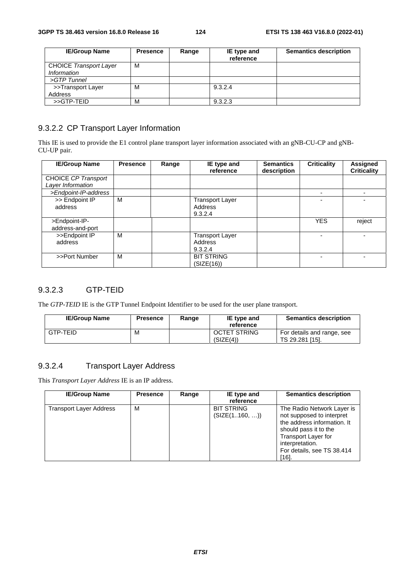| <b>IE/Group Name</b>                         | <b>Presence</b> | Range | IE type and<br>reference | <b>Semantics description</b> |
|----------------------------------------------|-----------------|-------|--------------------------|------------------------------|
| <b>CHOICE Transport Layer</b><br>Information | м               |       |                          |                              |
| >GTP Tunnel                                  |                 |       |                          |                              |
| >>Transport Layer<br>Address                 | M               |       | 9.3.2.4                  |                              |
| >>GTP-TEID                                   | M               |       | 9.3.2.3                  |                              |

## 9.3.2.2 CP Transport Layer Information

This IE is used to provide the E1 control plane transport layer information associated with an gNB-CU-CP and gNB-CU-UP pair.

| <b>IE/Group Name</b> | <b>Presence</b> | Range | IE type and<br>reference | <b>Semantics</b><br>description | <b>Criticality</b> | Assigned<br><b>Criticality</b> |
|----------------------|-----------------|-------|--------------------------|---------------------------------|--------------------|--------------------------------|
| CHOICE CP Transport  |                 |       |                          |                                 |                    |                                |
| Layer Information    |                 |       |                          |                                 |                    |                                |
| >Endpoint-IP-address |                 |       |                          |                                 |                    |                                |
| >> Endpoint IP       | м               |       | <b>Transport Layer</b>   |                                 |                    |                                |
| address              |                 |       | Address                  |                                 |                    |                                |
|                      |                 |       | 9.3.2.4                  |                                 |                    |                                |
| >Endpoint-IP-        |                 |       |                          |                                 | <b>YES</b>         | reject                         |
| address-and-port     |                 |       |                          |                                 |                    |                                |
| >>Endpoint IP        | м               |       | <b>Transport Layer</b>   |                                 |                    |                                |
| address              |                 |       | Address                  |                                 |                    |                                |
|                      |                 |       | 9.3.2.4                  |                                 |                    |                                |
| >>Port Number        | M               |       | <b>BIT STRING</b>        |                                 |                    |                                |
|                      |                 |       | (SIZE(16))               |                                 |                    |                                |

#### 9.3.2.3 GTP-TEID

The *GTP-TEID* IE is the GTP Tunnel Endpoint Identifier to be used for the user plane transport.

| <b>IE/Group Name</b> | <b>Presence</b> | Range | IE type and<br>reference         | <b>Semantics description</b>                  |
|----------------------|-----------------|-------|----------------------------------|-----------------------------------------------|
| GTP-TEID             | M               |       | <b>OCTET STRING</b><br>(SIZE(4)) | For details and range, see<br>TS 29.281 [15]. |

## 9.3.2.4 Transport Layer Address

This *Transport Layer Address* IE is an IP address.

| <b>IE/Group Name</b>           | <b>Presence</b> | Range | IE type and<br>reference           | <b>Semantics description</b>                                                                                                                                                                       |
|--------------------------------|-----------------|-------|------------------------------------|----------------------------------------------------------------------------------------------------------------------------------------------------------------------------------------------------|
| <b>Transport Layer Address</b> | м               |       | <b>BIT STRING</b><br>(SIZE(1160, ) | The Radio Network Layer is<br>not supposed to interpret<br>the address information. It<br>should pass it to the<br>Transport Layer for<br>interpretation.<br>For details, see TS 38.414<br>$[16].$ |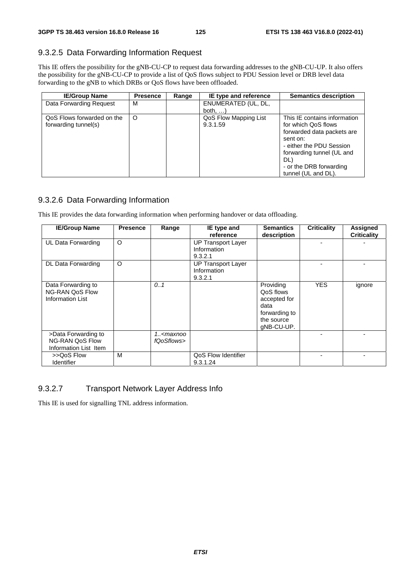## 9.3.2.5 Data Forwarding Information Request

This IE offers the possibility for the gNB-CU-CP to request data forwarding addresses to the gNB-CU-UP. It also offers the possibility for the gNB-CU-CP to provide a list of QoS flows subject to PDU Session level or DRB level data forwarding to the gNB to which DRBs or QoS flows have been offloaded.

| <b>IE/Group Name</b>       | <b>Presence</b> | Range | IE type and reference | <b>Semantics description</b> |
|----------------------------|-----------------|-------|-----------------------|------------------------------|
| Data Forwarding Request    | м               |       | ENUMERATED (UL, DL,   |                              |
|                            |                 |       | both, $\dots$ )       |                              |
| QoS Flows forwarded on the | $\circ$         |       | QoS Flow Mapping List | This IE contains information |
| forwarding tunnel(s)       |                 |       | 9.3.1.59              | for which QoS flows          |
|                            |                 |       |                       | forwarded data packets are   |
|                            |                 |       |                       | sent on:                     |
|                            |                 |       |                       | - either the PDU Session     |
|                            |                 |       |                       | forwarding tunnel (UL and    |
|                            |                 |       |                       | DL)                          |
|                            |                 |       |                       | - or the DRB forwarding      |
|                            |                 |       |                       | tunnel (UL and DL).          |

### 9.3.2.6 Data Forwarding Information

This IE provides the data forwarding information when performing handover or data offloading.

| <b>IE/Group Name</b>                                                    | <b>Presence</b> | Range                                  | IE type and<br>reference                            | <b>Semantics</b><br>description                                                             | <b>Criticality</b> | <b>Assigned</b><br><b>Criticality</b> |
|-------------------------------------------------------------------------|-----------------|----------------------------------------|-----------------------------------------------------|---------------------------------------------------------------------------------------------|--------------------|---------------------------------------|
| UL Data Forwarding                                                      | O               |                                        | <b>UP Transport Layer</b><br>Information<br>9.3.2.1 |                                                                                             |                    |                                       |
| DL Data Forwarding                                                      | O               |                                        | <b>UP Transport Layer</b><br>Information<br>9.3.2.1 |                                                                                             |                    |                                       |
| Data Forwarding to<br><b>NG-RAN QoS Flow</b><br><b>Information List</b> |                 | 0.1                                    |                                                     | Providing<br>QoS flows<br>accepted for<br>data<br>forwarding to<br>the source<br>gNB-CU-UP. | <b>YES</b>         | ignore                                |
| >Data Forwarding to<br><b>NG-RAN QoS Flow</b><br>Information List Item  |                 | 1 <maxnoo<br>fQoSflows&gt;</maxnoo<br> |                                                     |                                                                                             |                    |                                       |
| >>QoS Flow<br><b>Identifier</b>                                         | M               |                                        | QoS Flow Identifier<br>9.3.1.24                     |                                                                                             |                    |                                       |

## 9.3.2.7 Transport Network Layer Address Info

This IE is used for signalling TNL address information.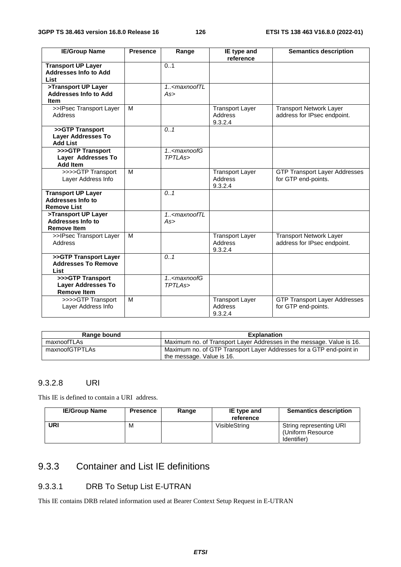| <b>IE/Group Name</b>                                                        | <b>Presence</b> | Range                                               | IE type and<br>reference                     | <b>Semantics description</b>                                  |
|-----------------------------------------------------------------------------|-----------------|-----------------------------------------------------|----------------------------------------------|---------------------------------------------------------------|
| <b>Transport UP Layer</b><br><b>Addresses Info to Add</b><br><b>List</b>    |                 | 0.1                                                 |                                              |                                                               |
| >Transport UP Layer<br><b>Addresses Info to Add</b><br>ltem                 |                 | $1.$ <maxnooftl<br>As</maxnooftl<br>                |                                              |                                                               |
| >>IPsec Transport Layer<br>Address                                          | M               |                                                     | <b>Transport Layer</b><br>Address<br>9.3.2.4 | <b>Transport Network Layer</b><br>address for IPsec endpoint. |
| >>GTP Transport<br><b>Layer Addresses To</b><br><b>Add List</b>             |                 | 0.1                                                 |                                              |                                                               |
| >>>GTP Transport<br>Layer Addresses To<br><b>Add Item</b>                   |                 | $1.$ <maxnoofg<br>TPTLAs&gt;</maxnoofg<br>          |                                              |                                                               |
| >>>>GTP Transport<br>Layer Address Info                                     | M               |                                                     | <b>Transport Layer</b><br>Address<br>9.3.2.4 | <b>GTP Transport Layer Addresses</b><br>for GTP end-points.   |
| <b>Transport UP Layer</b><br><b>Addresses Info to</b><br><b>Remove List</b> |                 | 0.1                                                 |                                              |                                                               |
| >Transport UP Layer<br>Addresses Info to<br><b>Remove Item</b>              |                 | $1.$ <maxnooftl<br>As</maxnooftl<br>                |                                              |                                                               |
| >>IPsec Transport Layer<br><b>Address</b>                                   | M               |                                                     | <b>Transport Layer</b><br>Address<br>9.3.2.4 | <b>Transport Network Layer</b><br>address for IPsec endpoint. |
| >>GTP Transport Layer<br><b>Addresses To Remove</b><br>List                 |                 | 0.1                                                 |                                              |                                                               |
| >>>GTP Transport<br><b>Layer Addresses To</b><br><b>Remove Item</b>         |                 | 1. <maxnoofg<br>TPTLA<sub>s</sub>&gt;</maxnoofg<br> |                                              |                                                               |
| >>>>GTP Transport<br>Layer Address Info                                     | M               |                                                     | <b>Transport Layer</b><br>Address<br>9.3.2.4 | <b>GTP Transport Layer Addresses</b><br>for GTP end-points.   |

| Range bound    | <b>Explanation</b>                                                    |
|----------------|-----------------------------------------------------------------------|
| maxnoofTLAs    | Maximum no. of Transport Layer Addresses in the message. Value is 16. |
| maxnoofGTPTLAs | Maximum no. of GTP Transport Layer Addresses for a GTP end-point in   |
|                | the message. Value is 16.                                             |

#### 9.3.2.8 URI

This IE is defined to contain a URI address.

| <b>IE/Group Name</b> | <b>Presence</b> | Range | IE type and<br>reference | <b>Semantics description</b>                                 |
|----------------------|-----------------|-------|--------------------------|--------------------------------------------------------------|
| URI                  | M               |       | VisibleString            | String representing URI<br>(Uniform Resource<br>(Identifier) |

# 9.3.3 Container and List IE definitions

## 9.3.3.1 DRB To Setup List E-UTRAN

This IE contains DRB related information used at Bearer Context Setup Request in E-UTRAN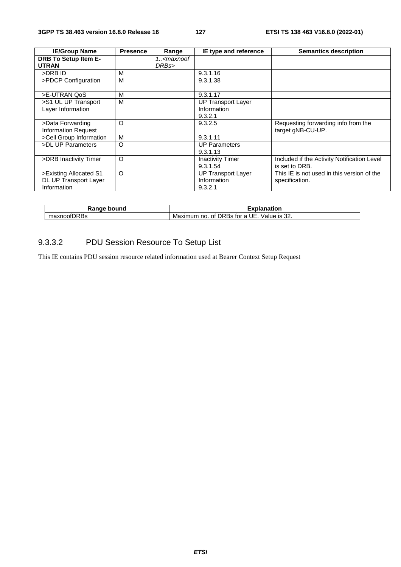| <b>IE/Group Name</b>                                           | <b>Presence</b> | Range                               | IE type and reference                               | <b>Semantics description</b>                                  |
|----------------------------------------------------------------|-----------------|-------------------------------------|-----------------------------------------------------|---------------------------------------------------------------|
| <b>DRB To Setup Item E-</b><br><b>UTRAN</b>                    |                 | 1 <maxnoof<br>DRBs&gt;</maxnoof<br> |                                                     |                                                               |
| >DRB ID                                                        | M               |                                     | 9.3.1.16                                            |                                                               |
| >PDCP Configuration                                            | м               |                                     | 9.3.1.38                                            |                                                               |
| >E-UTRAN QoS                                                   | M               |                                     | 9.3.1.17                                            |                                                               |
| >S1 UL UP Transport<br>Layer Information                       | м               |                                     | UP Transport Layer<br>Information<br>9.3.2.1        |                                                               |
| >Data Forwarding<br><b>Information Request</b>                 | O               |                                     | 9.3.2.5                                             | Requesting forwarding info from the<br>target gNB-CU-UP.      |
| >Cell Group Information                                        | м               |                                     | 9.3.1.11                                            |                                                               |
| >DL UP Parameters                                              | $\circ$         |                                     | <b>UP Parameters</b><br>9.3.1.13                    |                                                               |
| >DRB Inactivity Timer                                          | O               |                                     | <b>Inactivity Timer</b><br>9.3.1.54                 | Included if the Activity Notification Level<br>is set to DRB. |
| >Existing Allocated S1<br>DL UP Transport Layer<br>Information | $\circ$         |                                     | <b>UP Transport Layer</b><br>Information<br>9.3.2.1 | This IE is not used in this version of the<br>specification.  |

| ∍bound<br><b>Rangr</b><br>בו | nation                                                                   |
|------------------------------|--------------------------------------------------------------------------|
| fDRBs<br>maxnoofL            | UE<br>Maximum<br>of DRBs<br>$\sim$<br>tor a<br>no.<br>1S<br>Value<br>.22 |

# 9.3.3.2 PDU Session Resource To Setup List

This IE contains PDU session resource related information used at Bearer Context Setup Request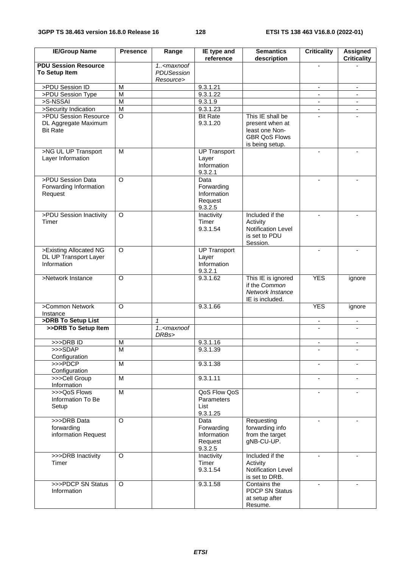| <b>IE/Group Name</b>                                             | <b>Presence</b>                      | Range                               | IE type and<br>reference                                | <b>Semantics</b><br>description                                                                  | <b>Criticality</b>       | <b>Assigned</b><br><b>Criticality</b> |
|------------------------------------------------------------------|--------------------------------------|-------------------------------------|---------------------------------------------------------|--------------------------------------------------------------------------------------------------|--------------------------|---------------------------------------|
| <b>PDU Session Resource</b><br>To Setup Item                     |                                      | $1. -maxnot$<br>PDUSession          |                                                         |                                                                                                  |                          |                                       |
|                                                                  |                                      | Resource>                           |                                                         |                                                                                                  |                          |                                       |
| >PDU Session ID                                                  | M                                    |                                     | 9.3.1.21                                                |                                                                                                  |                          | ۰                                     |
| >PDU Session Type                                                | M                                    |                                     | 9.3.1.22                                                |                                                                                                  | $\blacksquare$           | $\blacksquare$                        |
| >S-NSSAI                                                         | $\overline{M}$                       |                                     | 9.3.1.9                                                 |                                                                                                  |                          |                                       |
| >Security Indication                                             | $\overline{M}$<br>$\overline{\circ}$ |                                     | 9.3.1.23                                                |                                                                                                  |                          | $\blacksquare$                        |
| >PDU Session Resource<br>DL Aggregate Maximum<br><b>Bit Rate</b> |                                      |                                     | <b>Bit Rate</b><br>9.3.1.20                             | This IE shall be<br>present when at<br>least one Non-<br><b>GBR QoS Flows</b><br>is being setup. |                          |                                       |
| >NG UL UP Transport<br>Layer Information                         | M                                    |                                     | <b>UP Transport</b><br>Layer<br>Information<br>9.3.2.1  |                                                                                                  |                          |                                       |
| >PDU Session Data<br>Forwarding Information<br>Request           | $\circ$                              |                                     | Data<br>Forwarding<br>Information<br>Request<br>9.3.2.5 |                                                                                                  |                          |                                       |
| >PDU Session Inactivity<br>Timer                                 | O                                    |                                     | Inactivity<br>Timer<br>9.3.1.54                         | Included if the<br>Activity<br><b>Notification Level</b><br>is set to PDU<br>Session.            |                          |                                       |
| >Existing Allocated NG<br>DL UP Transport Layer<br>Information   | $\circ$                              |                                     | <b>UP Transport</b><br>Layer<br>Information<br>9.3.2.1  |                                                                                                  | ÷                        | $\overline{\phantom{a}}$              |
| >Network Instance                                                | $\circ$                              |                                     | 9.3.1.62                                                | This IE is ignored<br>if the Common<br>Network Instance<br>IE is included.                       | <b>YES</b>               | ignore                                |
| >Common Network<br>Instance                                      | $\circ$                              |                                     | 9.3.1.66                                                |                                                                                                  | <b>YES</b>               | ignore                                |
| >DRB To Setup List                                               |                                      | 1                                   |                                                         |                                                                                                  |                          | $\overline{\phantom{a}}$              |
| >>DRB To Setup Item                                              |                                      | 1 <maxnoof<br>DRBs&gt;</maxnoof<br> |                                                         |                                                                                                  |                          |                                       |
| >>>DRB ID                                                        | M                                    |                                     | 9.3.1.16                                                |                                                                                                  | $\blacksquare$           | $\blacksquare$                        |
| >>>SDAP<br>Configuration                                         | м                                    |                                     | 9.3.1.39                                                |                                                                                                  |                          |                                       |
| $>>$ PDCP<br>Configuration                                       | M                                    |                                     | 9.3.1.38                                                |                                                                                                  |                          |                                       |
| >>>Cell Group<br>Information                                     | M                                    |                                     | 9.3.1.11                                                |                                                                                                  | $\overline{\phantom{a}}$ | $\blacksquare$                        |
| >>>QoS Flows<br>Information To Be<br>Setup                       | M                                    |                                     | QoS Flow QoS<br>Parameters<br>List<br>9.3.1.25          |                                                                                                  |                          |                                       |
| >>>DRB Data<br>forwarding<br>information Request                 | $\circ$                              |                                     | Data<br>Forwarding<br>Information<br>Request<br>9.3.2.5 | Requesting<br>forwarding info<br>from the target<br>gNB-CU-UP.                                   |                          |                                       |
| >>>DRB Inactivity<br>Timer                                       | $\circ$                              |                                     | Inactivity<br>Timer<br>9.3.1.54                         | Included if the<br>Activity<br>Notification Level<br>is set to DRB.                              | $\blacksquare$           |                                       |
| >>>PDCP SN Status<br>Information                                 | $\Omega$                             |                                     | 9.3.1.58                                                | Contains the<br><b>PDCP SN Status</b><br>at setup after<br>Resume.                               |                          |                                       |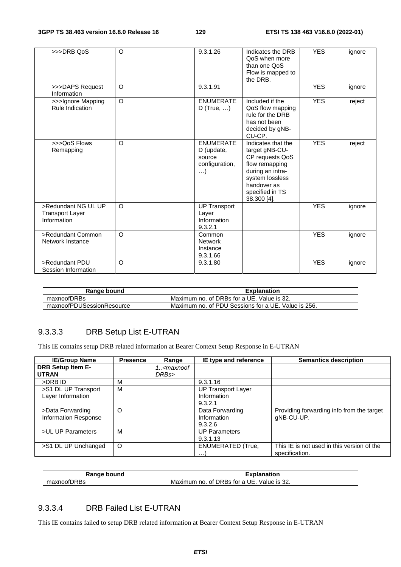| >>>DRB QoS                                                   | $\circ$  | 9.3.1.26                                                               | Indicates the DRB<br>QoS when more<br>than one QoS<br>Flow is mapped to<br>the DRB.                                                                               | <b>YES</b> | ignore |
|--------------------------------------------------------------|----------|------------------------------------------------------------------------|-------------------------------------------------------------------------------------------------------------------------------------------------------------------|------------|--------|
| >>>DAPS Request<br>Information                               | $\Omega$ | 9.3.1.91                                                               |                                                                                                                                                                   | <b>YES</b> | ignore |
| >>>Ignore Mapping<br><b>Rule Indication</b>                  | O        | <b>ENUMERATE</b><br>D (True, $\dots$ )                                 | Included if the<br>QoS flow mapping<br>rule for the DRB<br>has not been<br>decided by gNB-<br>CU-CP.                                                              | <b>YES</b> | reject |
| >>>QoS Flows<br>Remapping                                    | $\circ$  | <b>ENUMERATE</b><br>D (update,<br>source<br>configuration,<br>$\ldots$ | Indicates that the<br>target gNB-CU-<br>CP requests QoS<br>flow remapping<br>during an intra-<br>system lossless<br>handover as<br>specified in TS<br>38.300 [4]. | <b>YES</b> | reject |
| >Redundant NG UL UP<br><b>Transport Layer</b><br>Information | $\circ$  | <b>UP Transport</b><br>Layer<br>Information<br>9.3.2.1                 |                                                                                                                                                                   | <b>YES</b> | ignore |
| >Redundant Common<br>Network Instance                        | $\Omega$ | Common<br><b>Network</b><br>Instance<br>9.3.1.66                       |                                                                                                                                                                   | <b>YES</b> | ignore |
| >Redundant PDU<br>Session Information                        | $\Omega$ | 9.3.1.80                                                               |                                                                                                                                                                   | <b>YES</b> | ignore |

| Range bound               | <b>Explanation</b>                                  |
|---------------------------|-----------------------------------------------------|
| maxnoofDRBs               | Maximum no. of DRBs for a UE. Value is 32.          |
| maxnoofPDUSessionResource | Maximum no. of PDU Sessions for a UE. Value is 256. |

## 9.3.3.3 DRB Setup List E-UTRAN

This IE contains setup DRB related information at Bearer Context Setup Response in E-UTRAN

| <b>IE/Group Name</b>        | <b>Presence</b> | Range                                           | IE type and reference     | <b>Semantics description</b>               |
|-----------------------------|-----------------|-------------------------------------------------|---------------------------|--------------------------------------------|
| <b>DRB Setup Item E-</b>    |                 | 1 <maxnoof< th=""><th></th><th></th></maxnoof<> |                           |                                            |
| <b>UTRAN</b>                |                 | DRBs>                                           |                           |                                            |
| >DRB ID                     | м               |                                                 | 9.3.1.16                  |                                            |
| >S1 DL UP Transport         | м               |                                                 | <b>UP Transport Layer</b> |                                            |
| Layer Information           |                 |                                                 | Information               |                                            |
|                             |                 |                                                 | 9.3.2.1                   |                                            |
| >Data Forwarding            | $\circ$         |                                                 | Data Forwarding           | Providing forwarding info from the target  |
| <b>Information Response</b> |                 |                                                 | Information               | gNB-CU-UP.                                 |
|                             |                 |                                                 | 9.3.2.6                   |                                            |
| >UL UP Parameters           | м               |                                                 | <b>UP Parameters</b>      |                                            |
|                             |                 |                                                 | 9.3.1.13                  |                                            |
| >S1 DL UP Unchanged         | $\Omega$        |                                                 | <b>ENUMERATED (True,</b>  | This IE is not used in this version of the |
|                             |                 |                                                 | .                         | specification.                             |

| <b>Pange</b> .<br>bound       | งlanation<br>----<br>- - -                                                            |
|-------------------------------|---------------------------------------------------------------------------------------|
| $ -$<br>maxnoof.<br>JRRS<br>w | UE.<br>$\sim$<br>Maximum<br><b>DRBS</b><br>tor<br>Value<br>- IS 32.<br>0t.<br>no<br>а |

## 9.3.3.4 DRB Failed List E-UTRAN

This IE contains failed to setup DRB related information at Bearer Context Setup Response in E-UTRAN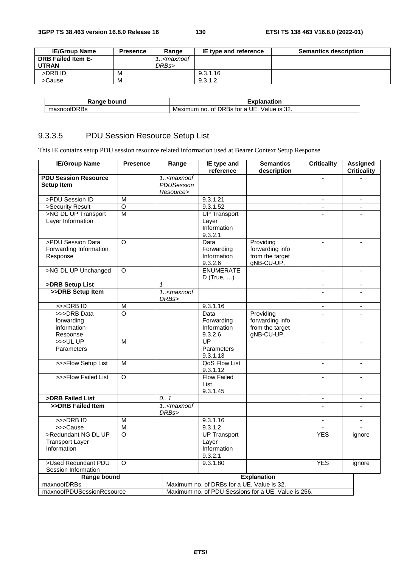| <b>IE/Group Name</b> | <b>Presence</b> | Range                                           | IE type and reference | <b>Semantics description</b> |
|----------------------|-----------------|-------------------------------------------------|-----------------------|------------------------------|
| DRB Failed Item E-   |                 | 1 <maxnoof< td=""><td></td><td></td></maxnoof<> |                       |                              |
| <b>UTRAN</b>         |                 | DRBs>                                           |                       |                              |
| >DRB ID              | M               |                                                 | 9.3.1.16              |                              |
| >Cause               | M               |                                                 | 9.3.1.2               |                              |

| bound<br>------<br>nae<br>naı | .<br>nation                                                                |
|-------------------------------|----------------------------------------------------------------------------|
| $-$<br>۱ь<br>ιUΟ              | c.<br>DRBS<br>Maxımum<br>∨alue<br>no.<br>IS 32.<br>οt<br>$\sim$<br>tor<br> |

## 9.3.3.5 PDU Session Resource Setup List

This IE contains setup PDU session resource related information used at Bearer Context Setup Response

| <b>PDU Session Resource</b><br>$1. <$ maxnoof<br><b>PDUSession</b><br><b>Setup Item</b><br>Resource><br>>PDU Session ID<br>M<br>9.3.1.21<br>$\overline{\phantom{a}}$<br>$\overline{\phantom{a}}$<br>$\overline{O}$<br>>Security Result<br>9.3.1.52<br>$\mathbf{r}$<br>$\blacksquare$<br>>NG DL UP Transport<br>$\overline{M}$<br><b>UP Transport</b><br>Layer Information<br>Layer<br>Information<br>9.3.2.1<br>>PDU Session Data<br>O<br>Providing<br>Data<br>$\overline{a}$<br>$\blacksquare$<br>forwarding info<br>Forwarding Information<br>Forwarding<br>from the target<br>Response<br>Information<br>9.3.2.6<br>gNB-CU-UP.<br><b>ENUMERATE</b><br>>NG DL UP Unchanged<br>$\Omega$<br>÷.<br>D (True, $\dots$ )<br>>DRB Setup List<br>$\mathbf{1}$<br>$\overline{\phantom{a}}$<br>$\overline{\phantom{a}}$<br>$1. maxnot>>DRB Setup Item\overline{a}DRBs>9.3.1.16>>DRB ID\overline{M}>>>DRB Data\overline{\circ}ProvidingDataforwarding infoforwardingForwardingfrom the targetinformationInformationgNB-CU-UP.9.3.2.6ResponseUP>>>ULUPMParametersParameters9.3.1.13QoS Flow List>>>Flow Setup ListМ\mathbf{r}\overline{\phantom{a}}9.3.1.12\overline{\circ}>>>Flow Failed ListFlow Failed\overline{a}List9.3.1.45>DRB Failed List0.7\overline{\phantom{a}}>>DRB Failed Item1. <maxnoofDRBs>>>DRB ID\overline{M}9.3.1.16\blacksquare\blacksquare\overline{\mathsf{M}}9.3.1.2>>>Cause>Redundant NG DL UP\overline{O}UP TransportYESignoreTransport LayerLayerInformationInformation9.3.2.1YES>Used Redundant PDU\Omega9.3.1.80ignoreSession InformationExplanationRange boundMaximum no. of DRBs for a UE. Value is 32.maxnoofDRBs$ | <b>IE/Group Name</b>      | <b>Presence</b> | Range | IE type and<br>reference | <b>Semantics</b><br>description | <b>Criticality</b> | <b>Assigned</b><br><b>Criticality</b> |
|-----------------------------------------------------------------------------------------------------------------------------------------------------------------------------------------------------------------------------------------------------------------------------------------------------------------------------------------------------------------------------------------------------------------------------------------------------------------------------------------------------------------------------------------------------------------------------------------------------------------------------------------------------------------------------------------------------------------------------------------------------------------------------------------------------------------------------------------------------------------------------------------------------------------------------------------------------------------------------------------------------------------------------------------------------------------------------------------------------------------------------------------------------------------------------------------------------------------------------------------------------------------------------------------------------------------------------------------------------------------------------------------------------------------------------------------------------------------------------------------------------------------------------------------------------------------------------------------------------------------------------------------|---------------------------|-----------------|-------|--------------------------|---------------------------------|--------------------|---------------------------------------|
|                                                                                                                                                                                                                                                                                                                                                                                                                                                                                                                                                                                                                                                                                                                                                                                                                                                                                                                                                                                                                                                                                                                                                                                                                                                                                                                                                                                                                                                                                                                                                                                                                                         |                           |                 |       |                          |                                 |                    |                                       |
|                                                                                                                                                                                                                                                                                                                                                                                                                                                                                                                                                                                                                                                                                                                                                                                                                                                                                                                                                                                                                                                                                                                                                                                                                                                                                                                                                                                                                                                                                                                                                                                                                                         |                           |                 |       |                          |                                 |                    |                                       |
|                                                                                                                                                                                                                                                                                                                                                                                                                                                                                                                                                                                                                                                                                                                                                                                                                                                                                                                                                                                                                                                                                                                                                                                                                                                                                                                                                                                                                                                                                                                                                                                                                                         |                           |                 |       |                          |                                 |                    |                                       |
|                                                                                                                                                                                                                                                                                                                                                                                                                                                                                                                                                                                                                                                                                                                                                                                                                                                                                                                                                                                                                                                                                                                                                                                                                                                                                                                                                                                                                                                                                                                                                                                                                                         |                           |                 |       |                          |                                 |                    |                                       |
|                                                                                                                                                                                                                                                                                                                                                                                                                                                                                                                                                                                                                                                                                                                                                                                                                                                                                                                                                                                                                                                                                                                                                                                                                                                                                                                                                                                                                                                                                                                                                                                                                                         |                           |                 |       |                          |                                 |                    |                                       |
|                                                                                                                                                                                                                                                                                                                                                                                                                                                                                                                                                                                                                                                                                                                                                                                                                                                                                                                                                                                                                                                                                                                                                                                                                                                                                                                                                                                                                                                                                                                                                                                                                                         |                           |                 |       |                          |                                 |                    |                                       |
|                                                                                                                                                                                                                                                                                                                                                                                                                                                                                                                                                                                                                                                                                                                                                                                                                                                                                                                                                                                                                                                                                                                                                                                                                                                                                                                                                                                                                                                                                                                                                                                                                                         |                           |                 |       |                          |                                 |                    |                                       |
|                                                                                                                                                                                                                                                                                                                                                                                                                                                                                                                                                                                                                                                                                                                                                                                                                                                                                                                                                                                                                                                                                                                                                                                                                                                                                                                                                                                                                                                                                                                                                                                                                                         |                           |                 |       |                          |                                 |                    |                                       |
|                                                                                                                                                                                                                                                                                                                                                                                                                                                                                                                                                                                                                                                                                                                                                                                                                                                                                                                                                                                                                                                                                                                                                                                                                                                                                                                                                                                                                                                                                                                                                                                                                                         |                           |                 |       |                          |                                 |                    |                                       |
|                                                                                                                                                                                                                                                                                                                                                                                                                                                                                                                                                                                                                                                                                                                                                                                                                                                                                                                                                                                                                                                                                                                                                                                                                                                                                                                                                                                                                                                                                                                                                                                                                                         |                           |                 |       |                          |                                 |                    |                                       |
|                                                                                                                                                                                                                                                                                                                                                                                                                                                                                                                                                                                                                                                                                                                                                                                                                                                                                                                                                                                                                                                                                                                                                                                                                                                                                                                                                                                                                                                                                                                                                                                                                                         |                           |                 |       |                          |                                 |                    |                                       |
|                                                                                                                                                                                                                                                                                                                                                                                                                                                                                                                                                                                                                                                                                                                                                                                                                                                                                                                                                                                                                                                                                                                                                                                                                                                                                                                                                                                                                                                                                                                                                                                                                                         |                           |                 |       |                          |                                 |                    |                                       |
|                                                                                                                                                                                                                                                                                                                                                                                                                                                                                                                                                                                                                                                                                                                                                                                                                                                                                                                                                                                                                                                                                                                                                                                                                                                                                                                                                                                                                                                                                                                                                                                                                                         |                           |                 |       |                          |                                 |                    |                                       |
|                                                                                                                                                                                                                                                                                                                                                                                                                                                                                                                                                                                                                                                                                                                                                                                                                                                                                                                                                                                                                                                                                                                                                                                                                                                                                                                                                                                                                                                                                                                                                                                                                                         |                           |                 |       |                          |                                 |                    |                                       |
|                                                                                                                                                                                                                                                                                                                                                                                                                                                                                                                                                                                                                                                                                                                                                                                                                                                                                                                                                                                                                                                                                                                                                                                                                                                                                                                                                                                                                                                                                                                                                                                                                                         |                           |                 |       |                          |                                 |                    |                                       |
|                                                                                                                                                                                                                                                                                                                                                                                                                                                                                                                                                                                                                                                                                                                                                                                                                                                                                                                                                                                                                                                                                                                                                                                                                                                                                                                                                                                                                                                                                                                                                                                                                                         |                           |                 |       |                          |                                 |                    |                                       |
|                                                                                                                                                                                                                                                                                                                                                                                                                                                                                                                                                                                                                                                                                                                                                                                                                                                                                                                                                                                                                                                                                                                                                                                                                                                                                                                                                                                                                                                                                                                                                                                                                                         |                           |                 |       |                          |                                 |                    |                                       |
|                                                                                                                                                                                                                                                                                                                                                                                                                                                                                                                                                                                                                                                                                                                                                                                                                                                                                                                                                                                                                                                                                                                                                                                                                                                                                                                                                                                                                                                                                                                                                                                                                                         |                           |                 |       |                          |                                 |                    |                                       |
|                                                                                                                                                                                                                                                                                                                                                                                                                                                                                                                                                                                                                                                                                                                                                                                                                                                                                                                                                                                                                                                                                                                                                                                                                                                                                                                                                                                                                                                                                                                                                                                                                                         |                           |                 |       |                          |                                 |                    |                                       |
|                                                                                                                                                                                                                                                                                                                                                                                                                                                                                                                                                                                                                                                                                                                                                                                                                                                                                                                                                                                                                                                                                                                                                                                                                                                                                                                                                                                                                                                                                                                                                                                                                                         |                           |                 |       |                          |                                 |                    |                                       |
|                                                                                                                                                                                                                                                                                                                                                                                                                                                                                                                                                                                                                                                                                                                                                                                                                                                                                                                                                                                                                                                                                                                                                                                                                                                                                                                                                                                                                                                                                                                                                                                                                                         |                           |                 |       |                          |                                 |                    |                                       |
|                                                                                                                                                                                                                                                                                                                                                                                                                                                                                                                                                                                                                                                                                                                                                                                                                                                                                                                                                                                                                                                                                                                                                                                                                                                                                                                                                                                                                                                                                                                                                                                                                                         |                           |                 |       |                          |                                 |                    |                                       |
|                                                                                                                                                                                                                                                                                                                                                                                                                                                                                                                                                                                                                                                                                                                                                                                                                                                                                                                                                                                                                                                                                                                                                                                                                                                                                                                                                                                                                                                                                                                                                                                                                                         |                           |                 |       |                          |                                 |                    |                                       |
|                                                                                                                                                                                                                                                                                                                                                                                                                                                                                                                                                                                                                                                                                                                                                                                                                                                                                                                                                                                                                                                                                                                                                                                                                                                                                                                                                                                                                                                                                                                                                                                                                                         |                           |                 |       |                          |                                 |                    |                                       |
|                                                                                                                                                                                                                                                                                                                                                                                                                                                                                                                                                                                                                                                                                                                                                                                                                                                                                                                                                                                                                                                                                                                                                                                                                                                                                                                                                                                                                                                                                                                                                                                                                                         |                           |                 |       |                          |                                 |                    |                                       |
|                                                                                                                                                                                                                                                                                                                                                                                                                                                                                                                                                                                                                                                                                                                                                                                                                                                                                                                                                                                                                                                                                                                                                                                                                                                                                                                                                                                                                                                                                                                                                                                                                                         |                           |                 |       |                          |                                 |                    |                                       |
|                                                                                                                                                                                                                                                                                                                                                                                                                                                                                                                                                                                                                                                                                                                                                                                                                                                                                                                                                                                                                                                                                                                                                                                                                                                                                                                                                                                                                                                                                                                                                                                                                                         |                           |                 |       |                          |                                 |                    |                                       |
|                                                                                                                                                                                                                                                                                                                                                                                                                                                                                                                                                                                                                                                                                                                                                                                                                                                                                                                                                                                                                                                                                                                                                                                                                                                                                                                                                                                                                                                                                                                                                                                                                                         |                           |                 |       |                          |                                 |                    |                                       |
|                                                                                                                                                                                                                                                                                                                                                                                                                                                                                                                                                                                                                                                                                                                                                                                                                                                                                                                                                                                                                                                                                                                                                                                                                                                                                                                                                                                                                                                                                                                                                                                                                                         |                           |                 |       |                          |                                 |                    |                                       |
|                                                                                                                                                                                                                                                                                                                                                                                                                                                                                                                                                                                                                                                                                                                                                                                                                                                                                                                                                                                                                                                                                                                                                                                                                                                                                                                                                                                                                                                                                                                                                                                                                                         |                           |                 |       |                          |                                 |                    |                                       |
|                                                                                                                                                                                                                                                                                                                                                                                                                                                                                                                                                                                                                                                                                                                                                                                                                                                                                                                                                                                                                                                                                                                                                                                                                                                                                                                                                                                                                                                                                                                                                                                                                                         |                           |                 |       |                          |                                 |                    |                                       |
|                                                                                                                                                                                                                                                                                                                                                                                                                                                                                                                                                                                                                                                                                                                                                                                                                                                                                                                                                                                                                                                                                                                                                                                                                                                                                                                                                                                                                                                                                                                                                                                                                                         |                           |                 |       |                          |                                 |                    |                                       |
|                                                                                                                                                                                                                                                                                                                                                                                                                                                                                                                                                                                                                                                                                                                                                                                                                                                                                                                                                                                                                                                                                                                                                                                                                                                                                                                                                                                                                                                                                                                                                                                                                                         |                           |                 |       |                          |                                 |                    |                                       |
|                                                                                                                                                                                                                                                                                                                                                                                                                                                                                                                                                                                                                                                                                                                                                                                                                                                                                                                                                                                                                                                                                                                                                                                                                                                                                                                                                                                                                                                                                                                                                                                                                                         |                           |                 |       |                          |                                 |                    |                                       |
|                                                                                                                                                                                                                                                                                                                                                                                                                                                                                                                                                                                                                                                                                                                                                                                                                                                                                                                                                                                                                                                                                                                                                                                                                                                                                                                                                                                                                                                                                                                                                                                                                                         |                           |                 |       |                          |                                 |                    |                                       |
|                                                                                                                                                                                                                                                                                                                                                                                                                                                                                                                                                                                                                                                                                                                                                                                                                                                                                                                                                                                                                                                                                                                                                                                                                                                                                                                                                                                                                                                                                                                                                                                                                                         |                           |                 |       |                          |                                 |                    |                                       |
|                                                                                                                                                                                                                                                                                                                                                                                                                                                                                                                                                                                                                                                                                                                                                                                                                                                                                                                                                                                                                                                                                                                                                                                                                                                                                                                                                                                                                                                                                                                                                                                                                                         |                           |                 |       |                          |                                 |                    |                                       |
|                                                                                                                                                                                                                                                                                                                                                                                                                                                                                                                                                                                                                                                                                                                                                                                                                                                                                                                                                                                                                                                                                                                                                                                                                                                                                                                                                                                                                                                                                                                                                                                                                                         |                           |                 |       |                          |                                 |                    |                                       |
|                                                                                                                                                                                                                                                                                                                                                                                                                                                                                                                                                                                                                                                                                                                                                                                                                                                                                                                                                                                                                                                                                                                                                                                                                                                                                                                                                                                                                                                                                                                                                                                                                                         |                           |                 |       |                          |                                 |                    |                                       |
|                                                                                                                                                                                                                                                                                                                                                                                                                                                                                                                                                                                                                                                                                                                                                                                                                                                                                                                                                                                                                                                                                                                                                                                                                                                                                                                                                                                                                                                                                                                                                                                                                                         |                           |                 |       |                          |                                 |                    |                                       |
| Maximum no. of PDU Sessions for a UE. Value is 256.                                                                                                                                                                                                                                                                                                                                                                                                                                                                                                                                                                                                                                                                                                                                                                                                                                                                                                                                                                                                                                                                                                                                                                                                                                                                                                                                                                                                                                                                                                                                                                                     | maxnoofPDUSessionResource |                 |       |                          |                                 |                    |                                       |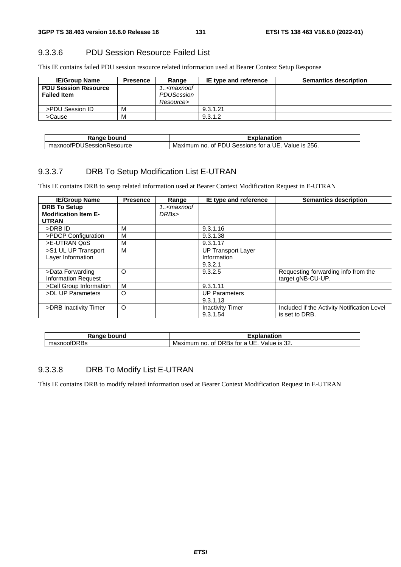## 9.3.3.6 PDU Session Resource Failed List

This IE contains failed PDU session resource related information used at Bearer Context Setup Response

| <b>IE/Group Name</b>                              | <b>Presence</b> | Range                                                  | IE type and reference | <b>Semantics description</b> |
|---------------------------------------------------|-----------------|--------------------------------------------------------|-----------------------|------------------------------|
| <b>PDU Session Resource</b><br><b>Failed Item</b> |                 | 1 <maxnoof<br>PDUSession<br/>Resource&gt;</maxnoof<br> |                       |                              |
| >PDU Session ID                                   | M               |                                                        | 9.3.1.21              |                              |
| >Cause                                            | M               |                                                        | 9.3.1.2               |                              |

| bound<br>Range<br>⊼dı                           | ∠xr<br>anation                                                                 |
|-------------------------------------------------|--------------------------------------------------------------------------------|
| $\sim$<br><b>ISessionResource</b><br>…axnoofP"∶ | 256.<br>Maximum<br>of PDL<br>JE.<br>Sessions<br>tor.<br>no<br>Value<br>Э<br>ାS |

## 9.3.3.7 DRB To Setup Modification List E-UTRAN

This IE contains DRB to setup related information used at Bearer Context Modification Request in E-UTRAN

| <b>IE/Group Name</b>        | <b>Presence</b> | Range                                           | IE type and reference     | <b>Semantics description</b>                |
|-----------------------------|-----------------|-------------------------------------------------|---------------------------|---------------------------------------------|
| <b>DRB To Setup</b>         |                 | 1 <maxnoof< th=""><th></th><th></th></maxnoof<> |                           |                                             |
| <b>Modification Item E-</b> |                 | DRBs>                                           |                           |                                             |
| <b>UTRAN</b>                |                 |                                                 |                           |                                             |
| >DRB ID                     | M               |                                                 | 9.3.1.16                  |                                             |
| >PDCP Configuration         | M               |                                                 | 9.3.1.38                  |                                             |
| >E-UTRAN QoS                | M               |                                                 | 9.3.1.17                  |                                             |
| >S1 UL UP Transport         | M               |                                                 | <b>UP Transport Layer</b> |                                             |
| Layer Information           |                 |                                                 | Information               |                                             |
|                             |                 |                                                 | 9.3.2.1                   |                                             |
| >Data Forwarding            | O               |                                                 | 9.3.2.5                   | Requesting forwarding info from the         |
| <b>Information Request</b>  |                 |                                                 |                           | target gNB-CU-UP.                           |
| >Cell Group Information     | M               |                                                 | 9.3.1.11                  |                                             |
| >DL UP Parameters           | O               |                                                 | <b>UP Parameters</b>      |                                             |
|                             |                 |                                                 | 9.3.1.13                  |                                             |
| >DRB Inactivity Timer       | $\circ$         |                                                 | <b>Inactivity Timer</b>   | Included if the Activity Notification Level |
|                             |                 |                                                 | 9.3.1.54                  | is set to DRB.                              |

| Ranɑe<br>bound | <b>Explanation</b>                                                               |
|----------------|----------------------------------------------------------------------------------|
| maxnoofDRBs    | UE.<br>---<br>$\sim$<br>DRBS 1<br>Maximum<br>tor a<br>no.<br>ot.<br>Value is 3∠. |

## 9.3.3.8 DRB To Modify List E-UTRAN

This IE contains DRB to modify related information used at Bearer Context Modification Request in E-UTRAN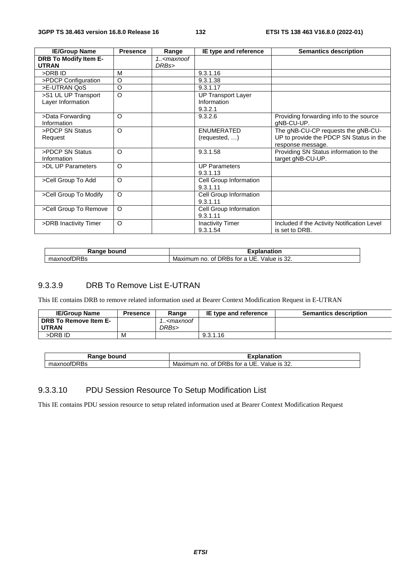| <b>IE/Group Name</b>                         | <b>Presence</b> | Range                               | IE type and reference     | <b>Semantics description</b>                |
|----------------------------------------------|-----------------|-------------------------------------|---------------------------|---------------------------------------------|
| <b>DRB To Modify Item E-</b><br><b>UTRAN</b> |                 | 1 <maxnoof<br>DRBs&gt;</maxnoof<br> |                           |                                             |
| >DRB ID                                      | M               |                                     | 9.3.1.16                  |                                             |
| >PDCP Configuration                          | O               |                                     | 9.3.1.38                  |                                             |
| >E-UTRAN QoS                                 | $\circ$         |                                     | 9.3.1.17                  |                                             |
| >S1 UL UP Transport                          | $\Omega$        |                                     | <b>UP Transport Layer</b> |                                             |
| Layer Information                            |                 |                                     | Information               |                                             |
|                                              |                 |                                     | 9.3.2.1                   |                                             |
| >Data Forwarding                             | $\circ$         |                                     | 9.3.2.6                   | Providing forwarding info to the source     |
| Information                                  |                 |                                     |                           | gNB-CU-UP.                                  |
| >PDCP SN Status                              | $\circ$         |                                     | <b>ENUMERATED</b>         | The gNB-CU-CP requests the gNB-CU-          |
| Request                                      |                 |                                     | (requested, )             | UP to provide the PDCP SN Status in the     |
|                                              |                 |                                     |                           | response message.                           |
| >PDCP SN Status                              | $\circ$         |                                     | 9.3.1.58                  | Providing SN Status information to the      |
| Information                                  |                 |                                     |                           | target gNB-CU-UP.                           |
| >DL UP Parameters                            | $\circ$         |                                     | <b>UP Parameters</b>      |                                             |
|                                              |                 |                                     | 9.3.1.13                  |                                             |
| >Cell Group To Add                           | $\Omega$        |                                     | Cell Group Information    |                                             |
|                                              |                 |                                     | 9.3.1.11                  |                                             |
| >Cell Group To Modify                        | $\Omega$        |                                     | Cell Group Information    |                                             |
|                                              |                 |                                     | 9.3.1.11                  |                                             |
| >Cell Group To Remove                        | $\Omega$        |                                     | Cell Group Information    |                                             |
|                                              |                 |                                     | 9.3.1.11                  |                                             |
| >DRB Inactivity Timer                        | $\circ$         |                                     | <b>Inactivity Timer</b>   | Included if the Activity Notification Level |
|                                              |                 |                                     | 9.3.1.54                  | is set to DRB.                              |

| Dane"<br>ound<br>n 1<br>naı | <br>------<br>nation                                                                                |
|-----------------------------|-----------------------------------------------------------------------------------------------------|
| $-$<br>nnnt<br>50.<br>. הוי | $\sim$<br>DRBS<br>tor<br>ш.<br>Value is 32.<br>Maximum<br>ot i<br>$\sqrt{2}$<br>no<br>. .<br>$\sim$ |

## 9.3.3.9 DRB To Remove List E-UTRAN

This IE contains DRB to remove related information used at Bearer Context Modification Request in E-UTRAN

| <b>IE/Group Name</b>  | <b>Presence</b> | Ranɑe                                           | IE type and reference | <b>Semantics description</b> |
|-----------------------|-----------------|-------------------------------------------------|-----------------------|------------------------------|
| DRB To Remove Item E- |                 | 1 <maxnoof< td=""><td></td><td></td></maxnoof<> |                       |                              |
| <b>UTRAN</b>          |                 | DRBs>                                           |                       |                              |
| >DRB ID               | м               |                                                 | 9.3.1.16              |                              |

| ⊇anαe                          | anation                                                                           |
|--------------------------------|-----------------------------------------------------------------------------------|
| bound                          | ----                                                                              |
| $-$<br>maxnoof.<br><b>IKBS</b> | ົ<br>DRBS *<br>Value is 32.<br>UE.<br>tor<br>0t.<br>Maximum<br>no.<br>$\sim$<br>a |

## 9.3.3.10 PDU Session Resource To Setup Modification List

This IE contains PDU session resource to setup related information used at Bearer Context Modification Request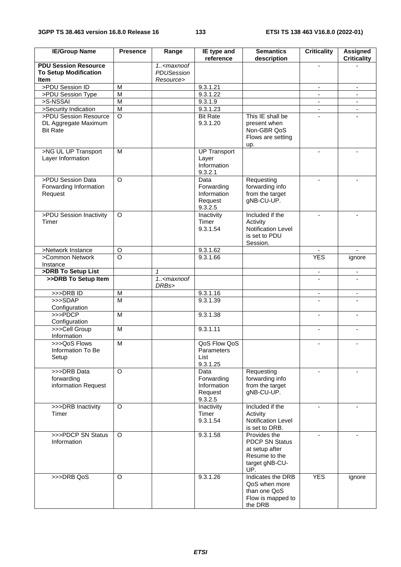| <b>IE/Group Name</b>                                                       | <b>Presence</b>    | Range                                                  | IE type and<br>reference                        | <b>Semantics</b><br>description                                                                   | <b>Criticality</b>       | Assigned<br><b>Criticality</b> |
|----------------------------------------------------------------------------|--------------------|--------------------------------------------------------|-------------------------------------------------|---------------------------------------------------------------------------------------------------|--------------------------|--------------------------------|
| <b>PDU Session Resource</b><br><b>To Setup Modification</b><br><b>Item</b> |                    | 1 <maxnoof<br>PDUSession<br/>Resource&gt;</maxnoof<br> |                                                 |                                                                                                   |                          |                                |
| >PDU Session ID                                                            | M                  |                                                        | 9.3.1.21                                        |                                                                                                   | $\overline{\phantom{a}}$ |                                |
| >PDU Session Type                                                          | M                  |                                                        | 9.3.1.22                                        |                                                                                                   | $\blacksquare$           | $\blacksquare$                 |
| >S-NSSAI                                                                   | $\overline{M}$     |                                                        | 9.3.1.9                                         |                                                                                                   | $\overline{\phantom{a}}$ | $\blacksquare$                 |
| >Security Indication                                                       | $\overline{M}$     |                                                        | 9.3.1.23                                        |                                                                                                   |                          | $\blacksquare$                 |
| >PDU Session Resource                                                      | $\circ$            |                                                        | <b>Bit Rate</b>                                 | This IE shall be                                                                                  |                          |                                |
| DL Aggregate Maximum<br><b>Bit Rate</b>                                    |                    |                                                        | 9.3.1.20                                        | present when<br>Non-GBR QoS<br>Flows are setting<br>up.                                           |                          |                                |
| >NG UL UP Transport                                                        | M                  |                                                        | <b>UP Transport</b>                             |                                                                                                   | $\blacksquare$           |                                |
| Layer Information                                                          |                    |                                                        | Layer<br>Information<br>9.3.2.1                 |                                                                                                   |                          |                                |
| >PDU Session Data                                                          | $\Omega$           |                                                        | Data                                            | Requesting                                                                                        | $\blacksquare$           |                                |
| Forwarding Information<br>Request                                          |                    |                                                        | Forwarding<br>Information<br>Request<br>9.3.2.5 | forwarding info<br>from the target<br>gNB-CU-UP.                                                  |                          |                                |
| >PDU Session Inactivity                                                    | $\Omega$           |                                                        | Inactivity                                      | Included if the                                                                                   |                          |                                |
| Timer                                                                      |                    |                                                        | Timer<br>9.3.1.54                               | Activity<br><b>Notification Level</b><br>is set to PDU<br>Session.                                |                          |                                |
| >Network Instance                                                          | $\circ$            |                                                        | 9.3.1.62                                        |                                                                                                   |                          | $\mathbf{r}$                   |
| >Common Network<br>Instance                                                | $\overline{\circ}$ |                                                        | 9.3.1.66                                        |                                                                                                   | <b>YES</b>               | ignore                         |
| >DRB To Setup List                                                         |                    | $\mathcal I$                                           |                                                 |                                                                                                   | $\overline{\phantom{a}}$ | $\blacksquare$                 |
| >>DRB To Setup Item                                                        |                    | 1 <maxnoof<br>DRBs&gt;</maxnoof<br>                    |                                                 |                                                                                                   |                          |                                |
| >>>DRB ID                                                                  | M                  |                                                        | 9.3.1.16                                        |                                                                                                   | $\overline{\phantom{a}}$ | $\overline{\phantom{a}}$       |
| >>>SDAP                                                                    | M                  |                                                        | 9.3.1.39                                        |                                                                                                   |                          |                                |
| Configuration                                                              |                    |                                                        |                                                 |                                                                                                   |                          |                                |
| >>>PDCP<br>Configuration                                                   | M                  |                                                        | 9.3.1.38                                        |                                                                                                   |                          |                                |
| >>>Cell Group<br>Information                                               | M                  |                                                        | 9.3.1.11                                        |                                                                                                   | $\blacksquare$           | $\blacksquare$                 |
| >>>QoS Flows<br>Information To Be<br>Setup                                 | M                  |                                                        | QoS Flow QoS<br>Parameters<br>List<br>9.3.1.25  |                                                                                                   |                          |                                |
| >>>DRB Data                                                                | $\circ$            |                                                        | Data                                            | Requesting                                                                                        |                          |                                |
| forwarding<br>information Request                                          |                    |                                                        | Forwarding<br>Information<br>Request<br>9.3.2.5 | forwarding info<br>from the target<br>gNB-CU-UP.                                                  |                          |                                |
| >>>DRB Inactivity                                                          | $\Omega$           |                                                        | Inactivity                                      | Included if the                                                                                   | $\overline{a}$           |                                |
| Timer                                                                      |                    |                                                        | Timer<br>9.3.1.54                               | Activity<br>Notification Level<br>is set to DRB.                                                  |                          |                                |
| >>>PDCP SN Status<br>Information                                           | O                  |                                                        | 9.3.1.58                                        | Provides the<br><b>PDCP SN Status</b><br>at setup after<br>Resume to the<br>target gNB-CU-<br>UP. |                          |                                |
| >>>DRB QoS                                                                 | O                  |                                                        | 9.3.1.26                                        | Indicates the DRB<br>QoS when more<br>than one QoS<br>Flow is mapped to<br>the DRB                | <b>YES</b>               | ignore                         |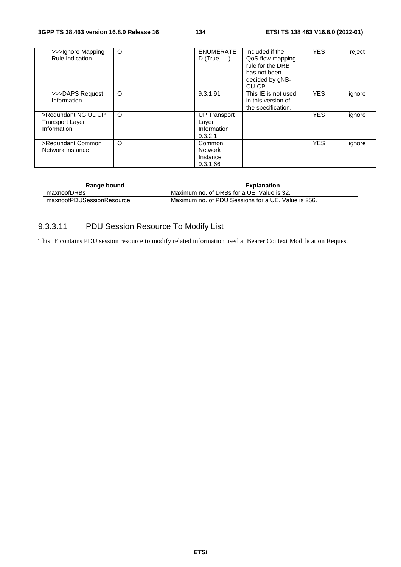| >>>Ignore Mapping<br>Rule Indication                         | $\circ$ | <b>ENUMERATE</b><br>D (True, $\dots$ )                 | Included if the<br>QoS flow mapping<br>rule for the DRB<br>has not been<br>decided by gNB-<br>CU-CP. | <b>YES</b> | reject |
|--------------------------------------------------------------|---------|--------------------------------------------------------|------------------------------------------------------------------------------------------------------|------------|--------|
| >>>DAPS Request<br>Information                               | $\circ$ | 9.3.1.91                                               | This IE is not used<br>in this version of<br>the specification.                                      | <b>YES</b> | ignore |
| >Redundant NG UL UP<br><b>Transport Layer</b><br>Information | $\circ$ | <b>UP Transport</b><br>Layer<br>Information<br>9.3.2.1 |                                                                                                      | <b>YES</b> | ignore |
| >Redundant Common<br>Network Instance                        | $\circ$ | Common<br><b>Network</b><br>Instance<br>9.3.1.66       |                                                                                                      | <b>YES</b> | ignore |

| Range bound               | <b>Explanation</b>                                  |
|---------------------------|-----------------------------------------------------|
| maxnoofDRBs               | Maximum no. of DRBs for a UE. Value is 32.          |
| maxnoofPDUSessionResource | Maximum no. of PDU Sessions for a UE. Value is 256. |

# 9.3.3.11 PDU Session Resource To Modify List

This IE contains PDU session resource to modify related information used at Bearer Context Modification Request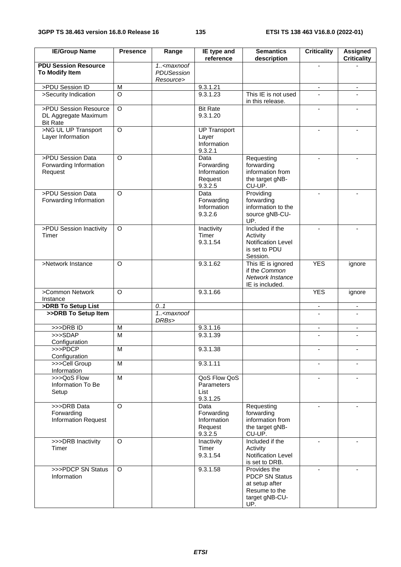| <b>IE/Group Name</b>                                             | <b>Presence</b> | Range                                                      | IE type and<br>reference                                | <b>Semantics</b><br>description                                                                   | <b>Criticality</b>       | <b>Assigned</b><br><b>Criticality</b> |
|------------------------------------------------------------------|-----------------|------------------------------------------------------------|---------------------------------------------------------|---------------------------------------------------------------------------------------------------|--------------------------|---------------------------------------|
| <b>PDU Session Resource</b><br>To Modify Item                    |                 | $1.5$ <maxnoof<br>PDUSession<br/>Resource&gt;</maxnoof<br> |                                                         |                                                                                                   |                          |                                       |
| >PDU Session ID                                                  | M               |                                                            | 9.3.1.21                                                |                                                                                                   | $\overline{\phantom{0}}$ | $\overline{\phantom{a}}$              |
| >Security Indication                                             | $\circ$         |                                                            | 9.3.1.23                                                | This IE is not used<br>in this release.                                                           |                          |                                       |
| >PDU Session Resource<br>DL Aggregate Maximum<br><b>Bit Rate</b> | $\overline{O}$  |                                                            | <b>Bit Rate</b><br>9.3.1.20                             |                                                                                                   |                          |                                       |
| >NG UL UP Transport<br>Layer Information                         | $\overline{O}$  |                                                            | <b>UP Transport</b><br>Layer<br>Information<br>9.3.2.1  |                                                                                                   |                          |                                       |
| >PDU Session Data<br>Forwarding Information<br>Request           | $\Omega$        |                                                            | Data<br>Forwarding<br>Information<br>Request<br>9.3.2.5 | Requesting<br>forwarding<br>information from<br>the target gNB-<br>CU-UP.                         |                          |                                       |
| >PDU Session Data<br>Forwarding Information                      | $\circ$         |                                                            | Data<br>Forwarding<br>Information<br>9.3.2.6            | Providing<br>forwarding<br>information to the<br>source gNB-CU-<br>UP.                            | $\overline{a}$           |                                       |
| >PDU Session Inactivity<br>Timer                                 | O               |                                                            | Inactivity<br>Timer<br>9.3.1.54                         | Included if the<br>Activity<br>Notification Level<br>is set to PDU<br>Session.                    |                          |                                       |
| >Network Instance                                                | $\Omega$        |                                                            | 9.3.1.62                                                | This IE is ignored<br>if the Common<br>Network Instance<br>IE is included.                        | <b>YES</b>               | ignore                                |
| >Common Network<br>Instance                                      | $\circ$         |                                                            | 9.3.1.66                                                |                                                                                                   | <b>YES</b>               | ignore                                |
| >DRB To Setup List                                               |                 | 0.1                                                        |                                                         |                                                                                                   | $\overline{\phantom{a}}$ | $\overline{\phantom{a}}$              |
| >>DRB To Setup Item                                              |                 | 1. <maxnoof<br>DRBs&gt;</maxnoof<br>                       |                                                         |                                                                                                   |                          |                                       |
| $>>$ DRB ID                                                      | M               |                                                            | 9.3.1.16                                                |                                                                                                   | $\overline{\phantom{a}}$ | $\overline{\phantom{a}}$              |
| >>>SDAP                                                          | M               |                                                            | 9.3.1.39                                                |                                                                                                   |                          |                                       |
| Configuration<br>>>>PDCP                                         | м               |                                                            | 9.3.1.38                                                |                                                                                                   |                          |                                       |
| Configuration                                                    |                 |                                                            |                                                         |                                                                                                   |                          |                                       |
| >>>Cell Group<br>Information                                     | M               |                                                            | 9.3.1.11                                                |                                                                                                   |                          |                                       |
| >>>QoS Flow<br>Information To Be<br>Setup                        | M               |                                                            | QoS Flow QoS<br>Parameters<br>List<br>9.3.1.25          |                                                                                                   | $\blacksquare$           | $\sim$                                |
| >>>DRB Data<br>Forwarding<br><b>Information Request</b>          | O               |                                                            | Data<br>Forwarding<br>Information<br>Request<br>9.3.2.5 | Requesting<br>forwarding<br>information from<br>the target gNB-<br>CU-UP.                         | $\overline{\phantom{a}}$ |                                       |
| >>>DRB Inactivity<br>Timer                                       | $\Omega$        |                                                            | Inactivity<br>Timer<br>9.3.1.54                         | Included if the<br>Activity<br>Notification Level<br>is set to DRB.                               |                          |                                       |
| >>>PDCP SN Status<br>Information                                 | $\Omega$        |                                                            | 9.3.1.58                                                | Provides the<br><b>PDCP SN Status</b><br>at setup after<br>Resume to the<br>target gNB-CU-<br>UP. |                          |                                       |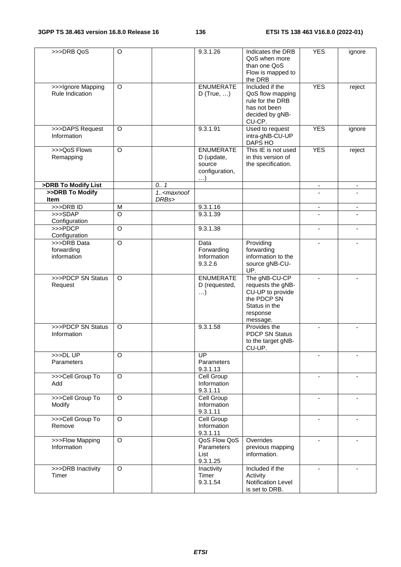| >>>DRB QoS                           | $\circ$        |                                                                   | 9.3.1.26                                                               | Indicates the DRB<br>QoS when more<br>than one QoS<br>Flow is mapped to<br>the DRB                   | <b>YES</b>               | ignore                   |
|--------------------------------------|----------------|-------------------------------------------------------------------|------------------------------------------------------------------------|------------------------------------------------------------------------------------------------------|--------------------------|--------------------------|
| >>>Ignore Mapping<br>Rule Indication | O              |                                                                   | <b>ENUMERATE</b><br>$D$ (True, )                                       | Included if the<br>QoS flow mapping<br>rule for the DRB<br>has not been<br>decided by gNB-<br>CU-CP. | <b>YES</b>               | reject                   |
| >>>DAPS Request<br>Information       | $\Omega$       |                                                                   | 9.3.1.91                                                               | Used to request<br>intra-gNB-CU-UP<br>DAPS HO                                                        | <b>YES</b>               | ignore                   |
| >>>QoS Flows<br>Remapping            | $\circ$        |                                                                   | <b>ENUMERATE</b><br>D (update,<br>source<br>configuration,<br>$\ldots$ | This IE is not used<br>in this version of<br>the specification.                                      | <b>YES</b>               | reject                   |
| >DRB To Modify List                  |                | 0.7                                                               |                                                                        |                                                                                                      | $\overline{\phantom{a}}$ | $\overline{\phantom{a}}$ |
| >>DRB To Modify                      |                | 1 <maxnoof< td=""><td></td><td></td><td></td><td></td></maxnoof<> |                                                                        |                                                                                                      |                          |                          |
| Item                                 |                | DRBs>                                                             |                                                                        |                                                                                                      |                          |                          |
| $>>$ DRB ID<br>>>>SDAP               | M<br>$\circ$   |                                                                   | 9.3.1.16                                                               |                                                                                                      | $\overline{\phantom{a}}$ |                          |
| Configuration                        |                |                                                                   | 9.3.1.39                                                               |                                                                                                      |                          |                          |
| >>>PDCP                              | $\circ$        |                                                                   | 9.3.1.38                                                               |                                                                                                      | $\overline{\phantom{a}}$ | $\overline{\phantom{a}}$ |
| Configuration                        |                |                                                                   |                                                                        |                                                                                                      |                          |                          |
| >>>DRB Data                          | $\circ$        |                                                                   | Data                                                                   | Providing                                                                                            |                          |                          |
| forwarding<br>information            |                |                                                                   | Forwarding<br>Information<br>9.3.2.6                                   | forwarding<br>information to the<br>source gNB-CU-                                                   |                          |                          |
| >>>PDCP SN Status                    | $\circ$        |                                                                   | <b>ENUMERATE</b>                                                       | UP.<br>The gNB-CU-CP                                                                                 |                          |                          |
| Request                              |                |                                                                   | D (requested,<br>$\ldots$                                              | requests the gNB-<br>CU-UP to provide<br>the PDCP SN<br>Status in the<br>response<br>message.        |                          |                          |
| >>>PDCP SN Status<br>Information     | O              |                                                                   | 9.3.1.58                                                               | Provides the<br><b>PDCP SN Status</b><br>to the target gNB-<br>CU-UP.                                |                          |                          |
| >>DLUP<br>Parameters                 | $\circ$        |                                                                   | $\overline{UP}$<br>Parameters<br>9.3.1.13                              |                                                                                                      |                          |                          |
| >>>Cell Group To                     | $\overline{O}$ |                                                                   | <b>Cell Group</b>                                                      |                                                                                                      |                          |                          |
| Add                                  |                |                                                                   | Information<br>9.3.1.11                                                |                                                                                                      |                          |                          |
| >>>Cell Group To<br>Modify           | $\circ$        |                                                                   | Cell Group<br>Information<br>9.3.1.11                                  |                                                                                                      | $\blacksquare$           |                          |
| >>>Cell Group To<br>Remove           | $\circ$        |                                                                   | Cell Group<br>Information<br>9.3.1.11                                  |                                                                                                      | $\blacksquare$           |                          |
| >>>Flow Mapping<br>Information       | $\circ$        |                                                                   | QoS Flow QoS<br>Parameters<br>List<br>9.3.1.25                         | Overrides<br>previous mapping<br>information.                                                        |                          |                          |
| >>>DRB Inactivity<br>Timer           | $\circ$        |                                                                   | Inactivity<br>Timer<br>9.3.1.54                                        | Included if the<br>Activity<br>Notification Level<br>is set to DRB.                                  |                          |                          |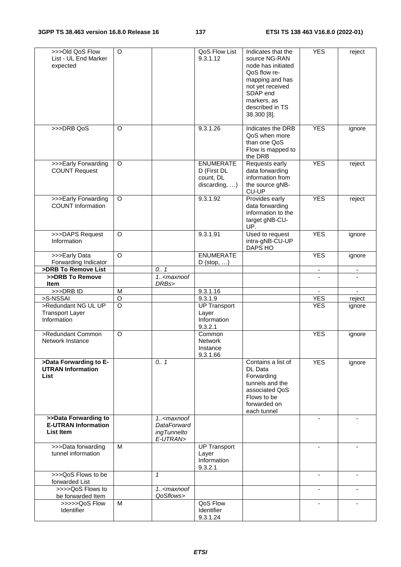| >>>Old QoS Flow<br>List - UL End Marker<br>expected                    | $\circ$        |                                                                                      | QoS Flow List<br>9.3.1.12                                     | Indicates that the<br>source NG-RAN<br>node has initiated<br>QoS flow re-<br>mapping and has<br>not yet received<br>SDAP end<br>markers, as<br>described in TS<br>38.300 [8]. | <b>YES</b>               | reject                   |
|------------------------------------------------------------------------|----------------|--------------------------------------------------------------------------------------|---------------------------------------------------------------|-------------------------------------------------------------------------------------------------------------------------------------------------------------------------------|--------------------------|--------------------------|
| >>>DRB QoS                                                             | O              |                                                                                      | 9.3.1.26                                                      | Indicates the DRB<br>QoS when more<br>than one QoS<br>Flow is mapped to<br>the DRB                                                                                            | <b>YES</b>               | ignore                   |
| >>>Early Forwarding<br><b>COUNT Request</b>                            | O              |                                                                                      | <b>ENUMERATE</b><br>D (First DL<br>count, DL<br>discarding, ) | Requests early<br>data forwarding<br>information from<br>the source gNB-<br>CU-UP                                                                                             | <b>YES</b>               | reject                   |
| >>>Early Forwarding<br><b>COUNT Information</b>                        | O              |                                                                                      | 9.3.1.92                                                      | Provides early<br>data forwarding<br>information to the<br>target gNB-CU-<br>UP.                                                                                              | <b>YES</b>               | reject                   |
| >>>DAPS Request<br>Information                                         | O              |                                                                                      | 9.3.1.91                                                      | Used to request<br>intra-gNB-CU-UP<br>DAPS HO                                                                                                                                 | <b>YES</b>               | ignore                   |
| >>>Early Data<br>Forwarding Indicator                                  | $\circ$        |                                                                                      | <b>ENUMERATE</b><br>$D$ (stop, )                              |                                                                                                                                                                               | <b>YES</b>               | ignore                   |
| >DRB To Remove List                                                    |                | 0.1                                                                                  |                                                               |                                                                                                                                                                               | $\overline{\phantom{a}}$ | $\overline{\phantom{a}}$ |
| >>DRB To Remove<br><b>Item</b>                                         |                | 1 <maxnoof<br>DRBs&gt;</maxnoof<br>                                                  |                                                               |                                                                                                                                                                               |                          |                          |
| >>>DRBID                                                               | M              |                                                                                      | 9.3.1.16                                                      |                                                                                                                                                                               | $\blacksquare$           | ÷.                       |
| >S-NSSAI                                                               | $\circ$        |                                                                                      | 9.3.1.9                                                       |                                                                                                                                                                               | <b>YES</b>               | reject                   |
| >Redundant NG UL UP<br><b>Transport Layer</b><br>Information           | $\overline{O}$ |                                                                                      | <b>UP Transport</b><br>Layer<br>Information<br>9.3.2.1        |                                                                                                                                                                               | <b>YES</b>               | ignore                   |
| >Redundant Common<br>Network Instance                                  | $\circ$        |                                                                                      | Common<br><b>Network</b><br>Instance<br>9.3.1.66              |                                                                                                                                                                               | <b>YES</b>               | ignore                   |
| >Data Forwarding to E-<br><b>UTRAN Information</b><br>List             |                | 0.1                                                                                  |                                                               | Contains a list of<br>DL Data<br>Forwarding<br>tunnels and the<br>associated QoS<br>Flows to be<br>forwarded on<br>each tunnel                                                | <b>YES</b>               | ignore                   |
| >>Data Forwarding to<br><b>E-UTRAN Information</b><br><b>List Item</b> |                | 1 <maxnoof<br><b>DataForward</b><br/><i>ingTunnelto</i><br/>E-UTRAN&gt;</maxnoof<br> |                                                               |                                                                                                                                                                               |                          |                          |
| >>>Data forwarding<br>tunnel information                               | M              |                                                                                      | <b>UP Transport</b><br>Layer<br>Information<br>9.3.2.1        |                                                                                                                                                                               |                          |                          |
| >>>QoS Flows to be<br>forwarded List                                   |                | $\mathbf{1}$                                                                         |                                                               |                                                                                                                                                                               |                          |                          |
| >>>>QoS Flows to<br>be forwarded Item                                  |                | 1 <maxnoof<br>QoSflows&gt;</maxnoof<br>                                              |                                                               |                                                                                                                                                                               | $\blacksquare$           | -                        |
| >>>>>QoS Flow<br>Identifier                                            | M              |                                                                                      | QoS Flow<br>Identifier<br>9.3.1.24                            |                                                                                                                                                                               |                          | -                        |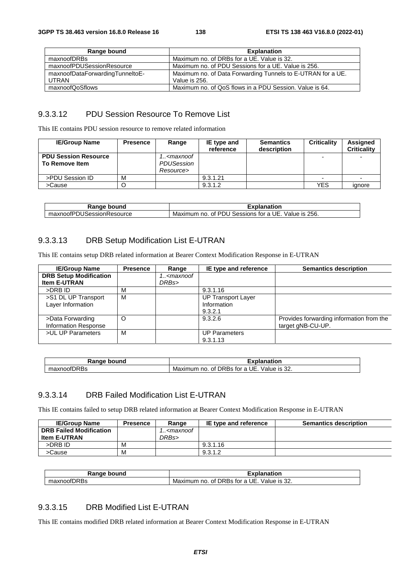| Range bound                     | <b>Explanation</b>                                          |
|---------------------------------|-------------------------------------------------------------|
| maxnoofDRBs                     | Maximum no. of DRBs for a UE. Value is 32.                  |
| maxnoofPDUSessionResource       | Maximum no. of PDU Sessions for a UE. Value is 256.         |
| maxnoofDataForwardingTunneltoE- | Maximum no. of Data Forwarding Tunnels to E-UTRAN for a UE. |
| UTRAN                           | Value is 256.                                               |
| maxnoofQoSflows                 | Maximum no. of QoS flows in a PDU Session. Value is 64.     |

## 9.3.3.12 PDU Session Resource To Remove List

This IE contains PDU session resource to remove related information

| <b>IE/Group Name</b>                          | <b>Presence</b> | Range                                                         | IE type and<br>reference | <b>Semantics</b><br>description | <b>Criticality</b> | Assigned<br><b>Criticality</b> |
|-----------------------------------------------|-----------------|---------------------------------------------------------------|--------------------------|---------------------------------|--------------------|--------------------------------|
| <b>PDU Session Resource</b><br>To Remove Item |                 | 1 <maxnoof<br><b>PDUSession</b><br/>Resource&gt;</maxnoof<br> |                          |                                 |                    |                                |
| >PDU Session ID                               | М               |                                                               | 9.3.1.21                 |                                 | -                  |                                |
| >Cause                                        |                 |                                                               | 9.3.1.2                  |                                 | YES                | ignore                         |

| Danar<br>bound<br>ıм                                  | ----<br>×pianation.                                                                      |
|-------------------------------------------------------|------------------------------------------------------------------------------------------|
| .kesourcc<br><b>NSSIG</b><br>י ירוחה.<br>,,,<br>. איר | 256.<br>∴וחים י<br>Value<br>Maxin<br>-l-<br>tor a<br>Sessions<br>no<br>num<br>Ωt<br>: IS |

## 9.3.3.13 DRB Setup Modification List E-UTRAN

This IE contains setup DRB related information at Bearer Context Modification Response in E-UTRAN

| <b>IE/Group Name</b>          | <b>Presence</b> | Range                                           | IE type and reference     | <b>Semantics description</b>             |
|-------------------------------|-----------------|-------------------------------------------------|---------------------------|------------------------------------------|
| <b>DRB Setup Modification</b> |                 | 1 <maxnoof< th=""><th></th><th></th></maxnoof<> |                           |                                          |
| <b>Item E-UTRAN</b>           |                 | DRBs>                                           |                           |                                          |
| >DRB ID                       | М               |                                                 | 9.3.1.16                  |                                          |
| >S1 DL UP Transport           | М               |                                                 | <b>UP Transport Layer</b> |                                          |
| Layer Information             |                 |                                                 | Information               |                                          |
|                               |                 |                                                 | 9.3.2.1                   |                                          |
| >Data Forwarding              | O               |                                                 | 9.3.2.6                   | Provides forwarding information from the |
| <b>Information Response</b>   |                 |                                                 |                           | target gNB-CU-UP.                        |
| >UL UP Parameters             | M               |                                                 | <b>UP Parameters</b>      |                                          |
|                               |                 |                                                 | 9.3.1.13                  |                                          |

| Range<br>bound             | <b>±xplanation</b>                                                                             |
|----------------------------|------------------------------------------------------------------------------------------------|
| fDRBs<br>monum<br>naxnoori | $\sim$<br>Value is<br>UE<br>Maximum no.<br><b>DRBS</b><br>tor<br>$\sqrt{2}$<br>ot.<br>.ءد<br>a |

#### 9.3.3.14 DRB Failed Modification List E-UTRAN

This IE contains failed to setup DRB related information at Bearer Context Modification Response in E-UTRAN

| <b>IE/Group Name</b>           | <b>Presence</b> | Range                                           | IE type and reference | <b>Semantics description</b> |
|--------------------------------|-----------------|-------------------------------------------------|-----------------------|------------------------------|
| <b>DRB Failed Modification</b> |                 | 1 <maxnoof< th=""><th></th><th></th></maxnoof<> |                       |                              |
| <b>Item E-UTRAN</b>            |                 | DRBs>                                           |                       |                              |
| >DRB ID                        | М               |                                                 | 9.3.1.16              |                              |
| >Cause                         | М               |                                                 | 9.3.1.2               |                              |

| Rang <sub>'</sub><br>bound<br>. . | Esembl<br><u>-</u> xplanation                                                         |
|-----------------------------------|---------------------------------------------------------------------------------------|
| $-1$<br>)RBs<br>naxnoon<br>--     | UE.<br>Value<br>$\sim$<br><b>DRBs</b><br>tor<br>-is 32.<br>0t<br>Maximum<br>no.<br>d. |

## 9.3.3.15 DRB Modified List E-UTRAN

This IE contains modified DRB related information at Bearer Context Modification Response in E-UTRAN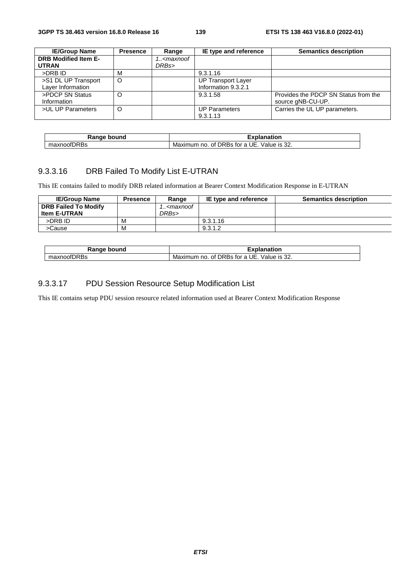| <b>IE/Group Name</b>        | <b>Presence</b> | Range                                           | IE type and reference     | <b>Semantics description</b>         |
|-----------------------------|-----------------|-------------------------------------------------|---------------------------|--------------------------------------|
| <b>DRB Modified Item E-</b> |                 | 1 <maxnoof< th=""><th></th><th></th></maxnoof<> |                           |                                      |
| <b>UTRAN</b>                |                 | DRBs>                                           |                           |                                      |
| >DRB ID                     | м               |                                                 | 9.3.1.16                  |                                      |
| >S1 DL UP Transport         | $\circ$         |                                                 | <b>UP Transport Layer</b> |                                      |
| Layer Information           |                 |                                                 | Information 9.3.2.1       |                                      |
| >PDCP SN Status             |                 |                                                 | 9.3.1.58                  | Provides the PDCP SN Status from the |
| Information                 |                 |                                                 |                           | source gNB-CU-UP.                    |
| >UL UP Parameters           | $\circ$         |                                                 | <b>UP Parameters</b>      | Carries the UL UP parameters.        |
|                             |                 |                                                 | 9.3.1.13                  |                                      |

| Ranqe             | <b>kplanation</b>                                                                    |
|-------------------|--------------------------------------------------------------------------------------|
| bound             |                                                                                      |
| fDRBs<br>maxnoot∟ | $\Omega$<br>UE<br><b>DRBS</b><br>Maximum<br>tor a<br>Value is<br>no<br>ot L<br>.∠د ∼ |

## 9.3.3.16 DRB Failed To Modify List E-UTRAN

This IE contains failed to modify DRB related information at Bearer Context Modification Response in E-UTRAN

| <b>IE/Group Name</b>        | <b>Presence</b> | Range                                           | IE type and reference | <b>Semantics description</b> |
|-----------------------------|-----------------|-------------------------------------------------|-----------------------|------------------------------|
| <b>DRB Failed To Modify</b> |                 | 1 <maxnoof< th=""><th></th><th></th></maxnoof<> |                       |                              |
| <b>Item E-UTRAN</b>         |                 | DRBs>                                           |                       |                              |
| >DRB ID                     | м               |                                                 | 9.3.1.16              |                              |
| >Cause                      | м               |                                                 | 9.3.1.2               |                              |

| bound<br>Range | Explanatior                                                    |
|----------------|----------------------------------------------------------------|
| maxnoofDRBs    | n-<br>DRBs for a<br>Maximum<br>Value is 3∠.<br>UF<br>no.<br>Οt |

#### 9.3.3.17 PDU Session Resource Setup Modification List

This IE contains setup PDU session resource related information used at Bearer Context Modification Response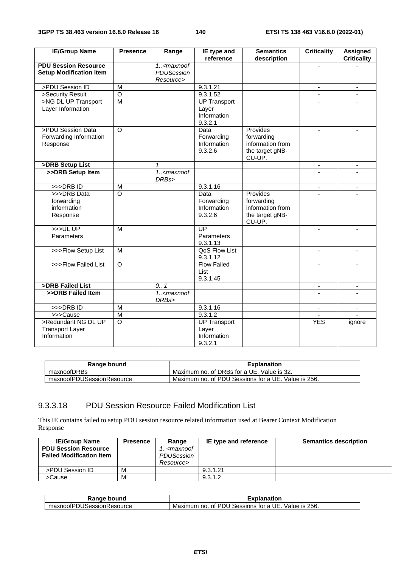| <b>IE/Group Name</b>                                          | <b>Presence</b>    | Range                                     | IE type and<br>reference                               | <b>Semantics</b><br>description                                                | <b>Criticality</b> | <b>Assigned</b><br><b>Criticality</b> |
|---------------------------------------------------------------|--------------------|-------------------------------------------|--------------------------------------------------------|--------------------------------------------------------------------------------|--------------------|---------------------------------------|
| <b>PDU Session Resource</b><br><b>Setup Modification Item</b> |                    | $1. <$ maxnoof<br>PDUSession<br>Resource> |                                                        |                                                                                |                    |                                       |
| >PDU Session ID                                               | M                  |                                           | 9.3.1.21                                               |                                                                                | $\blacksquare$     | $\blacksquare$                        |
| >Security Result                                              | $\overline{O}$     |                                           | 9.3.1.52                                               |                                                                                |                    |                                       |
| >NG DL UP Transport<br>Layer Information                      | $\overline{M}$     |                                           | <b>UP Transport</b><br>Layer<br>Information<br>9.3.2.1 |                                                                                |                    |                                       |
| >PDU Session Data<br>Forwarding Information<br>Response       | $\overline{O}$     |                                           | Data<br>Forwarding<br>Information<br>9.3.2.6           | <b>Provides</b><br>forwarding<br>information from<br>the target gNB-<br>CU-UP. | $\overline{a}$     |                                       |
| >DRB Setup List                                               |                    | 1                                         |                                                        |                                                                                | $\blacksquare$     | $\overline{\phantom{a}}$              |
| >>DRB Setup Item                                              |                    | 1 <maxnoof<br>DRBs&gt;</maxnoof<br>       |                                                        |                                                                                |                    |                                       |
| $>>$ DRB ID                                                   | $\overline{M}$     |                                           | 9.3.1.16                                               |                                                                                | $\blacksquare$     | $\overline{\phantom{a}}$              |
| >>>DRB Data<br>forwarding<br>information<br>Response          | $\overline{\circ}$ |                                           | Data<br>Forwarding<br>Information<br>9.3.2.6           | Provides<br>forwarding<br>information from<br>the target gNB-<br>CU-UP.        |                    |                                       |
| >>ULUP<br>Parameters                                          | M                  |                                           | $\overline{UP}$<br>Parameters<br>9.3.1.13              |                                                                                | ÷                  | $\overline{\phantom{a}}$              |
| >>>Flow Setup List                                            | M                  |                                           | QoS Flow List<br>9.3.1.12                              |                                                                                |                    |                                       |
| >>>Flow Failed List                                           | $\overline{O}$     |                                           | <b>Flow Failed</b><br>List<br>9.3.1.45                 |                                                                                |                    |                                       |
| >DRB Failed List                                              |                    | 0.1                                       |                                                        |                                                                                |                    |                                       |
| >>DRB Failed Item                                             |                    | $1. <$ maxnoof<br>DRBs>                   |                                                        |                                                                                | $\blacksquare$     | $\qquad \qquad \blacksquare$          |
| >>>DRB ID                                                     | $\overline{M}$     |                                           | 9.3.1.16                                               |                                                                                | $\blacksquare$     | $\blacksquare$                        |
| >>>Cause                                                      | $\overline{M}$     |                                           | 9.3.1.2                                                |                                                                                |                    |                                       |
| >Redundant NG DL UP<br><b>Transport Layer</b><br>Information  | $\overline{O}$     |                                           | <b>UP Transport</b><br>Layer<br>Information<br>9.3.2.1 |                                                                                | <b>YES</b>         | ignore                                |

| Range bound               | <b>Explanation</b>                                  |
|---------------------------|-----------------------------------------------------|
| maxnoofDRBs               | Maximum no. of DRBs for a UE. Value is 32.          |
| maxnoofPDUSessionResource | Maximum no. of PDU Sessions for a UE. Value is 256. |

#### 9.3.3.18 PDU Session Resource Failed Modification List

This IE contains failed to setup PDU session resource related information used at Bearer Context Modification Response

| <b>IE/Group Name</b>            | <b>Presence</b> | Range                                           | IE type and reference | <b>Semantics description</b> |
|---------------------------------|-----------------|-------------------------------------------------|-----------------------|------------------------------|
| <b>PDU Session Resource</b>     |                 | 1 <maxnoof< td=""><td></td><td></td></maxnoof<> |                       |                              |
| <b>Failed Modification Item</b> |                 | PDUSession                                      |                       |                              |
|                                 |                 | Resource>                                       |                       |                              |
| >PDU Session ID                 | M               |                                                 | 9.3.1.21              |                              |
| >Cause                          | М               |                                                 | 9.3.1.2               |                              |

| Range bound               | <b>Explanation</b>                                              |  |
|---------------------------|-----------------------------------------------------------------|--|
| maxnoofPDUSessionResource | 256.<br>Sessions for a UE.<br>of PDU<br>Value is<br>Maximum no. |  |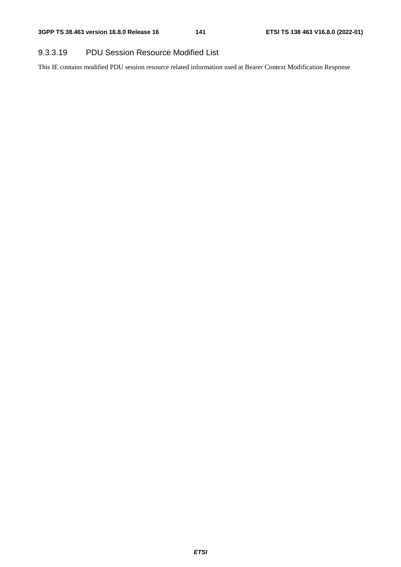### 9.3.3.19 PDU Session Resource Modified List

This IE contains modified PDU session resource related information used at Bearer Context Modification Response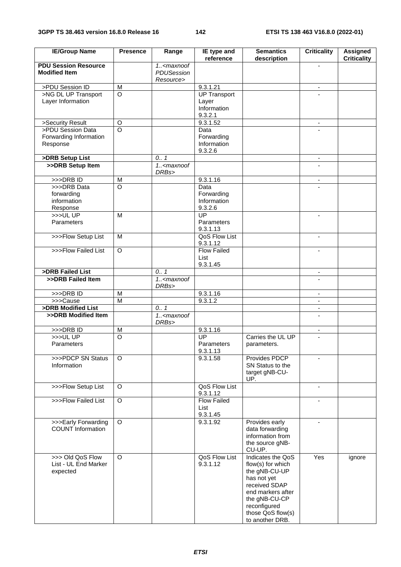| <b>IE/Group Name</b>                                | <b>Presence</b> | Range                                 | IE type and<br>reference   | <b>Semantics</b><br>description   | <b>Criticality</b>       | <b>Assigned</b><br><b>Criticality</b> |
|-----------------------------------------------------|-----------------|---------------------------------------|----------------------------|-----------------------------------|--------------------------|---------------------------------------|
| <b>PDU Session Resource</b><br><b>Modified Item</b> |                 | 1 <maxnoof<br>PDUSession</maxnoof<br> |                            |                                   |                          |                                       |
| >PDU Session ID                                     | M               | Resource>                             | 9.3.1.21                   |                                   | $\blacksquare$           |                                       |
| >NG DL UP Transport                                 | $\circ$         |                                       | <b>UP Transport</b>        |                                   |                          |                                       |
| Layer Information                                   |                 |                                       | Layer                      |                                   |                          |                                       |
|                                                     |                 |                                       | Information<br>9.3.2.1     |                                   |                          |                                       |
| >Security Result                                    | $\circ$         |                                       | 9.3.1.52                   |                                   | $\overline{\phantom{a}}$ |                                       |
| >PDU Session Data                                   | $\overline{O}$  |                                       | Data                       |                                   |                          |                                       |
| Forwarding Information                              |                 |                                       | Forwarding                 |                                   |                          |                                       |
| Response                                            |                 |                                       | Information                |                                   |                          |                                       |
|                                                     |                 |                                       | 9.3.2.6                    |                                   |                          |                                       |
| >DRB Setup List                                     |                 | 0.1                                   |                            |                                   | $\overline{\phantom{a}}$ |                                       |
| >>DRB Setup Item                                    |                 | $1. <$ maxnoof<br>DRBs>               |                            |                                   |                          |                                       |
| >>>DRBID                                            | M               |                                       | 9.3.1.16                   |                                   | $\overline{\phantom{a}}$ |                                       |
| >>>DRB Data                                         | $\circ$         |                                       | Data                       |                                   |                          |                                       |
| forwarding                                          |                 |                                       | Forwarding                 |                                   |                          |                                       |
| information                                         |                 |                                       | Information                |                                   |                          |                                       |
| Response                                            |                 |                                       | 9.3.2.6                    |                                   |                          |                                       |
| >>>ULUP                                             | M               |                                       | $\overline{UP}$            |                                   | $\blacksquare$           |                                       |
| Parameters                                          |                 |                                       | Parameters<br>9.3.1.13     |                                   |                          |                                       |
| >>>Flow Setup List                                  | M               |                                       | QoS Flow List<br>9.3.1.12  |                                   | $\blacksquare$           |                                       |
| >>>Flow Failed List                                 | $\circ$         |                                       | <b>Flow Failed</b>         |                                   |                          |                                       |
|                                                     |                 |                                       | List<br>9.3.1.45           |                                   |                          |                                       |
| >DRB Failed List                                    |                 | 0.1                                   |                            |                                   | $\overline{\phantom{a}}$ |                                       |
| >>DRB Failed Item                                   |                 | 1 <maxnoof<br>DRBs&gt;</maxnoof<br>   |                            |                                   |                          |                                       |
| $>>$ DRB ID                                         | M               |                                       | 9.3.1.16                   |                                   | $\blacksquare$           |                                       |
| >>>Cause                                            | $\overline{M}$  |                                       | 9.3.1.2                    |                                   | $\blacksquare$           |                                       |
| >DRB Modified List                                  |                 | 0.1                                   |                            |                                   |                          |                                       |
| >>DRB Modified Item                                 |                 | 1 <maxnoof<br>DRBs&gt;</maxnoof<br>   |                            |                                   | $\blacksquare$           |                                       |
| >>>DRBID                                            | M               |                                       | 9.3.1.16                   |                                   | $\overline{\phantom{a}}$ |                                       |
| $>>>$ UL UP                                         | O               |                                       | UP                         | Carries the UL UP                 |                          |                                       |
| Parameters                                          |                 |                                       | Parameters                 | parameters.                       |                          |                                       |
|                                                     |                 |                                       | 9.3.1.13                   |                                   |                          |                                       |
| >>>PDCP SN Status                                   | $\Omega$        |                                       | 9.3.1.58                   | Provides PDCP                     | $\overline{a}$           |                                       |
| Information                                         |                 |                                       |                            | SN Status to the                  |                          |                                       |
|                                                     |                 |                                       |                            | target gNB-CU-<br>UP.             |                          |                                       |
| >>>Flow Setup List                                  | O               |                                       | QoS Flow List              |                                   | $\mathbf{r}$             |                                       |
|                                                     |                 |                                       | 9.3.1.12                   |                                   |                          |                                       |
| >>>Flow Failed List                                 | $\circ$         |                                       | <b>Flow Failed</b><br>List |                                   | $\blacksquare$           |                                       |
|                                                     |                 |                                       | 9.3.1.45                   |                                   |                          |                                       |
| >>>Early Forwarding                                 | O               |                                       | 9.3.1.92                   | Provides early                    | $\blacksquare$           |                                       |
| <b>COUNT Information</b>                            |                 |                                       |                            | data forwarding                   |                          |                                       |
|                                                     |                 |                                       |                            | information from                  |                          |                                       |
|                                                     |                 |                                       |                            | the source gNB-                   |                          |                                       |
|                                                     |                 |                                       |                            | CU-UP.                            |                          |                                       |
| >>> Old QoS Flow                                    | $\Omega$        |                                       | QoS Flow List              | Indicates the QoS                 | Yes                      | ignore                                |
| List - UL End Marker                                |                 |                                       | 9.3.1.12                   | flow(s) for which                 |                          |                                       |
| expected                                            |                 |                                       |                            | the gNB-CU-UP                     |                          |                                       |
|                                                     |                 |                                       |                            | has not yet                       |                          |                                       |
|                                                     |                 |                                       |                            | received SDAP                     |                          |                                       |
|                                                     |                 |                                       |                            | end markers after                 |                          |                                       |
|                                                     |                 |                                       |                            | the gNB-CU-CP                     |                          |                                       |
|                                                     |                 |                                       |                            | reconfigured<br>those QoS flow(s) |                          |                                       |
|                                                     |                 |                                       |                            | to another DRB.                   |                          |                                       |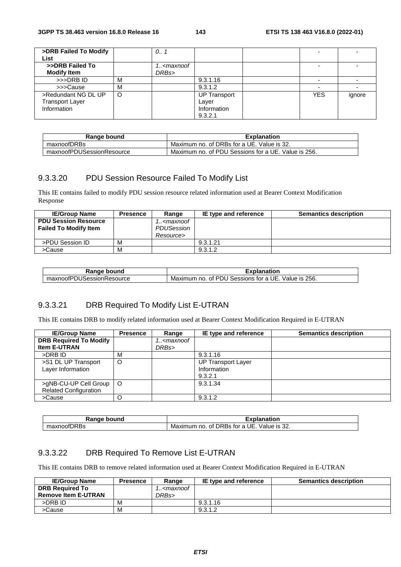| >DRB Failed To Modify<br>List |         | 0.1                                                      |                     |            |        |
|-------------------------------|---------|----------------------------------------------------------|---------------------|------------|--------|
|                               |         |                                                          |                     |            |        |
| >>DRB Failed To               |         | 1 <maxnoof< th=""><th></th><th></th><th></th></maxnoof<> |                     |            |        |
| <b>Modify Item</b>            |         | DRBs>                                                    |                     |            |        |
| >>>DRB ID                     | M       |                                                          | 9.3.1.16            |            |        |
| >>>Cause                      | M       |                                                          | 9.3.1.2             |            |        |
| >Redundant NG DL UP           | $\circ$ |                                                          | <b>UP Transport</b> | <b>YES</b> | ignore |
| <b>Transport Layer</b>        |         |                                                          | Layer               |            |        |
| Information                   |         |                                                          | Information         |            |        |
|                               |         |                                                          | 9.3.2.1             |            |        |

| Range bound               | <b>Explanation</b>                                  |
|---------------------------|-----------------------------------------------------|
| maxnoofDRBs               | Maximum no. of DRBs for a UE. Value is 32.          |
| maxnoofPDUSessionResource | Maximum no. of PDU Sessions for a UE. Value is 256. |

#### 9.3.3.20 PDU Session Resource Failed To Modify List

This IE contains failed to modify PDU session resource related information used at Bearer Context Modification Response

| <b>IE/Group Name</b>         | <b>Presence</b> | Range                                           | IE type and reference | <b>Semantics description</b> |
|------------------------------|-----------------|-------------------------------------------------|-----------------------|------------------------------|
| <b>PDU Session Resource</b>  |                 | 1 <maxnoof< td=""><td></td><td></td></maxnoof<> |                       |                              |
| <b>Failed To Modify Item</b> |                 | PDUSession                                      |                       |                              |
|                              |                 | Resource>                                       |                       |                              |
| >PDU Session ID              | м               |                                                 | 9.3.1.21              |                              |
| >Cause                       | м               |                                                 | 9.3.1.2               |                              |

| Range bound               | Explanation                                            |  |
|---------------------------|--------------------------------------------------------|--|
| maxnoofPDUSessionResource | Value is 256.<br>Maximum no. of PDU Sessions for a UE. |  |

#### 9.3.3.21 DRB Required To Modify List E-UTRAN

This IE contains DRB to modify related information used at Bearer Context Modification Required in E-UTRAN

| <b>IE/Group Name</b>                                  | <b>Presence</b> | Range                                           | IE type and reference                               | <b>Semantics description</b> |
|-------------------------------------------------------|-----------------|-------------------------------------------------|-----------------------------------------------------|------------------------------|
| <b>DRB Required To Modify</b>                         |                 | 1 <maxnoof< th=""><th></th><th></th></maxnoof<> |                                                     |                              |
| <b>Item E-UTRAN</b>                                   |                 | DRBs>                                           |                                                     |                              |
| >DRB ID                                               | M               |                                                 | 9.3.1.16                                            |                              |
| >S1 DL UP Transport<br>Layer Information              | $\circ$         |                                                 | <b>UP Transport Layer</b><br>Information<br>9.3.2.1 |                              |
| >gNB-CU-UP Cell Group<br><b>Related Configuration</b> | $\circ$         |                                                 | 9.3.1.34                                            |                              |
| >Cause                                                |                 |                                                 | 9.3.1.2                                             |                              |

| Rande<br>bound                | :xplanation                                                                                              |
|-------------------------------|----------------------------------------------------------------------------------------------------------|
| $-$<br>IDRBs<br><b>AXHOOF</b> | UE.<br>DRBs<br>$\sim$<br>is 32.<br>Maximum<br>tor<br>0t<br>Value<br>$\overline{\phantom{0}}$<br>no.<br>d |

#### 9.3.3.22 DRB Required To Remove List E-UTRAN

This IE contains DRB to remove related information used at Bearer Context Modification Required in E-UTRAN

| <b>IE/Group Name</b>       | <b>Presence</b> | Range                                           | IE type and reference | <b>Semantics description</b> |
|----------------------------|-----------------|-------------------------------------------------|-----------------------|------------------------------|
| <b>DRB Required To</b>     |                 | 1 <maxnoof< td=""><td></td><td></td></maxnoof<> |                       |                              |
| <b>Remove Item E-UTRAN</b> |                 | DRBs>                                           |                       |                              |
| >DRB ID                    | м               |                                                 | 9.3.1.16              |                              |
| >Cause                     | м               |                                                 | 9.3.1.2               |                              |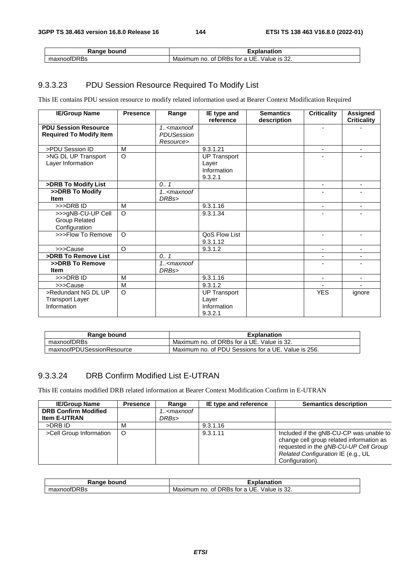| Range bound | :xplanation                                   |
|-------------|-----------------------------------------------|
| maxnoofDRBs | Maximum no. of DRBs for a UE.<br>Value is 32. |

### 9.3.3.23 PDU Session Resource Required To Modify List

This IE contains PDU session resource to modify related information used at Bearer Context Modification Required

| <b>IE/Group Name</b>                                          | <b>Presence</b> | Range                        | IE type and<br>reference                               | <b>Semantics</b><br>description | <b>Criticality</b> | <b>Assigned</b><br><b>Criticality</b> |
|---------------------------------------------------------------|-----------------|------------------------------|--------------------------------------------------------|---------------------------------|--------------------|---------------------------------------|
| <b>PDU Session Resource</b><br><b>Required To Modify Item</b> |                 | $1. <$ maxnoof<br>PDUSession |                                                        |                                 |                    |                                       |
| >PDU Session ID                                               |                 | Resource>                    |                                                        |                                 |                    |                                       |
|                                                               | M<br>$\Omega$   |                              | 9.3.1.21                                               |                                 | ٠                  | $\overline{\phantom{a}}$              |
| >NG DL UP Transport                                           |                 |                              | <b>UP Transport</b>                                    |                                 |                    |                                       |
| Layer Information                                             |                 |                              | Layer                                                  |                                 |                    |                                       |
|                                                               |                 |                              | Information                                            |                                 |                    |                                       |
|                                                               |                 |                              | 9.3.2.1                                                |                                 |                    |                                       |
| >DRB To Modify List                                           |                 | 0.1                          |                                                        |                                 | ٠                  | $\overline{\phantom{a}}$              |
| >>DRB To Modify                                               |                 | $\overline{1}$ < maxnoof     |                                                        |                                 |                    |                                       |
| <b>Item</b>                                                   |                 | DRBs>                        |                                                        |                                 |                    |                                       |
| >>>DRBID                                                      | M               |                              | 9.3.1.16                                               |                                 | ٠                  | $\blacksquare$                        |
| >>>gNB-CU-UP Cell<br><b>Group Related</b><br>Configuration    | $\circ$         |                              | 9.3.1.34                                               |                                 |                    |                                       |
| >>>Flow To Remove                                             | $\Omega$        |                              | QoS Flow List<br>9.3.1.12                              |                                 |                    | ٠                                     |
| >>>Cause                                                      | $\Omega$        |                              | 9.3.1.2                                                |                                 | ٠                  | ٠                                     |
| >DRB To Remove List                                           |                 | 0.7                          |                                                        |                                 |                    |                                       |
| >>DRB To Remove<br><b>Item</b>                                |                 | $1. -$ cmaxnoof<br>DRBs>     |                                                        |                                 |                    |                                       |
| >>>DRBID                                                      | M               |                              | 9.3.1.16                                               |                                 |                    | $\blacksquare$                        |
| >>>Cause                                                      | M               |                              | 9.3.1.2                                                |                                 |                    |                                       |
| >Redundant NG DL UP<br><b>Transport Layer</b><br>Information  | $\circ$         |                              | <b>UP Transport</b><br>Layer<br>Information<br>9.3.2.1 |                                 | <b>YES</b>         | ignore                                |

| Range bound               | <b>Explanation</b>                                  |  |  |
|---------------------------|-----------------------------------------------------|--|--|
| maxnoofDRBs               | Maximum no. of DRBs for a UE. Value is 32.          |  |  |
| maxnoofPDUSessionResource | Maximum no. of PDU Sessions for a UE. Value is 256. |  |  |

### 9.3.3.24 DRB Confirm Modified List E-UTRAN

This IE contains modified DRB related information at Bearer Context Modification Confirm in E-UTRAN

| <b>IE/Group Name</b>        | <b>Presence</b> | Range                                           | IE type and reference | <b>Semantics description</b>                                                                                                                                                          |
|-----------------------------|-----------------|-------------------------------------------------|-----------------------|---------------------------------------------------------------------------------------------------------------------------------------------------------------------------------------|
| <b>DRB Confirm Modified</b> |                 | 1 <maxnoof< th=""><th></th><th></th></maxnoof<> |                       |                                                                                                                                                                                       |
| <b>Item E-UTRAN</b>         |                 | DRBs>                                           |                       |                                                                                                                                                                                       |
| >DRB ID                     | M               |                                                 | 9.3.1.16              |                                                                                                                                                                                       |
| >Cell Group Information     | $\circ$         |                                                 | 9.3.1.11              | Included if the gNB-CU-CP was unable to<br>change cell group related information as<br>requested in the gNB-CU-UP Cell Group<br>Related Configuration IE (e.g., UL<br>Configuration). |

| Range<br>∍bound | olanation                                                          |
|-----------------|--------------------------------------------------------------------|
| maxnoofDRBs     | UE.<br>$\sim$<br>. of DRBs for a<br>Maximum no.<br>Value<br>기S 32. |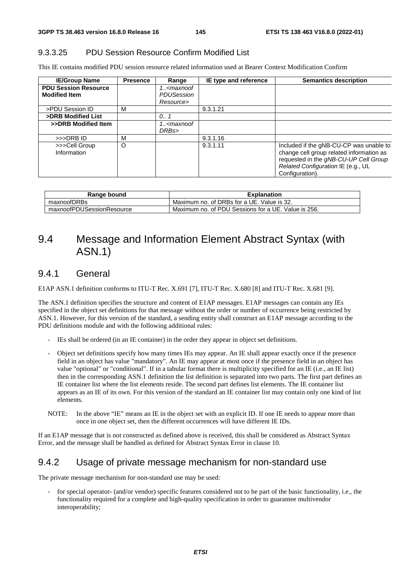### 9.3.3.25 PDU Session Resource Confirm Modified List

This IE contains modified PDU session resource related information used at Bearer Context Modification Confirm

| <b>IE/Group Name</b>                                | <b>Presence</b> | Range                                                  | IE type and reference | <b>Semantics description</b>                                                                                                                                                          |
|-----------------------------------------------------|-----------------|--------------------------------------------------------|-----------------------|---------------------------------------------------------------------------------------------------------------------------------------------------------------------------------------|
| <b>PDU Session Resource</b><br><b>Modified Item</b> |                 | 1 <maxnoof<br>PDUSession<br/>Resource&gt;</maxnoof<br> |                       |                                                                                                                                                                                       |
| >PDU Session ID                                     | м               |                                                        | 9.3.1.21              |                                                                                                                                                                                       |
| >DRB Modified List                                  |                 | 0.1                                                    |                       |                                                                                                                                                                                       |
| >>DRB Modified Item                                 |                 | 1 <maxnoof<br>DRBs&gt;</maxnoof<br>                    |                       |                                                                                                                                                                                       |
| >>>DRB ID                                           | M               |                                                        | 9.3.1.16              |                                                                                                                                                                                       |
| >>>Cell Group<br>Information                        | O               |                                                        | 9.3.1.11              | Included if the gNB-CU-CP was unable to<br>change cell group related information as<br>requested in the gNB-CU-UP Cell Group<br>Related Configuration IE (e.g., UL<br>Configuration). |

| Range bound               | <b>Explanation</b>                                  |
|---------------------------|-----------------------------------------------------|
| maxnoofDRBs               | Maximum no. of DRBs for a UE. Value is 32.          |
| maxnoofPDUSessionResource | Maximum no. of PDU Sessions for a UE. Value is 256. |

# 9.4 Message and Information Element Abstract Syntax (with ASN.1)

## 9.4.1 General

E1AP ASN.1 definition conforms to ITU-T Rec. X.691 [7], ITU-T Rec. X.680 [8] and ITU-T Rec. X.681 [9].

The ASN.1 definition specifies the structure and content of E1AP messages. E1AP messages can contain any IEs specified in the object set definitions for that message without the order or number of occurrence being restricted by ASN.1. However, for this version of the standard, a sending entity shall construct an E1AP message according to the PDU definitions module and with the following additional rules:

- IEs shall be ordered (in an IE container) in the order they appear in object set definitions.
- Object set definitions specify how many times IEs may appear. An IE shall appear exactly once if the presence field in an object has value "mandatory". An IE may appear at most once if the presence field in an object has value "optional" or "conditional". If in a tabular format there is multiplicity specified for an IE (i.e., an IE list) then in the corresponding ASN.1 definition the list definition is separated into two parts. The first part defines an IE container list where the list elements reside. The second part defines list elements. The IE container list appears as an IE of its own. For this version of the standard an IE container list may contain only one kind of list elements.
- NOTE: In the above "IE" means an IE in the object set with an explicit ID. If one IE needs to appear more than once in one object set, then the different occurrences will have different IE IDs.

If an E1AP message that is not constructed as defined above is received, this shall be considered as Abstract Syntax Error, and the message shall be handled as defined for Abstract Syntax Error in clause 10.

## 9.4.2 Usage of private message mechanism for non-standard use

The private message mechanism for non-standard use may be used:

for special operator- (and/or vendor) specific features considered not to be part of the basic functionality, i.e., the functionality required for a complete and high-quality specification in order to guarantee multivendor interoperability;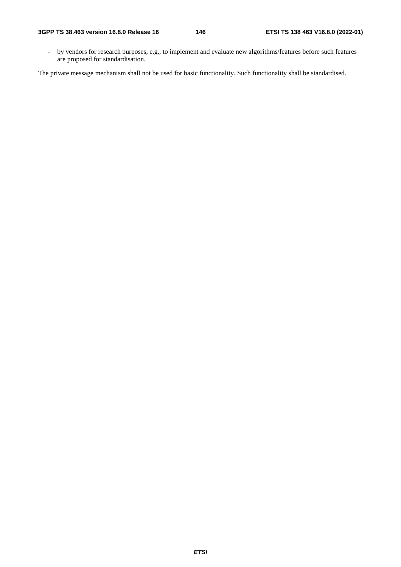- by vendors for research purposes, e.g., to implement and evaluate new algorithms/features before such features are proposed for standardisation.

The private message mechanism shall not be used for basic functionality. Such functionality shall be standardised.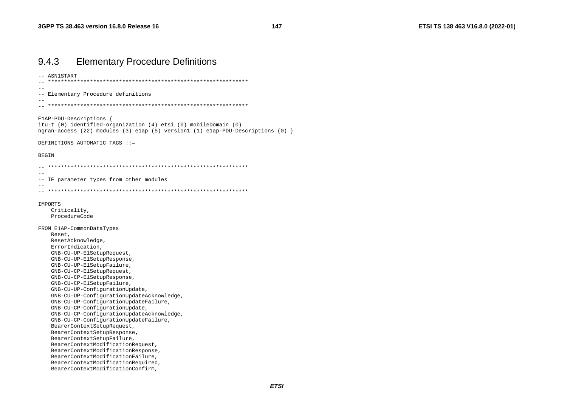| 9.4.3<br><b>Elementary Procedure Definitions</b>                                                                                                                              |  |
|-------------------------------------------------------------------------------------------------------------------------------------------------------------------------------|--|
| ASN1START                                                                                                                                                                     |  |
| -- Elementary Procedure definitions                                                                                                                                           |  |
|                                                                                                                                                                               |  |
| ElAP-PDU-Descriptions {<br>itu-t (0) identified-organization (4) etsi (0) mobileDomain (0)<br>ngran-access (22) modules (3) elap (5) version1 (1) elap-PDU-Descriptions (0) } |  |
| DEFINITIONS AUTOMATIC TAGS ::=                                                                                                                                                |  |
| BEGIN                                                                                                                                                                         |  |
|                                                                                                                                                                               |  |
| -- IE parameter types from other modules                                                                                                                                      |  |
|                                                                                                                                                                               |  |
| IMPORTS<br>Criticality,<br>ProcedureCode                                                                                                                                      |  |
| FROM ElAP-CommonDataTypes                                                                                                                                                     |  |
| Reset,                                                                                                                                                                        |  |
| ResetAcknowledge,                                                                                                                                                             |  |
| ErrorIndication,                                                                                                                                                              |  |
| GNB-CU-UP-ElSetupRequest,                                                                                                                                                     |  |
| GNB-CU-UP-ElSetupResponse,                                                                                                                                                    |  |
| GNB-CU-UP-ElSetupFailure,                                                                                                                                                     |  |
| GNB-CU-CP-ElSetupRequest,                                                                                                                                                     |  |
| GNB-CU-CP-ElSetupResponse,<br>GNB-CU-CP-ElSetupFailure,                                                                                                                       |  |
| GNB-CU-UP-ConfigurationUpdate,                                                                                                                                                |  |
| GNB-CU-UP-ConfigurationUpdateAcknowledge,                                                                                                                                     |  |
| GNB-CU-UP-ConfigurationUpdateFailure,                                                                                                                                         |  |
| GNB-CU-CP-ConfigurationUpdate,                                                                                                                                                |  |
| GNB-CU-CP-ConfigurationUpdateAcknowledge,                                                                                                                                     |  |
| GNB-CU-CP-ConfigurationUpdateFailure,                                                                                                                                         |  |
| BearerContextSetupRequest,                                                                                                                                                    |  |
| BearerContextSetupResponse,                                                                                                                                                   |  |
| BearerContextSetupFailure,                                                                                                                                                    |  |
| BearerContextModificationRequest,                                                                                                                                             |  |
| BearerContextModificationResponse,                                                                                                                                            |  |
| BearerContextModificationFailure,<br>BearerContextModificationRequired,                                                                                                       |  |
| BearerContextModificationConfirm,                                                                                                                                             |  |
|                                                                                                                                                                               |  |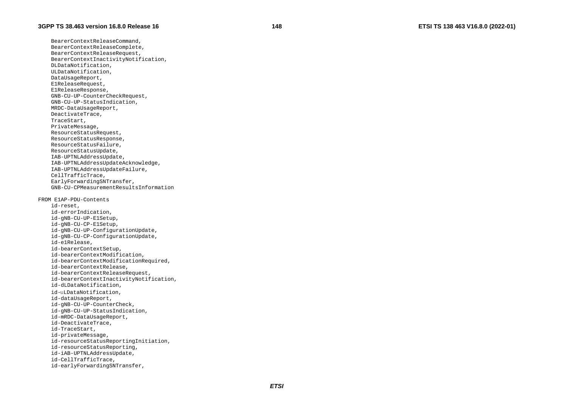BearerContextReleaseCommand, BearerContextReleaseComplete, BearerContextReleaseRequest, BearerContextInactivityNotification, DLDataNotification, ULDataNotification, DataUsageReport, E1ReleaseRequest, E1ReleaseResponse, GNB-CU-UP-CounterCheckRequest, GNB-CU-UP-StatusIndication, MRDC-DataUsageReport, DeactivateTrace, TraceStart, PrivateMessage, ResourceStatusRequest, ResourceStatusResponse, ResourceStatusFailure, ResourceStatusUpdate, IAB-UPTNLAddressUpdate, IAB-UPTNLAddressUpdateAcknowledge, IAB-UPTNLAddressUpdateFailure, CellTrafficTrace, EarlyForwardingSNTransfer, GNB-CU-CPMeasurementResultsInformation FROM E1AP-PDU-Contents id-reset, id-errorIndication, id-gNB-CU-UP-E1Setup, id-gNB-CU-CP-E1Setup, id-gNB-CU-UP-ConfigurationUpdate, id-gNB-CU-CP-ConfigurationUpdate, id-e1Release, id-bearerContextSetup, id-bearerContextModification, id-bearerContextModificationRequired, id-bearerContextRelease, id-bearerContextReleaseRequest, id-bearerContextInactivityNotification, id-dLDataNotification, id-uLDataNotification, id-dataUsageReport, id-gNB-CU-UP-CounterCheck, id-gNB-CU-UP-StatusIndication, id-mRDC-DataUsageReport, id-DeactivateTrace, id-TraceStart, id-privateMessage, id-resourceStatusReportingInitiation, id-resourceStatusReporting, id-iAB-UPTNLAddressUpdate, id-CellTrafficTrace, id-earlyForwardingSNTransfer,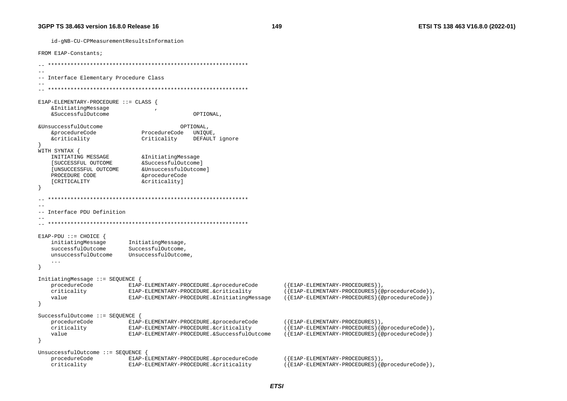id-qNB-CU-CPMeasurementResultsInformation

149

FROM ElAP-Constants;  $-$ -- Interface Elementary Procedure Class E1AP-ELEMENTARY-PROCEDURE ::= CLASS { &InitiatingMessage &SuccessfulOutcome OPTIONAL, &UnsuccessfulOutcome OPTIONAL. ProcedureCode UNIQUE &procedureCode *<u>&criticality</u>* Criticality DEFAULT ignore WITH SYNTAX { & Initiating Message INITIATING MESSAGE [SUCCESSFUL OUTCOME &SuccessfulOutcome] &UnsuccessfulOutcome] [UNSUCCESSFUL OUTCOME PROCEDURE CODE &procedureCode **[CRITICALITY** &criticality]  $\sim$   $-$ -- Interface PDU Definition  $E1AP-PDU ::= CHOICE$  { initiatingMessage InitiatingMessage, successfulOutcome SuccessfulOutcome. unsuccessfulOutcome UnsuccessfulOutcome  $\ldots$ InitiatingMessage ::= SEOUENCE procedureCode E1AP-ELEMENTARY-PROCEDURE.&procedureCode  $({E1AP - ELEMENTARY - PROCEDURES})$ , ({E1AP-ELEMENTARY-PROCEDURES}{@procedureCode}), criticality E1AP-ELEMENTARY-PROCEDURE.&criticality value  $({E1AP-ELEMENTARY-PROCEDURES}$  $\geq$   $\geq$   $\geq$   $\geq$   $\geq$   $\geq$   $\geq$   $\geq$   $\geq$   $\geq$   $\geq$   $\geq$   $\geq$   $\geq$   $\geq$   $\geq$   $\geq$   $\geq$   $\geq$   $\geq$   $\geq$   $\geq$   $\geq$   $\geq$   $\geq$   $\geq$   $\geq$   $\geq$   $\geq$   $\geq$   $\geq$   $\geq$   $\geq$   $\geq$  E1AP-ELEMENTARY-PROCEDURE.&InitiatingMessage - } SuccessfulOutcome ::= SEQUENCE { procedureCode E1AP-ELEMENTARY-PROCEDURE.&procedureCode  $(\{E1AP - ELEMENTARY - PROCEDURES\})$ , criticality E1AP-ELEMENTARY-PROCEDURE.&criticality  $({E1AP - ELEMENTARY - PROCEDURES}$  $\{@procedureCode\}$ , value E1AP-ELEMENTARY-PROCEDURE. & SuccessfulOutcome ({E1AP-ELEMENTARY-PROCEDURES}{@procedureCode}) UnsuccessfulOutcome ::= SEQUENCE { procedureCode E1AP-ELEMENTARY-PROCEDURE.&procedureCode  $(\{E1AP - ELEMENTARY - PROCEDURES\})$ . criticality E1AP-ELEMENTARY-PROCEDURE.&criticality  $({E1AP-ELEMENTARY-PROCEDURES}$  { @procedureCode } ),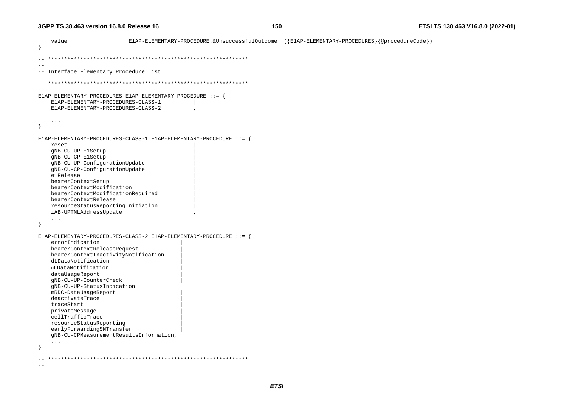```
 value E1AP-ELEMENTARY-PROCEDURE.&UnsuccessfulOutcome ({E1AP-ELEMENTARY-PROCEDURES}{@procedureCode}) 
} 
-- ************************************************************** -- 
-- Interface Elementary Procedure List 
-- 
-- ************************************************************** E1AP-ELEMENTARY-PROCEDURES E1AP-ELEMENTARY-PROCEDURE ::= { 
      E1AP-ELEMENTARY-PROCEDURES-CLASS-1 | 
      E1AP-ELEMENTARY-PROCEDURES-CLASS-2 , 
      ... } 
E1AP-ELEMENTARY-PROCEDURES-CLASS-1 E1AP-ELEMENTARY-PROCEDURE ::= { 
reset and the set of the set of the set of the set of the set of the set of the set of the set of the set of the set of the set of the set of the set of the set of the set of the set of the set of the set of the set of the
      gNB-CU-UP-E1Setup | 
      gNB-CU-CP-E1Setup | 
      gNB-CU-UP-ConfigurationUpdate | 
      gNB-CU-CP-ConfigurationUpdate | 
      e1Release | 
      bearerContextSetup | 
      bearerContextModification | 
      bearerContextModificationRequired | 
      bearerContextRelease | 
      resourceStatusReportingInitiation | 
      iAB-UPTNLAddressUpdate , 
      ... } 
E1AP-ELEMENTARY-PROCEDURES-CLASS-2 E1AP-ELEMENTARY-PROCEDURE ::= { 
      errorIndication | 
      bearerContextReleaseRequest | 
      bearerContextInactivityNotification | 
      dLDataNotification | 
      uLDataNotification | 
      dataUsageReport | 
      gNB-CU-UP-CounterCheck | 
      gNB-CU-UP-StatusIndication | 
      mRDC-DataUsageReport | 
      deactivateTrace | 
      traceStart | 
      privateMessage | 
      cellTrafficTrace | 
      resourceStatusReporting | 
      earlyForwardingSNTransfer | 
      gNB-CU-CPMeasurementResultsInformation, 
      ... } 
-- ************************************************************** -
```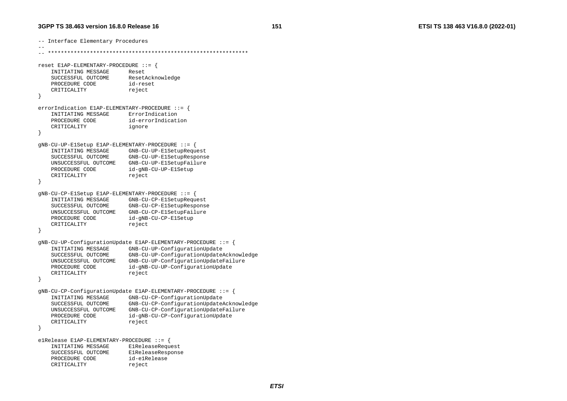-- Interface Elementary Procedures -- -- \*\*\*\*\*\*\*\*\*\*\*\*\*\*\*\*\*\*\*\*\*\*\*\*\*\*\*\*\*\*\*\*\*\*\*\*\*\*\*\*\*\*\*\*\*\*\*\*\*\*\*\*\*\*\*\*\*\*\*\*\*\* reset E1AP-ELEMENTARY-PROCEDURE ::= { INITIATING MESSAGE Reset SUCCESSFUL OUTCOME ResetAcknowledge PROCEDURE CODE id-reset CRITICALITY reject } errorIndication E1AP-ELEMENTARY-PROCEDURE ::= { INITIATING MESSAGE ErrorIndication PROCEDURE CODE id-errorIndication CRITICALITY ignore } gNB-CU-UP-E1Setup E1AP-ELEMENTARY-PROCEDURE ::= { INITIATING MESSAGE GNB-CU-UP-E1SetupRequest SUCCESSFUL OUTCOME GNB-CU-UP-E1SetupResponse UNSUCCESSFUL OUTCOME GNB-CU-UP-E1SetupFailure PROCEDURE CODE id-gNB-CU-UP-E1Setup CRITICALITY reject } gNB-CU-CP-E1Setup E1AP-ELEMENTARY-PROCEDURE ::= { INITIATING MESSAGE GNB-CU-CP-E1SetupRequest SUCCESSFUL OUTCOME GNB-CU-CP-E1SetupResponse UNSUCCESSFUL OUTCOME GNB-CU-CP-E1SetupFailure PROCEDURE CODE id-gNB-CU-CP-E1Setup CRITICALITY reject } gNB-CU-UP-ConfigurationUpdate E1AP-ELEMENTARY-PROCEDURE ::= { INITIATING MESSAGE GNB-CU-UP-ConfigurationUpdate SUCCESSFUL OUTCOME GNB-CU-UP-ConfigurationUpdateAcknowledge UNSUCCESSFUL OUTCOME GNB-CU-UP-ConfigurationUpdateFailure PROCEDURE CODE id-gNB-CU-UP-ConfigurationUpdate CRITICALITY reject } gNB-CU-CP-ConfigurationUpdate E1AP-ELEMENTARY-PROCEDURE ::= { INITIATING MESSAGE GNB-CU-CP-ConfigurationUpdate SUCCESSFUL OUTCOME GNB-CU-CP-ConfigurationUpdateAcknowledge UNSUCCESSFUL OUTCOME GNB-CU-CP-ConfigurationUpdateFailure PROCEDURE CODE id-gNB-CU-CP-ConfigurationUpdate CRITICALITY reject } e1Release E1AP-ELEMENTARY-PROCEDURE ::= { INITIATING MESSAGE E1ReleaseRequest SUCCESSFUL OUTCOME E1ReleaseResponse PROCEDURE CODE id-e1Release CRITICALITY reject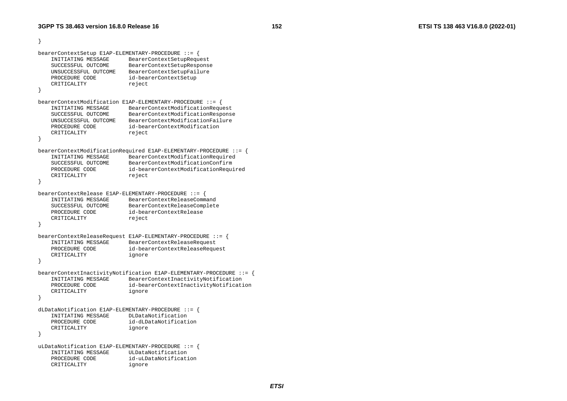```
} 
bearerContextSetup E1AP-ELEMENTARY-PROCEDURE ::= { 
    INITIATING MESSAGE BearerContextSetupRequest 
    SUCCESSFUL OUTCOME BearerContextSetupResponse 
    UNSUCCESSFUL OUTCOME BearerContextSetupFailure 
   PROCEDURE CODE id-bearerContextSetup
   CRITICALITY reject
} 
bearerContextModification E1AP-ELEMENTARY-PROCEDURE ::= { 
    INITIATING MESSAGE BearerContextModificationRequest 
    SUCCESSFUL OUTCOME BearerContextModificationResponse 
    UNSUCCESSFUL OUTCOME BearerContextModificationFailure  PROCEDURE CODE id-bearerContextModification  CRITICALITY reject 
} 
bearerContextModificationRequired E1AP-ELEMENTARY-PROCEDURE ::= { 
    INITIATING MESSAGE BearerContextModificationRequired 
    SUCCESSFUL OUTCOME BearerContextModificationConfirm  PROCEDURE CODE id-bearerContextModificationRequired 
   CRITICALITY reject
} 
bearerContextRelease E1AP-ELEMENTARY-PROCEDURE ::= { 
    INITIATING MESSAGE BearerContextReleaseCommand 
 SUCCESSFUL OUTCOME BearerContextReleaseComplete 
    PROCEDURE CODE id-bearerContextRelease CRITICALITY reject
} 
bearerContextReleaseRequest E1AP-ELEMENTARY-PROCEDURE ::= { 
    INITIATING MESSAGE BearerContextReleaseRequest 
   PROCEDURE CODE id-bearerContextReleaseRequest
    CRITICALITY ignore 
} 
bearerContextInactivityNotification E1AP-ELEMENTARY-PROCEDURE ::= { 
    INITIATING MESSAGE BearerContextInactivityNotification 
    PROCEDURE CODE id-bearerContextInactivityNotification 
    CRITICALITY ignore 
} 
dLDataNotification E1AP-ELEMENTARY-PROCEDURE ::= { 
   INITIATING MESSAGE
    PROCEDURE CODE id-dLDataNotification  CRITICALITY ignore 
} 
uLDataNotification E1AP-ELEMENTARY-PROCEDURE ::= { 
    INITIATING MESSAGE ULDataNotification  PROCEDURE CODE id-uLDataNotification  CRITICALITY ignore
```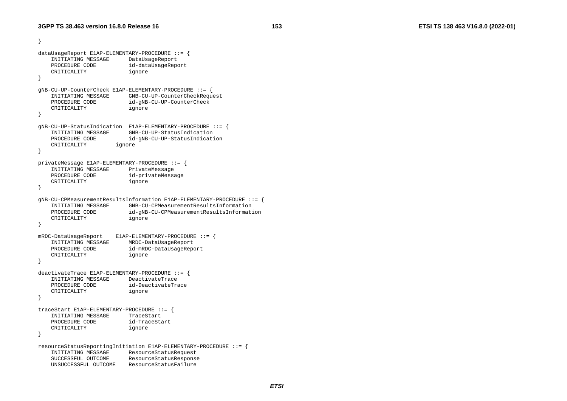```
} 
dataUsageReport E1AP-ELEMENTARY-PROCEDURE ::= { 
    INITIATING MESSAGE DataUsageReport 
    PROCEDURE CODE id-dataUsageReport 
    CRITICALITY ignore 
} 
gNB-CU-UP-CounterCheck E1AP-ELEMENTARY-PROCEDURE ::= { 
    INITIATING MESSAGE GNB-CU-UP-CounterCheckRequest 
    PROCEDURE CODE id-gNB-CU-UP-CounterCheck 
    CRITICALITY ignore 
} 
gNB-CU-UP-StatusIndication E1AP-ELEMENTARY-PROCEDURE ::= { 
    INITIATING MESSAGE GNB-CU-UP-StatusIndication  PROCEDURE CODE id-gNB-CU-UP-StatusIndication 
    CRITICALITY ignore 
} 
privateMessage E1AP-ELEMENTARY-PROCEDURE ::= { 
    INITIATING MESSAGE PrivateMessage 
   PROCEDURE CODE id-privateMessage
    CRITICALITY ignore 
} 
gNB-CU-CPMeasurementResultsInformation E1AP-ELEMENTARY-PROCEDURE ::= { 
    INITIATING MESSAGE GNB-CU-CPMeasurementResultsInformation  PROCEDURE CODE id-gNB-CU-CPMeasurementResultsInformation 
    CRITICALITY ignore 
} 
mRDC-DataUsageReport E1AP-ELEMENTARY-PROCEDURE ::= { 
    INITIATING MESSAGE MRDC-DataUsageReport 
    PROCEDURE CODE id-mRDC-DataUsageReport 
    CRITICALITY ignore 
} 
deactivateTrace E1AP-ELEMENTARY-PROCEDURE ::= { 
    INITIATING MESSAGE DeactivateTrace  PROCEDURE CODE id-DeactivateTrace  CRITICALITY ignore 
} 
traceStart E1AP-ELEMENTARY-PROCEDURE ::= { 
   INITIATING MESSAGE TraceStart
    PROCEDURE CODE id-TraceStart  CRITICALITY ignore 
} 
resourceStatusReportingInitiation E1AP-ELEMENTARY-PROCEDURE ::= { 
    INITIATING MESSAGE ResourceStatusRequest 
    SUCCESSFUL OUTCOME ResourceStatusResponse 
    UNSUCCESSFUL OUTCOME ResourceStatusFailure
```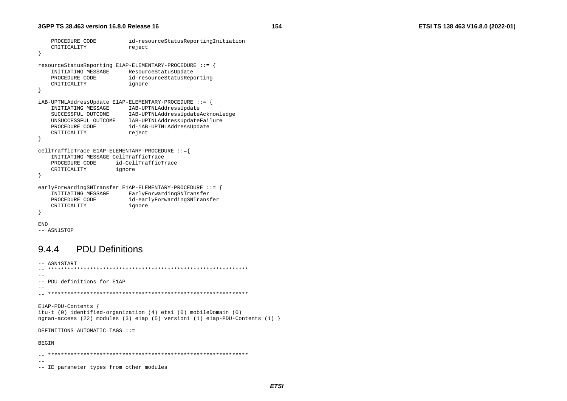```
id-resourceStatusReportingInitiation
    PROCEDURE CODE
    CRITICALITY
                             reject
\rightarrowresourceStatusReporting E1AP-ELEMENTARY-PROCEDURE ::= {
    INITIATING MESSAGE
                             ResourceStatusUpdate
    PROCEDURE CODE
                             id-resourceStatusReporting
    CRITICALITY
                             ignore
\rightarrowiAB-UPTNLAddressUpdate E1AP-ELEMENTARY-PROCEDURE ::= {
    INITIATING MESSAGE
                          IAB-UPTNLAddressUpdate
    SUCCESSFUL OUTCOME
                            IAB-UPTNLAddressUpdateAcknowledge
    UNSUCCESSFUL OUTCOME IAB-UPTNLAddressUpdateFailure
    PROCEDURE CODE
                          id-iAB-UPTNLAddressUpdate
    CRITICALITY
                            reject
\overline{\mathfrak{z}}cellTrafficTrace E1AP-ELEMENTARY-PROCEDURE ::={
    INITIATING MESSAGE CellTrafficTrace
    PROCEDURE CODE
                       id-CellTrafficTrace
    CRITICALITY
                        ignore
\rightarrowearlyForwardingSNTransfer ElAP-ELEMENTARY-PROCEDURE ::INITIATING MESSAGE
                             EarlyForwardingSNTransfer
    PROCEDURE CODE
                            id-earlyForwardingSNTransfer
    CRITICALITY
                            ignore
- }
END
```

```
-- ASN1STOP
```
#### **PDU Definitions** 944

```
-- ASN1START
--- PDU definitions for ElAP
-ElAP-PDU-Contents {
itu-t (0) identified-organization (4) etsi (0) mobileDomain (0)
ngran-access (22) modules (3) elap (5) version1 (1) elap-PDU-Contents (1) }
DEFINITIONS AUTOMATIC TAGS ::=
BEGIN
 --- IE parameter types from other modules
```
154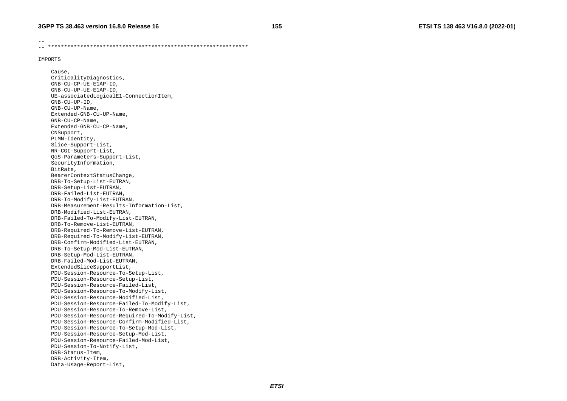--

-- \*\*\*\*\*\*\*\*\*\*\*\*\*\*\*\*\*\*\*\*\*\*\*\*\*\*\*\*\*\*\*\*\*\*\*\*\*\*\*\*\*\*\*\*\*\*\*\*\*\*\*\*\*\*\*\*\*\*\*\*\*\*

#### IMPORTS

 Cause, CriticalityDiagnostics, GNB-CU-CP-UE-E1AP-ID, GNB-CU-UP-UE-E1AP-ID, UE-associatedLogicalE1-ConnectionItem, GNB-CU-UP-ID, GNB-CU-UP-Name, Extended-GNB-CU-UP-Name, GNB-CU-CP-Name, Extended-GNB-CU-CP-Name, CNSupport, PLMN-Identity, Slice-Support-List, NR-CGI-Support-List, QoS-Parameters-Support-List, SecurityInformation, BitRate, BearerContextStatusChange, DRB-To-Setup-List-EUTRAN, DRB-Setup-List-EUTRAN, DRB-Failed-List-EUTRAN, DRB-To-Modify-List-EUTRAN, DRB-Measurement-Results-Information-List, DRB-Modified-List-EUTRAN, DRB-Failed-To-Modify-List-EUTRAN, DRB-To-Remove-List-EUTRAN, DRB-Required-To-Remove-List-EUTRAN, DRB-Required-To-Modify-List-EUTRAN, DRB-Confirm-Modified-List-EUTRAN, DRB-To-Setup-Mod-List-EUTRAN, DRB-Setup-Mod-List-EUTRAN, DRB-Failed-Mod-List-EUTRAN, ExtendedSliceSupportList, PDU-Session-Resource-To-Setup-List, PDU-Session-Resource-Setup-List, PDU-Session-Resource-Failed-List, PDU-Session-Resource-To-Modify-List, PDU-Session-Resource-Modified-List, PDU-Session-Resource-Failed-To-Modify-List, PDU-Session-Resource-To-Remove-List, PDU-Session-Resource-Required-To-Modify-List, PDU-Session-Resource-Confirm-Modified-List, PDU-Session-Resource-To-Setup-Mod-List, PDU-Session-Resource-Setup-Mod-List, PDU-Session-Resource-Failed-Mod-List, PDU-Session-To-Notify-List, DRB-Status-Item, DRB-Activity-Item, Data-Usage-Report-List,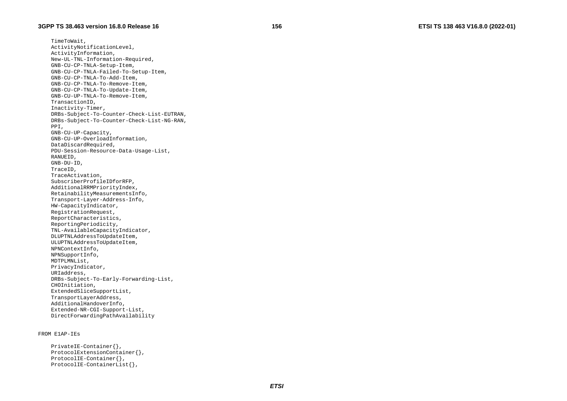TimeToWait, ActivityNotificationLevel, ActivityInformation, New-UL-TNL-Information-Required, GNB-CU-CP-TNLA-Setup-Item, GNB-CU-CP-TNLA-Failed-To-Setup-Item, GNB-CU-CP-TNLA-To-Add-Item, GNB-CU-CP-TNLA-To-Remove-Item, GNB-CU-CP-TNLA-To-Update-Item, GNB-CU-UP-TNLA-To-Remove-Item, TransactionID, Inactivity-Timer, DRBs-Subject-To-Counter-Check-List-EUTRAN, DRBs-Subject-To-Counter-Check-List-NG-RAN, PPI, GNB-CU-UP-Capacity, GNB-CU-UP-OverloadInformation, DataDiscardRequired, PDU-Session-Resource-Data-Usage-List, RANUEID, GNB-DU-ID, TraceID, TraceActivation, SubscriberProfileIDforRFP, AdditionalRRMPriorityIndex, RetainabilityMeasurementsInfo, Transport-Layer-Address-Info, HW-CapacityIndicator, RegistrationRequest, ReportCharacteristics, ReportingPeriodicity, TNL-AvailableCapacityIndicator, DLUPTNLAddressToUpdateItem, ULUPTNLAddressToUpdateItem, NPNContextInfo, NPNSupportInfo, MDTPLMNList, PrivacyIndicator, URIaddress, DRBs-Subject-To-Early-Forwarding-List, CHOInitiation, ExtendedSliceSupportList, TransportLayerAddress, AdditionalHandoverInfo, Extended-NR-CGI-Support-List, DirectForwardingPathAvailability

#### FROM E1AP-IEs

```
 PrivateIE-Container{}, 
 ProtocolExtensionContainer{}, 
 ProtocolIE-Container{}, 
 ProtocolIE-ContainerList{},
```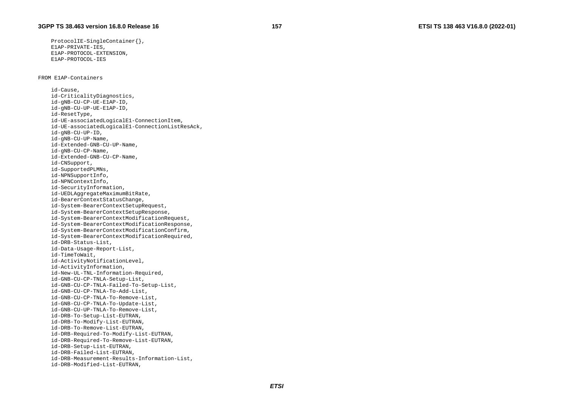ProtocolIE-SingleContainer{}, E1AP-PRIVATE-IES, E1AP-PROTOCOL-EXTENSION, E1AP-PROTOCOL-IES

FROM E1AP-Containers

 id-Cause, id-CriticalityDiagnostics, id-gNB-CU-CP-UE-E1AP-ID, id-gNB-CU-UP-UE-E1AP-ID, id-ResetType, id-UE-associatedLogicalE1-ConnectionItem, id-UE-associatedLogicalE1-ConnectionListResAck, id-gNB-CU-UP-ID, id-gNB-CU-UP-Name, id-Extended-GNB-CU-UP-Name, id-gNB-CU-CP-Name, id-Extended-GNB-CU-CP-Name, id-CNSupport, id-SupportedPLMNs, id-NPNSupportInfo, id-NPNContextInfo, id-SecurityInformation, id-UEDLAggregateMaximumBitRate, id-BearerContextStatusChange, id-System-BearerContextSetupRequest, id-System-BearerContextSetupResponse, id-System-BearerContextModificationRequest, id-System-BearerContextModificationResponse, id-System-BearerContextModificationConfirm, id-System-BearerContextModificationRequired, id-DRB-Status-List, id-Data-Usage-Report-List, id-TimeToWait, id-ActivityNotificationLevel, id-ActivityInformation, id-New-UL-TNL-Information-Required, id-GNB-CU-CP-TNLA-Setup-List, id-GNB-CU-CP-TNLA-Failed-To-Setup-List, id-GNB-CU-CP-TNLA-To-Add-List, id-GNB-CU-CP-TNLA-To-Remove-List, id-GNB-CU-CP-TNLA-To-Update-List, id-GNB-CU-UP-TNLA-To-Remove-List, id-DRB-To-Setup-List-EUTRAN, id-DRB-To-Modify-List-EUTRAN, id-DRB-To-Remove-List-EUTRAN, id-DRB-Required-To-Modify-List-EUTRAN, id-DRB-Required-To-Remove-List-EUTRAN, id-DRB-Setup-List-EUTRAN, id-DRB-Failed-List-EUTRAN, id-DRB-Measurement-Results-Information-List, id-DRB-Modified-List-EUTRAN,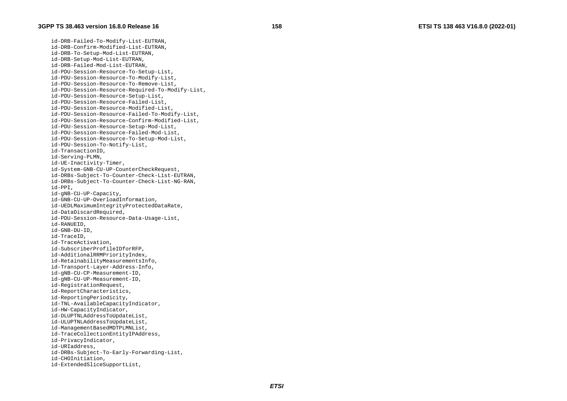id-DRB-Failed-To-Modify-List-EUTRAN, id-DRB-Confirm-Modified-List-EUTRAN, id-DRB-To-Setup-Mod-List-EUTRAN, id-DRB-Setup-Mod-List-EUTRAN, id-DRB-Failed-Mod-List-EUTRAN, id-PDU-Session-Resource-To-Setup-List, id-PDU-Session-Resource-To-Modify-List, id-PDU-Session-Resource-To-Remove-List, id-PDU-Session-Resource-Required-To-Modify-List, id-PDU-Session-Resource-Setup-List, id-PDU-Session-Resource-Failed-List, id-PDU-Session-Resource-Modified-List, id-PDU-Session-Resource-Failed-To-Modify-List, id-PDU-Session-Resource-Confirm-Modified-List, id-PDU-Session-Resource-Setup-Mod-List, id-PDU-Session-Resource-Failed-Mod-List, id-PDU-Session-Resource-To-Setup-Mod-List, id-PDU-Session-To-Notify-List, id-TransactionID, id-Serving-PLMN, id-UE-Inactivity-Timer, id-System-GNB-CU-UP-CounterCheckRequest, id-DRBs-Subject-To-Counter-Check-List-EUTRAN, id-DRBs-Subject-To-Counter-Check-List-NG-RAN, id-PPI, id-gNB-CU-UP-Capacity, id-GNB-CU-UP-OverloadInformation, id-UEDLMaximumIntegrityProtectedDataRate, id-DataDiscardRequired, id-PDU-Session-Resource-Data-Usage-List, id-RANUEID, id-GNB-DU-ID, id-TraceID, id-TraceActivation, id-SubscriberProfileIDforRFP, id-AdditionalRRMPriorityIndex, id-RetainabilityMeasurementsInfo, id-Transport-Layer-Address-Info, id-gNB-CU-CP-Measurement-ID, id-gNB-CU-UP-Measurement-ID, id-RegistrationRequest, id-ReportCharacteristics, id-ReportingPeriodicity, id-TNL-AvailableCapacityIndicator, id-HW-CapacityIndicator, id-DLUPTNLAddressToUpdateList, id-ULUPTNLAddressToUpdateList, id-ManagementBasedMDTPLMNList, id-TraceCollectionEntityIPAddress, id-PrivacyIndicator, id-URIaddress, id-DRBs-Subject-To-Early-Forwarding-List, id-CHOInitiation, id-ExtendedSliceSupportList,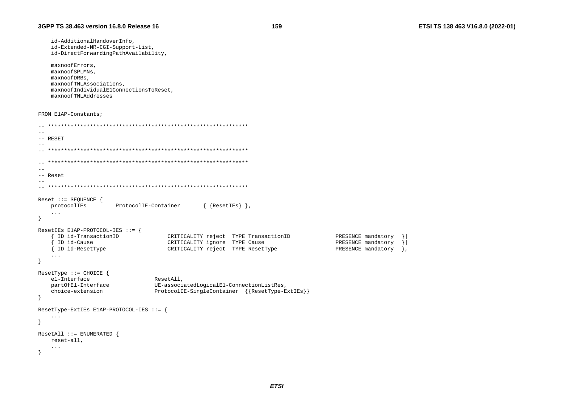id-AdditionalHandoverInfo, id-Extended-NR-CGI-Support-List, id-DirectForwardingPathAvailability,

```
maxnoofErrors.
maxnoofSPLMNs,
maxnoofDRBs.
maxnoofTNLAssociations,
maxnoofIndividualE1ConnectionsToReset,
maxnoofTNLAddresses
```
FROM ElAP-Constants;

```
\sim --- RESET
\sim -\equiv \equiv-- Reset
Reset ::= SEQUENCE {
                                          \{ {ResetIEs} },
   protocolIEs
                   ProtocolIE-Container
   \ldots\mathcal{F}ResetIEs E1AP-PROTOCOL-IES ::= {
   { ID id-TransactionID
                                 CRITICALITY reject TYPE TransactionID
                                                                            PRESENCE mandatory
                                                                                             \vert \cdot \vert\overline{\phantom{a}} ID id-Cause
                                 CRITICALITY ignore TYPE Cause
                                                                            PRESENCE mandatory
                                                                                             \vert{ ID id-ResetType
                                 CRITICALITY reject TYPE ResetType
                                                                            PRESENCE mandatory
                                                                                             \cdot\sim 100\mathcal{F}ResetType ::= CHOICE {
   el-Interface
                             ResetAll,
   partOfE1-Interface
                             UE-associatedLogicalE1-ConnectionListRes,
                             ProtocolIE-SingleContainer {{ResetType-ExtIEs}}
   choice-extension
\}ResetType-ExtIEs E1AP-PROTOCOL-IES ::= {
   \ldots\left\{ \right.ResetAll ::= ENUMERATED {
   reset-all,
   \cdot .
\rightarrow
```
159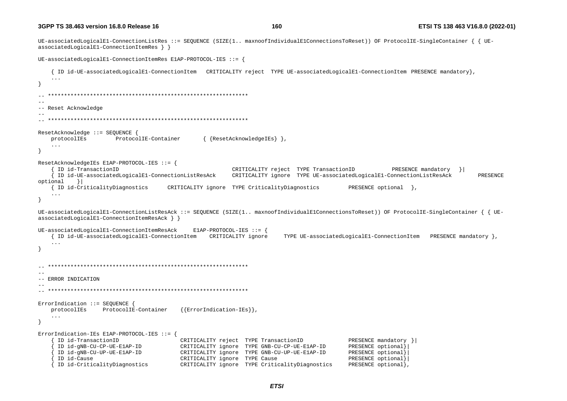160

UE-associatedLogicalE1-ConnectionListRes ::= SEQUENCE (SIZE(1.. maxnoofIndividualE1ConnectionsToReset)) OF ProtocolIE-SingleContainer { { UEassociatedLogicalE1-ConnectionItemRes } } UE-associatedLogicalE1-ConnectionItemRes E1AP-PROTOCOL-IES ::= { { ID id-UE-associatedLogicalE1-ConnectionItem CRITICALITY reject TYPE UE-associatedLogicalE1-ConnectionItem PRESENCE mandatory},  $\sim$   $\sim$   $\sim$  $-$ -- Reset Acknowledge ResetAcknowledge ::= SEOUENCE { { {ResetAcknowledgeIEs} }, protocolIEs ProtocolIE-Container  $\ddots$ - } ResetAcknowledgeIEs E1AP-PROTOCOL-IES ::= { ID id-TransactionID CRITICALITY reject TYPE TransactionID PRESENCE mandatory } { ID id-UE-associatedLogicalE1-ConnectionListResAck CRITICALITY ignore TYPE UE-associatedLogicalE1-ConnectionListResAck PRESENCE  $optional$  } { ID id-CriticalityDiagnostics CRITICALITY ignore TYPE CriticalityDiagnostics PRESENCE optional },  $\ddots$  $\overline{\mathbf{1}}$ UE-associatedLogicalE1-ConnectionListResAck ::= SEOUENCE (SIZE(1.. maxnoofIndividualE1ConnectionsToReset)) OF ProtocolIE-SingleContainer { { UEassociatedLogicalE1-ConnectionItemResAck } } UE-associatedLogicalE1-ConnectionItemResAck  $E1AP-PROTOCOL-IES :: =$ { ID id-UE-associatedLogicalE1-ConnectionItem CRITICALITY ignore TYPE UE-associatedLogicalE1-ConnectionItem PRESENCE mandatory },  $\ddots$  $-$ -- ERROR INDICATION ErrorIndication ::= SEQUENCE {  ${ErrorIndication-IES}$ , protocolIEs ProtocolIE-Container  $\ldots$  $\rightarrow$ ErrorIndication-IEs E1AP-PROTOCOL-IES ::= { ID id-TransactionID PRESENCE mandatory } CRITICALITY reject TYPE TransactionID ID id-gNB-CU-CP-UE-ElAP-ID CRITICALITY ignore TYPE GNB-CU-CP-UE-E1AP-ID PRESENCE optional} ID id-gNB-CU-UP-UE-ElAP-ID CRITICALITY ignore TYPE GNB-CU-UP-UE-E1AP-ID PRESENCE optional} ID id-Cause CRITICALITY ignore TYPE Cause PRESENCE optional} ID id-CriticalityDiagnostics CRITICALITY ignore TYPE CriticalityDiagnostics PRESENCE optional},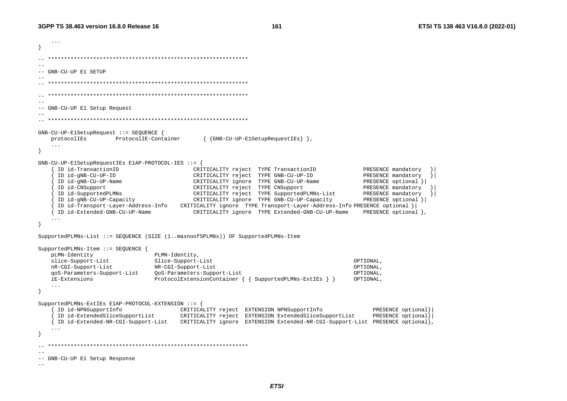ETSI TS 138 463 V16.8.0 (2022-01)

```
\sim \sim \sim-- GNB-CU-UP E1 SETUP
\sim --- GNB-CU-UP El Setup Request
  GNB-CU-UP-ElSetupRequest ::= SEOUENCE {
                                           { {GNB-CU-UP-ElSetupRequestIEs} },
   protocolIEs ProtocolIE-Container
   \ddots- }
GNB-CU-UP-ElSetupRequestIEs ElAP-PROTOCOL-IES ::= {
     ID id-TransactionID
                                         CRITICALITY reject TYPE TransactionID
                                                                                     PRESENCE mandatory
     ID id-gNB-CU-UP-ID
                                         CRITICALITY reject TYPE GNB-CU-UP-ID
                                                                                     PRESENCE mandatory
                                                                                                        \left\{ \right.ID id-gNB-CU-UP-Name
                                         CRITICALITY ignore TYPE GNB-CU-UP-Name
                                                                                     PRESENCE optional } |
     ID id-CNSupport
                                      CRITICALITY reject TYPE CNSupport
                                                                                     PRESENCE mandatory
     ID id-SupportedPLMNs
                                        CRITICALITY reject TYPE SupportedPLMNs-List
                                                                                      PRESENCE mandatory
                                                                                                       \rightarrowID id-gNB-CU-UP-Capacity
                                         CRITICALITY ignore TYPE GNB-CU-UP-Capacity
                                                                                      PRESENCE optional } |
     [4] ID id-Transport-Layer-Address-Info CRITICALITY ignore TYPE Transport-Layer-Address-Info PRESENCE optional
   { ID id-Extended-GNB-CU-UP-Name
                                         CRITICALITY ignore TYPE Extended-GNB-CU-UP-Name
                                                                                      PRESENCE optional },
SupportedPLMNs-List ::= SEQUENCE (SIZE (1..maxnoofSPLMNs)) OF SupportedPLMNs-Item
SupportedPLMNs-Item ::= SEQUENCE {
   pLMN-Identity
                              PLMN-Identity,
   slice-Support-List
                              Slice-Support-List
                                                                                   OPTIONAL.
   nR-CGI-Support-List
                              NR-CGI-Support-List
                                                                                   OPTIONAL,
   qoS-Parameters-Support-List
                                                                                   OPTIONAL.
                              OoS-Parameters-Support-List
   iE-Extensions
                              ProtocolExtensionContainer \{ \{ \text{SupportedPLMNs-ExtIEs } \} \}OPTIONAL,
   \ddotsSupportedPLMNs-ExtIEs E1AP-PROTOCOL-EXTENSION ::= {
     ID id-NPNSupportInfo CRITICALITY reject EXTENSION NPNSupportInfo
                                                                                        PRESENCE optional
     ID id-ExtendedSliceSupportList
                                  CRITICALITY reject EXTENSION ExtendedSliceSupportList
                                                                                        PRESENCE optional}
   { ID id-Extended-NR-CGI-Support-List CRITICALITY ignore EXTENSION Extended-NR-CGI-Support-List PRESENCE optional},
   \cdot \cdot \cdot--- GNB-CU-UP El Setup Response
\sim -
```
161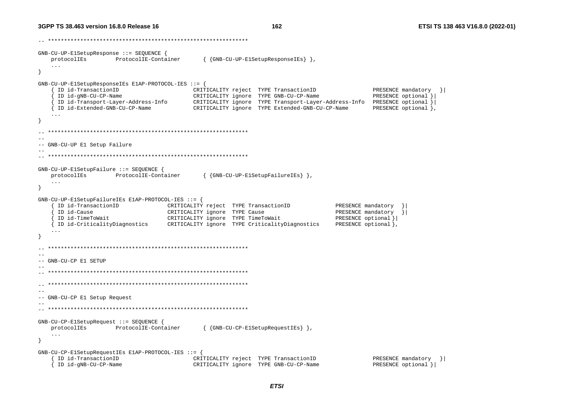162

 $GNB-CUI-UP-E1SetupResponse :: = SEOUENCE$  { protocolIEs ProtocolIE-Container { {GNB-CU-UP-ElSetupResponseIEs } },  $\sim 100$  $\lambda$  $GNB-CU-UP-E1SetupResponseIES E1AP-PROTOCOL-IES :: =$ ID id-TransactionID CRITICALITY reject TYPE TransactionID PRESENCE mandatory } ID id-gNB-CU-CP-Name CRITICALITY ignore TYPE GNB-CU-CP-Name PRESENCE optional } PRESENCE optional },  $\ldots$ -- GNB-CU-UP El Setup Failure  $GNB-CU-UP-E1SetupFailure ::= SEQUENCE$ protocolIEs ProtocolIE-Container { {GNB-CU-UP-ElSetupFailureIEs} },  $\cdot$  .  $\rightarrow$ GNB-CU-UP-ElSetupFailureIEs ElAP-PROTOCOL-IES ::= { ID id-TransactionID CRITICALITY reject TYPE TransactionID PRESENCE mandatory ID id-Cause CRITICALITY ignore TYPE Cause PRESENCE mandatory  $\vert \cdot \vert$ { ID id-TimeToWait PRESENCE optional } CRITICALITY ignore TYPE TimeToWait { ID id-CriticalityDiagnostics CRITICALITY ignore TYPE CriticalityDiagnostics PRESENCE optional },  $\ddots$ - }  $-$ -- GNB-CU-CP E1 SETUP  $-$ -- GNB-CU-CP El Setup Request GNB-CU-CP-ElSetupRequest ::= SEOUENCE { protocolIEs ProtocolIE-Container { {GNB-CU-CP-ElSetupRequestIEs} },  $\cdot$   $\cdot$   $\cdot$  $GNB-CU-CP-E1SetupRequestIES E1AP-PROTOCOL-IES :: =$ { ID id-TransactionID CRITICALITY reject TYPE TransactionID PRESENCE mandatory } { ID id-gNB-CU-CP-Name CRITICALITY ignore TYPE GNB-CU-CP-Name PRESENCE optional } |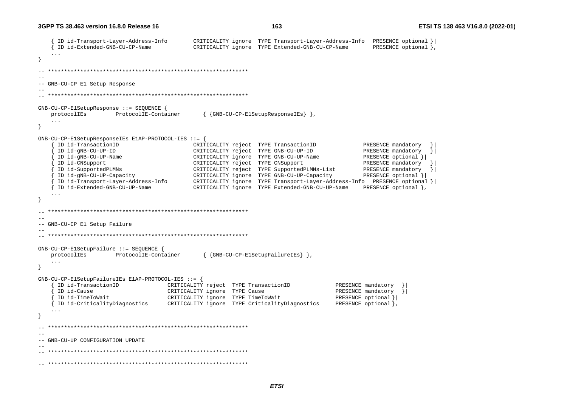```
 { ID id-Transport-Layer-Address-Info CRITICALITY ignore TYPE Transport-Layer-Address-Info PRESENCE optional }| 
     { ID id-Extended-GNB-CU-CP-Name CRITICALITY ignore TYPE Extended-GNB-CU-CP-Name PRESENCE optional }, 
    ... } 
  -- ************************************************************** -- -- GNB-CU-CP E1 Setup Response 
-- 
-- ************************************************************** GNB-CU-CP-E1SetupResponse ::= SEQUENCE { 
    protocolIEs ProtocolIE-Container { {GNB-CU-CP-E1SetupResponseIEs} }, 
    ... } 
GNB-CU-CP-E1SetupResponseIEs E1AP-PROTOCOL-IES ::= { 
     ID id-TransactionID CRITICALITY reject TYPE TransactionID PRESENCE mandatory
      { ID id-gNB-CU-UP-ID CRITICALITY reject TYPE GNB-CU-UP-ID PRESENCE mandatory }| 
 { ID id-gNB-CU-UP-Name CRITICALITY ignore TYPE GNB-CU-UP-Name PRESENCE optional }| 
 { ID id-CNSupport CRITICALITY reject TYPE CNSupport PRESENCE mandatory }| 
      { ID id-SupportedPLMNs CRITICALITY reject TYPE SupportedPLMNs-List PRESENCE mandatory }| 
      { ID id-gNB-CU-UP-Capacity CRITICALITY ignore TYPE GNB-CU-UP-Capacity PRESENCE optional }| 
      { ID id-Transport-Layer-Address-Info CRITICALITY ignore TYPE Transport-Layer-Address-Info PRESENCE optional }| 
      { ID id-Extended-GNB-CU-UP-Name CRITICALITY ignore TYPE Extended-GNB-CU-UP-Name PRESENCE optional }, 
    ... } 
  -- ************************************************************** -- -- GNB-CU-CP E1 Setup Failure 
-- 
-- ************************************************************** GNB-CU-CP-E1SetupFailure ::= SEQUENCE { 
    protocolIEs ProtocolIE-Container { {GNB-CU-CP-E1SetupFailureIEs} }, 
    ... } 
GNB-CU-CP-E1SetupFailureIEs E1AP-PROTOCOL-IES ::= { 
      { ID id-TransactionID CRITICALITY reject TYPE TransactionID PRESENCE mandatory }| 
                                  CRITICALITY ignore TYPE Cause PRESENCE PRESENCE mandatory
      { ID id-TimeToWait CRITICALITY ignore TYPE TimeToWait PRESENCE optional }| 
    { ID id-CriticalityDiagnostics CRITICALITY ignore TYPE CriticalityDiagnostics PRESENCE optional }, 
    ... } 
  -- ************************************************************** -- -- GNB-CU-UP CONFIGURATION UPDATE -- 
-- ************************************************************** -- **************************************************************
```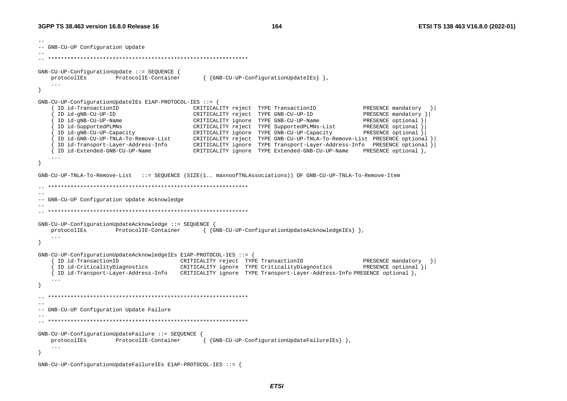-- -- GNB-CU-UP Configuration Update -- -- \*\*\*\*\*\*\*\*\*\*\*\*\*\*\*\*\*\*\*\*\*\*\*\*\*\*\*\*\*\*\*\*\*\*\*\*\*\*\*\*\*\*\*\*\*\*\*\*\*\*\*\*\*\*\*\*\*\*\*\*\*\* GNB-CU-UP-ConfigurationUpdate ::= SEQUENCE { protocolIEs ProtocolIE-Container { {GNB-CU-UP-ConfigurationUpdateIEs} }, ... } GNB-CU-UP-ConfigurationUpdateIEs E1AP-PROTOCOL-IES ::= { { ID id-TransactionID CRITICALITY reject TYPE TransactionID PRESENCE mandatory }| { ID id-gNB-CU-UP-ID CRITICALITY reject TYPE GNB-CU-UP-ID PRESENCE mandatory }| { ID id-gNB-CU-UP-Name CRITICALITY ignore TYPE GNB-CU-UP-Name PRESENCE optional }| { ID id-SupportedPLMNs CRITICALITY reject TYPE SupportedPLMNs-List PRESENCE optional }| { ID id-gNB-CU-UP-Capacity CRITICALITY ignore TYPE GNB-CU-UP-Capacity PRESENCE optional }| { ID id-GNB-CU-UP-TNLA-To-Remove-List CRITICALITY reject TYPE GNB-CU-UP-TNLA-To-Remove-List PRESENCE optional }| { ID id-Transport-Layer-Address-Info CRITICALITY ignore TYPE Transport-Layer-Address-Info PRESENCE optional }| { ID id-Extended-GNB-CU-UP-Name CRITICALITY ignore TYPE Extended-GNB-CU-UP-Name PRESENCE optional }, ... } GNB-CU-UP-TNLA-To-Remove-List ::= SEQUENCE (SIZE(1.. maxnoofTNLAssociations)) OF GNB-CU-UP-TNLA-To-Remove-Item -- \*\*\*\*\*\*\*\*\*\*\*\*\*\*\*\*\*\*\*\*\*\*\*\*\*\*\*\*\*\*\*\*\*\*\*\*\*\*\*\*\*\*\*\*\*\*\*\*\*\*\*\*\*\*\*\*\*\*\*\*\*\* -- -- GNB-CU-UP Configuration Update Acknowledge -- -- \*\*\*\*\*\*\*\*\*\*\*\*\*\*\*\*\*\*\*\*\*\*\*\*\*\*\*\*\*\*\*\*\*\*\*\*\*\*\*\*\*\*\*\*\*\*\*\*\*\*\*\*\*\*\*\*\*\*\*\*\*\* GNB-CU-UP-ConfigurationUpdateAcknowledge ::= SEQUENCE { protocolIEs ProtocolIE-Container { {GNB-CU-UP-ConfigurationUpdateAcknowledgeIEs} }, ... } GNB-CU-UP-ConfigurationUpdateAcknowledgeIEs E1AP-PROTOCOL-IES ::= { { ID id-TransactionID CRITICALITY reject TYPE TransactionID PRESENCE mandatory }| { ID id-CriticalityDiagnostics CRITICALITY ignore TYPE CriticalityDiagnostics PRESENCE optional }| { ID id-Transport-Layer-Address-Info CRITICALITY ignore TYPE Transport-Layer-Address-Info PRESENCE optional }, ... } -- \*\*\*\*\*\*\*\*\*\*\*\*\*\*\*\*\*\*\*\*\*\*\*\*\*\*\*\*\*\*\*\*\*\*\*\*\*\*\*\*\*\*\*\*\*\*\*\*\*\*\*\*\*\*\*\*\*\*\*\*\*\* -- -- GNB-CU-UP Configuration Update Failure -- -- \*\*\*\*\*\*\*\*\*\*\*\*\*\*\*\*\*\*\*\*\*\*\*\*\*\*\*\*\*\*\*\*\*\*\*\*\*\*\*\*\*\*\*\*\*\*\*\*\*\*\*\*\*\*\*\*\*\*\*\*\*\* GNB-CU-UP-ConfigurationUpdateFailure ::= SEQUENCE { protocolIEs ProtocolIE-Container { {GNB-CU-UP-ConfigurationUpdateFailureIEs} }, ... } GNB-CU-UP-ConfigurationUpdateFailureIEs E1AP-PROTOCOL-IES ::= {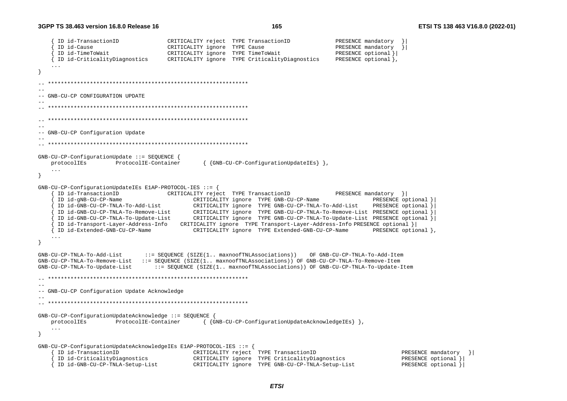```
ID id-TransactionID
                                 CRITICALITY reject TYPE TransactionID
                                                                              PRESENCE mandatory
    TD id-Cause
                                 CRITICALITY ignore TYPE Cause
                                                                              PRESENCE mandatory
     ID id-TimeToWait
                                 CRITICALITY ignore TYPE TimeToWait
                                                                              PRESENCE optional }
    ID id-CriticalityDiagnostics
                                 CRITICALITY ignore TYPE CriticalityDiagnostics
                                                                              PRESENCE optional },
   \sim \sim \simો
  -- GNB-CU-CP CONFIGURATION UPDATE
- ---- GNB-CU-CP Configuration Update
GNB-CU-CP-ConfigurationUpdate ::= SEQUENCE {
                    ProtocolIE-Container
                                           { {GNB-CU-CP-ConfigurationUpdateIEs} },
   protocolIEs
   \ldots\rightarrowGNB-CU-CP-ConfigurationUpdateIES E1AP-PROTOCOL-IES :: = \{ID id-TransactionID
                                 CRITICALITY reject. TYPE TransactionID
                                                                              PRESENCE mandatory } |
     ID id-gNB-CU-CP-Name
                                        CRITICALITY ignore TYPE GNB-CU-CP-Name
                                                                                       PRESENCE optional }
     ID id-GNB-CU-CP-TNLA-To-Add-List
                                        CRITICALITY ignore TYPE GNB-CU-CP-TNLA-To-Add-List PRESENCE optional
     ID id-GNB-CU-CP-TNLA-To-Remove-List
                                    CRITICALITY ignore TYPE GNB-CU-CP-TNLA-To-Remove-List PRESENCE optional
    ID id-GNB-CU-CP-TNLA-To-Update-List
                                        CRITICALITY ignore TYPE GNB-CU-CP-TNLA-To-Update-List PRESENCE optional }
     ID id-Transport-Layer-Address-Info CRITICALITY ignore TYPE Transport-Layer-Address-Info PRESENCE optional }
    ID id-Extended-GNB-CU-CP-Name
                                        CRITICALITY ignore TYPE Extended-GNB-CU-CP-Name
                                                                                        PRESENCE optional },
   \ldots- 1
                           ::= SEQUENCE (SIZE(1.. maxnoofTNLAssociations))
GNB-CU-CP-TNLA-To-Add-List
                                                                       OF GNB-CU-CP-TNLA-To-Add-Item
GNB-CU-CP-TNLA-To-Remove-List ::= SEOUENCE (SIZE(1.. maxnoofTNLAssociations)) OF GNB-CU-CP-TNLA-To-Remove-Item
GNB-CU-CP-TNLA-To-Update-List
                              ::= SEQUENCE (SIZE(1.. maxnoofTNLAssociations)) OF GNB-CU-CP-TNLA-To-Update-Item
--- GNB-CU-CP Configuration Update Acknowledge
GNB-CU-CP-ConfigurationUpdateAcknowledge ::= SEQUENCE {
   protocolIEs
                    ProtocolIE-Container
                                           { {GNB-CU-CP-ConfigurationUpdateAcknowledgeIEs} },
   \ldots\rightarrowGNB-CU-CP-ConfiqurationUpdate AcknowledgelEs E1AP-PROTOCOL-IES :: = {ID id-TransactionID
                                        CRITICALITY reject TYPE TransactionID
                                                                                               PRESENCE mandatory }
     ID id-CriticalityDiagnostics
                                        CRITICALITY ignore TYPE CriticalityDiagnostics
                                                                                               PRESENCE optional }
   { ID id-GNB-CU-CP-TNLA-Setup-List
                                        CRITICALITY ignore TYPE GNB-CU-CP-TNLA-Setup-List
                                                                                               PRESENCE optional }
```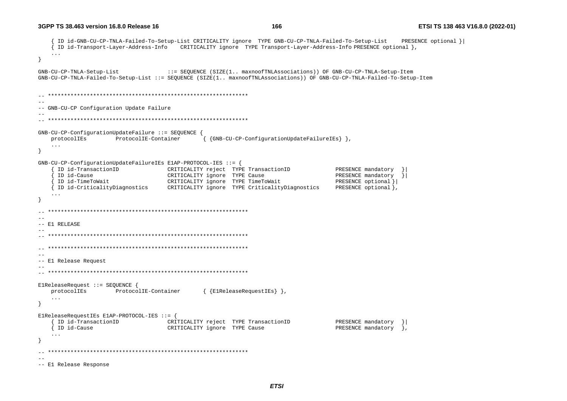{ ID id-GNB-CU-CP-TNLA-Failed-To-Setup-List CRITICALITY ignore TYPE GNB-CU-CP-TNLA-Failed-To-Setup-List PRESENCE optional }| { ID id-Transport-Layer-Address-Info CRITICALITY ignore TYPE Transport-Layer-Address-Info PRESENCE optional }, ... } GNB-CU-CP-TNLA-Setup-List ::= SEQUENCE (SIZE(1.. maxnoofTNLAssociations)) OF GNB-CU-CP-TNLA-Setup-Item GNB-CU-CP-TNLA-Failed-To-Setup-List ::= SEQUENCE (SIZE(1.. maxnoofTNLAssociations)) OF GNB-CU-CP-TNLA-Failed-To-Setup-Item -- \*\*\*\*\*\*\*\*\*\*\*\*\*\*\*\*\*\*\*\*\*\*\*\*\*\*\*\*\*\*\*\*\*\*\*\*\*\*\*\*\*\*\*\*\*\*\*\*\*\*\*\*\*\*\*\*\*\*\*\*\*\* -- -- GNB-CU-CP Configuration Update Failure -- -- \*\*\*\*\*\*\*\*\*\*\*\*\*\*\*\*\*\*\*\*\*\*\*\*\*\*\*\*\*\*\*\*\*\*\*\*\*\*\*\*\*\*\*\*\*\*\*\*\*\*\*\*\*\*\*\*\*\*\*\*\*\* GNB-CU-CP-ConfigurationUpdateFailure ::= SEQUENCE { protocolIEs ProtocolIE-Container { {GNB-CU-CP-ConfigurationUpdateFailureIEs} }, ... } GNB-CU-CP-ConfigurationUpdateFailureIEs E1AP-PROTOCOL-IES ::= { { ID id-TransactionID CRITICALITY reject TYPE TransactionID PRESENCE mandatory }|  ${\tt CRITICALITY}$  ignore TYPE Cause  ${\tt NTSENCE}$  mandatory  ${\tt NESENCE}$  { ID id-TimeToWait CRITICALITY ignore TYPE TimeToWait PRESENCE optional }| { ID id-CriticalityDiagnostics CRITICALITY ignore TYPE CriticalityDiagnostics PRESENCE optional }, ... } -- \*\*\*\*\*\*\*\*\*\*\*\*\*\*\*\*\*\*\*\*\*\*\*\*\*\*\*\*\*\*\*\*\*\*\*\*\*\*\*\*\*\*\*\*\*\*\*\*\*\*\*\*\*\*\*\*\*\*\*\*\*\* -- -- E1 RELEASE -- -- \*\*\*\*\*\*\*\*\*\*\*\*\*\*\*\*\*\*\*\*\*\*\*\*\*\*\*\*\*\*\*\*\*\*\*\*\*\*\*\*\*\*\*\*\*\*\*\*\*\*\*\*\*\*\*\*\*\*\*\*\*\* -- \*\*\*\*\*\*\*\*\*\*\*\*\*\*\*\*\*\*\*\*\*\*\*\*\*\*\*\*\*\*\*\*\*\*\*\*\*\*\*\*\*\*\*\*\*\*\*\*\*\*\*\*\*\*\*\*\*\*\*\*\*\*  $-$ -- E1 Release Request -- -- \*\*\*\*\*\*\*\*\*\*\*\*\*\*\*\*\*\*\*\*\*\*\*\*\*\*\*\*\*\*\*\*\*\*\*\*\*\*\*\*\*\*\*\*\*\*\*\*\*\*\*\*\*\*\*\*\*\*\*\*\*\* E1ReleaseRequest ::= SEQUENCE { protocolIEs ProtocolIE-Container { {E1ReleaseRequestIEs} }, ... } E1ReleaseRequestIEs E1AP-PROTOCOL-IES ::= { { ID id-TransactionID CRITICALITY reject TYPE TransactionID PRESENCE mandatory }| { ID id-Cause CRITICALITY ignore TYPE Cause PRESENCE mandatory }, ... } -- \*\*\*\*\*\*\*\*\*\*\*\*\*\*\*\*\*\*\*\*\*\*\*\*\*\*\*\*\*\*\*\*\*\*\*\*\*\*\*\*\*\*\*\*\*\*\*\*\*\*\*\*\*\*\*\*\*\*\*\*\*\* -- -- E1 Release Response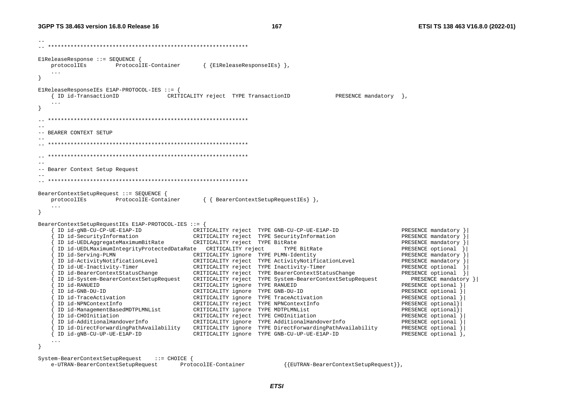167

ElReleaseResponse ::= SEOUENCE { ProtocolIE-Container { {E1ReleaseResponseIEs} }, protocolIEs  $\sim$   $\sim$   $\sim$ ElReleaseResponseIEs ElAP-PROTOCOL-IES ::= { { ID id-TransactionID CRITICALITY reject TYPE TransactionID PRESENCE mandatory  $\}$ ,  $\rightarrow$  $-$ -- BEARER CONTEXT SETUP  $-$ -- Bearer Context Setup Request BearerContextSetupRequest ::= SEQUENCE { { { BearerContextSetupRequestIEs } }, protocolIEs ProtocolIE-Container  $\sim$   $\sim$   $\sim$ BearerContextSetupRequestIEs E1AP-PROTOCOL-IES ::= { ID id-gNB-CU-CP-UE-E1AP-ID PRESENCE mandatory } CRITICALITY reject TYPE GNB-CU-CP-UE-E1AP-ID ID id-SecurityInformation PRESENCE mandatory } CRITICALITY reject TYPE SecurityInformation CRITICALITY reject TYPE BitRate PRESENCE mandatory } ID id-UEDLAggregateMaximumBitRate TYPE BitRate PRESENCE optional ID id-Serving-PLMN CRITICALITY ignore TYPE PLMN-Identity PRESENCE mandatory } ID id-ActivityNotificationLevel CRITICALITY reject TYPE ActivityNotificationLevel PRESENCE mandatory } CRITICALITY reject TYPE Inactivity-Timer PRESENCE optional ID id-UE-Inactivity-Timer ID id-BearerContextStatusChange CRITICALITY reject TYPE BearerContextStatusChange PRESENCE optional } ID id-System-BearerContextSetupRequest CRITICALITY reject TYPE System-BearerContextSetupRequest PRESENCE mandatory } ID id-RANUEID CRITICALITY ignore TYPE RANUEID PRESENCE optional } ID id-GNB-DU-ID CRITICALITY ignore TYPE GNB-DU-ID PRESENCE optional CRITICALITY ignore TYPE TraceActivation PRESENCE optional } ID id-TraceActivation ID id-NPNContextInfo CRITICALITY reject TYPE NPNContextInfo PRESENCE optional} PRESENCE optional} ID id-ManagementBasedMDTPLMNList CRITICALITY ignore TYPE MDTPLMNList ID id-CHOInitiation CRITICALITY reject TYPE CHOInitiation PRESENCE optional ID id-AdditionalHandoverInfo CRITICALITY ignore TYPE AdditionalHandoverInfo PRESENCE optional } ID id-DirectForwardingPathAvailability CRITICALITY ignore TYPE DirectForwardingPathAvailability PRESENCE optional } ID id-gNB-CU-UP-UE-E1AP-ID CRITICALITY ignore TYPE GNB-CU-UP-UE-E1AP-ID PRESENCE optional },  $\sim$   $\sim$   $\sim$  $\overline{\mathbf{1}}$ 

System-BearerContextSetupRequest  $\cdots$  = CHOICE { e-UTRAN-BearerContextSetupRequest

ProtocolIE-Container  $\{$  EUTRAN-BearerContextSetupRequest  $\}$ ,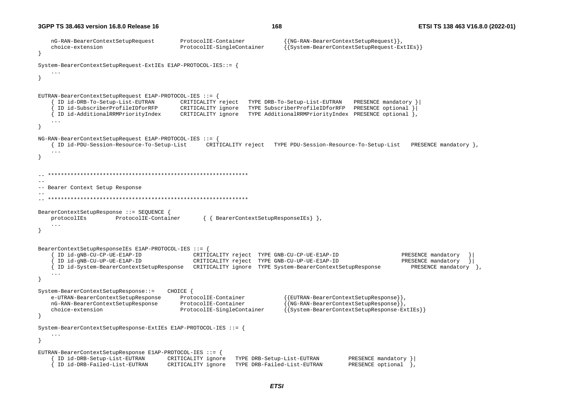```
 nG-RAN-BearerContextSetupRequest ProtocolIE-Container {{NG-RAN-BearerContextSetupRequest}}, 
     choice-extension ProtocolIE-SingleContainer {{System-BearerContextSetupRequest-ExtIEs}} 
} 
System-BearerContextSetupRequest-ExtIEs E1AP-PROTOCOL-IES::= { 
     ... } 
EUTRAN-BearerContextSetupRequest E1AP-PROTOCOL-IES ::= { 
      { ID id-DRB-To-Setup-List-EUTRAN CRITICALITY reject TYPE DRB-To-Setup-List-EUTRAN PRESENCE mandatory }| 
      { ID id-SubscriberProfileIDforRFP CRITICALITY ignore TYPE SubscriberProfileIDforRFP PRESENCE optional }| 
      { ID id-AdditionalRRMPriorityIndex CRITICALITY ignore TYPE AdditionalRRMPriorityIndex PRESENCE optional }, 
     ... } 
NG-RAN-BearerContextSetupRequest E1AP-PROTOCOL-IES ::= { 
     { ID id-PDU-Session-Resource-To-Setup-List CRITICALITY reject TYPE PDU-Session-Resource-To-Setup-List PRESENCE mandatory }, 
     ... } 
    -- ************************************************************** -- -- Bearer Context Setup Response 
-- 
-- ************************************************************** BearerContextSetupResponse ::= SEQUENCE { 
    protocolIEs ProtocolIE-Container { { BearerContextSetupResponseIEs} }, 
} 
BearerContextSetupResponseIEs E1AP-PROTOCOL-IES ::= { 
      { ID id-gNB-CU-CP-UE-E1AP-ID CRITICALITY reject TYPE GNB-CU-CP-UE-E1AP-ID PRESENCE mandatory }| 
      { ID id-gNB-CU-UP-UE-E1AP-ID CRITICALITY reject TYPE GNB-CU-UP-UE-E1AP-ID PRESENCE mandatory }| 
      { ID id-System-BearerContextSetupResponse CRITICALITY ignore TYPE System-BearerContextSetupResponse PRESENCE mandatory }, 
 ... } 
System-BearerContextSetupResponse::= CHOICE { 
   e-UTRAN-BearerContextSetupResponse ProtocolIE-Container {{EUTRAN-BearerContextSetupResponse}},<br>1G-RAN-BearerContextSetupResponse ProtocolIE-Container {{NG-RAN-BearerContextSetupResponse}},
                                          ProtocolIE-Container {NG-RAN-BearerContextSetupResponse},
     choice-extension ProtocolIE-SingleContainer {{System-BearerContextSetupResponse-ExtIEs}} 
} 
System-BearerContextSetupResponse-ExtIEs E1AP-PROTOCOL-IES ::= { 
 ... } 
EUTRAN-BearerContextSetupResponse E1AP-PROTOCOL-IES ::= { 
      { ID id-DRB-Setup-List-EUTRAN CRITICALITY ignore TYPE DRB-Setup-List-EUTRAN PRESENCE mandatory }| 
     { ID id-DRB-Failed-List-EUTRAN CRITICALITY ignore TYPE DRB-Failed-List-EUTRAN PRESENCE optional },
```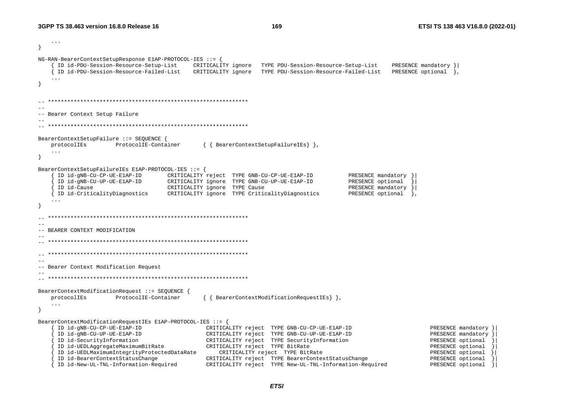```
 ... } 
NG-RAN-BearerContextSetupResponse E1AP-PROTOCOL-IES ::= { 
      { ID id-PDU-Session-Resource-Setup-List CRITICALITY ignore TYPE PDU-Session-Resource-Setup-List PRESENCE mandatory }| 
     { ID id-PDU-Session-Resource-Failed-List CRITICALITY ignore TYPE PDU-Session-Resource-Failed-List PRESENCE optional }, 
     ... } 
-- ************************************************************** -- -- Bearer Context Setup Failure 
-- 
-- ************************************************************** BearerContextSetupFailure ::= SEQUENCE { 
    protocolIEs ProtocolIE-Container { { BearerContextSetupFailureIEs} }, 
    ... } 
BearerContextSetupFailureIEs E1AP-PROTOCOL-IES ::= { 
      { ID id-gNB-CU-CP-UE-E1AP-ID CRITICALITY reject TYPE GNB-CU-CP-UE-E1AP-ID PRESENCE mandatory }| 
      { ID id-gNB-CU-UP-UE-E1AP-ID CRITICALITY ignore TYPE GNB-CU-UP-UE-E1AP-ID PRESENCE optional }| 
     ID id-Cause extending the CRITICALITY ignore TYPE Cause and the PRESENCE mandatory
     { ID id-CriticalityDiagnostics CRITICALITY ignore TYPE CriticalityDiagnostics PRESENCE optional }, 
     ... } 
  -- ************************************************************** -- -- BEARER CONTEXT MODIFICATION -- -- ************************************************************** -- ************************************************************** -- -- Bearer Context Modification Request 
-- -- ************************************************************** BearerContextModificationRequest ::= SEQUENCE { 
    protocolIEs ProtocolIE-Container { { BearerContextModificationRequestIEs} }, 
     ... } 
BearerContextModificationRequestIEs E1AP-PROTOCOL-IES ::= { 
      { ID id-gNB-CU-CP-UE-E1AP-ID CRITICALITY reject TYPE GNB-CU-CP-UE-E1AP-ID PRESENCE mandatory }| 
      { ID id-gNB-CU-UP-UE-E1AP-ID CRITICALITY reject TYPE GNB-CU-UP-UE-E1AP-ID PRESENCE mandatory }| 
     ID id-SecurityInformation CRITICALITY reject TYPE SecurityInformation PRESENCE optional
      { ID id-UEDLAggregateMaximumBitRate CRITICALITY reject TYPE BitRate PRESENCE optional }| 
     ID id-UEDLMaximumIntegrityProtectedDataRate CRITICALITY reject TYPE BitRate PRESENCE optional PRESENCE optional<br>ID id-BearerContextStatusChange PRESENCE optional CRITICALITY reject TYPE BearerContextStatusChange
                                                 CRITICALITY reject TYPE BearerContextStatusChange
      { ID id-New-UL-TNL-Information-Required CRITICALITY reject TYPE New-UL-TNL-Information-Required PRESENCE optional }|
```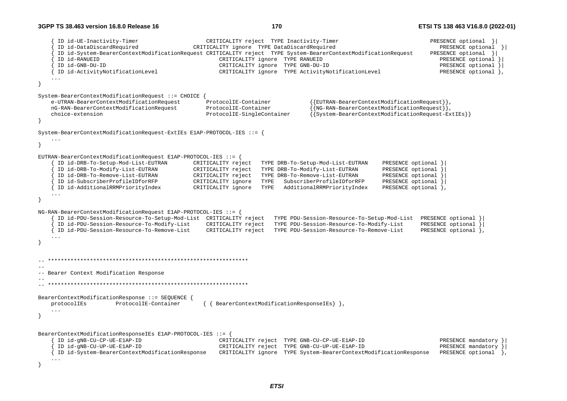{ ID id-UE-Inactivity-Timer CRITICALITY reject TYPE Inactivity-Timer PRESENCE optional }| { ID id-DataDiscardRequired CRITICALITY ignore TYPE DataDiscardRequired PRESENCE optional }| { ID id-System-BearerContextModificationRequest CRITICALITY reject TYPE System-BearerContextModificationRequest PRESENCE optional }| { ID id-RANUEID CRITICALITY ignore TYPE RANUEID PRESENCE optional }| { ID id-GNB-DU-ID CRITICALITY ignore TYPE GNB-DU-ID PRESENCE optional }| ID id-ActivityNotificationLevel CRITICALITY ignore TYPE ActivityNotificationLevel ... } System-BearerContextModificationRequest ::= CHOICE { e-UTRAN-BearerContextModificationRequest ProtocolIE-Container {{EUTRAN-BearerContextModificationRequest}}, nG-RAN-BearerContextModificationRequest ProtocolIE-Container {{NG-RAN-BearerContextModificationRequest}}, choice-extension ProtocolIE-SingleContainer {{System-BearerContextModificationRequest-ExtIEs}} } System-BearerContextModificationRequest-ExtIEs E1AP-PROTOCOL-IES ::= { ... } EUTRAN-BearerContextModificationRequest E1AP-PROTOCOL-IES ::= { { ID id-DRB-To-Setup-Mod-List-EUTRAN CRITICALITY reject TYPE DRB-To-Setup-Mod-List-EUTRAN PRESENCE optional }| { ID id-DRB-To-Modify-List-EUTRAN CRITICALITY reject TYPE DRB-To-Modify-List-EUTRAN PRESENCE optional }| { ID id-DRB-To-Remove-List-EUTRAN CRITICALITY reject TYPE DRB-To-Remove-List-EUTRAN PRESENCE optional }| { ID id-SubscriberProfileIDforRFP CRITICALITY ignore TYPE SubscriberProfileIDforRFP PRESENCE optional }| { ID id-AdditionalRRMPriorityIndex CRITICALITY ignore TYPE AdditionalRRMPriorityIndex PRESENCE optional }, ... } NG-RAN-BearerContextModificationRequest E1AP-PROTOCOL-IES ::= { { ID id-PDU-Session-Resource-To-Setup-Mod-List CRITICALITY reject TYPE PDU-Session-Resource-To-Setup-Mod-List PRESENCE optional }| { ID id-PDU-Session-Resource-To-Modify-List CRITICALITY reject TYPE PDU-Session-Resource-To-Modify-List PRESENCE optional }| CRITICALITY reject TYPE PDU-Session-Resource-To-Remove-List PRESENCE optional }, } -- \*\*\*\*\*\*\*\*\*\*\*\*\*\*\*\*\*\*\*\*\*\*\*\*\*\*\*\*\*\*\*\*\*\*\*\*\*\*\*\*\*\*\*\*\*\*\*\*\*\*\*\*\*\*\*\*\*\*\*\*\*\* -- -- Bearer Context Modification Response -- -- \*\*\*\*\*\*\*\*\*\*\*\*\*\*\*\*\*\*\*\*\*\*\*\*\*\*\*\*\*\*\*\*\*\*\*\*\*\*\*\*\*\*\*\*\*\*\*\*\*\*\*\*\*\*\*\*\*\*\*\*\*\* BearerContextModificationResponse ::= SEQUENCE { protocolIEs ProtocolIE-Container { { BearerContextModificationResponseIEs} }, } BearerContextModificationResponseIEs E1AP-PROTOCOL-IES ::= { { ID id-gNB-CU-CP-UE-E1AP-ID CRITICALITY reject TYPE GNB-CU-CP-UE-E1AP-ID PRESENCE mandatory }| { ID id-gNB-CU-UP-UE-E1AP-ID CRITICALITY reject TYPE GNB-CU-UP-UE-E1AP-ID PRESENCE mandatory }| { ID id-System-BearerContextModificationResponse CRITICALITY ignore TYPE System-BearerContextModificationResponse PRESENCE optional }, ... }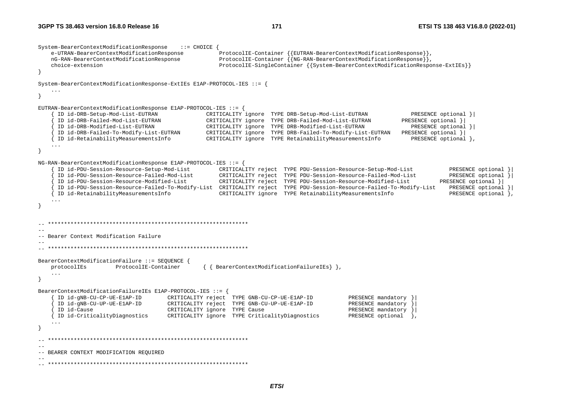System-BearerContextModificationResponse ::= CHOICE { e-UTRAN-BearerContextModificationResponse ProtocolIE-Container {{EUTRAN-BearerContextModificationResponse}}, nG-RAN-BearerContextModificationResponse ProtocolIE-Container {{NG-RAN-BearerContextModificationResponse}}, choice-extension ProtocolIE-SingleContainer {{System-BearerContextModificationResponse-ExtIEs}} } System-BearerContextModificationResponse-ExtIEs E1AP-PROTOCOL-IES ::= { ... } EUTRAN-BearerContextModificationResponse E1AP-PROTOCOL-IES ::= { { ID id-DRB-Setup-Mod-List-EUTRAN CRITICALITY ignore TYPE DRB-Setup-Mod-List-EUTRAN PRESENCE optional }| { ID id-DRB-Failed-Mod-List-EUTRAN CRITICALITY ignore TYPE DRB-Failed-Mod-List-EUTRAN PRESENCE optional }| { ID id-DRB-Modified-List-EUTRAN CRITICALITY ignore TYPE DRB-Modified-List-EUTRAN PRESENCE optional }| { ID id-DRB-Failed-To-Modify-List-EUTRAN CRITICALITY ignore TYPE DRB-Failed-To-Modify-List-EUTRAN PRESENCE optional }| { ID id-RetainabilityMeasurementsInfo CRITICALITY ignore TYPE RetainabilityMeasurementsInfo PRESENCE optional }, ... } NG-RAN-BearerContextModificationResponse E1AP-PROTOCOL-IES ::= { { ID id-PDU-Session-Resource-Setup-Mod-List CRITICALITY reject TYPE PDU-Session-Resource-Setup-Mod-List PRESENCE optional }| { ID id-PDU-Session-Resource-Failed-Mod-List CRITICALITY reject TYPE PDU-Session-Resource-Failed-Mod-List PRESENCE optional }| { ID id-PDU-Session-Resource-Modified-List CRITICALITY reject TYPE PDU-Session-Resource-Modified-List PRESENCE optional }| { ID id-PDU-Session-Resource-Failed-To-Modify-List CRITICALITY reject TYPE PDU-Session-Resource-Failed-To-Modify-List PRESENCE optional }| { ID id-RetainabilityMeasurementsInfo CRITICALITY ignore TYPE RetainabilityMeasurementsInfo PRESENCE optional }, ... } -- \*\*\*\*\*\*\*\*\*\*\*\*\*\*\*\*\*\*\*\*\*\*\*\*\*\*\*\*\*\*\*\*\*\*\*\*\*\*\*\*\*\*\*\*\*\*\*\*\*\*\*\*\*\*\*\*\*\*\*\*\*\* -- -- Bearer Context Modification Failure -- -- \*\*\*\*\*\*\*\*\*\*\*\*\*\*\*\*\*\*\*\*\*\*\*\*\*\*\*\*\*\*\*\*\*\*\*\*\*\*\*\*\*\*\*\*\*\*\*\*\*\*\*\*\*\*\*\*\*\*\*\*\*\* BearerContextModificationFailure ::= SEQUENCE { protocolIEs ProtocolIE-Container { { BearerContextModificationFailureIEs} }, ... } BearerContextModificationFailureIEs E1AP-PROTOCOL-IES ::= { { ID id-gNB-CU-CP-UE-E1AP-ID CRITICALITY reject TYPE GNB-CU-CP-UE-E1AP-ID PRESENCE mandatory }| CRITICALITY reject TYPE GNB-CU-UP-UE-E1AP-ID PRESENCE mandatory ID id-Cause external controllery ignore TYPE Cause and the CRITICALITY ignore TYPE Cause and the PRESENCE mandatory { ID id-CriticalityDiagnostics CRITICALITY ignore TYPE CriticalityDiagnostics PRESENCE optional }, ... } -- \*\*\*\*\*\*\*\*\*\*\*\*\*\*\*\*\*\*\*\*\*\*\*\*\*\*\*\*\*\*\*\*\*\*\*\*\*\*\*\*\*\*\*\*\*\*\*\*\*\*\*\*\*\*\*\*\*\*\*\*\*\* -- -- BEARER CONTEXT MODIFICATION REQUIRED -- -- \*\*\*\*\*\*\*\*\*\*\*\*\*\*\*\*\*\*\*\*\*\*\*\*\*\*\*\*\*\*\*\*\*\*\*\*\*\*\*\*\*\*\*\*\*\*\*\*\*\*\*\*\*\*\*\*\*\*\*\*\*\*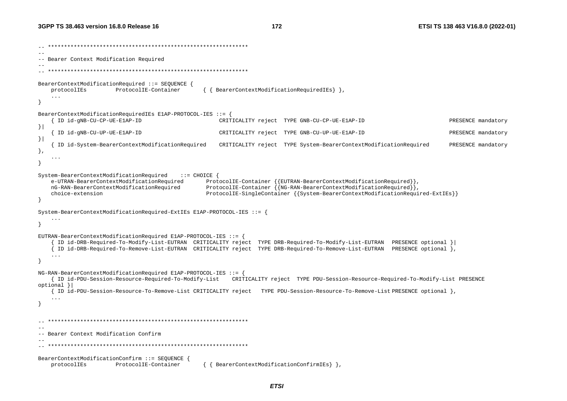```
-- ************************************************************** -- -- Bearer Context Modification Required 
-- 
-- ************************************************************** BearerContextModificationRequired ::= SEQUENCE { 
   protocolIEs ProtocolIE-Container { { BearerContextModificationRequiredIEs} },
     ... } 
BearerContextModificationRequiredIEs E1AP-PROTOCOL-IES ::= { 
      { ID id-gNB-CU-CP-UE-E1AP-ID CRITICALITY reject TYPE GNB-CU-CP-UE-E1AP-ID PRESENCE mandatory 
}| 
      { ID id-gNB-CU-UP-UE-E1AP-ID CRITICALITY reject TYPE GNB-CU-UP-UE-E1AP-ID PRESENCE mandatory 
}| 
     { ID id-System-BearerContextModificationRequired CRITICALITY reject TYPE System-BearerContextModificationRequired PRESENCE mandatory 
}, 
     ... } 
System-BearerContextModificationRequired ::= CHOICE { 
     e-UTRAN-BearerContextModificationRequired ProtocolIE-Container {{EUTRAN-BearerContextModificationRequired}}, 
    nG-RAN-BearerContextModificationRequired ProtocolIE-Container {{NG-RAN-BearerContextModificationRequired}}, 
     choice-extension ProtocolIE-SingleContainer {{System-BearerContextModificationRequired-ExtIEs}} 
} 
System-BearerContextModificationRequired-ExtIEs E1AP-PROTOCOL-IES ::= { 
 ... } 
EUTRAN-BearerContextModificationRequired E1AP-PROTOCOL-IES ::= { 
      { ID id-DRB-Required-To-Modify-List-EUTRAN CRITICALITY reject TYPE DRB-Required-To-Modify-List-EUTRAN PRESENCE optional }| 
      { ID id-DRB-Required-To-Remove-List-EUTRAN CRITICALITY reject TYPE DRB-Required-To-Remove-List-EUTRAN PRESENCE optional }, 
     ... } 
NG-RAN-BearerContextModificationRequired E1AP-PROTOCOL-IES ::= { 
     { ID id-PDU-Session-Resource-Required-To-Modify-List CRITICALITY reject TYPE PDU-Session-Resource-Required-To-Modify-List PRESENCE 
optional }| 
     { ID id-PDU-Session-Resource-To-Remove-List CRITICALITY reject TYPE PDU-Session-Resource-To-Remove-List PRESENCE optional }, 
     ... } 
    -- ************************************************************** -- -- Bearer Context Modification Confirm -- 
-- ************************************************************** BearerContextModificationConfirm ::= SEQUENCE { 
    protocolIEs ProtocolIE-Container { { BearerContextModificationConfirmIEs} },
```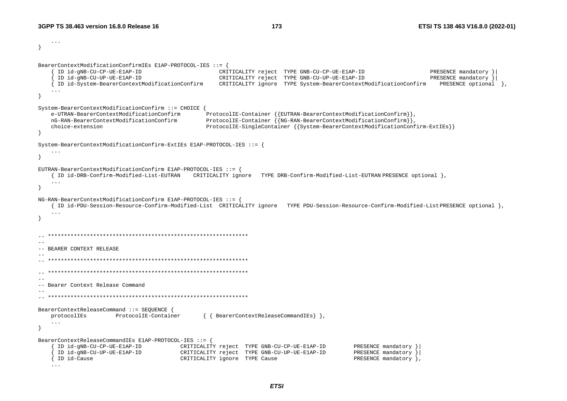... } BearerContextModificationConfirmIEs E1AP-PROTOCOL-IES ::= { { ID id-gNB-CU-CP-UE-E1AP-ID CRITICALITY reject TYPE GNB-CU-CP-UE-E1AP-ID PRESENCE mandatory }| CRITICALITY reject TYPE GNB-CU-UP-UE-E1AP-ID { ID id-System-BearerContextModificationConfirm CRITICALITY ignore TYPE System-BearerContextModificationConfirm PRESENCE optional }, ... } System-BearerContextModificationConfirm ::= CHOICE e-UTRAN-BearerContextModificationConfirm ProtocolIE-Container {{EUTRAN-BearerContextModificationConfirm}}, nG-RAN-BearerContextModificationConfirm ProtocolIE-Container {{NG-RAN-BearerContextModificationConfirm}}, choice-extension ProtocolIE-SingleContainer {{System-BearerContextModificationConfirm-ExtIEs}} } System-BearerContextModificationConfirm-ExtIEs E1AP-PROTOCOL-IES ::= { ... } EUTRAN-BearerContextModificationConfirm E1AP-PROTOCOL-IES ::= { { ID id-DRB-Confirm-Modified-List-EUTRAN CRITICALITY ignore TYPE DRB-Confirm-Modified-List-EUTRAN PRESENCE optional }, ... } NG-RAN-BearerContextModificationConfirm E1AP-PROTOCOL-IES ::= { { ID id-PDU-Session-Resource-Confirm-Modified-List CRITICALITY ignore TYPE PDU-Session-Resource-Confirm-Modified-List PRESENCE optional }, ... }  $\hspace{1.3cm} - \hspace{1.3cm} - \hspace{1.3cm}$  $-$ -- BEARER CONTEXT RELEASE -- -- \*\*\*\*\*\*\*\*\*\*\*\*\*\*\*\*\*\*\*\*\*\*\*\*\*\*\*\*\*\*\*\*\*\*\*\*\*\*\*\*\*\*\*\*\*\*\*\*\*\*\*\*\*\*\*\*\*\*\*\*\*\* -- \*\*\*\*\*\*\*\*\*\*\*\*\*\*\*\*\*\*\*\*\*\*\*\*\*\*\*\*\*\*\*\*\*\*\*\*\*\*\*\*\*\*\*\*\*\*\*\*\*\*\*\*\*\*\*\*\*\*\*\*\*\* -- -- Bearer Context Release Command -- -- \*\*\*\*\*\*\*\*\*\*\*\*\*\*\*\*\*\*\*\*\*\*\*\*\*\*\*\*\*\*\*\*\*\*\*\*\*\*\*\*\*\*\*\*\*\*\*\*\*\*\*\*\*\*\*\*\*\*\*\*\*\* BearerContextReleaseCommand ::= SEQUENCE { protocolIEs ProtocolIE-Container { { BearerContextReleaseCommandIEs} }, ... } BearerContextReleaseCommandIEs E1AP-PROTOCOL-IES ::= { { ID id-gNB-CU-CP-UE-E1AP-ID CRITICALITY reject TYPE GNB-CU-CP-UE-E1AP-ID PRESENCE mandatory }| { ID id-gNB-CU-UP-UE-E1AP-ID CRITICALITY reject TYPE GNB-CU-UP-UE-E1AP-ID PRESENCE mandatory }| CRITICALITY ignore TYPE Cause ...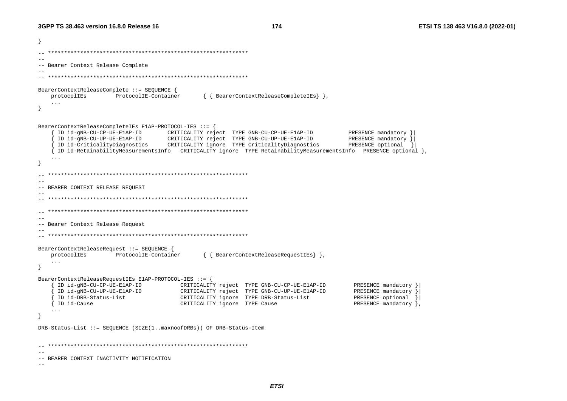174

ો  $-$ -- Bearer Context Release Complete BearerContextReleaseComplete ::= SEQUENCE { ProtocolIE-Container { { BearerContextReleaseCompleteIEs } }, protocolIEs  $\sim 10$  $\rightarrow$ BearerContextReleaseCompleteIEs E1AP-PROTOCOL-IES ::= { ID id-gNB-CU-CP-UE-E1AP-ID CRITICALITY reject TYPE GNB-CU-CP-UE-E1AP-ID PRESENCE mandatory } ID id-gNB-CU-UP-UE-E1AP-ID CRITICALITY reject TYPE GNB-CU-UP-UE-E1AP-ID PRESENCE mandatory } ID id-CriticalityDiagnostics CRITICALITY ignore TYPE CriticalityDiagnostics PRESENCE optional } { ID id-RetainabilityMeasurementsInfo CRITICALITY ignore TYPE RetainabilityMeasurementsInfo PRESENCE optional }  $\cdot$   $\cdot$   $\cdot$ -- BEARER CONTEXT RELEASE REOUEST  $\sim$   $-$ -- Bearer Context Release Request  $-$ BearerContextReleaseRequest ::= SEQUENCE { protocolIEs ProtocolIE-Container { { BearerContextReleaseRequestIEs } },  $\overline{1}$  $\rightarrow$ BearerContextReleaseRequestIEs E1AP-PROTOCOL-IES ::= { ID id-gNB-CU-CP-UE-E1AP-ID CRITICALITY reject TYPE GNB-CU-CP-UE-E1AP-ID PRESENCE mandatory } CRITICALITY reject TYPE GNB-CU-UP-UE-E1AP-ID ID id-gNB-CU-UP-UE-E1AP-ID PRESENCE mandatory } ID id-DRB-Status-List PRESENCE optional CRITICALITY ignore TYPE DRB-Status-List { ID id-Cause CRITICALITY ignore TYPE Cause PRESENCE mandatory  $\}$ ,  $\ldots$ DRB-Status-List ::= SEQUENCE (SIZE(1..maxnoofDRBs)) OF DRB-Status-Item  $-$ -- BEARER CONTEXT INACTIVITY NOTIFICATION  $\sim$   $-$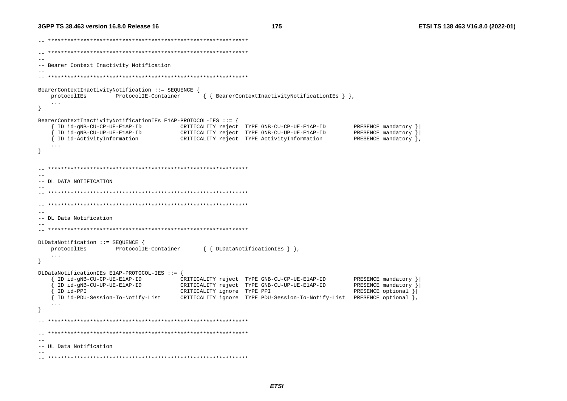175

 $-$ -- Bearer Context Inactivity Notification BearerContextInactivityNotification ::= SEQUENCE { ProtocolIE-Container { { BearerContextInactivityNotificationIEs } }, protocolIEs  $\sim$  .  $\sim$  $\rightarrow$ BearerContextInactivityNotificationIEs ElAP-PROTOCOL-IES ::= { ID id-gNB-CU-CP-UE-E1AP-ID CRITICALITY reject TYPE GNB-CU-CP-UE-E1AP-ID PRESENCE mandatory } ID id-gNB-CU-UP-UE-ElAP-ID CRITICALITY reject TYPE GNB-CU-UP-UE-E1AP-ID PRESENCE mandatory } PRESENCE mandatory }, { ID id-ActivityInformation CRITICALITY reject TYPE ActivityInformation - }  $-$ -- DL DATA NOTIFICATION  $-$ -- DL Data Notification DLDataNotification ::= SEQUENCE { protocolIEs ProtocolIE-Container { { DLDataNotificationIEs } },  $\ldots$  $\rightarrow$ DLDataNotificationIEs E1AP-PROTOCOL-IES ::= { ID id-gNB-CU-CP-UE-E1AP-ID CRITICALITY reject TYPE GNB-CU-CP-UE-E1AP-ID PRESENCE mandatory } ID id-qNB-CU-UP-UE-E1AP-ID CRITICALITY reject TYPE GNB-CU-UP-UE-E1AP-ID PRESENCE mandatory } ID id-PPI CRITICALITY ignore TYPE PPI PRESENCE optional } CRITICALITY ignore TYPE PDU-Session-To-Notify-List PRESENCE optional }, { ID id-PDU-Session-To-Notify-List  $-$ -- UL Data Notification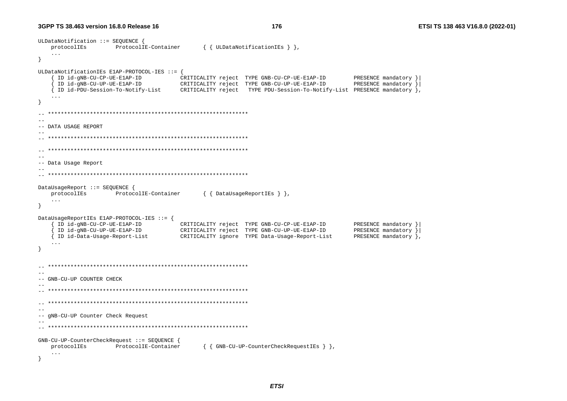176

```
ULDataNotification ::= SEOUENCE {
  protocolIEs
               ProtocolIE-Container
                                    { { ULDataNotificationIEs } },
   \sim \sim \sim\rightarrowULDataNotificationIEs E1AP-PROTOCOL-IES ::= {
    ID id-gNB-CU-CP-UE-ElAP-ID
                                                                      PRESENCE mandatory }
                               CRITICALITY reject TYPE GNB-CU-CP-UE-E1AP-ID
    ID id-gNB-CU-UP-UE-E1AP-ID
                               CRITICALITY reject TYPE GNB-CU-UP-UE-E1AP-ID
                                                                      PRESENCE mandatory }
   { ID id-PDU-Session-To-Notify-List
                               CRITICALITY reject TYPE PDU-Session-To-Notify-List PRESENCE mandatory },
   \ldots--- DATA USAGE REPORT
-\sim --- Data Usage Report
\sim -DataUsageReport ::= SEQUENCE {
  protocolIEs
                ProtocolIE-Container
                                    { { DataUsageReportIEs } },
   \ldots\overline{\mathbf{1}}DataUsageReportIEs E1AP-PROTOCOL-IES ::= {
    ID id-gNB-CU-CP-UE-E1AP-ID
                               CRITICALITY reject TYPE GNB-CU-CP-UE-E1AP-ID
                                                                      PRESENCE mandatory }
    ID id-gNB-CU-UP-UE-ElAP-ID
                                                                      PRESENCE mandatory }
                               CRITICALITY reject TYPE GNB-CU-UP-UE-E1AP-ID
   { ID id-Data-Usage-Report-List
                               CRITICALITY ignore TYPE Data-Usage-Report-List
                                                                      PRESENCE mandatory },
   \sim \sim \sim--- GNB-CU-UP COUNTER CHECK
\sim -\sim --- gNB-CU-UP Counter Check Request
GNB-CU-UP-CounterCheckRequest ::= SEOUENCE {
                ProtocolIE-Container
                                    { { GNB-CU-UP-CounterCheckRequestIEs } },
  protocolIEs
   \ddots
```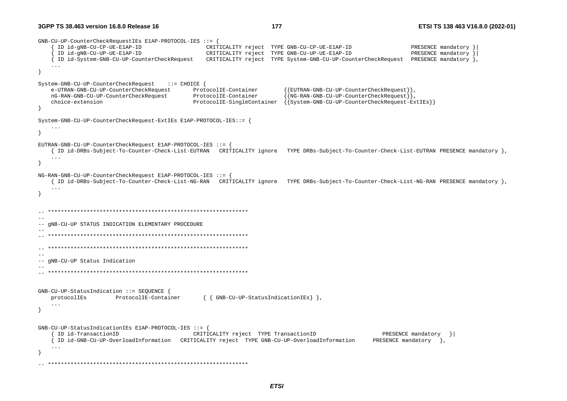GNB-CU-UP-CounterCheckRequestIEs E1AP-PROTOCOL-IES ::= { { ID id-gNB-CU-CP-UE-E1AP-ID CRITICALITY reject TYPE GNB-CU-CP-UE-E1AP-ID PRESENCE mandatory }| { ID id-gNB-CU-UP-UE-E1AP-ID CRITICALITY reject TYPE GNB-CU-UP-UE-E1AP-ID PRESENCE mandatory }| { ID id-System-GNB-CU-UP-CounterCheckRequest CRITICALITY reject TYPE System-GNB-CU-UP-CounterCheckRequest PRESENCE mandatory }, ... } System-GNB-CU-UP-CounterCheckRequest ::= CHOICE { e-UTRAN-GNB-CU-UP-CounterCheckRequest ProtocolIE-Container {{EUTRAN-GNB-CU-UP-CounterCheckRequest}}, nG-RAN-GNB-CU-UP-CounterCheckRequest ProtocolIE-Container {{NG-RAN-GNB-CU-UP-CounterCheckRequest}}, choice-extension ProtocolIE-SingleContainer {{System-GNB-CU-UP-CounterCheckRequest-ExtIEs}} } System-GNB-CU-UP-CounterCheckRequest-ExtIEs E1AP-PROTOCOL-IES::= { ... } EUTRAN-GNB-CU-UP-CounterCheckRequest E1AP-PROTOCOL-IES ::= { { ID id-DRBs-Subject-To-Counter-Check-List-EUTRAN CRITICALITY ignore TYPE DRBs-Subject-To-Counter-Check-List-EUTRAN PRESENCE mandatory }, ... } NG-RAN-GNB-CU-UP-CounterCheckRequest E1AP-PROTOCOL-IES ::= { { ID id-DRBs-Subject-To-Counter-Check-List-NG-RAN CRITICALITY ignore TYPE DRBs-Subject-To-Counter-Check-List-NG-RAN PRESENCE mandatory }, ... } -- \*\*\*\*\*\*\*\*\*\*\*\*\*\*\*\*\*\*\*\*\*\*\*\*\*\*\*\*\*\*\*\*\*\*\*\*\*\*\*\*\*\*\*\*\*\*\*\*\*\*\*\*\*\*\*\*\*\*\*\*\*\* -- -- gNB-CU-UP STATUS INDICATION ELEMENTARY PROCEDURE -- -- \*\*\*\*\*\*\*\*\*\*\*\*\*\*\*\*\*\*\*\*\*\*\*\*\*\*\*\*\*\*\*\*\*\*\*\*\*\*\*\*\*\*\*\*\*\*\*\*\*\*\*\*\*\*\*\*\*\*\*\*\*\* -- \*\*\*\*\*\*\*\*\*\*\*\*\*\*\*\*\*\*\*\*\*\*\*\*\*\*\*\*\*\*\*\*\*\*\*\*\*\*\*\*\*\*\*\*\*\*\*\*\*\*\*\*\*\*\*\*\*\*\*\*\*\*  $-$ -- gNB-CU-UP Status Indication -- -- \*\*\*\*\*\*\*\*\*\*\*\*\*\*\*\*\*\*\*\*\*\*\*\*\*\*\*\*\*\*\*\*\*\*\*\*\*\*\*\*\*\*\*\*\*\*\*\*\*\*\*\*\*\*\*\*\*\*\*\*\*\* GNB-CU-UP-StatusIndication ::= SEQUENCE { protocolIEs ProtocolIE-Container { { GNB-CU-UP-StatusIndicationIEs} }, ... } GNB-CU-UP-StatusIndicationIEs E1AP-PROTOCOL-IES ::= { { ID id-TransactionID CRITICALITY reject TYPE TransactionID PRESENCE mandatory }| { ID id-GNB-CU-UP-OverloadInformation CRITICALITY reject TYPE GNB-CU-UP-OverloadInformation ... } -- \*\*\*\*\*\*\*\*\*\*\*\*\*\*\*\*\*\*\*\*\*\*\*\*\*\*\*\*\*\*\*\*\*\*\*\*\*\*\*\*\*\*\*\*\*\*\*\*\*\*\*\*\*\*\*\*\*\*\*\*\*\*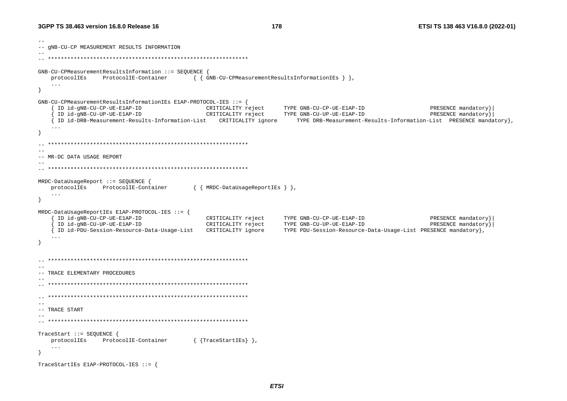```
\sim \sim-- GNB-CU-CP MEASUREMENT RESULTS INFORMATION
GNB-CU-CPMeasurementResultsInformation ::= SEQUENCE {
   protocolIEs
               ProtocolIE-Container
                                     { { GNB-CU-CPMeasurementResultsInformationIEs } },
   \ldots\rightarrowGNB-CU-CPMeasurementResultsInformationIEs E1AP-PROTOCOL-IES ::= {
    ID id-gNB-CU-CP-UE-E1AP-ID
                                      CRITICALITY reject
                                                        TYPE GNB-CU-CP-UE-E1AP-ID
                                                                                              PRESENCE mandatory}
                                                       TYPE GNB-CU-UP-UE-E1AP-ID
    ID id-gNB-CU-UP-UE-E1AP-ID
                                       CRITICALITY reject
                                                                                              PRESENCE mandatory}
   { ID id-DRB-Measurement-Results-Information-List CRITICALITY ignore
                                                              TYPE DRB-Measurement-Results-Information-List PRESENCE mandatory},
   \overline{1}\overline{\mathbf{1}}\sim \sim-- MR-DC DATA USAGE REPORT
- -MRDC-DataUsageReport ::= SEQUENCE {
   protocolIEs ProtocolIE-Container
                                     { { MRDC-DataUsageReportIEs } },
   \sim \sim \sim\rightarrowMRDC-DataUsageReportIEs E1AP-PROTOCOL-IES ::= {
   { ID id-qNB-CU-CP-UE-E1AP-ID
                                        CRITICALITY reject
                                                        TYPE GNB-CU-CP-UE-E1AP-ID
                                                                                              PRESENCE mandatory}
    ID id-gNB-CU-UP-UE-E1AP-ID
                                        CRITICALITY reject
                                                           TYPE GNB-CU-UP-UE-E1AP-ID
                                                                                              PRESENCE mandatory}
   { ID id-PDU-Session-Resource-Data-Usage-List CRITICALITY ignore
                                                        TYPE PDU-Session-Resource-Data-Usage-List PRESENCE mandatory},
   \cdot .
\rightarrow--- TRACE ELEMENTARY PROCEDURES
\sim \sim--- TRACE START
-TraceStart ::= SEQUENCE {
   protocolIEs ProtocolIE-Container
                                     { {TraceStartIEs} },
   \mathbf{1}\rightarrowTraceStartIEs E1AP-PROTOCOL-IES ::= {
```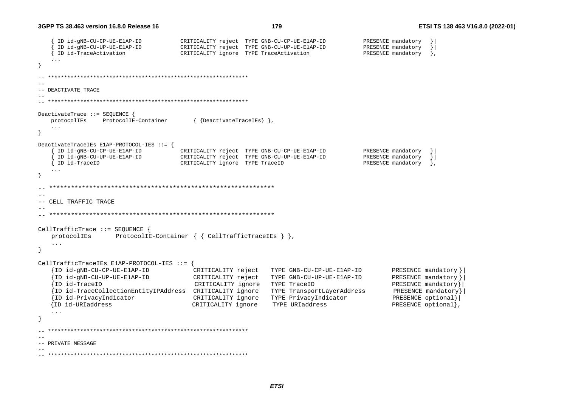```
 { ID id-gNB-CU-CP-UE-E1AP-ID CRITICALITY reject TYPE GNB-CU-CP-UE-E1AP-ID PRESENCE mandatory }| 
     { ID id-gNB-CU-UP-UE-E1AP-ID CRITICALITY reject TYPE GNB-CU-UP-UE-E1AP-ID PRESENCE mandatory }| 
     { ID id-TraceActivation CRITICALITY ignore TYPE TraceActivation PRESENCE mandatory }, 
 ... } 
  -- ************************************************************** -- -- DEACTIVATE TRACE -- -- ************************************************************** DeactivateTrace ::= SEQUENCE { 
    protocolIEs ProtocolIE-Container { {DeactivateTraceIEs} }, 
    ... } 
DeactivateTraceIEs E1AP-PROTOCOL-IES ::= { 
     { ID id-gNB-CU-CP-UE-E1AP-ID CRITICALITY reject TYPE GNB-CU-CP-UE-E1AP-ID PRESENCE mandatory }| 
     { ID id-gNB-CU-UP-UE-E1AP-ID CRITICALITY reject TYPE GNB-CU-UP-UE-E1AP-ID PRESENCE mandatory }| 
    { ID id-TraceID CRITICALITY ignore TYPE TraceID PRESENCE mandatory }, 
    ... } 
  -- ************************************************************** -- -- CELL TRAFFIC TRACE -- -- ************************************************************** CellTrafficTrace ::= SEQUENCE { 
   protocolIEs ProtocolIE-Container { { CellTrafficTraceIEs } }, 
   ... } 
CellTrafficTraceIEs E1AP-PROTOCOL-IES ::= { 
    {ID id-gNB-CU-CP-UE-E1AP-ID CRITICALITY reject TYPE GNB-CU-CP-UE-E1AP-ID PRESENCE mandatory }| 
    {ID id-gNB-CU-UP-UE-E1AP-ID CRITICALITY reject TYPE GNB-CU-UP-UE-E1AP-ID PRESENCE mandatory }| 
    {ID id-TraceID CRITICALITY ignore TYPE TraceID PRESENCE mandatory}| 
    {ID id-TraceCollectionEntityIPAddress CRITICALITY ignore TYPE TransportLayerAddress PRESENCE mandatory }| 
    {ID id-PrivacyIndicator CRITICALITY ignore TYPE PrivacyIndicator PRESENCE optional}| 
   {ID id-URIaddress CRITICALITY ignore TYPE URIaddress PRESENCE optional}, 
    ... } 
   -- ************************************************************** -- -- PRIVATE MESSAGE -- 
-- **************************************************************
```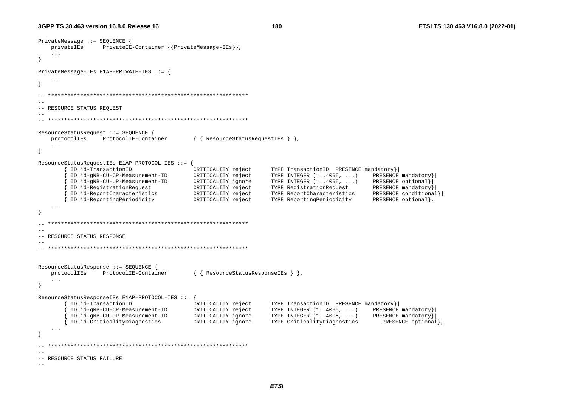```
PrivateMessage ::= SEQUENCE { 
    privateIEs PrivateIE-Container {{PrivateMessage-IEs}}, 
    ... } 
PrivateMessage-IEs E1AP-PRIVATE-IES ::= { 
 ... } 
  -- ************************************************************** --- RESOURCE STATUS REQUEST 
-- -- ************************************************************** ResourceStatusRequest ::= SEQUENCE { 
    protocolIEs ProtocolIE-Container { { ResourceStatusRequestIEs } }, 
    ... } 
ResourceStatusRequestIEs E1AP-PROTOCOL-IES ::= { 
         { ID id-TransactionID CRITICALITY reject TYPE TransactionID PRESENCE mandatory}| 
          { ID id-gNB-CU-CP-Measurement-ID CRITICALITY reject TYPE INTEGER (1..4095, ...) PRESENCE mandatory}| 
          { ID id-gNB-CU-UP-Measurement-ID CRITICALITY ignore TYPE INTEGER (1..4095, ...) PRESENCE optional}| 
         { ID id-RegistrationRequest CRITICALITY reject TYPE RegistrationRequest PRESENCE mandatory}| 
        { ID id-ReportCharacteristics CRITICALITY reject TYPE ReportCharacteristics PRESENCE conditional}| 
         { ID id-ReportingPeriodicity CRITICALITY reject TYPE ReportingPeriodicity PRESENCE optional}, 
    ... } 
  -- ************************************************************** --- RESOURCE STATUS RESPONSE -- 
-- ************************************************************** ResourceStatusResponse ::= SEQUENCE<br>protocolIEs ProtocolIE-Conta
                ProtocolIE-Container \{ \{ ResourceStatusResponseIEs \},
    ... } 
ResourceStatusResponseIEs E1AP-PROTOCOL-IES ::= { 
         { ID id-TransactionID CRITICALITY reject TYPE TransactionID PRESENCE mandatory}| 
          { ID id-gNB-CU-CP-Measurement-ID CRITICALITY reject TYPE INTEGER (1..4095, ...) PRESENCE mandatory}| 
         { ID id-gNB-CU-UP-Measurement-ID CRITICALITY ignore TYPE INTEGER (1..4095, ...) PRESENCE mandatory}| 
        { ID id-CriticalityDiagnostics CRITICALITY ignore TYPE CriticalityDiagnostics PRESENCE optional}, 
    ... } 
\hspace{1.3cm} - \hspace{1.3cm} - \hspace{1.3cm}--- RESOURCE STATUS FAILURE
-
```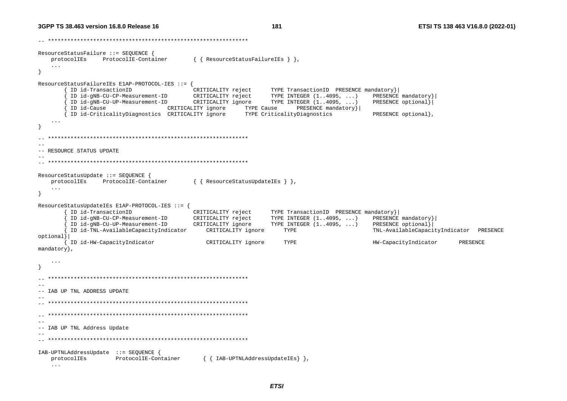```
-- ************************************************************** ResourceStatusFailure ::= SEQUENCE { 
    protocolIEs ProtocolIE-Container { { ResourceStatusFailureIEs } }, 
 ... 
} 
ResourceStatusFailureIEs E1AP-PROTOCOL-IES ::= { 
        { ID id-TransactionID CRITICALITY reject TYPE TransactionID PRESENCE mandatory}| 
         { ID id-gNB-CU-CP-Measurement-ID CRITICALITY reject TYPE INTEGER (1..4095, ...) PRESENCE mandatory}| 
        ID id-gNB-CU-UP-Measurement-ID CRITICALITY ignore TYPE INTEGER (1..4095, ...)
        { ID id-Cause CRITICALITY ignore TYPE Cause PRESENCE mandatory}| 
        { ID id-CriticalityDiagnostics CRITICALITY ignore TYPE CriticalityDiagnostics PRESENCE optional}, 
    ... } 
  -- ************************************************************** -- -- RESOURCE STATUS UPDATE -- -- ************************************************************** ResourceStatusUpdate ::= SEQUENCE { 
    protocolIEs ProtocolIE-Container { { ResourceStatusUpdateIEs } }, 
    ... } 
ResourceStatusUpdateIEs E1AP-PROTOCOL-IES ::= { 
         { ID id-TransactionID CRITICALITY reject TYPE TransactionID PRESENCE mandatory}| 
        ID id-gNB-CU-CP-Measurement-ID CRITICALITY reject
         { ID id-gNB-CU-UP-Measurement-ID CRITICALITY ignore TYPE INTEGER (1..4095, ...) PRESENCE optional}| 
         { ID id-TNL-AvailableCapacityIndicator CRITICALITY ignore TYPE TNL-AvailableCapacityIndicator PRESENCE 
optional}| 
        ID id-HW-CapacityIndicator CRITICALITY ignore TYPE HW-CapacityIndicator PRESENCE
mandatory}, 
    ... } 
  -- ************************************************************** -- -- IAB UP TNL ADDRESS UPDATE -- -- ************************************************************** -- ************************************************************** -- -- IAB UP TNL Address Update 
-- 
-- ************************************************************** IAB-UPTNLAddressUpdate ::= SEQUENCE { 
    protocolIEs ProtocolIE-Container { { IAB-UPTNLAddressUpdateIEs} }, 
    ...
```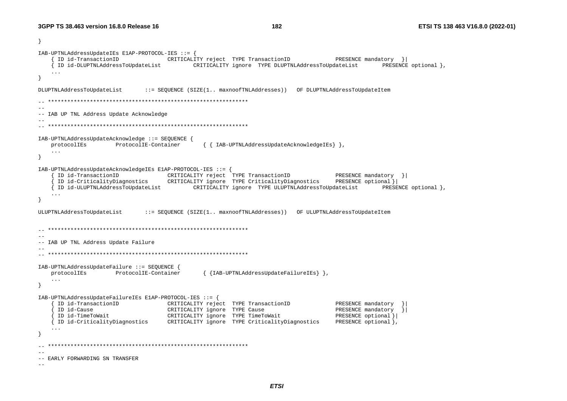```
} 
IAB-UPTNLAddressUpdateIEs E1AP-PROTOCOL-IES ::= { 
      { ID id-TransactionID CRITICALITY reject TYPE TransactionID PRESENCE mandatory }| 
    { ID id-DLUPTNLAddressToUpdateList CRITICALITY ignore TYPE DLUPTNLAddressToUpdateList PRESENCE optional }, 
    ... } 
DLUPTNLAddressToUpdateList ::= SEQUENCE (SIZE(1.. maxnoofTNLAddresses)) OF DLUPTNLAddressToUpdateItem 
-- ************************************************************** -- -- IAB UP TNL Address Update Acknowledge 
-- 
-- ************************************************************** IAB-UPTNLAddressUpdateAcknowledge ::= SEQUENCE { 
                    ProtocolIE-Container { { IAB-UPTNLAddressUpdateAcknowledgeIEs } },
    ... } 
IAB-UPTNLAddressUpdateAcknowledgeIEs E1AP-PROTOCOL-IES ::= { 
      { ID id-TransactionID CRITICALITY reject TYPE TransactionID PRESENCE mandatory }| 
      { ID id-CriticalityDiagnostics CRITICALITY ignore TYPE CriticalityDiagnostics PRESENCE optional }| 
      { ID id-ULUPTNLAddressToUpdateList CRITICALITY ignore TYPE ULUPTNLAddressToUpdateList PRESENCE optional }, 
    ... } 
ULUPTNLAddressToUpdateList ::= SEQUENCE (SIZE(1.. maxnoofTNLAddresses)) OF ULUPTNLAddressToUpdateItem 
-- ************************************************************** -- -- IAB UP TNL Address Update Failure 
-- 
-- ************************************************************** IAB-UPTNLAddressUpdateFailure ::= SEQUENCE { 
    protocolIEs ProtocolIE-Container { {IAB-UPTNLAddressUpdateFailureIEs} }, 
    ... } 
IAB-UPTNLAddressUpdateFailureIEs E1AP-PROTOCOL-IES ::= { 
      { ID id-TransactionID CRITICALITY reject TYPE TransactionID PRESENCE mandatory }| 
     ID id-Cause CRITICALITY ignore TYPE Cause PRESENCE mandatory
      { ID id-TimeToWait CRITICALITY ignore TYPE TimeToWait PRESENCE optional }| 
    { ID id-CriticalityDiagnostics CRITICALITY ignore TYPE CriticalityDiagnostics PRESENCE optional }, 
    ... } 
\hspace{1.3cm} - \hspace{1.3cm} - \hspace{1.3cm}-- -- EARLY FORWARDING SN TRANSFER -
```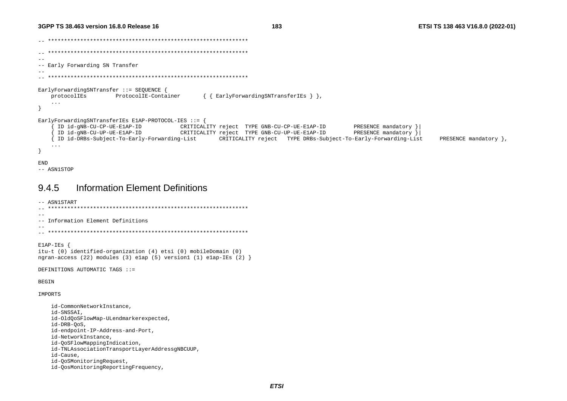```
-- ************************************************************** -- ************************************************************** -- -- Early Forwarding SN Transfer 
-- 
-- ************************************************************** EarlyForwardingSNTransfer ::= SEQUENCE { 
    protocolIEs ProtocolIE-Container { { EarlyForwardingSNTransferIEs } }, 
     ... } 
EarlyForwardingSNTransferIEs E1AP-PROTOCOL-IES ::= { 
      { ID id-gNB-CU-CP-UE-E1AP-ID CRITICALITY reject TYPE GNB-CU-CP-UE-E1AP-ID PRESENCE mandatory }| 
      { ID id-gNB-CU-UP-UE-E1AP-ID CRITICALITY reject TYPE GNB-CU-UP-UE-E1AP-ID PRESENCE mandatory }| 
      { ID id-DRBs-Subject-To-Early-Forwarding-List CRITICALITY reject TYPE DRBs-Subject-To-Early-Forwarding-List PRESENCE mandatory }, 
     ... } 
END
```
-- ASN1STOP

id-Cause,

id-QoSMonitoringRequest,

id-QosMonitoringReportingFrequency,

# 9.4.5 Information Element Definitions

```
-- ASN1START 
-- ************************************************************** -- -- Information Element Definitions -- 
-- ************************************************************** E1AP-IEs { 
itu-t (0) identified-organization (4) etsi (0) mobileDomain (0) 
ngran-access (22) modules (3) e1ap (5) version1 (1) e1ap-IEs (2) } 
DEFINITIONS AUTOMATIC TAGS ::= BEGIN IMPORTS  id-CommonNetworkInstance, 
     id-SNSSAI, 
     id-OldQoSFlowMap-ULendmarkerexpected, 
     id-DRB-QoS, 
     id-endpoint-IP-Address-and-Port, 
     id-NetworkInstance, 
     id-QoSFlowMappingIndication, 
     id-TNLAssociationTransportLayerAddressgNBCUUP,
```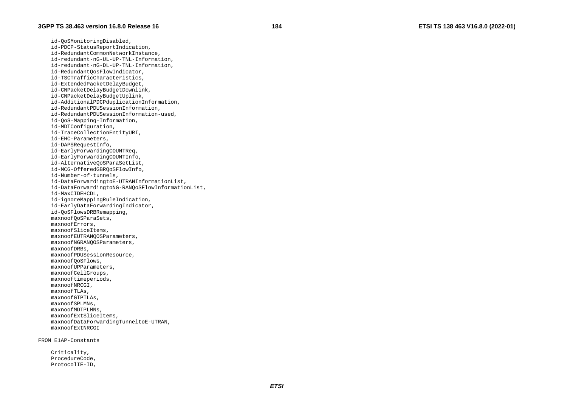id-QoSMonitoringDisabled, id-PDCP-StatusReportIndication, id-RedundantCommonNetworkInstance, id-redundant-nG-UL-UP-TNL-Information, id-redundant-nG-DL-UP-TNL-Information, id-RedundantQosFlowIndicator, id-TSCTrafficCharacteristics, id-ExtendedPacketDelayBudget, id-CNPacketDelayBudgetDownlink, id-CNPacketDelayBudgetUplink, id-AdditionalPDCPduplicationInformation, id-RedundantPDUSessionInformation, id-RedundantPDUSessionInformation-used, id-QoS-Mapping-Information, id-MDTConfiguration, id-TraceCollectionEntityURI, id-EHC-Parameters, id-DAPSRequestInfo, id-EarlyForwardingCOUNTReq, id-EarlyForwardingCOUNTInfo, id-AlternativeQoSParaSetList, id-MCG-OfferedGBRQoSFlowInfo, id-Number-of-tunnels, id-DataForwardingtoE-UTRANInformationList, id-DataForwardingtoNG-RANQoSFlowInformationList, id-MaxCIDEHCDL, id-ignoreMappingRuleIndication, id-EarlyDataForwardingIndicator, id-QoSFlowsDRBRemapping, maxnoofQoSParaSets, maxnoofErrors, maxnoofSliceItems, maxnoofEUTRANQOSParameters, maxnoofNGRANQOSParameters, maxnoofDRBs, maxnoofPDUSessionResource, maxnoofQoSFlows, maxnoofUPParameters, maxnoofCellGroups, maxnooftimeperiods, maxnoofNRCGI, maxnoofTLAs, maxnoofGTPTLAs, maxnoofSPLMNs, maxnoofMDTPLMNs, maxnoofExtSliceItems, maxnoofDataForwardingTunneltoE-UTRAN, maxnoofExtNRCGI

### FROM E1AP-Constants

 Criticality, ProcedureCode, ProtocolIE-ID,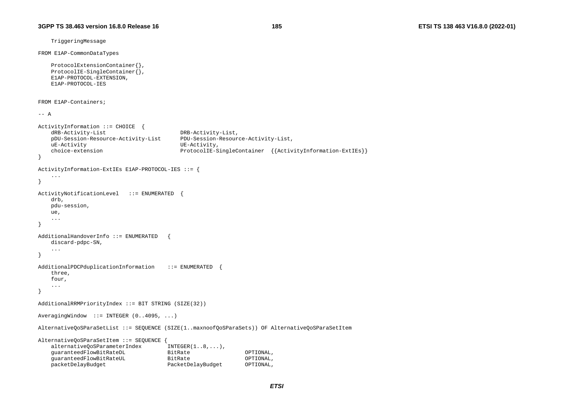TriggeringMessage

```
FROM E1AP-CommonDataTypes
```

```
 ProtocolExtensionContainer{}, 
ProtocolIE-SingleContainer{},
 E1AP-PROTOCOL-EXTENSION, 
 E1AP-PROTOCOL-IES
```
FROM E1AP-Containers;

 $--- A$ 

```
ActivityInformation ::= CHOICE { 
    dRB-Activity-List DRB-Activity-List, 
    pDU-Session-Resource-Activity-List PDU-Session-Resource-Activity-List, 
    uE-Activity UE-Activity, 
    choice-extension ProtocolIE-SingleContainer {{ActivityInformation-ExtIEs}} 
} 
ActivityInformation-ExtIEs E1AP-PROTOCOL-IES ::= { 
     ... } 
ActivityNotificationLevel ::= ENUMERATED { 
    drb, 
    pdu-session, 
    ue, 
    ... } 
AdditionalHandoverInfo ::= ENUMERATED { 
    discard-pdpc-SN, 
 ... 
} 
AdditionalPDCPduplicationInformation ::= ENUMERATED
    three, 
    four, 
 ... 
} 
AdditionalRRMPriorityIndex ::= BIT STRING (SIZE(32)) 
AveragingWindow ::= INTEGER (0..4095, ...) 
AlternativeQoSParaSetList ::= SEQUENCE (SIZE(1..maxnoofQoSParaSets)) OF AlternativeQoSParaSetItem 
AlternativeQoSParaSetItem ::= SEQUENCE { 
   alternativeQoSParameterIndex INTEGER(1..8,...),
    guaranteedFlowBitRateDL BitRate OPTIONAL, 
    guaranteedFlowBitRateUL BitRate OPTIONAL, 
    packetDelayBudget PacketDelayBudget OPTIONAL,
```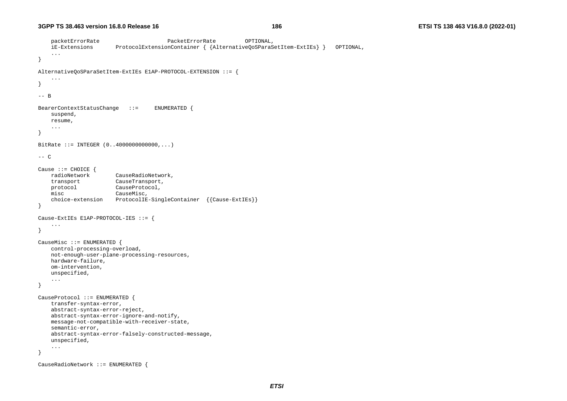```
 packetErrorRate PacketErrorRate OPTIONAL, 
     iE-Extensions ProtocolExtensionContainer { {AlternativeQoSParaSetItem-ExtIEs} } OPTIONAL, 
     ... } 
AlternativeQoSParaSetItem-ExtIEs E1AP-PROTOCOL-EXTENSION ::= { 
     ... } 
-- B BearerContextStatusChange ::= ENUMERATED { 
     suspend, 
    resume, 
     ... } 
BitRate ::= INTEGER (0..4000000000000,...) 
--- CCause ::= CHOICE { 
                        CauseRadioNetwork,
     transport CauseTransport, 
    protocol CauseProtocol, 
     misc CauseMisc, 
     choice-extension ProtocolIE-SingleContainer {{Cause-ExtIEs}} 
} 
Cause-ExtIEs E1AP-PROTOCOL-IES ::= { 
     ... } 
CauseMisc ::= ENUMERATED { 
     control-processing-overload, 
     not-enough-user-plane-processing-resources, 
    hardware-failure, 
     om-intervention, 
     unspecified, 
     ... } 
CauseProtocol ::= ENUMERATED { 
     transfer-syntax-error, 
     abstract-syntax-error-reject, 
     abstract-syntax-error-ignore-and-notify, 
     message-not-compatible-with-receiver-state, 
     semantic-error, 
     abstract-syntax-error-falsely-constructed-message, 
     unspecified, 
     ... } 
CauseRadioNetwork ::= ENUMERATED {
```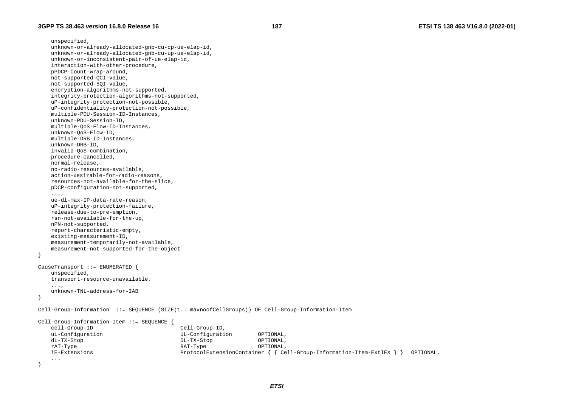unspecified, unknown-or-already-allocated-gnb-cu-cp-ue-e1ap-id, unknown-or-already-allocated-gnb-cu-up-ue-e1ap-id, unknown-or-inconsistent-pair-of-ue-e1ap-id, interaction-with-other-procedure, pPDCP-Count-wrap-around, not-supported-QCI-value, not-supported-5QI-value, encryption-algorithms-not-supported, integrity-protection-algorithms-not-supported, uP-integrity-protection-not-possible, uP-confidentiality-protection-not-possible, multiple-PDU-Session-ID-Instances, unknown-PDU-Session-ID, multiple-QoS-Flow-ID-Instances, unknown-QoS-Flow-ID, multiple-DRB-ID-Instances, unknown-DRB-ID, invalid-QoS-combination, procedure-cancelled, normal-release, no-radio-resources-available, action-desirable-for-radio-reasons, resources-not-available-for-the-slice, pDCP-configuration-not-supported, ..., ue-dl-max-IP-data-rate-reason, uP-integrity-protection-failure, release-due-to-pre-emption, rsn-not-available-for-the-up, nPN-not-supported, report-characteristic-empty, existing-measurement-ID, measurement-temporarily-not-available, measurement-not-supported-for-the-object } CauseTransport ::= ENUMERATED { unspecified, transport-resource-unavailable, ..., unknown-TNL-address-for-IAB } Cell-Group-Information ::= SEQUENCE (SIZE(1.. maxnoofCellGroups)) OF Cell-Group-Information-Item Cell-Group-Information-Item ::= SEQUENCE { cell-Group-ID Cell-Group-ID, uL-Configuration UL-Configuration OPTIONAL, dL-TX-Stop DL-TX-Stop OPTIONAL, rAT-Type RAT-Type OPTIONAL, iE-Extensions ProtocolExtensionContainer { { Cell-Group-Information-Item-ExtIEs } } OPTIONAL, ... }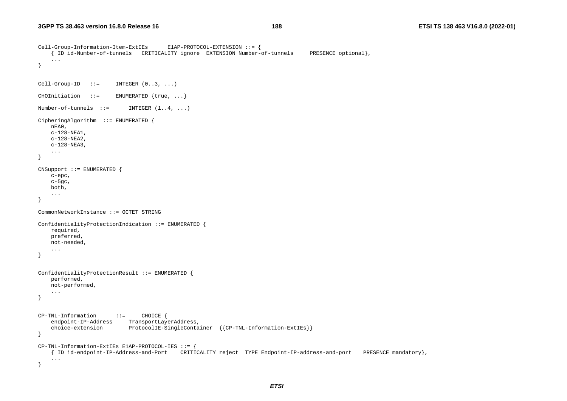```
Cell-Group-Information-Item-ExtIEs E1AP-PROTOCOL-EXTENSION ::= { 
     { ID id-Number-of-tunnels CRITICALITY ignore EXTENSION Number-of-tunnels PRESENCE optional}, 
     ... } 
Cell-Group-ID ::= INTEGER (0..3, ...)CHOInitiation ::= ENUMERATED {true, ...}
Number-of-tunnels ::= INTEGER (1..4, ...)CipheringAlgorithm ::= ENUMERATED { 
    nEA0, 
     c-128-NEA1, 
     c-128-NEA2, 
     c-128-NEA3, 
     ... } 
CNSupport ::= ENUMERATED { 
     c-epc, 
     c-5gc, 
    both, 
 ... 
} 
CommonNetworkInstance ::= OCTET STRING ConfidentialityProtectionIndication ::= ENUMERATED required, 
    preferred, 
    not-needed, 
     ... } 
ConfidentialityProtectionResult ::= ENUMERATED { 
     performed, 
    not-performed, 
     ... } 
CP-TNL-Information ::= CHOICE { 
    endpoint-IP-Address TransportLayerAddress,
     choice-extension ProtocolIE-SingleContainer {{CP-TNL-Information-ExtIEs}} 
} 
CP-TNL-Information-ExtIEs E1AP-PROTOCOL-IES ::= { 
     { ID id-endpoint-IP-Address-and-Port CRITICALITY reject TYPE Endpoint-IP-address-and-port PRESENCE mandatory}, 
     ... }
```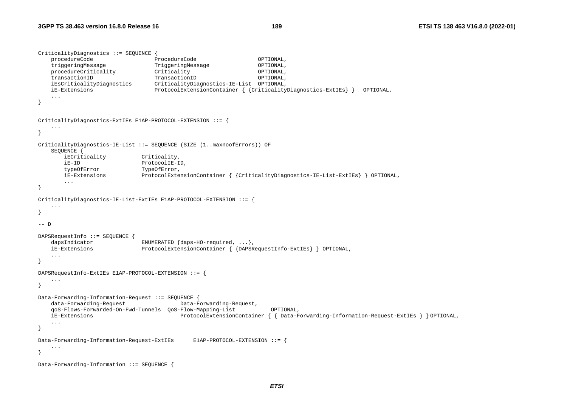```
CriticalityDiagnostics ::= SEQUENCE { 
    procedureCode ProcedureCode OPTIONAL, 
    triggeringMessage TriggeringMessage OPTIONAL, 
    procedureCriticality Criticality OPTIONAL, 
    transactionID TransactionID OPTIONAL, 
    iEsCriticalityDiagnostics CriticalityDiagnostics-IE-List OPTIONAL, 
    iE-Extensions ProtocolExtensionContainer { {CriticalityDiagnostics-ExtIEs} } OPTIONAL, 
} 
CriticalityDiagnostics-ExtIEs E1AP-PROTOCOL-EXTENSION ::= { 
    ... } 
CriticalityDiagnostics-IE-List ::= SEQUENCE (SIZE (1..maxnoofErrors)) OF 
    SEQUENCE { 
       iECriticality Criticality, 
       iE-ID ProtocolIE-ID, 
       typeOfError TypeOfError, 
       iE-Extensions ProtocolExtensionContainer { {CriticalityDiagnostics-IE-List-ExtIEs} } OPTIONAL, 
        ... } 
CriticalityDiagnostics-IE-List-ExtIEs E1AP-PROTOCOL-EXTENSION ::= { 
 ... } 
-- D DAPSRequestInfo ::= SEQUENCE { 
   dapsIndicator ENUMERATED {daps-HO-required, ... },
    iE-Extensions ProtocolExtensionContainer { {DAPSRequestInfo-ExtIEs} } OPTIONAL, 
    ... } 
DAPSRequestInfo-ExtIEs E1AP-PROTOCOL-EXTENSION ::= { 
    ... } 
Data-Forwarding-Information-Request ::= SEQUENCE { 
    data-Forwarding-Request Data-Forwarding-Request, 
    qoS-Flows-Forwarded-On-Fwd-Tunnels QoS-Flow-Mapping-List OPTIONAL, 
    iE-Extensions ProtocolExtensionContainer { { Data-Forwarding-Information-Request-ExtIEs } } OPTIONAL, 
    ... } 
Data-Forwarding-Information-Request-ExtIEs E1AP-PROTOCOL-EXTENSION ::= { 
    ... } 
Data-Forwarding-Information ::= SEQUENCE {
```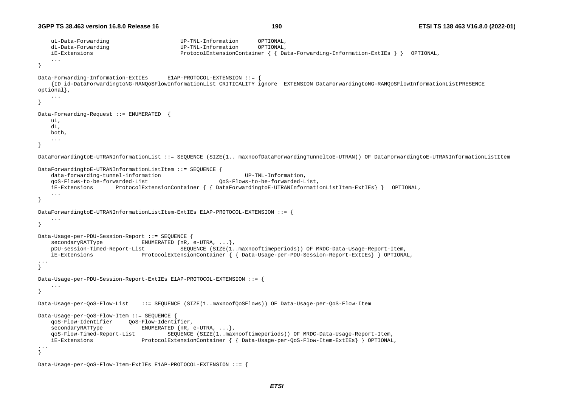```
 uL-Data-Forwarding UP-TNL-Information OPTIONAL, 
    dL-Data-Forwarding UP-TNL-Information OPTIONAL, 
    iE-Extensions ProtocolExtensionContainer { { Data-Forwarding-Information-ExtIEs } } OPTIONAL, 
    ... } 
Data-Forwarding-Information-ExtIEs E1AP-PROTOCOL-EXTENSION ::= { 
    {ID id-DataForwardingtoNG-RANQoSFlowInformationList CRITICALITY ignore EXTENSION DataForwardingtoNG-RANQoSFlowInformationList PRESENCE 
optional}, 
    ... } 
Data-Forwarding-Request ::= ENUMERATED { 
    uL, 
    dL, 
   h \cap h ... } 
DataForwardingtoE-UTRANInformationList ::= SEQUENCE (SIZE(1.. maxnoofDataForwardingTunneltoE-UTRAN)) OF DataForwardingtoE-UTRANInformationListItem 
DataForwardingtoE-UTRANInformationListItem ::= SEQUENCE { 
   data-forwarding-tunnel-information UP-TNL-Information,
    qoS-Flows-to-be-forwarded-List QoS-Flows-to-be-forwarded-List, 
    iE-Extensions ProtocolExtensionContainer { { DataForwardingtoE-UTRANInformationListItem-ExtIEs} } OPTIONAL, 
    ... } 
DataForwardingtoE-UTRANInformationListItem-ExtIEs E1AP-PROTOCOL-EXTENSION ::= { 
 ... } 
Data-Usage-per-PDU-Session-Report ::= SEQUENCE { 
   secondaryRATType ENUMERATED {nR, e-UTRA, ...},
    pDU-session-Timed-Report-List SEQUENCE (SIZE(1..maxnooftimeperiods)) OF MRDC-Data-Usage-Report-Item, 
    iE-Extensions ProtocolExtensionContainer { { Data-Usage-per-PDU-Session-Report-ExtIEs} } OPTIONAL, 
... } 
Data-Usage-per-PDU-Session-Report-ExtIEs E1AP-PROTOCOL-EXTENSION ::= { 
    ... } 
Data-Usage-per-QoS-Flow-List ::= SEQUENCE (SIZE(1..maxnoofQoSFlows)) OF Data-Usage-per-QoS-Flow-Item 
Data-Usage-per-QoS-Flow-Item ::= SEQUENCE { 
    qoS-Flow-Identifier QoS-Flow-Identifier, 
   secondaryRATType ENUMERATED {nR, e-UTRA, ...},
    qoS-Flow-Timed-Report-List SEQUENCE (SIZE(1..maxnooftimeperiods)) OF MRDC-Data-Usage-Report-Item, 
    iE-Extensions ProtocolExtensionContainer { { Data-Usage-per-QoS-Flow-Item-ExtIEs} } OPTIONAL, 
... } 
Data-Usage-per-QoS-Flow-Item-ExtIEs E1AP-PROTOCOL-EXTENSION ::= {
```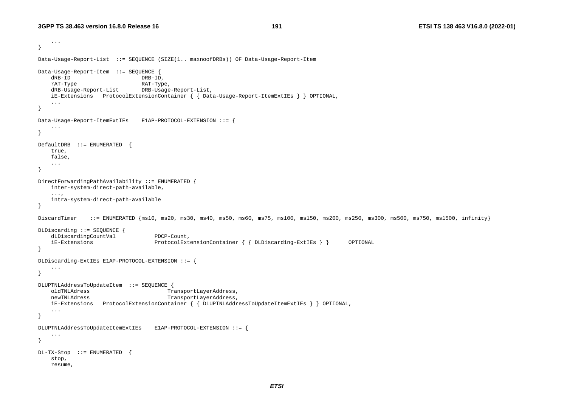```
 ... } 
Data-Usage-Report-List ::= SEQUENCE (SIZE(1.. maxnoofDRBs)) OF Data-Usage-Report-Item 
Data-Usage-Report-Item ::= SEQUENCE { 
    dRB-ID DRB-ID, 
   rAT-Type RAT-Type,
    dRB-Usage-Report-List DRB-Usage-Report-List, 
    iE-Extensions ProtocolExtensionContainer { { Data-Usage-Report-ItemExtIEs } } OPTIONAL, 
 ... 
} 
Data-Usage-Report-ItemExtIEs E1AP-PROTOCOL-EXTENSION ::= { 
    ... } 
DefaultDRB ::= ENUMERATED { 
    true, 
    false, 
 ... 
} 
DirectForwardingPathAvailability ::= ENUMERATED { 
    inter-system-direct-path-available, 
     ..., 
    intra-system-direct-path-available 
} 
DiscardTimer ::= ENUMERATED {ms10, ms20, ms30, ms40, ms50, ms60, ms75, ms100, ms150, ms200, ms300, ms500, ms750, ms1500, infinity}
DLDiscarding ::= SEQUENCE { 
   dLDiscardingCountVal PDCP-Count,
    iE-Extensions ProtocolExtensionContainer { { DLDiscarding-ExtIEs } } OPTIONAL 
} 
DLDiscarding-ExtIEs E1AP-PROTOCOL-EXTENSION ::= { 
    ... } 
DLUPTNLAddressToUpdateItem ::= SEQUENCE { 
    oldTNLAdress TransportLayerAddress, 
    newTNLAdress TransportLayerAddress, 
    iE-Extensions ProtocolExtensionContainer { { DLUPTNLAddressToUpdateItemExtIEs } } OPTIONAL, 
    ... } 
DLUPTNLAddressToUpdateItemExtIEs E1AP-PROTOCOL-EXTENSION ::= { 
     ... } 
DL-TX-Stop ::= ENUMERATED { 
    stop, 
    resume,
```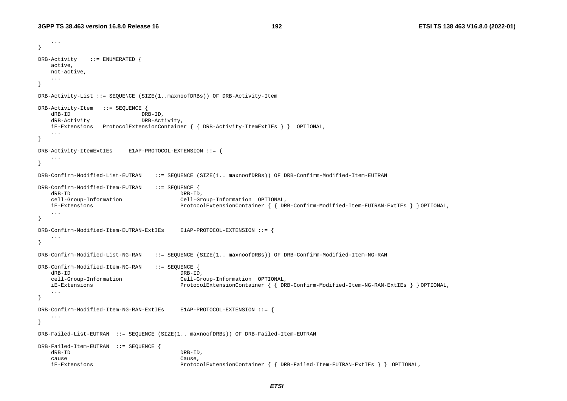...

```
} 
DRB-Activity ::= ENUMERATED { 
    active, 
    not-active, 
    ... } 
DRB-Activity-List ::= SEQUENCE (SIZE(1..maxnoofDRBs)) OF DRB-Activity-Item 
DRB-Activity-Item ::= SEQUENCE { 
    dRB-ID DRB-ID, 
    dRB-Activity DRB-Activity, 
    iE-Extensions ProtocolExtensionContainer { { DRB-Activity-ItemExtIEs } } OPTIONAL, 
    ... } 
DRB-Activity-ItemExtIEs E1AP-PROTOCOL-EXTENSION ::= { 
    ... } 
DRB-Confirm-Modified-List-EUTRAN ::= SEQUENCE (SIZE(1.. maxnoofDRBs)) OF DRB-Confirm-Modified-Item-EUTRAN 
DRB-Confirm-Modified-Item-EUTRAN ::= SEQUENCE { 
   dRB-ID DRB-ID,
    cell-Group-Information Cell-Group-Information OPTIONAL, 
    iE-Extensions ProtocolExtensionContainer { { DRB-Confirm-Modified-Item-EUTRAN-ExtIEs } } OPTIONAL, 
    ... } 
DRB-Confirm-Modified-Item-EUTRAN-ExtIEs E1AP-PROTOCOL-EXTENSION ::= { 
    ... } 
DRB-Confirm-Modified-List-NG-RAN ::= SEQUENCE (SIZE(1.. maxnoofDRBs)) OF DRB-Confirm-Modified-Item-NG-RAN 
DRB-Confirm-Modified-Item-NG-RAN ::= SEQUENCE { 
   dRB-ID DRB-ID,
    cell-Group-Information Cell-Group-Information OPTIONAL, 
    iE-Extensions ProtocolExtensionContainer { { DRB-Confirm-Modified-Item-NG-RAN-ExtIEs } } OPTIONAL, 
    ... } 
DRB-Confirm-Modified-Item-NG-RAN-ExtIEs E1AP-PROTOCOL-EXTENSION ::= { 
    ... } 
DRB-Failed-List-EUTRAN ::= SEQUENCE (SIZE(1.. maxnoofDRBs)) OF DRB-Failed-Item-EUTRAN 
DRB-Failed-Item-EUTRAN ::= SEQUENCE { 
    dRB-ID DRB-ID, 
 cause Cause, 
    iE-Extensions ProtocolExtensionContainer { { DRB-Failed-Item-EUTRAN-ExtIEs } } OPTIONAL,
```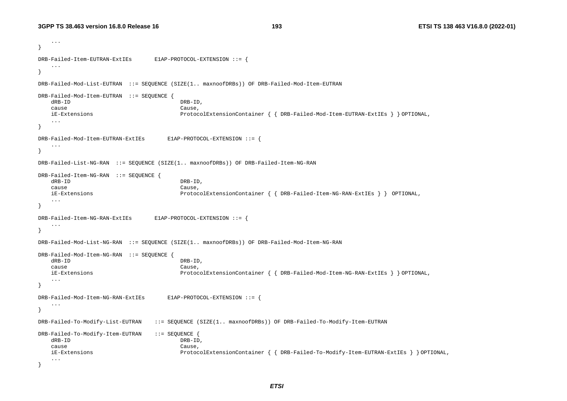```
 ... } 
DRB-Failed-Item-EUTRAN-ExtIEs E1AP-PROTOCOL-EXTENSION ::= { 
    ... } 
DRB-Failed-Mod-List-EUTRAN ::= SEQUENCE (SIZE(1.. maxnoofDRBs)) OF DRB-Failed-Mod-Item-EUTRAN 
DRB-Failed-Mod-Item-EUTRAN ::= SEQUENCE { 
    dRB-ID DRB-ID, 
    cause Cause, 
    iE-Extensions ProtocolExtensionContainer { { DRB-Failed-Mod-Item-EUTRAN-ExtIEs } } OPTIONAL, 
    ... } 
DRB-Failed-Mod-Item-EUTRAN-ExtIEs E1AP-PROTOCOL-EXTENSION ::= { 
    ... } 
DRB-Failed-List-NG-RAN ::= SEQUENCE (SIZE(1.. maxnoofDRBs)) OF DRB-Failed-Item-NG-RAN 
DRB-Failed-Item-NG-RAN ::= SEQUENCE { 
   dRB-ID DRB-ID,
    cause Cause, 
    iE-Extensions ProtocolExtensionContainer { { DRB-Failed-Item-NG-RAN-ExtIEs } } OPTIONAL, 
    ... } 
DRB-Failed-Item-NG-RAN-ExtIEs E1AP-PROTOCOL-EXTENSION ::= { 
    ... } 
DRB-Failed-Mod-List-NG-RAN ::= SEQUENCE (SIZE(1.. maxnoofDRBs)) OF DRB-Failed-Mod-Item-NG-RAN 
DRB-Failed-Mod-Item-NG-RAN ::= SEQUENCE { 
   dRB-ID DRB-ID,
    cause Cause, 
    iE-Extensions ProtocolExtensionContainer { { DRB-Failed-Mod-Item-NG-RAN-ExtIEs } } OPTIONAL, 
    ... } 
DRB-Failed-Mod-Item-NG-RAN-ExtIEs E1AP-PROTOCOL-EXTENSION ::= { 
    ... } 
DRB-Failed-To-Modify-List-EUTRAN ::= SEQUENCE (SIZE(1.. maxnoofDRBs)) OF DRB-Failed-To-Modify-Item-EUTRAN 
DRB-Failed-To-Modify-Item-EUTRAN ::= SEQUENCE { 
    dRB-ID DRB-ID, 
    cause Cause, 
    iE-Extensions ProtocolExtensionContainer { { DRB-Failed-To-Modify-Item-EUTRAN-ExtIEs } } OPTIONAL, 
    ... }
```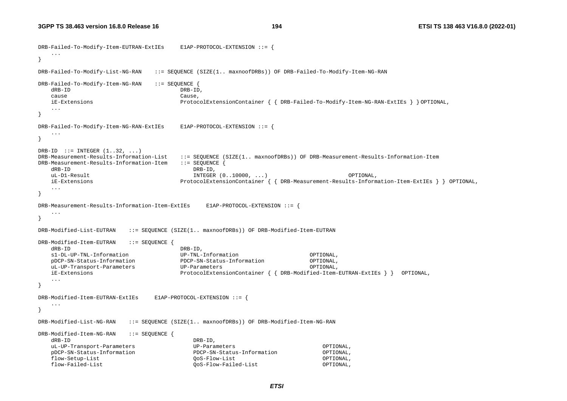```
DRB-Failed-To-Modify-Item-EUTRAN-ExtIEs E1AP-PROTOCOL-EXTENSION ::= { 
    ... } 
DRB-Failed-To-Modify-List-NG-RAN ::= SEQUENCE (SIZE(1.. maxnoofDRBs)) OF DRB-Failed-To-Modify-Item-NG-RAN 
DRB-Failed-To-Modify-Item-NG-RAN ::= SEQUENCE { 
    dRB-ID DRB-ID, 
    cause Cause, 
    iE-Extensions ProtocolExtensionContainer { { DRB-Failed-To-Modify-Item-NG-RAN-ExtIEs } } OPTIONAL, 
    ... } 
DRB-Failed-To-Modify-Item-NG-RAN-ExtIEs E1AP-PROTOCOL-EXTENSION ::= { 
    ... } 
DRB-ID ::= INTEGER (1..32, ...)DRB-Measurement-Results-Information-List ::= SEQUENCE (SIZE(1.. maxnoofDRBs)) OF DRB-Measurement-Results-Information-Item 
DRB-Measurement-Results-Information-Item ::= SEQUENCE { 
    dRB-ID DRB-ID, 
   uL-D1-Result INTEGER (0..10000, ...) OPTIONAL, 
   iE-Extensions ProtocolExtensionContainer { { DRB-Measurement-Results-Information-Item-ExtIEs } } OPTIONAL, 
    ... } 
DRB-Measurement-Results-Information-Item-ExtIEs E1AP-PROTOCOL-EXTENSION ::= { 
    ... } 
DRB-Modified-List-EUTRAN ::= SEQUENCE (SIZE(1.. maxnoofDRBs)) OF DRB-Modified-Item-EUTRAN 
DRB-Modified-Item-EUTRAN ::= SEQUENCE { 
    dRB-ID DRB-ID, 
    s1-DL-UP-TNL-Information UP-TNL-Information OPTIONAL, 
   pDCP-SN-Status-Information PDCP-SN-Status-Information OPTIONAL, 
    uL-UP-Transport-Parameters UP-Parameters OPTIONAL, 
    iE-Extensions ProtocolExtensionContainer { { DRB-Modified-Item-EUTRAN-ExtIEs } } OPTIONAL, 
    ... } 
DRB-Modified-Item-EUTRAN-ExtIEs E1AP-PROTOCOL-EXTENSION ::= { 
 ... } 
DRB-Modified-List-NG-RAN ::= SEQUENCE (SIZE(1.. maxnoofDRBs)) OF DRB-Modified-Item-NG-RAN 
DRB-Modified-Item-NG-RAN ::= SEQUENCE { 
   dRB-ID DRB-ID,
    uL-UP-Transport-Parameters UP-Parameters OPTIONAL, 
    pDCP-SN-Status-Information PDCP-SN-Status-Information OPTIONAL, 
    flow-Setup-List QoS-Flow-List OPTIONAL, 
    flow-Failed-List QoS-Flow-Failed-List OPTIONAL,
```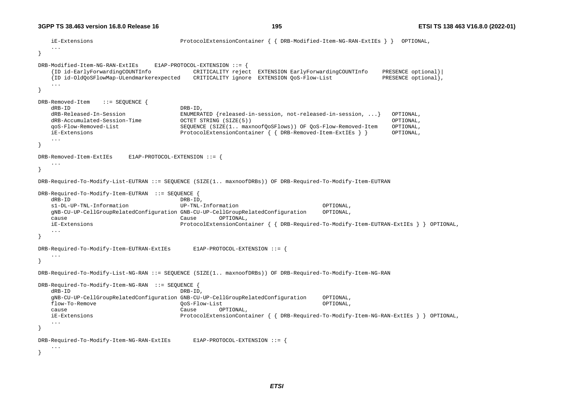iE-Extensions ProtocolExtensionContainer { { DRB-Modified-Item-NG-RAN-ExtIEs } } OPTIONAL, ... } DRB-Modified-Item-NG-RAN-ExtIEs E1AP-PROTOCOL-EXTENSION ::= { {ID id-EarlyForwardingCOUNTInfo CRITICALITY reject EXTENSION EarlyForwardingCOUNTInfo PRESENCE optional}| {ID id-OldQoSFlowMap-ULendmarkerexpected CRITICALITY ignore EXTENSION QoS-Flow-List PRESENCE optional}, ... } DRB-Removed-Item ::= SEQUENCE {<br>dRB-ID  $DRB-ID$  dRB-Released-In-Session ENUMERATED {released-in-session, not-released-in-session, ...} OPTIONAL, dRB-Accumulated-Session-Time OCTET STRING (SIZE(5)) OPTIONAL, qoS-Flow-Removed-List SEQUENCE (SIZE(1.. maxnoofQoSFlows)) OF QoS-Flow-Removed-Item OPTIONAL, iE-Extensions ProtocolExtensionContainer { { DRB-Removed-Item-ExtIEs } } OPTIONAL, ... } DRB-Removed-Item-ExtIEs E1AP-PROTOCOL-EXTENSION ::= { ... } DRB-Required-To-Modify-List-EUTRAN ::= SEQUENCE (SIZE(1.. maxnoofDRBs)) OF DRB-Required-To-Modify-Item-EUTRAN DRB-Required-To-Modify-Item-EUTRAN ::= SEQUENCE { dRB-ID DRB-ID, s1-DL-UP-TNL-Information UP-TNL-Information OPTIONAL, gNB-CU-UP-CellGroupRelatedConfiguration GNB-CU-UP-CellGroupRelatedConfiguration OPTIONAL, cause Cause OPTIONAL, iE-Extensions ProtocolExtensionContainer { { DRB-Required-To-Modify-Item-EUTRAN-ExtIEs } } OPTIONAL, ... } DRB-Required-To-Modify-Item-EUTRAN-ExtIEs E1AP-PROTOCOL-EXTENSION ::= { ... } DRB-Required-To-Modify-List-NG-RAN ::= SEQUENCE (SIZE(1.. maxnoofDRBs)) OF DRB-Required-To-Modify-Item-NG-RAN DRB-Required-To-Modify-Item-NG-RAN ::= SEQUENCE { dRB-ID DRB-ID, gNB-CU-UP-CellGroupRelatedConfiguration GNB-CU-UP-CellGroupRelatedConfiguration OPTIONAL, flow-To-Remove QoS-Flow-List OPTIONAL, cause Cause OPTIONAL, iE-Extensions ProtocolExtensionContainer { { DRB-Required-To-Modify-Item-NG-RAN-ExtIEs } } OPTIONAL, ... } DRB-Required-To-Modify-Item-NG-RAN-ExtIEs E1AP-PROTOCOL-EXTENSION ::= { ... }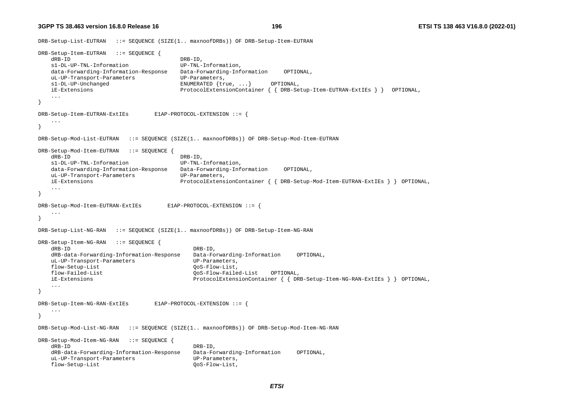DRB-Setup-List-EUTRAN ::= SEQUENCE (SIZE(1.. maxnoofDRBs)) OF DRB-Setup-Item-EUTRAN DRB-Setup-Item-EUTRAN ::= SEQUENCE { dRB-ID DRB-ID, s1-DL-UP-TNL-Information UP-TNL-Information, data-Forwarding-Information-Response Data-Forwarding-Information OPTIONAL, uL-UP-Transport-Parameters UP-Parameters, s1-DL-UP-Unchanged ENUMERATED {true, ...} OPTIONAL, iE-Extensions ProtocolExtensionContainer { { DRB-Setup-Item-EUTRAN-ExtIEs } } OPTIONAL, } DRB-Setup-Item-EUTRAN-ExtIEs E1AP-PROTOCOL-EXTENSION ::= { ... } DRB-Setup-Mod-List-EUTRAN ::= SEQUENCE (SIZE(1.. maxnoofDRBs)) OF DRB-Setup-Mod-Item-EUTRAN DRB-Setup-Mod-Item-EUTRAN ::= SEQUENCE { dRB-ID DRB-ID, s1-DL-UP-TNL-Information UP-TNL-Information, data-Forwarding-Information-Response Data-Forwarding-Information OPTIONAL, uL-UP-Transport-Parameters UP-Parameters, iE-Extensions ProtocolExtensionContainer { { DRB-Setup-Mod-Item-EUTRAN-ExtIEs } } OPTIONAL, ... } DRB-Setup-Mod-Item-EUTRAN-ExtIEs E1AP-PROTOCOL-EXTENSION ::= { ... } DRB-Setup-List-NG-RAN ::= SEQUENCE (SIZE(1.. maxnoofDRBs)) OF DRB-Setup-Item-NG-RAN DRB-Setup-Item-NG-RAN ::= SEQUENCE { dRB-ID DRB-ID, dRB-data-Forwarding-Information-Response Data-Forwarding-Information OPTIONAL, uL-UP-Transport-Parameters UP-Parameters, flow-Setup-List QoS-Flow-List, flow-Failed-List QoS-Flow-Failed-List OPTIONAL, iE-Extensions ProtocolExtensionContainer { { DRB-Setup-Item-NG-RAN-ExtIEs } } OPTIONAL, ... } DRB-Setup-Item-NG-RAN-ExtIEs E1AP-PROTOCOL-EXTENSION ::= { ... } DRB-Setup-Mod-List-NG-RAN ::= SEQUENCE (SIZE(1.. maxnoofDRBs)) OF DRB-Setup-Mod-Item-NG-RAN DRB-Setup-Mod-Item-NG-RAN ::= SEQUENCE { dRB-ID DRB-ID, dRB-data-Forwarding-Information-Response Data-Forwarding-Information OPTIONAL, uL-UP-Transport-Parameters UP-Parameters, flow-Setup-List QoS-Flow-List,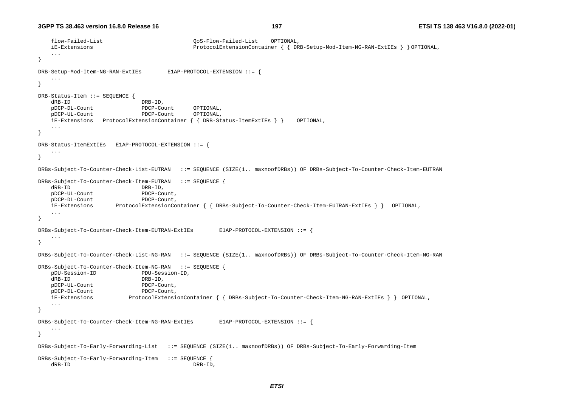```
 flow-Failed-List QoS-Flow-Failed-List OPTIONAL, 
    iE-Extensions ProtocolExtensionContainer { { DRB-Setup-Mod-Item-NG-RAN-ExtIEs } } OPTIONAL, 
    ... } 
DRB-Setup-Mod-Item-NG-RAN-ExtIEs E1AP-PROTOCOL-EXTENSION ::= { 
    ... } 
DRB-Status-Item ::= SEQUENCE { 
    dRB-ID DRB-ID, 
    pDCP-DL-Count PDCP-Count OPTIONAL, 
    pDCP-UL-Count PDCP-Count OPTIONAL, 
    iE-Extensions ProtocolExtensionContainer { { DRB-Status-ItemExtIEs } } OPTIONAL, 
    ... } 
DRB-Status-ItemExtIEs E1AP-PROTOCOL-EXTENSION ::= { 
    ... } 
DRBs-Subject-To-Counter-Check-List-EUTRAN ::= SEQUENCE (SIZE(1.. maxnoofDRBs)) OF DRBs-Subject-To-Counter-Check-Item-EUTRAN 
DRBs-Subject-To-Counter-Check-Item-EUTRAN ::= SEQUENCE { 
    dRB-ID DRB-ID, 
    pDCP-UL-Count PDCP-Count, 
    pDCP-DL-Count PDCP-Count, 
    iE-Extensions ProtocolExtensionContainer { { DRBs-Subject-To-Counter-Check-Item-EUTRAN-ExtIEs } } OPTIONAL, 
    ... } 
DRBs-Subject-To-Counter-Check-Item-EUTRAN-ExtIEs E1AP-PROTOCOL-EXTENSION ::= { 
    ... } 
DRBs-Subject-To-Counter-Check-List-NG-RAN ::= SEQUENCE (SIZE(1.. maxnoofDRBs)) OF DRBs-Subject-To-Counter-Check-Item-NG-RAN 
DRBs-Subject-To-Counter-Check-Item-NG-RAN ::= SEQUENCE { 
    pDU-Session-ID PDU-Session-ID, 
    dRB-ID DRB-ID, 
    pDCP-UL-Count PDCP-Count, 
    pDCP-DL-Count PDCP-Count, 
    iE-Extensions ProtocolExtensionContainer { { DRBs-Subject-To-Counter-Check-Item-NG-RAN-ExtIEs } } OPTIONAL, 
    ... } 
DRBs-Subject-To-Counter-Check-Item-NG-RAN-ExtIEs E1AP-PROTOCOL-EXTENSION ::= { 
    ... } 
DRBs-Subject-To-Early-Forwarding-List ::= SEQUENCE (SIZE(1.. maxnoofDRBs)) OF DRBs-Subject-To-Early-Forwarding-Item 
DRBs-Subject-To-Early-Forwarding-Item ::= SEQUENCE { 
    dRB-ID DRB-ID,
```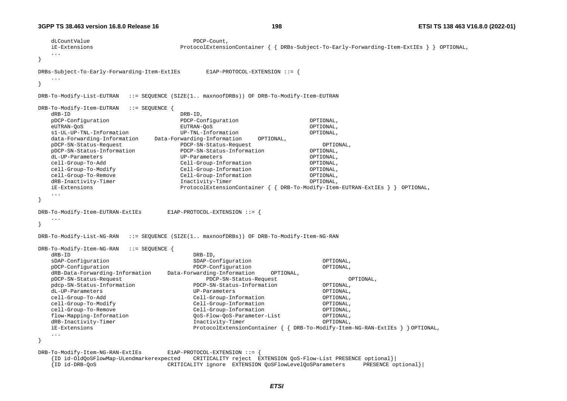```
dLCountValue PDCP-Count,
   iE-Extensions ProtocolExtensionContainer { { DRBs-Subject-To-Early-Forwarding-Item-ExtIEs } } OPTIONAL, 
   ... } 
DRBs-Subject-To-Early-Forwarding-Item-ExtIEs E1AP-PROTOCOL-EXTENSION ::= { 
 ... } 
DRB-To-Modify-List-EUTRAN ::= SEQUENCE (SIZE(1.. maxnoofDRBs)) OF DRB-To-Modify-Item-EUTRAN 
DRB-To-Modify-Item-EUTRAN ::= SEQUENCE { 
   dRB-ID DRB-ID, 
   pDCP-Configuration PDCP-Configuration OPTIONAL, 
   eUTRAN-QoS EUTRAN-QoS OPTIONAL, 
   s1-UL-UP-TNL-Information UP-TNL-Information OPTIONAL, 
   data-Forwarding-Information Data-Forwarding-Information OPTIONAL, 
   pDCP-SN-Status-Request PDCP-SN-Status-Request OPTIONAL, 
   pDCP-SN-Status-Information PDCP-SN-Status-Information OPTIONAL, 
   dL-UP-Parameters UP-Parameters OPTIONAL, 
   cell-Group-To-Add Cell-Group-Information OPTIONAL, 
   cell-Group-To-Modify Cell-Group-Information OPTIONAL, 
   cell-Group-To-Remove Cell-Group-Information OPTIONAL, 
  dRB-Inactivity-Timer Inactivity-Timer Inactivity-Timer OPTIONAL,
   iE-Extensions ProtocolExtensionContainer { { DRB-To-Modify-Item-EUTRAN-ExtIEs } } OPTIONAL, 
   ... } 
DRB-To-Modify-Item-EUTRAN-ExtIEs E1AP-PROTOCOL-EXTENSION ::= { 
    ... } 
DRB-To-Modify-List-NG-RAN ::= SEQUENCE (SIZE(1.. maxnoofDRBs)) OF DRB-To-Modify-Item-NG-RAN 
DRB-To-Modify-Item-NG-RAN ::= SEQUENCE { 
   dRB-ID DRB-ID, 
   sDAP-Configuration SDAP-Configuration OPTIONAL, 
   pDCP-Configuration PDCP-Configuration OPTIONAL, 
   dRB-Data-Forwarding-Information Data-Forwarding-Information OPTIONAL, 
   pDCP-SN-Status-Request PDCP-SN-Status-Request OPTIONAL, 
   pdcp-SN-Status-Information PDCP-SN-Status-Information OPTIONAL, 
   dL-UP-Parameters UP-Parameters OPTIONAL, 
   cell-Group-To-Add Cell-Group-Information OPTIONAL, 
   cell-Group-To-Modify Cell-Group-Information OPTIONAL, 
   cell-Group-To-Remove Cell-Group-Information OPTIONAL, 
   flow-Mapping-Information QoS-Flow-QoS-Parameter-List OPTIONAL, 
   dRB-Inactivity-Timer Inactivity-Timer OPTIONAL, 
   iE-Extensions ProtocolExtensionContainer { { DRB-To-Modify-Item-NG-RAN-ExtIEs } } OPTIONAL, 
    ... } 
DRB-To-Modify-Item-NG-RAN-ExtIEs E1AP-PROTOCOL-EXTENSION ::= { 
    {ID id-OldQoSFlowMap-ULendmarkerexpected CRITICALITY reject EXTENSION QoS-Flow-List PRESENCE optional}| 
    {ID id-DRB-QoS CRITICALITY ignore EXTENSION QoSFlowLevelQoSParameters PRESENCE optional}|
```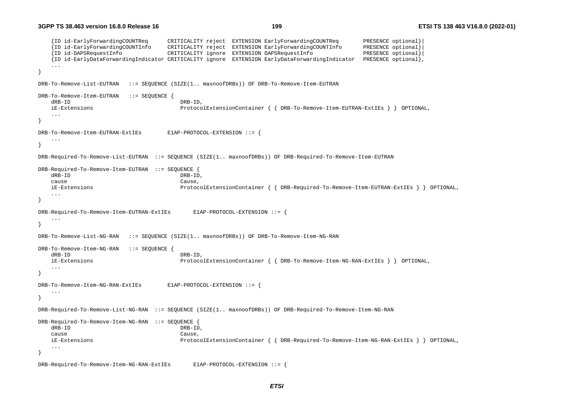```
 {ID id-EarlyForwardingCOUNTReq CRITICALITY reject EXTENSION EarlyForwardingCOUNTReq PRESENCE optional}| 
    {ID id-EarlyForwardingCOUNTInfo CRITICALITY reject EXTENSION EarlyForwardingCOUNTInfo PRESENCE optional}| 
    {ID id-DAPSRequestInfo CRITICALITY ignore EXTENSION DAPSRequestInfo PRESENCE optional}| 
    {ID id-EarlyDataForwardingIndicator CRITICALITY ignore EXTENSION EarlyDataForwardingIndicator PRESENCE optional}, 
    ... } 
DRB-To-Remove-List-EUTRAN ::= SEQUENCE (SIZE(1.. maxnoofDRBs)) OF DRB-To-Remove-Item-EUTRAN 
DRB-To-Remove-Item-EUTRAN ::= SEQUENCE { 
   dRB-ID DRB-ID,
    iE-Extensions ProtocolExtensionContainer { { DRB-To-Remove-Item-EUTRAN-ExtIEs } } OPTIONAL, 
    ... } 
DRB-To-Remove-Item-EUTRAN-ExtIEs E1AP-PROTOCOL-EXTENSION ::= { 
    ... } 
DRB-Required-To-Remove-List-EUTRAN ::= SEQUENCE (SIZE(1.. maxnoofDRBs)) OF DRB-Required-To-Remove-Item-EUTRAN 
DRB-Required-To-Remove-Item-EUTRAN ::= SEQUENCE { 
    dRB-ID DRB-ID, 
    cause Cause, 
    iE-Extensions ProtocolExtensionContainer { { DRB-Required-To-Remove-Item-EUTRAN-ExtIEs } } OPTIONAL, 
    ... } 
DRB-Required-To-Remove-Item-EUTRAN-ExtIEs E1AP-PROTOCOL-EXTENSION ::= { 
    ... } 
DRB-To-Remove-List-NG-RAN ::= SEQUENCE (SIZE(1.. maxnoofDRBs)) OF DRB-To-Remove-Item-NG-RAN 
DRB-To-Remove-Item-NG-RAN ::= SEQUENCE { 
   dRB-ID DRB-ID,
    iE-Extensions ProtocolExtensionContainer { { DRB-To-Remove-Item-NG-RAN-ExtIEs } } OPTIONAL, 
    ... } 
DRB-To-Remove-Item-NG-RAN-ExtIEs E1AP-PROTOCOL-EXTENSION ::= { 
    ... } 
DRB-Required-To-Remove-List-NG-RAN ::= SEQUENCE (SIZE(1.. maxnoofDRBs)) OF DRB-Required-To-Remove-Item-NG-RAN 
DRB-Required-To-Remove-Item-NG-RAN ::= SEOUENCE
    dRB-ID DRB-ID, 
 cause Cause, 
    iE-Extensions ProtocolExtensionContainer { { DRB-Required-To-Remove-Item-NG-RAN-ExtIEs } } OPTIONAL, 
    ... } 
DRB-Required-To-Remove-Item-NG-RAN-ExtIEs E1AP-PROTOCOL-EXTENSION ::= {
```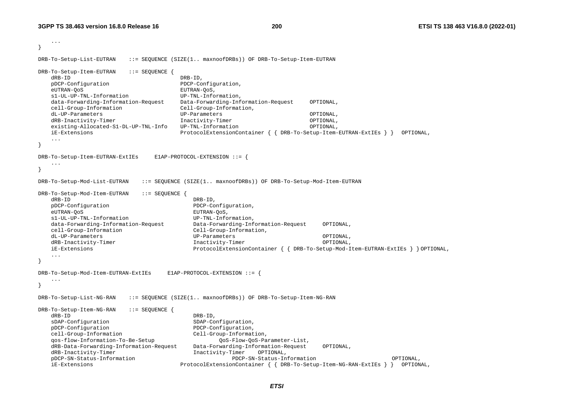```
 ... } 
DRB-To-Setup-List-EUTRAN ::= SEQUENCE (SIZE(1.. maxnoofDRBs)) OF DRB-To-Setup-Item-EUTRAN 
DRB-To-Setup-Item-EUTRAN ::= SEQUENCE { 
   dRB-ID DRB-ID,
   pDCP-Configuration PDCP-Configuration, 
   eUTRAN-QoS eUTRAN-QoS,
    s1-UL-UP-TNL-Information UP-TNL-Information, 
    data-Forwarding-Information-Request Data-Forwarding-Information-Request OPTIONAL, 
    cell-Group-Information Cell-Group-Information, 
    dL-UP-Parameters UP-Parameters OPTIONAL, 
   dRB-Inactivity-Timer Inactivity-Timer Inactivity-Timer OPTIONAL,
    existing-Allocated-S1-DL-UP-TNL-Info UP-TNL-Information OPTIONAL, 
    iE-Extensions ProtocolExtensionContainer { { DRB-To-Setup-Item-EUTRAN-ExtIEs } } OPTIONAL, 
    ... } 
DRB-To-Setup-Item-EUTRAN-ExtIEs E1AP-PROTOCOL-EXTENSION ::= { 
 ... } 
DRB-To-Setup-Mod-List-EUTRAN ::= SEQUENCE (SIZE(1.. maxnoofDRBs)) OF DRB-To-Setup-Mod-Item-EUTRAN 
DRB-To-Setup-Mod-Item-EUTRAN ::= SEQUENCE { 
    dRB-ID DRB-ID, 
   pDCP-Configuration PDCP-Configuration, 
    eUTRAN-QoS EUTRAN-QoS, 
    s1-UL-UP-TNL-Information UP-TNL-Information, 
    data-Forwarding-Information-Request Data-Forwarding-Information-Request OPTIONAL, 
    cell-Group-Information Cell-Group-Information, 
    dL-UP-Parameters UP-Parameters OPTIONAL, 
   dRB-Inactivity-Timer 1.1 Inactivity-Timer OPTIONAL,
    iE-Extensions ProtocolExtensionContainer { { DRB-To-Setup-Mod-Item-EUTRAN-ExtIEs } } OPTIONAL, 
    ... } 
DRB-To-Setup-Mod-Item-EUTRAN-ExtIEs E1AP-PROTOCOL-EXTENSION ::= { 
    ... } 
DRB-To-Setup-List-NG-RAN ::= SEQUENCE (SIZE(1.. maxnoofDRBs)) OF DRB-To-Setup-Item-NG-RAN 
DRB-To-Setup-Item-NG-RAN ::= SEQUENCE { 
   dRB-ID DRB-ID, DRB-ID, DRB-ID, DRB-ID, DRB-ID, DRB-ID, DRB-ID, MRBsDAP-Configuration SDAP-Configuration,
    pDCP-Configuration PDCP-Configuration, 
    cell-Group-Information Cell-Group-Information, 
    qos-flow-Information-To-Be-Setup QoS-Flow-QoS-Parameter-List, 
    dRB-Data-Forwarding-Information-Request Data-Forwarding-Information-Request OPTIONAL, 
    dRB-Inactivity-Timer Inactivity-Timer OPTIONAL, 
    pDCP-SN-Status-Information PDCP-SN-Status-Information OPTIONAL, 
    iE-Extensions ProtocolExtensionContainer { { DRB-To-Setup-Item-NG-RAN-ExtIEs } } OPTIONAL,
```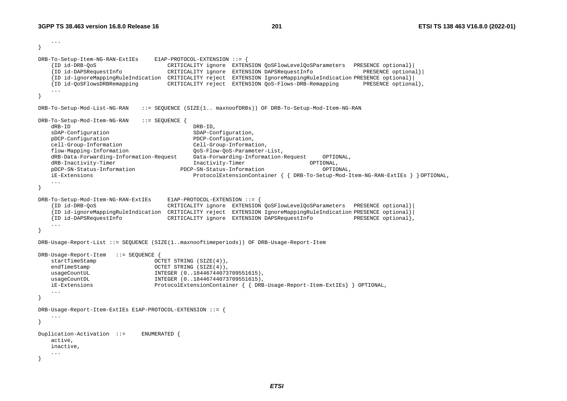```
 ... } 
DRB-To-Setup-Item-NG-RAN-ExtIEs E1AP-PROTOCOL-EXTENSION ::= { 
    {ID id-DRB-QoS CRITICALITY ignore EXTENSION QoSFlowLevelQoSParameters PRESENCE optional}| 
                                 CRITICALITY ignore EXTENSION DAPSRequestInfo
    {ID id-ignoreMappingRuleIndication CRITICALITY reject EXTENSION IgnoreMappingRuleIndication PRESENCE optional}| 
    {ID id-QoSFlowsDRBRemapping CRITICALITY reject EXTENSION QoS-Flows-DRB-Remapping PRESENCE optional}, 
 ... } 
DRB-To-Setup-Mod-List-NG-RAN ::= SEQUENCE (SIZE(1.. maxnoofDRBs)) OF DRB-To-Setup-Mod-Item-NG-RAN 
DRB-To-Setup-Mod-Item-NG-RAN ::= SEQUENCE { 
    dRB-ID DRB-ID, 
   sDAP-Configuration SDAP-Configuration,
    pDCP-Configuration PDCP-Configuration, 
    cell-Group-Information Cell-Group-Information, 
    flow-Mapping-Information QoS-Flow-QoS-Parameter-List, 
    dRB-Data-Forwarding-Information-Request Data-Forwarding-Information-Request OPTIONAL, 
   dRB-Inactivity-Timer Inactivity-Timer OPTIONAL,
    pDCP-SN-Status-Information PDCP-SN-Status-Information OPTIONAL, 
    iE-Extensions ProtocolExtensionContainer { { DRB-To-Setup-Mod-Item-NG-RAN-ExtIEs } } OPTIONAL, 
    ... } 
DRB-To-Setup-Mod-Item-NG-RAN-ExtIEs E1AP-PROTOCOL-EXTENSION ::= { 
    {ID id-DRB-QoS CRITICALITY ignore EXTENSION QoSFlowLevelQoSParameters PRESENCE optional}| 
    {ID id-ignoreMappingRuleIndication CRITICALITY reject EXTENSION IgnoreMappingRuleIndication PRESENCE optional}| 
                                 CRITICALITY ignore EXTENSION DAPSRequestInfo
    ... } 
DRB-Usage-Report-List ::= SEQUENCE (SIZE(1..maxnooftimeperiods)) OF DRB-Usage-Report-Item 
DRB-Usage-Report-Item ::= SEQUENCE { 
    startTimeStamp OCTET STRING (SIZE(4)), 
   endTimeStamp OCTET STRING (SIZE(4)),usageCountUL INTEGER (0..18446744073709551615),
   usageCountDL 1NTEGER (0..18446744073709551615),
    iE-Extensions ProtocolExtensionContainer { { DRB-Usage-Report-Item-ExtIEs} } OPTIONAL, 
    ... } 
DRB-Usage-Report-Item-ExtIEs E1AP-PROTOCOL-EXTENSION ::= { 
 ... } 
Duplication-Activation ::= ENUMERATED { 
    active, 
    inactive, 
    ... }
```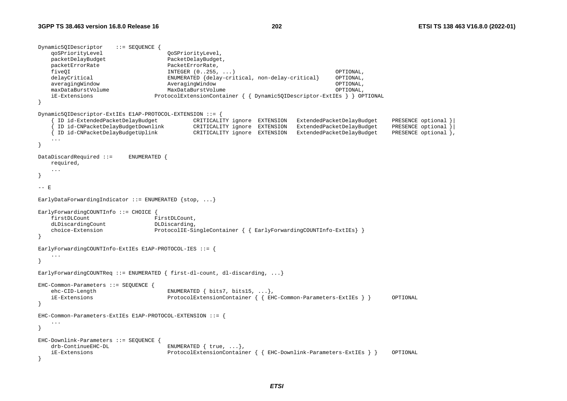```
Dynamic5QIDescriptor ::= SEQUENCE { 
    qoSPriorityLevel QoSPriorityLevel, 
    packetDelayBudget PacketDelayBudget, 
    packetErrorRate PacketErrorRate, 
    fiveQI INTEGER (0..255, ...) OPTIONAL, 
    delayCritical ENUMERATED {delay-critical, non-delay-critical} OPTIONAL, 
    averagingWindow AveragingWindow OPTIONAL, 
    maxDataBurstVolume MaxDataBurstVolume OPTIONAL, 
    iE-Extensions ProtocolExtensionContainer { { Dynamic5QIDescriptor-ExtIEs } } OPTIONAL 
} 
Dynamic5QIDescriptor-ExtIEs E1AP-PROTOCOL-EXTENSION ::= { 
     { ID id-ExtendedPacketDelayBudget CRITICALITY ignore EXTENSION ExtendedPacketDelayBudget PRESENCE optional }| 
     { ID id-CNPacketDelayBudgetDownlink CRITICALITY ignore EXTENSION ExtendedPacketDelayBudget PRESENCE optional }| 
    { ID id-CNPacketDelayBudgetUplink CRITICALITY ignore EXTENSION ExtendedPacketDelayBudget PRESENCE optional }, 
    ... } 
DataDiscardRequired ::= ENUMERATED { 
    required, 
    ... } 
- - \mathbf{F}EarlyDataForwardingIndicator ::= ENUMERATED {stop, ...}
EarlyForwardingCOUNTInfo ::= CHOICE { 
   firstDLCount FirstDLCount,
   dLDiscardingCount DLDiscarding,
   choice-Extension ProtocolIE-SingleContainer { { EarlyForwardingCOUNTInfo-ExtIEs}
} 
EarlyForwardingCOUNTInfo-ExtIEs E1AP-PROTOCOL-IES ::= { 
    ... } 
EarlyForwardingCOUNTReq ::= ENUMERATED { first-dl-count, dl-discarding, ...}
EHC-Common-Parameters ::= SEQUENCE { 
    ehc-CID-Length ENUMERATED { bits7, bits15, ...}, 
    iE-Extensions ProtocolExtensionContainer { { EHC-Common-Parameters-ExtIEs } } OPTIONAL 
} 
EHC-Common-Parameters-ExtIEs E1AP-PROTOCOL-EXTENSION ::= { 
    ... } 
EHC-Downlink-Parameters ::= SEQUENCE { 
    drb-ContinueEHC-DL ENUMERATED { true, ...}, 
    iE-Extensions ProtocolExtensionContainer { { EHC-Downlink-Parameters-ExtIEs } } OPTIONAL 
}
```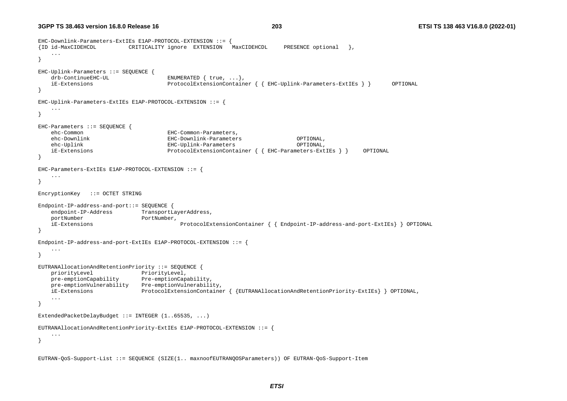```
EHC-Downlink-Parameters-ExtIEs E1AP-PROTOCOL-EXTENSION ::= { 
{ID id-MaxCIDEHCDL CRITICALITY ignore EXTENSION MaxCIDEHCDL PRESENCE optional }, 
    ... } 
EHC-Uplink-Parameters ::= SEQUENCE { 
   drb-ContinueEHC-UL ENUMERATED { true, ...},
    iE-Extensions ProtocolExtensionContainer { { EHC-Uplink-Parameters-ExtIEs } } OPTIONAL 
} 
EHC-Uplink-Parameters-ExtIEs E1AP-PROTOCOL-EXTENSION ::= { 
    ... } 
EHC-Parameters ::= SEQUENCE { 
    ehc-Common EHC-Common-Parameters, 
    ehc-Downlink EHC-Downlink-Parameters OPTIONAL, 
    ehc-Uplink EHC-Uplink-Parameters OPTIONAL, 
    iE-Extensions ProtocolExtensionContainer { { EHC-Parameters-ExtIEs } } OPTIONAL 
} 
EHC-Parameters-ExtIEs E1AP-PROTOCOL-EXTENSION ::= { 
    ... } 
EncryptionKey ::= OCTET STRING 
Endpoint-IP-address-and-port::= SEQUENCE { 
   endpoint-IP-Address TransportLayerAddress,
   portNumber PortNumber,
    iE-Extensions ProtocolExtensionContainer { { Endpoint-IP-address-and-port-ExtIEs} } OPTIONAL 
} 
Endpoint-IP-address-and-port-ExtIEs E1AP-PROTOCOL-EXTENSION ::= \{ ... } 
EUTRANAllocationAndRetentionPriority ::= SEQUENCE { 
   priorityLevel PriorityLevel,
    pre-emptionCapability Pre-emptionCapability, 
    pre-emptionVulnerability Pre-emptionVulnerability, 
    iE-Extensions ProtocolExtensionContainer { {EUTRANAllocationAndRetentionPriority-ExtIEs} } OPTIONAL, 
    ... } 
ExtendedPacketDelayBudget ::= INTEGER (1..65535, ...) 
EUTRANAllocationAndRetentionPriority-ExtIEs E1AP-PROTOCOL-EXTENSION ::= { 
    ... } 
EUTRAN-QoS-Support-List ::= SEQUENCE (SIZE(1.. maxnoofEUTRANQOSParameters)) OF EUTRAN-QoS-Support-Item
```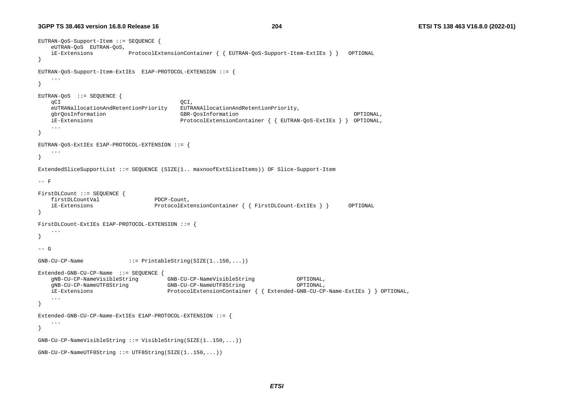```
EUTRAN-QoS-Support-Item ::= SEQUENCE { 
    eUTRAN-QoS EUTRAN-QoS, 
    iE-Extensions ProtocolExtensionContainer { { EUTRAN-QoS-Support-Item-ExtIEs } } OPTIONAL 
} 
EUTRAN-QoS-Support-Item-ExtIEs E1AP-PROTOCOL-EXTENSION ::= { 
    ... } 
EUTRAN-QoS ::= SEQUENCE { 
 qCI QCI, 
    eUTRANallocationAndRetentionPriority EUTRANAllocationAndRetentionPriority, 
    gbrQosInformation GBR-QosInformation OPTIONAL, 
    iE-Extensions ProtocolExtensionContainer { { EUTRAN-QoS-ExtIEs } } OPTIONAL, 
    ... } 
EUTRAN-QoS-ExtIEs E1AP-PROTOCOL-EXTENSION ::= { 
    ... } 
ExtendedSliceSupportList ::= SEQUENCE (SIZE(1.. maxnoofExtSliceItems)) OF Slice-Support-Item 
-- F FirstDLCount ::= SEQUENCE { 
   firstDLCountVal PDCP-Count,
    iE-Extensions ProtocolExtensionContainer { { FirstDLCount-ExtIEs } } OPTIONAL 
} 
FirstDLCount-ExtIEs E1AP-PROTOCOL-EXTENSION ::= { 
    ... } 
-- G GNB-CU-CP-Name ::= PrintableString(SIZE(1..150,...))
Extended-GNB-CU-CP-Name ::= SEQUENCE { 
    gNB-CU-CP-NameVisibleString GNB-CU-CP-NameVisibleString OPTIONAL, 
    gNB-CU-CP-NameUTF8String GNB-CU-CP-NameUTF8String OPTIONAL, 
    iE-Extensions ProtocolExtensionContainer { { Extended-GNB-CU-CP-Name-ExtIEs } } OPTIONAL, 
    ... } 
Extended-GNB-CU-CP-Name-ExtIEs E1AP-PROTOCOL-EXTENSION ::= { 
    ... } 
GNB-CU-CP-NameVisibleString ::= VisibleString(SIZE(1..150,...)) 
GNB-CU-CP-NameUTF8String ::= UTF8String(SIZE(1..150,...))
```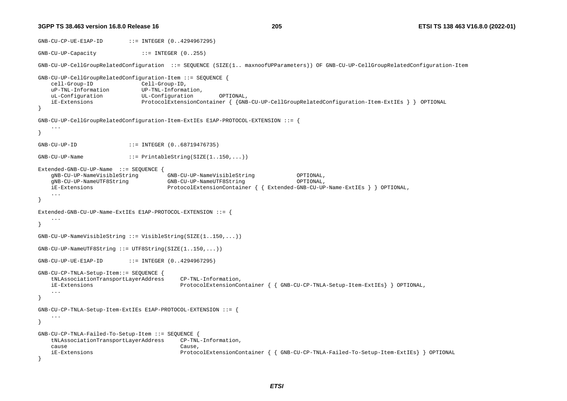```
GNB-CU-CP-UE-E1AP-ID ::= INTEGER (0..4294967295) 
GNB-CU-UP-Capacity ::= INTEGER (0..255) 
GNB-CU-UP-CellGroupRelatedConfiguration ::= SEQUENCE (SIZE(1.. maxnoofUPParameters)) OF GNB-CU-UP-CellGroupRelatedConfiguration-Item 
GNB-CU-UP-CellGroupRelatedConfiguration-Item ::= SEQUENCE { 
    cell-Group-ID Cell-Group-ID, 
    uP-TNL-Information UP-TNL-Information, 
    uL-Configuration UL-Configuration OPTIONAL, 
    iE-Extensions ProtocolExtensionContainer { {GNB-CU-UP-CellGroupRelatedConfiguration-Item-ExtIEs } } OPTIONAL 
} 
GNB-CU-UP-CellGroupRelatedConfiguration-Item-ExtIEs E1AP-PROTOCOL-EXTENSION ::= { 
    ... } 
GNB-CU-UP-ID ::= INTEGER (0..68719476735)
GNB-CU-UP-Name ::= PrintableString(SIZE(1..150,...))Extended-GNB-CU-UP-Name ::= SEQUENCE { 
    gNB-CU-UP-NameVisibleString GNB-CU-UP-NameVisibleString OPTIONAL, 
    gNB-CU-UP-NameUTF8String GNB-CU-UP-NameUTF8String OPTIONAL, 
    iE-Extensions ProtocolExtensionContainer { { Extended-GNB-CU-UP-Name-ExtIEs } } OPTIONAL, 
    ... } 
Extended-GNB-CU-UP-Name-ExtIEs E1AP-PROTOCOL-EXTENSION ::= { 
    ... } 
GNB-CU-UP-NameVisibleString ::= VisibleString(SIZE(1..150,...)) 
GNB-CU-UP-NameUTF8String ::= UTF8String(SIZE(1..150,...)) 
GNB-CU-UP-UE-E1AP-ID ::= INTEGER (0..4294967295) 
GNB-CU-CP-TNLA-Setup-Item::= SEQUENCE { 
    tNLAssociationTransportLayerAddress CP-TNL-Information, 
    iE-Extensions ProtocolExtensionContainer { { GNB-CU-CP-TNLA-Setup-Item-ExtIEs} } OPTIONAL, 
    ... } 
GNB-CU-CP-TNLA-Setup-Item-ExtIEs E1AP-PROTOCOL-EXTENSION ::= { 
    ... } 
GNB-CU-CP-TNLA-Failed-To-Setup-Item ::= SEQUENCE { 
    tNLAssociationTransportLayerAddress CP-TNL-Information, 
    cause Cause, 
    iE-Extensions ProtocolExtensionContainer { { GNB-CU-CP-TNLA-Failed-To-Setup-Item-ExtIEs} } OPTIONAL 
}
```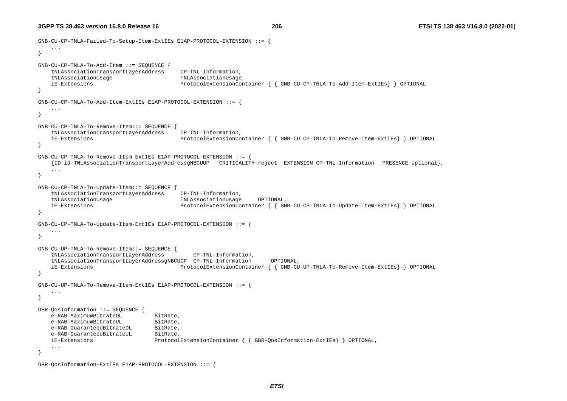```
GNB-CU-CP-TNLA-Failed-To-Setup-Item-ExtIEs E1AP-PROTOCOL-EXTENSION ::= { 
     ... } 
GNB-CU-CP-TNLA-To-Add-Item ::= SEQUENCE { 
    tNLAssociationTransportLayerAddress CP-TNL-Information, 
    tNLAssociationUsage TNLAssociationUsage, 
    iE-Extensions ProtocolExtensionContainer { { GNB-CU-CP-TNLA-To-Add-Item-ExtIEs} } OPTIONAL 
} 
GNB-CU-CP-TNLA-To-Add-Item-ExtIEs E1AP-PROTOCOL-EXTENSION ::= { 
     ... } 
GNB-CU-CP-TNLA-To-Remove-Item::= SEQUENCE { 
    tNLAssociationTransportLayerAddress CP-TNL-Information, 
    iE-Extensions ProtocolExtensionContainer { { GNB-CU-CP-TNLA-To-Remove-Item-ExtIEs} } OPTIONAL 
} 
GNB-CU-CP-TNLA-To-Remove-Item-ExtIEs E1AP-PROTOCOL-EXTENSION ::= { 
     {ID id-TNLAssociationTransportLayerAddressgNBCUUP CRITICALITY reject EXTENSION CP-TNL-Information PRESENCE optional}, 
     ... } 
GNB-CU-CP-TNLA-To-Update-Item::= SEQUENCE { 
    tNLAssociationTransportLayerAddress CP-TNL-Information, 
    tNLAssociationUsage TNLAssociationUsage OPTIONAL, 
    iE-Extensions ProtocolExtensionContainer { { GNB-CU-CP-TNLA-To-Update-Item-ExtIEs} } OPTIONAL 
} 
GNB-CU-CP-TNLA-To-Update-Item-ExtIEs E1AP-PROTOCOL-EXTENSION ::= { 
     ... } 
GNB-CU-UP-TNLA-To-Remove-Item::= SEQUENCE { 
    tNLAssociationTransportLayerAddress CP-TNL-Information, 
    tNLAssociationTransportLayerAddressgNBCUCP CP-TNL-Information OPTIONAL, 
    iE-Extensions ProtocolExtensionContainer { { GNB-CU-UP-TNLA-To-Remove-Item-ExtIEs} } OPTIONAL 
} 
GNB-CU-UP-TNLA-To-Remove-Item-ExtIEs E1AP-PROTOCOL-EXTENSION ::= { 
     ... } 
GBR-QosInformation ::= SEQUENCE { 
   e-RAB-MaximumBitrateDL BitRate,
   e-RAB-MaximumBitrateUL BitRate,
   e-RAB-GuaranteedBitrateDL BitRate,
   e-RAB-GuaranteedBitrateUL BitRate,
    iE-Extensions ProtocolExtensionContainer { { GBR-QosInformation-ExtIEs} } OPTIONAL, 
 ... }
```

```
GBR-QosInformation-ExtIEs E1AP-PROTOCOL-EXTENSION ::= {
```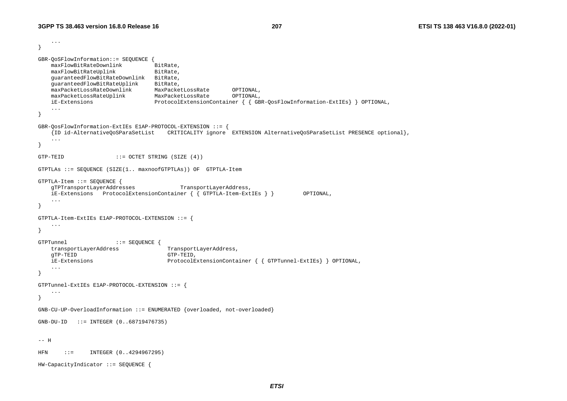```
 ... } 
GBR-QoSFlowInformation::= SEQUENCE { 
   maxFlowBitRateDownlink BitRate,
   maxFlowBitRateUplink BitRate,
    guaranteedFlowBitRateDownlink BitRate, 
    guaranteedFlowBitRateUplink BitRate, 
    maxPacketLossRateDownlink MaxPacketLossRate OPTIONAL, 
   maxPacketLossRateUplink MaxPacketLossRate OPTIONAL,
    iE-Extensions ProtocolExtensionContainer { { GBR-QosFlowInformation-ExtIEs} } OPTIONAL, 
    ... } 
GBR-QosFlowInformation-ExtIEs E1AP-PROTOCOL-EXTENSION ::= { 
    {ID id-AlternativeQoSParaSetList CRITICALITY ignore EXTENSION AlternativeQoSParaSetList PRESENCE optional}, 
    ... } 
GTP-TEID ::= OCTET STRING (SIZE (4))
GTPTLAs ::= SEQUENCE (SIZE(1.. maxnoofGTPTLAs)) OF GTPTLA-Item 
GTPTLA-Item ::= SEQUENCE { 
    gTPTransportLayerAddresses TransportLayerAddress, 
    iE-Extensions ProtocolExtensionContainer { { GTPTLA-Item-ExtIEs } } OPTIONAL, 
    ... } 
GTPTLA-Item-ExtIEs E1AP-PROTOCOL-EXTENSION ::= { 
    ... } 
GTPTunnel ::= SEQUENCE { 
   transportLayerAddress TransportLayerAddress,
    gTP-TEID GTP-TEID, 
    iE-Extensions ProtocolExtensionContainer { { GTPTunnel-ExtIEs} } OPTIONAL, 
    ... } 
GTPTunnel-ExtIEs E1AP-PROTOCOL-EXTENSION ::= { 
    ... } 
GNB-CU-UP-OverloadInformation ::= ENUMERATED {overloaded, not-overloaded} 
GNB-DU-ID ::= INTEGER (0..68719476735) 
-- H HFN ::= INTEGER (0..4294967295) 
HW-CapacityIndicator ::= SEQUENCE {
```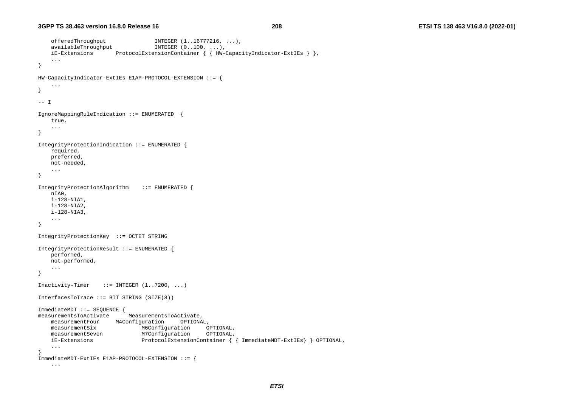```
 offeredThroughput INTEGER (1..16777216, ...), 
    availableThroughput INTEGER (0..100, ...) iE-Extensions ProtocolExtensionContainer { { HW-CapacityIndicator-ExtIEs } }, 
     ... } 
HW-CapacityIndicator-ExtIEs E1AP-PROTOCOL-EXTENSION ::= { 
     ... } 
-- I IgnoreMappingRuleIndication ::= ENUMERATED { 
     true, 
     ... } 
IntegrityProtectionIndication ::= ENUMERATED { 
    required, 
    preferred, 
    not-needed, 
     ... } 
IntegrityProtectionAlgorithm ::= ENUMERATED { 
    nIA0, 
    i-128-NIA1, 
    i-128-NIA2, 
    i-128-NIA3, 
     ... } 
IntegrityProtectionKey ::= OCTET STRING 
IntegrityProtectionResult ::= ENUMERATED { 
    performed, 
    not-performed, 
     ... } 
Inactivity-Timer ::= INTEGER (1.7200, ...)InterfacesToTrace ::= BIT STRING (SIZE(8)) 
ImmediateMDT ::= SEQUENCE { 
measurementsToActivate MeasurementsToActivate, 
    measurementFour M4Configuration OPTIONAL, 
   measurementSix M6Configuration OPTIONAL,
    measurementSeven M7Configuration OPTIONAL, 
    iE-Extensions ProtocolExtensionContainer { { ImmediateMDT-ExtIEs} } OPTIONAL, 
     ... } 
ImmediateMDT-ExtIEs E1AP-PROTOCOL-EXTENSION ::= { 
     ...
```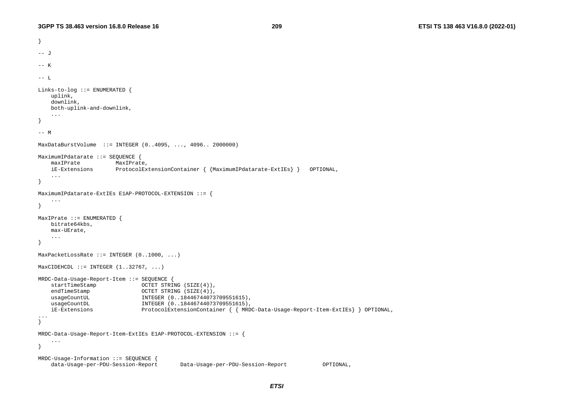```
} 
-- J
-- K -- L Links-to-log ::= ENUMERATED { 
    uplink, 
    downlink, 
    both-uplink-and-downlink, 
 ... 
} 
--- MMaxDataBurstVolume ::= INTEGER (0..4095, ..., 4096.. 2000000) 
MaximumIPdatarate ::= SEQUENCE { 
    maxIPrate MaxIPrate, 
    iE-Extensions ProtocolExtensionContainer { {MaximumIPdatarate-ExtIEs} } OPTIONAL, 
 ... 
} 
MaximumIPdatarate-ExtIEs E1AP-PROTOCOL-EXTENSION ::= { 
     ... } 
MaxIPrate ::= ENUMERATED { 
    bitrate64kbs, 
    max-UErate, 
 ... 
} 
MaxPacketLossRate ::= INTEGER (0..1000, ...)
MaxCIDEHCDL ::= INTEGR (1..32767, ...)MRDC-Data-Usage-Report-Item ::= SEQUENCE { 
     startTimeStamp OCTET STRING (SIZE(4)), 
    endTimeStamp OCTET STRING (SIZE(4)), 
    usageCountUL 1NTEGER (0..18446744073709551615),
    usageCountDL 1NTEGER (0..18446744073709551615),
     iE-Extensions ProtocolExtensionContainer { { MRDC-Data-Usage-Report-Item-ExtIEs} } OPTIONAL, 
... } 
MRDC-Data-Usage-Report-Item-ExtIEs E1AP-PROTOCOL-EXTENSION ::= { 
     ... } 
MRDC-Usage-Information ::= SEQUENCE { 
     data-Usage-per-PDU-Session-Report Data-Usage-per-PDU-Session-Report OPTIONAL,
```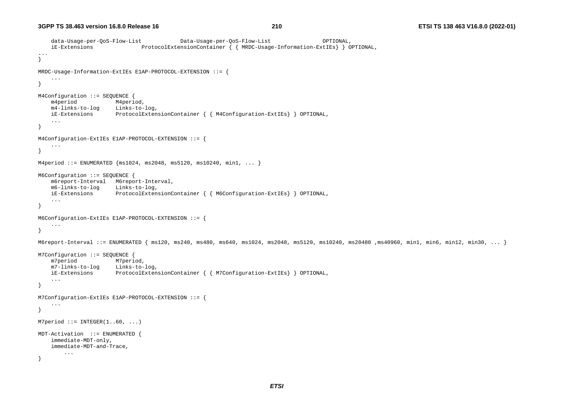```
 data-Usage-per-QoS-Flow-List Data-Usage-per-QoS-Flow-List OPTIONAL, 
    iE-Extensions ProtocolExtensionContainer { { MRDC-Usage-Information-ExtIEs} } OPTIONAL, 
... } 
MRDC-Usage-Information-ExtIEs E1AP-PROTOCOL-EXTENSION ::= { 
     ... } 
M4Configuration ::= SEQUENCE { 
    m4period M4period, 
    m4-links-to-log Links-to-log, 
    iE-Extensions ProtocolExtensionContainer { { M4Configuration-ExtIEs} } OPTIONAL, 
     ... } 
M4Configuration-ExtIEs E1AP-PROTOCOL-EXTENSION ::= { 
     ... } 
M4period ::= ENUMERATED {msl024, msl048, msl020, msl0240, mml, ...}M6Configuration ::= SEQUENCE { 
     m6report-Interval M6report-Interval, 
    m6-links-to-log Links-to-log, 
    iE-Extensions ProtocolExtensionContainer { { M6Configuration-ExtIEs} } OPTIONAL, 
     ... } 
M6Configuration-ExtIEs E1AP-PROTOCOL-EXTENSION ::= { 
     ... } 
M6report-Interval ::= ENUMERATED { ms120, ms240, ms480, ms640, ms1024, ms2048, ms5120, ms10240, ms30480, ms40960, min1, min6, min12, min30, ... }
M7Configuration ::= SEQUENCE { 
    m7period M7period, 
    m7-links-to-log Links-to-log, 
    iE-Extensions ProtocolExtensionContainer { { M7Configuration-ExtIEs} } OPTIONAL, 
     ... } 
M7Configuration-ExtIEs E1AP-PROTOCOL-EXTENSION ::= { 
     ... } 
M7period ::= INTEGER(1..60, ...)
MDT-Activation ::= ENUMERATED { 
     immediate-MDT-only, 
     immediate-MDT-and-Trace, 
         ... }
```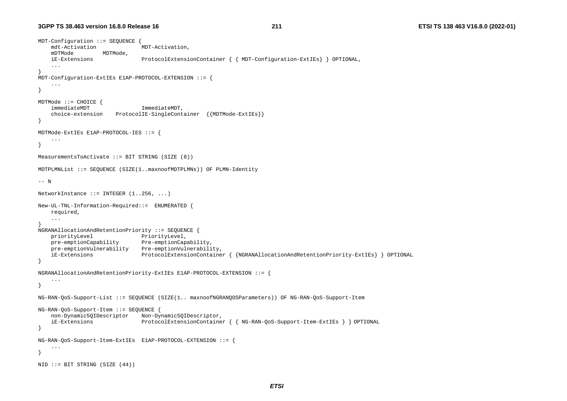```
MDT-Configuration ::= SEQUENCE { 
    mdt-Activation MDT-Activation, 
    mDTMode MDTMode, 
    iE-Extensions ProtocolExtensionContainer { { MDT-Configuration-ExtIEs} } OPTIONAL, 
     ... } 
MDT-Configuration-ExtIEs E1AP-PROTOCOL-EXTENSION ::= { 
     ... } 
MDTMode ::= CHOICE { 
   immediateMDT ImmediateMDT,
     choice-extension ProtocolIE-SingleContainer {{MDTMode-ExtIEs}} 
} 
MDTMode-ExtIEs E1AP-PROTOCOL-IES ::= { 
     ... } 
MeasurementsToActivate ::= BIT STRING (SIZE (8)) 
MDTPLMNList ::= SEQUENCE (SIZE(1..maxnoofMDTPLMNs)) OF PLMN-Identity 
-- N NetworkInstance ::= INTERER (1..256, ...)New-UL-TNL-Information-Required::= ENUMERATED { 
    required, 
     ... } 
NGRANAllocationAndRetentionPriority ::= SEQUENCE { 
   priorityLevel PriorityLevel,
    pre-emptionCapability Pre-emptionCapability, 
    pre-emptionVulnerability Pre-emptionVulnerability, 
    iE-Extensions ProtocolExtensionContainer { {NGRANAllocationAndRetentionPriority-ExtIEs} } OPTIONAL 
} 
NGRANAllocationAndRetentionPriority-ExtIEs E1AP-PROTOCOL-EXTENSION ::= { 
     ... } 
NG-RAN-QoS-Support-List ::= SEQUENCE (SIZE(1.. maxnoofNGRANQOSParameters)) OF NG-RAN-QoS-Support-Item 
NG-RAN-QoS-Support-Item ::= SEQUENCE { 
     non-Dynamic5QIDescriptor Non-Dynamic5QIDescriptor, 
     iE-Extensions ProtocolExtensionContainer { { NG-RAN-QoS-Support-Item-ExtIEs } } OPTIONAL 
} 
NG-RAN-QoS-Support-Item-ExtIEs E1AP-PROTOCOL-EXTENSION ::= { 
     ... } 
NID ::= BIT STRING (SIZE (44))
```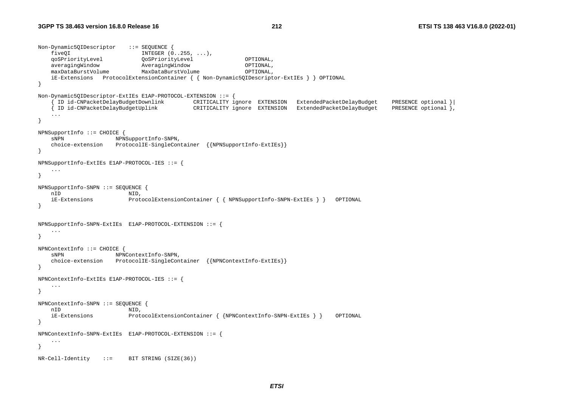```
Non-Dynamic5QIDescriptor ::= SEQUENCE { 
fiveQI INTEGR (0..255, ...),
 qoSPriorityLevel QoSPriorityLevel OPTIONAL, 
 averagingWindow AveragingWindow OPTIONAL, 
 maxDataBurstVolume MaxDataBurstVolume OPTIONAL, 
    iE-Extensions ProtocolExtensionContainer { { Non-Dynamic5QIDescriptor-ExtIEs } } OPTIONAL 
} 
Non-Dynamic5QIDescriptor-ExtIEs E1AP-PROTOCOL-EXTENSION ::= { 
 { ID id-CNPacketDelayBudgetDownlink CRITICALITY ignore EXTENSION ExtendedPacketDelayBudget PRESENCE optional }| 
 { ID id-CNPacketDelayBudgetUplink CRITICALITY ignore EXTENSION ExtendedPacketDelayBudget PRESENCE optional }, 
 ... 
} 
NPNSupportInfo ::= CHOICE { 
   sNPN NPNSupportInfo-SNPN,
    choice-extension ProtocolIE-SingleContainer {{NPNSupportInfo-ExtIEs}} 
} 
NPNSupportInfo-ExtIEs E1AP-PROTOCOL-IES ::= { 
 ... 
} 
NPNSupportInfo-SNPN ::= SEQUENCE { 
    nID NID, 
    iE-Extensions ProtocolExtensionContainer { { NPNSupportInfo-SNPN-ExtIEs } } OPTIONAL 
} 
NPNSupportInfo-SNPN-ExtIEs E1AP-PROTOCOL-EXTENSION ::= { 
    ... } 
NPNContextInfo ::= CHOICE { 
   sNPN NPNContextInfo-SNPN,
    choice-extension ProtocolIE-SingleContainer {{NPNContextInfo-ExtIEs}} 
} 
NPNContextInfo-ExtIEs E1AP-PROTOCOL-IES ::= { 
    ... } 
NPNContextInfo-SNPN ::= SEQUENCE { 
    nID NID, 
    iE-Extensions ProtocolExtensionContainer { {NPNContextInfo-SNPN-ExtIEs } } OPTIONAL 
} 
NPNContextInfo-SNPN-ExtIEs E1AP-PROTOCOL-EXTENSION ::= { 
    ... } 
NR-Cell-Identity ::= BIT STRING (SIZE(36))
```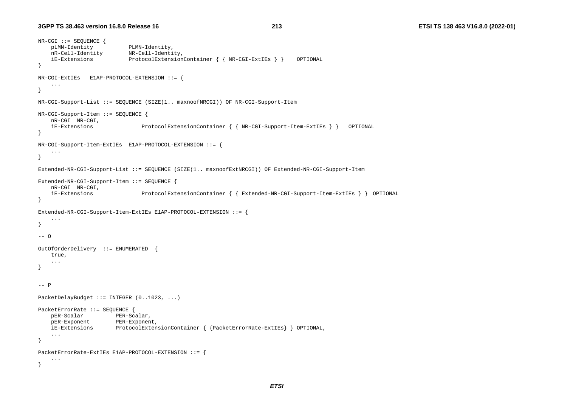```
NR-CGI ::= SEQUENCE { 
    pLMN-Identity PLMN-Identity, 
 nR-Cell-Identity NR-Cell-Identity, 
 iE-Extensions ProtocolExtensionContainer { { NR-CGI-ExtIEs } } OPTIONAL 
} 
NR-CGI-ExtIEs E1AP-PROTOCOL-EXTENSION ::= { 
     ... } 
NR-CGI-Support-List ::= SEQUENCE (SIZE(1.. maxnoofNRCGI)) OF NR-CGI-Support-Item 
NR-CGI-Support-Item ::= SEQUENCE { 
    nR-CGI NR-CGI, 
    iE-Extensions ProtocolExtensionContainer { { NR-CGI-Support-Item-ExtIEs } } OPTIONAL 
} 
NR-CGI-Support-Item-ExtIEs E1AP-PROTOCOL-EXTENSION ::= { 
     ... } 
Extended-NR-CGI-Support-List ::= SEQUENCE (SIZE(1.. maxnoofExtNRCGI)) OF Extended-NR-CGI-Support-Item 
Extended-NR-CGI-Support-Item ::= SEQUENCE { 
    nR-CGI NR-CGI, 
     iE-Extensions ProtocolExtensionContainer { { Extended-NR-CGI-Support-Item-ExtIEs } } OPTIONAL 
} 
Extended-NR-CGI-Support-Item-ExtIEs E1AP-PROTOCOL-EXTENSION ::= { 
     ... } 
-- O OutOfOrderDelivery ::= ENUMERATED { 
    true, 
 ... 
} 
-- P
PacketDelayBudget ::= INTEGER (0..1023, ...)
PacketErrorRate ::= SEQUENCE { 
   pER-Scalar PER-Scalar,
    pER-Exponent PER-Exponent, 
    iE-Extensions ProtocolExtensionContainer { {PacketErrorRate-ExtIEs} } OPTIONAL, 
     ... } 
PacketErrorRate-ExtIEs E1AP-PROTOCOL-EXTENSION ::= { 
     ... }
```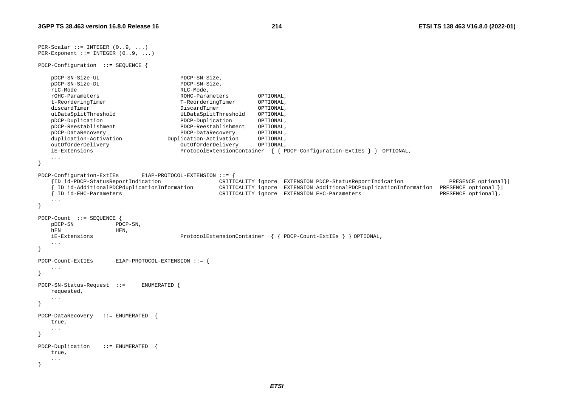```
PER-Scalar ::= INTER-ScalarPER-Exponent ::= INTEGR (0..9, ...)PDCP-Configuration ::= SEQUENCE { 
    pDCP-SN-Size-UL PDCP-SN-Size, 
    pDCP-SN-Size-DL PDCP-SN-Size, 
    rLC-Mode RLC-Mode, 
    rOHC-Parameters ROHC-Parameters OPTIONAL, 
    t-ReorderingTimer T-ReorderingTimer OPTIONAL, 
   discardTimer DiscardTimer DiscardTimer OPTIONAL,
    uLDataSplitThreshold ULDataSplitThreshold OPTIONAL, 
    pDCP-Duplication PDCP-Duplication OPTIONAL, 
    pDCP-Reestablishment PDCP-Reestablishment OPTIONAL, 
    pDCP-DataRecovery PDCP-DataRecovery OPTIONAL, 
    duplication-Activation Duplication-Activation OPTIONAL, 
    outOfOrderDelivery OutOfOrderDelivery OPTIONAL, 
    iE-Extensions ProtocolExtensionContainer { { PDCP-Configuration-ExtIEs } } OPTIONAL, 
    ... } 
PDCP-Configuration-ExtIEs E1AP-PROTOCOL-EXTENSION ::= { 
    {ID id-PDCP-StatusReportIndication CRITICALITY ignore EXTENSION PDCP-StatusReportIndication PRESENCE optional}| 
     { ID id-AdditionalPDCPduplicationInformation CRITICALITY ignore EXTENSION AdditionalPDCPduplicationInformation PRESENCE optional }| 
    { ID id-EHC-Parameters CRITICALITY ignore EXTENSION EHC-Parameters PRESENCE optional}, 
    ... } 
PDCP-Count ::= SEQUENCE { 
    pDCP-SN PDCP-SN, 
   hFN HFN,
    iE-Extensions ProtocolExtensionContainer { { PDCP-Count-ExtIEs } } OPTIONAL, 
 ... 
} 
PDCP-Count-ExtIEs E1AP-PROTOCOL-EXTENSION ::= { 
    ... } 
PDCP-SN-Status-Request ::= ENUMERATED { 
    requested, 
    ... } 
PDCP-DataRecovery ::= ENUMERATED { 
    true, 
 ... 
} 
PDCP-Duplication ::= ENUMERATED
    true, 
    ... }
```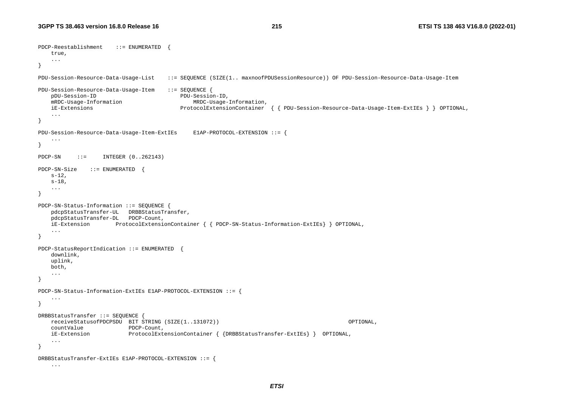```
PDCP-Reestablishment ::= ENUMERATED { 
    true, 
 ... 
} 
PDU-Session-Resource-Data-Usage-List ::= SEQUENCE (SIZE(1.. maxnoofPDUSessionResource)) OF PDU-Session-Resource-Data-Usage-Item
PDU-Session-Resource-Data-Usage-Item ::= SEQUENCE { 
    pDU-Session-ID PDU-Session-ID, 
    mRDC-Usage-Information MRDC-Usage-Information, 
    iE-Extensions ProtocolExtensionContainer { { PDU-Session-Resource-Data-Usage-Item-ExtIEs } } OPTIONAL, 
 ... 
} 
PDU-Session-Resource-Data-Usage-Item-ExtIEs E1AP-PROTOCOL-EXTENSION ::= { 
     ... } 
PDCP-SN ::= INTEGER (0..262143) 
PDCP-SN-Size ::= ENUMERATED { 
   s-12,
   s-18,
 ... 
} 
PDCP-SN-Status-Information ::= SEQUENCE { 
    pdcpStatusTransfer-UL DRBBStatusTransfer, 
    pdcpStatusTransfer-DL PDCP-Count, 
    iE-Extension ProtocolExtensionContainer { { PDCP-SN-Status-Information-ExtIEs} } OPTIONAL, 
 ... 
} 
PDCP-StatusReportIndication ::= ENUMERATED
    downlink, 
    uplink, 
    both, 
     ... } 
PDCP-SN-Status-Information-ExtIEs E1AP-PROTOCOL-EXTENSION ::= { 
     ... } 
DRBBStatusTransfer ::= SEQUENCE { 
    receiveStatusofPDCPSDU BIT STRING (SIZE(1..131072)) OPTIONAL, 
    countValue PDCP-Count, 
    iE-Extension ProtocolExtensionContainer { {DRBBStatusTransfer-ExtIEs} } OPTIONAL, 
    ... } 
DRBBStatusTransfer-ExtIEs E1AP-PROTOCOL-EXTENSION ::= { 
    ...
```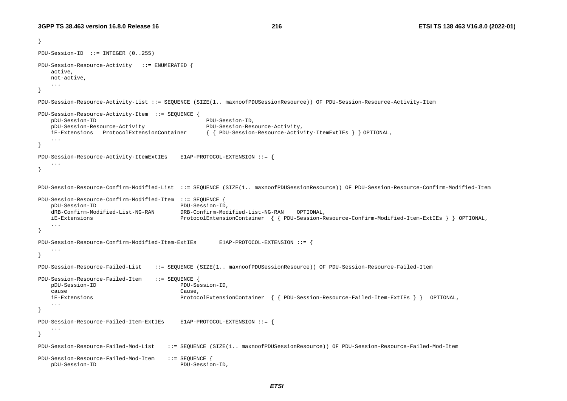```
} 
PDU-Session-ID ::= INTEGER (0..255) 
PDU-Session-Resource-Activity ::= ENUMERATED { 
    active, 
    not-active, 
    ... } 
PDU-Session-Resource-Activity-List ::= SEQUENCE (SIZE(1.. maxnoofPDUSessionResource)) OF PDU-Session-Resource-Activity-Item 
PDU-Session-Resource-Activity-Item ::= SEQUENCE { 
    pDU-Session-ID PDU-Session-ID, 
    pDU-Session-Resource-Activity PDU-Session-Resource-Activity, 
    iE-Extensions ProtocolExtensionContainer { { PDU-Session-Resource-Activity-ItemExtIEs } } OPTIONAL, 
    ... } 
PDU-Session-Resource-Activity-ItemExtIEs E1AP-PROTOCOL-EXTENSION ::= { 
 ... } 
PDU-Session-Resource-Confirm-Modified-List ::= SEQUENCE (SIZE(1.. maxnoofPDUSessionResource)) OF PDU-Session-Resource-Confirm-Modified-Item 
PDU-Session-Resource-Confirm-Modified-Item ::= SEQUENCE { 
    pDU-Session-ID PDU-Session-ID, 
    dRB-Confirm-Modified-List-NG-RAN DRB-Confirm-Modified-List-NG-RAN OPTIONAL, 
    iE-Extensions ProtocolExtensionContainer { { PDU-Session-Resource-Confirm-Modified-Item-ExtIEs } } OPTIONAL, 
    ... } 
PDU-Session-Resource-Confirm-Modified-Item-ExtIEs E1AP-PROTOCOL-EXTENSION ::= { 
    ... } 
PDU-Session-Resource-Failed-List ::= SEQUENCE (SIZE(1.. maxnoofPDUSessionResource)) OF PDU-Session-Resource-Failed-Item 
PDU-Session-Resource-Failed-Item ::= SEQUENCE { 
    pDU-Session-ID PDU-Session-ID, 
 cause Cause, 
    iE-Extensions ProtocolExtensionContainer { { PDU-Session-Resource-Failed-Item-ExtIEs } } OPTIONAL, 
    ... } 
PDU-Session-Resource-Failed-Item-ExtIEs E1AP-PROTOCOL-EXTENSION ::= { 
    ... } 
PDU-Session-Resource-Failed-Mod-List ::= SEQUENCE (SIZE(1.. maxnoofPDUSessionResource)) OF PDU-Session-Resource-Failed-Mod-Item
PDU-Session-Resource-Failed-Mod-Item ::= SEQUENCE { 
    pDU-Session-ID PDU-Session-ID,
```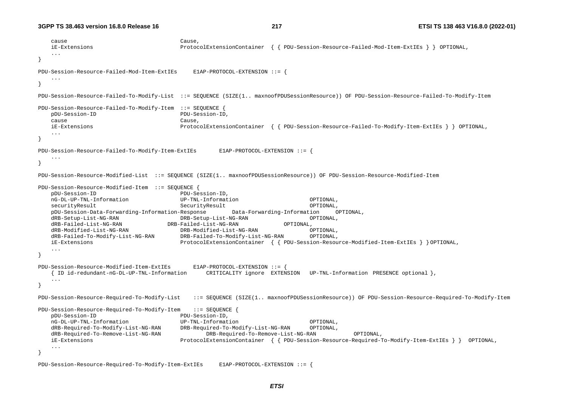```
 cause Cause, 
    iE-Extensions ProtocolExtensionContainer { { PDU-Session-Resource-Failed-Mod-Item-ExtIEs } } OPTIONAL, 
    ... } 
PDU-Session-Resource-Failed-Mod-Item-ExtIEs E1AP-PROTOCOL-EXTENSION ::= { 
 ... } 
PDU-Session-Resource-Failed-To-Modify-List ::= SEQUENCE (SIZE(1.. maxnoofPDUSessionResource)) OF PDU-Session-Resource-Failed-To-Modify-Item 
PDU-Session-Resource-Failed-To-Modify-Item ::= SEQUENCE { 
    pDU-Session-ID PDU-Session-ID, 
    cause Cause, 
    iE-Extensions ProtocolExtensionContainer { { PDU-Session-Resource-Failed-To-Modify-Item-ExtIEs } } OPTIONAL, 
 ... } 
PDU-Session-Resource-Failed-To-Modify-Item-ExtIEs E1AP-PROTOCOL-EXTENSION ::= { 
    ... } 
PDU-Session-Resource-Modified-List ::= SEQUENCE (SIZE(1.. maxnoofPDUSessionResource)) OF PDU-Session-Resource-Modified-Item 
PDU-Session-Resource-Modified-Item ::= SEQUENCE { 
    pDU-Session-ID PDU-Session-ID, 
    nG-DL-UP-TNL-Information UP-TNL-Information OPTIONAL, 
    securityResult SecurityResult OPTIONAL, 
    pDU-Session-Data-Forwarding-Information-Response Data-Forwarding-Information OPTIONAL, 
    dRB-Setup-List-NG-RAN DRB-Setup-List-NG-RAN OPTIONAL, 
    dRB-Failed-List-NG-RAN DRB-Failed-List-NG-RAN OPTIONAL, 
    dRB-Modified-List-NG-RAN DRB-Modified-List-NG-RAN OPTIONAL, 
    dRB-Failed-To-Modify-List-NG-RAN DRB-Failed-To-Modify-List-NG-RAN OPTIONAL, 
    iE-Extensions ProtocolExtensionContainer { { PDU-Session-Resource-Modified-Item-ExtIEs } } OPTIONAL, 
    ... } 
PDU-Session-Resource-Modified-Item-ExtIEs E1AP-PROTOCOL-EXTENSION ::= { 
    { ID id-redundant-nG-DL-UP-TNL-Information CRITICALITY ignore EXTENSION UP-TNL-Information PRESENCE optional }, 
    ... } 
PDU-Session-Resource-Required-To-Modify-List ::= SEQUENCE (SIZE(1.. maxnoofPDUSessionResource)) OF PDU-Session-Resource-Required-To-Modify-Item 
PDU-Session-Resource-Required-To-Modify-Item ::= SEQUENCE { 
    pDU-Session-ID PDU-Session-ID, 
    nG-DL-UP-TNL-Information UP-TNL-Information OPTIONAL, 
    dRB-Required-To-Modify-List-NG-RAN DRB-Required-To-Modify-List-NG-RAN OPTIONAL, 
    dRB-Required-To-Remove-List-NG-RAN DRB-Required-To-Remove-List-NG-RAN OPTIONAL, 
    iE-Extensions ProtocolExtensionContainer { { PDU-Session-Resource-Required-To-Modify-Item-ExtIEs } } OPTIONAL, 
 ... }
```
PDU-Session-Resource-Required-To-Modify-Item-ExtIEs E1AP-PROTOCOL-EXTENSION ::= {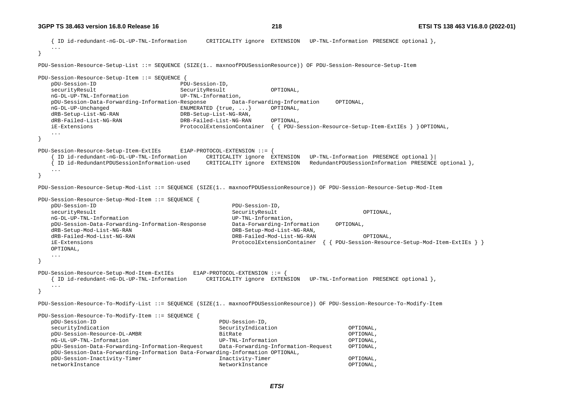{ ID id-redundant-nG-DL-UP-TNL-Information CRITICALITY ignore EXTENSION UP-TNL-Information PRESENCE optional }, ... } PDU-Session-Resource-Setup-List ::= SEQUENCE (SIZE(1.. maxnoofPDUSessionResource)) OF PDU-Session-Resource-Setup-Item PDU-Session-Resource-Setup-Item ::= SEQUENCE { pDU-Session-ID PDU-Session-ID, securityResult SecurityResult OPTIONAL, nG-DL-UP-TNL-Information UP-TNL-Information, pDU-Session-Data-Forwarding-Information-Response Data-Forwarding-Information OPTIONAL, nG-DL-UP-Unchanged ENUMERATED {true, ...} OPTIONAL, dRB-Setup-List-NG-RAN DRB-Setup-List-NG-RAN, dRB-Failed-List-NG-RAN DRB-Failed-List-NG-RAN OPTIONAL, iE-Extensions ProtocolExtensionContainer { { PDU-Session-Resource-Setup-Item-ExtIEs } } OPTIONAL, ... } PDU-Session-Resource-Setup-Item-ExtIEs E1AP-PROTOCOL-EXTENSION ::= { { ID id-redundant-nG-DL-UP-TNL-Information CRITICALITY ignore EXTENSION UP-TNL-Information PRESENCE optional }| { ID id-RedundantPDUSessionInformation-used CRITICALITY ignore EXTENSION RedundantPDUSessionInformation PRESENCE optional }, ... } PDU-Session-Resource-Setup-Mod-List ::= SEQUENCE (SIZE(1.. maxnoofPDUSessionResource)) OF PDU-Session-Resource-Setup-Mod-Item PDU-Session-Resource-Setup-Mod-Item ::= SEQUENCE { pDU-Session-ID PDU-Session-ID, securityResult SecurityResult OPTIONAL, nG-DL-UP-TNL-Information UP-TNL-Information, pDU-Session-Data-Forwarding-Information-Response Data-Forwarding-Information OPTIONAL, dRB-Setup-Mod-List-NG-RAN DRB-Setup-Mod-List-NG-RAN, dRB-Failed-Mod-List-NG-RAN DRB-Failed-Mod-List-NG-RAN OPTIONAL, iE-Extensions ProtocolExtensionContainer { { PDU-Session-Resource-Setup-Mod-Item-ExtIEs } } OPTIONAL, ... } PDU-Session-Resource-Setup-Mod-Item-ExtIEs E1AP-PROTOCOL-EXTENSION ::= { { ID id-redundant-nG-DL-UP-TNL-Information CRITICALITY ignore EXTENSION UP-TNL-Information PRESENCE optional }, ... } PDU-Session-Resource-To-Modify-List ::= SEQUENCE (SIZE(1.. maxnoofPDUSessionResource)) OF PDU-Session-Resource-To-Modify-Item PDU-Session-Resource-To-Modify-Item ::= SEQUENCE { pDU-Session-ID PDU-Session-ID, securityIndication SecurityIndication OPTIONAL, pDU-Session-Resource-DL-AMBR BitRate OPTIONAL, nG-UL-UP-TNL-Information UP-TNL-Information OPTIONAL, pDU-Session-Data-Forwarding-Information-Request Data-Forwarding-Information-Request OPTIONAL, pDU-Session-Data-Forwarding-Information Data-Forwarding-Information OPTIONAL, pDU-Session-Inactivity-Timer Inactivity-Timer OPTIONAL, networkInstance NetworkInstance OPTIONAL,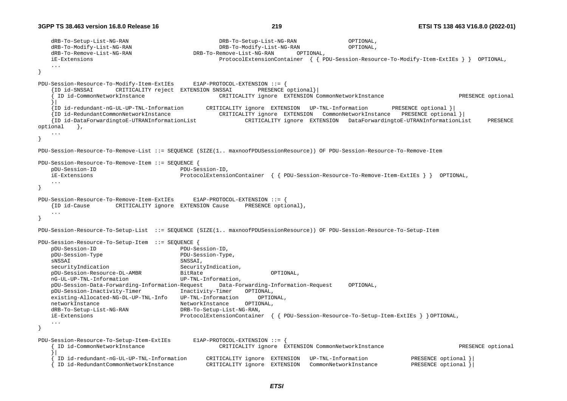```
 dRB-To-Setup-List-NG-RAN DRB-To-Setup-List-NG-RAN OPTIONAL, 
    dRB-To-Modify-List-NG-RAN DRB-To-Modify-List-NG-RAN OPTIONAL, 
    dRB-To-Remove-List-NG-RAN DRB-To-Remove-List-NG-RAN OPTIONAL, 
    iE-Extensions ProtocolExtensionContainer { { PDU-Session-Resource-To-Modify-Item-ExtIEs } } OPTIONAL, 
    ... } 
PDU-Session-Resource-To-Modify-Item-ExtIEs E1AP-PROTOCOL-EXTENSION ::= { 
     {ID id-SNSSAI CRITICALITY reject EXTENSION SNSSAI PRESENCE optional}| 
     ID id-CommonNetworkInstance and CRITICALITY ignore EXTENSION CommonNetworkInstance PRESENCE optional
 }| 
     {ID id-redundant-nG-UL-UP-TNL-Information CRITICALITY ignore EXTENSION UP-TNL-Information PRESENCE optional }| 
     {ID id-RedundantCommonNetworkInstance CRITICALITY ignore EXTENSION CommonNetworkInstance PRESENCE optional }| 
     {ID id-DataForwardingtoE-UTRANInformationList CRITICALITY ignore EXTENSION DataForwardingtoE-UTRANInformationList PRESENCE 
optional },
    ... } 
PDU-Session-Resource-To-Remove-List ::= SEQUENCE (SIZE(1.. maxnoofPDUSessionResource)) OF PDU-Session-Resource-To-Remove-Item 
PDU-Session-Resource-To-Remove-Item ::= SEQUENCE { 
    pDU-Session-ID PDU-Session-ID, 
    iE-Extensions ProtocolExtensionContainer { { PDU-Session-Resource-To-Remove-Item-ExtIEs } } OPTIONAL, 
    ... } 
PDU-Session-Resource-To-Remove-Item-ExtIEs E1AP-PROTOCOL-EXTENSION ::= { 
    {ID id-Cause CRITICALITY ignore EXTENSION Cause PRESENCE optional}, 
    ... } 
PDU-Session-Resource-To-Setup-List ::= SEQUENCE (SIZE(1.. maxnoofPDUSessionResource)) OF PDU-Session-Resource-To-Setup-Item 
PDU-Session-Resource-To-Setup-Item ::= SEQUENCE { 
    pDU-Session-ID PDU-Session-ID, 
    pDU-Session-Type PDU-Session-Type, 
   sNSSAI, SNSSAI, SNSSAI, SNSSAI, SNSSAI, SNSSAI, SNSSAI, SNSSAI, SNSSAI, SNSSAI, SNSSAI, SNSSAI, SNSSAI, SNSSAI, SNSSAI, SNSSAI, SNSSAI, SNSSAI, SNSSAI, SNSSAI, SNSSAI, SNSSAI, SNSSAI, SNSSAI, SNSSAI, SNSSAI, SNSSAI, SNSSAI
   securityIndication SecurityIndication,
    pDU-Session-Resource-DL-AMBR BitRate OPTIONAL, 
    nG-UL-UP-TNL-Information UP-TNL-Information, 
    pDU-Session-Data-Forwarding-Information-Request Data-Forwarding-Information-Request OPTIONAL, 
    pDU-Session-Inactivity-Timer Inactivity-Timer OPTIONAL, 
    existing-Allocated-NG-DL-UP-TNL-Info UP-TNL-Information OPTIONAL, 
    networkInstance NetworkInstance OPTIONAL, 
    dRB-To-Setup-List-NG-RAN DRB-To-Setup-List-NG-RAN, 
    iE-Extensions ProtocolExtensionContainer { { PDU-Session-Resource-To-Setup-Item-ExtIEs } } OPTIONAL, 
    ... } 
PDU-Session-Resource-To-Setup-Item-ExtIEs E1AP-PROTOCOL-EXTENSION ::= { 
      { ID id-CommonNetworkInstance CRITICALITY ignore EXTENSION CommonNetworkInstance PRESENCE optional
 }| 
      { ID id-redundant-nG-UL-UP-TNL-Information CRITICALITY ignore EXTENSION UP-TNL-Information PRESENCE optional }| 
      { ID id-RedundantCommonNetworkInstance CRITICALITY ignore EXTENSION CommonNetworkInstance PRESENCE optional }|
```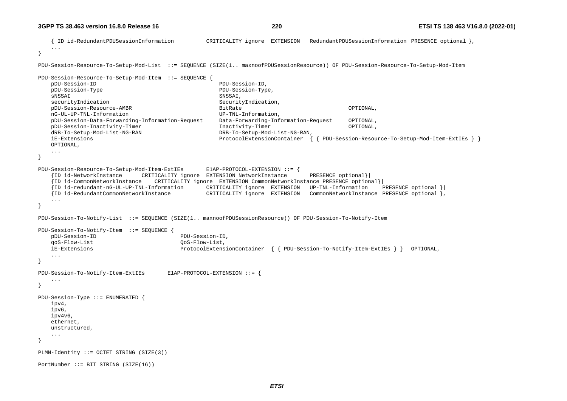```
 { ID id-RedundantPDUSessionInformation CRITICALITY ignore EXTENSION RedundantPDUSessionInformation PRESENCE optional }, 
 ... } 
PDU-Session-Resource-To-Setup-Mod-List ::= SEQUENCE (SIZE(1.. maxnoofPDUSessionResource)) OF PDU-Session-Resource-To-Setup-Mod-Item 
PDU-Session-Resource-To-Setup-Mod-Item ::= SEQUENCE { 
    pDU-Session-ID PDU-Session-ID, 
    pDU-Session-Type PDU-Session-Type, 
   sNSSAI, SNSSAI, SNSSAI, SNSSAI, SNSSAI, SNSSAI, SNSSAI, SNSSAI, SNSSAI, SNSSAI, SNSSAI, SNSSAI, SNSSAI, SNSSAI, SNSSAI, SNSSAI, SNSSAI, SNSSAI, SNSSAI, SNSSAI, SNSSAI, SNSSAI, SNSSAI, SNSSAI, SNSSAI, SNSSAI, SNSSAI, SNSSAI
   securityIndication {\sf SecurityIndication} pDU-Session-Resource-AMBR BitRate OPTIONAL, 
    nG-UL-UP-TNL-Information UP-TNL-Information, 
    pDU-Session-Data-Forwarding-Information-Request Data-Forwarding-Information-Request OPTIONAL, 
    pDU-Session-Inactivity-Timer Inactivity-Timer OPTIONAL, 
    dRB-To-Setup-Mod-List-NG-RAN DRB-To-Setup-Mod-List-NG-RAN, 
    iE-Extensions ProtocolExtensionContainer { { PDU-Session-Resource-To-Setup-Mod-Item-ExtIEs } }
    OPTIONAL, 
    ... } 
PDU-Session-Resource-To-Setup-Mod-Item-ExtIEs E1AP-PROTOCOL-EXTENSION ::= { 
     {ID id-NetworkInstance CRITICALITY ignore EXTENSION NetworkInstance PRESENCE optional}| 
     {ID id-CommonNetworkInstance CRITICALITY ignore EXTENSION CommonNetworkInstance PRESENCE optional}| 
     {ID id-redundant-nG-UL-UP-TNL-Information CRITICALITY ignore EXTENSION UP-TNL-Information PRESENCE optional }| 
    {ID id-RedundantCommonNetworkInstance CRITICALITY ignore EXTENSION CommonNetworkInstance PRESENCE optional }, 
    ... } 
PDU-Session-To-Notify-List ::= SEQUENCE (SIZE(1.. maxnoofPDUSessionResource)) OF PDU-Session-To-Notify-Item 
PDU-Session-To-Notify-Item ::= SEQUENCE { 
    pDU-Session-ID PDU-Session-ID, 
    qoS-Flow-List QoS-Flow-List, 
    iE-Extensions ProtocolExtensionContainer { { PDU-Session-To-Notify-Item-ExtIEs } } OPTIONAL, 
    ... } 
PDU-Session-To-Notify-Item-ExtIEs E1AP-PROTOCOL-EXTENSION ::= { 
    ... } 
PDU-Session-Type ::= ENUMERATED { 
    ipv4, 
    ipv6, 
    ipv4v6, 
    ethernet, 
    unstructured, 
    ... } 
PLMN-Identity ::= OCTET STRING (SIZE(3)) 
PortNumber ::= BIT STRING (SIZE(16))
```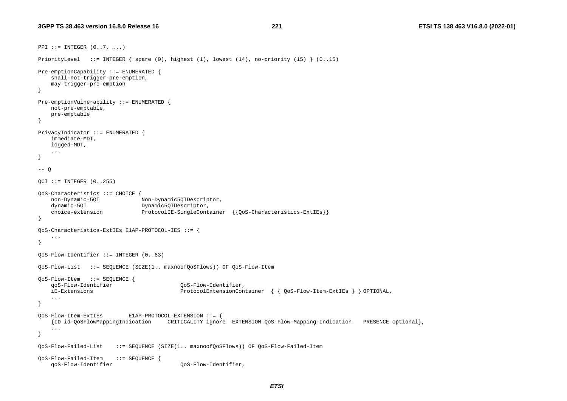```
PPI := INTEGER (0..7, ...)PriorityLevel ::= INTEGER { spare (0), highest (1), lowest (14), no-priority (15) } (0..15) 
Pre-emptionCapability ::= ENUMERATED { 
     shall-not-trigger-pre-emption, 
     may-trigger-pre-emption 
} 
Pre-emptionVulnerability ::= ENUMERATED { 
    not-pre-emptable, 
    pre-emptable 
} 
PrivacyIndicator ::= ENUMERATED { 
     immediate-MDT, 
    logged-MDT, 
     ... } 
-- Q
QCI ::= INTEGER (0..255)QoS-Characteristics ::= CHOICE { 
     non-Dynamic-5QI Non-Dynamic5QIDescriptor, 
   dynamic-50I Dynamic50IDescriptor,
    choice-extension ProtocolIE-SingleContainer {{0oS-Characteristics-ExtIEs}}
} 
QoS-Characteristics-ExtIEs E1AP-PROTOCOL-IES ::= { 
     ... } 
QoS-Flow-Identifier ::= INTEGER (0..63) 
QoS-Flow-List ::= SEQUENCE (SIZE(1.. maxnoofQoSFlows)) OF QoS-Flow-Item 
QoS-Flow-Item ::= SEQUENCE { 
                                           qoS-Flow-Identifier QoS-Flow-Identifier, 
    iE-Extensions ProtocolExtensionContainer { { QoS-Flow-Item-ExtIEs } } OPTIONAL, 
     ... } 
QoS-Flow-Item-ExtIEs E1AP-PROTOCOL-EXTENSION ::= { 
     {ID id-QoSFlowMappingIndication CRITICALITY ignore EXTENSION QoS-Flow-Mapping-Indication PRESENCE optional}, 
 ... 
} 
QoS-Flow-Failed-List ::= SEQUENCE (SIZE(1.. maxnoofQoSFlows)) OF QoS-Flow-Failed-Item 
QoS-Flow-Failed-Item ::= SEQUENCE { 
     qoS-Flow-Identifier QoS-Flow-Identifier,
```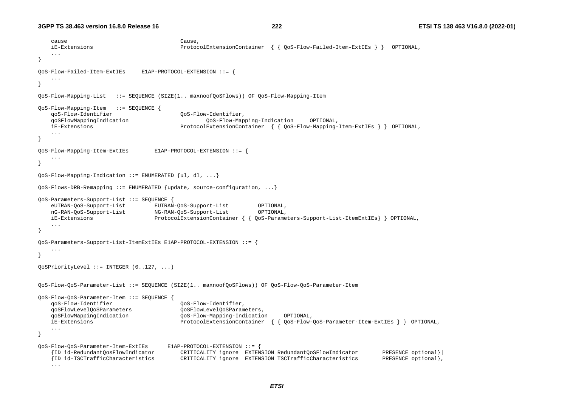```
 cause Cause, 
    iE-Extensions ProtocolExtensionContainer { { QoS-Flow-Failed-Item-ExtIEs } } OPTIONAL, 
    ... } 
QoS-Flow-Failed-Item-ExtIEs E1AP-PROTOCOL-EXTENSION ::= { 
    ... } 
QoS-Flow-Mapping-List ::= SEQUENCE (SIZE(1.. maxnoofQoSFlows)) OF QoS-Flow-Mapping-Item 
QoS-Flow-Mapping-Item ::= SEQUENCE { 
    qoS-Flow-Identifier QoS-Flow-Identifier, 
    qoSFlowMappingIndication QoS-Flow-Mapping-Indication OPTIONAL, 
    iE-Extensions ProtocolExtensionContainer { { QoS-Flow-Mapping-Item-ExtIEs } } OPTIONAL, 
 ... } 
QoS-Flow-Mapping-Item-ExtIEs E1AP-PROTOCOL-EXTENSION ::= { 
    ... } 
QoS-Flow-Mapping-Indication ::= ENUMERATED {ul, dl, ...} 
QoS-Flows-DRB-Remapping ::= ENUMERATED {update, source-configuration, ...} 
QoS-Parameters-Support-List ::= SEQUENCE { 
    eUTRAN-QoS-Support-List EUTRAN-QoS-Support-List OPTIONAL, 
    nG-RAN-QoS-Support-List NG-RAN-QoS-Support-List OPTIONAL, 
    iE-Extensions ProtocolExtensionContainer { { QoS-Parameters-Support-List-ItemExtIEs} } OPTIONAL, 
} 
QoS-Parameters-Support-List-ItemExtIEs E1AP-PROTOCOL-EXTENSION ::= { 
    ... } 
QoSPriorityLevel ::= INTEGER (0..127, ...) 
QoS-Flow-QoS-Parameter-List ::= SEQUENCE (SIZE(1.. maxnoofQoSFlows)) OF QoS-Flow-QoS-Parameter-Item 
QoS-Flow-QoS-Parameter-Item ::= SEQUENCE { 
    qoS-Flow-Identifier QoS-Flow-Identifier, 
    qoSFlowLevelQoSParameters QoSFlowLevelQoSParameters, 
    qoSFlowMappingIndication QoS-Flow-Mapping-Indication OPTIONAL, 
    iE-Extensions ProtocolExtensionContainer { { QoS-Flow-QoS-Parameter-Item-ExtIEs } } OPTIONAL, 
    ... } 
QoS-Flow-QoS-Parameter-Item-ExtIEs E1AP-PROTOCOL-EXTENSION ::= { 
    {ID id-RedundantQosFlowIndicator CRITICALITY ignore EXTENSION RedundantQoSFlowIndicator PRESENCE optional}| 
                                      CRITICALITY ignore EXTENSION TSCTrafficCharacteristics
    ...
```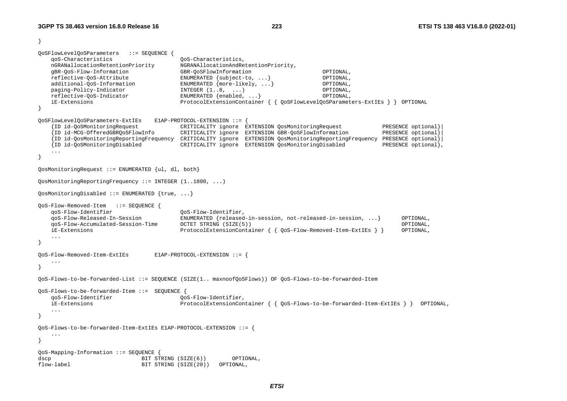}

```
QoSFlowLevelQoSParameters ::= SEQUENCE { 
    qoS-Characteristics QoS-Characteristics, 
    nGRANallocationRetentionPriority NGRANAllocationAndRetentionPriority, 
    gBR-QoS-Flow-Information GBR-QoSFlowInformation OPTIONAL, 
    reflective-QoS-Attribute ENUMERATED {subject-to, ...} OPTIONAL, 
    additional-QoS-Information ENUMERATED {more-likely, ...} OPTIONAL, 
   paging-Policy-Indicator I\ NTEGER (1..8, ...) OPTIONAL,
    reflective-QoS-Indicator ENUMERATED {enabled, ...} OPTIONAL, 
    iE-Extensions ProtocolExtensionContainer { { QoSFlowLevelQoSParameters-ExtIEs } } OPTIONAL 
} 
QoSFlowLevelQoSParameters-ExtIEs E1AP-PROTOCOL-EXTENSION ::= { 
    {ID id-QoSMonitoringRequest CRITICALITY ignore EXTENSION QosMonitoringRequest PRESENCE optional}| 
    {ID id-MCG-OfferedGBRQoSFlowInfo CRITICALITY ignore EXTENSION GBR-QoSFlowInformation PRESENCE optional}| 
    {ID id-QosMonitoringReportingFrequency CRITICALITY ignore EXTENSION QosMonitoringReportingFrequency PRESENCE optional}| 
    {ID id-QoSMonitoringDisabled CRITICALITY ignore EXTENSION QosMonitoringDisabled PRESENCE optional}, 
    ... } 
QosMonitoringRequest ::= ENUMERATED {ul, dl, both} 
QosMonitoringReportingFrequency ::= INTEGER (1..1800, ...) 
QosMonitoringDisabled ::= ENUMERATED {true, ...} 
QoS-Flow-Removed-Item ::= SEQUENCE { 
    qoS-Flow-Identifier QoS-Flow-Identifier, 
    qoS-Flow-Released-In-Session ENUMERATED {released-in-session, not-released-in-session, ...} OPTIONAL, 
    qoS-Flow-Accumulated-Session-Time OCTET STRING (SIZE(5)) OPTIONAL, 
    iE-Extensions ProtocolExtensionContainer { { QoS-Flow-Removed-Item-ExtIEs } } OPTIONAL, 
    ... } 
QoS-Flow-Removed-Item-ExtIEs E1AP-PROTOCOL-EXTENSION ::= { 
. . . .
} 
QoS-Flows-to-be-forwarded-List ::= SEQUENCE (SIZE(1.. maxnoofQoSFlows)) OF QoS-Flows-to-be-forwarded-Item 
QoS-Flows-to-be-forwarded-Item ::= SEQUENCE { 
    qoS-Flow-Identifier QoS-Flow-Identifier, 
    iE-Extensions ProtocolExtensionContainer { { QoS-Flows-to-be-forwarded-Item-ExtIEs } } OPTIONAL, 
    ... } 
QoS-Flows-to-be-forwarded-Item-ExtIEs E1AP-PROTOCOL-EXTENSION ::= { 
 ... } 
QoS-Mapping-Information ::= SEQUENCE { 
dscp BIT STRING (SIZE(6)) OPTIONAL, 
flow-label BIT STRING (SIZE(20)) OPTIONAL,
```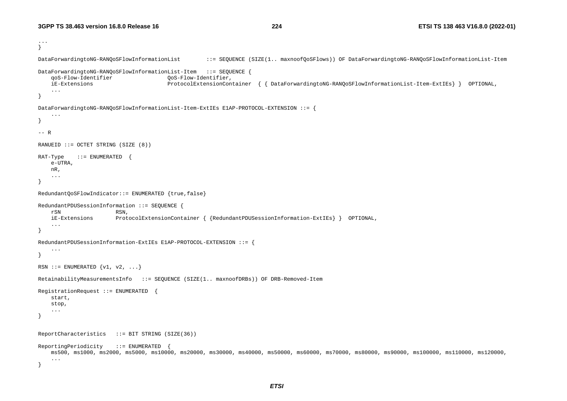```
... } 
DataForwardingtoNG-RANQoSFlowInformationList ::= SEQUENCE (SIZE(1.. maxnoofQoSFlows)) OF DataForwardingtoNG-RANQoSFlowInformationList-Item 
DataForwardingtoNG-RANQoSFlowInformationList-Item ::= SEQUENCE { 
     qoS-Flow-Identifier QoS-Flow-Identifier, 
     iE-Extensions ProtocolExtensionContainer { { DataForwardingtoNG-RANQoSFlowInformationList-Item-ExtIEs} } OPTIONAL, 
     ... } 
DataForwardingtoNG-RANQoSFlowInformationList-Item-ExtIEs E1AP-PROTOCOL-EXTENSION ::= { 
     ... } 
--- RRANUEID ::= OCTET STRING (SIZE (8)) 
RAT-Type ::= ENUMERATED {
     e-UTRA, 
     nR, 
     ... } 
RedundantQoSFlowIndicator::= ENUMERATED {true,false} 
RedundantPDUSessionInformation ::= SEQUENCE { 
     rSN RSN, 
     iE-Extensions ProtocolExtensionContainer { {RedundantPDUSessionInformation-ExtIEs} } OPTIONAL, 
     ... } 
RedundantPDUSessionInformation-ExtIEs E1AP-PROTOCOL-EXTENSION ::= { 
     ... } 
RSN ::= ENUMERATED \{v1, v2, ... \}RetainabilityMeasurementsInfo ::= SEQUENCE (SIZE(1.. maxnoofDRBs)) OF DRB-Removed-Item 
RegistrationRequest ::= ENUMERATED { 
     start, 
     stop, 
     ... } 
ReportCharacteristics ::= BIT STRING (SIZE(36)) 
ReportingPeriodicity ::= ENUMERATED { 
    ms500, ms1000, ms2000, ms5000, ms10000, ms20000, ms30000, ms40000, ms50000, ms60000, ms70000, ms80000, ms90000, ms100000, ms110000, ms120000, 
     ... }
```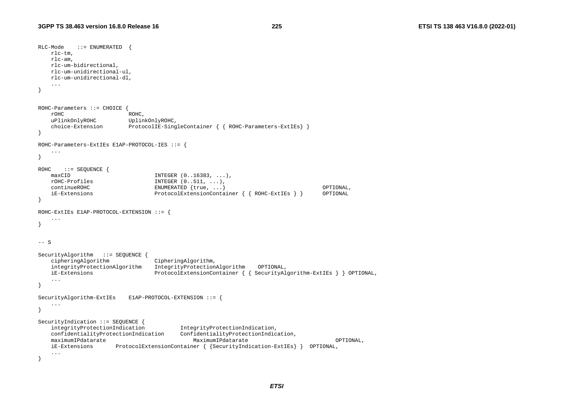```
RLC-Mode ::= ENUMERATED rlc-tm, 
    rlc-am, 
    rlc-um-bidirectional, 
    rlc-um-unidirectional-ul, 
    rlc-um-unidirectional-dl, 
    ... } 
ROHC-Parameters ::= CHOICE { 
    rOHC ROHC, 
    uPlinkOnlyROHC UplinkOnlyROHC, 
    choice-Extension ProtocolIE-SingleContainer { { ROHC-Parameters-ExtIEs} } 
} 
ROHC-Parameters-ExtIEs E1AP-PROTOCOL-IES ::= { 
    ... } 
ROHC ::= SEQUENCE {
   maxCID INTEGR (0.16383, ...)rOHC-Profiles INTEGER (0..511, ...),
    continueROHC ENUMERATED {true, ...} OPTIONAL, 
    iE-Extensions ProtocolExtensionContainer { { ROHC-ExtIEs } } OPTIONAL 
} 
ROHC-ExtIEs E1AP-PROTOCOL-EXTENSION ::= { 
    ... } 
-- S 
SecurityAlgorithm ::= SEQUENCE {
    cipheringAlgorithm CipheringAlgorithm, 
    integrityProtectionAlgorithm IntegrityProtectionAlgorithm OPTIONAL, 
    iE-Extensions ProtocolExtensionContainer { { SecurityAlgorithm-ExtIEs } } OPTIONAL, 
    ... } 
SecurityAlgorithm-ExtIEs E1AP-PROTOCOL-EXTENSION ::= { 
    ... } 
SecurityIndication ::= SEQUENCE {
    integrityProtectionIndication IntegrityProtectionIndication, 
    confidentialityProtectionIndication ConfidentialityProtectionIndication, 
    maximumIPdatarate MaximumIPdatarate OPTIONAL, 
    iE-Extensions ProtocolExtensionContainer { {SecurityIndication-ExtIEs} } OPTIONAL, 
    ... }
```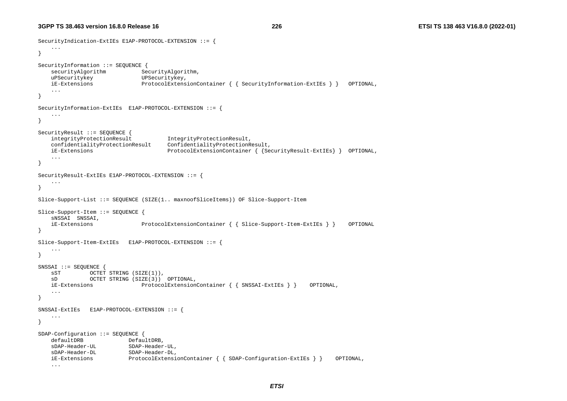```
SecurityIndication-ExtIEs E1AP-PROTOCOL-EXTENSION ::= { 
    ... } 
SecurityInformation ::= SEQUENCE { 
                              SecurityAlgorithm,
   uPSecuritykey UPSecuritykey,
    iE-Extensions ProtocolExtensionContainer { { SecurityInformation-ExtIEs } } OPTIONAL, 
    ... } 
SecurityInformation-ExtIEs E1AP-PROTOCOL-EXTENSION ::= { 
    ... } 
SecurityResult ::= SEOUENCE {
    integrityProtectionResult IntegrityProtectionResult, 
    confidentialityProtectionResult ConfidentialityProtectionResult, 
    iE-Extensions ProtocolExtensionContainer { {SecurityResult-ExtIEs} } OPTIONAL, 
    ... } 
SecurityResult-ExtIEs E1AP-PROTOCOL-EXTENSION ::= { 
    ... } 
Slice-Support-List ::= SEQUENCE (SIZE(1.. maxnoofSliceItems)) OF Slice-Support-Item 
Slice-Support-Item ::= SEQUENCE { 
    sNSSAI SNSSAI, 
    iE-Extensions ProtocolExtensionContainer { { Slice-Support-Item-ExtIEs } } OPTIONAL 
} 
Slice-Support-Item-ExtIEs E1AP-PROTOCOL-EXTENSION ::= { 
    ... } 
SNSSAI ::= SEQUENCE { 
   sST OCTET STRING (SIZE(1)),
    sD OCTET STRING (SIZE(3)) OPTIONAL, 
    iE-Extensions ProtocolExtensionContainer { { SNSSAI-ExtIEs } } OPTIONAL, 
    ... } 
SNSSAI-ExtIEs E1AP-PROTOCOL-EXTENSION ::= { 
    ... } 
SDAP-Configuration ::= SEQUENCE { 
                         DefaultDRB,
    sDAP-Header-UL SDAP-Header-UL, 
    sDAP-Header-DL SDAP-Header-DL, 
    iE-Extensions ProtocolExtensionContainer { { SDAP-Configuration-ExtIEs } } OPTIONAL, 
    ...
```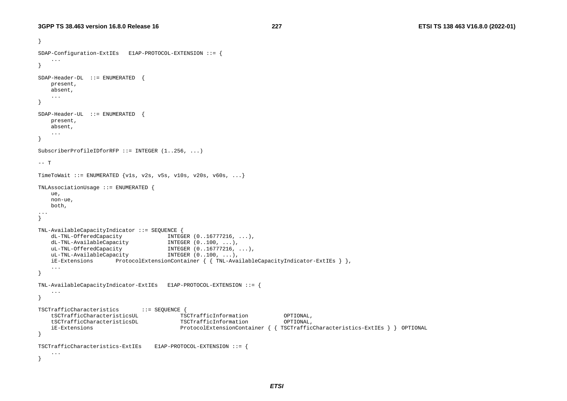```
} 
SDAP-Configuration-ExtIEs E1AP-PROTOCOL-EXTENSION ::= { 
     ... } 
SDAP-Header-DL ::= ENUMERATED { 
    present, 
    absent, 
    ... } 
SDAP-Header-UL ::= ENUMERATED { 
    present, 
    absent, 
     ... } 
SubscriberProfileIDforRFP ::= INTEGER (1..256, ...) 
-- T
TimeToWait ::= ENUMERATED \{v1s, v2s, v5s, v10s, v20s, v60s, ... \}TNLAssociationUsage ::= ENUMERATED { 
    ue, 
    non-ue, 
    both, 
... } 
TNL-AvailableCapacityIndicator ::= SEQUENCE { 
    dL-TNL-OfferedCapacity INTEGER (0..16777216, ...), 
    dL-TNL-AvailableCapacity INTEGER (0..100, ...), 
    uL-TNL-OfferedCapacity INTEGER (0..16777216, ...), 
   uL-TNL-AvailableCapacity INTEGER (0..100, ...) iE-Extensions ProtocolExtensionContainer { { TNL-AvailableCapacityIndicator-ExtIEs } }, 
    ... } 
TNL-AvailableCapacityIndicator-ExtIEs E1AP-PROTOCOL-EXTENSION ::= { 
     ... } 
TSCTrafficCharacteristics ::= SEQUENCE { 
    tSCTrafficCharacteristicsUL TSCTrafficInformation OPTIONAL, 
    tSCTrafficCharacteristicsDL TSCTrafficInformation OPTIONAL, 
    iE-Extensions ProtocolExtensionContainer { { TSCTrafficCharacteristics-ExtIEs } } OPTIONAL 
} 
TSCTrafficCharacteristics-ExtIEs E1AP-PROTOCOL-EXTENSION ::= { 
     ... }
```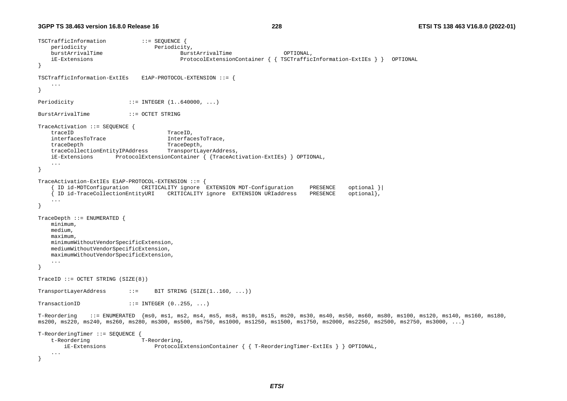```
TSCTrafficInformation ::= SEQUENCE { 
   periodicity Periodicity,
    burstArrivalTime BurstArrivalTime OPTIONAL, 
    iE-Extensions ProtocolExtensionContainer { { TSCTrafficInformation-ExtIEs } } OPTIONAL 
} 
TSCTrafficInformation-ExtIEs E1AP-PROTOCOL-EXTENSION ::= { 
    ... } 
Periodicity ::= INTEGER (1..640000, ...)
BurstArrivalTime ::= OCTET STRING TraceActivation ::= SEQUENCE { 
   traceID TraceID,
   interfacesToTrace InterfacesToTrace,
   traceDepth TraceDepth,
    traceCollectionEntityIPAddress TransportLayerAddress, 
    iE-Extensions ProtocolExtensionContainer { {TraceActivation-ExtIEs} } OPTIONAL, 
    ... } 
TraceActivation-ExtIEs E1AP-PROTOCOL-EXTENSION ::= { 
      { ID id-MDTConfiguration CRITICALITY ignore EXTENSION MDT-Configuration PRESENCE optional }| 
    { ID id-TraceCollectionEntityURI CRITICALITY ignore EXTENSION URIaddress PRESENCE optional}, 
    ... } 
TraceDepth ::= ENUMERATED { 
    minimum, 
    medium, 
    maximum, 
    minimumWithoutVendorSpecificExtension, 
    mediumWithoutVendorSpecificExtension, 
    maximumWithoutVendorSpecificExtension, 
    ... } 
TraceID := OCTET STRING (SIZE(8))TransportLayerAddress ::= BIT STRING (SIZE(1..160, ...)) 
TransactionID ::= INTEGER (0..255, ...)T-Reordering ::= ENUMERATED {ms0, ms1, ms2, ms4, ms5, ms8, ms10, ms15, ms20, ms30, ms40, ms50, ms60, ms80, ms100, ms120, ms140, ms160, ms180, 
ms200, ms220, ms240, ms260, ms280, ms300, ms500, ms750, ms1000, ms1250, ms1500, ms1750, ms2000, ms2250, ms2500, ms2750, ms3000, ...} 
T-ReorderingTimer ::= SEQUENCE { 
   t-Reordering T-Reordering,
       iE-Extensions ProtocolExtensionContainer { { T-ReorderingTimer-ExtIEs } } OPTIONAL, 
    ... }
```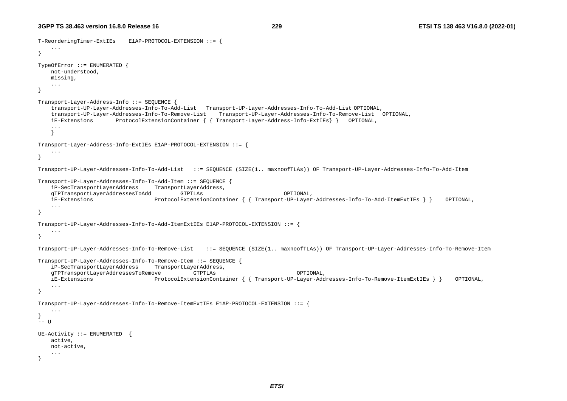```
T-ReorderingTimer-ExtIEs E1AP-PROTOCOL-EXTENSION ::= { 
     ... } 
TypeOfError ::= ENUMERATED { 
    not-understood, 
    missing, 
     ... } 
Transport-Layer-Address-Info ::= SEQUENCE { 
     transport-UP-Layer-Addresses-Info-To-Add-List Transport-UP-Layer-Addresses-Info-To-Add-List OPTIONAL, 
     transport-UP-Layer-Addresses-Info-To-Remove-List Transport-UP-Layer-Addresses-Info-To-Remove-List OPTIONAL, 
     iE-Extensions ProtocolExtensionContainer { { Transport-Layer-Address-Info-ExtIEs} } OPTIONAL, 
     ...  } 
Transport-Layer-Address-Info-ExtIEs E1AP-PROTOCOL-EXTENSION ::= { 
     ... } 
Transport-UP-Layer-Addresses-Info-To-Add-List ::= SEQUENCE (SIZE(1.. maxnoofTLAs)) OF Transport-UP-Layer-Addresses-Info-To-Add-Item 
Transport-UP-Layer-Addresses-Info-To-Add-Item ::= SEQUENCE { 
     iP-SecTransportLayerAddress TransportLayerAddress, 
     gTPTransportLayerAddressesToAdd GTPTLAs OPTIONAL, 
     iE-Extensions ProtocolExtensionContainer { { Transport-UP-Layer-Addresses-Info-To-Add-ItemExtIEs } } OPTIONAL, 
     ... } 
Transport-UP-Layer-Addresses-Info-To-Add-ItemExtIEs E1AP-PROTOCOL-EXTENSION ::= { 
     ... } 
Transport-UP-Layer-Addresses-Info-To-Remove-List ::= SEQUENCE (SIZE(1.. maxnoofTLAs)) OF Transport-UP-Layer-Addresses-Info-To-Remove-Item 
Transport-UP-Layer-Addresses-Info-To-Remove-Item ::= SEQUENCE { 
     iP-SecTransportLayerAddress TransportLayerAddress, 
     gTPTransportLayerAddressesToRemove GTPTLAs OPTIONAL, 
    iE-Extensions ProtocolExtensionContainer { { Transport-UP-Layer-Addresses-Info-To-Remove-ItemExtIEs } } OPTIONAL, 
     ... } 
Transport-UP-Layer-Addresses-Info-To-Remove-ItemExtIEs E1AP-PROTOCOL-EXTENSION ::= { 
     ... } 
-- U
UE-Activity ::= ENUMERATED { 
    active, 
    not-active, 
     ... }
```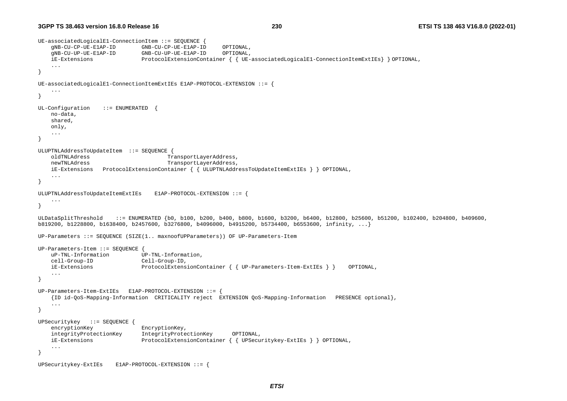```
UE-associatedLogicalE1-ConnectionItem ::= SEQUENCE { 
    gNB-CU-CP-UE-E1AP-ID GNB-CU-CP-UE-E1AP-ID OPTIONAL, 
    gNB-CU-UP-UE-E1AP-ID GNB-CU-UP-UE-E1AP-ID OPTIONAL, 
    iE-Extensions ProtocolExtensionContainer { { UE-associatedLogicalE1-ConnectionItemExtIEs} } OPTIONAL, 
     ... } 
UE-associatedLogicalE1-ConnectionItemExtIEs E1AP-PROTOCOL-EXTENSION ::= { 
 ... } 
UL-Configuration ::= ENUMERATED
    no-data, 
    shared, 
    only, 
     ... } 
ULUPTNLAddressToUpdateItem ::= SEQUENCE { 
    oldTNLAdress TransportLayerAddress, 
    newTNLAdress TransportLayerAddress, 
    iE-Extensions ProtocolExtensionContainer { { ULUPTNLAddressToUpdateItemExtIEs } } OPTIONAL, 
     ... } 
ULUPTNLAddressToUpdateItemExtIEs E1AP-PROTOCOL-EXTENSION ::= { 
     ... } 
ULDataSplitThreshold ::= ENUMERATED {b0, b100, b200, b400, b800, b1600, b3200, b6400, b12800, b25600, b51200, b102400, b204800, b409600, 
b819200, b1228800, b1638400, b2457600, b3276800, b4096000, b4915200, b5734400, b6553600, infinity, ...} 
UP-Parameters ::= SEQUENCE (SIZE(1.. maxnoofUPParameters)) OF UP-Parameters-Item 
UP-Parameters-Item ::= SEQUENCE { 
    uP-TNL-Information UP-TNL-Information, 
    cell-Group-ID Cell-Group-ID, 
    iE-Extensions ProtocolExtensionContainer { { UP-Parameters-Item-ExtIEs } } OPTIONAL, 
     ... } 
UP-Parameters-Item-ExtIEs E1AP-PROTOCOL-EXTENSION ::= { 
     {ID id-QoS-Mapping-Information CRITICALITY reject EXTENSION QoS-Mapping-Information PRESENCE optional}, 
     ... } 
UPSecuritykey ::= SEQUENCE { 
   encryptionKey EncryptionKey,
    integrityProtectionKey IntegrityProtectionKey OPTIONAL, 
    iE-Extensions ProtocolExtensionContainer { { UPSecuritykey-ExtIEs } } OPTIONAL, 
     ... } 
UPSecuritykey-ExtIEs E1AP-PROTOCOL-EXTENSION ::= {
```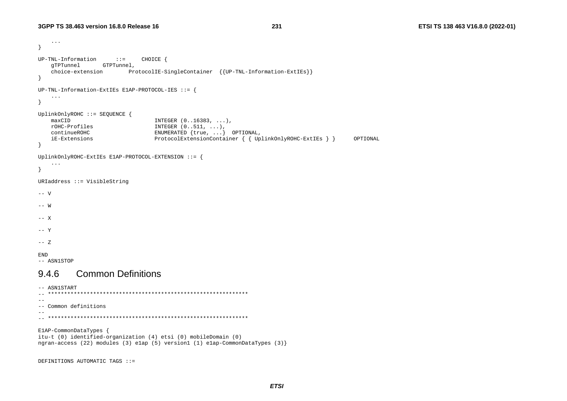DEFINITIONS AUTOMATIC TAGS ::=

```
\ddots\rightarrowUP-TNL-Information ::=CHOICE {
   qTPTunnel GTPTunnel,
                        ProtocolIE-SingleContainer { {UP-TNL-Information-ExtIEs}}
   choice-extension
\rightarrowUP-TNL-Information-ExtIEs E1AP-PROTOCOL-IES ::= {
   \sim 100\}UplinkOnlyROHC ::= SEQUENCE {
   maxCIDINTEGER (0..16383, ...),rOHC-Profiles
                                INTEGER (0..511, ...),continueROHC
                                ENUMERATED {true, ...} OPTIONAL,
                                ProtocolExtensionContainer { { UplinkOnlyROHC-ExtIEs } }
   iE-Extensions
                                                                                       OPTIONAL
\mathcal{F}UplinkOnlyROHC-ExtIEs ElAP-PROTOCOL-EXTENSION ::= {
   \ddots .
\left\{ \right.URIaddress ::= VisibleString
-- V
--- W--- X-- Y
--- ZEND
-- ASN1STOP
          Common Definitions
9.46-- ASN1START
--- Common definitions
\equiv \equivElAP-CommonDataTypes {
itu-t (0) identified-organization (4) etsi (0) mobileDomain (0)
ngran-access (22) modules (3) elap (5) version1 (1) elap-CommonDataTypes (3) }
```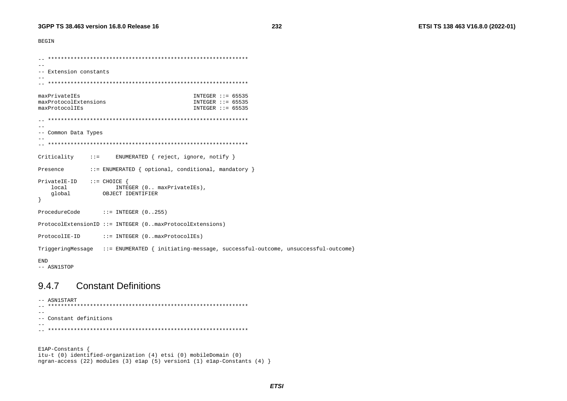**BEGIN** 

```
\overline{a}\sim --- Extension constants
maxPrivateIEs
                                  INTEGER :: = 65535maxProtocolExtensions
                                  INTEGER ::= 65535maxProtocolIEs
                                  INTEGER :: = 65535--- Common Data Types
Criticality
           \pm : =ENUMERATED { reject, ignore, notify }
           ::= ENUMERATED { optional, conditional, mandatory }
Presence
PrivateIE-ID ::=CHOICE {
  local
                INTEGER (0.. maxPrivateIEs),
   qlobal
            OBJECT IDENTIFIER
\rightarrowProcedureCode
            ::= INTEGER (0..255)ProtocolExtensionID ::= INTEGER (0..maxProtocolExtensions)
ProtocolIE-ID
           ::= INTEGER (0.. maxProtocolIEs)
TriggeringMessage ::= ENUMERATED { initiating-message, successful-outcome, unsuccessful-outcome}
END
-- ASN1STOP
```
#### **Constant Definitions** 9.4.7

-- ASN1START  $-$ -- Constant definitions  $\sim$   $\sim$ 

ElAP-Constants { itu-t (0) identified-organization (4) etsi (0) mobileDomain (0) ngran-access (22) modules (3) elap (5) version1 (1) elap-Constants (4) }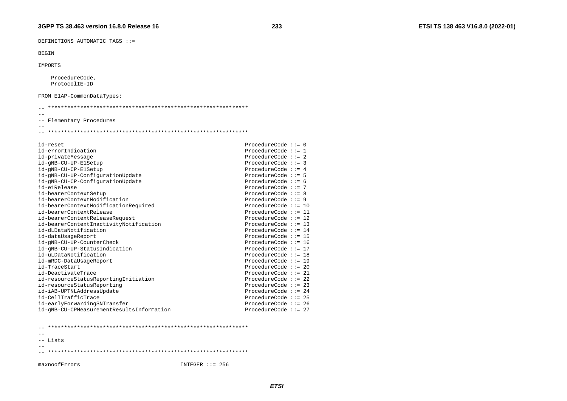DEFINITIONS AUTOMATIC TAGS ::=

#### **BEGIN**

IMPORTS

ProcedureCode, ProtocolIE-ID

FROM ElAP-CommonDataTypes;

| -- Elementary Procedures                  |                        |  |
|-------------------------------------------|------------------------|--|
|                                           |                        |  |
|                                           |                        |  |
|                                           |                        |  |
| id-reset                                  | ProcedureCode $::= 0$  |  |
| id-errorIndication                        | ProcedureCode $::= 1$  |  |
| id-privateMessage                         | ProcedureCode $::= 2$  |  |
| id-gNB-CU-UP-ElSetup                      | ProcedureCode $::= 3$  |  |
| id-qNB-CU-CP-ElSetup                      | ProcedureCode $:= 4$   |  |
| id-gNB-CU-UP-ConfigurationUpdate          | ProcedureCode $:= 5$   |  |
| id-gNB-CU-CP-ConfigurationUpdate          | ProcedureCode $:= 6$   |  |
| id-elRelease                              | ProcedureCode $::= 7$  |  |
| id-bearerContextSetup                     | ProcedureCode $::= 8$  |  |
| id-bearerContextModification              | ProcedureCode $::= 9$  |  |
| id-bearerContextModificationRequired      | ProcedureCode $::= 10$ |  |
| id-bearerContextRelease                   | ProcedureCode $::= 11$ |  |
| id-bearerContextReleaseRequest            | ProcedureCode $::= 12$ |  |
| id-bearerContextInactivityNotification    | ProcedureCode $::= 13$ |  |
| id-dLDataNotification                     | ProcedureCode $::= 14$ |  |
| id-dataUsageReport                        | ProcedureCode $::= 15$ |  |
| id-gNB-CU-UP-CounterCheck                 | ProcedureCode $::= 16$ |  |
| id-gNB-CU-UP-StatusIndication             | ProcedureCode $::= 17$ |  |
| id-uLDataNotification                     | ProcedureCode $::= 18$ |  |
| id-mRDC-DataUsageReport                   | ProcedureCode $::= 19$ |  |
| id-TraceStart                             | ProcedureCode $::= 20$ |  |
| id-DeactivateTrace                        | ProcedureCode $::= 21$ |  |
| id-resourceStatusReportingInitiation      | ProcedureCode $::= 22$ |  |
| id-resourceStatusReporting                | ProcedureCode $::= 23$ |  |
| id-iAB-UPTNLAddressUpdate                 | ProcedureCode $::= 24$ |  |
| id-CellTrafficTrace                       | ProcedureCode $::= 25$ |  |
| id-earlyForwardingSNTransfer              | ProcedureCode ::= 26   |  |
| id-qNB-CU-CPMeasurementResultsInformation | ProcedureCode $:= 27$  |  |

 $\pm\pm$ -- Lists  $--$ 

maxnoofErrors

INTEGER  $::= 256$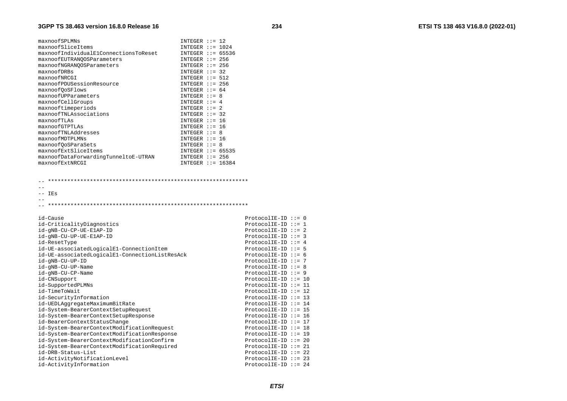| maxnoofSPLMNs                         | $INTER : := 12$     |  |
|---------------------------------------|---------------------|--|
| maxnoofSliceItems                     | INTEGER $::= 1024$  |  |
| maxnoofIndividualE1ConnectionsToReset | INTEGER $:= 65536$  |  |
| maxnoofEUTRANOOSParameters            | $INTER : := 256$    |  |
| maxnoofNGRANOOSParameters             | $INTER :: = 256$    |  |
| maxnoofDRBs                           | $INTER : := 32$     |  |
| maxnoofNRCGI                          | INTEGER $::= 512$   |  |
| maxnoofPDUSessionResource             | $INTER : := 256$    |  |
| maxnoof0oSFlows                       | INTEGER $::= 64$    |  |
| maxnoofUPParameters                   | $INTER : := 8$      |  |
| maxnoofCellGroups                     | INTEGER $: = 4$     |  |
| maxnooftimeperiods                    | INTEGER $::= 2$     |  |
| maxnoofTNLAssociations                | INTEGER $::=$ 32    |  |
| maxnoofTLAs                           | $INTER : := 16$     |  |
| maxnoofGTPTLAs                        | $INTER : := 16$     |  |
| maxnoofTNLAddresses                   | $INTER : := 8$      |  |
| maxnoofMDTPLMNs                       | $INTER :: = 16$     |  |
| maxnoof0oSParaSets                    | $INTER : := 8$      |  |
| maxnoofExtSliceItems                  | INTEGER $::= 65535$ |  |
| maxnoofDataForwardingTunneltoE-UTRAN  | INTEGER $::= 256$   |  |
| maxnoofExtNRCGI                       | INTEGER $::= 16384$ |  |
|                                       |                     |  |

 $\sim$  $--$  IEs

 $\sim$   $\sim$ 

| ProtocolIE-ID ::= $1$<br>id-CriticalityDiagnostics<br>$ProtocolIE-ID ::= 2$<br>id-qNB-CU-CP-UE-E1AP-ID<br>ProtocolIE-ID $::= 3$<br>id-qNB-CU-UP-UE-E1AP-ID<br>ProtocolIE-ID ::= $4$<br>id-ResetType<br>ProtocolIE-ID ::= $5$<br>id-UE-associatedLogicalE1-ConnectionItem<br>id-UE-associatedLogicalE1-ConnectionListResAck<br>ProtocolIE-ID ::= $6$<br>ProtocolIE-ID ::= 7<br>id-gNB-CU-UP-ID<br>ProtocolIE-ID $:= 8$<br>id-qNB-CU-UP-Name<br>$ProtocolIE-ID :: = 9$<br>id-gNB-CU-CP-Name<br>ProtocolIE-ID ::= $10$<br>id-CNSupport<br>id-SupportedPLMNs<br>$ProtocolIE-ID ::= 11$<br>id-TimeToWait<br>$ProtocolIE-ID ::= 12$<br>id-SecurityInformation<br>ProtocolIE-ID ::= 13<br>ProtocolIE-ID ::= $14$<br>id-UEDLAggregateMaximumBitRate<br>$ProtocolIE-ID :: = 15$<br>id-System-BearerContextSetupRequest<br>ProtocolIE-ID ::= $16$<br>id-System-BearerContextSetupResponse<br>ProtocolIE-ID ::= 17<br>id-BearerContextStatusChange<br>ProtocolIE-ID $::= 18$<br>id-System-BearerContextModificationRequest<br>id-System-BearerContextModificationResponse<br>ProtocolIE-ID ::= 19<br>id-System-BearerContextModificationConfirm<br>$ProtocolIE-ID ::= 20$<br>id-System-BearerContextModificationRequired<br>ProtocolIE-ID ::= 21<br>$ProtocolIE-ID ::= 22$<br>id-DRB-Status-List<br>id-ActivityNotificationLevel<br>ProtocolIE-ID ::= 23<br>ProtocolIE-ID ::= 24<br>id-ActivityInformation | id-Cause | ProtocolIE-ID $::= 0$ |  |
|-------------------------------------------------------------------------------------------------------------------------------------------------------------------------------------------------------------------------------------------------------------------------------------------------------------------------------------------------------------------------------------------------------------------------------------------------------------------------------------------------------------------------------------------------------------------------------------------------------------------------------------------------------------------------------------------------------------------------------------------------------------------------------------------------------------------------------------------------------------------------------------------------------------------------------------------------------------------------------------------------------------------------------------------------------------------------------------------------------------------------------------------------------------------------------------------------------------------------------------------------------------------------------------------------------------------------------------------------------------------------------------------------|----------|-----------------------|--|
|                                                                                                                                                                                                                                                                                                                                                                                                                                                                                                                                                                                                                                                                                                                                                                                                                                                                                                                                                                                                                                                                                                                                                                                                                                                                                                                                                                                                 |          |                       |  |
|                                                                                                                                                                                                                                                                                                                                                                                                                                                                                                                                                                                                                                                                                                                                                                                                                                                                                                                                                                                                                                                                                                                                                                                                                                                                                                                                                                                                 |          |                       |  |
|                                                                                                                                                                                                                                                                                                                                                                                                                                                                                                                                                                                                                                                                                                                                                                                                                                                                                                                                                                                                                                                                                                                                                                                                                                                                                                                                                                                                 |          |                       |  |
|                                                                                                                                                                                                                                                                                                                                                                                                                                                                                                                                                                                                                                                                                                                                                                                                                                                                                                                                                                                                                                                                                                                                                                                                                                                                                                                                                                                                 |          |                       |  |
|                                                                                                                                                                                                                                                                                                                                                                                                                                                                                                                                                                                                                                                                                                                                                                                                                                                                                                                                                                                                                                                                                                                                                                                                                                                                                                                                                                                                 |          |                       |  |
|                                                                                                                                                                                                                                                                                                                                                                                                                                                                                                                                                                                                                                                                                                                                                                                                                                                                                                                                                                                                                                                                                                                                                                                                                                                                                                                                                                                                 |          |                       |  |
|                                                                                                                                                                                                                                                                                                                                                                                                                                                                                                                                                                                                                                                                                                                                                                                                                                                                                                                                                                                                                                                                                                                                                                                                                                                                                                                                                                                                 |          |                       |  |
|                                                                                                                                                                                                                                                                                                                                                                                                                                                                                                                                                                                                                                                                                                                                                                                                                                                                                                                                                                                                                                                                                                                                                                                                                                                                                                                                                                                                 |          |                       |  |
|                                                                                                                                                                                                                                                                                                                                                                                                                                                                                                                                                                                                                                                                                                                                                                                                                                                                                                                                                                                                                                                                                                                                                                                                                                                                                                                                                                                                 |          |                       |  |
|                                                                                                                                                                                                                                                                                                                                                                                                                                                                                                                                                                                                                                                                                                                                                                                                                                                                                                                                                                                                                                                                                                                                                                                                                                                                                                                                                                                                 |          |                       |  |
|                                                                                                                                                                                                                                                                                                                                                                                                                                                                                                                                                                                                                                                                                                                                                                                                                                                                                                                                                                                                                                                                                                                                                                                                                                                                                                                                                                                                 |          |                       |  |
|                                                                                                                                                                                                                                                                                                                                                                                                                                                                                                                                                                                                                                                                                                                                                                                                                                                                                                                                                                                                                                                                                                                                                                                                                                                                                                                                                                                                 |          |                       |  |
|                                                                                                                                                                                                                                                                                                                                                                                                                                                                                                                                                                                                                                                                                                                                                                                                                                                                                                                                                                                                                                                                                                                                                                                                                                                                                                                                                                                                 |          |                       |  |
|                                                                                                                                                                                                                                                                                                                                                                                                                                                                                                                                                                                                                                                                                                                                                                                                                                                                                                                                                                                                                                                                                                                                                                                                                                                                                                                                                                                                 |          |                       |  |
|                                                                                                                                                                                                                                                                                                                                                                                                                                                                                                                                                                                                                                                                                                                                                                                                                                                                                                                                                                                                                                                                                                                                                                                                                                                                                                                                                                                                 |          |                       |  |
|                                                                                                                                                                                                                                                                                                                                                                                                                                                                                                                                                                                                                                                                                                                                                                                                                                                                                                                                                                                                                                                                                                                                                                                                                                                                                                                                                                                                 |          |                       |  |
|                                                                                                                                                                                                                                                                                                                                                                                                                                                                                                                                                                                                                                                                                                                                                                                                                                                                                                                                                                                                                                                                                                                                                                                                                                                                                                                                                                                                 |          |                       |  |
|                                                                                                                                                                                                                                                                                                                                                                                                                                                                                                                                                                                                                                                                                                                                                                                                                                                                                                                                                                                                                                                                                                                                                                                                                                                                                                                                                                                                 |          |                       |  |
|                                                                                                                                                                                                                                                                                                                                                                                                                                                                                                                                                                                                                                                                                                                                                                                                                                                                                                                                                                                                                                                                                                                                                                                                                                                                                                                                                                                                 |          |                       |  |
|                                                                                                                                                                                                                                                                                                                                                                                                                                                                                                                                                                                                                                                                                                                                                                                                                                                                                                                                                                                                                                                                                                                                                                                                                                                                                                                                                                                                 |          |                       |  |
|                                                                                                                                                                                                                                                                                                                                                                                                                                                                                                                                                                                                                                                                                                                                                                                                                                                                                                                                                                                                                                                                                                                                                                                                                                                                                                                                                                                                 |          |                       |  |
|                                                                                                                                                                                                                                                                                                                                                                                                                                                                                                                                                                                                                                                                                                                                                                                                                                                                                                                                                                                                                                                                                                                                                                                                                                                                                                                                                                                                 |          |                       |  |
|                                                                                                                                                                                                                                                                                                                                                                                                                                                                                                                                                                                                                                                                                                                                                                                                                                                                                                                                                                                                                                                                                                                                                                                                                                                                                                                                                                                                 |          |                       |  |
|                                                                                                                                                                                                                                                                                                                                                                                                                                                                                                                                                                                                                                                                                                                                                                                                                                                                                                                                                                                                                                                                                                                                                                                                                                                                                                                                                                                                 |          |                       |  |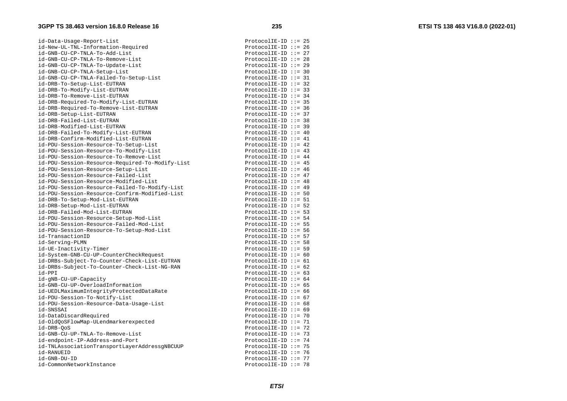id-Data-Usage-Report-List ProtocolIE-ID ::= 25 id-New-UL-TNL-Information-Required ProtocolIE-ID ::= 26 id-GNB-CU-CP-TNLA-To-Add-List ProtocolIE-ID ::= 27 id-GNB-CU-CP-TNLA-To-Remove-List ProtocolIE-ID ::= 28 id-GNB-CU-CP-TNLA-To-Update-List ProtocolIE-ID ::= 29 id-GNB-CU-CP-TNLA-Setup-List ProtocolIE-ID ::= 30 id-GNB-CU-CP-TNLA-Failed-To-Setup-List ProtocolIE-ID ::= 31 id-DRB-To-Setup-List-EUTRAN ProtocolIE-ID ::= 32 id-DRB-To-Modify-List-EUTRAN ProtocolIE-ID ::= 33 id-DRB-To-Remove-List-EUTRAN ProtocolIE-ID ::= 34 id-DRB-Required-To-Modify-List-EUTRAN ProtocolIE-ID ::= 35 id-DRB-Required-To-Remove-List-EUTRAN ProtocolIE-ID ::= 36 id-DRB-Setup-List-EUTRAN ProtocolIE-ID ::= 37 id-DRB-Failed-List-EUTRAN ProtocolIE-ID ::= 38 id-DRB-Modified-List-EUTRAN ProtocolIE-ID ::= 39 id-DRB-Failed-To-Modify-List-EUTRAN ProtocolIE-ID ::= 40 id-DRB-Confirm-Modified-List-EUTRAN ProtocolIE-ID ::= 41 id-PDU-Session-Resource-To-Setup-List ProtocolIE-ID ::= 42 id-PDU-Session-Resource-To-Modify-List extends the protocolIE-ID ::= 43 id-PDU-Session-Resource-To-Remove-List ProtocolIE-ID ::= 44 id-PDU-Session-Resource-Required-To-Modify-List ProtocolIE-ID ::= 45 id-PDU-Session-Resource-Setup-List ProtocolIE-ID ::= 46 id-PDU-Session-Resource-Failed-List ProtocolIE-ID ::= 47 id-PDU-Session-Resource-Modified-List extends the ProtocolIE-ID ::= 48 id-PDU-Session-Resource-Failed-To-Modify-List ProtocolIE-ID ::= 49 id-PDU-Session-Resource-Confirm-Modified-List ProtocolIE-ID ::= 50 id-DRB-To-Setup-Mod-List-EUTRAN ProtocolIE-ID ::= 51 id-DRB-Setup-Mod-List-EUTRAN ProtocolIE-ID ::= 52 id-DRB-Failed-Mod-List-EUTRAN ProtocolIE-ID ::= 53 id-PDU-Session-Resource-Setup-Mod-List ProtocolIE-ID ::= 54 id-PDU-Session-Resource-Failed-Mod-List extended ProtocolIE-ID ::= 55 id-PDU-Session-Resource-To-Setup-Mod-List ProtocolIE-ID ::= 56 id-TransactionID example is a set of the control of the protocolIE-ID ::= 57 id-Serving-PLMN ProtocolIE-ID ::= 58 id-UE-Inactivity-Timer extended to the protocolIE-ID ::= 59 id-System-GNB-CU-UP-CounterCheckRequest ProtocolIE-ID ::= 60 id-DRBs-Subject-To-Counter-Check-List-EUTRAN ProtocolIE-ID ::= 61 id-DRBs-Subject-To-Counter-Check-List-NG-RAN ProtocolIE-ID ::= 62 id-PPI ProtocolIE-ID ::= 63 id-gNB-CU-UP-Capacity ProtocolIE-ID ::= 64 id-GNB-CU-UP-OverloadInformation ProtocolIE-ID ::= 65 id-UEDLMaximumIntegrityProtectedDataRate ProtocolIE-ID ::= 66 id-PDU-Session-To-Notify-List ProtocolIE-ID ::= 67 id-PDU-Session-Resource-Data-Usage-List ProtocolIE-ID ::= 68 id-SNSSAI ProtocolIE-ID ::= 69 id-DataDiscardRequired ProtocolIE-ID ::= 70 id-OldQoSFlowMap-ULendmarkerexpected ProtocolIE-ID ::= 71 id-DRB-QoS ProtocolIE-ID ::= 72 id-GNB-CU-UP-TNLA-To-Remove-List extended to the protocolIE-ID ::= 73 id-endpoint-IP-Address-and-Port ProtocolIE-ID ::= 74 id-TNLAssociationTransportLayerAddressqNBCUUP ProtocolIE-ID ::= 75 id-RANUEID ProtocolIE-ID ::= 76 id-GNB-DU-ID ProtocolIE-ID ::= 77

id-CommonNetworkInstance example is a set of the ProtocolIE-ID ::= 78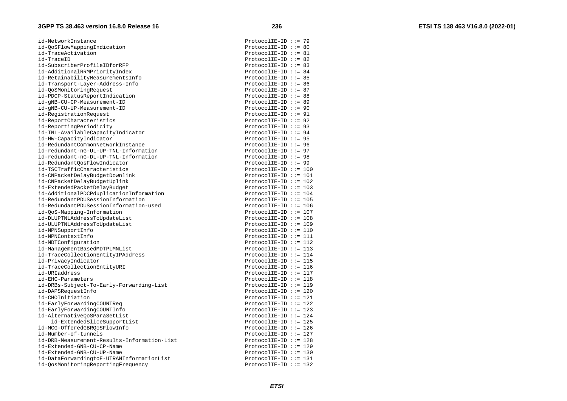id-NetworkInstance ProtocolIE-ID ::= 79 id-QoSFlowMappingIndication ProtocolIE-ID ::= 80 id-TraceActivation **ProtocolIE-ID** ::= 81 id-TraceID ProtocolIE-ID ::= 82 id-SubscriberProfileIDforRFP ProtocolIE-ID ::= 83 id-AdditionalRRMPriorityIndex id-RetainabilityMeasurementsInfo ProtocolIE-ID ::= 85 id-Transport-Layer-Address-Info ProtocolIE-ID ::= 86 id-QoSMonitoringRequest ProtocolIE-ID ::= 87 id-PDCP-StatusReportIndication ProtocolIE-ID ::= 88 id-gNB-CU-CP-Measurement-ID ProtocolIE-ID ::= 89 id-gNB-CU-UP-Measurement-ID ProtocolIE-ID ::= 90 id-RegistrationRequest ProtocolIE-ID ::= 91 id-ReportCharacteristics ProtocolIE-ID ::= 92 id-ReportingPeriodicity ProtocolIE-ID ::= 93 id-TNL-AvailableCapacityIndicator ProtocolIE-ID ::= 94 id-HW-CapacityIndicator ProtocolIE-ID ::= 95 id-RedundantCommonNetworkInstance ProtocolIE-ID ::= 96 id-redundant-nG-UL-UP-TNL-Information ProtocolIE-ID ::= 97 id-redundant-nG-DL-UP-TNL-Information  $P$  and  $P$  are  $P$  and  $P$  are  $P$  are  $P$  are  $P$  are  $P$  are  $P$  are  $P$  are  $P$  are  $P$  are  $P$  are  $P$  are  $P$  are  $P$  are  $P$  are  $P$  are  $P$  are  $P$  are  $P$  are  $P$  are  $P$  are id-RedundantOosFlowIndicator extendion and protocolIE-ID ::= 99 id-TSCTrafficCharacteristics ProtocolIE-ID ::= 100 id-CNPacketDelayBudgetDownlink end and protocolIE-ID ::= 101 id-CNPacketDelayBudgetUplink entitled and the protocolIE-ID ::= 102 id-ExtendedPacketDelayBudget ProtocolIE-ID ::= 103 id-AdditionalPDCPduplicationInformation ProtocolIE-ID ::= 104 id-RedundantPDUSessionInformation ProtocolIE-ID ::= 105 id-RedundantPDUSessionInformation-used ProtocolIE-ID ::= 106 id-OoS-Mapping-Information id-DLUPTNLAddressToUpdateList ProtocolIE-ID ::= 108 id-ULUPTNLAddressToUpdateList ProtocolIE-ID ::= 109 id-NPNSupportInfo ProtocolIE-ID ::= 110 id-NPNContextInfo ProtocolIE-ID ::= 111 id-MDTConfiguration ProtocolIE-ID ::= 112 id-ManagementBasedMDTPLMNList ProtocolIE-ID ::= 113 id-TraceCollectionEntityIPAddress ProtocolIE-ID ::= 114 id-PrivacyIndicator **ProtocolIE-ID** ::= 115 id-TraceCollectionEntityURI ProtocolIE-ID ::= 116 id-URIaddress ProtocolIE-ID ::= 117 id-EHC-Parameters ProtocolIE-ID ::= 118 id-DRBs-Subject-To-Early-Forwarding-List ProtocolIE-ID ::= 119 id-DAPSRequestInfo ProtocolIE-ID ::= 120 id-CHOInitiation ProtocolIE-ID ::= 121 id-EarlyForwardingCOUNTReq extending the extendion of the ProtocolIE-ID ::= 122 id-EarlyForwardingCOUNTInfo ProtocolIE-ID ::= 123 id-AlternativeQoSParaSetList ProtocolIE-ID ::= 124 id-ExtendedSliceSupportList ProtocolIE-ID ::= 125 id-MCG-OfferedGBRQoSFlowInfo ProtocolIE-ID ::= 126 id-Number-of-tunnels ProtocolIE-ID ::= 127 id-DRB-Measurement-Results-Information-List id-Extended-GNB-CU-CP-Name ProtocolIE-ID ::= 129 id-Extended-GNB-CU-UP-Name ProtocolIE-ID ::= 130 id-DataForwardingtoE-UTRANInformationList ProtocolIE-ID ::= 131 id-QosMonitoringReportingFrequency ProtocolIE-ID ::= 132

ProtocolIE-ID ::=  $84$ ProtocolIE-ID ::= 107 ProtocolIE-ID ::= 128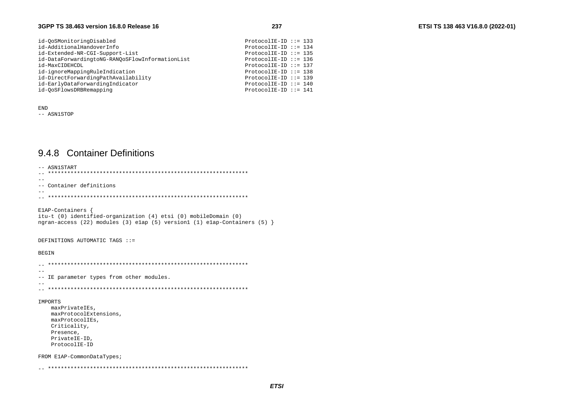| id-OoSMonitoringDisabled                        | $ProtocolIE-ID ::= 133$  |  |
|-------------------------------------------------|--------------------------|--|
| id-AdditionalHandoverInfo                       | ProtocolIE-ID ::= $134$  |  |
| id-Extended-NR-CGI-Support-List                 | $ProtocolIE-ID :: = 135$ |  |
| id-DataForwardingtoNG-RANOoSFlowInformationList | $ProtocolIE-ID :: = 136$ |  |
| id-MaxCIDEHCDL                                  | $ProtocolIE-ID :: = 137$ |  |
| id-ignoreMappingRuleIndication                  | $ProtocolIE-ID :: = 138$ |  |
| id-DirectForwardingPathAvailability             | $ProtocolIE-ID :: = 139$ |  |
| id-EarlyDataForwardingIndicator                 | ProtocolIE-ID ::= $140$  |  |
| id-OoSFlowsDRBRemapping                         | ProtocolIE-ID ::= 141    |  |

**END** -- ASN1STOP

### 9.4.8 Container Definitions

```
-- ASN1START
--- Container definitions
-ElAP-Containers {
itu-t (0) identified-organization (4) etsi (0) mobileDomain (0)
ngran-access (22) modules (3) elap (5) version1 (1) elap-Containers (5) \}DEFINITIONS AUTOMATIC TAGS ::=
BEGIN
\sim --- IE parameter types from other modules.
- -IMPORTS
  maxPrivateIEs,
  maxProtocolExtensions.
  maxProtocolIEs,
  Criticality,
  Presence,
  PrivateIE-ID,
  ProtocolIE-ID
FROM ElAP-CommonDataTypes;
```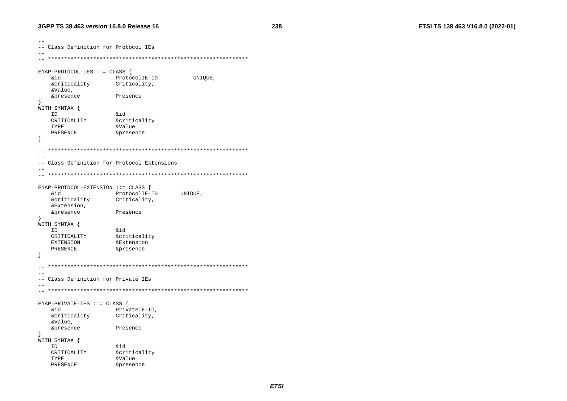```
--- Class Definition for Protocol IEs
E1AP - PROTOCOL - IES :: = CLASSbiŵ
                 ProtocolIE-ID
                                   UNIOUE,
   &criticality
                 Criticality,
   &Value,
   &presence
                 Presence
\rightarrowWITH SYNTAX {
  ID
                 &id
   CRITICALITY
                 &criticality
  TYPE
                 &Value
   PRESENCE
                  &presence
\rightarrow\sim-- Class Definition for Protocol Extensions
\sim -E1AP-PROTOCOL-EXTENSION ::= CLASS {
   biŵ
                 ProtocolIE-ID
                                UNIOUE,
   &criticality
                 Criticality,
   &Extension,
   &presence
                 Presence
\rightarrowWITH SYNTAX {
                 \&id
  ID
   CRITICALITY
                 <u>&criticality</u>
  EXTENSION
                  &Extension
   PRESENCE
                  &presence
\rightarrow\sim --- Class Definition for Private IEs
\sim \simE1AP-PRIVATE-IES ::= CLASS {
   &id
                 PrivateIE-ID,
   &criticality
                 Criticality,
   &Value,
   &presence
                 Presence
WITH SYNTAX {
  ID
                  Sid
   CRITICALITY
                  &criticality
   TYPE
                  &Value
   PRESENCE
                  &presence
```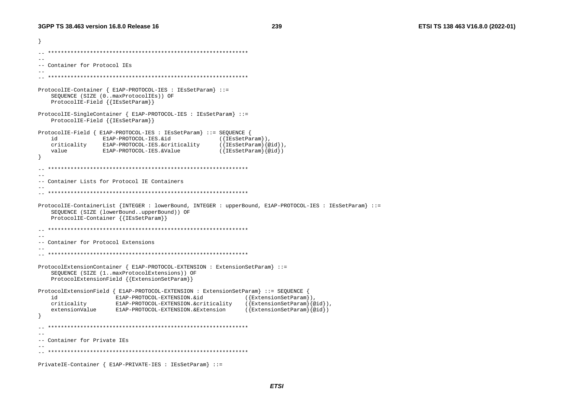```
ો
  --- Container for Protocol IEs
ProtocolIE-Container { E1AP-PROTOCOL-IES : IEsSetParam} ::=
   SEQUENCE (SIZE (0..maxProtocolIEs)) OF
   ProtocolIE-Field { { IESSetParam} }
ProtocolIE-SingleContainer { E1AP-PROTOCOL-IES : IEsSetParam} ::=
   ProtocolIE-Field { {IESSetParam}}
ProtocolIE-Field { E1AP-PROTOCOL-IES : IEsSetParam} ::= SEOUENCE {
   id
             E1AP-PROTOCOL-IES.&id
                                         ({\texttt{IEsSetParam}}),
   criticality E1AP-PROTOCOL-IES.&criticality
                                         ({IEsSetParam}{@id}),
                                        ({IEsSetParam}{@id})
   value
            E1AP-PROTOCOL-IES.&Value
  - --- Container Lists for Protocol IE Containers
-ProtocolIE-ContainerList {INTEGER : lowerBound, INTEGER : upperBound, E1AP-PROTOCOL-IES : IEsSetParam} ::=
   SEQUENCE (SIZE (lowerBound..upperBound)) OF
   ProtocolIE-Container { {IESSetParam}}
\sim --- Container for Protocol Extensions
ProtocolExtensionContainer { E1AP-PROTOCOL-EXTENSION : ExtensionSetParam} ::=
   SEQUENCE (SIZE (1..maxProtocolExtensions)) OF
   ProtocolExtensionField {{ExtensionSetParam}}
ProtocolExtensionField { E1AP-PROTOCOL-EXTENSION : ExtensionSetParam} ::= SEQUENCE
   id
                                               ({[ExtensionSetParam}),
                E1AP-PROTOCOL-EXTENSION.&id
   criticality
                                              ({[ExtensionSetParam}{@id}),
                E1AP-PROTOCOL-EXTENSION.&criticality
   extensionValue
              E1AP-PROTOCOL-EXTENSION.&Extension
                                               ({\{ExtensionSetParam\}}\{\emptyset id\})-- Container for Private IEs
PrivateIE-Container { E1AP-PRIVATE-IES : IESSetParam} ::=
```
**ETSI**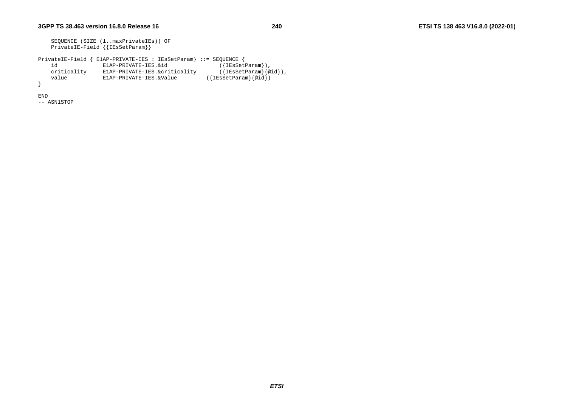```
 SEQUENCE (SIZE (1..maxPrivateIEs)) OF 
     PrivateIE-Field {{IEsSetParam}} 
PrivateIE-Field { E1AP-PRIVATE-IES : IEsSetParam} ::= SEQUENCE {<br>id       E1AP-PRIVATE-IES.&id ({IESSetParam}),
    id E1AP-PRIVATE-IES.&id ({IEsSetParam}),<br>criticality E1AP-PRIVATE-IES.&criticality ({IEsSetParam}{@id}),
     criticality E1AP-PRIVATE-IES.&criticality ({IEsSetParam}{@id}), 
              E1AP-PRIVATE-IES.&Value
}
```
END

-- ASN1STOP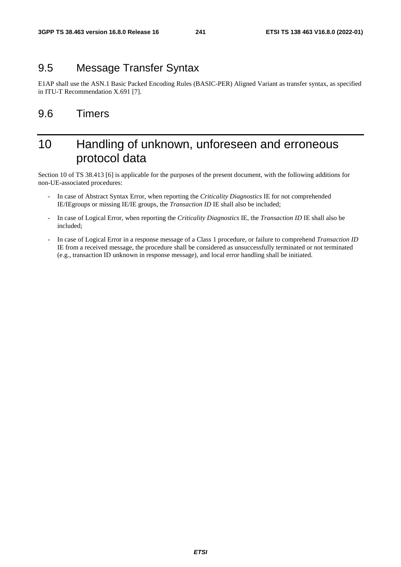## 9.5 Message Transfer Syntax

E1AP shall use the ASN.1 Basic Packed Encoding Rules (BASIC-PER) Aligned Variant as transfer syntax, as specified in ITU-T Recommendation X.691 [7].

### 9.6 Timers

## 10 Handling of unknown, unforeseen and erroneous protocol data

Section 10 of TS 38.413 [6] is applicable for the purposes of the present document, with the following additions for non-UE-associated procedures:

- In case of Abstract Syntax Error, when reporting the *Criticality Diagnostics* IE for not comprehended IE/IEgroups or missing IE/IE groups, the *Transaction ID* IE shall also be included;
- In case of Logical Error, when reporting the *Criticality Diagnostics* IE, the *Transaction ID* IE shall also be included;
- In case of Logical Error in a response message of a Class 1 procedure, or failure to comprehend *Transaction ID* IE from a received message, the procedure shall be considered as unsuccessfully terminated or not terminated (e.g., transaction ID unknown in response message), and local error handling shall be initiated.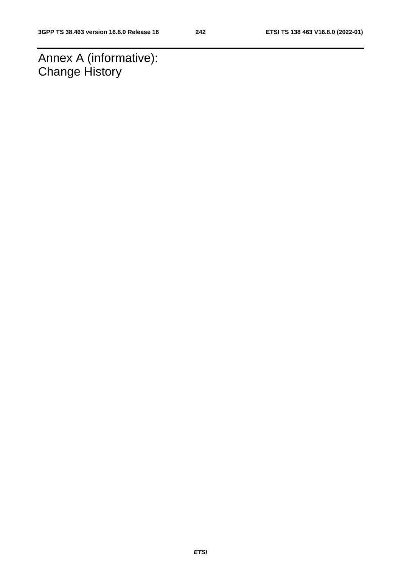Annex A (informative): **Change History**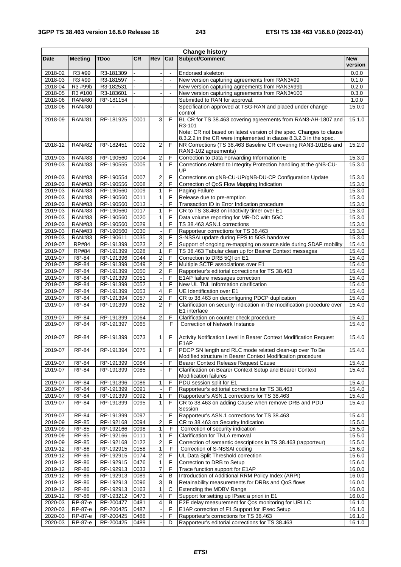|                    |                                |                        |              |                                           |                | <b>Change history</b>                                                                                                  |                       |
|--------------------|--------------------------------|------------------------|--------------|-------------------------------------------|----------------|------------------------------------------------------------------------------------------------------------------------|-----------------------|
| <b>Date</b>        | <b>Meeting</b>                 | <b>TDoc</b>            | <b>CR</b>    | Rev                                       | Cat            | Subject/Comment                                                                                                        | <b>New</b><br>version |
| 2018-02            | R <sub>3</sub> #99             | R3-181309              |              |                                           | $\blacksquare$ | Endorsed skeleton                                                                                                      | 0.0.0                 |
| 2018-03            | R3 #99                         | R3-181597              |              |                                           | $\blacksquare$ | New version capturing agreements from RAN3#99                                                                          | 0.1.0                 |
| 2018-04            | R3 #99b                        | R3-182531              |              |                                           | $\blacksquare$ | New version capturing agreements from RAN3#99b                                                                         | 0.2.0                 |
| 2018-05            | R3 #100                        | R3-183601              |              |                                           |                | New version capturing agreements from RAN3#100                                                                         | 0.3.0                 |
| 2018-06            | <b>RAN#80</b>                  | RP-181154              |              |                                           |                | Submitted to RAN for approval.                                                                                         | 1.0.0                 |
| 2018-06            | <b>RAN#80</b>                  |                        |              |                                           | $\blacksquare$ | Specification approved at TSG-RAN and placed under change                                                              | 15.0.0                |
| 2018-09            | <b>RAN#81</b>                  | RP-181925              | 0001         | $\mathbf{3}$                              | F              | control<br>BL CR for TS 38.463 covering agreements from RAN3-AH-1807 and                                               | 15.1.0                |
|                    |                                |                        |              |                                           |                | R <sub>3</sub> -101                                                                                                    |                       |
|                    |                                |                        |              |                                           |                | Note: CR not based on latest version of the spec. Changes to clause                                                    |                       |
|                    |                                |                        |              |                                           |                | 8.3.2.2 in the CR were implemented in clause 8.3.2.3 in the spec.                                                      |                       |
| 2018-12            | <b>RAN#82</b>                  | RP-182451              | 0002         | $\overline{2}$                            | F              | NR Corrections (TS 38.463 Baseline CR covering RAN3-101Bis and                                                         | 15.2.0                |
|                    |                                |                        |              |                                           |                | RAN3-102 agreements)                                                                                                   |                       |
| 2019-03            | <b>RAN#83</b>                  | RP-190560              | 0004         | 2                                         | F              | Correction to Data Forwarding Information IE                                                                           | 15.3.0                |
| 2019-03            | <b>RAN#83</b>                  | RP-190555              | 0005         | $\mathbf{1}$                              | F              | Corrections related to Integrity Protection handling at the gNB-CU-                                                    | 15.3.0                |
|                    |                                |                        |              |                                           |                | UP                                                                                                                     |                       |
| 2019-03<br>2019-03 | <b>RAN#83</b><br><b>RAN#83</b> | RP-190554<br>RP-190556 | 0007<br>0008 | $\overline{2}$<br>$\overline{\mathbf{c}}$ | F<br>F         | Corrections on gNB-CU-UP/gNB-DU-CP Configuration Update<br>Correction of QoS Flow Mapping Indication                   | 15.3.0<br>15.3.0      |
| 2019-03            | <b>RAN#83</b>                  | RP-190560              | 0009         | 1                                         | F              | <b>Paging Failure</b>                                                                                                  | 15.3.0                |
| 2019-03            | <b>RAN#83</b>                  | RP-190560              | 0011         | $\mathbf{1}$                              | F              | Release due to pre-emption                                                                                             | 15.3.0                |
| 2019-03            | <b>RAN#83</b>                  | RP-190560              | 0013         |                                           | F              | Transaction ID in Error Indication procedure                                                                           | 15.3.0                |
| 2019-03            | <b>RAN#83</b>                  | RP-190560              | 0017         | 1                                         | F              | CR to TS 38.463 on inactivity timer over E1                                                                            | 15.3.0                |
| 2019-03            | <b>RAN#83</b>                  | RP-190560              | 0020         | $\mathbf{1}$                              | F              | Data volume reporting for MR-DC with 5GC                                                                               | 15.3.0                |
| 2019-03            | <b>RAN#83</b>                  | RP-190560              | 0029         | $\mathbf{1}$                              | F              | TS 38.463 ASN.1 corrections                                                                                            | 15.3.0                |
| 2019-03            | <b>RAN#83</b>                  | RP-190560              | 0030         |                                           | F              | Rapporteur corrections for TS 38.463                                                                                   | 15.3.0                |
| 2019-03            | <b>RAN#83</b>                  | RP-190611              | 0035         | 3                                         | F              | S-NSSAI update during EPS to 5GS handover                                                                              | 15.3.0                |
| 2019-07            | <b>RP#84</b>                   | RP-191399              | 0023         | $\overline{c}$                            | F              | Support of ongoing re-mapping on source side during SDAP mobility                                                      | 15.4.0                |
| 2019-07            | <b>RP#84</b>                   | RP-191399              | 0028         | $\mathbf{1}$                              | F              | TS 38.463 Tabular clean up for Bearer Context messages                                                                 | 15.4.0                |
| 2019-07            | <b>RP-84</b>                   | RP-191396              | 0044         | $\overline{c}$                            | F              | Correction to DRB 5QI on E1                                                                                            | 15.4.0                |
| 2019-07            | <b>RP-84</b>                   | RP-191399              | 0049         | $\overline{2}$                            | F              | Multiple SCTP associations over E1                                                                                     | 15.4.0                |
| 2019-07            | <b>RP-84</b>                   | RP-191399              | 0050         | $\overline{\mathbf{c}}$                   | F              | Rapporteur's editorial corrections for TS 38.463                                                                       | 15.4.0                |
| 2019-07            | <b>RP-84</b>                   | RP-191399              | 0051         |                                           | F              | E1AP failure messages correction                                                                                       | 15.4.0                |
| 2019-07            | <b>RP-84</b>                   | RP-191399              | 0052         | $\mathbf{1}$                              | F              | New UL TNL Information clarification                                                                                   | 15.4.0                |
| 2019-07            | <b>RP-84</b>                   | RP-191399              | 0053         | 4                                         | F              | UE Identification over E1                                                                                              | 15.4.0                |
| 2019-07            | <b>RP-84</b>                   | RP-191394              | 0057         | $\overline{2}$                            | F              | CR to 38.463 on deconfiguring PDCP duplication                                                                         | 15.4.0                |
| 2019-07            | <b>RP-84</b>                   | RP-191399              | 0062         | $\overline{2}$                            | F              | Clarification on security indication in the modification procedure over<br>E1 interface                                | 15.4.0                |
| 2019-07            | $RP-84$                        | RP-191399              | 0064         | $\overline{\mathbf{c}}$                   | F              | Clarification on counter check procedure                                                                               | 15.4.0                |
| 2019-07            | <b>RP-84</b>                   | RP-191397              | 0065         |                                           | F              | Correction of Network Instance                                                                                         | 15.4.0                |
|                    |                                |                        |              |                                           |                |                                                                                                                        |                       |
| 2019-07            | <b>RP-84</b>                   | RP-191399              | 0073         | $\mathbf{1}$                              | F              | Activity Notification Level in Bearer Context Modification Request<br>E <sub>1</sub> AP                                | 15.4.0                |
| 2019-07            | <b>RP-84</b>                   | RP-191394              | 0075         | $\overline{1}$                            | F.             | PDCP SN length and RLC mode related clean-up over To Be<br>Modified structure in Bearer Context Modification procedure | 15.4.0                |
| 2019-07            | <b>RP-84</b>                   | RP-191399              | 0084         |                                           | F              | Bearer Context Release Request Cause                                                                                   | 15.4.0                |
| 2019-07            | <b>RP-84</b>                   | RP-191399              | 0085         |                                           | F              | Clarification on Bearer Context Setup and Bearer Context                                                               | 15.4.0                |
|                    |                                |                        |              |                                           |                | <b>Modification failures</b>                                                                                           |                       |
| 2019-07            | <b>RP-84</b>                   | RP-191396              | 0086         | $\mathbf{1}$                              | F              | PDU session split for E1                                                                                               | 15.4.0                |
| 2019-07            | <b>RP-84</b>                   | RP-191399              | 0091         |                                           | F              | Rapporteur's editorial corrections for TS 38.463                                                                       | 15.4.0                |
| 2019-07            | RP-84                          | RP-191399              | 0092         | 1                                         | F              | Rapporteur's ASN.1 corrections for TS 38.463                                                                           | 15.4.0                |
| 2019-07            | <b>RP-84</b>                   | RP-191399              | 0095         | 1                                         | F              | CR to 38.463 on adding Cause when remove DRB and PDU<br>Session                                                        | 15.4.0                |
| 2019-07            | <b>RP-84</b>                   | RP-191399              | 0097         |                                           | F              | Rapporteur's ASN.1 corrections for TS 38.463                                                                           | 15.4.0                |
| 2019-09            | <b>RP-85</b>                   | RP-192168              | 0094         | 2                                         | F              | CR to 38.463 on Security Indication                                                                                    | 15.5.0                |
| 2019-09            | RP-85                          | RP-192166              | 0098         | $\mathbf{1}$                              | F              | Correction of security indication                                                                                      | 15.5.0                |
| 2019-09            | <b>RP-85</b>                   | RP-192166              | 0111         | $\mathbf{1}$                              | F              | Clarification for TNLA removal                                                                                         | 15.5.0                |
| 2019-09            | <b>RP-85</b>                   | RP-192168              | 0122         | $\overline{\mathbf{c}}$                   | F              | Correction of semantic descriptions in TS 38.463 (rapporteur)                                                          | 15.5.0                |
| 2019-12            | <b>RP-86</b>                   | RP-192915              | 0158         | $\mathbf{1}$                              | F              | Correction of S-NSSAI coding                                                                                           | 15.6.0                |
| 2019-12            | <b>RP-86</b>                   | RP-192915              | 0174         | $\overline{2}$                            | F              | UL Data Split Threshold correction                                                                                     | 15.6.0                |
| 2019-12            | RP-86                          | RP-192915              | 0476         | 1                                         | F              | Correction to DRB to Setup                                                                                             | 15.6.0                |
| 2019-12            | <b>RP-86</b>                   | RP-192913              | 0033         | 7<br>$\overline{\mathbf{4}}$              | F              | Trace function support for E1AP                                                                                        | 16.0.0                |
| 2019-12<br>2019-12 | <b>RP-86</b>                   | RP-192913<br>RP-192913 | 0089<br>0096 | ω                                         | B<br>в         | Introduction of Additional RRM Policy Index (ARPI)<br>Retainability measurements for DRBs and QoS flows                | 16.0.0<br>16.0.0      |
| 2019-12            | RP-86<br><b>RP-86</b>          | RP-192913              | 0163         | $\mathbf{1}$                              | С              | Extending the MDBV Range                                                                                               | 16.0.0                |
| 2019-12            | <b>RP-86</b>                   | RP-193212              | 0473         | 4                                         | F              | Support for setting up IPsec a priori in E1                                                                            | 16.0.0                |
| 2020-03            | RP-87-e                        | RP-200477              | 0481         | 4                                         | в              | E2E delay measurement for Qos monitoring for URLLC                                                                     | 16.1.0                |
| 2020-03            | RP-87-e                        | RP-200425              | 0487         |                                           | F              | E1AP correction of F1 Support for IPsec Setup                                                                          | 16.1.0                |
| 2020-03            | RP-87-e                        | RP-200425              | 0488         |                                           | F              | Rapporteur's corrections for TS 38.463                                                                                 | 16.1.0                |
| 2020-03            | RP-87-e                        | RP-200425              | 0489         |                                           | D              | Rapporteur's editorial corrections for TS 38.463                                                                       | 16.1.0                |
|                    |                                |                        |              |                                           |                |                                                                                                                        |                       |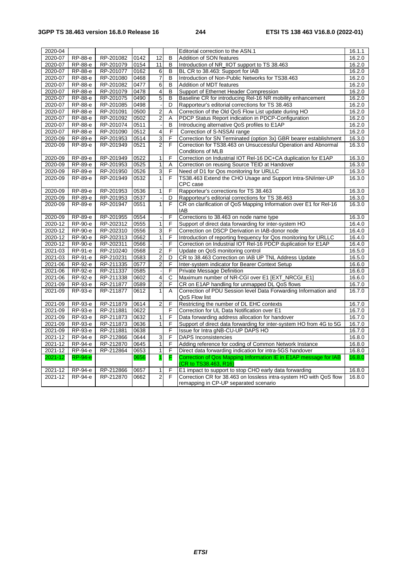| 2020-04            |                    |                        |              |                          |        | Editorial correction to the ASN.1                                                                                                 | 16.1.1           |
|--------------------|--------------------|------------------------|--------------|--------------------------|--------|-----------------------------------------------------------------------------------------------------------------------------------|------------------|
| 2020-07            | RP-88-e            | RP-201082              | 0142         | 12                       | B      | Addition of SON features                                                                                                          | 16.2.0           |
| 2020-07            | RP-88-e            | RP-201079              | 0154         | 11                       | B      | Introduction of NR_IIOT support to TS 38.463                                                                                      | 16.2.0           |
| 2020-07            | RP-88-e            | RP-201077              | 0162         | 6                        | B      | BL CR to 38.463: Support for IAB                                                                                                  | 16.2.0           |
| 2020-07            | RP-88-e            | RP-201080              | 0468         | $\overline{7}$           | B      | Introduction of Non-Public Networks for TS38.463                                                                                  | 16.2.0           |
| 2020-07            | RP-88-e            | RP-201082              | 0477         | 6                        | B      | Addition of MDT features                                                                                                          | 16.2.0           |
| 2020-07            | RP-88-e            | RP-201079              | 0478         | $\overline{\mathbf{4}}$  | B      | Support of Ethernet Header Compression                                                                                            | 16.2.0           |
| 2020-07            | RP-88-e            | RP-201075              | 0490         | 5                        | B      | Baseline CR for introducing Rel-16 NR mobility enhancement                                                                        | 16.2.0           |
| 2020-07            | RP-88-e            | RP-201085              | 0498         | J.                       | D      | Rapporteur's editorial corrections for TS 38.463                                                                                  | 16.2.0           |
| 2020-07            | RP-88-e            | RP-201091              | 0500         | $\overline{2}$           | A      | Correction of the Old QoS Flow List update during HO                                                                              | 16.2.0           |
| 2020-07            | RP-88-e            | RP-201092              | 0502         | $\overline{2}$           | A      | PDCP Status Report indication in PDCP-Configuration                                                                               | 16.2.0           |
| 2020-07            | RP-88-e            | RP-201074              | 0511         | ÷,                       | B      | Introducing alternative QoS profiles to E1AP                                                                                      | 16.2.0           |
| 2020-07            | RP-88-e            | RP-201090              | 0512         | $\overline{4}$           | F      | Correction of S-NSSAI range                                                                                                       | 16.2.0           |
| 2020-09            | RP-89-e            | RP-201953              | 0514         | $\overline{3}$           | F      | Correction for SN Terminated (option 3x) GBR bearer establishment                                                                 | 16.3.0           |
| 2020-09            | RP-89-e            | RP-201949              | 0521         | $\overline{2}$           | F      | Correction for TS38.463 on Unsuccessful Operation and Abnormal                                                                    | 16.3.0           |
|                    |                    |                        |              |                          |        | Conditions of MLB                                                                                                                 |                  |
| 2020-09            | RP-89-e            | RP-201949              | 0522         | $\overline{1}$           | F      | Correction on Industrial IOT Rel-16 DC+CA duplication for E1AP                                                                    | 16.3.0           |
| 2020-09            | RP-89-e            | RP-201953              | 0525         | $\mathbf{1}$             | Α      | Correction on reusing Source TEID at Handover                                                                                     | 16.3.0           |
| 2020-09            | RP-89-e            | RP-201950              | 0526         | $\overline{3}$           | F      | Need of D1 for Qos monitoring for URLLC                                                                                           | 16.3.0           |
| 2020-09            | RP-89-e            | RP-201949              | 0532         | $\mathbf{1}$             | F      | TS38.463 Extend the CHO Usage and Support Intra-SN/inter-UP                                                                       | 16.3.0           |
|                    |                    |                        |              |                          |        | CPC case                                                                                                                          |                  |
| 2020-09            | RP-89-e            | RP-201953              | 0536         | $\mathbf{1}$             | F      | Rapporteur's corrections for TS 38.463                                                                                            | 16.3.0           |
| 2020-09            | RP-89-e            | RP-201953              | 0537         | $\overline{\phantom{a}}$ | D      | Rapporteur's editorial corrections for TS 38.463                                                                                  | 16.3.0           |
| $2020 - 09$        | RP-89-e            | RP-201947              | 0551         | $\overline{1}$           | F      | CR on clarification of QoS Mapping Information over E1 for Rel-16                                                                 | 16.3.0           |
|                    |                    |                        |              |                          |        | IAB                                                                                                                               |                  |
| 2020-09            | RP-89-e            | RP-201955              | 0554         |                          | F      | Corrections to 38.463 on node name type                                                                                           | 16.3.0           |
| 2020-12            | RP-90-e            | RP-202312              | 0555         | $\mathbf{1}$<br>3        | F      | Support of direct data forwarding for inter-system HO                                                                             | 16.4.0           |
| 2020-12            | RP-90-e            | RP-202310<br>RP-202313 | 0556         |                          | F<br>F | Correction on DSCP Derivation in IAB-donor node                                                                                   | 16.4.0           |
| 2020-12<br>2020-12 | RP-90-e<br>RP-90-e | RP-202311              | 0562<br>0566 | $\mathbf{1}$             | F      | Introduction of reporting frequency for Qos monitoring for URLLC<br>Correction on Industrial IOT Rel-16 PDCP duplication for E1AP | 16.4.0<br>16.4.0 |
| 2021-03            | RP-91-e            | RP-210240              | 0568         | $\boldsymbol{2}$         | F      | Update on QoS monitoring control                                                                                                  | 16.5.0           |
| 2021-03            | RP-91-e            | RP-210231              | 0583         | $\overline{2}$           | D      | CR to 38.463 Correction on IAB UP TNL Address Update                                                                              | 16.5.0           |
| 2021-06            | RP-92-e            | RP-211335              | 0577         | $\overline{c}$           | F      | Inter-system indicator for Bearer Context Setup                                                                                   | 16.6.0           |
| 2021-06            | RP-92-e            | RP-211337              | 0585         |                          | F      | Private Message Definition                                                                                                        | 16.6.0           |
| 2021-06            | RP-92-e            | RP-211338              | 0602         | $\overline{\mathbf{4}}$  | С      | Maximum number of NR-CGI over E1 [EXT_NRCGI_E1]                                                                                   | 16.6.0           |
| 2021-09            | RP-93-e            | RP-211877              | 0589         | $\overline{2}$           | F      | CR on E1AP handling for unmapped DL QoS flows                                                                                     | 16.7.0           |
| 2021-09            | RP-93-e            | RP-211877              | 0612         | $\mathbf{1}$             | A      | Correction of PDU Session level Data Forwarding Information and                                                                   | 16.7.0           |
|                    |                    |                        |              |                          |        | QoS Flow list                                                                                                                     |                  |
| 2021-09            | RP-93-e            | RP-211879              | 0614         | $\overline{2}$           | F      | Restricting the number of DL EHC contexts                                                                                         | 16.7.0           |
| 2021-09            | RP-93-e            | RP-211881              | 0622         |                          | F      | Correction for UL Data Notification over E1                                                                                       | 16.7.0           |
| 2021-09            | RP-93-e            | RP-211873              | 0632         | $\mathbf{1}$             | F      | Data forwarding address allocation for handover                                                                                   | 16.7.0           |
| 2021-09            | RP-93-e            | RP-211873              | 0636         | $\mathbf{1}$             | F      | Support of direct data forwarding for inter-system HO from 4G to 5G                                                               | 16.7.0           |
| 2021-09            | RP-93-e            | RP-211881              | 0638         |                          | F      | Issue for Intra gNB-CU-UP DAPS HO                                                                                                 | 16.7.0           |
| 2021-12            | RP-94-e            | RP-212866              | 0644         | 3                        | F      | <b>DAPS Inconsistencies</b>                                                                                                       | 16.8.0           |
| 2021-12            | <b>RP-94-e</b>     | RP-212870              | 0645         | $\overline{1}$           | F      | Adding reference for coding of Common Network Instance                                                                            | 16.8.0           |
| 2021-12            | RP-94-e            | RP-212864              | 0653         | $\mathbf{1}$             | F      | Direct data forwarding indication for intra-5GS handover                                                                          | 16.8.0           |
| 2021-12            | <b>RP-94-e</b>     |                        | 0656         | $\overline{1}$           | F      | Correction of Qos Mapping Information IE in E1AP message for IAB                                                                  | 16.8.0           |
|                    |                    |                        |              |                          |        | (CR to TS38.463, R16)                                                                                                             |                  |
| 2021-12            | RP-94-e            | RP-212866              | 0657         | 1                        | F      | E1 impact to support to stop CHO early data forwarding                                                                            | 16.8.0           |
| 2021-12            | RP-94-e            | RP-212870              | 0662         | $\overline{2}$           | F      | Correction CR for 38.463 on lossless intra-system HO with QoS flow                                                                | 16.8.0           |
|                    |                    |                        |              |                          |        | remapping in CP-UP separated scenario                                                                                             |                  |